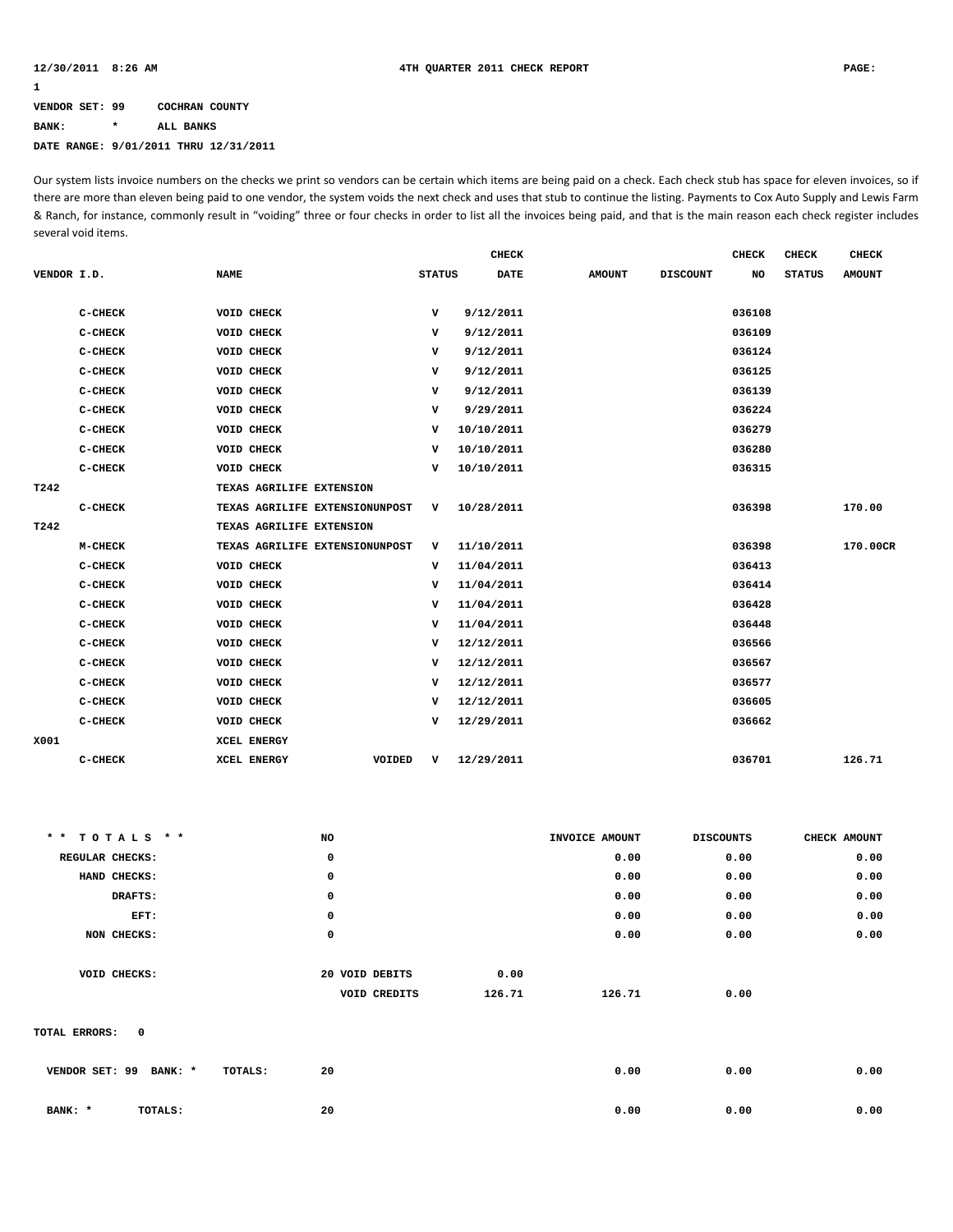#### **1 VENDOR SET: 99 COCHRAN COUNTY BANK: \* ALL BANKS DATE RANGE: 9/01/2011 THRU 12/31/2011**

Our system lists invoice numbers on the checks we print so vendors can be certain which items are being paid on a check. Each check stub has space for eleven invoices, so if there are more than eleven being paid to one vendor, the system voids the next check and uses that stub to continue the listing. Payments to Cox Auto Supply and Lewis Farm & Ranch, for instance, commonly result in "voiding" three or four checks in order to list all the invoices being paid, and that is the main reason each check register includes several void items.

|             |           |                                |        |               | <b>CHECK</b> |               |                 | <b>CHECK</b> | <b>CHECK</b>  | <b>CHECK</b>  |
|-------------|-----------|--------------------------------|--------|---------------|--------------|---------------|-----------------|--------------|---------------|---------------|
| VENDOR I.D. |           | <b>NAME</b>                    |        | <b>STATUS</b> | <b>DATE</b>  | <b>AMOUNT</b> | <b>DISCOUNT</b> | NO           | <b>STATUS</b> | <b>AMOUNT</b> |
|             |           |                                |        |               |              |               |                 |              |               |               |
|             | C-CHECK   | <b>VOID CHECK</b>              |        | v             | 9/12/2011    |               |                 | 036108       |               |               |
|             | C-CHECK   | VOID CHECK                     |        | v             | 9/12/2011    |               |                 | 036109       |               |               |
|             | C-CHECK   | VOID CHECK                     |        | v             | 9/12/2011    |               |                 | 036124       |               |               |
|             | C-CHECK   | VOID CHECK                     |        | v             | 9/12/2011    |               |                 | 036125       |               |               |
|             | C-CHECK   | VOID CHECK                     |        | v             | 9/12/2011    |               |                 | 036139       |               |               |
|             | C-CHECK   | VOID CHECK                     |        | v             | 9/29/2011    |               |                 | 036224       |               |               |
|             | $C-CHECK$ | VOID CHECK                     |        | v             | 10/10/2011   |               |                 | 036279       |               |               |
|             | C-CHECK   | VOID CHECK                     |        | v             | 10/10/2011   |               |                 | 036280       |               |               |
|             | C-CHECK   | VOID CHECK                     |        | v             | 10/10/2011   |               |                 | 036315       |               |               |
| T242        |           | TEXAS AGRILIFE EXTENSION       |        |               |              |               |                 |              |               |               |
|             | $C-CHECK$ | TEXAS AGRILIFE EXTENSIONUNPOST |        | v             | 10/28/2011   |               |                 | 036398       |               | 170.00        |
| T242        |           | TEXAS AGRILIFE EXTENSION       |        |               |              |               |                 |              |               |               |
|             | M-CHECK   | TEXAS AGRILIFE EXTENSIONUNPOST |        | v             | 11/10/2011   |               |                 | 036398       |               | 170.00CR      |
|             | C-CHECK   | VOID CHECK                     |        | v             | 11/04/2011   |               |                 | 036413       |               |               |
|             | C-CHECK   | VOID CHECK                     |        | v             | 11/04/2011   |               |                 | 036414       |               |               |
|             | C-CHECK   | VOID CHECK                     |        | v             | 11/04/2011   |               |                 | 036428       |               |               |
|             | C-CHECK   | VOID CHECK                     |        | v             | 11/04/2011   |               |                 | 036448       |               |               |
|             | C-CHECK   | VOID CHECK                     |        | v             | 12/12/2011   |               |                 | 036566       |               |               |
|             | C-CHECK   | VOID CHECK                     |        | v             | 12/12/2011   |               |                 | 036567       |               |               |
|             | C-CHECK   | VOID CHECK                     |        | v             | 12/12/2011   |               |                 | 036577       |               |               |
|             | C-CHECK   | VOID CHECK                     |        | v             | 12/12/2011   |               |                 | 036605       |               |               |
|             | C-CHECK   | VOID CHECK                     |        | v             | 12/29/2011   |               |                 | 036662       |               |               |
| X001        |           | XCEL ENERGY                    |        |               |              |               |                 |              |               |               |
|             | $C-CHECK$ | XCEL ENERGY                    | VOIDED | v             | 12/29/2011   |               |                 | 036701       |               | 126.71        |

| ** TOTALS **       |                    | NO             |        | INVOICE AMOUNT | <b>DISCOUNTS</b> | CHECK AMOUNT |
|--------------------|--------------------|----------------|--------|----------------|------------------|--------------|
| REGULAR CHECKS:    |                    | 0              |        | 0.00           | 0.00             | 0.00         |
| HAND CHECKS:       |                    | 0              |        | 0.00           | 0.00             | 0.00         |
| DRAFTS:            |                    | 0              |        | 0.00           | 0.00             | 0.00         |
| EFT:               |                    | 0              |        | 0.00           | 0.00             | 0.00         |
| NON CHECKS:        |                    | 0              |        | 0.00           | 0.00             | 0.00         |
|                    |                    |                |        |                |                  |              |
| VOID CHECKS:       |                    | 20 VOID DEBITS | 0.00   |                |                  |              |
|                    |                    | VOID CREDITS   | 126.71 | 126.71         | 0.00             |              |
|                    |                    |                |        |                |                  |              |
| 0<br>TOTAL ERRORS: |                    |                |        |                |                  |              |
|                    |                    |                |        |                |                  |              |
| VENDOR SET: 99     | BANK: *<br>TOTALS: | 20             |        | 0.00           | 0.00             | 0.00         |
|                    |                    |                |        |                |                  |              |

 **BANK: \* TOTALS: 20 0.00 0.00 0.00**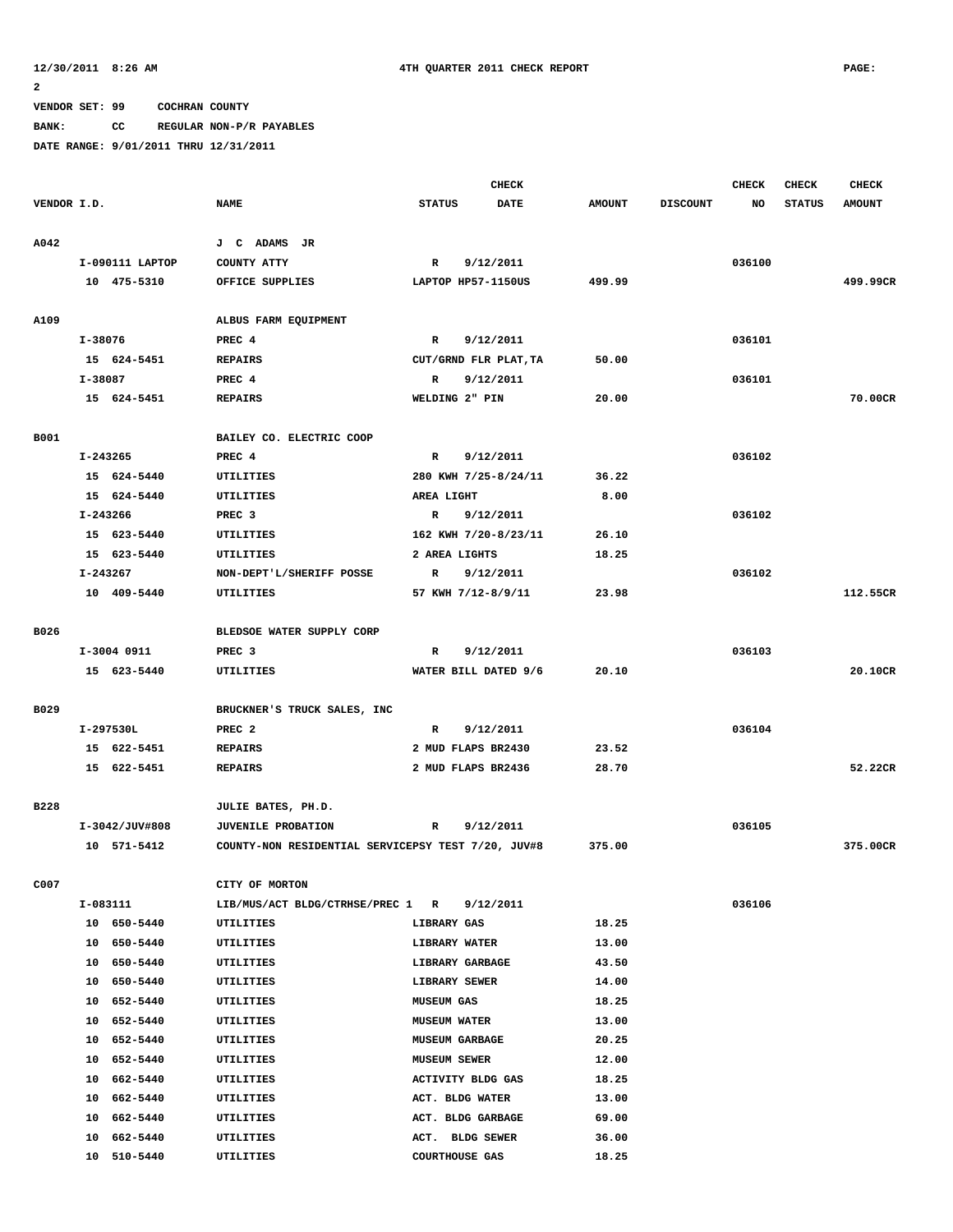## **VENDOR SET: 99 COCHRAN COUNTY BANK: CC REGULAR NON-P/R PAYABLES**

|             |                        |                                                    | <b>CHECK</b>          |           |               |                 | <b>CHECK</b> | <b>CHECK</b>  | <b>CHECK</b>  |
|-------------|------------------------|----------------------------------------------------|-----------------------|-----------|---------------|-----------------|--------------|---------------|---------------|
| VENDOR I.D. |                        | <b>NAME</b>                                        | <b>STATUS</b>         | DATE      | <b>AMOUNT</b> | <b>DISCOUNT</b> | NO           | <b>STATUS</b> | <b>AMOUNT</b> |
|             |                        |                                                    |                       |           |               |                 |              |               |               |
| A042        |                        | J C ADAMS JR                                       |                       |           |               |                 |              |               |               |
|             | I-090111 LAPTOP        | COUNTY ATTY                                        | $\mathbb{R}$          | 9/12/2011 |               |                 | 036100       |               |               |
|             | 10 475-5310            | OFFICE SUPPLIES                                    | LAPTOP HP57-1150US    |           | 499.99        |                 |              |               | 499.99CR      |
|             |                        |                                                    |                       |           |               |                 |              |               |               |
| A109        |                        | ALBUS FARM EQUIPMENT                               |                       |           |               |                 |              |               |               |
|             | I-38076                | PREC <sub>4</sub>                                  | R                     | 9/12/2011 |               |                 | 036101       |               |               |
|             | 15 624-5451<br>I-38087 | <b>REPAIRS</b><br>PREC 4                           | CUT/GRND FLR PLAT, TA | 9/12/2011 | 50.00         |                 | 036101       |               |               |
|             | 15 624-5451            | <b>REPAIRS</b>                                     | R<br>WELDING 2" PIN   |           | 20.00         |                 |              |               | 70.00CR       |
|             |                        |                                                    |                       |           |               |                 |              |               |               |
| B001        |                        | BAILEY CO. ELECTRIC COOP                           |                       |           |               |                 |              |               |               |
|             | I-243265               | PREC 4                                             | R                     | 9/12/2011 |               |                 | 036102       |               |               |
|             | 15 624-5440            | UTILITIES                                          | 280 KWH 7/25-8/24/11  |           | 36.22         |                 |              |               |               |
|             | 15 624-5440            | <b>UTILITIES</b>                                   | AREA LIGHT            |           | 8.00          |                 |              |               |               |
|             | I-243266               | PREC <sub>3</sub>                                  | R                     | 9/12/2011 |               |                 | 036102       |               |               |
|             | 15 623-5440            | UTILITIES                                          | 162 KWH 7/20-8/23/11  |           | 26.10         |                 |              |               |               |
|             | 15 623-5440            | UTILITIES                                          | 2 AREA LIGHTS         |           | 18.25         |                 |              |               |               |
|             | I-243267               | NON-DEPT'L/SHERIFF POSSE                           | R                     | 9/12/2011 |               |                 | 036102       |               |               |
|             | 10 409-5440            | UTILITIES                                          | 57 KWH 7/12-8/9/11    |           | 23.98         |                 |              |               | 112.55CR      |
|             |                        |                                                    |                       |           |               |                 |              |               |               |
| B026        |                        | BLEDSOE WATER SUPPLY CORP                          |                       |           |               |                 |              |               |               |
|             | I-3004 0911            | PREC <sub>3</sub>                                  | $\mathbb{R}$          | 9/12/2011 |               |                 | 036103       |               |               |
|             | 15 623-5440            | UTILITIES                                          | WATER BILL DATED 9/6  |           | 20.10         |                 |              |               | 20.10CR       |
|             |                        |                                                    |                       |           |               |                 |              |               |               |
| B029        |                        | BRUCKNER'S TRUCK SALES, INC                        |                       |           |               |                 |              |               |               |
|             | I-297530L              | PREC <sub>2</sub>                                  | R                     | 9/12/2011 |               |                 | 036104       |               |               |
|             | 15 622-5451            | <b>REPAIRS</b>                                     | 2 MUD FLAPS BR2430    |           | 23.52         |                 |              |               |               |
|             | 15 622-5451            | <b>REPAIRS</b>                                     | 2 MUD FLAPS BR2436    |           | 28.70         |                 |              |               | 52.22CR       |
|             |                        |                                                    |                       |           |               |                 |              |               |               |
| B228        |                        | JULIE BATES, PH.D.                                 |                       |           |               |                 |              |               |               |
|             | I-3042/JUV#808         | <b>JUVENILE PROBATION</b>                          | $\mathbb{R}$          | 9/12/2011 |               |                 | 036105       |               |               |
|             | 10 571-5412            | COUNTY-NON RESIDENTIAL SERVICEPSY TEST 7/20, JUV#8 |                       |           | 375.00        |                 |              |               | 375.00CR      |
| C007        |                        | CITY OF MORTON                                     |                       |           |               |                 |              |               |               |
|             | I-083111               | LIB/MUS/ACT BLDG/CTRHSE/PREC 1 R                   |                       | 9/12/2011 |               |                 | 036106       |               |               |
|             | 10 650-5440            | UTILITIES                                          | LIBRARY GAS           |           | 18.25         |                 |              |               |               |
|             | 10 650-5440            | UTILITIES                                          | LIBRARY WATER         |           | 13.00         |                 |              |               |               |
|             | 10 650-5440            | UTILITIES                                          | LIBRARY GARBAGE       |           | 43.50         |                 |              |               |               |
|             | 10 650-5440            | UTILITIES                                          | LIBRARY SEWER         |           | 14.00         |                 |              |               |               |
|             | 10 652-5440            | UTILITIES                                          | <b>MUSEUM GAS</b>     |           | 18.25         |                 |              |               |               |
|             | 10 652-5440            | UTILITIES                                          | <b>MUSEUM WATER</b>   |           | 13.00         |                 |              |               |               |
|             | 10<br>652-5440         | UTILITIES                                          | <b>MUSEUM GARBAGE</b> |           | 20.25         |                 |              |               |               |
|             | 10 652-5440            | UTILITIES                                          | <b>MUSEUM SEWER</b>   |           | 12.00         |                 |              |               |               |
|             | 10 662-5440            | UTILITIES                                          | ACTIVITY BLDG GAS     |           | 18.25         |                 |              |               |               |
|             | 10 662-5440            | UTILITIES                                          | ACT. BLDG WATER       |           | 13.00         |                 |              |               |               |
|             | 662-5440<br>10         | UTILITIES                                          | ACT. BLDG GARBAGE     |           | 69.00         |                 |              |               |               |
|             | 662-5440<br>10         | UTILITIES                                          | ACT. BLDG SEWER       |           | 36.00         |                 |              |               |               |
|             | 510-5440<br>10         | UTILITIES                                          | <b>COURTHOUSE GAS</b> |           | 18.25         |                 |              |               |               |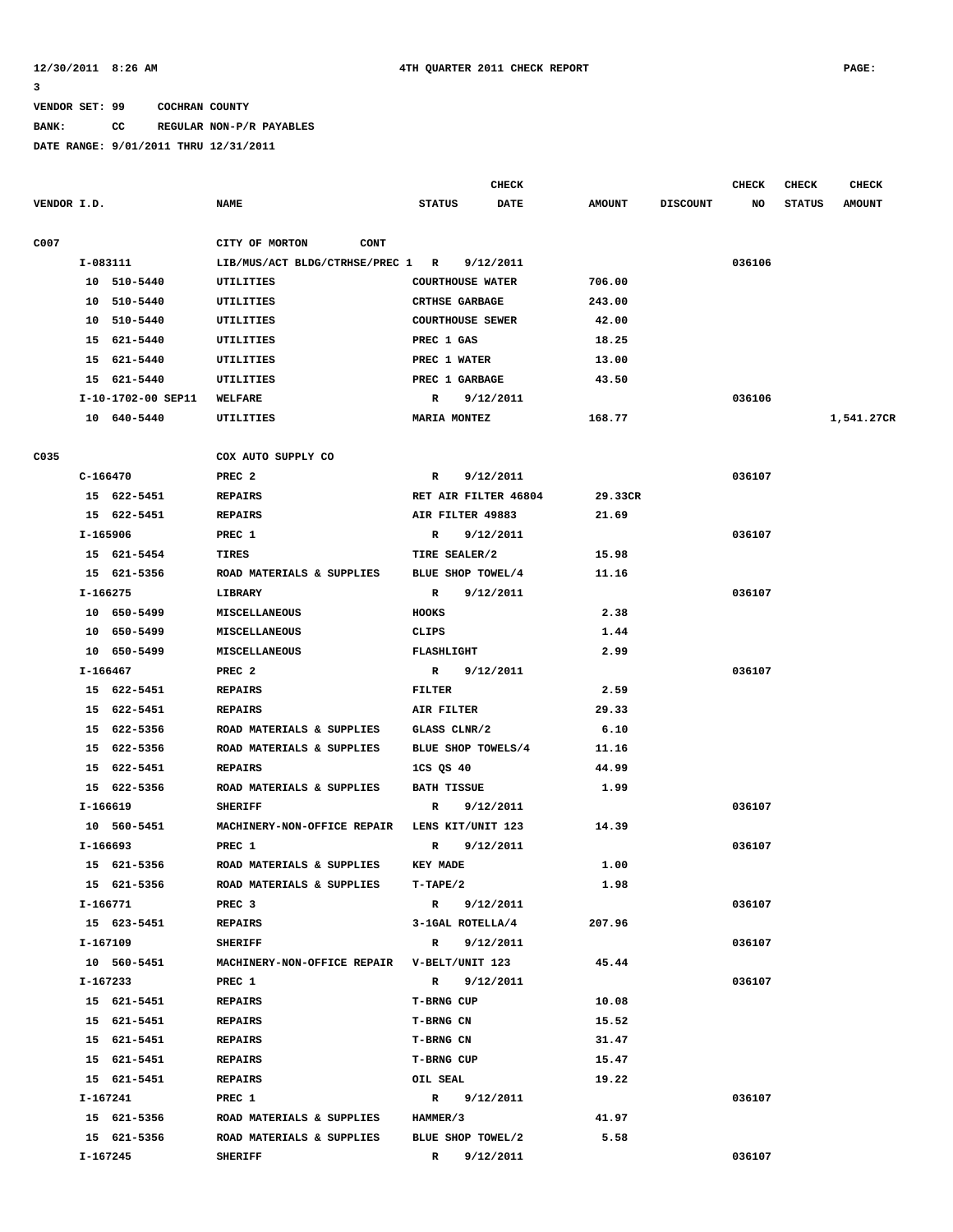## **VENDOR SET: 99 COCHRAN COUNTY**

**BANK: CC REGULAR NON-P/R PAYABLES**

|             |                         |                                    |                                    | <b>CHECK</b> |               |                 | <b>CHECK</b> | <b>CHECK</b>  | CHECK         |
|-------------|-------------------------|------------------------------------|------------------------------------|--------------|---------------|-----------------|--------------|---------------|---------------|
| VENDOR I.D. |                         | <b>NAME</b>                        | <b>STATUS</b>                      | <b>DATE</b>  | <b>AMOUNT</b> | <b>DISCOUNT</b> | NO           | <b>STATUS</b> | <b>AMOUNT</b> |
| C007        |                         | CITY OF MORTON<br><b>CONT</b>      |                                    |              |               |                 |              |               |               |
|             | I-083111                | LIB/MUS/ACT BLDG/CTRHSE/PREC 1     | 9/12/2011<br>R                     |              |               |                 | 036106       |               |               |
|             | 10 510-5440             | UTILITIES                          | <b>COURTHOUSE WATER</b>            |              | 706.00        |                 |              |               |               |
|             | 510-5440<br>10          | UTILITIES                          | <b>CRTHSE GARBAGE</b>              |              | 243.00        |                 |              |               |               |
|             | 10 510-5440             | UTILITIES                          | <b>COURTHOUSE SEWER</b>            |              | 42.00         |                 |              |               |               |
|             | 15 621-5440             | <b>UTILITIES</b>                   | PREC 1 GAS                         |              | 18.25         |                 |              |               |               |
|             | 15 621-5440             | UTILITIES                          | PREC 1 WATER                       |              | 13.00         |                 |              |               |               |
|             | 15 621-5440             | UTILITIES                          | PREC 1 GARBAGE                     |              | 43.50         |                 |              |               |               |
|             | I-10-1702-00 SEP11      | WELFARE                            | R<br>9/12/2011                     |              |               |                 | 036106       |               |               |
|             | 10 640-5440             | UTILITIES                          | MARIA MONTEZ                       |              | 168.77        |                 |              |               | 1,541.27CR    |
| C035        |                         | COX AUTO SUPPLY CO                 |                                    |              |               |                 |              |               |               |
|             | $C-166470$              | PREC <sub>2</sub>                  | 9/12/2011<br>R                     |              |               |                 | 036107       |               |               |
|             | 15 622-5451             | <b>REPAIRS</b>                     | RET AIR FILTER 46804               |              | 29.33CR       |                 |              |               |               |
|             |                         |                                    |                                    |              |               |                 |              |               |               |
|             | 15 622-5451<br>I-165906 | <b>REPAIRS</b>                     | AIR FILTER 49883                   |              | 21.69         |                 |              |               |               |
|             | 15 621-5454             | PREC 1<br>TIRES                    | 9/12/2011<br>R                     |              | 15.98         |                 | 036107       |               |               |
|             | 15 621-5356             | ROAD MATERIALS & SUPPLIES          | TIRE SEALER/2<br>BLUE SHOP TOWEL/4 |              | 11.16         |                 |              |               |               |
|             |                         |                                    |                                    |              |               |                 | 036107       |               |               |
|             | I-166275<br>10 650-5499 | LIBRARY<br><b>MISCELLANEOUS</b>    | R<br>9/12/2011<br>HOOKS            |              | 2.38          |                 |              |               |               |
|             | 10 650-5499             | <b>MISCELLANEOUS</b>               |                                    |              |               |                 |              |               |               |
|             | 10 650-5499             |                                    | <b>CLIPS</b><br>FLASHLIGHT         |              | 1.44<br>2.99  |                 |              |               |               |
|             | I-166467                | MISCELLANEOUS<br>PREC <sub>2</sub> | 9/12/2011<br>R                     |              |               |                 | 036107       |               |               |
|             | 15 622-5451             | <b>REPAIRS</b>                     | <b>FILTER</b>                      |              | 2.59          |                 |              |               |               |
|             |                         |                                    |                                    |              |               |                 |              |               |               |
|             | 15 622-5451             | <b>REPAIRS</b>                     | AIR FILTER                         |              | 29.33         |                 |              |               |               |
|             | 15 622-5356             | ROAD MATERIALS & SUPPLIES          | GLASS CLNR/2                       |              | 6.10          |                 |              |               |               |
|             | 15 622-5356             | ROAD MATERIALS & SUPPLIES          | BLUE SHOP TOWELS/4                 |              | 11.16         |                 |              |               |               |
|             | 622-5451<br>15          | <b>REPAIRS</b>                     | $1CS$ QS $40$                      |              | 44.99         |                 |              |               |               |
|             | 15 622-5356             | ROAD MATERIALS & SUPPLIES          | <b>BATH TISSUE</b>                 |              | 1.99          |                 |              |               |               |
|             | I-166619                | <b>SHERIFF</b>                     | 9/12/2011<br>R                     |              |               |                 | 036107       |               |               |
|             | 10 560-5451             | MACHINERY-NON-OFFICE REPAIR        | LENS KIT/UNIT 123                  |              | 14.39         |                 |              |               |               |
|             | I-166693                | PREC 1                             | R<br>9/12/2011                     |              |               |                 | 036107       |               |               |
|             | 15 621-5356             | ROAD MATERIALS & SUPPLIES          | <b>KEY MADE</b>                    |              | 1.00          |                 |              |               |               |
|             | 15 621-5356             | ROAD MATERIALS & SUPPLIES          | $T-TAPE/2$                         |              | 1.98          |                 |              |               |               |
|             | I-166771                | PREC 3                             | $\mathbb{R}$<br>9/12/2011          |              |               |                 | 036107       |               |               |
|             | 15 623-5451             | <b>REPAIRS</b>                     | 3-1GAL ROTELLA/4                   |              | 207.96        |                 |              |               |               |
|             | I-167109                | <b>SHERIFF</b>                     | 9/12/2011<br>$\mathbb{R}$          |              |               |                 | 036107       |               |               |
|             | 10 560-5451             | MACHINERY-NON-OFFICE REPAIR        | V-BELT/UNIT 123                    |              | 45.44         |                 |              |               |               |
|             | I-167233                | PREC 1                             | 9/12/2011<br>$\mathbb{R}$          |              |               |                 | 036107       |               |               |
|             | 15 621-5451             | <b>REPAIRS</b>                     | T-BRNG CUP                         |              | 10.08         |                 |              |               |               |
|             | 15 621-5451             | <b>REPAIRS</b>                     | T-BRNG CN                          |              | 15.52         |                 |              |               |               |
|             | 15 621-5451             | <b>REPAIRS</b>                     | T-BRNG CN                          |              | 31.47         |                 |              |               |               |
|             | 15 621-5451             | REPAIRS                            | T-BRNG CUP                         |              | 15.47         |                 |              |               |               |
|             | 15 621-5451             | REPAIRS                            | OIL SEAL                           |              | 19.22         |                 |              |               |               |
|             | I-167241                | PREC 1                             | R 9/12/2011                        |              |               |                 | 036107       |               |               |
|             | 15 621-5356             | ROAD MATERIALS & SUPPLIES          | HAMMER/3                           |              | 41.97         |                 |              |               |               |
|             | 15 621-5356             | ROAD MATERIALS & SUPPLIES          | BLUE SHOP TOWEL/2                  |              | 5.58          |                 |              |               |               |
|             | I-167245                | <b>SHERIFF</b>                     | $\mathbb{R}$<br>9/12/2011          |              |               |                 | 036107       |               |               |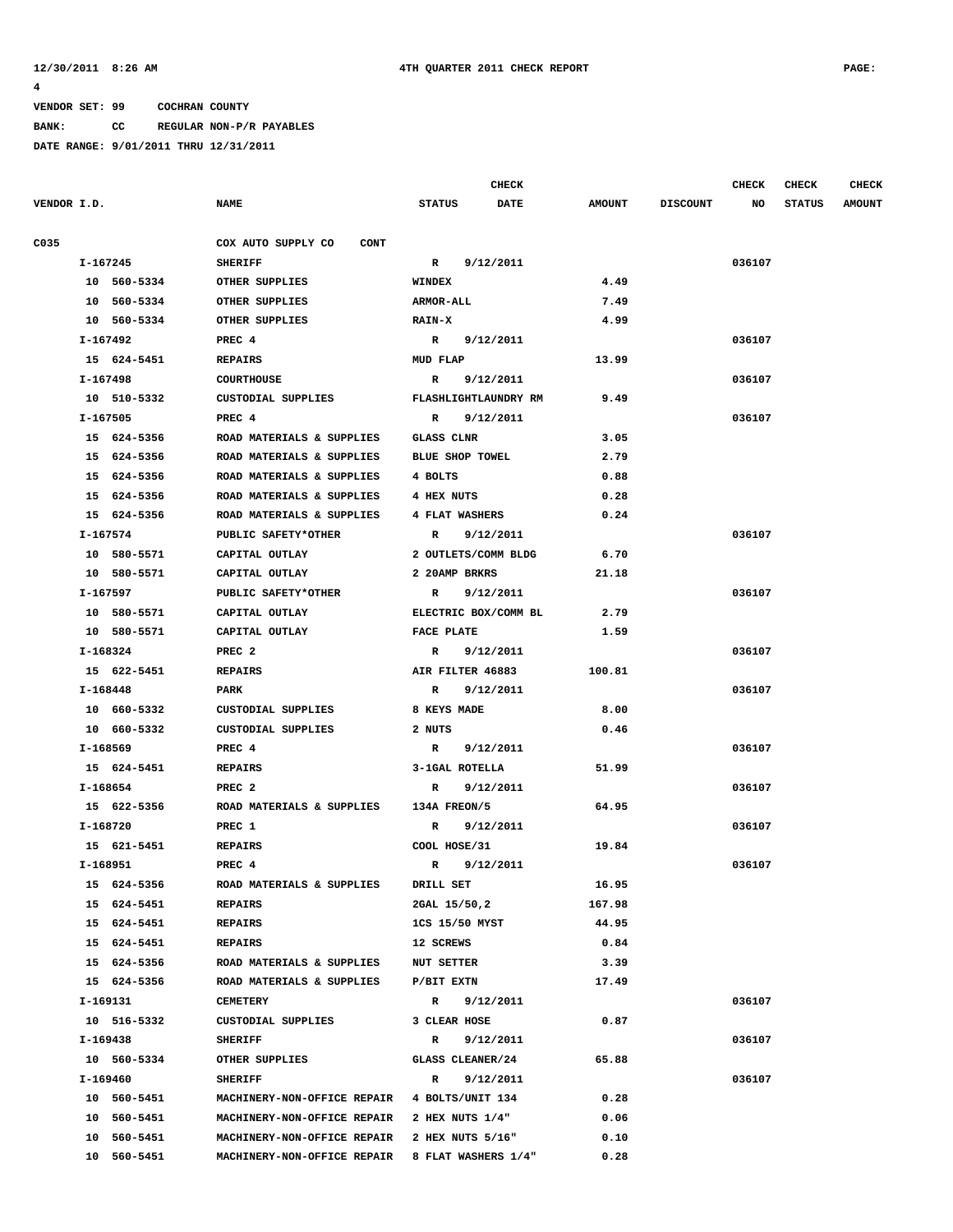# **VENDOR SET: 99 COCHRAN COUNTY**

**BANK: CC REGULAR NON-P/R PAYABLES**

|             |             |                                    |                                     | <b>CHECK</b> |               |                 | CHECK  | <b>CHECK</b>  | <b>CHECK</b>  |
|-------------|-------------|------------------------------------|-------------------------------------|--------------|---------------|-----------------|--------|---------------|---------------|
| VENDOR I.D. |             | <b>NAME</b>                        | <b>STATUS</b>                       | <b>DATE</b>  | <b>AMOUNT</b> | <b>DISCOUNT</b> | NO     | <b>STATUS</b> | <b>AMOUNT</b> |
| C035        |             | COX AUTO SUPPLY CO<br>CONT         |                                     |              |               |                 |        |               |               |
|             | I-167245    | <b>SHERIFF</b>                     | R 9/12/2011                         |              |               |                 | 036107 |               |               |
|             | 10 560-5334 | OTHER SUPPLIES                     | WINDEX                              |              | 4.49          |                 |        |               |               |
|             | 10 560-5334 | OTHER SUPPLIES                     | <b>ARMOR-ALL</b>                    |              | 7.49          |                 |        |               |               |
|             | 10 560-5334 | OTHER SUPPLIES                     | <b>RAIN-X</b>                       |              | 4.99          |                 |        |               |               |
|             | I-167492    | PREC 4                             | R 9/12/2011                         |              |               |                 | 036107 |               |               |
|             | 15 624-5451 | <b>REPAIRS</b>                     | MUD FLAP                            |              | 13.99         |                 |        |               |               |
|             | I-167498    | <b>COURTHOUSE</b>                  | R                                   | 9/12/2011    |               |                 | 036107 |               |               |
|             | 10 510-5332 | CUSTODIAL SUPPLIES                 | FLASHLIGHTLAUNDRY RM                |              | 9.49          |                 |        |               |               |
|             | I-167505    | PREC 4                             | R                                   | 9/12/2011    |               |                 | 036107 |               |               |
|             | 15 624-5356 | ROAD MATERIALS & SUPPLIES          | <b>GLASS CLNR</b>                   |              | 3.05          |                 |        |               |               |
|             | 15 624-5356 | ROAD MATERIALS & SUPPLIES          | <b>BLUE SHOP TOWEL</b>              |              | 2.79          |                 |        |               |               |
|             | 15 624-5356 | ROAD MATERIALS & SUPPLIES          | 4 BOLTS                             |              | 0.88          |                 |        |               |               |
|             | 15 624-5356 | ROAD MATERIALS & SUPPLIES          | 4 HEX NUTS                          |              | 0.28          |                 |        |               |               |
|             | 15 624-5356 | ROAD MATERIALS & SUPPLIES          | 4 FLAT WASHERS                      |              | 0.24          |                 |        |               |               |
|             |             |                                    |                                     |              |               |                 |        |               |               |
|             | I-167574    | PUBLIC SAFETY*OTHER                | $\mathbb{R}$<br>2 OUTLETS/COMM BLDG | 9/12/2011    |               |                 | 036107 |               |               |
|             | 10 580-5571 | CAPITAL OUTLAY                     |                                     |              | 6.70          |                 |        |               |               |
|             | 10 580-5571 | CAPITAL OUTLAY                     | 2 20AMP BRKRS                       |              | 21.18         |                 |        |               |               |
|             | I-167597    | PUBLIC SAFETY*OTHER                | R 9/12/2011                         |              |               |                 | 036107 |               |               |
|             | 10 580-5571 | CAPITAL OUTLAY                     | ELECTRIC BOX/COMM BL                |              | 2.79          |                 |        |               |               |
|             | 10 580-5571 | CAPITAL OUTLAY                     | <b>FACE PLATE</b>                   |              | 1.59          |                 |        |               |               |
|             | I-168324    | PREC <sub>2</sub>                  | $\mathbb{R}$                        | 9/12/2011    |               |                 | 036107 |               |               |
|             | 15 622-5451 | <b>REPAIRS</b>                     | AIR FILTER 46883                    |              | 100.81        |                 |        |               |               |
|             | I-168448    | PARK                               | $\mathbb{R}$                        | 9/12/2011    |               |                 | 036107 |               |               |
|             | 10 660-5332 | <b>CUSTODIAL SUPPLIES</b>          | 8 KEYS MADE                         |              | 8.00          |                 |        |               |               |
|             | 10 660-5332 | CUSTODIAL SUPPLIES                 | 2 NUTS                              |              | 0.46          |                 |        |               |               |
|             | I-168569    | PREC 4                             | $\mathbb{R}$                        | 9/12/2011    |               |                 | 036107 |               |               |
|             | 15 624-5451 | <b>REPAIRS</b>                     | 3-1GAL ROTELLA                      |              | 51.99         |                 |        |               |               |
|             | I-168654    | PREC <sub>2</sub>                  | R                                   | 9/12/2011    |               |                 | 036107 |               |               |
|             | 15 622-5356 | ROAD MATERIALS & SUPPLIES          | 134A FREON/5                        |              | 64.95         |                 |        |               |               |
|             | I-168720    | PREC 1                             | R                                   | 9/12/2011    |               |                 | 036107 |               |               |
|             | 15 621-5451 | <b>REPAIRS</b>                     | COOL HOSE/31                        |              | 19.84         |                 |        |               |               |
|             | I-168951    | PREC 4                             | $\mathbb{R}$                        | 9/12/2011    |               |                 | 036107 |               |               |
|             | 15 624-5356 | ROAD MATERIALS & SUPPLIES          | DRILL SET                           |              | 16.95         |                 |        |               |               |
|             | 15 624-5451 | REPAIRS                            | 2GAL 15/50,2                        |              | 167.98        |                 |        |               |               |
|             | 15 624-5451 | <b>REPAIRS</b>                     | 1CS 15/50 MYST                      |              | 44.95         |                 |        |               |               |
|             | 15 624-5451 | <b>REPAIRS</b>                     | 12 SCREWS                           |              | 0.84          |                 |        |               |               |
|             | 15 624-5356 | ROAD MATERIALS & SUPPLIES          | <b>NUT SETTER</b>                   |              | 3.39          |                 |        |               |               |
|             | 15 624-5356 | ROAD MATERIALS & SUPPLIES          | P/BIT EXTN                          |              | 17.49         |                 |        |               |               |
|             | I-169131    | <b>CEMETERY</b>                    | R                                   | 9/12/2011    |               |                 | 036107 |               |               |
|             | 10 516-5332 | CUSTODIAL SUPPLIES                 | 3 CLEAR HOSE                        |              | 0.87          |                 |        |               |               |
|             | I-169438    | <b>SHERIFF</b>                     | R                                   | 9/12/2011    |               |                 | 036107 |               |               |
|             | 10 560-5334 | OTHER SUPPLIES                     | GLASS CLEANER/24                    |              | 65.88         |                 |        |               |               |
|             | I-169460    | <b>SHERIFF</b>                     | R                                   | 9/12/2011    |               |                 | 036107 |               |               |
|             | 10 560-5451 | MACHINERY-NON-OFFICE REPAIR        | 4 BOLTS/UNIT 134                    |              | 0.28          |                 |        |               |               |
|             | 10 560-5451 | <b>MACHINERY-NON-OFFICE REPAIR</b> | 2 HEX NUTS 1/4"                     |              | 0.06          |                 |        |               |               |
|             | 10 560-5451 | MACHINERY-NON-OFFICE REPAIR        | 2 HEX NUTS 5/16"                    |              | 0.10          |                 |        |               |               |
|             | 10 560-5451 | MACHINERY-NON-OFFICE REPAIR        | 8 FLAT WASHERS 1/4"                 |              | 0.28          |                 |        |               |               |
|             |             |                                    |                                     |              |               |                 |        |               |               |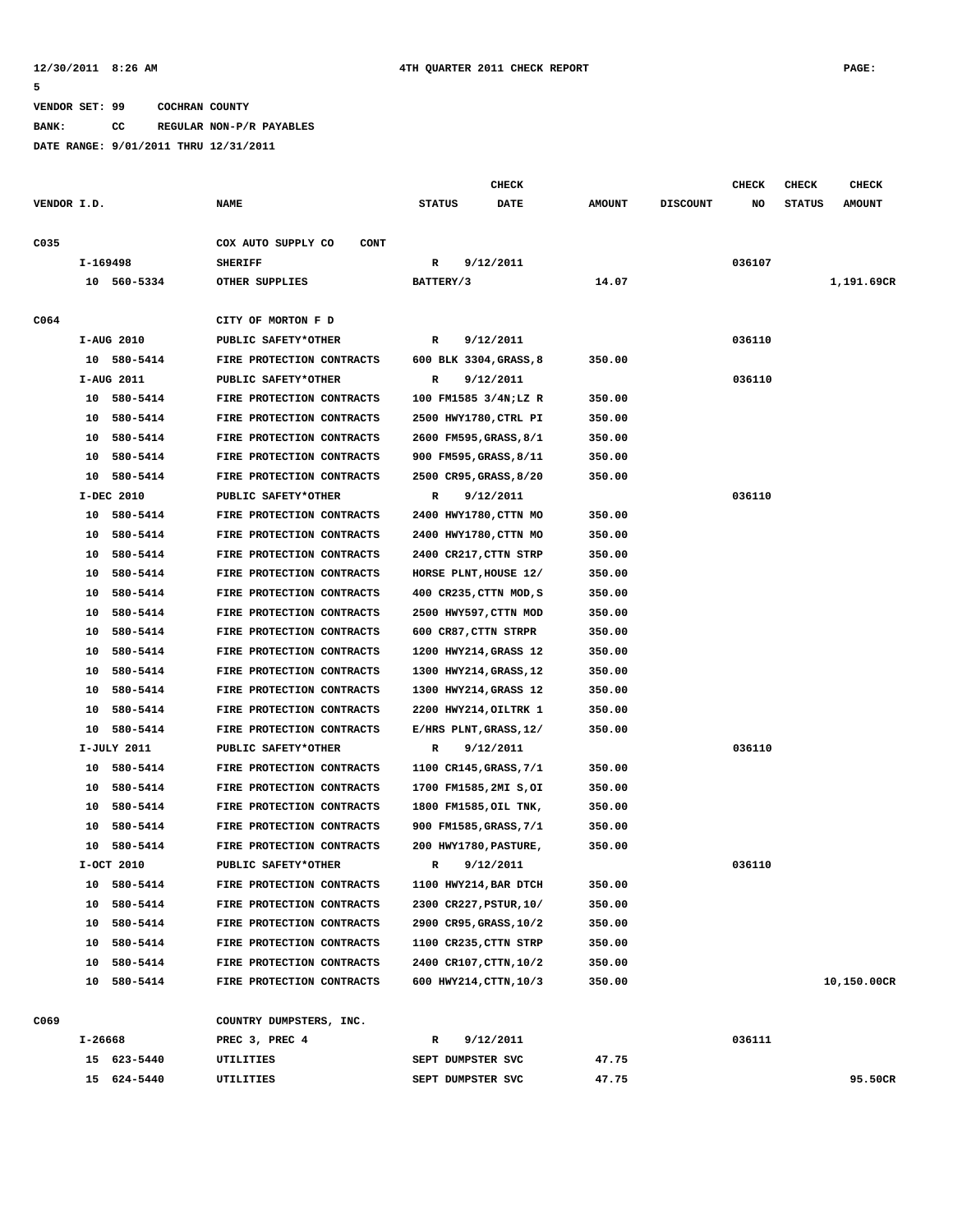# **VENDOR SET: 99 COCHRAN COUNTY**

**BANK: CC REGULAR NON-P/R PAYABLES**

|             |                |                                   | <b>CHECK</b>           |             |               |                 | <b>CHECK</b> | <b>CHECK</b>  | <b>CHECK</b>  |
|-------------|----------------|-----------------------------------|------------------------|-------------|---------------|-----------------|--------------|---------------|---------------|
| VENDOR I.D. |                | <b>NAME</b>                       | <b>STATUS</b>          | <b>DATE</b> | <b>AMOUNT</b> | <b>DISCOUNT</b> | NO           | <b>STATUS</b> | <b>AMOUNT</b> |
|             |                |                                   |                        |             |               |                 |              |               |               |
| C035        |                | COX AUTO SUPPLY CO<br><b>CONT</b> |                        |             |               |                 |              |               |               |
|             | I-169498       | <b>SHERIFF</b>                    | R                      | 9/12/2011   |               |                 | 036107       |               |               |
|             | 10 560-5334    | OTHER SUPPLIES                    | BATTERY/3              |             | 14.07         |                 |              |               | 1,191.69CR    |
|             |                |                                   |                        |             |               |                 |              |               |               |
| C064        |                | CITY OF MORTON F D                |                        |             |               |                 |              |               |               |
|             | I-AUG 2010     | PUBLIC SAFETY*OTHER               | R                      | 9/12/2011   |               |                 | 036110       |               |               |
|             | 10 580-5414    | FIRE PROTECTION CONTRACTS         | 600 BLK 3304, GRASS, 8 |             | 350.00        |                 |              |               |               |
|             | I-AUG 2011     | PUBLIC SAFETY*OTHER               | R                      | 9/12/2011   |               |                 | 036110       |               |               |
|             | 580-5414<br>10 | FIRE PROTECTION CONTRACTS         | 100 FM1585 3/4N;LZ R   |             | 350.00        |                 |              |               |               |
|             | 10<br>580-5414 | FIRE PROTECTION CONTRACTS         | 2500 HWY1780, CTRL PI  |             | 350.00        |                 |              |               |               |
|             | 580-5414<br>10 | FIRE PROTECTION CONTRACTS         | 2600 FM595, GRASS, 8/1 |             | 350.00        |                 |              |               |               |
|             | 580-5414<br>10 | FIRE PROTECTION CONTRACTS         | 900 FM595, GRASS, 8/11 |             | 350.00        |                 |              |               |               |
|             | 580-5414<br>10 | FIRE PROTECTION CONTRACTS         | 2500 CR95, GRASS, 8/20 |             | 350.00        |                 |              |               |               |
|             | I-DEC 2010     | PUBLIC SAFETY*OTHER               | R                      | 9/12/2011   |               |                 | 036110       |               |               |
|             | 580-5414<br>10 | FIRE PROTECTION CONTRACTS         | 2400 HWY1780, CTTN MO  |             | 350.00        |                 |              |               |               |
|             | 580-5414<br>10 | FIRE PROTECTION CONTRACTS         | 2400 HWY1780, CTTN MO  |             | 350.00        |                 |              |               |               |
|             | 580-5414<br>10 | FIRE PROTECTION CONTRACTS         | 2400 CR217, CTTN STRP  |             | 350.00        |                 |              |               |               |
|             | 580-5414<br>10 | FIRE PROTECTION CONTRACTS         | HORSE PLNT, HOUSE 12/  |             | 350.00        |                 |              |               |               |
|             | 580-5414<br>10 | FIRE PROTECTION CONTRACTS         | 400 CR235, CTTN MOD, S |             | 350.00        |                 |              |               |               |
|             | 580-5414<br>10 | FIRE PROTECTION CONTRACTS         | 2500 HWY597, CTTN MOD  |             | 350.00        |                 |              |               |               |
|             | 580-5414<br>10 | FIRE PROTECTION CONTRACTS         | 600 CR87, CTTN STRPR   |             | 350.00        |                 |              |               |               |
|             | 580-5414<br>10 | FIRE PROTECTION CONTRACTS         | 1200 HWY214, GRASS 12  |             | 350.00        |                 |              |               |               |
|             | 580-5414<br>10 | FIRE PROTECTION CONTRACTS         | 1300 HWY214, GRASS, 12 |             | 350.00        |                 |              |               |               |
|             | 580-5414<br>10 | FIRE PROTECTION CONTRACTS         | 1300 HWY214, GRASS 12  |             | 350.00        |                 |              |               |               |
|             | 10<br>580-5414 | FIRE PROTECTION CONTRACTS         | 2200 HWY214, OILTRK 1  |             | 350.00        |                 |              |               |               |
|             | 10 580-5414    | FIRE PROTECTION CONTRACTS         | E/HRS PLNT, GRASS, 12/ |             | 350.00        |                 |              |               |               |
|             | I-JULY 2011    | PUBLIC SAFETY*OTHER               | R                      | 9/12/2011   |               |                 | 036110       |               |               |
|             | 580-5414<br>10 | FIRE PROTECTION CONTRACTS         | 1100 CR145, GRASS, 7/1 |             | 350.00        |                 |              |               |               |
|             | 580-5414<br>10 | FIRE PROTECTION CONTRACTS         | 1700 FM1585,2MI S,OI   |             | 350.00        |                 |              |               |               |
|             | 580-5414<br>10 | FIRE PROTECTION CONTRACTS         | 1800 FM1585, OIL TNK,  |             | 350.00        |                 |              |               |               |
|             | 10<br>580-5414 | FIRE PROTECTION CONTRACTS         | 900 FM1585, GRASS, 7/1 |             | 350.00        |                 |              |               |               |
|             | 580-5414<br>10 | FIRE PROTECTION CONTRACTS         | 200 HWY1780, PASTURE,  |             | 350.00        |                 |              |               |               |
|             | I-OCT 2010     | PUBLIC SAFETY*OTHER               | R                      | 9/12/2011   |               |                 | 036110       |               |               |
|             | 10 580-5414    | FIRE PROTECTION CONTRACTS         | 1100 HWY214, BAR DTCH  |             | 350.00        |                 |              |               |               |
|             | 580-5414<br>10 | FIRE PROTECTION CONTRACTS         | 2300 CR227, PSTUR, 10/ |             | 350.00        |                 |              |               |               |
|             | 10 580-5414    | FIRE PROTECTION CONTRACTS         | 2900 CR95, GRASS, 10/2 |             | 350.00        |                 |              |               |               |
|             | 10 580-5414    | FIRE PROTECTION CONTRACTS         | 1100 CR235, CTTN STRP  |             | 350.00        |                 |              |               |               |
|             | 10 580-5414    | FIRE PROTECTION CONTRACTS         | 2400 CR107, CTTN, 10/2 |             | 350.00        |                 |              |               |               |
|             | 10 580-5414    | FIRE PROTECTION CONTRACTS         | 600 HWY214, CTTN, 10/3 |             | 350.00        |                 |              |               | 10,150.00CR   |
|             |                |                                   |                        |             |               |                 |              |               |               |
| C069        |                | COUNTRY DUMPSTERS, INC.           |                        |             |               |                 |              |               |               |
|             | I-26668        | PREC 3, PREC 4                    | R                      | 9/12/2011   |               |                 | 036111       |               |               |
|             | 15 623-5440    | UTILITIES                         | SEPT DUMPSTER SVC      |             | 47.75         |                 |              |               |               |
|             | 15 624-5440    | UTILITIES                         | SEPT DUMPSTER SVC      |             | 47.75         |                 |              |               | 95.50CR       |
|             |                |                                   |                        |             |               |                 |              |               |               |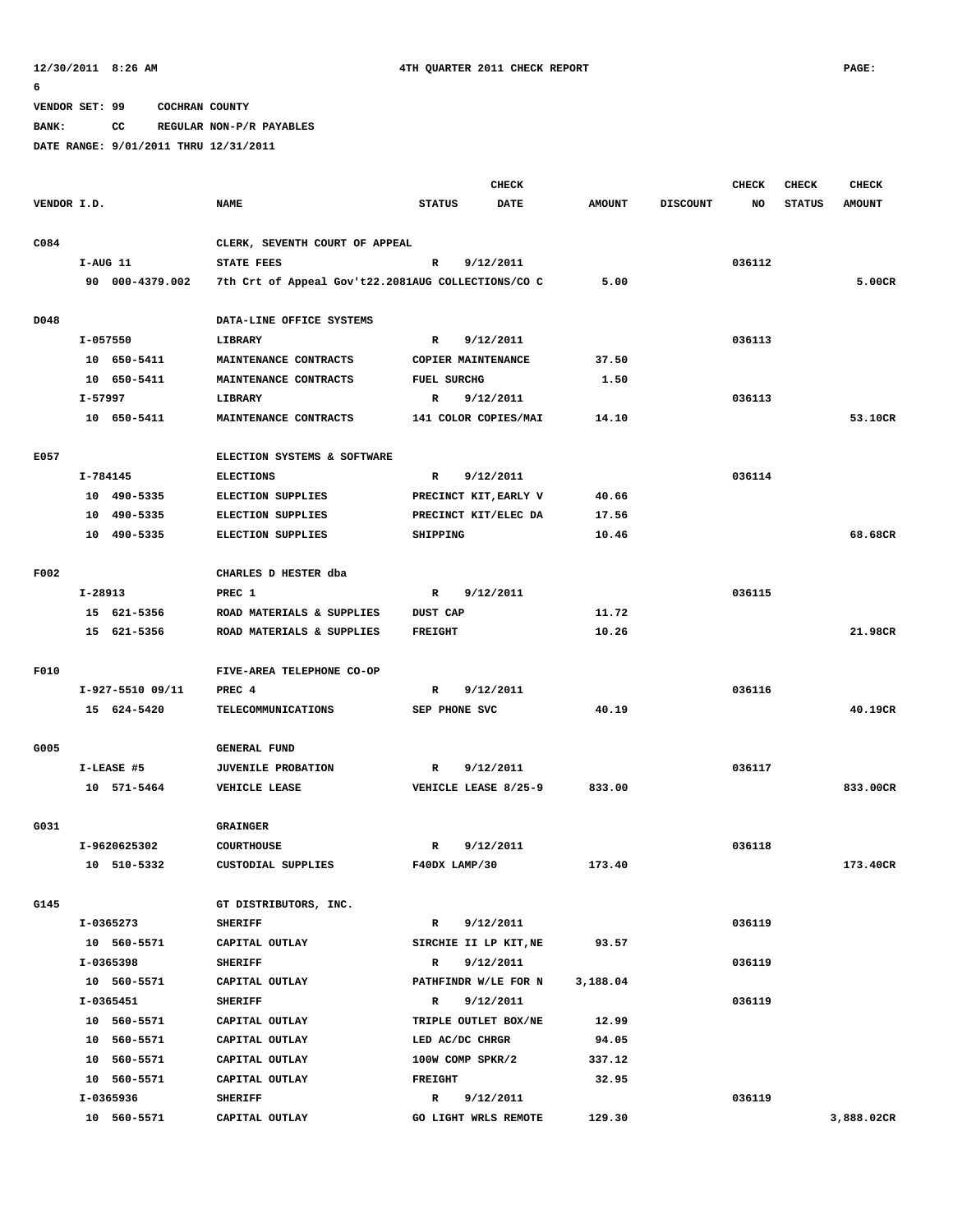#### **VENDOR SET: 99 COCHRAN COUNTY**

**BANK: CC REGULAR NON-P/R PAYABLES**

|             |                  |                                                    | <b>CHECK</b>          |             |               |                 | <b>CHECK</b> | <b>CHECK</b>  | <b>CHECK</b>  |
|-------------|------------------|----------------------------------------------------|-----------------------|-------------|---------------|-----------------|--------------|---------------|---------------|
| VENDOR I.D. |                  | <b>NAME</b>                                        | <b>STATUS</b>         | <b>DATE</b> | <b>AMOUNT</b> | <b>DISCOUNT</b> | NO           | <b>STATUS</b> | <b>AMOUNT</b> |
|             |                  |                                                    |                       |             |               |                 |              |               |               |
| C084        |                  | CLERK, SEVENTH COURT OF APPEAL                     |                       |             |               |                 |              |               |               |
|             | I-AUG 11         | <b>STATE FEES</b>                                  | $\mathbb{R}$          | 9/12/2011   |               |                 | 036112       |               |               |
|             | 90 000-4379.002  | 7th Crt of Appeal Gov't22.2081AUG COLLECTIONS/CO C |                       |             | 5.00          |                 |              |               | 5.00CR        |
| D048        |                  | DATA-LINE OFFICE SYSTEMS                           |                       |             |               |                 |              |               |               |
|             | I-057550         | LIBRARY                                            | $\mathbb{R}$          | 9/12/2011   |               |                 | 036113       |               |               |
|             | 10 650-5411      | MAINTENANCE CONTRACTS                              | COPIER MAINTENANCE    |             | 37.50         |                 |              |               |               |
|             | 10 650-5411      | MAINTENANCE CONTRACTS                              | <b>FUEL SURCHG</b>    |             | 1.50          |                 |              |               |               |
|             | I-57997          | <b>LIBRARY</b>                                     | R                     | 9/12/2011   |               |                 | 036113       |               |               |
|             | 10 650-5411      | MAINTENANCE CONTRACTS                              | 141 COLOR COPIES/MAI  |             | 14.10         |                 |              |               | 53.10CR       |
|             |                  |                                                    |                       |             |               |                 |              |               |               |
| E057        |                  | ELECTION SYSTEMS & SOFTWARE                        |                       |             |               |                 |              |               |               |
|             | I-784145         | <b>ELECTIONS</b>                                   | R                     | 9/12/2011   |               |                 | 036114       |               |               |
|             | 10 490-5335      | <b>ELECTION SUPPLIES</b>                           | PRECINCT KIT, EARLY V |             | 40.66         |                 |              |               |               |
|             | 490-5335<br>10   | <b>ELECTION SUPPLIES</b>                           | PRECINCT KIT/ELEC DA  |             | 17.56         |                 |              |               |               |
|             | 10 490-5335      | <b>ELECTION SUPPLIES</b>                           | SHIPPING              |             | 10.46         |                 |              |               | 68.68CR       |
|             |                  |                                                    |                       |             |               |                 |              |               |               |
| F002        |                  | CHARLES D HESTER dba                               |                       |             |               |                 |              |               |               |
|             | I-28913          | PREC 1                                             | R                     | 9/12/2011   |               |                 | 036115       |               |               |
|             | 15 621-5356      | ROAD MATERIALS & SUPPLIES                          | DUST CAP              |             | 11.72         |                 |              |               |               |
|             | 15 621-5356      | ROAD MATERIALS & SUPPLIES                          | <b>FREIGHT</b>        |             | 10.26         |                 |              |               | 21.98CR       |
| F010        |                  | FIVE-AREA TELEPHONE CO-OP                          |                       |             |               |                 |              |               |               |
|             | I-927-5510 09/11 | PREC <sub>4</sub>                                  | R                     | 9/12/2011   |               |                 | 036116       |               |               |
|             | 15 624-5420      | <b>TELECOMMUNICATIONS</b>                          | SEP PHONE SVC         |             | 40.19         |                 |              |               | 40.19CR       |
|             |                  |                                                    |                       |             |               |                 |              |               |               |
| G005        |                  | <b>GENERAL FUND</b>                                |                       |             |               |                 |              |               |               |
|             | I-LEASE #5       | <b>JUVENILE PROBATION</b>                          | R                     | 9/12/2011   |               |                 | 036117       |               |               |
|             | 10 571-5464      | VEHICLE LEASE                                      | VEHICLE LEASE 8/25-9  |             | 833.00        |                 |              |               | 833.00CR      |
|             |                  |                                                    |                       |             |               |                 |              |               |               |
| G031        |                  | <b>GRAINGER</b>                                    |                       |             |               |                 |              |               |               |
|             | I-9620625302     | <b>COURTHOUSE</b>                                  | R                     | 9/12/2011   |               |                 | 036118       |               |               |
|             | 10 510-5332      | CUSTODIAL SUPPLIES                                 | F40DX LAMP/30         |             | 173.40        |                 |              |               | 173.40CR      |
|             |                  |                                                    |                       |             |               |                 |              |               |               |
| G145        |                  | GT DISTRIBUTORS, INC.                              |                       |             |               |                 |              |               |               |
|             | I-0365273        | <b>SHERIFF</b>                                     | $\mathbb{R}$          | 9/12/2011   |               |                 | 036119       |               |               |
|             | 10 560-5571      | CAPITAL OUTLAY                                     | SIRCHIE II LP KIT, NE |             | 93.57         |                 |              |               |               |
|             | I-0365398        | <b>SHERIFF</b>                                     | R                     | 9/12/2011   |               |                 | 036119       |               |               |
|             | 10 560-5571      | CAPITAL OUTLAY                                     | PATHFINDR W/LE FOR N  |             | 3,188.04      |                 |              |               |               |
|             | I-0365451        | <b>SHERIFF</b>                                     | R                     | 9/12/2011   |               |                 | 036119       |               |               |
|             | 10 560-5571      | CAPITAL OUTLAY                                     | TRIPLE OUTLET BOX/NE  |             | 12.99         |                 |              |               |               |
|             | 10 560-5571      | CAPITAL OUTLAY                                     | LED AC/DC CHRGR       |             | 94.05         |                 |              |               |               |
|             | 10 560-5571      | CAPITAL OUTLAY                                     | 100W COMP SPKR/2      |             | 337.12        |                 |              |               |               |
|             | 10 560-5571      | CAPITAL OUTLAY                                     | <b>FREIGHT</b>        |             | 32.95         |                 |              |               |               |
|             | I-0365936        | <b>SHERIFF</b>                                     | R                     | 9/12/2011   |               |                 | 036119       |               |               |
|             | 10 560-5571      | CAPITAL OUTLAY                                     | GO LIGHT WRLS REMOTE  |             | 129.30        |                 |              |               | 3,888.02CR    |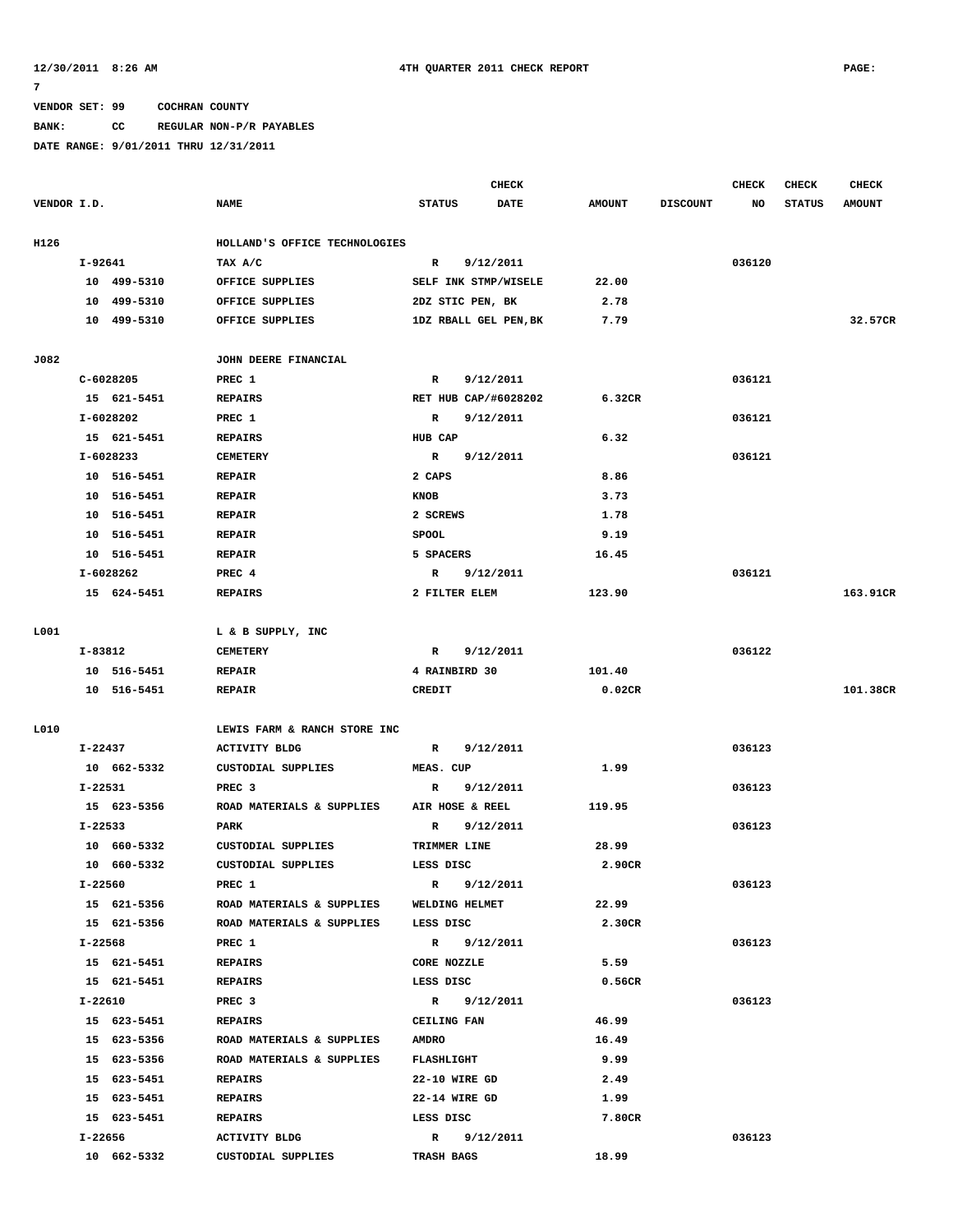## **VENDOR SET: 99 COCHRAN COUNTY**

# **BANK: CC REGULAR NON-P/R PAYABLES**

|             |               |                               |                       | <b>CHECK</b> |               |                 | <b>CHECK</b> | <b>CHECK</b>  | <b>CHECK</b>  |
|-------------|---------------|-------------------------------|-----------------------|--------------|---------------|-----------------|--------------|---------------|---------------|
| VENDOR I.D. |               | <b>NAME</b>                   | <b>STATUS</b>         | DATE         | <b>AMOUNT</b> | <b>DISCOUNT</b> | NO           | <b>STATUS</b> | <b>AMOUNT</b> |
|             |               |                               |                       |              |               |                 |              |               |               |
| H126        |               | HOLLAND'S OFFICE TECHNOLOGIES |                       |              |               |                 |              |               |               |
|             | I-92641       | TAX A/C                       | $\mathbb{R}$          | 9/12/2011    |               |                 | 036120       |               |               |
|             | 10 499-5310   | OFFICE SUPPLIES               | SELF INK STMP/WISELE  |              | 22.00         |                 |              |               |               |
|             | 10 499-5310   | OFFICE SUPPLIES               | 2DZ STIC PEN, BK      |              | 2.78          |                 |              |               |               |
|             | 10 499-5310   | OFFICE SUPPLIES               | 1DZ RBALL GEL PEN, BK |              | 7.79          |                 |              |               | 32.57CR       |
|             |               |                               |                       |              |               |                 |              |               |               |
| J082        |               | JOHN DEERE FINANCIAL          |                       |              |               |                 |              |               |               |
|             | $C - 6028205$ | PREC 1                        | R                     | 9/12/2011    |               |                 | 036121       |               |               |
|             | 15 621-5451   | <b>REPAIRS</b>                | RET HUB CAP/#6028202  |              | 6.32CR        |                 |              |               |               |
|             | I-6028202     | PREC 1                        | R                     | 9/12/2011    |               |                 | 036121       |               |               |
|             | 15 621-5451   | <b>REPAIRS</b>                | <b>HUB CAP</b>        |              | 6.32          |                 |              |               |               |
|             | I-6028233     | <b>CEMETERY</b>               | $\mathbb{R}$          | 9/12/2011    |               |                 | 036121       |               |               |
|             | 10 516-5451   | <b>REPAIR</b>                 | 2 CAPS                |              | 8.86          |                 |              |               |               |
|             | 10 516-5451   | <b>REPAIR</b>                 | <b>KNOB</b>           |              | 3.73          |                 |              |               |               |
|             | 10 516-5451   | <b>REPAIR</b>                 | 2 SCREWS              |              | 1.78          |                 |              |               |               |
|             | 10 516-5451   | <b>REPAIR</b>                 | <b>SPOOL</b>          |              | 9.19          |                 |              |               |               |
|             | 10 516-5451   | <b>REPAIR</b>                 | 5 SPACERS             |              | 16.45         |                 |              |               |               |
|             | I-6028262     | PREC 4                        | R                     | 9/12/2011    |               |                 | 036121       |               |               |
|             | 15 624-5451   | <b>REPAIRS</b>                | 2 FILTER ELEM         |              | 123.90        |                 |              |               | 163.91CR      |
|             |               |                               |                       |              |               |                 |              |               |               |
| L001        |               | L & B SUPPLY, INC             |                       |              |               |                 |              |               |               |
|             | I-83812       | <b>CEMETERY</b>               | $\mathbb{R}$          | 9/12/2011    |               |                 | 036122       |               |               |
|             | 10 516-5451   | <b>REPAIR</b>                 | 4 RAINBIRD 30         |              | 101.40        |                 |              |               | 101.38CR      |
|             | 10 516-5451   | <b>REPAIR</b>                 | <b>CREDIT</b>         |              | 0.02CR        |                 |              |               |               |
| L010        |               | LEWIS FARM & RANCH STORE INC  |                       |              |               |                 |              |               |               |
|             | I-22437       | <b>ACTIVITY BLDG</b>          | R                     | 9/12/2011    |               |                 | 036123       |               |               |
|             | 10 662-5332   | CUSTODIAL SUPPLIES            | MEAS. CUP             |              | 1.99          |                 |              |               |               |
|             | I-22531       | PREC <sub>3</sub>             | $\mathbb{R}$          | 9/12/2011    |               |                 | 036123       |               |               |
|             | 15 623-5356   | ROAD MATERIALS & SUPPLIES     | AIR HOSE & REEL       |              | 119.95        |                 |              |               |               |
|             | I-22533       | PARK                          | R                     | 9/12/2011    |               |                 | 036123       |               |               |
|             | 10 660-5332   | CUSTODIAL SUPPLIES            | TRIMMER LINE          |              | 28.99         |                 |              |               |               |
|             | 10 660-5332   | CUSTODIAL SUPPLIES            | LESS DISC             |              | 2.90CR        |                 |              |               |               |
|             | I-22560       | PREC 1                        | R 9/12/2011           |              |               |                 | 036123       |               |               |
|             | 15 621-5356   | ROAD MATERIALS & SUPPLIES     | WELDING HELMET        |              | 22.99         |                 |              |               |               |
|             | 15 621-5356   | ROAD MATERIALS & SUPPLIES     | LESS DISC             |              | 2.30CR        |                 |              |               |               |
|             | I-22568       | PREC 1                        | R 9/12/2011           |              |               |                 | 036123       |               |               |
|             | 15 621-5451   | <b>REPAIRS</b>                | CORE NOZZLE           |              | 5.59          |                 |              |               |               |
|             | 15 621-5451   | REPAIRS                       | LESS DISC             |              | 0.56CR        |                 |              |               |               |
|             | I-22610       | PREC <sub>3</sub>             | R 9/12/2011           |              |               |                 | 036123       |               |               |
|             | 15 623-5451   | REPAIRS                       | CEILING FAN           |              | 46.99         |                 |              |               |               |
|             | 15 623-5356   | ROAD MATERIALS & SUPPLIES     | <b>AMDRO</b>          |              | 16.49         |                 |              |               |               |
|             | 15 623-5356   | ROAD MATERIALS & SUPPLIES     | <b>FLASHLIGHT</b>     |              | 9.99          |                 |              |               |               |
|             | 15 623-5451   | REPAIRS                       | 22-10 WIRE GD         |              | 2.49          |                 |              |               |               |
|             | 15 623-5451   | <b>REPAIRS</b>                | 22-14 WIRE GD         |              | 1.99          |                 |              |               |               |
|             | 15 623-5451   | <b>REPAIRS</b>                | LESS DISC             |              | 7.80CR        |                 |              |               |               |
|             | I-22656       | ACTIVITY BLDG                 | R 9/12/2011           |              |               |                 | 036123       |               |               |
|             | 10 662-5332   | CUSTODIAL SUPPLIES            | <b>TRASH BAGS</b>     |              | 18.99         |                 |              |               |               |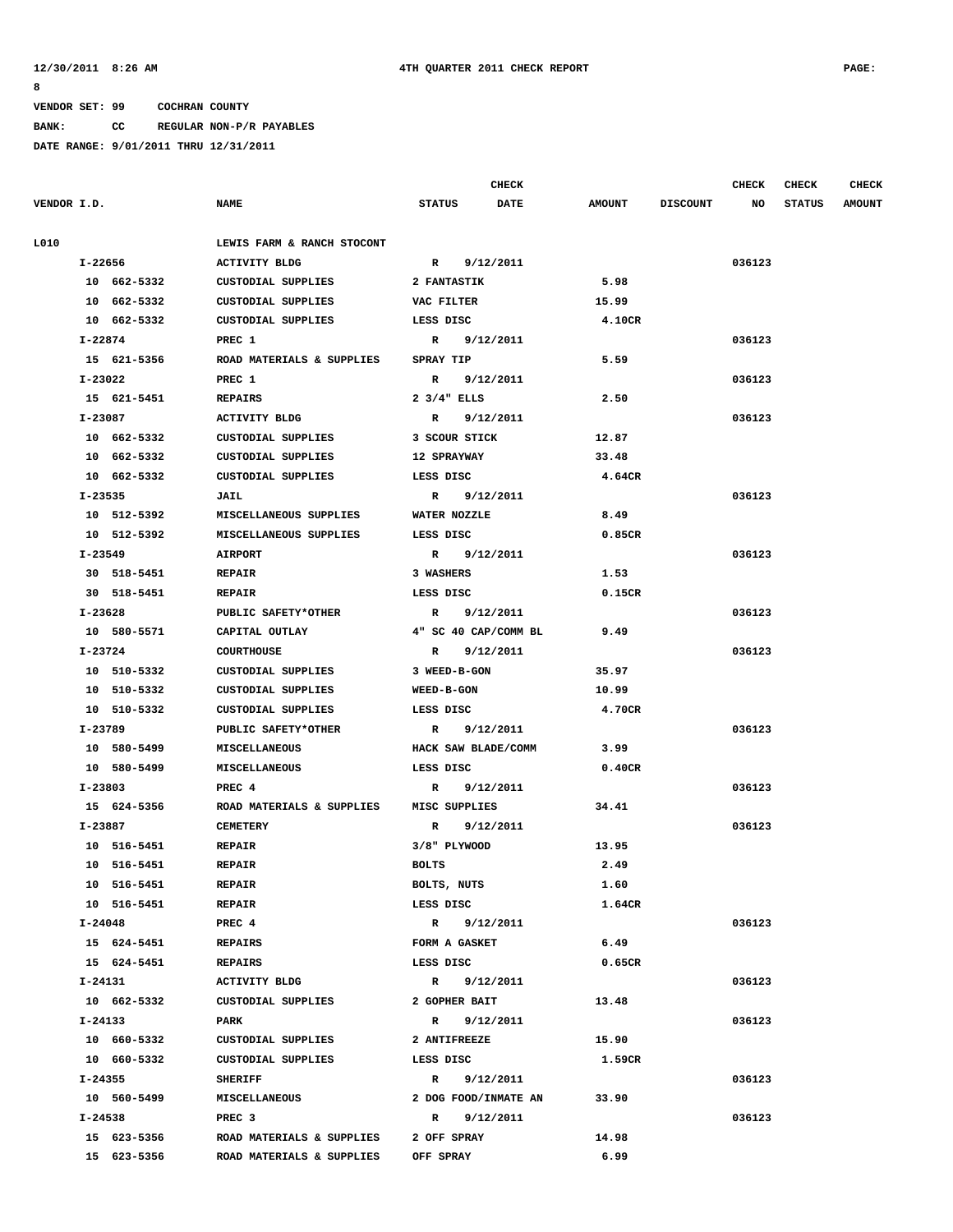## **VENDOR SET: 99 COCHRAN COUNTY BANK: CC REGULAR NON-P/R PAYABLES**

|             |                            |               | CHECK |                                                                                                                                                                                                                                                                                                                                                                                                                                                                                                                                                                                                                         |                 | CHECK  | CHECK         | <b>CHECK</b>  |
|-------------|----------------------------|---------------|-------|-------------------------------------------------------------------------------------------------------------------------------------------------------------------------------------------------------------------------------------------------------------------------------------------------------------------------------------------------------------------------------------------------------------------------------------------------------------------------------------------------------------------------------------------------------------------------------------------------------------------------|-----------------|--------|---------------|---------------|
| VENDOR I.D. | <b>NAME</b>                | <b>STATUS</b> | DATE  | <b>AMOUNT</b>                                                                                                                                                                                                                                                                                                                                                                                                                                                                                                                                                                                                           | <b>DISCOUNT</b> | NO     | <b>STATUS</b> | <b>AMOUNT</b> |
|             | LEWIS FARM & RANCH STOCONT |               |       |                                                                                                                                                                                                                                                                                                                                                                                                                                                                                                                                                                                                                         |                 |        |               |               |
| I-22656     | <b>ACTIVITY BLDG</b>       | $\mathbb{R}$  |       |                                                                                                                                                                                                                                                                                                                                                                                                                                                                                                                                                                                                                         |                 | 036123 |               |               |
| 10 662-5332 | CUSTODIAL SUPPLIES         |               |       | 5.98                                                                                                                                                                                                                                                                                                                                                                                                                                                                                                                                                                                                                    |                 |        |               |               |
| 10 662-5332 | CUSTODIAL SUPPLIES         |               |       | 15.99                                                                                                                                                                                                                                                                                                                                                                                                                                                                                                                                                                                                                   |                 |        |               |               |
| 10 662-5332 | CUSTODIAL SUPPLIES         | LESS DISC     |       | 4.10CR                                                                                                                                                                                                                                                                                                                                                                                                                                                                                                                                                                                                                  |                 |        |               |               |
| $I - 22874$ | PREC 1                     | R             |       |                                                                                                                                                                                                                                                                                                                                                                                                                                                                                                                                                                                                                         |                 | 036123 |               |               |
| 15 621-5356 | ROAD MATERIALS & SUPPLIES  | SPRAY TIP     |       | 5.59                                                                                                                                                                                                                                                                                                                                                                                                                                                                                                                                                                                                                    |                 |        |               |               |
| I-23022     | PREC 1                     | $\mathbb{R}$  |       |                                                                                                                                                                                                                                                                                                                                                                                                                                                                                                                                                                                                                         |                 | 036123 |               |               |
| 15 621-5451 | REPAIRS                    |               |       | 2.50                                                                                                                                                                                                                                                                                                                                                                                                                                                                                                                                                                                                                    |                 |        |               |               |
| I-23087     | <b>ACTIVITY BLDG</b>       | $\mathbb{R}$  |       |                                                                                                                                                                                                                                                                                                                                                                                                                                                                                                                                                                                                                         |                 | 036123 |               |               |
| 10 662-5332 | CUSTODIAL SUPPLIES         |               |       | 12.87                                                                                                                                                                                                                                                                                                                                                                                                                                                                                                                                                                                                                   |                 |        |               |               |
| 10 662-5332 | CUSTODIAL SUPPLIES         |               |       | 33.48                                                                                                                                                                                                                                                                                                                                                                                                                                                                                                                                                                                                                   |                 |        |               |               |
| 10 662-5332 | CUSTODIAL SUPPLIES         | LESS DISC     |       | 4.64CR                                                                                                                                                                                                                                                                                                                                                                                                                                                                                                                                                                                                                  |                 |        |               |               |
| I-23535     | JAIL                       |               |       |                                                                                                                                                                                                                                                                                                                                                                                                                                                                                                                                                                                                                         |                 | 036123 |               |               |
| 10 512-5392 | MISCELLANEOUS SUPPLIES     |               |       | 8.49                                                                                                                                                                                                                                                                                                                                                                                                                                                                                                                                                                                                                    |                 |        |               |               |
| 10 512-5392 | MISCELLANEOUS SUPPLIES     | LESS DISC     |       | 0.85CR                                                                                                                                                                                                                                                                                                                                                                                                                                                                                                                                                                                                                  |                 |        |               |               |
| I-23549     | <b>AIRPORT</b>             | $\mathbb{R}$  |       |                                                                                                                                                                                                                                                                                                                                                                                                                                                                                                                                                                                                                         |                 | 036123 |               |               |
| 30 518-5451 | <b>REPAIR</b>              | 3 WASHERS     |       | 1.53                                                                                                                                                                                                                                                                                                                                                                                                                                                                                                                                                                                                                    |                 |        |               |               |
| 30 518-5451 | <b>REPAIR</b>              | LESS DISC     |       | 0.15CR                                                                                                                                                                                                                                                                                                                                                                                                                                                                                                                                                                                                                  |                 |        |               |               |
| I-23628     | PUBLIC SAFETY*OTHER        |               |       |                                                                                                                                                                                                                                                                                                                                                                                                                                                                                                                                                                                                                         |                 | 036123 |               |               |
| 10 580-5571 | CAPITAL OUTLAY             |               |       | 9.49                                                                                                                                                                                                                                                                                                                                                                                                                                                                                                                                                                                                                    |                 |        |               |               |
| I-23724     | <b>COURTHOUSE</b>          |               |       |                                                                                                                                                                                                                                                                                                                                                                                                                                                                                                                                                                                                                         |                 | 036123 |               |               |
| 10 510-5332 | CUSTODIAL SUPPLIES         |               |       | 35.97                                                                                                                                                                                                                                                                                                                                                                                                                                                                                                                                                                                                                   |                 |        |               |               |
| 10 510-5332 | CUSTODIAL SUPPLIES         |               |       | 10.99                                                                                                                                                                                                                                                                                                                                                                                                                                                                                                                                                                                                                   |                 |        |               |               |
| 10 510-5332 | CUSTODIAL SUPPLIES         |               |       | 4.70CR                                                                                                                                                                                                                                                                                                                                                                                                                                                                                                                                                                                                                  |                 |        |               |               |
| I-23789     | PUBLIC SAFETY*OTHER        | $\mathbb{R}$  |       |                                                                                                                                                                                                                                                                                                                                                                                                                                                                                                                                                                                                                         |                 | 036123 |               |               |
| 10 580-5499 | MISCELLANEOUS              |               |       | 3.99                                                                                                                                                                                                                                                                                                                                                                                                                                                                                                                                                                                                                    |                 |        |               |               |
| 10 580-5499 | <b>MISCELLANEOUS</b>       | LESS DISC     |       | 0.40CR                                                                                                                                                                                                                                                                                                                                                                                                                                                                                                                                                                                                                  |                 |        |               |               |
| $I - 23803$ | PREC <sub>4</sub>          | R             |       |                                                                                                                                                                                                                                                                                                                                                                                                                                                                                                                                                                                                                         |                 | 036123 |               |               |
| 15 624-5356 | ROAD MATERIALS & SUPPLIES  |               |       | 34.41                                                                                                                                                                                                                                                                                                                                                                                                                                                                                                                                                                                                                   |                 |        |               |               |
| I-23887     | <b>CEMETERY</b>            | R             |       |                                                                                                                                                                                                                                                                                                                                                                                                                                                                                                                                                                                                                         |                 | 036123 |               |               |
| 10 516-5451 | <b>REPAIR</b>              |               |       | 13.95                                                                                                                                                                                                                                                                                                                                                                                                                                                                                                                                                                                                                   |                 |        |               |               |
| 10 516-5451 | <b>REPAIR</b>              | <b>BOLTS</b>  |       | 2.49                                                                                                                                                                                                                                                                                                                                                                                                                                                                                                                                                                                                                    |                 |        |               |               |
| 10 516-5451 | <b>REPAIR</b>              |               |       | 1.60                                                                                                                                                                                                                                                                                                                                                                                                                                                                                                                                                                                                                    |                 |        |               |               |
| 10 516-5451 | <b>REPAIR</b>              |               |       | 1.64CR                                                                                                                                                                                                                                                                                                                                                                                                                                                                                                                                                                                                                  |                 |        |               |               |
| I-24048     | PREC 4                     |               |       |                                                                                                                                                                                                                                                                                                                                                                                                                                                                                                                                                                                                                         |                 | 036123 |               |               |
| 15 624-5451 | REPAIRS                    |               |       | 6.49                                                                                                                                                                                                                                                                                                                                                                                                                                                                                                                                                                                                                    |                 |        |               |               |
| 15 624-5451 | <b>REPAIRS</b>             |               |       | 0.65CR                                                                                                                                                                                                                                                                                                                                                                                                                                                                                                                                                                                                                  |                 |        |               |               |
| I-24131     | ACTIVITY BLDG              |               |       |                                                                                                                                                                                                                                                                                                                                                                                                                                                                                                                                                                                                                         |                 | 036123 |               |               |
| 10 662-5332 | CUSTODIAL SUPPLIES         |               |       | 13.48                                                                                                                                                                                                                                                                                                                                                                                                                                                                                                                                                                                                                   |                 |        |               |               |
| I-24133     | PARK                       |               |       |                                                                                                                                                                                                                                                                                                                                                                                                                                                                                                                                                                                                                         |                 | 036123 |               |               |
| 10 660-5332 | CUSTODIAL SUPPLIES         |               |       | 15.90                                                                                                                                                                                                                                                                                                                                                                                                                                                                                                                                                                                                                   |                 |        |               |               |
| 10 660-5332 | CUSTODIAL SUPPLIES         |               |       | 1.59CR                                                                                                                                                                                                                                                                                                                                                                                                                                                                                                                                                                                                                  |                 |        |               |               |
| I-24355     | <b>SHERIFF</b>             |               |       |                                                                                                                                                                                                                                                                                                                                                                                                                                                                                                                                                                                                                         |                 | 036123 |               |               |
| 10 560-5499 | MISCELLANEOUS              |               |       | 33.90                                                                                                                                                                                                                                                                                                                                                                                                                                                                                                                                                                                                                   |                 |        |               |               |
| I-24538     | PREC <sub>3</sub>          | $\mathbf{R}$  |       |                                                                                                                                                                                                                                                                                                                                                                                                                                                                                                                                                                                                                         |                 | 036123 |               |               |
| 15 623-5356 | ROAD MATERIALS & SUPPLIES  |               |       | 14.98                                                                                                                                                                                                                                                                                                                                                                                                                                                                                                                                                                                                                   |                 |        |               |               |
| 15 623-5356 | ROAD MATERIALS & SUPPLIES  | OFF SPRAY     |       | 6.99                                                                                                                                                                                                                                                                                                                                                                                                                                                                                                                                                                                                                    |                 |        |               |               |
|             |                            |               |       | 9/12/2011<br><b>2 FANTASTIK</b><br>VAC FILTER<br>9/12/2011<br>9/12/2011<br>$2 \frac{3}{4}$ ELLS<br>9/12/2011<br>3 SCOUR STICK<br>12 SPRAYWAY<br>R 9/12/2011<br>WATER NOZZLE<br>9/12/2011<br>R 9/12/2011<br>4" SC 40 CAP/COMM BL<br>R 9/12/2011<br>3 WEED-B-GON<br><b>WEED-B-GON</b><br>LESS DISC<br>9/12/2011<br>HACK SAW BLADE/COMM<br>9/12/2011<br>MISC SUPPLIES<br>9/12/2011<br>3/8" PLYWOOD<br>BOLTS, NUTS<br>LESS DISC<br>R 9/12/2011<br>FORM A GASKET<br>LESS DISC<br>R 9/12/2011<br>2 GOPHER BAIT<br>R 9/12/2011<br>2 ANTIFREEZE<br>LESS DISC<br>R 9/12/2011<br>2 DOG FOOD/INMATE AN<br>9/12/2011<br>2 OFF SPRAY |                 |        |               |               |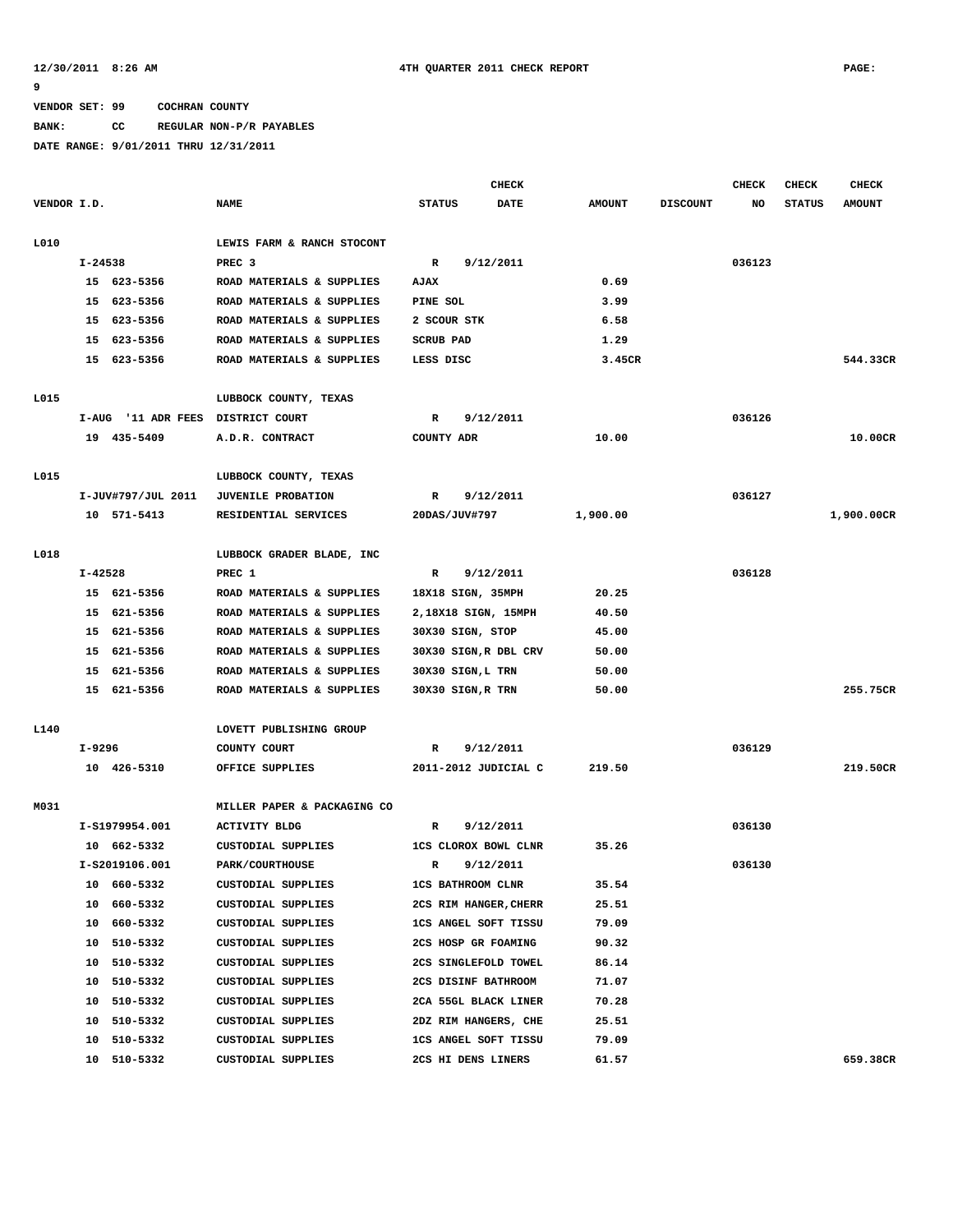#### **VENDOR SET: 99 COCHRAN COUNTY**

# **BANK: CC REGULAR NON-P/R PAYABLES**

|             |         |                                   |                             |                  | <b>CHECK</b>             |               |                 | <b>CHECK</b> | <b>CHECK</b>  | <b>CHECK</b>  |
|-------------|---------|-----------------------------------|-----------------------------|------------------|--------------------------|---------------|-----------------|--------------|---------------|---------------|
| VENDOR I.D. |         |                                   | <b>NAME</b>                 | <b>STATUS</b>    | DATE                     | <b>AMOUNT</b> | <b>DISCOUNT</b> | NO           | <b>STATUS</b> | <b>AMOUNT</b> |
|             |         |                                   |                             |                  |                          |               |                 |              |               |               |
| L010        |         |                                   | LEWIS FARM & RANCH STOCONT  |                  |                          |               |                 |              |               |               |
|             | I-24538 |                                   | PREC <sub>3</sub>           | R                | 9/12/2011                |               |                 | 036123       |               |               |
|             |         | 15 623-5356                       | ROAD MATERIALS & SUPPLIES   | AJAX             |                          | 0.69          |                 |              |               |               |
|             |         | 15 623-5356                       | ROAD MATERIALS & SUPPLIES   | PINE SOL         |                          | 3.99          |                 |              |               |               |
|             |         | 15 623-5356                       | ROAD MATERIALS & SUPPLIES   | 2 SCOUR STK      |                          | 6.58          |                 |              |               |               |
|             |         | 15 623-5356                       | ROAD MATERIALS & SUPPLIES   | <b>SCRUB PAD</b> |                          | 1.29          |                 |              |               |               |
|             |         | 15 623-5356                       | ROAD MATERIALS & SUPPLIES   | LESS DISC        |                          | 3.45CR        |                 |              |               | 544.33CR      |
|             |         |                                   |                             |                  |                          |               |                 |              |               |               |
| L015        |         |                                   | LUBBOCK COUNTY, TEXAS       |                  |                          |               |                 |              |               |               |
|             |         | I-AUG '11 ADR FEES DISTRICT COURT |                             | R                | 9/12/2011                |               |                 | 036126       |               |               |
|             |         | 19 435-5409                       | A.D.R. CONTRACT             | COUNTY ADR       |                          | 10.00         |                 |              |               | 10.00CR       |
|             |         |                                   |                             |                  |                          |               |                 |              |               |               |
| L015        |         |                                   | LUBBOCK COUNTY, TEXAS       |                  |                          |               |                 |              |               |               |
|             |         | I-JUV#797/JUL 2011                | <b>JUVENILE PROBATION</b>   | R                | 9/12/2011                |               |                 | 036127       |               |               |
|             |         | 10 571-5413                       | RESIDENTIAL SERVICES        |                  | 20DAS/JUV#797            | 1,900.00      |                 |              |               | 1,900.00CR    |
|             |         |                                   |                             |                  |                          |               |                 |              |               |               |
| L018        |         |                                   | LUBBOCK GRADER BLADE, INC   |                  |                          |               |                 |              |               |               |
|             | I-42528 |                                   | PREC 1                      | R                | 9/12/2011                |               |                 | 036128       |               |               |
|             |         | 15 621-5356                       | ROAD MATERIALS & SUPPLIES   |                  | 18X18 SIGN, 35MPH        | 20.25         |                 |              |               |               |
|             |         | 15 621-5356                       | ROAD MATERIALS & SUPPLIES   |                  | 2,18X18 SIGN, 15MPH      | 40.50         |                 |              |               |               |
|             |         | 15 621-5356                       | ROAD MATERIALS & SUPPLIES   |                  | 30X30 SIGN, STOP         | 45.00         |                 |              |               |               |
|             |         | 15 621-5356                       | ROAD MATERIALS & SUPPLIES   |                  | 30X30 SIGN, R DBL CRV    | 50.00         |                 |              |               |               |
|             |         | 15 621-5356                       | ROAD MATERIALS & SUPPLIES   |                  | 30X30 SIGN, L TRN        | 50.00         |                 |              |               |               |
|             |         | 15 621-5356                       | ROAD MATERIALS & SUPPLIES   |                  | 30X30 SIGN, R TRN        | 50.00         |                 |              |               | 255.75CR      |
|             |         |                                   |                             |                  |                          |               |                 |              |               |               |
| L140        |         |                                   | LOVETT PUBLISHING GROUP     |                  |                          |               |                 |              |               |               |
|             | I-9296  |                                   | COUNTY COURT                | R                | 9/12/2011                |               |                 | 036129       |               |               |
|             |         | 10 426-5310                       | OFFICE SUPPLIES             |                  | 2011-2012 JUDICIAL C     | 219.50        |                 |              |               | 219.50CR      |
|             |         |                                   |                             |                  |                          |               |                 |              |               |               |
| M031        |         |                                   | MILLER PAPER & PACKAGING CO |                  |                          |               |                 |              |               |               |
|             |         | I-S1979954.001                    | <b>ACTIVITY BLDG</b>        | R                | 9/12/2011                |               |                 | 036130       |               |               |
|             |         | 10 662-5332                       | CUSTODIAL SUPPLIES          |                  | 1CS CLOROX BOWL CLNR     | 35.26         |                 |              |               |               |
|             |         | I-S2019106.001                    | PARK/COURTHOUSE             | R                | 9/12/2011                |               |                 | 036130       |               |               |
|             |         | 10 660-5332                       | CUSTODIAL SUPPLIES          |                  | <b>1CS BATHROOM CLNR</b> | 35.54         |                 |              |               |               |
|             | 10      | 660-5332                          | CUSTODIAL SUPPLIES          |                  | 2CS RIM HANGER, CHERR    | 25.51         |                 |              |               |               |
|             | 10      | 660-5332                          | CUSTODIAL SUPPLIES          |                  | 1CS ANGEL SOFT TISSU     | 79.09         |                 |              |               |               |
|             | 10      | 510-5332                          | CUSTODIAL SUPPLIES          |                  | 2CS HOSP GR FOAMING      | 90.32         |                 |              |               |               |
|             | 10      | 510-5332                          | CUSTODIAL SUPPLIES          |                  | 2CS SINGLEFOLD TOWEL     | 86.14         |                 |              |               |               |
|             | 10      | 510-5332                          | CUSTODIAL SUPPLIES          |                  | 2CS DISINF BATHROOM      | 71.07         |                 |              |               |               |
|             | 10      | 510-5332                          | CUSTODIAL SUPPLIES          |                  | 2CA 55GL BLACK LINER     | 70.28         |                 |              |               |               |
|             | 10      | 510-5332                          | CUSTODIAL SUPPLIES          |                  | 2DZ RIM HANGERS, CHE     | 25.51         |                 |              |               |               |
|             | 10      | 510-5332                          | CUSTODIAL SUPPLIES          |                  | 1CS ANGEL SOFT TISSU     | 79.09         |                 |              |               |               |
|             |         | 10 510-5332                       | CUSTODIAL SUPPLIES          |                  | 2CS HI DENS LINERS       | 61.57         |                 |              |               | 659.38CR      |
|             |         |                                   |                             |                  |                          |               |                 |              |               |               |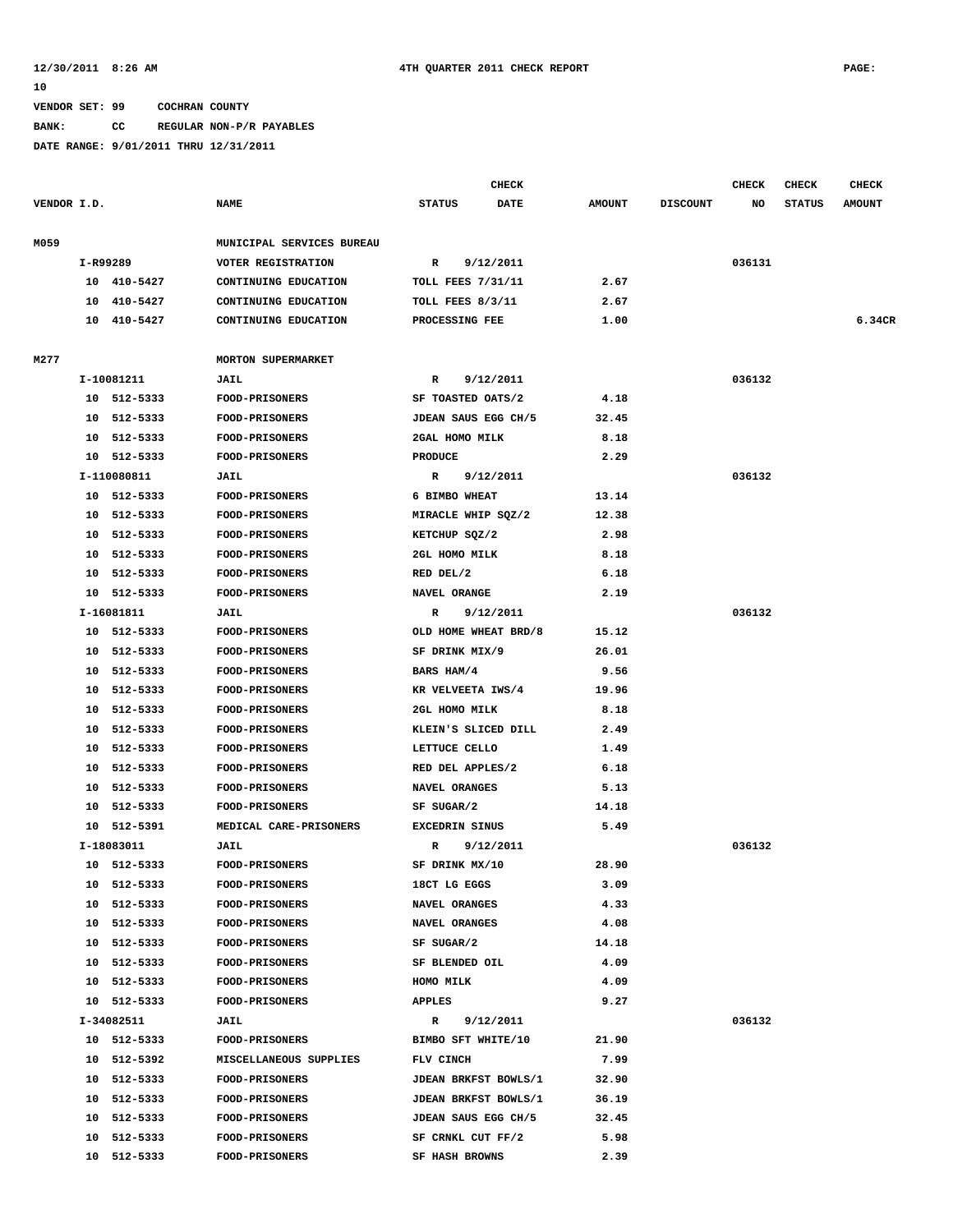#### **VENDOR SET: 99 COCHRAN COUNTY BANK: CC REGULAR NON-P/R PAYABLES**

|             |    |             |                           |                          | <b>CHECK</b> |               |                 | CHECK  | CHECK         | <b>CHECK</b>  |
|-------------|----|-------------|---------------------------|--------------------------|--------------|---------------|-----------------|--------|---------------|---------------|
| VENDOR I.D. |    |             | <b>NAME</b>               | <b>STATUS</b>            | <b>DATE</b>  | <b>AMOUNT</b> | <b>DISCOUNT</b> | NO     | <b>STATUS</b> | <b>AMOUNT</b> |
| M059        |    |             | MUNICIPAL SERVICES BUREAU |                          |              |               |                 |        |               |               |
|             |    | I-R99289    | VOTER REGISTRATION        | R                        | 9/12/2011    |               |                 | 036131 |               |               |
|             |    | 10 410-5427 | CONTINUING EDUCATION      | <b>TOLL FEES 7/31/11</b> |              | 2.67          |                 |        |               |               |
|             | 10 | 410-5427    | CONTINUING EDUCATION      | TOLL FEES 8/3/11         |              | 2.67          |                 |        |               |               |
|             |    | 10 410-5427 | CONTINUING EDUCATION      | PROCESSING FEE           |              | 1.00          |                 |        |               | 6.34CR        |
|             |    |             |                           |                          |              |               |                 |        |               |               |
| M277        |    |             | <b>MORTON SUPERMARKET</b> |                          |              |               |                 |        |               |               |
|             |    | I-10081211  | JAIL                      | R                        | 9/12/2011    |               |                 | 036132 |               |               |
|             |    | 10 512-5333 | FOOD-PRISONERS            | SF TOASTED OATS/2        |              | 4.18          |                 |        |               |               |
|             | 10 | 512-5333    | <b>FOOD-PRISONERS</b>     | JDEAN SAUS EGG CH/5      |              | 32.45         |                 |        |               |               |
|             | 10 | 512-5333    | FOOD-PRISONERS            | 2GAL HOMO MILK           |              | 8.18          |                 |        |               |               |
|             |    | 10 512-5333 | <b>FOOD-PRISONERS</b>     | <b>PRODUCE</b>           |              | 2.29          |                 |        |               |               |
|             |    | I-110080811 | <b>JAIL</b>               | R                        | 9/12/2011    |               |                 | 036132 |               |               |
|             |    | 10 512-5333 | <b>FOOD-PRISONERS</b>     | 6 BIMBO WHEAT            |              | 13.14         |                 |        |               |               |
|             | 10 | 512-5333    | <b>FOOD-PRISONERS</b>     | MIRACLE WHIP SQZ/2       |              | 12.38         |                 |        |               |               |
|             | 10 | 512-5333    | <b>FOOD-PRISONERS</b>     | KETCHUP SQZ/2            |              | 2.98          |                 |        |               |               |
|             | 10 | 512-5333    | FOOD-PRISONERS            | 2GL HOMO MILK            |              | 8.18          |                 |        |               |               |
|             | 10 | 512-5333    | <b>FOOD-PRISONERS</b>     | RED DEL/2                |              | 6.18          |                 |        |               |               |
|             | 10 | 512-5333    | <b>FOOD-PRISONERS</b>     | NAVEL ORANGE             |              | 2.19          |                 |        |               |               |
|             |    | I-16081811  | JAIL                      | R                        | 9/12/2011    |               |                 | 036132 |               |               |
|             | 10 | 512-5333    | <b>FOOD-PRISONERS</b>     | OLD HOME WHEAT BRD/8     |              | 15.12         |                 |        |               |               |
|             | 10 | 512-5333    | <b>FOOD-PRISONERS</b>     | SF DRINK MIX/9           |              | 26.01         |                 |        |               |               |
|             | 10 | 512-5333    | FOOD-PRISONERS            | BARS HAM/4               |              | 9.56          |                 |        |               |               |
|             | 10 | 512-5333    | <b>FOOD-PRISONERS</b>     | KR VELVEETA IWS/4        |              | 19.96         |                 |        |               |               |
|             | 10 | 512-5333    | <b>FOOD-PRISONERS</b>     | 2GL HOMO MILK            |              | 8.18          |                 |        |               |               |
|             | 10 | 512-5333    | <b>FOOD-PRISONERS</b>     | KLEIN'S SLICED DILL      |              | 2.49          |                 |        |               |               |
|             | 10 | 512-5333    | <b>FOOD-PRISONERS</b>     | LETTUCE CELLO            |              | 1.49          |                 |        |               |               |
|             | 10 | 512-5333    | <b>FOOD-PRISONERS</b>     | RED DEL APPLES/2         |              | 6.18          |                 |        |               |               |
|             | 10 | 512-5333    | FOOD-PRISONERS            | NAVEL ORANGES            |              | 5.13          |                 |        |               |               |
|             | 10 | 512-5333    | <b>FOOD-PRISONERS</b>     | SF SUGAR/2               |              | 14.18         |                 |        |               |               |
|             | 10 | 512-5391    | MEDICAL CARE-PRISONERS    | <b>EXCEDRIN SINUS</b>    |              | 5.49          |                 |        |               |               |
|             |    | I-18083011  | JAIL                      | R                        | 9/12/2011    |               |                 | 036132 |               |               |
|             |    | 10 512-5333 | <b>FOOD-PRISONERS</b>     | SF DRINK MX/10           |              | 28.90         |                 |        |               |               |
|             |    | 10 512-5333 | <b>FOOD-PRISONERS</b>     | 18CT LG EGGS             |              | 3.09          |                 |        |               |               |
|             |    | 10 512-5333 | <b>FOOD-PRISONERS</b>     | NAVEL ORANGES            |              | 4.33          |                 |        |               |               |
|             |    | 10 512-5333 | <b>FOOD-PRISONERS</b>     | NAVEL ORANGES            |              | 4.08          |                 |        |               |               |
|             |    | 10 512-5333 | FOOD-PRISONERS            | SF SUGAR/2               |              | 14.18         |                 |        |               |               |
|             |    | 10 512-5333 | <b>FOOD-PRISONERS</b>     | SF BLENDED OIL           |              | 4.09          |                 |        |               |               |
|             |    | 10 512-5333 | <b>FOOD-PRISONERS</b>     | HOMO MILK                |              | 4.09          |                 |        |               |               |
|             |    | 10 512-5333 | <b>FOOD-PRISONERS</b>     | <b>APPLES</b>            |              | 9.27          |                 |        |               |               |
|             |    | I-34082511  | JAIL                      | $\mathbf{R}$             | 9/12/2011    |               |                 | 036132 |               |               |
|             |    | 10 512-5333 | <b>FOOD-PRISONERS</b>     | BIMBO SFT WHITE/10       |              | 21.90         |                 |        |               |               |
|             |    | 10 512-5392 | MISCELLANEOUS SUPPLIES    | FLV CINCH                |              | 7.99          |                 |        |               |               |
|             |    | 10 512-5333 | FOOD-PRISONERS            | JDEAN BRKFST BOWLS/1     |              | 32.90         |                 |        |               |               |
|             |    | 10 512-5333 | <b>FOOD-PRISONERS</b>     | JDEAN BRKFST BOWLS/1     |              | 36.19         |                 |        |               |               |
|             |    | 10 512-5333 | <b>FOOD-PRISONERS</b>     | JDEAN SAUS EGG CH/5      |              | 32.45         |                 |        |               |               |
|             |    | 10 512-5333 | <b>FOOD-PRISONERS</b>     | SF CRNKL CUT FF/2        |              | 5.98          |                 |        |               |               |
|             |    | 10 512-5333 | <b>FOOD-PRISONERS</b>     | SF HASH BROWNS           |              | 2.39          |                 |        |               |               |
|             |    |             |                           |                          |              |               |                 |        |               |               |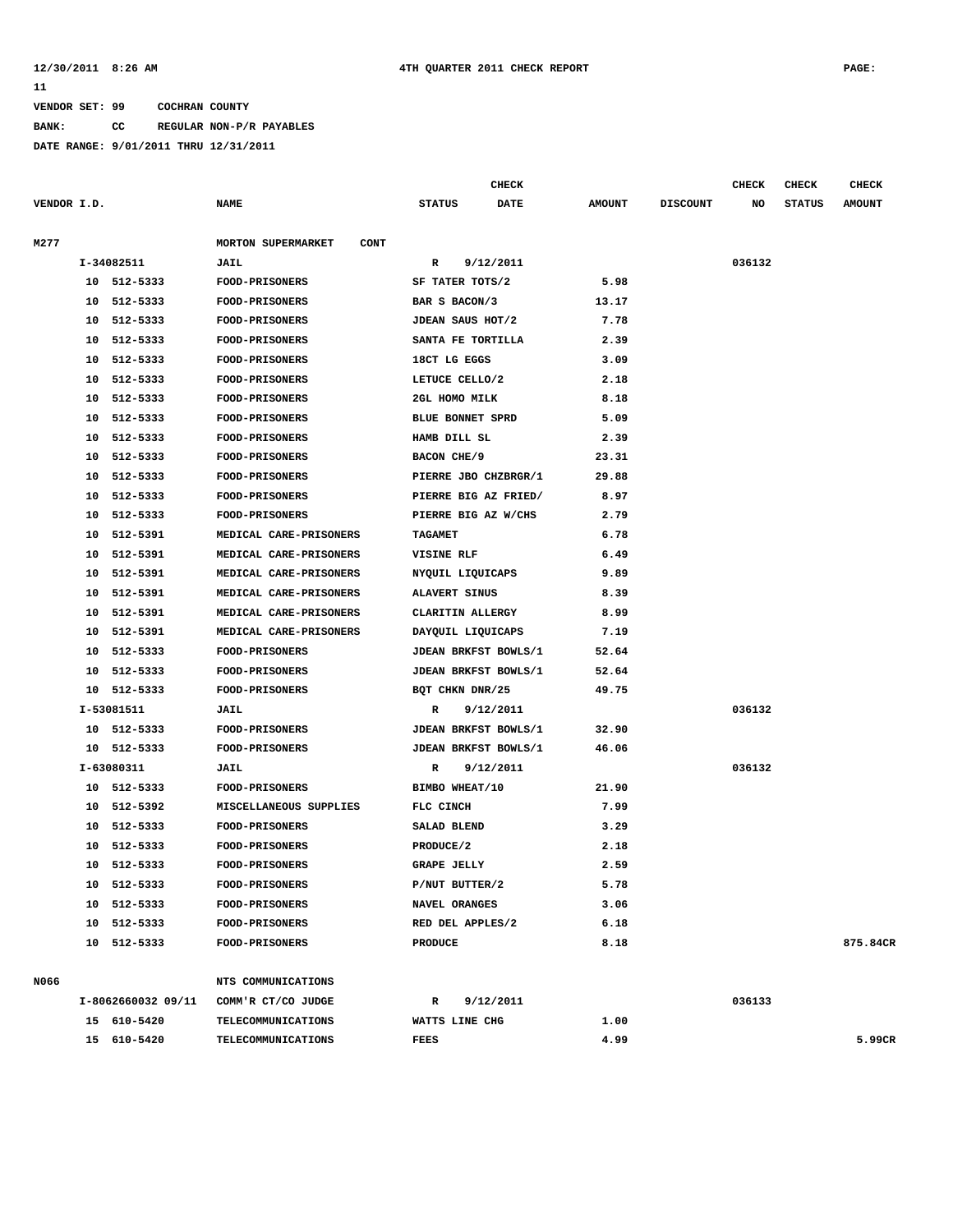## **VENDOR SET: 99 COCHRAN COUNTY BANK: CC REGULAR NON-P/R PAYABLES**

|             |    |                    |                            |                             | <b>CHECK</b> |               |                 | <b>CHECK</b> | <b>CHECK</b>  | <b>CHECK</b>  |
|-------------|----|--------------------|----------------------------|-----------------------------|--------------|---------------|-----------------|--------------|---------------|---------------|
| VENDOR I.D. |    |                    | <b>NAME</b>                | <b>STATUS</b>               | DATE         | <b>AMOUNT</b> | <b>DISCOUNT</b> | NO           | <b>STATUS</b> | <b>AMOUNT</b> |
| M277        |    |                    | MORTON SUPERMARKET<br>CONT |                             |              |               |                 |              |               |               |
|             |    | I-34082511         | <b>JAIL</b>                | R                           | 9/12/2011    |               |                 | 036132       |               |               |
|             |    | 10 512-5333        | FOOD-PRISONERS             | SF TATER TOTS/2             |              | 5.98          |                 |              |               |               |
|             | 10 | 512-5333           | <b>FOOD-PRISONERS</b>      | BAR S BACON/3               |              | 13.17         |                 |              |               |               |
|             | 10 | 512-5333           | <b>FOOD-PRISONERS</b>      | JDEAN SAUS HOT/2            |              | 7.78          |                 |              |               |               |
|             | 10 | 512-5333           | <b>FOOD-PRISONERS</b>      | SANTA FE TORTILLA           |              | 2.39          |                 |              |               |               |
|             | 10 | 512-5333           | <b>FOOD-PRISONERS</b>      | 18CT LG EGGS                |              | 3.09          |                 |              |               |               |
|             | 10 | 512-5333           | FOOD-PRISONERS             | LETUCE CELLO/2              |              | 2.18          |                 |              |               |               |
|             | 10 | 512-5333           | <b>FOOD-PRISONERS</b>      | 2GL HOMO MILK               |              | 8.18          |                 |              |               |               |
|             | 10 | 512-5333           | FOOD-PRISONERS             | BLUE BONNET SPRD            |              | 5.09          |                 |              |               |               |
|             | 10 | 512-5333           | <b>FOOD-PRISONERS</b>      | HAMB DILL SL                |              | 2.39          |                 |              |               |               |
|             | 10 | 512-5333           | <b>FOOD-PRISONERS</b>      | BACON CHE/9                 |              | 23.31         |                 |              |               |               |
|             | 10 | 512-5333           | <b>FOOD-PRISONERS</b>      | PIERRE JBO CHZBRGR/1        |              | 29.88         |                 |              |               |               |
|             | 10 | 512-5333           | <b>FOOD-PRISONERS</b>      | PIERRE BIG AZ FRIED/        |              | 8.97          |                 |              |               |               |
|             | 10 | 512-5333           | <b>FOOD-PRISONERS</b>      | PIERRE BIG AZ W/CHS         |              | 2.79          |                 |              |               |               |
|             | 10 | 512-5391           | MEDICAL CARE-PRISONERS     | <b>TAGAMET</b>              |              | 6.78          |                 |              |               |               |
|             | 10 | 512-5391           | MEDICAL CARE-PRISONERS     | VISINE RLF                  |              | 6.49          |                 |              |               |               |
|             | 10 | 512-5391           | MEDICAL CARE-PRISONERS     | NYQUIL LIQUICAPS            |              | 9.89          |                 |              |               |               |
|             | 10 | 512-5391           | MEDICAL CARE-PRISONERS     | ALAVERT SINUS               |              | 8.39          |                 |              |               |               |
|             | 10 | 512-5391           | MEDICAL CARE-PRISONERS     | CLARITIN ALLERGY            |              | 8.99          |                 |              |               |               |
|             | 10 | 512-5391           | MEDICAL CARE-PRISONERS     | DAYQUIL LIQUICAPS           |              | 7.19          |                 |              |               |               |
|             | 10 | 512-5333           | FOOD-PRISONERS             | <b>JDEAN BRKFST BOWLS/1</b> |              | 52.64         |                 |              |               |               |
|             | 10 | 512-5333           | <b>FOOD-PRISONERS</b>      | JDEAN BRKFST BOWLS/1        |              | 52.64         |                 |              |               |               |
|             |    | 10 512-5333        | <b>FOOD-PRISONERS</b>      | BQT CHKN DNR/25             |              | 49.75         |                 |              |               |               |
|             |    | I-53081511         | JAIL                       | R                           | 9/12/2011    |               |                 | 036132       |               |               |
|             |    | 10 512-5333        | <b>FOOD-PRISONERS</b>      | <b>JDEAN BRKFST BOWLS/1</b> |              | 32.90         |                 |              |               |               |
|             |    | 10 512-5333        | <b>FOOD-PRISONERS</b>      | JDEAN BRKFST BOWLS/1        |              | 46.06         |                 |              |               |               |
|             |    | I-63080311         | JAIL                       | R                           | 9/12/2011    |               |                 | 036132       |               |               |
|             |    | 10 512-5333        | <b>FOOD-PRISONERS</b>      | BIMBO WHEAT/10              |              | 21.90         |                 |              |               |               |
|             | 10 | 512-5392           | MISCELLANEOUS SUPPLIES     | FLC CINCH                   |              | 7.99          |                 |              |               |               |
|             | 10 | 512-5333           | <b>FOOD-PRISONERS</b>      | SALAD BLEND                 |              | 3.29          |                 |              |               |               |
|             | 10 | 512-5333           | <b>FOOD-PRISONERS</b>      | PRODUCE/2                   |              | 2.18          |                 |              |               |               |
|             | 10 | 512-5333           | <b>FOOD-PRISONERS</b>      | <b>GRAPE JELLY</b>          |              | 2.59          |                 |              |               |               |
|             |    | 10 512-5333        | <b>FOOD-PRISONERS</b>      | P/NUT BUTTER/2              |              | 5.78          |                 |              |               |               |
|             |    | 10 512-5333        | <b>FOOD-PRISONERS</b>      | NAVEL ORANGES               |              | 3.06          |                 |              |               |               |
|             |    | 10 512-5333        | FOOD-PRISONERS             | RED DEL APPLES/2            |              | 6.18          |                 |              |               |               |
|             |    | 10 512-5333        | <b>FOOD-PRISONERS</b>      | <b>PRODUCE</b>              |              | 8.18          |                 |              |               | 875.84CR      |
| N066        |    |                    | NTS COMMUNICATIONS         |                             |              |               |                 |              |               |               |
|             |    | I-8062660032 09/11 | COMM'R CT/CO JUDGE         | R                           | 9/12/2011    |               |                 | 036133       |               |               |
|             |    | 15 610-5420        | <b>TELECOMMUNICATIONS</b>  | WATTS LINE CHG              |              | 1.00          |                 |              |               |               |
|             |    | 15 610-5420        | <b>TELECOMMUNICATIONS</b>  | FEES                        |              | 4.99          |                 |              |               | 5.99CR        |
|             |    |                    |                            |                             |              |               |                 |              |               |               |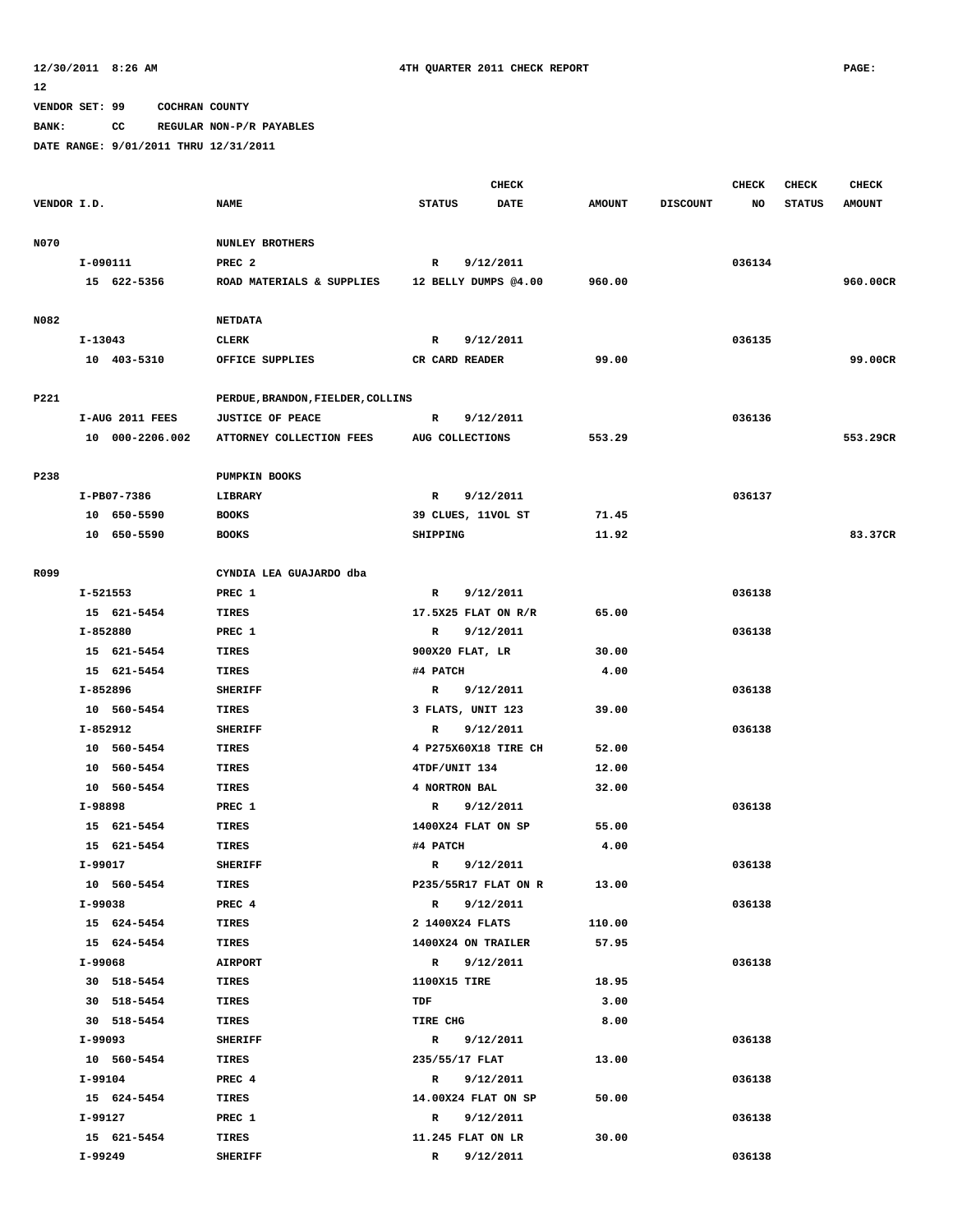#### **VENDOR SET: 99 COCHRAN COUNTY**

# **BANK: CC REGULAR NON-P/R PAYABLES**

|             |                 | <b>CHECK</b>                      |                    |                      |               | CHECK           | <b>CHECK</b> | <b>CHECK</b>  |               |
|-------------|-----------------|-----------------------------------|--------------------|----------------------|---------------|-----------------|--------------|---------------|---------------|
| VENDOR I.D. |                 | <b>NAME</b>                       | <b>STATUS</b>      | <b>DATE</b>          | <b>AMOUNT</b> | <b>DISCOUNT</b> | NO           | <b>STATUS</b> | <b>AMOUNT</b> |
|             |                 |                                   |                    |                      |               |                 |              |               |               |
| N070        |                 | NUNLEY BROTHERS                   |                    |                      |               |                 |              |               |               |
|             | I-090111        | PREC <sub>2</sub>                 | R                  | 9/12/2011            |               |                 | 036134       |               |               |
|             | 15 622-5356     | ROAD MATERIALS & SUPPLIES         |                    | 12 BELLY DUMPS @4.00 | 960.00        |                 |              |               | 960.00CR      |
| N082        |                 | <b>NETDATA</b>                    |                    |                      |               |                 |              |               |               |
|             | I-13043         | <b>CLERK</b>                      | R                  | 9/12/2011            |               |                 | 036135       |               |               |
|             | 10 403-5310     | OFFICE SUPPLIES                   | CR CARD READER     |                      | 99.00         |                 |              |               | 99.00CR       |
|             |                 |                                   |                    |                      |               |                 |              |               |               |
| P221        |                 | PERDUE, BRANDON, FIELDER, COLLINS |                    |                      |               |                 |              |               |               |
|             | I-AUG 2011 FEES | <b>JUSTICE OF PEACE</b>           | R                  | 9/12/2011            |               |                 | 036136       |               |               |
|             | 10 000-2206.002 | ATTORNEY COLLECTION FEES          | AUG COLLECTIONS    |                      | 553.29        |                 |              |               | 553.29CR      |
|             |                 |                                   |                    |                      |               |                 |              |               |               |
| P238        |                 | PUMPKIN BOOKS                     |                    |                      |               |                 |              |               |               |
|             | I-PB07-7386     | <b>LIBRARY</b>                    | R                  | 9/12/2011            |               |                 | 036137       |               |               |
|             | 10 650-5590     | <b>BOOKS</b>                      | 39 CLUES, 11VOL ST |                      | 71.45         |                 |              |               |               |
|             | 10 650-5590     | <b>BOOKS</b>                      | SHIPPING           |                      | 11.92         |                 |              |               | 83.37CR       |
| R099        |                 | CYNDIA LEA GUAJARDO dba           |                    |                      |               |                 |              |               |               |
|             | I-521553        | PREC 1                            | R                  | 9/12/2011            |               |                 | 036138       |               |               |
|             | 15 621-5454     | TIRES                             |                    | 17.5X25 FLAT ON R/R  | 65.00         |                 |              |               |               |
|             | I-852880        | PREC 1                            | R                  | 9/12/2011            |               |                 | 036138       |               |               |
|             | 15 621-5454     | TIRES                             | 900X20 FLAT, LR    |                      | 30.00         |                 |              |               |               |
|             | 15 621-5454     | TIRES                             | #4 PATCH           |                      | 4.00          |                 |              |               |               |
|             | I-852896        | <b>SHERIFF</b>                    | R                  | 9/12/2011            |               |                 | 036138       |               |               |
|             | 10 560-5454     | TIRES                             | 3 FLATS, UNIT 123  |                      | 39.00         |                 |              |               |               |
|             | I-852912        | <b>SHERIFF</b>                    | R                  | 9/12/2011            |               |                 | 036138       |               |               |
|             | 10 560-5454     | TIRES                             |                    | 4 P275X60X18 TIRE CH | 52.00         |                 |              |               |               |
|             | 10 560-5454     | TIRES                             | 4TDF/UNIT 134      |                      | 12.00         |                 |              |               |               |
|             | 10 560-5454     | <b>TIRES</b>                      | 4 NORTRON BAL      |                      | 32.00         |                 |              |               |               |
|             | I-98898         | PREC 1                            | R                  | 9/12/2011            |               |                 | 036138       |               |               |
|             | 15 621-5454     | TIRES                             | 1400X24 FLAT ON SP |                      | 55.00         |                 |              |               |               |
|             | 15 621-5454     | TIRES                             | #4 PATCH           |                      | 4.00          |                 |              |               |               |
|             | I-99017         | <b>SHERIFF</b>                    | $\mathbb{R}$       | 9/12/2011            |               |                 | 036138       |               |               |
|             | 10 560-5454     | TIRES                             |                    | P235/55R17 FLAT ON R | 13.00         |                 |              |               |               |
|             | I-99038         | PREC 4                            |                    | R 9/12/2011          |               |                 | 036138       |               |               |
|             | 15 624-5454     | TIRES                             | 2 1400X24 FLATS    |                      | 110.00        |                 |              |               |               |
|             | 15 624-5454     | TIRES                             |                    | 1400X24 ON TRAILER   | 57.95         |                 |              |               |               |
|             | I-99068         | AIRPORT                           |                    | R 9/12/2011          |               |                 | 036138       |               |               |
|             | 30 518-5454     | TIRES                             | 1100X15 TIRE       |                      | 18.95         |                 |              |               |               |
|             | 30 518-5454     | TIRES                             | TDF                |                      | 3.00          |                 |              |               |               |
|             | 30 518-5454     | TIRES                             | <b>TIRE CHG</b>    |                      | 8.00          |                 |              |               |               |
|             | I-99093         | <b>SHERIFF</b>                    |                    | R 9/12/2011          |               |                 | 036138       |               |               |
|             | 10 560-5454     | TIRES                             | 235/55/17 FLAT     |                      | 13.00         |                 |              |               |               |
|             | I-99104         | PREC 4                            |                    | R 9/12/2011          |               |                 | 036138       |               |               |
|             | 15 624-5454     | TIRES                             |                    | 14.00X24 FLAT ON SP  | 50.00         |                 |              |               |               |
|             | I-99127         | PREC 1                            |                    | R 9/12/2011          |               |                 | 036138       |               |               |
|             | 15 621-5454     | TIRES                             | 11.245 FLAT ON LR  |                      | 30.00         |                 |              |               |               |
|             | I-99249         | <b>SHERIFF</b>                    | $\mathbb{R}$       | 9/12/2011            |               |                 | 036138       |               |               |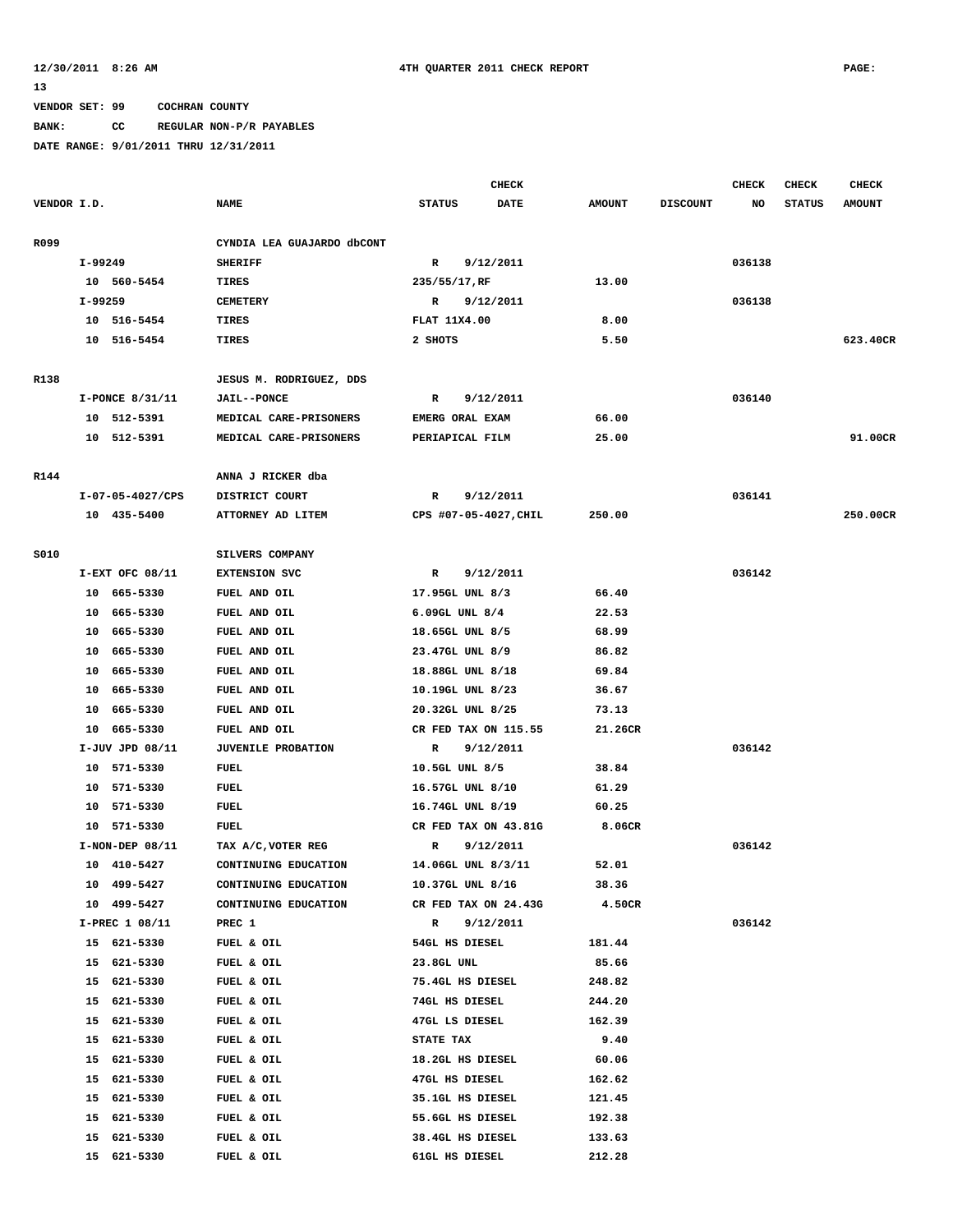#### **VENDOR SET: 99 COCHRAN COUNTY**

# **BANK: CC REGULAR NON-P/R PAYABLES**

|             |         |                   |                                | CHECK              |                       |               |                 | CHECK  | <b>CHECK</b>  | <b>CHECK</b>  |
|-------------|---------|-------------------|--------------------------------|--------------------|-----------------------|---------------|-----------------|--------|---------------|---------------|
| VENDOR I.D. |         |                   | <b>NAME</b>                    | <b>STATUS</b>      | <b>DATE</b>           | <b>AMOUNT</b> | <b>DISCOUNT</b> | NO     | <b>STATUS</b> | <b>AMOUNT</b> |
|             |         |                   |                                |                    |                       |               |                 |        |               |               |
| R099        |         |                   | CYNDIA LEA GUAJARDO dbCONT     |                    |                       |               |                 |        |               |               |
|             | I-99249 |                   | <b>SHERIFF</b>                 | R                  | 9/12/2011             |               |                 | 036138 |               |               |
|             |         | 10 560-5454       | TIRES                          | 235/55/17,RF       |                       | 13.00         |                 |        |               |               |
|             | I-99259 |                   | <b>CEMETERY</b>                | R                  | 9/12/2011             |               |                 | 036138 |               |               |
|             |         | 10 516-5454       | TIRES                          | FLAT 11X4.00       |                       | 8.00          |                 |        |               |               |
|             |         | 10 516-5454       | TIRES                          | 2 SHOTS            |                       | 5.50          |                 |        |               | 623.40CR      |
|             |         |                   |                                |                    |                       |               |                 |        |               |               |
| R138        |         |                   | <b>JESUS M. RODRIGUEZ, DDS</b> |                    |                       |               |                 |        |               |               |
|             |         | I-PONCE 8/31/11   | <b>JAIL--PONCE</b>             | R                  | 9/12/2011             |               |                 | 036140 |               |               |
|             |         | 10 512-5391       | MEDICAL CARE-PRISONERS         |                    | EMERG ORAL EXAM       | 66.00         |                 |        |               |               |
|             |         | 10 512-5391       | MEDICAL CARE-PRISONERS         |                    | PERIAPICAL FILM       | 25.00         |                 |        |               | 91.00CR       |
| R144        |         |                   | ANNA J RICKER dba              |                    |                       |               |                 |        |               |               |
|             |         | I-07-05-4027/CPS  | DISTRICT COURT                 | R                  | 9/12/2011             |               |                 | 036141 |               |               |
|             |         | 10 435-5400       | ATTORNEY AD LITEM              |                    | CPS #07-05-4027, CHIL | 250.00        |                 |        |               | 250.00CR      |
|             |         |                   |                                |                    |                       |               |                 |        |               |               |
| <b>S010</b> |         |                   | SILVERS COMPANY                |                    |                       |               |                 |        |               |               |
|             |         | $I-EXT$ OFC 08/11 | <b>EXTENSION SVC</b>           | R                  | 9/12/2011             |               |                 | 036142 |               |               |
|             |         | 10 665-5330       | FUEL AND OIL                   |                    | 17.95GL UNL 8/3       | 66.40         |                 |        |               |               |
|             |         | 10 665-5330       | FUEL AND OIL                   | $6.09GL$ UNL $8/4$ |                       | 22.53         |                 |        |               |               |
|             |         | 10 665-5330       | FUEL AND OIL                   |                    | 18.65GL UNL 8/5       | 68.99         |                 |        |               |               |
|             | 10      | 665-5330          | FUEL AND OIL                   |                    | 23.47GL UNL 8/9       | 86.82         |                 |        |               |               |
|             | 10      | 665-5330          | FUEL AND OIL                   |                    | 18.88GL UNL 8/18      | 69.84         |                 |        |               |               |
|             | 10      | 665-5330          | FUEL AND OIL                   |                    | 10.19GL UNL 8/23      | 36.67         |                 |        |               |               |
|             | 10      | 665-5330          | FUEL AND OIL                   |                    | 20.32GL UNL 8/25      | 73.13         |                 |        |               |               |
|             |         | 10 665-5330       | FUEL AND OIL                   |                    | CR FED TAX ON 115.55  | 21.26CR       |                 |        |               |               |
|             |         | I-JUV JPD 08/11   | <b>JUVENILE PROBATION</b>      | R                  | 9/12/2011             |               |                 | 036142 |               |               |
|             |         | 10 571-5330       | <b>FUEL</b>                    | 10.5GL UNL 8/5     |                       | 38.84         |                 |        |               |               |
|             |         | 10 571-5330       | <b>FUEL</b>                    |                    | 16.57GL UNL 8/10      | 61.29         |                 |        |               |               |
|             | 10      | 571-5330          | FUEL                           |                    | 16.74GL UNL 8/19      | 60.25         |                 |        |               |               |
|             |         | 10 571-5330       | <b>FUEL</b>                    |                    | CR FED TAX ON 43.81G  | 8.06CR        |                 |        |               |               |
|             |         | $I-NON-DEF$ 08/11 | TAX A/C, VOTER REG             | R                  | 9/12/2011             |               |                 | 036142 |               |               |
|             |         | 10 410-5427       | CONTINUING EDUCATION           |                    | 14.06GL UNL 8/3/11    | 52.01         |                 |        |               |               |
|             |         | 10 499-5427       | CONTINUING EDUCATION           |                    | 10.37GL UNL 8/16      | 38.36         |                 |        |               |               |
|             |         | 10 499-5427       | CONTINUING EDUCATION           |                    | CR FED TAX ON 24.43G  | 4.50CR        |                 |        |               |               |
|             |         | I-PREC 1 08/11    | PREC 1                         | $\mathbb{R}$       | 9/12/2011             |               |                 | 036142 |               |               |
|             |         | 15 621-5330       | FUEL & OIL                     | 54GL HS DIESEL     |                       | 181.44        |                 |        |               |               |
|             |         | 15 621-5330       | FUEL & OIL                     | 23.8GL UNL         |                       | 85.66         |                 |        |               |               |
|             |         | 15 621-5330       | FUEL & OIL                     |                    | 75.4GL HS DIESEL      | 248.82        |                 |        |               |               |
|             |         | 15 621-5330       | FUEL & OIL                     | 74GL HS DIESEL     |                       | 244.20        |                 |        |               |               |
|             |         | 15 621-5330       | FUEL & OIL                     | 47GL LS DIESEL     |                       | 162.39        |                 |        |               |               |
|             |         | 15 621-5330       | FUEL & OIL                     | STATE TAX          |                       | 9.40          |                 |        |               |               |
|             |         | 15 621-5330       | FUEL & OIL                     |                    | 18.2GL HS DIESEL      | 60.06         |                 |        |               |               |
|             |         | 15 621-5330       | FUEL & OIL                     | 47GL HS DIESEL     |                       | 162.62        |                 |        |               |               |
|             |         | 15 621-5330       | FUEL & OIL                     |                    | 35.1GL HS DIESEL      | 121.45        |                 |        |               |               |
|             |         | 15 621-5330       | FUEL & OIL                     |                    | 55.6GL HS DIESEL      | 192.38        |                 |        |               |               |
|             |         | 15 621-5330       | FUEL & OIL                     |                    | 38.4GL HS DIESEL      | 133.63        |                 |        |               |               |
|             |         | 15 621-5330       | FUEL & OIL                     | 61GL HS DIESEL     |                       | 212.28        |                 |        |               |               |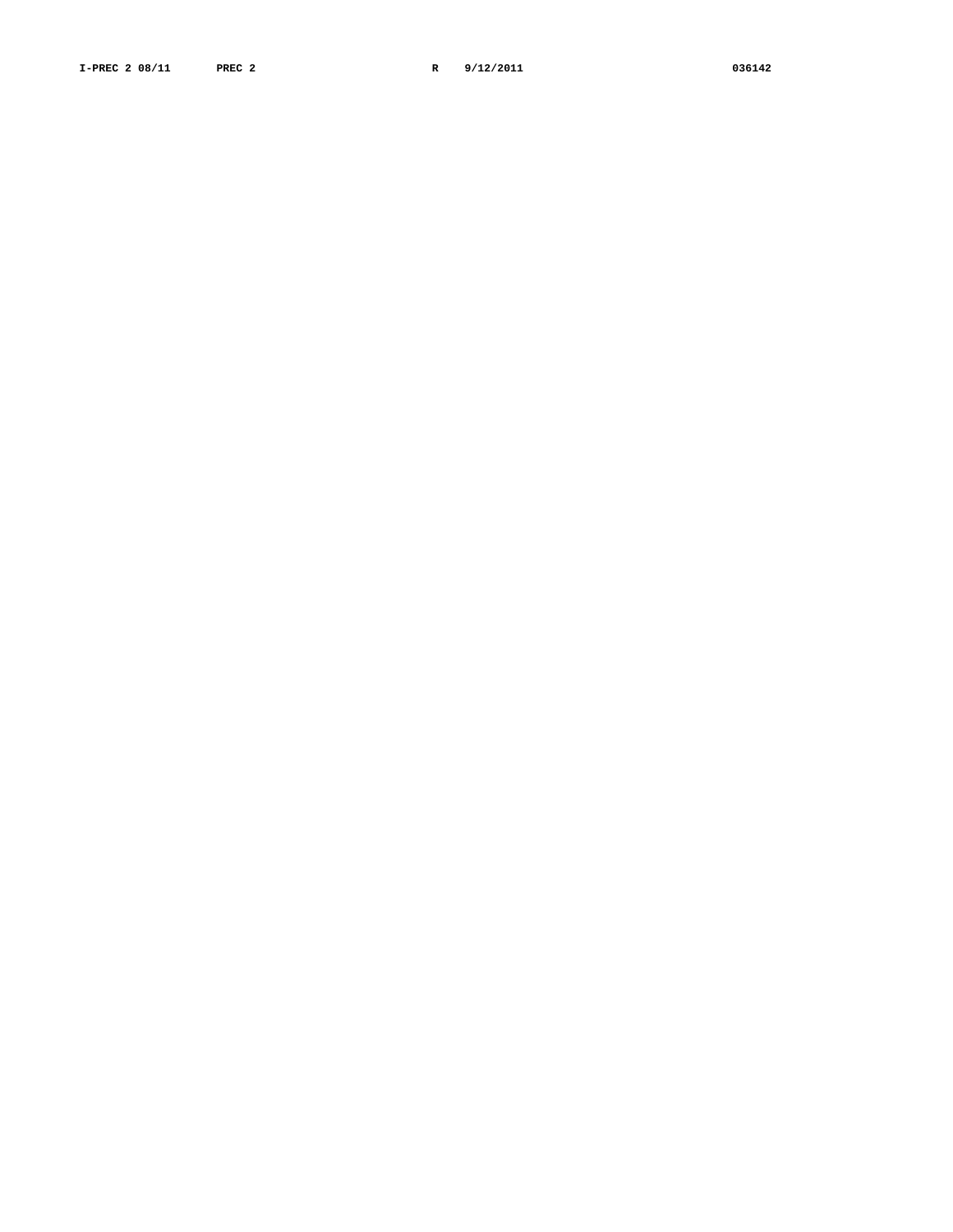**I-PREC 2 08/11 PREC 2 R 9/12/2011 036142**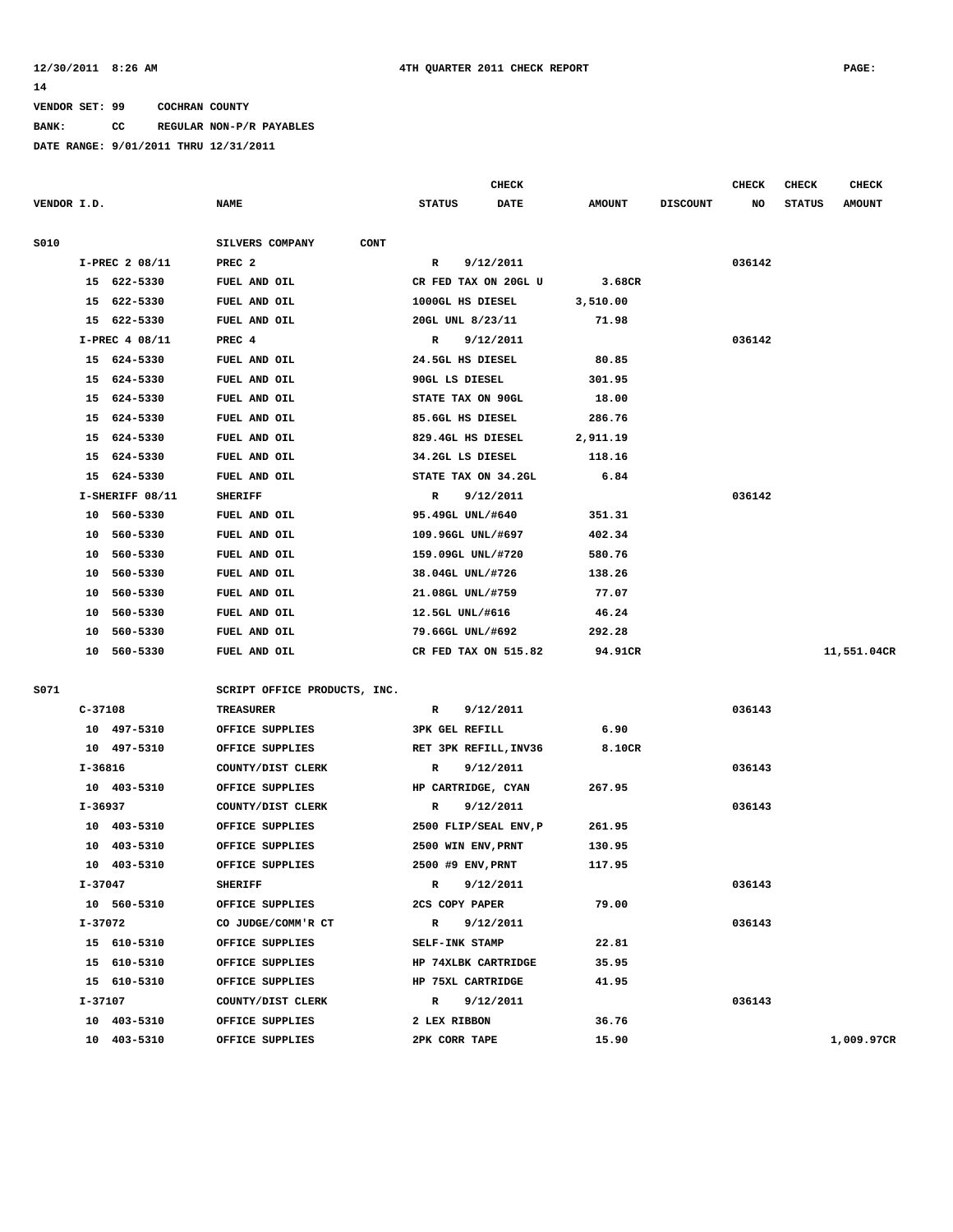## **VENDOR SET: 99 COCHRAN COUNTY BANK: CC REGULAR NON-P/R PAYABLES**

|             |           |                 |                              |                       | <b>CHECK</b>          |               |                 | CHECK  | <b>CHECK</b>  | <b>CHECK</b>  |
|-------------|-----------|-----------------|------------------------------|-----------------------|-----------------------|---------------|-----------------|--------|---------------|---------------|
| VENDOR I.D. |           |                 | <b>NAME</b>                  | <b>STATUS</b>         | <b>DATE</b>           | <b>AMOUNT</b> | <b>DISCOUNT</b> | NO     | <b>STATUS</b> | <b>AMOUNT</b> |
| S010        |           |                 | SILVERS COMPANY<br>CONT      |                       |                       |               |                 |        |               |               |
|             |           | I-PREC 2 08/11  | PREC <sub>2</sub>            | R                     | 9/12/2011             |               |                 | 036142 |               |               |
|             |           | 15 622-5330     | FUEL AND OIL                 |                       | CR FED TAX ON 20GL U  | 3.68CR        |                 |        |               |               |
|             |           | 15 622-5330     | FUEL AND OIL                 |                       | 1000GL HS DIESEL      | 3,510.00      |                 |        |               |               |
|             |           | 15 622-5330     | FUEL AND OIL                 |                       | 20GL UNL 8/23/11      | 71.98         |                 |        |               |               |
|             |           | I-PREC 4 08/11  | PREC 4                       | R                     | 9/12/2011             |               |                 | 036142 |               |               |
|             |           | 15 624-5330     | FUEL AND OIL                 |                       | 24.5GL HS DIESEL      | 80.85         |                 |        |               |               |
|             |           | 15 624-5330     | FUEL AND OIL                 | 90GL LS DIESEL        |                       | 301.95        |                 |        |               |               |
|             |           | 15 624-5330     | FUEL AND OIL                 |                       | STATE TAX ON 90GL     | 18.00         |                 |        |               |               |
|             |           | 15 624-5330     | FUEL AND OIL                 |                       | 85.6GL HS DIESEL      | 286.76        |                 |        |               |               |
|             |           | 15 624-5330     | FUEL AND OIL                 |                       | 829.4GL HS DIESEL     | 2,911.19      |                 |        |               |               |
|             |           | 15 624-5330     | FUEL AND OIL                 |                       | 34.2GL LS DIESEL      | 118.16        |                 |        |               |               |
|             |           | 15 624-5330     | FUEL AND OIL                 |                       | STATE TAX ON 34.2GL   | 6.84          |                 |        |               |               |
|             |           | I-SHERIFF 08/11 | SHERIFF                      | R                     | 9/12/2011             |               |                 | 036142 |               |               |
|             | 10        | 560-5330        | FUEL AND OIL                 |                       | 95.49GL UNL/#640      | 351.31        |                 |        |               |               |
|             |           | 10 560-5330     | FUEL AND OIL                 |                       | 109.96GL UNL/#697     | 402.34        |                 |        |               |               |
|             | 10        | 560-5330        | FUEL AND OIL                 |                       | 159.09GL UNL/#720     | 580.76        |                 |        |               |               |
|             | 10        | 560-5330        | FUEL AND OIL                 |                       | 38.04GL UNL/#726      | 138.26        |                 |        |               |               |
|             |           | 10 560-5330     | FUEL AND OIL                 |                       | 21.08GL UNL/#759      | 77.07         |                 |        |               |               |
|             | 10        | 560-5330        | FUEL AND OIL                 | 12.5GL UNL/#616       |                       | 46.24         |                 |        |               |               |
|             | 10        | 560-5330        | FUEL AND OIL                 |                       | 79.66GL UNL/#692      | 292.28        |                 |        |               |               |
|             |           | 10 560-5330     | FUEL AND OIL                 |                       | CR FED TAX ON 515.82  | 94.91CR       |                 |        |               | 11,551.04CR   |
| S071        |           |                 | SCRIPT OFFICE PRODUCTS, INC. |                       |                       |               |                 |        |               |               |
|             | $C-37108$ |                 | TREASURER                    | R                     | 9/12/2011             |               |                 | 036143 |               |               |
|             |           | 10 497-5310     | OFFICE SUPPLIES              | <b>3PK GEL REFILL</b> |                       | 6.90          |                 |        |               |               |
|             |           | 10 497-5310     | OFFICE SUPPLIES              |                       | RET 3PK REFILL, INV36 | 8.10CR        |                 |        |               |               |
|             | I-36816   |                 | COUNTY/DIST CLERK            | R                     | 9/12/2011             |               |                 | 036143 |               |               |
|             |           | 10 403-5310     | OFFICE SUPPLIES              |                       | HP CARTRIDGE, CYAN    | 267.95        |                 |        |               |               |
|             | I-36937   |                 | COUNTY/DIST CLERK            | R                     | 9/12/2011             |               |                 | 036143 |               |               |
|             |           | 10 403-5310     | OFFICE SUPPLIES              |                       | 2500 FLIP/SEAL ENV, P | 261.95        |                 |        |               |               |
|             |           | 10 403-5310     | OFFICE SUPPLIES              |                       | 2500 WIN ENV, PRNT    | 130.95        |                 |        |               |               |
|             |           | 10 403-5310     | OFFICE SUPPLIES              |                       | 2500 #9 ENV, PRNT     | 117.95        |                 |        |               |               |
|             | I-37047   |                 | <b>SHERIFF</b>               |                       | R 9/12/2011           |               |                 | 036143 |               |               |
|             |           | 10 560-5310     | OFFICE SUPPLIES              | 2CS COPY PAPER        |                       | 79.00         |                 |        |               |               |
|             | I-37072   |                 | CO JUDGE/COMM'R CT           | $\mathbb{R}$          | 9/12/2011             |               |                 | 036143 |               |               |
|             |           | 15 610-5310     | OFFICE SUPPLIES              | SELF-INK STAMP        |                       | 22.81         |                 |        |               |               |
|             |           | 15 610-5310     | OFFICE SUPPLIES              |                       | HP 74XLBK CARTRIDGE   | 35.95         |                 |        |               |               |
|             |           | 15 610-5310     | OFFICE SUPPLIES              |                       | HP 75XL CARTRIDGE     | 41.95         |                 |        |               |               |
|             | I-37107   |                 | COUNTY/DIST CLERK            | $\mathbb{R}$          | 9/12/2011             |               |                 | 036143 |               |               |
|             |           | 10 403-5310     | OFFICE SUPPLIES              | 2 LEX RIBBON          |                       | 36.76         |                 |        |               |               |
|             |           | 10 403-5310     | OFFICE SUPPLIES              | 2PK CORR TAPE         |                       | 15.90         |                 |        |               | 1,009.97CR    |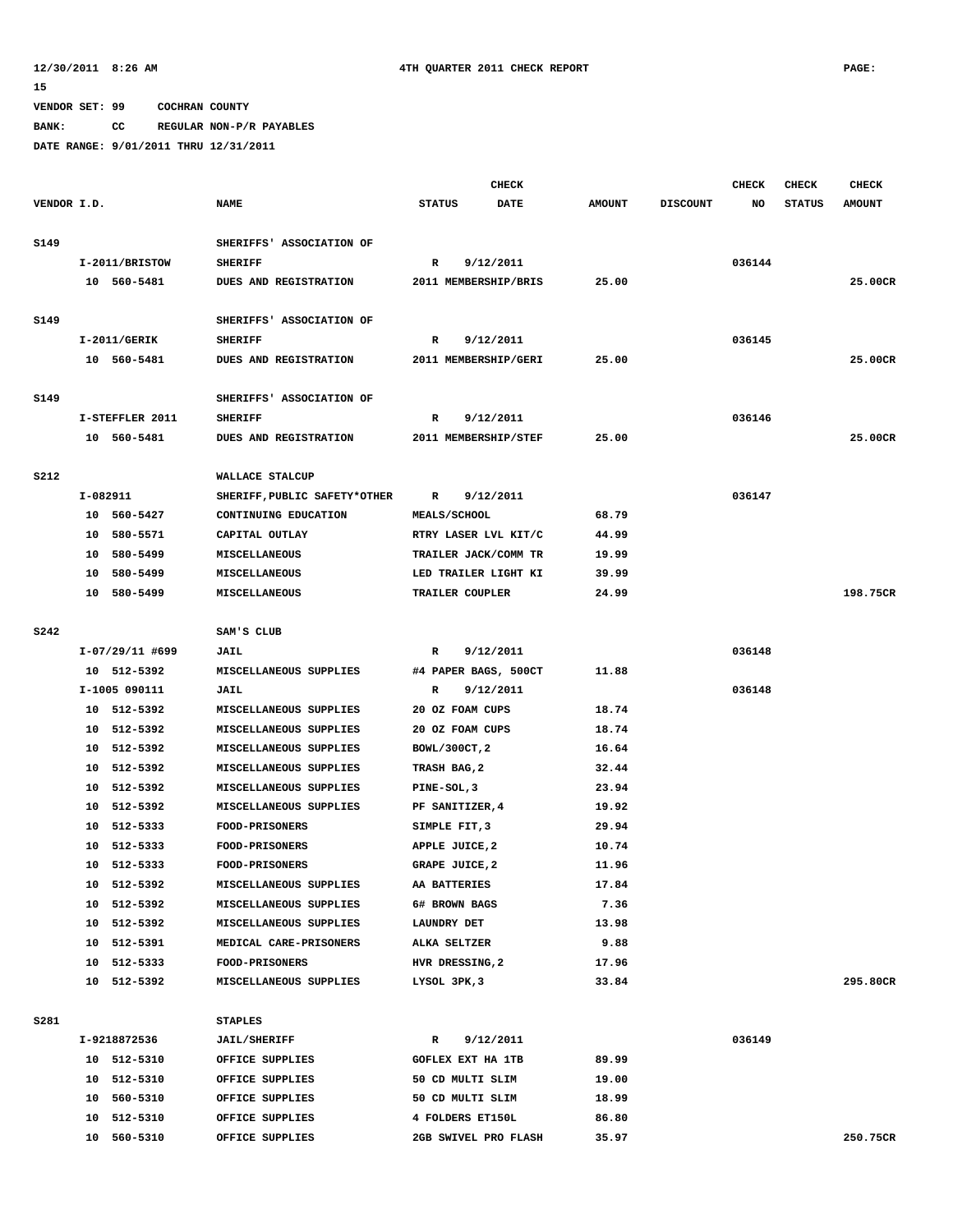#### **VENDOR SET: 99 COCHRAN COUNTY**

# **BANK: CC REGULAR NON-P/R PAYABLES**

| VENDOR I.D.<br><b>NAME</b><br><b>STATUS</b><br><b>DATE</b><br><b>AMOUNT</b><br><b>DISCOUNT</b><br>NO<br><b>STATUS</b><br><b>AMOUNT</b><br>S149<br>SHERIFFS' ASSOCIATION OF<br>I-2011/BRISTOW<br>9/12/2011<br>036144<br><b>SHERIFF</b><br>R<br>25.00<br>25.00CR<br>10 560-5481<br>DUES AND REGISTRATION<br>2011 MEMBERSHIP/BRIS<br>S149<br>SHERIFFS' ASSOCIATION OF<br>$I-2011/GERIK$<br>9/12/2011<br>036145<br><b>SHERIFF</b><br>R<br>25.00CR<br>10 560-5481<br>25.00<br>DUES AND REGISTRATION<br>2011 MEMBERSHIP/GERI<br>S149<br>SHERIFFS' ASSOCIATION OF<br>036146<br>I-STEFFLER 2011<br>9/12/2011<br><b>SHERIFF</b><br>R<br>10 560-5481<br>25.00<br>25.00CR<br>DUES AND REGISTRATION<br>2011 MEMBERSHIP/STEF<br><b>S212</b><br>WALLACE STALCUP<br>I-082911<br>SHERIFF, PUBLIC SAFETY*OTHER<br>9/12/2011<br>036147<br>R<br>68.79<br>10 560-5427<br>CONTINUING EDUCATION<br>MEALS/SCHOOL<br>44.99<br>10 580-5571<br>CAPITAL OUTLAY<br>RTRY LASER LVL KIT/C<br>580-5499<br>19.99<br>10<br>MISCELLANEOUS<br>TRAILER JACK/COMM TR<br>10 580-5499<br>LED TRAILER LIGHT KI<br>39.99<br>MISCELLANEOUS<br>24.99<br>198.75CR<br>10 580-5499<br>MISCELLANEOUS<br>TRAILER COUPLER<br><b>S242</b><br>SAM'S CLUB<br>I-07/29/11 #699<br>9/12/2011<br>036148<br><b>JAIL</b><br>R<br>10 512-5392<br>#4 PAPER BAGS, 500CT<br>MISCELLANEOUS SUPPLIES<br>11.88<br>I-1005 090111<br>9/12/2011<br>036148<br><b>JAIL</b><br>R<br>10 512-5392<br>20 OZ FOAM CUPS<br>18.74<br>MISCELLANEOUS SUPPLIES<br>10 512-5392<br>20 OZ FOAM CUPS<br>18.74<br>MISCELLANEOUS SUPPLIES<br>10 512-5392<br>MISCELLANEOUS SUPPLIES<br><b>BOWL/300CT, 2</b><br>16.64<br>10 512-5392<br>TRASH BAG, 2<br>32.44<br>MISCELLANEOUS SUPPLIES<br>10 512-5392<br>23.94<br>MISCELLANEOUS SUPPLIES<br>PINE-SOL, 3<br>10 512-5392<br>PF SANITIZER, 4<br>19.92<br>MISCELLANEOUS SUPPLIES<br>512-5333<br>SIMPLE FIT, 3<br>29.94<br>10<br><b>FOOD-PRISONERS</b><br>10<br>512-5333<br><b>FOOD-PRISONERS</b><br>APPLE JUICE, 2<br>10.74<br>512-5333<br><b>FOOD-PRISONERS</b><br>GRAPE JUICE, 2<br>11.96<br>10<br>17.84<br>10 512-5392<br>MISCELLANEOUS SUPPLIES<br>AA BATTERIES<br>10 512-5392<br>6# BROWN BAGS<br>7.36<br>MISCELLANEOUS SUPPLIES<br>10 512-5392<br>MISCELLANEOUS SUPPLIES<br>LAUNDRY DET<br>13.98<br>9.88<br>10 512-5391<br>MEDICAL CARE-PRISONERS<br>ALKA SELTZER<br>10 512-5333<br>HVR DRESSING, 2<br>17.96<br><b>FOOD-PRISONERS</b><br>LYSOL 3PK,3<br>33.84<br>295.80CR<br>10 512-5392<br>MISCELLANEOUS SUPPLIES<br>S281<br><b>STAPLES</b><br>I-9218872536<br>9/12/2011<br>036149<br><b>JAIL/SHERIFF</b><br>R<br><b>GOFLEX EXT HA 1TB</b><br>89.99<br>10 512-5310<br>OFFICE SUPPLIES<br>10 512-5310<br>OFFICE SUPPLIES<br>50 CD MULTI SLIM<br>19.00<br>10 560-5310<br>18.99<br>OFFICE SUPPLIES<br>50 CD MULTI SLIM<br>10 512-5310<br>4 FOLDERS ET150L<br>86.80<br>OFFICE SUPPLIES<br>35.97<br>250.75CR<br>10 560-5310<br>OFFICE SUPPLIES<br>2GB SWIVEL PRO FLASH |  |  | <b>CHECK</b> |  |  |  | CHECK | <b>CHECK</b> | <b>CHECK</b> |
|-------------------------------------------------------------------------------------------------------------------------------------------------------------------------------------------------------------------------------------------------------------------------------------------------------------------------------------------------------------------------------------------------------------------------------------------------------------------------------------------------------------------------------------------------------------------------------------------------------------------------------------------------------------------------------------------------------------------------------------------------------------------------------------------------------------------------------------------------------------------------------------------------------------------------------------------------------------------------------------------------------------------------------------------------------------------------------------------------------------------------------------------------------------------------------------------------------------------------------------------------------------------------------------------------------------------------------------------------------------------------------------------------------------------------------------------------------------------------------------------------------------------------------------------------------------------------------------------------------------------------------------------------------------------------------------------------------------------------------------------------------------------------------------------------------------------------------------------------------------------------------------------------------------------------------------------------------------------------------------------------------------------------------------------------------------------------------------------------------------------------------------------------------------------------------------------------------------------------------------------------------------------------------------------------------------------------------------------------------------------------------------------------------------------------------------------------------------------------------------------------------------------------------------------------------------------------------------------------------------------------------------------------------------------------------------------------------------------------------------------------------------------------------------------------------------------------------------------------------------------------------------------------------------------------------|--|--|--------------|--|--|--|-------|--------------|--------------|
|                                                                                                                                                                                                                                                                                                                                                                                                                                                                                                                                                                                                                                                                                                                                                                                                                                                                                                                                                                                                                                                                                                                                                                                                                                                                                                                                                                                                                                                                                                                                                                                                                                                                                                                                                                                                                                                                                                                                                                                                                                                                                                                                                                                                                                                                                                                                                                                                                                                                                                                                                                                                                                                                                                                                                                                                                                                                                                                               |  |  |              |  |  |  |       |              |              |
|                                                                                                                                                                                                                                                                                                                                                                                                                                                                                                                                                                                                                                                                                                                                                                                                                                                                                                                                                                                                                                                                                                                                                                                                                                                                                                                                                                                                                                                                                                                                                                                                                                                                                                                                                                                                                                                                                                                                                                                                                                                                                                                                                                                                                                                                                                                                                                                                                                                                                                                                                                                                                                                                                                                                                                                                                                                                                                                               |  |  |              |  |  |  |       |              |              |
|                                                                                                                                                                                                                                                                                                                                                                                                                                                                                                                                                                                                                                                                                                                                                                                                                                                                                                                                                                                                                                                                                                                                                                                                                                                                                                                                                                                                                                                                                                                                                                                                                                                                                                                                                                                                                                                                                                                                                                                                                                                                                                                                                                                                                                                                                                                                                                                                                                                                                                                                                                                                                                                                                                                                                                                                                                                                                                                               |  |  |              |  |  |  |       |              |              |
|                                                                                                                                                                                                                                                                                                                                                                                                                                                                                                                                                                                                                                                                                                                                                                                                                                                                                                                                                                                                                                                                                                                                                                                                                                                                                                                                                                                                                                                                                                                                                                                                                                                                                                                                                                                                                                                                                                                                                                                                                                                                                                                                                                                                                                                                                                                                                                                                                                                                                                                                                                                                                                                                                                                                                                                                                                                                                                                               |  |  |              |  |  |  |       |              |              |
|                                                                                                                                                                                                                                                                                                                                                                                                                                                                                                                                                                                                                                                                                                                                                                                                                                                                                                                                                                                                                                                                                                                                                                                                                                                                                                                                                                                                                                                                                                                                                                                                                                                                                                                                                                                                                                                                                                                                                                                                                                                                                                                                                                                                                                                                                                                                                                                                                                                                                                                                                                                                                                                                                                                                                                                                                                                                                                                               |  |  |              |  |  |  |       |              |              |
|                                                                                                                                                                                                                                                                                                                                                                                                                                                                                                                                                                                                                                                                                                                                                                                                                                                                                                                                                                                                                                                                                                                                                                                                                                                                                                                                                                                                                                                                                                                                                                                                                                                                                                                                                                                                                                                                                                                                                                                                                                                                                                                                                                                                                                                                                                                                                                                                                                                                                                                                                                                                                                                                                                                                                                                                                                                                                                                               |  |  |              |  |  |  |       |              |              |
|                                                                                                                                                                                                                                                                                                                                                                                                                                                                                                                                                                                                                                                                                                                                                                                                                                                                                                                                                                                                                                                                                                                                                                                                                                                                                                                                                                                                                                                                                                                                                                                                                                                                                                                                                                                                                                                                                                                                                                                                                                                                                                                                                                                                                                                                                                                                                                                                                                                                                                                                                                                                                                                                                                                                                                                                                                                                                                                               |  |  |              |  |  |  |       |              |              |
|                                                                                                                                                                                                                                                                                                                                                                                                                                                                                                                                                                                                                                                                                                                                                                                                                                                                                                                                                                                                                                                                                                                                                                                                                                                                                                                                                                                                                                                                                                                                                                                                                                                                                                                                                                                                                                                                                                                                                                                                                                                                                                                                                                                                                                                                                                                                                                                                                                                                                                                                                                                                                                                                                                                                                                                                                                                                                                                               |  |  |              |  |  |  |       |              |              |
|                                                                                                                                                                                                                                                                                                                                                                                                                                                                                                                                                                                                                                                                                                                                                                                                                                                                                                                                                                                                                                                                                                                                                                                                                                                                                                                                                                                                                                                                                                                                                                                                                                                                                                                                                                                                                                                                                                                                                                                                                                                                                                                                                                                                                                                                                                                                                                                                                                                                                                                                                                                                                                                                                                                                                                                                                                                                                                                               |  |  |              |  |  |  |       |              |              |
|                                                                                                                                                                                                                                                                                                                                                                                                                                                                                                                                                                                                                                                                                                                                                                                                                                                                                                                                                                                                                                                                                                                                                                                                                                                                                                                                                                                                                                                                                                                                                                                                                                                                                                                                                                                                                                                                                                                                                                                                                                                                                                                                                                                                                                                                                                                                                                                                                                                                                                                                                                                                                                                                                                                                                                                                                                                                                                                               |  |  |              |  |  |  |       |              |              |
|                                                                                                                                                                                                                                                                                                                                                                                                                                                                                                                                                                                                                                                                                                                                                                                                                                                                                                                                                                                                                                                                                                                                                                                                                                                                                                                                                                                                                                                                                                                                                                                                                                                                                                                                                                                                                                                                                                                                                                                                                                                                                                                                                                                                                                                                                                                                                                                                                                                                                                                                                                                                                                                                                                                                                                                                                                                                                                                               |  |  |              |  |  |  |       |              |              |
|                                                                                                                                                                                                                                                                                                                                                                                                                                                                                                                                                                                                                                                                                                                                                                                                                                                                                                                                                                                                                                                                                                                                                                                                                                                                                                                                                                                                                                                                                                                                                                                                                                                                                                                                                                                                                                                                                                                                                                                                                                                                                                                                                                                                                                                                                                                                                                                                                                                                                                                                                                                                                                                                                                                                                                                                                                                                                                                               |  |  |              |  |  |  |       |              |              |
|                                                                                                                                                                                                                                                                                                                                                                                                                                                                                                                                                                                                                                                                                                                                                                                                                                                                                                                                                                                                                                                                                                                                                                                                                                                                                                                                                                                                                                                                                                                                                                                                                                                                                                                                                                                                                                                                                                                                                                                                                                                                                                                                                                                                                                                                                                                                                                                                                                                                                                                                                                                                                                                                                                                                                                                                                                                                                                                               |  |  |              |  |  |  |       |              |              |
|                                                                                                                                                                                                                                                                                                                                                                                                                                                                                                                                                                                                                                                                                                                                                                                                                                                                                                                                                                                                                                                                                                                                                                                                                                                                                                                                                                                                                                                                                                                                                                                                                                                                                                                                                                                                                                                                                                                                                                                                                                                                                                                                                                                                                                                                                                                                                                                                                                                                                                                                                                                                                                                                                                                                                                                                                                                                                                                               |  |  |              |  |  |  |       |              |              |
|                                                                                                                                                                                                                                                                                                                                                                                                                                                                                                                                                                                                                                                                                                                                                                                                                                                                                                                                                                                                                                                                                                                                                                                                                                                                                                                                                                                                                                                                                                                                                                                                                                                                                                                                                                                                                                                                                                                                                                                                                                                                                                                                                                                                                                                                                                                                                                                                                                                                                                                                                                                                                                                                                                                                                                                                                                                                                                                               |  |  |              |  |  |  |       |              |              |
|                                                                                                                                                                                                                                                                                                                                                                                                                                                                                                                                                                                                                                                                                                                                                                                                                                                                                                                                                                                                                                                                                                                                                                                                                                                                                                                                                                                                                                                                                                                                                                                                                                                                                                                                                                                                                                                                                                                                                                                                                                                                                                                                                                                                                                                                                                                                                                                                                                                                                                                                                                                                                                                                                                                                                                                                                                                                                                                               |  |  |              |  |  |  |       |              |              |
|                                                                                                                                                                                                                                                                                                                                                                                                                                                                                                                                                                                                                                                                                                                                                                                                                                                                                                                                                                                                                                                                                                                                                                                                                                                                                                                                                                                                                                                                                                                                                                                                                                                                                                                                                                                                                                                                                                                                                                                                                                                                                                                                                                                                                                                                                                                                                                                                                                                                                                                                                                                                                                                                                                                                                                                                                                                                                                                               |  |  |              |  |  |  |       |              |              |
|                                                                                                                                                                                                                                                                                                                                                                                                                                                                                                                                                                                                                                                                                                                                                                                                                                                                                                                                                                                                                                                                                                                                                                                                                                                                                                                                                                                                                                                                                                                                                                                                                                                                                                                                                                                                                                                                                                                                                                                                                                                                                                                                                                                                                                                                                                                                                                                                                                                                                                                                                                                                                                                                                                                                                                                                                                                                                                                               |  |  |              |  |  |  |       |              |              |
|                                                                                                                                                                                                                                                                                                                                                                                                                                                                                                                                                                                                                                                                                                                                                                                                                                                                                                                                                                                                                                                                                                                                                                                                                                                                                                                                                                                                                                                                                                                                                                                                                                                                                                                                                                                                                                                                                                                                                                                                                                                                                                                                                                                                                                                                                                                                                                                                                                                                                                                                                                                                                                                                                                                                                                                                                                                                                                                               |  |  |              |  |  |  |       |              |              |
|                                                                                                                                                                                                                                                                                                                                                                                                                                                                                                                                                                                                                                                                                                                                                                                                                                                                                                                                                                                                                                                                                                                                                                                                                                                                                                                                                                                                                                                                                                                                                                                                                                                                                                                                                                                                                                                                                                                                                                                                                                                                                                                                                                                                                                                                                                                                                                                                                                                                                                                                                                                                                                                                                                                                                                                                                                                                                                                               |  |  |              |  |  |  |       |              |              |
|                                                                                                                                                                                                                                                                                                                                                                                                                                                                                                                                                                                                                                                                                                                                                                                                                                                                                                                                                                                                                                                                                                                                                                                                                                                                                                                                                                                                                                                                                                                                                                                                                                                                                                                                                                                                                                                                                                                                                                                                                                                                                                                                                                                                                                                                                                                                                                                                                                                                                                                                                                                                                                                                                                                                                                                                                                                                                                                               |  |  |              |  |  |  |       |              |              |
|                                                                                                                                                                                                                                                                                                                                                                                                                                                                                                                                                                                                                                                                                                                                                                                                                                                                                                                                                                                                                                                                                                                                                                                                                                                                                                                                                                                                                                                                                                                                                                                                                                                                                                                                                                                                                                                                                                                                                                                                                                                                                                                                                                                                                                                                                                                                                                                                                                                                                                                                                                                                                                                                                                                                                                                                                                                                                                                               |  |  |              |  |  |  |       |              |              |
|                                                                                                                                                                                                                                                                                                                                                                                                                                                                                                                                                                                                                                                                                                                                                                                                                                                                                                                                                                                                                                                                                                                                                                                                                                                                                                                                                                                                                                                                                                                                                                                                                                                                                                                                                                                                                                                                                                                                                                                                                                                                                                                                                                                                                                                                                                                                                                                                                                                                                                                                                                                                                                                                                                                                                                                                                                                                                                                               |  |  |              |  |  |  |       |              |              |
|                                                                                                                                                                                                                                                                                                                                                                                                                                                                                                                                                                                                                                                                                                                                                                                                                                                                                                                                                                                                                                                                                                                                                                                                                                                                                                                                                                                                                                                                                                                                                                                                                                                                                                                                                                                                                                                                                                                                                                                                                                                                                                                                                                                                                                                                                                                                                                                                                                                                                                                                                                                                                                                                                                                                                                                                                                                                                                                               |  |  |              |  |  |  |       |              |              |
|                                                                                                                                                                                                                                                                                                                                                                                                                                                                                                                                                                                                                                                                                                                                                                                                                                                                                                                                                                                                                                                                                                                                                                                                                                                                                                                                                                                                                                                                                                                                                                                                                                                                                                                                                                                                                                                                                                                                                                                                                                                                                                                                                                                                                                                                                                                                                                                                                                                                                                                                                                                                                                                                                                                                                                                                                                                                                                                               |  |  |              |  |  |  |       |              |              |
|                                                                                                                                                                                                                                                                                                                                                                                                                                                                                                                                                                                                                                                                                                                                                                                                                                                                                                                                                                                                                                                                                                                                                                                                                                                                                                                                                                                                                                                                                                                                                                                                                                                                                                                                                                                                                                                                                                                                                                                                                                                                                                                                                                                                                                                                                                                                                                                                                                                                                                                                                                                                                                                                                                                                                                                                                                                                                                                               |  |  |              |  |  |  |       |              |              |
|                                                                                                                                                                                                                                                                                                                                                                                                                                                                                                                                                                                                                                                                                                                                                                                                                                                                                                                                                                                                                                                                                                                                                                                                                                                                                                                                                                                                                                                                                                                                                                                                                                                                                                                                                                                                                                                                                                                                                                                                                                                                                                                                                                                                                                                                                                                                                                                                                                                                                                                                                                                                                                                                                                                                                                                                                                                                                                                               |  |  |              |  |  |  |       |              |              |
|                                                                                                                                                                                                                                                                                                                                                                                                                                                                                                                                                                                                                                                                                                                                                                                                                                                                                                                                                                                                                                                                                                                                                                                                                                                                                                                                                                                                                                                                                                                                                                                                                                                                                                                                                                                                                                                                                                                                                                                                                                                                                                                                                                                                                                                                                                                                                                                                                                                                                                                                                                                                                                                                                                                                                                                                                                                                                                                               |  |  |              |  |  |  |       |              |              |
|                                                                                                                                                                                                                                                                                                                                                                                                                                                                                                                                                                                                                                                                                                                                                                                                                                                                                                                                                                                                                                                                                                                                                                                                                                                                                                                                                                                                                                                                                                                                                                                                                                                                                                                                                                                                                                                                                                                                                                                                                                                                                                                                                                                                                                                                                                                                                                                                                                                                                                                                                                                                                                                                                                                                                                                                                                                                                                                               |  |  |              |  |  |  |       |              |              |
|                                                                                                                                                                                                                                                                                                                                                                                                                                                                                                                                                                                                                                                                                                                                                                                                                                                                                                                                                                                                                                                                                                                                                                                                                                                                                                                                                                                                                                                                                                                                                                                                                                                                                                                                                                                                                                                                                                                                                                                                                                                                                                                                                                                                                                                                                                                                                                                                                                                                                                                                                                                                                                                                                                                                                                                                                                                                                                                               |  |  |              |  |  |  |       |              |              |
|                                                                                                                                                                                                                                                                                                                                                                                                                                                                                                                                                                                                                                                                                                                                                                                                                                                                                                                                                                                                                                                                                                                                                                                                                                                                                                                                                                                                                                                                                                                                                                                                                                                                                                                                                                                                                                                                                                                                                                                                                                                                                                                                                                                                                                                                                                                                                                                                                                                                                                                                                                                                                                                                                                                                                                                                                                                                                                                               |  |  |              |  |  |  |       |              |              |
|                                                                                                                                                                                                                                                                                                                                                                                                                                                                                                                                                                                                                                                                                                                                                                                                                                                                                                                                                                                                                                                                                                                                                                                                                                                                                                                                                                                                                                                                                                                                                                                                                                                                                                                                                                                                                                                                                                                                                                                                                                                                                                                                                                                                                                                                                                                                                                                                                                                                                                                                                                                                                                                                                                                                                                                                                                                                                                                               |  |  |              |  |  |  |       |              |              |
|                                                                                                                                                                                                                                                                                                                                                                                                                                                                                                                                                                                                                                                                                                                                                                                                                                                                                                                                                                                                                                                                                                                                                                                                                                                                                                                                                                                                                                                                                                                                                                                                                                                                                                                                                                                                                                                                                                                                                                                                                                                                                                                                                                                                                                                                                                                                                                                                                                                                                                                                                                                                                                                                                                                                                                                                                                                                                                                               |  |  |              |  |  |  |       |              |              |
|                                                                                                                                                                                                                                                                                                                                                                                                                                                                                                                                                                                                                                                                                                                                                                                                                                                                                                                                                                                                                                                                                                                                                                                                                                                                                                                                                                                                                                                                                                                                                                                                                                                                                                                                                                                                                                                                                                                                                                                                                                                                                                                                                                                                                                                                                                                                                                                                                                                                                                                                                                                                                                                                                                                                                                                                                                                                                                                               |  |  |              |  |  |  |       |              |              |
|                                                                                                                                                                                                                                                                                                                                                                                                                                                                                                                                                                                                                                                                                                                                                                                                                                                                                                                                                                                                                                                                                                                                                                                                                                                                                                                                                                                                                                                                                                                                                                                                                                                                                                                                                                                                                                                                                                                                                                                                                                                                                                                                                                                                                                                                                                                                                                                                                                                                                                                                                                                                                                                                                                                                                                                                                                                                                                                               |  |  |              |  |  |  |       |              |              |
|                                                                                                                                                                                                                                                                                                                                                                                                                                                                                                                                                                                                                                                                                                                                                                                                                                                                                                                                                                                                                                                                                                                                                                                                                                                                                                                                                                                                                                                                                                                                                                                                                                                                                                                                                                                                                                                                                                                                                                                                                                                                                                                                                                                                                                                                                                                                                                                                                                                                                                                                                                                                                                                                                                                                                                                                                                                                                                                               |  |  |              |  |  |  |       |              |              |
|                                                                                                                                                                                                                                                                                                                                                                                                                                                                                                                                                                                                                                                                                                                                                                                                                                                                                                                                                                                                                                                                                                                                                                                                                                                                                                                                                                                                                                                                                                                                                                                                                                                                                                                                                                                                                                                                                                                                                                                                                                                                                                                                                                                                                                                                                                                                                                                                                                                                                                                                                                                                                                                                                                                                                                                                                                                                                                                               |  |  |              |  |  |  |       |              |              |
|                                                                                                                                                                                                                                                                                                                                                                                                                                                                                                                                                                                                                                                                                                                                                                                                                                                                                                                                                                                                                                                                                                                                                                                                                                                                                                                                                                                                                                                                                                                                                                                                                                                                                                                                                                                                                                                                                                                                                                                                                                                                                                                                                                                                                                                                                                                                                                                                                                                                                                                                                                                                                                                                                                                                                                                                                                                                                                                               |  |  |              |  |  |  |       |              |              |
|                                                                                                                                                                                                                                                                                                                                                                                                                                                                                                                                                                                                                                                                                                                                                                                                                                                                                                                                                                                                                                                                                                                                                                                                                                                                                                                                                                                                                                                                                                                                                                                                                                                                                                                                                                                                                                                                                                                                                                                                                                                                                                                                                                                                                                                                                                                                                                                                                                                                                                                                                                                                                                                                                                                                                                                                                                                                                                                               |  |  |              |  |  |  |       |              |              |
|                                                                                                                                                                                                                                                                                                                                                                                                                                                                                                                                                                                                                                                                                                                                                                                                                                                                                                                                                                                                                                                                                                                                                                                                                                                                                                                                                                                                                                                                                                                                                                                                                                                                                                                                                                                                                                                                                                                                                                                                                                                                                                                                                                                                                                                                                                                                                                                                                                                                                                                                                                                                                                                                                                                                                                                                                                                                                                                               |  |  |              |  |  |  |       |              |              |
|                                                                                                                                                                                                                                                                                                                                                                                                                                                                                                                                                                                                                                                                                                                                                                                                                                                                                                                                                                                                                                                                                                                                                                                                                                                                                                                                                                                                                                                                                                                                                                                                                                                                                                                                                                                                                                                                                                                                                                                                                                                                                                                                                                                                                                                                                                                                                                                                                                                                                                                                                                                                                                                                                                                                                                                                                                                                                                                               |  |  |              |  |  |  |       |              |              |
|                                                                                                                                                                                                                                                                                                                                                                                                                                                                                                                                                                                                                                                                                                                                                                                                                                                                                                                                                                                                                                                                                                                                                                                                                                                                                                                                                                                                                                                                                                                                                                                                                                                                                                                                                                                                                                                                                                                                                                                                                                                                                                                                                                                                                                                                                                                                                                                                                                                                                                                                                                                                                                                                                                                                                                                                                                                                                                                               |  |  |              |  |  |  |       |              |              |
|                                                                                                                                                                                                                                                                                                                                                                                                                                                                                                                                                                                                                                                                                                                                                                                                                                                                                                                                                                                                                                                                                                                                                                                                                                                                                                                                                                                                                                                                                                                                                                                                                                                                                                                                                                                                                                                                                                                                                                                                                                                                                                                                                                                                                                                                                                                                                                                                                                                                                                                                                                                                                                                                                                                                                                                                                                                                                                                               |  |  |              |  |  |  |       |              |              |
|                                                                                                                                                                                                                                                                                                                                                                                                                                                                                                                                                                                                                                                                                                                                                                                                                                                                                                                                                                                                                                                                                                                                                                                                                                                                                                                                                                                                                                                                                                                                                                                                                                                                                                                                                                                                                                                                                                                                                                                                                                                                                                                                                                                                                                                                                                                                                                                                                                                                                                                                                                                                                                                                                                                                                                                                                                                                                                                               |  |  |              |  |  |  |       |              |              |
|                                                                                                                                                                                                                                                                                                                                                                                                                                                                                                                                                                                                                                                                                                                                                                                                                                                                                                                                                                                                                                                                                                                                                                                                                                                                                                                                                                                                                                                                                                                                                                                                                                                                                                                                                                                                                                                                                                                                                                                                                                                                                                                                                                                                                                                                                                                                                                                                                                                                                                                                                                                                                                                                                                                                                                                                                                                                                                                               |  |  |              |  |  |  |       |              |              |
|                                                                                                                                                                                                                                                                                                                                                                                                                                                                                                                                                                                                                                                                                                                                                                                                                                                                                                                                                                                                                                                                                                                                                                                                                                                                                                                                                                                                                                                                                                                                                                                                                                                                                                                                                                                                                                                                                                                                                                                                                                                                                                                                                                                                                                                                                                                                                                                                                                                                                                                                                                                                                                                                                                                                                                                                                                                                                                                               |  |  |              |  |  |  |       |              |              |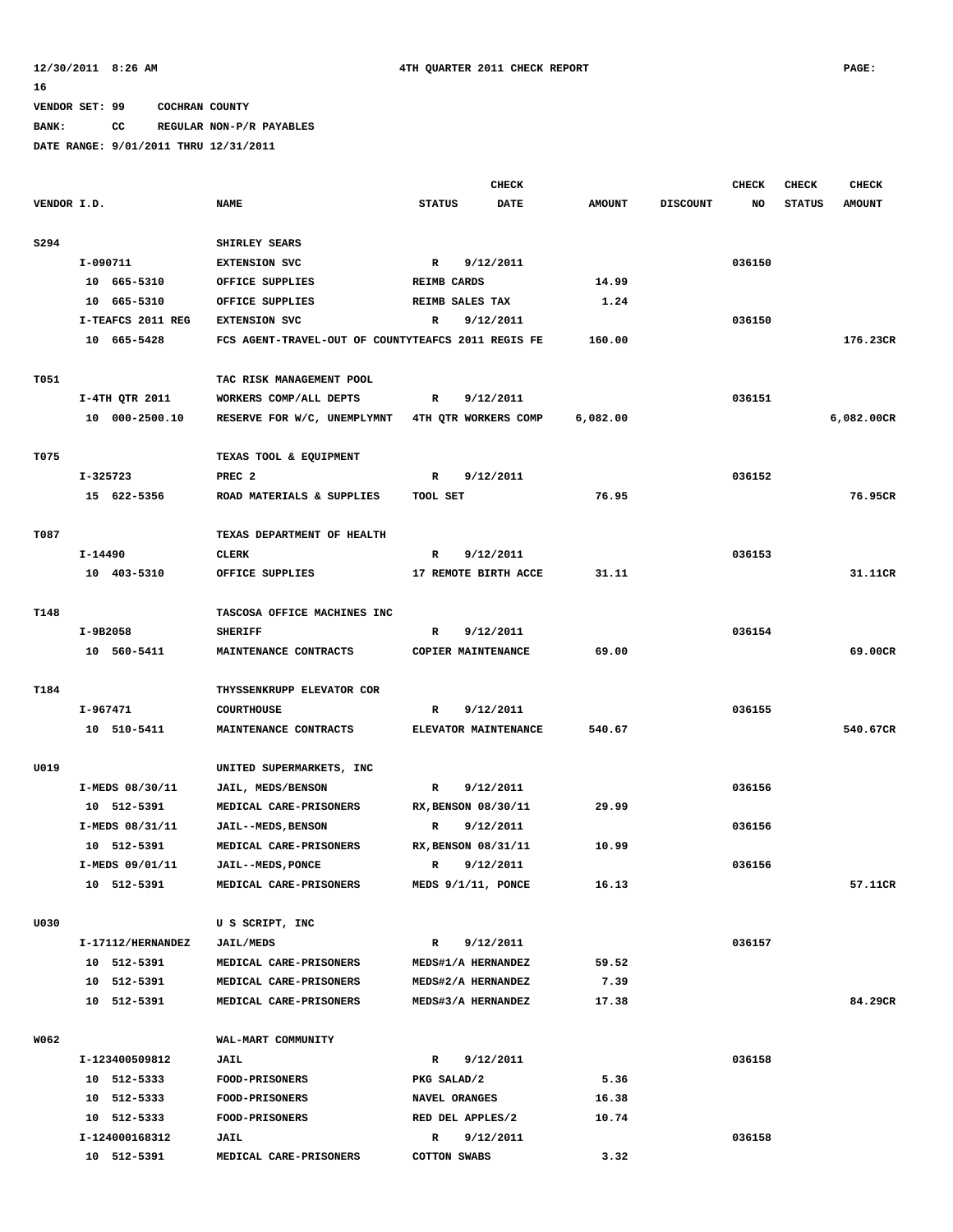#### **VENDOR SET: 99 COCHRAN COUNTY**

# **BANK: CC REGULAR NON-P/R PAYABLES**

|             |                                | <b>CHECK</b>                                        |                          |           |               |                 |        | <b>CHECK</b>  | <b>CHECK</b>  |
|-------------|--------------------------------|-----------------------------------------------------|--------------------------|-----------|---------------|-----------------|--------|---------------|---------------|
| VENDOR I.D. |                                | <b>NAME</b>                                         | <b>STATUS</b>            | DATE      | <b>AMOUNT</b> | <b>DISCOUNT</b> | NO     | <b>STATUS</b> | <b>AMOUNT</b> |
|             |                                |                                                     |                          |           |               |                 |        |               |               |
| S294        |                                | SHIRLEY SEARS                                       |                          |           |               |                 |        |               |               |
|             | I-090711                       | <b>EXTENSION SVC</b>                                | R                        | 9/12/2011 |               |                 | 036150 |               |               |
|             | 10 665-5310                    | OFFICE SUPPLIES                                     | REIMB CARDS              |           | 14.99         |                 |        |               |               |
|             | 10 665-5310                    | OFFICE SUPPLIES                                     | REIMB SALES TAX          |           | 1.24          |                 |        |               |               |
|             | I-TEAFCS 2011 REG              | <b>EXTENSION SVC</b>                                | R                        | 9/12/2011 |               |                 | 036150 |               |               |
|             | 10 665-5428                    | FCS AGENT-TRAVEL-OUT OF COUNTYTEAFCS 2011 REGIS FE  |                          |           | 160.00        |                 |        |               | 176.23CR      |
| T051        |                                | TAC RISK MANAGEMENT POOL                            |                          |           |               |                 |        |               |               |
|             | I-4TH QTR 2011                 | WORKERS COMP/ALL DEPTS                              | R                        | 9/12/2011 |               |                 | 036151 |               |               |
|             | 10 000-2500.10                 | RESERVE FOR W/C, UNEMPLYMNT                         | 4TH QTR WORKERS COMP     |           | 6,082.00      |                 |        |               | 6,082.00CR    |
|             |                                |                                                     |                          |           |               |                 |        |               |               |
| T075        |                                | TEXAS TOOL & EQUIPMENT                              |                          |           |               |                 |        |               |               |
|             | I-325723                       | PREC 2                                              | R                        | 9/12/2011 |               |                 | 036152 |               |               |
|             | 15 622-5356                    | ROAD MATERIALS & SUPPLIES                           | TOOL SET                 |           | 76.95         |                 |        |               | 76.95CR       |
|             |                                |                                                     |                          |           |               |                 |        |               |               |
| T087        |                                | TEXAS DEPARTMENT OF HEALTH                          |                          |           |               |                 |        |               |               |
|             | I-14490                        | <b>CLERK</b>                                        | R                        | 9/12/2011 |               |                 | 036153 |               |               |
|             | 10 403-5310                    | OFFICE SUPPLIES                                     | 17 REMOTE BIRTH ACCE     |           | 31.11         |                 |        |               | 31.11CR       |
|             |                                |                                                     |                          |           |               |                 |        |               |               |
| T148        |                                | TASCOSA OFFICE MACHINES INC                         |                          |           |               |                 |        |               |               |
|             | I-9B2058                       | <b>SHERIFF</b>                                      | R                        | 9/12/2011 |               |                 | 036154 |               |               |
|             | 10 560-5411                    | MAINTENANCE CONTRACTS                               | COPIER MAINTENANCE       |           | 69.00         |                 |        |               | 69.00CR       |
|             |                                |                                                     |                          |           |               |                 |        |               |               |
| T184        |                                | THYSSENKRUPP ELEVATOR COR                           |                          |           |               |                 |        |               |               |
|             | I-967471                       | COURTHOUSE                                          | R                        | 9/12/2011 |               |                 | 036155 |               |               |
|             | 10 510-5411                    | MAINTENANCE CONTRACTS                               | ELEVATOR MAINTENANCE     |           | 540.67        |                 |        |               | 540.67CR      |
|             |                                |                                                     |                          |           |               |                 |        |               |               |
| U019        |                                | UNITED SUPERMARKETS, INC                            |                          |           |               |                 |        |               |               |
|             | I-MEDS 08/30/11<br>10 512-5391 | JAIL, MEDS/BENSON                                   | R                        | 9/12/2011 | 29.99         |                 | 036156 |               |               |
|             |                                | MEDICAL CARE-PRISONERS<br><b>JAIL--MEDS, BENSON</b> | RX, BENSON 08/30/11      |           |               |                 | 036156 |               |               |
|             | I-MEDS 08/31/11<br>10 512-5391 | MEDICAL CARE-PRISONERS                              | R<br>RX, BENSON 08/31/11 | 9/12/2011 | 10.99         |                 |        |               |               |
|             | I-MEDS 09/01/11                | JAIL--MEDS, PONCE                                   | R                        | 9/12/2011 |               |                 | 036156 |               |               |
|             | 10 512-5391                    | MEDICAL CARE-PRISONERS                              | MEDS 9/1/11, PONCE       |           | 16.13         |                 |        |               | 57.11CR       |
|             |                                |                                                     |                          |           |               |                 |        |               |               |
| U030        |                                | U S SCRIPT, INC                                     |                          |           |               |                 |        |               |               |
|             | I-17112/HERNANDEZ              | <b>JAIL/MEDS</b>                                    | R                        | 9/12/2011 |               |                 | 036157 |               |               |
|             | 10 512-5391                    | MEDICAL CARE-PRISONERS                              | MEDS#1/A HERNANDEZ       |           | 59.52         |                 |        |               |               |
|             | 10 512-5391                    | MEDICAL CARE-PRISONERS                              | MEDS#2/A HERNANDEZ       |           | 7.39          |                 |        |               |               |
|             | 10 512-5391                    | MEDICAL CARE-PRISONERS                              | MEDS#3/A HERNANDEZ       |           | 17.38         |                 |        |               | 84.29CR       |
|             |                                |                                                     |                          |           |               |                 |        |               |               |
| W062        |                                | WAL-MART COMMUNITY                                  |                          |           |               |                 |        |               |               |
|             | I-123400509812                 | <b>JAIL</b>                                         | R                        | 9/12/2011 |               |                 | 036158 |               |               |
|             | 10 512-5333                    | <b>FOOD-PRISONERS</b>                               | PKG SALAD/2              |           | 5.36          |                 |        |               |               |
|             | 10 512-5333                    | <b>FOOD-PRISONERS</b>                               | NAVEL ORANGES            |           | 16.38         |                 |        |               |               |
|             | 10 512-5333                    | <b>FOOD-PRISONERS</b>                               | RED DEL APPLES/2         |           | 10.74         |                 |        |               |               |
|             | I-124000168312                 | <b>JAIL</b>                                         | R                        | 9/12/2011 |               |                 | 036158 |               |               |
|             | 10 512-5391                    | MEDICAL CARE-PRISONERS                              | <b>COTTON SWABS</b>      |           | 3.32          |                 |        |               |               |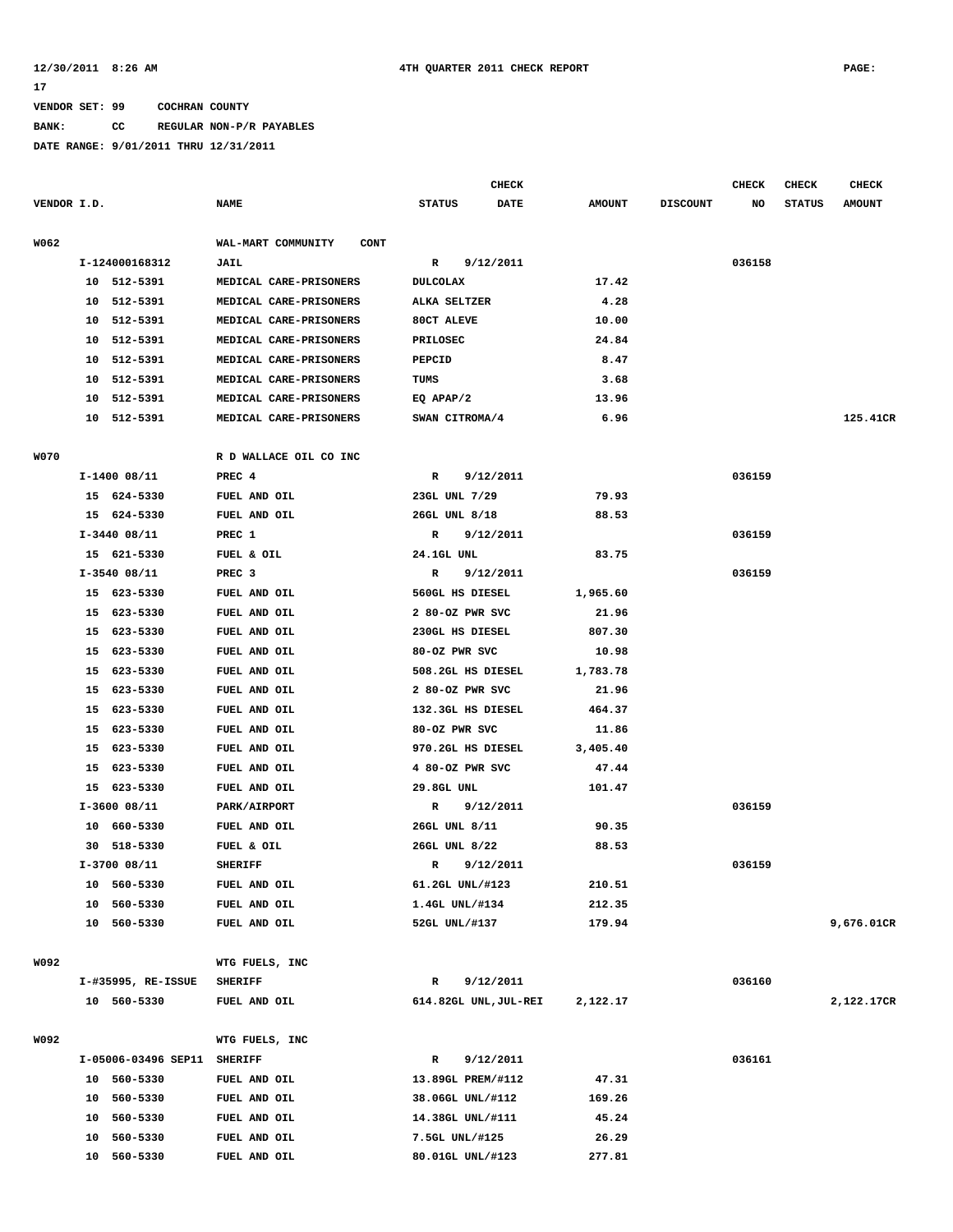#### **VENDOR SET: 99 COCHRAN COUNTY**

**BANK: CC REGULAR NON-P/R PAYABLES**

|             |    |                       |                                   |                 | <b>CHECK</b>          |               |                 | <b>CHECK</b> | <b>CHECK</b>  | <b>CHECK</b>  |
|-------------|----|-----------------------|-----------------------------------|-----------------|-----------------------|---------------|-----------------|--------------|---------------|---------------|
| VENDOR I.D. |    |                       | <b>NAME</b>                       | <b>STATUS</b>   | <b>DATE</b>           | <b>AMOUNT</b> | <b>DISCOUNT</b> | NO           | <b>STATUS</b> | <b>AMOUNT</b> |
| W062        |    |                       | WAL-MART COMMUNITY<br><b>CONT</b> |                 |                       |               |                 |              |               |               |
|             |    | I-124000168312        | JAIL                              | R               | 9/12/2011             |               |                 | 036158       |               |               |
|             |    | 10 512-5391           | MEDICAL CARE-PRISONERS            | <b>DULCOLAX</b> |                       | 17.42         |                 |              |               |               |
|             | 10 | 512-5391              | MEDICAL CARE-PRISONERS            |                 | ALKA SELTZER          | 4.28          |                 |              |               |               |
|             | 10 | 512-5391              | MEDICAL CARE-PRISONERS            | 80CT ALEVE      |                       | 10.00         |                 |              |               |               |
|             | 10 | 512-5391              | MEDICAL CARE-PRISONERS            | <b>PRILOSEC</b> |                       | 24.84         |                 |              |               |               |
|             | 10 | 512-5391              | MEDICAL CARE-PRISONERS            | PEPCID          |                       | 8.47          |                 |              |               |               |
|             | 10 | 512-5391              | MEDICAL CARE-PRISONERS            | TUMS            |                       | 3.68          |                 |              |               |               |
|             | 10 | 512-5391              | MEDICAL CARE-PRISONERS            | EQ APAP/2       |                       | 13.96         |                 |              |               |               |
|             |    | 10 512-5391           | MEDICAL CARE-PRISONERS            |                 | SWAN CITROMA/4        | 6.96          |                 |              |               | 125.41CR      |
|             |    |                       |                                   |                 |                       |               |                 |              |               |               |
| <b>W070</b> |    |                       | R D WALLACE OIL CO INC            |                 |                       |               |                 |              |               |               |
|             |    | I-1400 08/11          | PREC 4                            | R               | 9/12/2011             |               |                 | 036159       |               |               |
|             |    | 15 624-5330           | FUEL AND OIL                      |                 | 23GL UNL 7/29         | 79.93         |                 |              |               |               |
|             |    | 15 624-5330           | FUEL AND OIL                      |                 | 26GL UNL 8/18         | 88.53         |                 |              |               |               |
|             |    | $I-3440$ 08/11        | PREC 1                            | $\mathbb{R}$    | 9/12/2011             |               |                 | 036159       |               |               |
|             |    | 15 621-5330           | FUEL & OIL                        | 24.1GL UNL      |                       | 83.75         |                 |              |               |               |
|             |    | I-3540 08/11          | PREC 3                            | R               | 9/12/2011             |               |                 | 036159       |               |               |
|             |    | 15 623-5330           | FUEL AND OIL                      |                 | 560GL HS DIESEL       | 1,965.60      |                 |              |               |               |
|             |    | 15 623-5330           | FUEL AND OIL                      |                 | 2 80-OZ PWR SVC       | 21.96         |                 |              |               |               |
|             |    | 15 623-5330           | FUEL AND OIL                      |                 | 230GL HS DIESEL       | 807.30        |                 |              |               |               |
|             |    | 15 623-5330           | FUEL AND OIL                      |                 | 80-0Z PWR SVC         | 10.98         |                 |              |               |               |
|             |    | 15 623-5330           | FUEL AND OIL                      |                 | 508.2GL HS DIESEL     | 1,783.78      |                 |              |               |               |
|             |    | 15 623-5330           | FUEL AND OIL                      |                 | 2 80-OZ PWR SVC       | 21.96         |                 |              |               |               |
|             |    | 15 623-5330           | FUEL AND OIL                      |                 | 132.3GL HS DIESEL     | 464.37        |                 |              |               |               |
|             |    | 15 623-5330           | FUEL AND OIL                      |                 | 80-OZ PWR SVC         | 11.86         |                 |              |               |               |
|             | 15 | 623-5330              | FUEL AND OIL                      |                 | 970.2GL HS DIESEL     | 3,405.40      |                 |              |               |               |
|             | 15 | 623-5330              | FUEL AND OIL                      |                 | 4 80-OZ PWR SVC       | 47.44         |                 |              |               |               |
|             |    | 15 623-5330           | FUEL AND OIL                      | 29.8GL UNL      |                       | 101.47        |                 |              |               |               |
|             |    | $I-3600$ 08/11        | PARK/AIRPORT                      | R               | 9/12/2011             |               |                 | 036159       |               |               |
|             |    | 10 660-5330           | FUEL AND OIL                      |                 | 26GL UNL 8/11         | 90.35         |                 |              |               |               |
|             |    | 30 518-5330           | FUEL & OIL                        |                 | 26GL UNL 8/22         | 88.53         |                 |              |               |               |
|             |    | I-3700 08/11          | <b>SHERIFF</b>                    | R               | 9/12/2011             |               |                 | 036159       |               |               |
|             |    | 10 560-5330           | FUEL AND OIL                      |                 | 61.2GL UNL/#123       | 210.51        |                 |              |               |               |
|             |    | 10 560-5330           | FUEL AND OIL                      |                 | 1.4GL UNL/#134        | 212.35        |                 |              |               |               |
|             |    | 10 560-5330           | FUEL AND OIL                      |                 | 52GL UNL/#137         | 179.94        |                 |              |               | 9,676.01CR    |
| W092        |    |                       | WTG FUELS, INC                    |                 |                       |               |                 |              |               |               |
|             |    | $I$ -#35995, RE-ISSUE | <b>SHERIFF</b>                    | R               | 9/12/2011             |               |                 | 036160       |               |               |
|             |    | 10 560-5330           | FUEL AND OIL                      |                 | 614.82GL UNL, JUL-REI | 2,122.17      |                 |              |               | 2,122.17CR    |
|             |    |                       |                                   |                 |                       |               |                 |              |               |               |
| W092        |    |                       | WTG FUELS, INC                    |                 |                       |               |                 |              |               |               |
|             |    | I-05006-03496 SEP11   | <b>SHERIFF</b>                    | R               | 9/12/2011             |               |                 | 036161       |               |               |
|             |    | 10 560-5330           | FUEL AND OIL                      |                 | 13.89GL PREM/#112     | 47.31         |                 |              |               |               |
|             |    | 10 560-5330           | FUEL AND OIL                      |                 | 38.06GL UNL/#112      | 169.26        |                 |              |               |               |
|             |    | 10 560-5330           | FUEL AND OIL                      |                 | 14.38GL UNL/#111      | 45.24         |                 |              |               |               |
|             | 10 | 560-5330              | FUEL AND OIL                      |                 | 7.5GL UNL/#125        | 26.29         |                 |              |               |               |
|             | 10 | 560-5330              | FUEL AND OIL                      |                 | 80.01GL UNL/#123      | 277.81        |                 |              |               |               |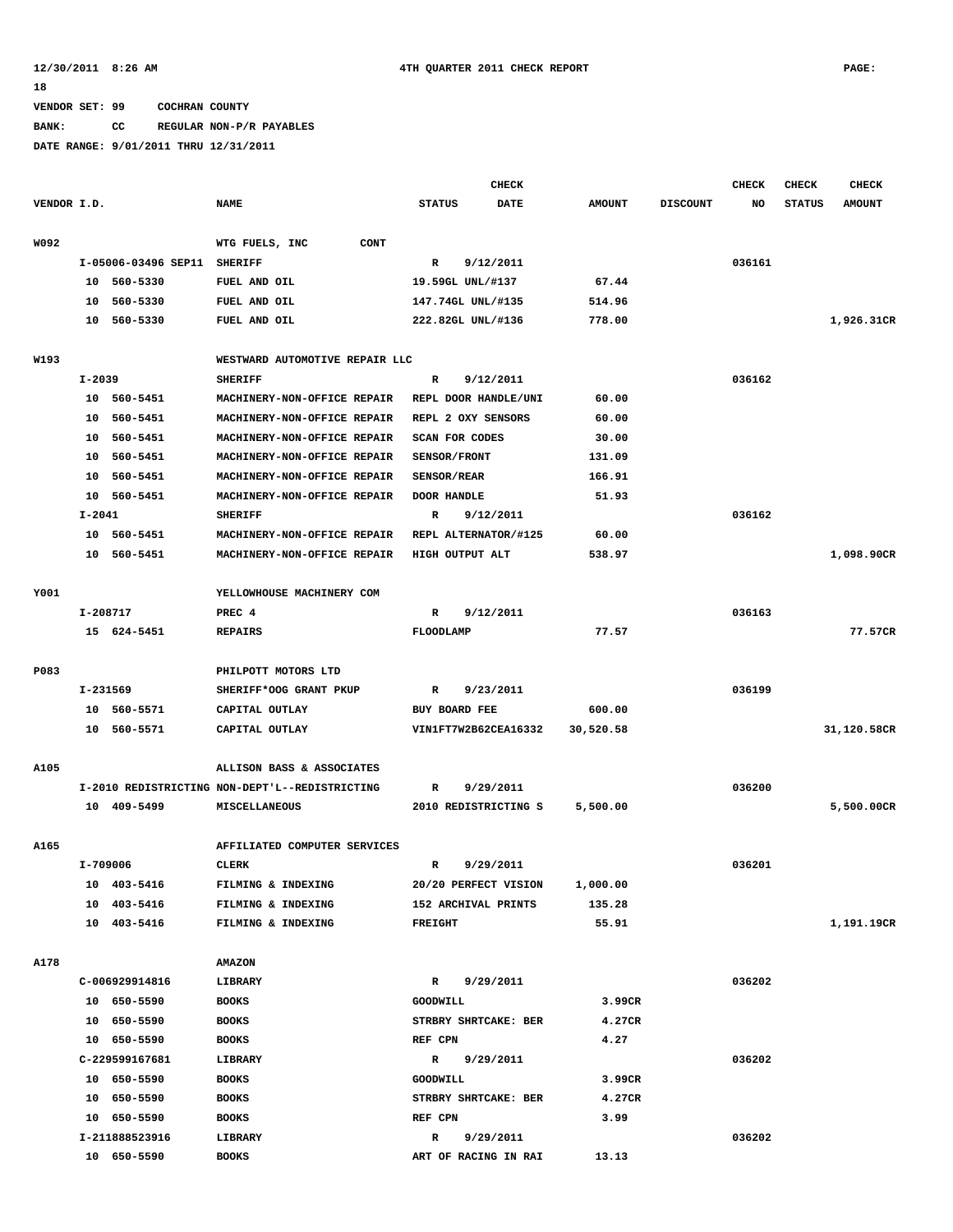#### **VENDOR SET: 99 COCHRAN COUNTY**

# **BANK: CC REGULAR NON-P/R PAYABLES**

|             |          |                             |                                                  |                       | <b>CHECK</b>         |               |                 | CHECK  | <b>CHECK</b>  | <b>CHECK</b>  |
|-------------|----------|-----------------------------|--------------------------------------------------|-----------------------|----------------------|---------------|-----------------|--------|---------------|---------------|
| VENDOR I.D. |          |                             | <b>NAME</b>                                      | <b>STATUS</b>         | <b>DATE</b>          | <b>AMOUNT</b> | <b>DISCOUNT</b> | NO     | <b>STATUS</b> | <b>AMOUNT</b> |
|             |          |                             |                                                  |                       |                      |               |                 |        |               |               |
| W092        |          |                             | <b>CONT</b><br>WTG FUELS, INC                    |                       |                      |               |                 |        |               |               |
|             |          | I-05006-03496 SEP11 SHERIFF |                                                  | R                     | 9/12/2011            |               |                 | 036161 |               |               |
|             |          | 10 560-5330                 | FUEL AND OIL                                     | 19.59GL UNL/#137      |                      | 67.44         |                 |        |               |               |
|             | 10       | 560-5330                    | FUEL AND OIL                                     |                       | 147.74GL UNL/#135    | 514.96        |                 |        |               |               |
|             |          | 10 560-5330                 | FUEL AND OIL                                     |                       | 222.82GL UNL/#136    | 778.00        |                 |        |               | 1,926.31CR    |
|             |          |                             |                                                  |                       |                      |               |                 |        |               |               |
| W193        | I-2039   |                             | WESTWARD AUTOMOTIVE REPAIR LLC<br><b>SHERIFF</b> | R                     | 9/12/2011            |               |                 | 036162 |               |               |
|             |          | 10 560-5451                 | MACHINERY-NON-OFFICE REPAIR                      |                       | REPL DOOR HANDLE/UNI | 60.00         |                 |        |               |               |
|             | 10       | 560-5451                    | MACHINERY-NON-OFFICE REPAIR                      |                       | REPL 2 OXY SENSORS   | 60.00         |                 |        |               |               |
|             | 10       | 560-5451                    | MACHINERY-NON-OFFICE REPAIR                      | <b>SCAN FOR CODES</b> |                      | 30.00         |                 |        |               |               |
|             | 10       | 560-5451                    | MACHINERY-NON-OFFICE REPAIR                      | <b>SENSOR/FRONT</b>   |                      | 131.09        |                 |        |               |               |
|             | 10       | 560-5451                    | MACHINERY-NON-OFFICE REPAIR                      | SENSOR/REAR           |                      | 166.91        |                 |        |               |               |
|             |          | 10 560-5451                 | MACHINERY-NON-OFFICE REPAIR                      | DOOR HANDLE           |                      | 51.93         |                 |        |               |               |
|             | I-2041   |                             | <b>SHERIFF</b>                                   | R                     | 9/12/2011            |               |                 | 036162 |               |               |
|             |          | 10 560-5451                 | MACHINERY-NON-OFFICE REPAIR                      |                       | REPL ALTERNATOR/#125 | 60.00         |                 |        |               |               |
|             |          | 10 560-5451                 | MACHINERY-NON-OFFICE REPAIR                      | HIGH OUTPUT ALT       |                      | 538.97        |                 |        |               | 1,098.90CR    |
|             |          |                             |                                                  |                       |                      |               |                 |        |               |               |
| Y001        |          |                             | YELLOWHOUSE MACHINERY COM                        |                       |                      |               |                 |        |               |               |
|             |          | I-208717                    | PREC 4                                           | R                     | 9/12/2011            |               |                 | 036163 |               |               |
|             |          | 15 624-5451                 | <b>REPAIRS</b>                                   | FLOODLAMP             |                      | 77.57         |                 |        |               | 77.57CR       |
|             |          |                             |                                                  |                       |                      |               |                 |        |               |               |
| P083        |          |                             | PHILPOTT MOTORS LTD                              |                       |                      |               |                 |        |               |               |
|             | I-231569 |                             | SHERIFF*OOG GRANT PKUP                           | R                     | 9/23/2011            |               |                 | 036199 |               |               |
|             |          | 10 560-5571                 | CAPITAL OUTLAY                                   | <b>BUY BOARD FEE</b>  |                      | 600.00        |                 |        |               |               |
|             |          | 10 560-5571                 | CAPITAL OUTLAY                                   |                       | VIN1FT7W2B62CEA16332 | 30,520.58     |                 |        |               | 31,120.58CR   |
|             |          |                             |                                                  |                       |                      |               |                 |        |               |               |
| A105        |          |                             | ALLISON BASS & ASSOCIATES                        |                       |                      |               |                 |        |               |               |
|             |          |                             | I-2010 REDISTRICTING NON-DEPT'L--REDISTRICTING   | R                     | 9/29/2011            |               |                 | 036200 |               |               |
|             |          | 10 409-5499                 | MISCELLANEOUS                                    |                       | 2010 REDISTRICTING S | 5,500.00      |                 |        |               | 5,500.00CR    |
| A165        |          |                             | AFFILIATED COMPUTER SERVICES                     |                       |                      |               |                 |        |               |               |
|             | I-709006 |                             | <b>CLERK</b>                                     | R                     | 9/29/2011            |               |                 | 036201 |               |               |
|             |          | 10 403-5416                 | FILMING & INDEXING                               |                       | 20/20 PERFECT VISION | 1,000.00      |                 |        |               |               |
|             |          | 10 403-5416                 | FILMING & INDEXING                               |                       | 152 ARCHIVAL PRINTS  | 135.28        |                 |        |               |               |
|             |          | 10 403-5416                 | FILMING & INDEXING                               | FREIGHT               |                      | 55.91         |                 |        |               | 1,191.19CR    |
|             |          |                             |                                                  |                       |                      |               |                 |        |               |               |
| A178        |          |                             | <b>AMAZON</b>                                    |                       |                      |               |                 |        |               |               |
|             |          | C-006929914816              | LIBRARY                                          | $\mathbb{R}$          | 9/29/2011            |               |                 | 036202 |               |               |
|             |          | 10 650-5590                 | <b>BOOKS</b>                                     | GOODWILL              |                      | 3.99CR        |                 |        |               |               |
|             |          | 10 650-5590                 | <b>BOOKS</b>                                     |                       | STRBRY SHRTCAKE: BER | 4.27CR        |                 |        |               |               |
|             |          | 10 650-5590                 | <b>BOOKS</b>                                     | REF CPN               |                      | 4.27          |                 |        |               |               |
|             |          | C-229599167681              | LIBRARY                                          |                       | R 9/29/2011          |               |                 | 036202 |               |               |
|             |          | 10 650-5590                 | <b>BOOKS</b>                                     | GOODWILL              |                      | 3.99CR        |                 |        |               |               |
|             |          | 10 650-5590                 | <b>BOOKS</b>                                     |                       | STRBRY SHRTCAKE: BER | 4.27CR        |                 |        |               |               |
|             |          | 10 650-5590                 | <b>BOOKS</b>                                     | REF CPN               |                      | 3.99          |                 |        |               |               |
|             |          | I-211888523916              | LIBRARY                                          | $\mathbb{R}$          | 9/29/2011            |               |                 | 036202 |               |               |
|             |          | 10 650-5590                 | <b>BOOKS</b>                                     |                       | ART OF RACING IN RAI | 13.13         |                 |        |               |               |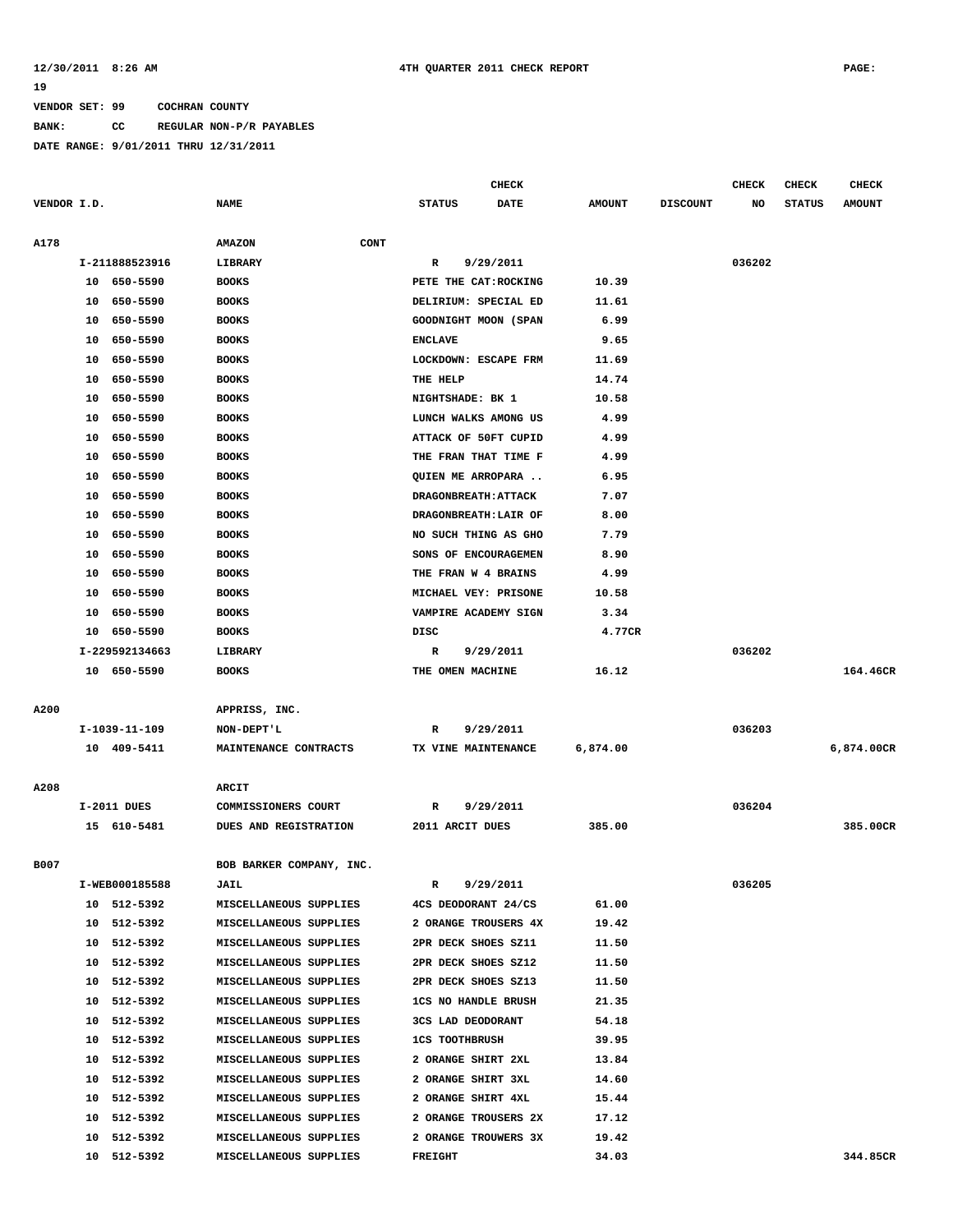## **VENDOR SET: 99 COCHRAN COUNTY BANK: CC REGULAR NON-P/R PAYABLES**

|             |                |                          | CHECK                        |               |                 | <b>CHECK</b> | <b>CHECK</b>  | <b>CHECK</b>  |
|-------------|----------------|--------------------------|------------------------------|---------------|-----------------|--------------|---------------|---------------|
| VENDOR I.D. |                | <b>NAME</b>              | <b>STATUS</b><br><b>DATE</b> | <b>AMOUNT</b> | <b>DISCOUNT</b> | NO           | <b>STATUS</b> | <b>AMOUNT</b> |
| A178        |                | <b>AMAZON</b><br>CONT    |                              |               |                 |              |               |               |
|             | I-211888523916 | LIBRARY                  | 9/29/2011<br>R               |               |                 | 036202       |               |               |
|             | 650-5590<br>10 | <b>BOOKS</b>             | PETE THE CAT:ROCKING         | 10.39         |                 |              |               |               |
|             | 650-5590<br>10 | <b>BOOKS</b>             | DELIRIUM: SPECIAL ED         | 11.61         |                 |              |               |               |
|             | 650-5590<br>10 | <b>BOOKS</b>             | GOODNIGHT MOON (SPAN         | 6.99          |                 |              |               |               |
|             | 10<br>650-5590 | <b>BOOKS</b>             | <b>ENCLAVE</b>               | 9.65          |                 |              |               |               |
|             | 650-5590<br>10 | <b>BOOKS</b>             | LOCKDOWN: ESCAPE FRM         | 11.69         |                 |              |               |               |
|             | 650-5590<br>10 | <b>BOOKS</b>             | THE HELP                     | 14.74         |                 |              |               |               |
|             | 650-5590<br>10 | <b>BOOKS</b>             | NIGHTSHADE: BK 1             | 10.58         |                 |              |               |               |
|             | 650-5590<br>10 | <b>BOOKS</b>             | LUNCH WALKS AMONG US         | 4.99          |                 |              |               |               |
|             | 650-5590<br>10 | <b>BOOKS</b>             | ATTACK OF 50FT CUPID         | 4.99          |                 |              |               |               |
|             | 10<br>650-5590 | <b>BOOKS</b>             | THE FRAN THAT TIME F         | 4.99          |                 |              |               |               |
|             | 650-5590<br>10 | <b>BOOKS</b>             | QUIEN ME ARROPARA            | 6.95          |                 |              |               |               |
|             | 650-5590<br>10 | <b>BOOKS</b>             | DRAGONBREATH: ATTACK         | 7.07          |                 |              |               |               |
|             | 650-5590<br>10 | <b>BOOKS</b>             | DRAGONBREATH: LAIR OF        | 8.00          |                 |              |               |               |
|             | 650-5590<br>10 | <b>BOOKS</b>             | NO SUCH THING AS GHO         | 7.79          |                 |              |               |               |
|             | 650-5590<br>10 | <b>BOOKS</b>             | SONS OF ENCOURAGEMEN         | 8.90          |                 |              |               |               |
|             | 10<br>650-5590 | <b>BOOKS</b>             | THE FRAN W 4 BRAINS          | 4.99          |                 |              |               |               |
|             | 650-5590<br>10 | <b>BOOKS</b>             | MICHAEL VEY: PRISONE         | 10.58         |                 |              |               |               |
|             | 650-5590<br>10 | <b>BOOKS</b>             | VAMPIRE ACADEMY SIGN         | 3.34          |                 |              |               |               |
|             | 650-5590<br>10 | <b>BOOKS</b>             | DISC                         | 4.77CR        |                 |              |               |               |
|             | I-229592134663 | LIBRARY                  | 9/29/2011<br>R               |               |                 | 036202       |               |               |
|             | 10 650-5590    | <b>BOOKS</b>             | THE OMEN MACHINE             | 16.12         |                 |              |               | 164.46CR      |
| A200        |                | APPRISS, INC.            |                              |               |                 |              |               |               |
|             | I-1039-11-109  | NON-DEPT'L               | 9/29/2011<br>R               |               |                 | 036203       |               |               |
|             | 10 409-5411    | MAINTENANCE CONTRACTS    | TX VINE MAINTENANCE          | 6,874.00      |                 |              |               | 6,874.00CR    |
| A208        |                | ARCIT                    |                              |               |                 |              |               |               |
|             | I-2011 DUES    | COMMISSIONERS COURT      | 9/29/2011<br>R               |               |                 | 036204       |               |               |
|             | 15 610-5481    | DUES AND REGISTRATION    | 2011 ARCIT DUES              | 385.00        |                 |              |               | 385.00CR      |
| B007        |                | BOB BARKER COMPANY, INC. |                              |               |                 |              |               |               |
|             | I-WEB000185588 | <b>JAIL</b>              | R<br>9/29/2011               |               |                 | 036205       |               |               |
|             | 10 512-5392    | MISCELLANEOUS SUPPLIES   | 4CS DEODORANT 24/CS          | 61.00         |                 |              |               |               |
|             | 10 512-5392    | MISCELLANEOUS SUPPLIES   | 2 ORANGE TROUSERS 4X         | 19.42         |                 |              |               |               |
|             | 10 512-5392    | MISCELLANEOUS SUPPLIES   | 2PR DECK SHOES SZ11          | 11.50         |                 |              |               |               |
|             | 10 512-5392    | MISCELLANEOUS SUPPLIES   | 2PR DECK SHOES SZ12          | 11.50         |                 |              |               |               |
|             | 10<br>512-5392 | MISCELLANEOUS SUPPLIES   | 2PR DECK SHOES SZ13          | 11.50         |                 |              |               |               |
|             | 512-5392<br>10 | MISCELLANEOUS SUPPLIES   | <b>1CS NO HANDLE BRUSH</b>   | 21.35         |                 |              |               |               |
|             | 512-5392<br>10 | MISCELLANEOUS SUPPLIES   | 3CS LAD DEODORANT            | 54.18         |                 |              |               |               |
|             | 10<br>512-5392 | MISCELLANEOUS SUPPLIES   | <b>1CS TOOTHBRUSH</b>        | 39.95         |                 |              |               |               |
|             | 512-5392<br>10 | MISCELLANEOUS SUPPLIES   | 2 ORANGE SHIRT 2XL           | 13.84         |                 |              |               |               |
|             | 10 512-5392    | MISCELLANEOUS SUPPLIES   | 2 ORANGE SHIRT 3XL           | 14.60         |                 |              |               |               |
|             | 10 512-5392    | MISCELLANEOUS SUPPLIES   | 2 ORANGE SHIRT 4XL           | 15.44         |                 |              |               |               |
|             | 10 512-5392    | MISCELLANEOUS SUPPLIES   | 2 ORANGE TROUSERS 2X         | 17.12         |                 |              |               |               |
|             | 512-5392<br>10 | MISCELLANEOUS SUPPLIES   | 2 ORANGE TROUWERS 3X         | 19.42         |                 |              |               |               |
|             | 10<br>512-5392 | MISCELLANEOUS SUPPLIES   | <b>FREIGHT</b>               | 34.03         |                 |              |               | 344.85CR      |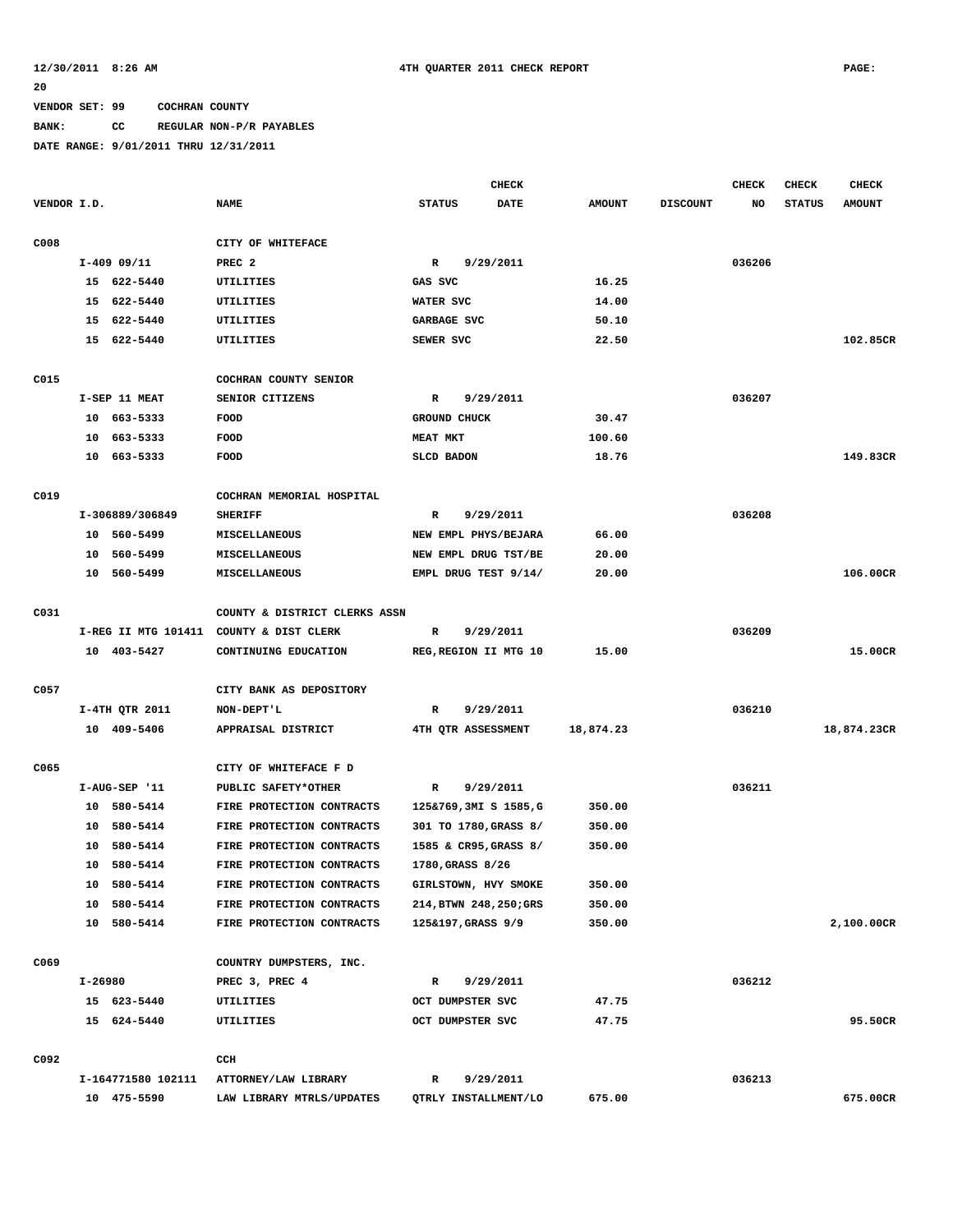## **VENDOR SET: 99 COCHRAN COUNTY BANK: CC REGULAR NON-P/R PAYABLES**

|             |         |                    |                                         |                         |             |               | <b>CHECK</b>    | <b>CHECK</b> | <b>CHECK</b>  |               |
|-------------|---------|--------------------|-----------------------------------------|-------------------------|-------------|---------------|-----------------|--------------|---------------|---------------|
| VENDOR I.D. |         |                    | <b>NAME</b>                             | <b>STATUS</b>           | <b>DATE</b> | <b>AMOUNT</b> | <b>DISCOUNT</b> | NO           | <b>STATUS</b> | <b>AMOUNT</b> |
|             |         |                    |                                         |                         |             |               |                 |              |               |               |
| C008        |         |                    | CITY OF WHITEFACE                       |                         |             |               |                 |              |               |               |
|             |         | $I-409$ 09/11      | PREC <sub>2</sub>                       | $\mathbb{R}$            | 9/29/2011   |               |                 | 036206       |               |               |
|             |         | 15 622-5440        | UTILITIES                               | GAS SVC                 |             | 16.25         |                 |              |               |               |
|             |         | 15 622-5440        | UTILITIES                               | WATER SVC               |             | 14.00         |                 |              |               |               |
|             |         | 15 622-5440        | UTILITIES                               | GARBAGE SVC             |             | 50.10         |                 |              |               |               |
|             |         | 15 622-5440        | UTILITIES                               | SEWER SVC               |             | 22.50         |                 |              |               | 102.85CR      |
|             |         |                    |                                         |                         |             |               |                 |              |               |               |
| C015        |         |                    | COCHRAN COUNTY SENIOR                   |                         |             |               |                 |              |               |               |
|             |         | I-SEP 11 MEAT      | SENIOR CITIZENS                         | R                       | 9/29/2011   |               |                 | 036207       |               |               |
|             |         | 10 663-5333        | FOOD                                    | GROUND CHUCK            |             | 30.47         |                 |              |               |               |
|             |         | 10 663-5333        | FOOD                                    | <b>MEAT MKT</b>         |             | 100.60        |                 |              |               |               |
|             |         | 10 663-5333        | <b>FOOD</b>                             | SLCD BADON              |             | 18.76         |                 |              |               | 149.83CR      |
|             |         |                    |                                         |                         |             |               |                 |              |               |               |
| C019        |         |                    | COCHRAN MEMORIAL HOSPITAL               |                         |             |               |                 |              |               |               |
|             |         | I-306889/306849    | <b>SHERIFF</b>                          | R                       | 9/29/2011   |               |                 | 036208       |               |               |
|             |         | 10 560-5499        | MISCELLANEOUS                           | NEW EMPL PHYS/BEJARA    |             | 66.00         |                 |              |               |               |
|             |         | 10 560-5499        | MISCELLANEOUS                           | NEW EMPL DRUG TST/BE    |             | 20.00         |                 |              |               |               |
|             |         | 10 560-5499        | MISCELLANEOUS                           | EMPL DRUG TEST 9/14/    |             | 20.00         |                 |              |               | 106.00CR      |
|             |         |                    |                                         |                         |             |               |                 |              |               |               |
| C031        |         |                    | COUNTY & DISTRICT CLERKS ASSN           |                         |             |               |                 |              |               |               |
|             |         |                    | I-REG II MTG 101411 COUNTY & DIST CLERK | R                       | 9/29/2011   |               |                 | 036209       |               |               |
|             |         | 10 403-5427        | CONTINUING EDUCATION                    | REG, REGION II MTG 10   |             | 15.00         |                 |              |               | 15.00CR       |
|             |         |                    |                                         |                         |             |               |                 |              |               |               |
| C057        |         |                    | CITY BANK AS DEPOSITORY                 |                         |             |               |                 |              |               |               |
|             |         | I-4TH QTR 2011     | NON-DEPT'L                              | R                       | 9/29/2011   |               |                 | 036210       |               |               |
|             |         | 10 409-5406        | APPRAISAL DISTRICT                      | 4TH QTR ASSESSMENT      |             | 18,874.23     |                 |              |               | 18,874.23CR   |
|             |         |                    |                                         |                         |             |               |                 |              |               |               |
| C065        |         |                    | CITY OF WHITEFACE F D                   |                         |             |               |                 |              |               |               |
|             |         | I-AUG-SEP '11      | PUBLIC SAFETY*OTHER                     | $\mathbb{R}$            | 9/29/2011   |               |                 | 036211       |               |               |
|             |         | 10 580-5414        | FIRE PROTECTION CONTRACTS               | 125&769,3MI S 1585,G    |             | 350.00        |                 |              |               |               |
|             |         | 10 580-5414        | FIRE PROTECTION CONTRACTS               | 301 TO 1780, GRASS 8/   |             | 350.00        |                 |              |               |               |
|             |         | 10 580-5414        | FIRE PROTECTION CONTRACTS               | 1585 & CR95, GRASS 8/   |             | 350.00        |                 |              |               |               |
|             |         | 10 580-5414        | FIRE PROTECTION CONTRACTS               | 1780, GRASS 8/26        |             |               |                 |              |               |               |
|             |         | 10 580-5414        | FIRE PROTECTION CONTRACTS               | GIRLSTOWN, HVY SMOKE    |             | 350.00        |                 |              |               |               |
|             |         | 10 580-5414        | FIRE PROTECTION CONTRACTS               | 214, BTWN 248, 250; GRS |             | 350.00        |                 |              |               |               |
|             |         | 10 580-5414        | FIRE PROTECTION CONTRACTS               | 125&197, GRASS 9/9      |             | 350.00        |                 |              |               | 2,100.00CR    |
|             |         |                    |                                         |                         |             |               |                 |              |               |               |
| C069        |         |                    | COUNTRY DUMPSTERS, INC.                 |                         |             |               |                 |              |               |               |
|             | I-26980 |                    | PREC 3, PREC 4                          | R                       | 9/29/2011   |               |                 | 036212       |               |               |
|             |         | 15 623-5440        | UTILITIES                               | OCT DUMPSTER SVC        |             | 47.75         |                 |              |               |               |
|             |         | 15 624-5440        | UTILITIES                               | OCT DUMPSTER SVC        |             | 47.75         |                 |              |               | 95.50CR       |
| C092        |         |                    |                                         |                         |             |               |                 |              |               |               |
|             |         | I-164771580 102111 | CCH                                     |                         |             |               |                 | 036213       |               |               |
|             |         | 10 475-5590        | ATTORNEY/LAW LIBRARY                    | R                       | 9/29/2011   | 675.00        |                 |              |               | 675.00CR      |
|             |         |                    | LAW LIBRARY MTRLS/UPDATES               | QTRLY INSTALLMENT/LO    |             |               |                 |              |               |               |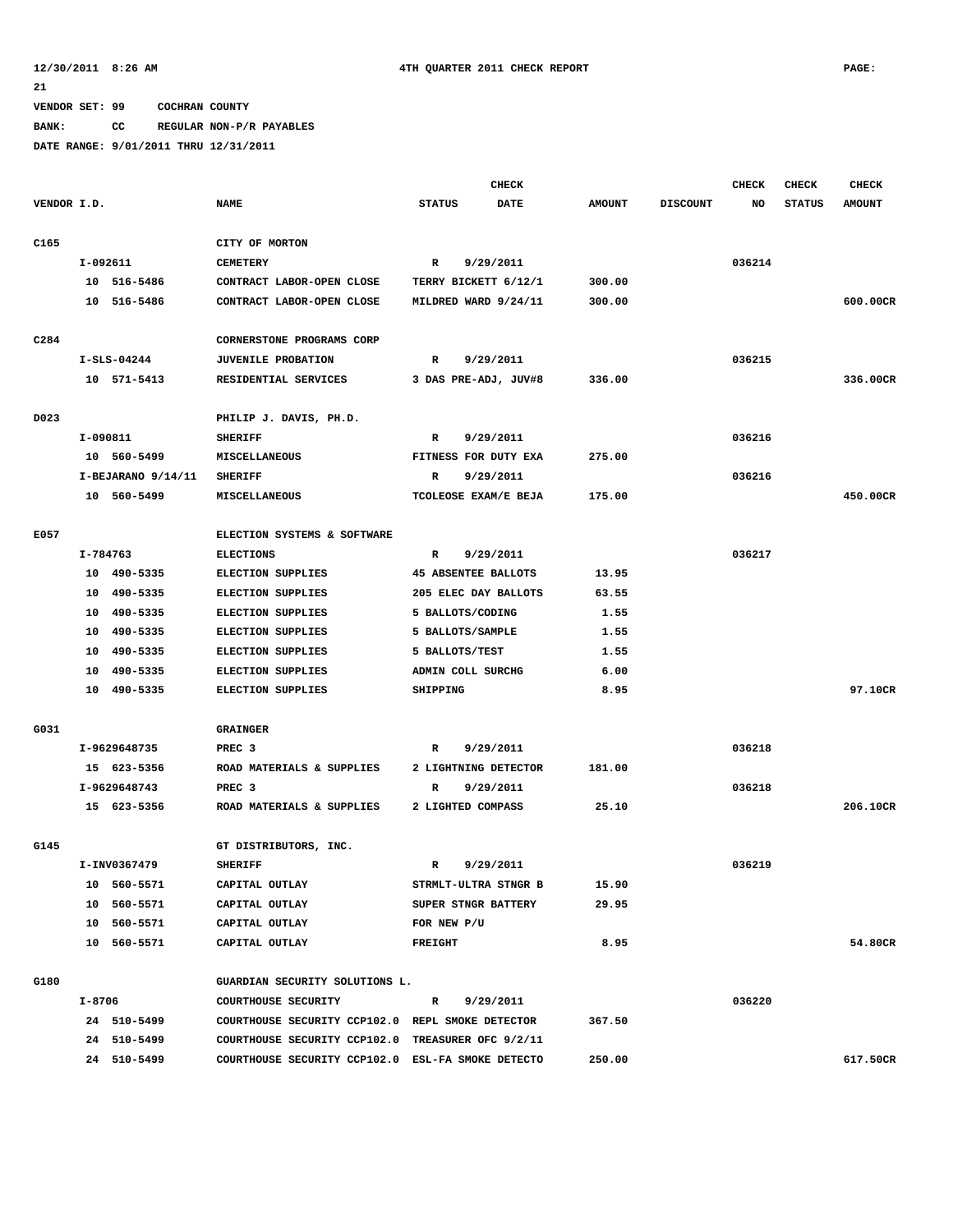## **VENDOR SET: 99 COCHRAN COUNTY**

# **BANK: CC REGULAR NON-P/R PAYABLES**

|                  |          | <b>CHECK</b>         |                                                   |                |                            |               |                 | <b>CHECK</b> | <b>CHECK</b>  | <b>CHECK</b>  |
|------------------|----------|----------------------|---------------------------------------------------|----------------|----------------------------|---------------|-----------------|--------------|---------------|---------------|
| VENDOR I.D.      |          |                      | <b>NAME</b>                                       | <b>STATUS</b>  | <b>DATE</b>                | <b>AMOUNT</b> | <b>DISCOUNT</b> | NO           | <b>STATUS</b> | <b>AMOUNT</b> |
|                  |          |                      |                                                   |                |                            |               |                 |              |               |               |
| C <sub>165</sub> |          |                      | CITY OF MORTON                                    |                |                            |               |                 |              |               |               |
|                  | I-092611 |                      | <b>CEMETERY</b>                                   | R              | 9/29/2011                  |               |                 | 036214       |               |               |
|                  |          | 10 516-5486          | CONTRACT LABOR-OPEN CLOSE                         |                | TERRY BICKETT 6/12/1       | 300.00        |                 |              |               |               |
|                  |          | 10 516-5486          | CONTRACT LABOR-OPEN CLOSE                         |                | MILDRED WARD 9/24/11       | 300.00        |                 |              |               | 600.00CR      |
| C <sub>284</sub> |          |                      | CORNERSTONE PROGRAMS CORP                         |                |                            |               |                 |              |               |               |
|                  |          | $I-SLS-04244$        | <b>JUVENILE PROBATION</b>                         | R              | 9/29/2011                  |               |                 | 036215       |               |               |
|                  |          | 10 571-5413          | RESIDENTIAL SERVICES                              |                | 3 DAS PRE-ADJ, JUV#8       | 336.00        |                 |              |               | 336.00CR      |
|                  |          |                      |                                                   |                |                            |               |                 |              |               |               |
| D023             |          |                      | PHILIP J. DAVIS, PH.D.                            |                |                            |               |                 |              |               |               |
|                  | I-090811 |                      | <b>SHERIFF</b>                                    | R              | 9/29/2011                  |               |                 | 036216       |               |               |
|                  |          | 10 560-5499          | MISCELLANEOUS                                     |                | FITNESS FOR DUTY EXA       | 275.00        |                 |              |               |               |
|                  |          | $I-BEJARANO$ 9/14/11 | <b>SHERIFF</b>                                    | R              | 9/29/2011                  |               |                 | 036216       |               |               |
|                  |          | 10 560-5499          | MISCELLANEOUS                                     |                | TCOLEOSE EXAM/E BEJA       | 175.00        |                 |              |               | 450.00CR      |
|                  |          |                      |                                                   |                |                            |               |                 |              |               |               |
| E057             |          |                      | ELECTION SYSTEMS & SOFTWARE                       |                |                            |               |                 |              |               |               |
|                  | I-784763 |                      | <b>ELECTIONS</b>                                  | R              | 9/29/2011                  |               |                 | 036217       |               |               |
|                  |          | 10 490-5335          | <b>ELECTION SUPPLIES</b>                          |                | <b>45 ABSENTEE BALLOTS</b> | 13.95         |                 |              |               |               |
|                  |          | 10 490-5335          | <b>ELECTION SUPPLIES</b>                          |                | 205 ELEC DAY BALLOTS       | 63.55         |                 |              |               |               |
|                  |          | 10 490-5335          | ELECTION SUPPLIES                                 |                | 5 BALLOTS/CODING           | 1.55          |                 |              |               |               |
|                  |          | 10 490-5335          | <b>ELECTION SUPPLIES</b>                          |                | 5 BALLOTS/SAMPLE           | 1.55          |                 |              |               |               |
|                  | 10       | 490-5335             | <b>ELECTION SUPPLIES</b>                          |                | 5 BALLOTS/TEST             | 1.55          |                 |              |               |               |
|                  | 10       | 490-5335             | <b>ELECTION SUPPLIES</b>                          |                | ADMIN COLL SURCHG          | 6.00          |                 |              |               |               |
|                  |          | 10 490-5335          | <b>ELECTION SUPPLIES</b>                          | SHIPPING       |                            | 8.95          |                 |              |               | 97.10CR       |
| G031             |          |                      | <b>GRAINGER</b>                                   |                |                            |               |                 |              |               |               |
|                  |          | I-9629648735         | PREC <sub>3</sub>                                 | R              | 9/29/2011                  |               |                 | 036218       |               |               |
|                  |          | 15 623-5356          | ROAD MATERIALS & SUPPLIES                         |                | 2 LIGHTNING DETECTOR       | 181.00        |                 |              |               |               |
|                  |          | I-9629648743         | PREC <sub>3</sub>                                 | R              | 9/29/2011                  |               |                 | 036218       |               |               |
|                  |          | 15 623-5356          | ROAD MATERIALS & SUPPLIES                         |                | 2 LIGHTED COMPASS          | 25.10         |                 |              |               | 206.10CR      |
|                  |          |                      |                                                   |                |                            |               |                 |              |               |               |
| G145             |          |                      | GT DISTRIBUTORS, INC.                             |                |                            |               |                 |              |               |               |
|                  |          | I-INV0367479         | <b>SHERIFF</b>                                    | R              | 9/29/2011                  |               |                 | 036219       |               |               |
|                  |          | 10 560-5571          | CAPITAL OUTLAY                                    |                | STRMLT-ULTRA STNGR B       | 15.90         |                 |              |               |               |
|                  |          | 10 560-5571          | CAPITAL OUTLAY                                    |                | SUPER STNGR BATTERY        | 29.95         |                 |              |               |               |
|                  |          | 10 560-5571          | CAPITAL OUTLAY                                    | FOR NEW P/U    |                            |               |                 |              |               |               |
|                  |          | 10 560-5571          | CAPITAL OUTLAY                                    | <b>FREIGHT</b> |                            | 8.95          |                 |              |               | 54.80CR       |
| G180             |          |                      | GUARDIAN SECURITY SOLUTIONS L.                    |                |                            |               |                 |              |               |               |
|                  | I-8706   |                      | COURTHOUSE SECURITY                               | $\mathbb{R}$   | 9/29/2011                  |               |                 | 036220       |               |               |
|                  |          | 24 510-5499          | COURTHOUSE SECURITY CCP102.0 REPL SMOKE DETECTOR  |                |                            | 367.50        |                 |              |               |               |
|                  |          | 24 510-5499          | COURTHOUSE SECURITY CCP102.0 TREASURER OFC 9/2/11 |                |                            |               |                 |              |               |               |
|                  |          | 24 510-5499          | COURTHOUSE SECURITY CCP102.0 ESL-FA SMOKE DETECTO |                |                            | 250.00        |                 |              |               | 617.50CR      |
|                  |          |                      |                                                   |                |                            |               |                 |              |               |               |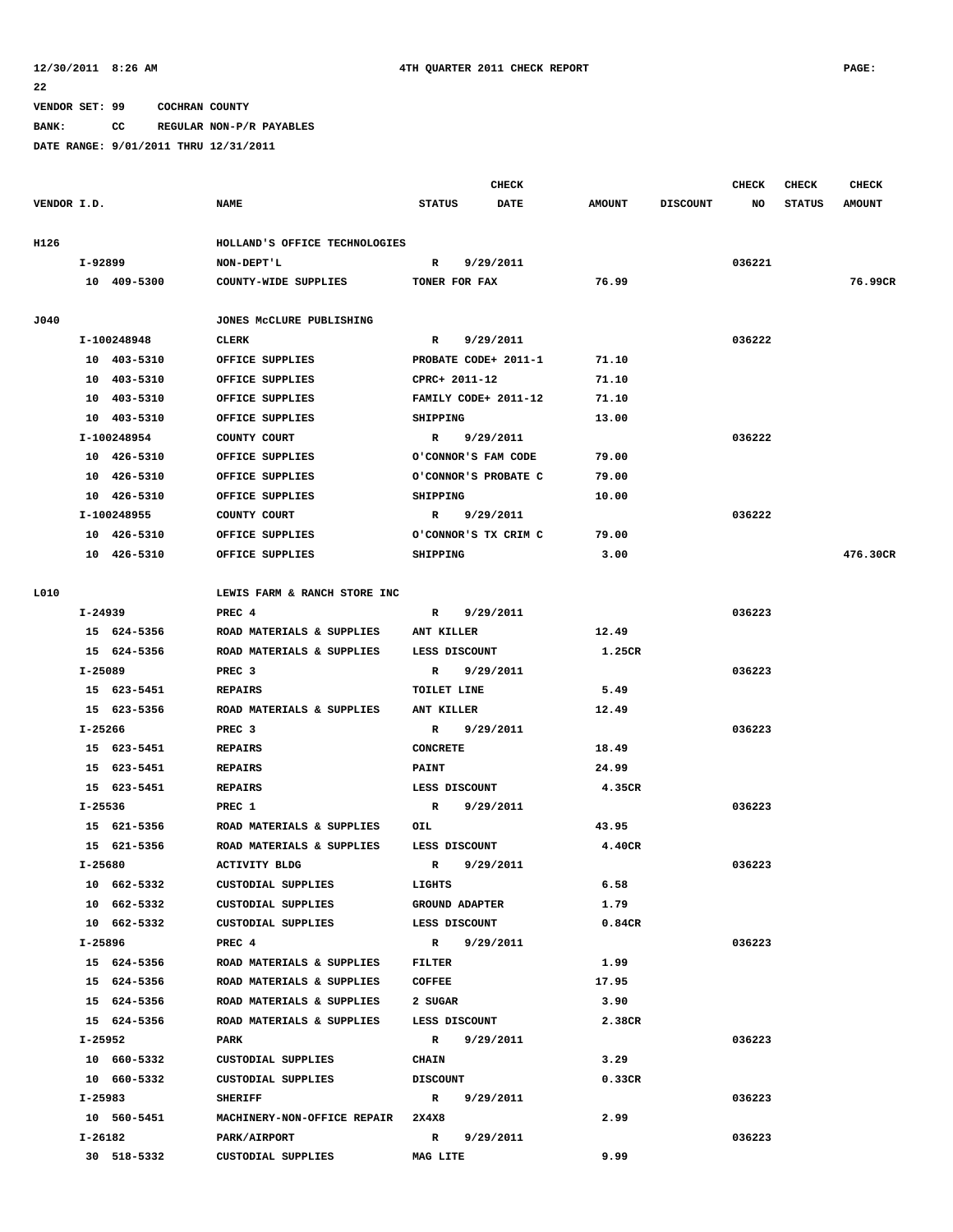#### **VENDOR SET: 99 COCHRAN COUNTY**

**BANK: CC REGULAR NON-P/R PAYABLES**

|             |             |                               | <b>CHECK</b>                 |               |                 | CHECK  | <b>CHECK</b>  | <b>CHECK</b>  |
|-------------|-------------|-------------------------------|------------------------------|---------------|-----------------|--------|---------------|---------------|
| VENDOR I.D. |             | <b>NAME</b>                   | <b>STATUS</b><br><b>DATE</b> | <b>AMOUNT</b> | <b>DISCOUNT</b> | NO     | <b>STATUS</b> | <b>AMOUNT</b> |
| H126        |             | HOLLAND'S OFFICE TECHNOLOGIES |                              |               |                 |        |               |               |
|             | I-92899     | NON-DEPT'L                    | $\mathbb{R}$<br>9/29/2011    |               |                 | 036221 |               |               |
|             | 10 409-5300 | COUNTY-WIDE SUPPLIES          | TONER FOR FAX                | 76.99         |                 |        |               | 76.99CR       |
|             |             |                               |                              |               |                 |        |               |               |
| J040        |             | JONES MCCLURE PUBLISHING      |                              |               |                 |        |               |               |
|             | I-100248948 | <b>CLERK</b>                  | 9/29/2011<br>$\mathbb{R}$    |               |                 | 036222 |               |               |
|             | 10 403-5310 | OFFICE SUPPLIES               | PROBATE CODE+ 2011-1         | 71.10         |                 |        |               |               |
|             | 10 403-5310 | OFFICE SUPPLIES               | CPRC+ 2011-12                | 71.10         |                 |        |               |               |
|             | 10 403-5310 | OFFICE SUPPLIES               | FAMILY CODE+ 2011-12         | 71.10         |                 |        |               |               |
|             | 10 403-5310 | OFFICE SUPPLIES               | SHIPPING                     | 13.00         |                 |        |               |               |
|             | I-100248954 | COUNTY COURT                  | 9/29/2011<br>R               |               |                 | 036222 |               |               |
|             | 10 426-5310 | OFFICE SUPPLIES               | O'CONNOR'S FAM CODE          | 79.00         |                 |        |               |               |
|             | 10 426-5310 | OFFICE SUPPLIES               | O'CONNOR'S PROBATE C         | 79.00         |                 |        |               |               |
|             | 10 426-5310 | OFFICE SUPPLIES               | SHIPPING                     | 10.00         |                 |        |               |               |
|             | I-100248955 | COUNTY COURT                  | 9/29/2011<br>R               |               |                 | 036222 |               |               |
|             | 10 426-5310 | OFFICE SUPPLIES               | O'CONNOR'S TX CRIM C         | 79.00         |                 |        |               |               |
|             | 10 426-5310 | OFFICE SUPPLIES               | SHIPPING                     | 3.00          |                 |        |               | 476.30CR      |
|             |             |                               |                              |               |                 |        |               |               |
| L010        |             | LEWIS FARM & RANCH STORE INC  |                              |               |                 |        |               |               |
|             | I-24939     | PREC 4                        | 9/29/2011<br>$\mathbb{R}$    |               |                 | 036223 |               |               |
|             | 15 624-5356 | ROAD MATERIALS & SUPPLIES     | ANT KILLER                   | 12.49         |                 |        |               |               |
|             | 15 624-5356 | ROAD MATERIALS & SUPPLIES     | LESS DISCOUNT                | 1.25CR        |                 |        |               |               |
|             | I-25089     | PREC <sub>3</sub>             | $\mathbb{R}$<br>9/29/2011    |               |                 | 036223 |               |               |
|             | 15 623-5451 | <b>REPAIRS</b>                | TOILET LINE                  | 5.49          |                 |        |               |               |
|             | 15 623-5356 | ROAD MATERIALS & SUPPLIES     | ANT KILLER                   | 12.49         |                 |        |               |               |
|             | $I - 25266$ | PREC <sub>3</sub>             | $\mathbb{R}$<br>9/29/2011    |               |                 | 036223 |               |               |
|             | 15 623-5451 | <b>REPAIRS</b>                | <b>CONCRETE</b>              | 18.49         |                 |        |               |               |
|             | 15 623-5451 | <b>REPAIRS</b>                | PAINT                        | 24.99         |                 |        |               |               |
|             | 15 623-5451 | <b>REPAIRS</b>                | LESS DISCOUNT                | 4.35CR        |                 |        |               |               |
|             | I-25536     | PREC 1                        | 9/29/2011<br>R               |               |                 | 036223 |               |               |
|             | 15 621-5356 | ROAD MATERIALS & SUPPLIES     | OIL                          | 43.95         |                 |        |               |               |
|             | 15 621-5356 | ROAD MATERIALS & SUPPLIES     | LESS DISCOUNT                | 4.40CR        |                 |        |               |               |
|             | I-25680     | <b>ACTIVITY BLDG</b>          | 9/29/2011<br>R               |               |                 | 036223 |               |               |
|             | 10 662-5332 | CUSTODIAL SUPPLIES            | LIGHTS                       | 6.58          |                 |        |               |               |
|             | 10 662-5332 | CUSTODIAL SUPPLIES            | GROUND ADAPTER               | 1.79          |                 |        |               |               |
|             | 10 662-5332 | CUSTODIAL SUPPLIES            | LESS DISCOUNT                | 0.84CR        |                 |        |               |               |
|             | I-25896     | PREC 4                        | R 9/29/2011                  |               |                 | 036223 |               |               |
|             | 15 624-5356 | ROAD MATERIALS & SUPPLIES     | FILTER                       | 1.99          |                 |        |               |               |
|             | 15 624-5356 | ROAD MATERIALS & SUPPLIES     | <b>COFFEE</b>                | 17.95         |                 |        |               |               |
|             | 15 624-5356 | ROAD MATERIALS & SUPPLIES     | 2 SUGAR                      | 3.90          |                 |        |               |               |
|             | 15 624-5356 | ROAD MATERIALS & SUPPLIES     | LESS DISCOUNT                | 2.38CR        |                 |        |               |               |
|             | I-25952     | PARK                          | 9/29/2011<br>R               |               |                 | 036223 |               |               |
|             | 10 660-5332 | CUSTODIAL SUPPLIES            | <b>CHAIN</b>                 | 3.29          |                 |        |               |               |
|             | 10 660-5332 | CUSTODIAL SUPPLIES            | <b>DISCOUNT</b>              | 0.33CR        |                 |        |               |               |
|             | I-25983     | <b>SHERIFF</b>                | 9/29/2011<br>$\mathbb{R}$    |               |                 | 036223 |               |               |
|             | 10 560-5451 | MACHINERY-NON-OFFICE REPAIR   | 2X4X8                        | 2.99          |                 |        |               |               |
|             | I-26182     | PARK/AIRPORT                  | 9/29/2011<br>$\mathbb{R}$    |               |                 | 036223 |               |               |
|             | 30 518-5332 | CUSTODIAL SUPPLIES            | MAG LITE                     | 9.99          |                 |        |               |               |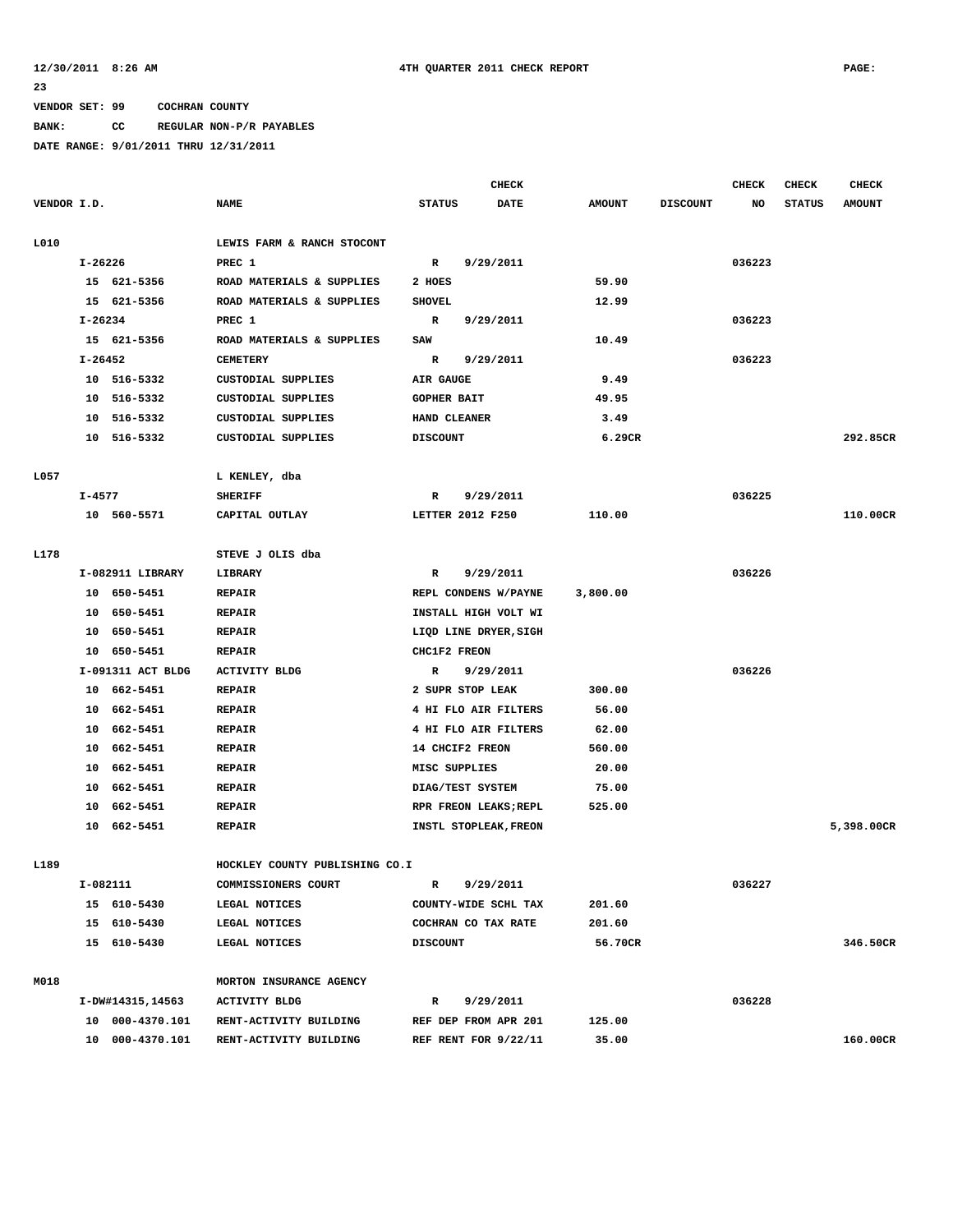#### **VENDOR SET: 99 COCHRAN COUNTY**

# **BANK: CC REGULAR NON-P/R PAYABLES**

|             |          |                   |                                |                    | <b>CHECK</b>                      |               |                 | CHECK  | <b>CHECK</b>  | <b>CHECK</b>  |
|-------------|----------|-------------------|--------------------------------|--------------------|-----------------------------------|---------------|-----------------|--------|---------------|---------------|
| VENDOR I.D. |          |                   | <b>NAME</b>                    | <b>STATUS</b>      | <b>DATE</b>                       | <b>AMOUNT</b> | <b>DISCOUNT</b> | NO     | <b>STATUS</b> | <b>AMOUNT</b> |
|             |          |                   |                                |                    |                                   |               |                 |        |               |               |
| L010        |          |                   | LEWIS FARM & RANCH STOCONT     |                    |                                   |               |                 |        |               |               |
|             | I-26226  |                   | PREC 1                         | $\mathbf R$        | 9/29/2011                         |               |                 | 036223 |               |               |
|             |          | 15 621-5356       | ROAD MATERIALS & SUPPLIES      | 2 HOES             |                                   | 59.90         |                 |        |               |               |
|             |          | 15 621-5356       | ROAD MATERIALS & SUPPLIES      | <b>SHOVEL</b>      |                                   | 12.99         |                 |        |               |               |
|             | I-26234  |                   | PREC 1                         | $\mathbb{R}$       | 9/29/2011                         |               |                 | 036223 |               |               |
|             |          | 15 621-5356       | ROAD MATERIALS & SUPPLIES      | <b>SAW</b>         |                                   | 10.49         |                 |        |               |               |
|             | I-26452  |                   | <b>CEMETERY</b>                | R                  | 9/29/2011                         |               |                 | 036223 |               |               |
|             |          | 10 516-5332       | <b>CUSTODIAL SUPPLIES</b>      | <b>AIR GAUGE</b>   |                                   | 9.49          |                 |        |               |               |
|             |          | 10 516-5332       | CUSTODIAL SUPPLIES             | <b>GOPHER BAIT</b> |                                   | 49.95         |                 |        |               |               |
|             |          | 10 516-5332       | <b>CUSTODIAL SUPPLIES</b>      | HAND CLEANER       |                                   | 3.49          |                 |        |               |               |
|             |          | 10 516-5332       | CUSTODIAL SUPPLIES             | <b>DISCOUNT</b>    |                                   | 6.29CR        |                 |        |               | 292.85CR      |
|             |          |                   |                                |                    |                                   |               |                 |        |               |               |
| L057        |          |                   | L KENLEY, dba                  |                    |                                   |               |                 |        |               |               |
|             | I-4577   |                   | <b>SHERIFF</b>                 | R                  | 9/29/2011                         |               |                 | 036225 |               |               |
|             |          | 10 560-5571       | CAPITAL OUTLAY                 |                    | LETTER 2012 F250                  | 110.00        |                 |        |               | 110.00CR      |
|             |          |                   |                                |                    |                                   |               |                 |        |               |               |
| L178        |          |                   | STEVE J OLIS dba               |                    |                                   |               |                 |        |               |               |
|             |          | I-082911 LIBRARY  | LIBRARY                        | R                  | 9/29/2011                         |               |                 | 036226 |               |               |
|             |          | 10 650-5451       | <b>REPAIR</b>                  |                    | REPL CONDENS W/PAYNE              | 3,800.00      |                 |        |               |               |
|             |          | 10 650-5451       | <b>REPAIR</b>                  |                    | INSTALL HIGH VOLT WI              |               |                 |        |               |               |
|             |          | 10 650-5451       | <b>REPAIR</b>                  |                    | LIQD LINE DRYER, SIGH             |               |                 |        |               |               |
|             |          | 10 650-5451       | <b>REPAIR</b>                  | CHC1F2 FREON       |                                   |               |                 |        |               |               |
|             |          | I-091311 ACT BLDG | <b>ACTIVITY BLDG</b>           | $\mathbb{R}$       | 9/29/2011                         |               |                 | 036226 |               |               |
|             |          | 10 662-5451       | <b>REPAIR</b>                  |                    | 2 SUPR STOP LEAK                  | 300.00        |                 |        |               |               |
|             |          | 10 662-5451       | <b>REPAIR</b>                  |                    | 4 HI FLO AIR FILTERS              | 56.00         |                 |        |               |               |
|             |          | 10 662-5451       | <b>REPAIR</b>                  |                    | 4 HI FLO AIR FILTERS              | 62.00         |                 |        |               |               |
|             |          | 10 662-5451       | <b>REPAIR</b>                  |                    | 14 CHCIF2 FREON                   | 560.00        |                 |        |               |               |
|             |          | 10 662-5451       | <b>REPAIR</b>                  | MISC SUPPLIES      |                                   | 20.00         |                 |        |               |               |
|             |          | 10 662-5451       | <b>REPAIR</b>                  |                    | DIAG/TEST SYSTEM                  | 75.00         |                 |        |               |               |
|             |          | 10 662-5451       | <b>REPAIR</b>                  |                    | RPR FREON LEAKS; REPL             | 525.00        |                 |        |               |               |
|             | 10       | 662-5451          | <b>REPAIR</b>                  |                    | INSTL STOPLEAK, FREON             |               |                 |        |               | 5,398.00CR    |
|             |          |                   |                                |                    |                                   |               |                 |        |               |               |
| L189        |          |                   | HOCKLEY COUNTY PUBLISHING CO.I |                    |                                   |               |                 |        |               |               |
|             | I-082111 |                   | COMMISSIONERS COURT            | R                  | 9/29/2011                         |               |                 | 036227 |               |               |
|             |          | 15 610-5430       | LEGAL NOTICES                  |                    | COUNTY-WIDE SCHL TAX              | 201.60        |                 |        |               |               |
|             |          | 15 610-5430       | LEGAL NOTICES                  |                    | COCHRAN CO TAX RATE               | 201.60        |                 |        |               |               |
|             |          | 15 610-5430       | LEGAL NOTICES                  | <b>DISCOUNT</b>    |                                   | 56.70CR       |                 |        |               | 346.50CR      |
| M018        |          |                   |                                |                    |                                   |               |                 |        |               |               |
|             |          |                   | MORTON INSURANCE AGENCY        |                    |                                   |               |                 |        |               |               |
|             |          | I-DW#14315,14563  | <b>ACTIVITY BLDG</b>           | R                  | 9/29/2011<br>REF DEP FROM APR 201 |               |                 | 036228 |               |               |
|             |          | 10 000-4370.101   | RENT-ACTIVITY BUILDING         |                    |                                   | 125.00        |                 |        |               |               |
|             |          | 10 000-4370.101   | RENT-ACTIVITY BUILDING         |                    | REF RENT FOR $9/22/11$            | 35.00         |                 |        |               | 160.00CR      |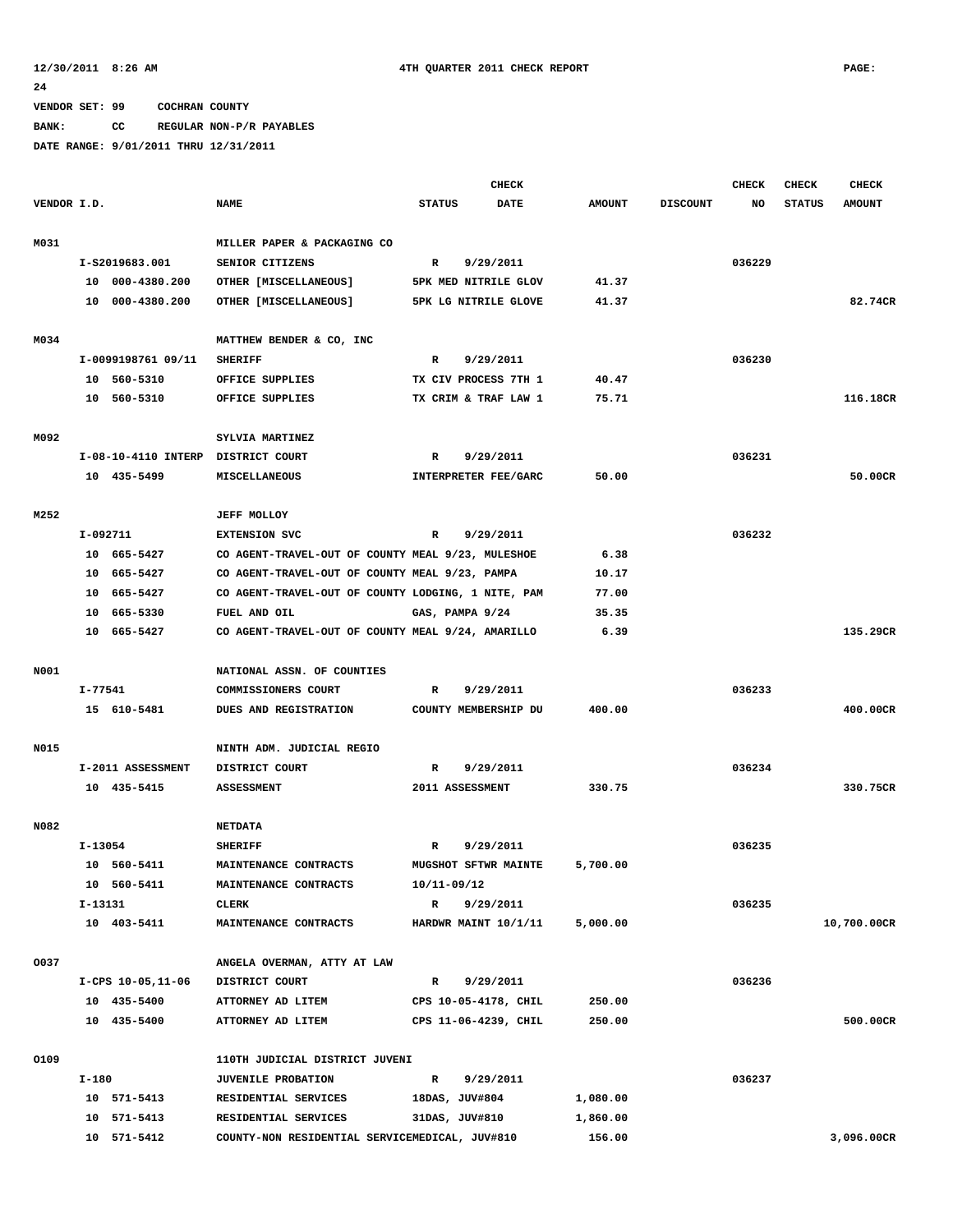#### **VENDOR SET: 99 COCHRAN COUNTY**

# **BANK: CC REGULAR NON-P/R PAYABLES**

|             |                                    |                                                    | <b>CHECK</b>                   |             |               |                 | <b>CHECK</b><br><b>CHECK</b><br><b>CHECK</b> |               |               |  |
|-------------|------------------------------------|----------------------------------------------------|--------------------------------|-------------|---------------|-----------------|----------------------------------------------|---------------|---------------|--|
| VENDOR I.D. |                                    | <b>NAME</b>                                        | <b>STATUS</b>                  | <b>DATE</b> | <b>AMOUNT</b> | <b>DISCOUNT</b> | NO                                           | <b>STATUS</b> | <b>AMOUNT</b> |  |
|             |                                    |                                                    |                                |             |               |                 |                                              |               |               |  |
| M031        |                                    | MILLER PAPER & PACKAGING CO                        |                                |             |               |                 |                                              |               |               |  |
|             | I-S2019683.001                     | SENIOR CITIZENS                                    | R                              | 9/29/2011   |               |                 | 036229                                       |               |               |  |
|             | 10 000-4380.200                    | OTHER [MISCELLANEOUS]                              | 5PK MED NITRILE GLOV           |             | 41.37         |                 |                                              |               |               |  |
|             | 10 000-4380.200                    | OTHER [MISCELLANEOUS]                              | 5PK LG NITRILE GLOVE           |             | 41.37         |                 |                                              |               | 82.74CR       |  |
|             |                                    |                                                    |                                |             |               |                 |                                              |               |               |  |
| M034        |                                    | MATTHEW BENDER & CO, INC                           |                                |             |               |                 |                                              |               |               |  |
|             | I-0099198761 09/11                 | <b>SHERIFF</b>                                     | R                              | 9/29/2011   |               |                 | 036230                                       |               |               |  |
|             | 10 560-5310                        | OFFICE SUPPLIES                                    | TX CIV PROCESS 7TH 1           |             | 40.47         |                 |                                              |               |               |  |
|             | 10 560-5310                        | OFFICE SUPPLIES                                    | TX CRIM & TRAF LAW 1           |             | 75.71         |                 |                                              |               | 116.18CR      |  |
|             |                                    |                                                    |                                |             |               |                 |                                              |               |               |  |
| M092        |                                    | SYLVIA MARTINEZ                                    |                                |             |               |                 |                                              |               |               |  |
|             | I-08-10-4110 INTERP<br>10 435-5499 | DISTRICT COURT                                     | R<br>INTERPRETER FEE/GARC      | 9/29/2011   | 50.00         |                 | 036231                                       |               | 50.00CR       |  |
|             |                                    | MISCELLANEOUS                                      |                                |             |               |                 |                                              |               |               |  |
| M252        |                                    | <b>JEFF MOLLOY</b>                                 |                                |             |               |                 |                                              |               |               |  |
|             | I-092711                           | <b>EXTENSION SVC</b>                               | R                              | 9/29/2011   |               |                 | 036232                                       |               |               |  |
|             | 10 665-5427                        | CO AGENT-TRAVEL-OUT OF COUNTY MEAL 9/23, MULESHOE  |                                |             | 6.38          |                 |                                              |               |               |  |
|             | 10 665-5427                        | CO AGENT-TRAVEL-OUT OF COUNTY MEAL 9/23, PAMPA     |                                |             | 10.17         |                 |                                              |               |               |  |
|             | 10 665-5427                        | CO AGENT-TRAVEL-OUT OF COUNTY LODGING, 1 NITE, PAM |                                |             | 77.00         |                 |                                              |               |               |  |
|             | 10 665-5330                        | FUEL AND OIL                                       | GAS, PAMPA 9/24                |             | 35.35         |                 |                                              |               |               |  |
|             | 10 665-5427                        | CO AGENT-TRAVEL-OUT OF COUNTY MEAL 9/24, AMARILLO  |                                |             | 6.39          |                 |                                              |               | 135.29CR      |  |
|             |                                    |                                                    |                                |             |               |                 |                                              |               |               |  |
| N001        |                                    | NATIONAL ASSN. OF COUNTIES                         |                                |             |               |                 |                                              |               |               |  |
|             | I-77541                            | COMMISSIONERS COURT                                | R                              | 9/29/2011   |               |                 | 036233                                       |               |               |  |
|             | 15 610-5481                        | DUES AND REGISTRATION                              | COUNTY MEMBERSHIP DU           |             | 400.00        |                 |                                              |               | 400.00CR      |  |
|             |                                    |                                                    |                                |             |               |                 |                                              |               |               |  |
| N015        |                                    | NINTH ADM. JUDICIAL REGIO                          |                                |             |               |                 |                                              |               |               |  |
|             | I-2011 ASSESSMENT                  | DISTRICT COURT                                     | R                              | 9/29/2011   |               |                 | 036234                                       |               |               |  |
|             | 10 435-5415                        | <b>ASSESSMENT</b>                                  | 2011 ASSESSMENT                |             | 330.75        |                 |                                              |               | 330.75CR      |  |
|             |                                    |                                                    |                                |             |               |                 |                                              |               |               |  |
| N082        |                                    | <b>NETDATA</b>                                     |                                |             |               |                 |                                              |               |               |  |
|             | I-13054                            | <b>SHERIFF</b>                                     | R                              | 9/29/2011   |               |                 | 036235                                       |               |               |  |
|             | 10 560-5411                        | MAINTENANCE CONTRACTS                              | MUGSHOT SFTWR MAINTE           |             | 5,700.00      |                 |                                              |               |               |  |
|             | 10 560-5411                        | MAINTENANCE CONTRACTS                              | 10/11-09/12                    |             |               |                 |                                              |               |               |  |
|             | I-13131                            | <b>CLERK</b>                                       | R                              | 9/29/2011   |               |                 | 036235                                       |               |               |  |
|             | 10 403-5411                        | MAINTENANCE CONTRACTS                              | HARDWR MAINT 10/1/11           |             | 5,000.00      |                 |                                              |               | 10,700.00CR   |  |
|             |                                    |                                                    |                                |             |               |                 |                                              |               |               |  |
| 0037        |                                    | ANGELA OVERMAN, ATTY AT LAW                        |                                |             |               |                 |                                              |               |               |  |
|             | I-CPS 10-05,11-06                  | DISTRICT COURT                                     | $\mathbf{R}$                   | 9/29/2011   |               |                 | 036236                                       |               |               |  |
|             | 10 435-5400                        | ATTORNEY AD LITEM                                  | CPS 10-05-4178, CHIL           |             | 250.00        |                 |                                              |               |               |  |
|             | 10 435-5400                        | ATTORNEY AD LITEM                                  | CPS 11-06-4239, CHIL           |             | 250.00        |                 |                                              |               | 500.00CR      |  |
|             |                                    |                                                    |                                |             |               |                 |                                              |               |               |  |
| 0109        |                                    | 110TH JUDICIAL DISTRICT JUVENI                     |                                |             |               |                 | 036237                                       |               |               |  |
|             | I-180<br>10 571-5413               | <b>JUVENILE PROBATION</b><br>RESIDENTIAL SERVICES  | $\mathbb{R}$<br>18DAS, JUV#804 | 9/29/2011   | 1,080.00      |                 |                                              |               |               |  |
|             | 10 571-5413                        | RESIDENTIAL SERVICES                               | 31DAS, JUV#810                 |             | 1,860.00      |                 |                                              |               |               |  |
|             | 10 571-5412                        | COUNTY-NON RESIDENTIAL SERVICEMEDICAL, JUV#810     |                                |             | 156.00        |                 |                                              |               | 3,096.00CR    |  |
|             |                                    |                                                    |                                |             |               |                 |                                              |               |               |  |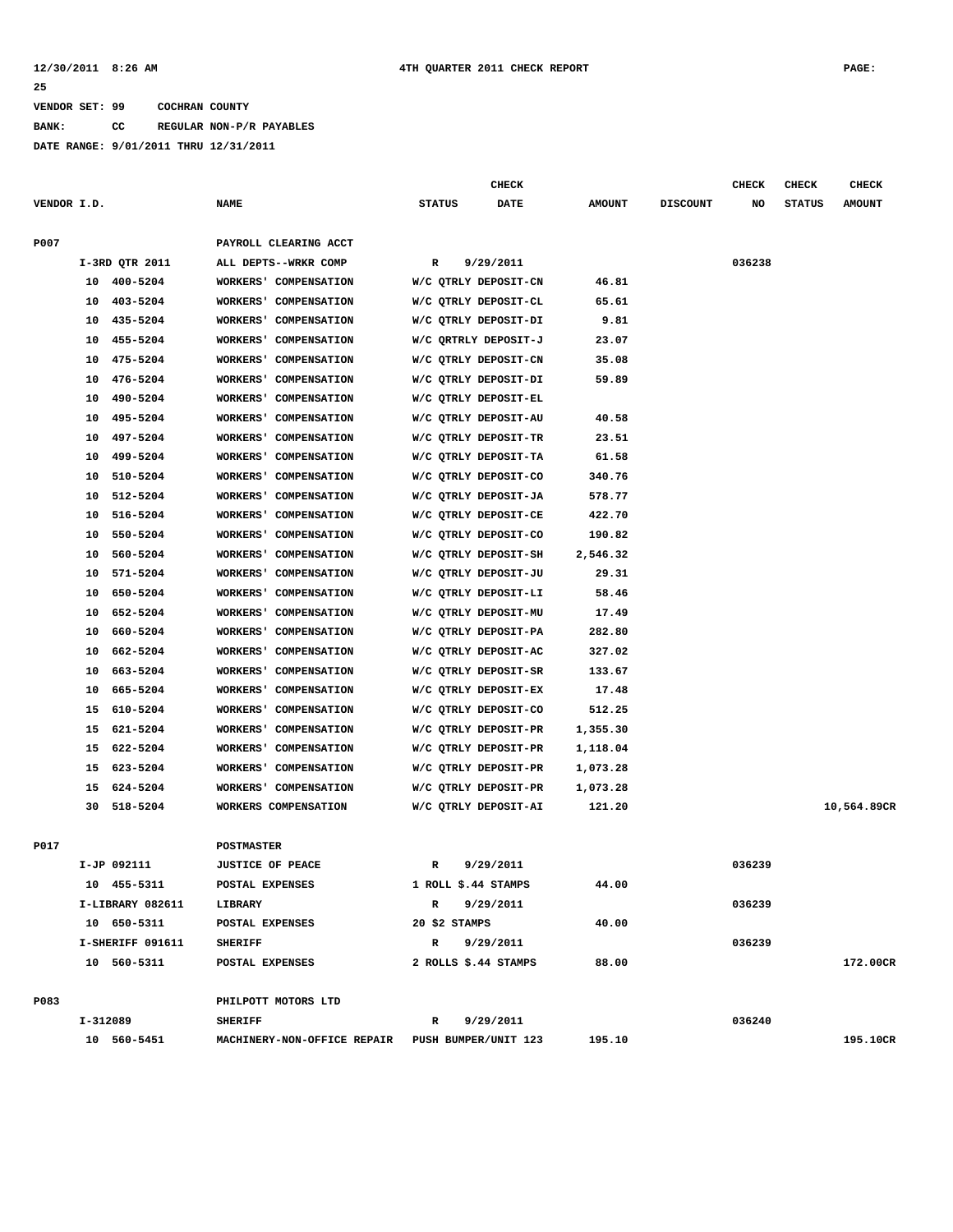## **VENDOR SET: 99 COCHRAN COUNTY BANK: CC REGULAR NON-P/R PAYABLES**

|             |                  |                                 | <b>CHECK</b>              |               |                 | <b>CHECK</b> | CHECK         | CHECK         |
|-------------|------------------|---------------------------------|---------------------------|---------------|-----------------|--------------|---------------|---------------|
| VENDOR I.D. |                  | <b>NAME</b>                     | <b>STATUS</b><br>DATE     | <b>AMOUNT</b> | <b>DISCOUNT</b> | NO           | <b>STATUS</b> | <b>AMOUNT</b> |
| P007        |                  | PAYROLL CLEARING ACCT           |                           |               |                 |              |               |               |
|             | I-3RD QTR 2011   | ALL DEPTS--WRKR COMP            | R<br>9/29/2011            |               |                 | 036238       |               |               |
|             | 400-5204<br>10   | WORKERS' COMPENSATION           | W/C QTRLY DEPOSIT-CN      | 46.81         |                 |              |               |               |
|             | 403-5204<br>10   | WORKERS' COMPENSATION           | W/C QTRLY DEPOSIT-CL      | 65.61         |                 |              |               |               |
|             | 435-5204<br>10   | WORKERS' COMPENSATION           | W/C QTRLY DEPOSIT-DI      | 9.81          |                 |              |               |               |
|             | 455-5204<br>10   | WORKERS' COMPENSATION           | W/C ORTRLY DEPOSIT-J      | 23.07         |                 |              |               |               |
|             | 475-5204<br>10   | WORKERS' COMPENSATION           | W/C QTRLY DEPOSIT-CN      | 35.08         |                 |              |               |               |
|             | 476-5204<br>10   | WORKERS' COMPENSATION           | W/C QTRLY DEPOSIT-DI      | 59.89         |                 |              |               |               |
|             | 490-5204<br>10   | WORKERS' COMPENSATION           | W/C QTRLY DEPOSIT-EL      |               |                 |              |               |               |
|             | 495-5204<br>10   | WORKERS' COMPENSATION           | W/C QTRLY DEPOSIT-AU      | 40.58         |                 |              |               |               |
|             | 497-5204<br>10   | WORKERS' COMPENSATION           | W/C QTRLY DEPOSIT-TR      | 23.51         |                 |              |               |               |
|             | 499-5204<br>10   | WORKERS' COMPENSATION           | W/C QTRLY DEPOSIT-TA      | 61.58         |                 |              |               |               |
|             | 510-5204<br>10   | COMPENSATION<br><b>WORKERS'</b> | W/C QTRLY DEPOSIT-CO      | 340.76        |                 |              |               |               |
|             | 512-5204<br>10   | WORKERS' COMPENSATION           | W/C QTRLY DEPOSIT-JA      | 578.77        |                 |              |               |               |
|             | 516-5204<br>10   | <b>WORKERS'</b><br>COMPENSATION | W/C QTRLY DEPOSIT-CE      | 422.70        |                 |              |               |               |
|             | 550-5204<br>10   | WORKERS' COMPENSATION           | W/C QTRLY DEPOSIT-CO      | 190.82        |                 |              |               |               |
|             | 560-5204<br>10   | WORKERS' COMPENSATION           | W/C QTRLY DEPOSIT-SH      | 2,546.32      |                 |              |               |               |
|             | 571-5204<br>10   | WORKERS' COMPENSATION           | W/C QTRLY DEPOSIT-JU      | 29.31         |                 |              |               |               |
|             | 650-5204<br>10   | COMPENSATION<br><b>WORKERS'</b> | W/C QTRLY DEPOSIT-LI      | 58.46         |                 |              |               |               |
|             | 652-5204<br>10   | WORKERS' COMPENSATION           | W/C QTRLY DEPOSIT-MU      | 17.49         |                 |              |               |               |
|             | 660-5204<br>10   | WORKERS' COMPENSATION           | W/C QTRLY DEPOSIT-PA      | 282.80        |                 |              |               |               |
|             | 662-5204<br>10   | WORKERS' COMPENSATION           | W/C QTRLY DEPOSIT-AC      | 327.02        |                 |              |               |               |
|             | 663-5204<br>10   | WORKERS' COMPENSATION           | W/C QTRLY DEPOSIT-SR      | 133.67        |                 |              |               |               |
|             | 665-5204<br>10   | WORKERS' COMPENSATION           | W/C QTRLY DEPOSIT-EX      | 17.48         |                 |              |               |               |
|             | 610-5204<br>15   | WORKERS' COMPENSATION           | W/C QTRLY DEPOSIT-CO      | 512.25        |                 |              |               |               |
|             | 621-5204<br>15   | WORKERS' COMPENSATION           | W/C QTRLY DEPOSIT-PR      | 1,355.30      |                 |              |               |               |
|             | 622-5204<br>15   | WORKERS' COMPENSATION           | W/C QTRLY DEPOSIT-PR      | 1,118.04      |                 |              |               |               |
|             | 623-5204<br>15   | WORKERS' COMPENSATION           | W/C QTRLY DEPOSIT-PR      | 1,073.28      |                 |              |               |               |
|             | 624-5204<br>15   | WORKERS' COMPENSATION           | W/C QTRLY DEPOSIT-PR      | 1,073.28      |                 |              |               |               |
|             | 518-5204<br>30   | WORKERS COMPENSATION            | W/C QTRLY DEPOSIT-AI      | 121.20        |                 |              |               | 10,564.89CR   |
|             |                  |                                 |                           |               |                 |              |               |               |
| <b>P017</b> |                  | <b>POSTMASTER</b>               |                           |               |                 |              |               |               |
|             | I-JP 092111      | <b>JUSTICE OF PEACE</b>         | 9/29/2011<br>R            |               |                 | 036239       |               |               |
|             | 10 455-5311      | POSTAL EXPENSES                 | 1 ROLL \$.44 STAMPS       | 44.00         |                 |              |               |               |
|             | I-LIBRARY 082611 | LIBRARY                         | $\mathbb{R}$<br>9/29/2011 |               |                 | 036239       |               |               |
|             | 10 650-5311      | POSTAL EXPENSES                 | 20 \$2 STAMPS             | 40.00         |                 |              |               |               |
|             | I-SHERIFF 091611 | <b>SHERIFF</b>                  | R 9/29/2011               |               |                 | 036239       |               |               |
|             | 10 560-5311      | POSTAL EXPENSES                 | 2 ROLLS \$.44 STAMPS      | 88.00         |                 |              |               | 172.00CR      |
|             |                  |                                 |                           |               |                 |              |               |               |
| P083        |                  | PHILPOTT MOTORS LTD             |                           |               |                 |              |               |               |
|             | I-312089         | <b>SHERIFF</b>                  | 9/29/2011<br>R            |               |                 | 036240       |               |               |
|             | 10 560-5451      | MACHINERY-NON-OFFICE REPAIR     | PUSH BUMPER/UNIT 123      | 195.10        |                 |              |               | 195.10CR      |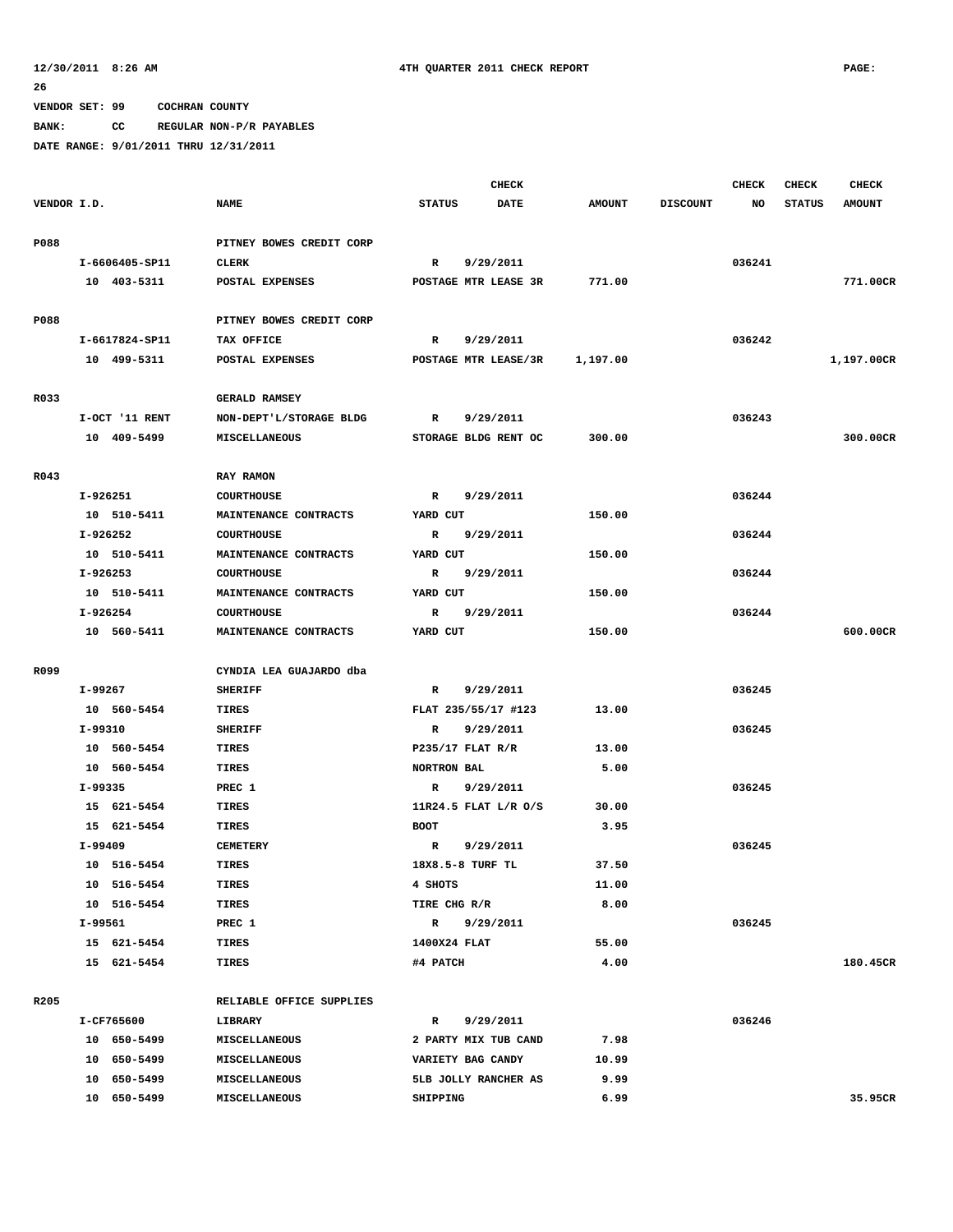# **VENDOR SET: 99 COCHRAN COUNTY**

**BANK: CC REGULAR NON-P/R PAYABLES**

|             |            |                            |                          |                    | <b>CHECK</b>         |               |                 | CHECK  | <b>CHECK</b>  | <b>CHECK</b>  |
|-------------|------------|----------------------------|--------------------------|--------------------|----------------------|---------------|-----------------|--------|---------------|---------------|
| VENDOR I.D. |            |                            | <b>NAME</b>              | <b>STATUS</b>      | <b>DATE</b>          | <b>AMOUNT</b> | <b>DISCOUNT</b> | NO     | <b>STATUS</b> | <b>AMOUNT</b> |
|             |            |                            |                          |                    |                      |               |                 |        |               |               |
| P088        |            |                            | PITNEY BOWES CREDIT CORP |                    |                      |               |                 |        |               |               |
|             |            | I-6606405-SP11             | <b>CLERK</b>             | $\mathbb{R}$       | 9/29/2011            |               |                 | 036241 |               |               |
|             |            | 10 403-5311                | POSTAL EXPENSES          |                    | POSTAGE MTR LEASE 3R | 771.00        |                 |        |               | 771.00CR      |
|             |            |                            |                          |                    |                      |               |                 |        |               |               |
| P088        |            |                            | PITNEY BOWES CREDIT CORP |                    |                      |               |                 |        |               |               |
|             |            | I-6617824-SP11             | TAX OFFICE               | R                  | 9/29/2011            |               |                 | 036242 |               |               |
|             |            | 10 499-5311                | POSTAL EXPENSES          |                    | POSTAGE MTR LEASE/3R | 1,197.00      |                 |        |               | 1,197.00CR    |
| R033        |            |                            | <b>GERALD RAMSEY</b>     |                    |                      |               |                 |        |               |               |
|             |            | I-OCT '11 RENT             | NON-DEPT'L/STORAGE BLDG  | R                  | 9/29/2011            |               |                 | 036243 |               |               |
|             |            | 10 409-5499                | <b>MISCELLANEOUS</b>     |                    | STORAGE BLDG RENT OC | 300.00        |                 |        |               | 300.00CR      |
|             |            |                            |                          |                    |                      |               |                 |        |               |               |
| R043        |            |                            | RAY RAMON                |                    |                      |               |                 |        |               |               |
|             | I-926251   |                            | COURTHOUSE               | $\mathbf{R}$       | 9/29/2011            |               |                 | 036244 |               |               |
|             |            | 10 510-5411                | MAINTENANCE CONTRACTS    | YARD CUT           |                      | 150.00        |                 |        |               |               |
|             | I-926252   |                            | <b>COURTHOUSE</b>        |                    | R 9/29/2011          |               |                 | 036244 |               |               |
|             |            | 10 510-5411                | MAINTENANCE CONTRACTS    | YARD CUT           |                      | 150.00        |                 |        |               |               |
|             | $I-926253$ |                            | <b>COURTHOUSE</b>        | R                  | 9/29/2011            |               |                 | 036244 |               |               |
|             |            | 10 510-5411                | MAINTENANCE CONTRACTS    | YARD CUT           |                      | 150.00        |                 |        |               |               |
|             | I-926254   |                            | COURTHOUSE               | R                  | 9/29/2011            |               |                 | 036244 |               |               |
|             |            | 10 560-5411                | MAINTENANCE CONTRACTS    | YARD CUT           |                      | 150.00        |                 |        |               | 600.00CR      |
|             |            |                            |                          |                    |                      |               |                 |        |               |               |
| R099        |            |                            | CYNDIA LEA GUAJARDO dba  |                    |                      |               |                 |        |               |               |
|             | I-99267    |                            | <b>SHERIFF</b>           | R                  | 9/29/2011            |               |                 | 036245 |               |               |
|             |            | 10 560-5454                | TIRES                    |                    | FLAT 235/55/17 #123  | 13.00         |                 |        |               |               |
|             | I-99310    |                            | <b>SHERIFF</b>           | R                  | 9/29/2011            |               |                 | 036245 |               |               |
|             |            | 10 560-5454                | <b>TIRES</b>             |                    | $P235/17$ FLAT R/R   | 13.00         |                 |        |               |               |
|             |            | 10 560-5454                | TIRES                    | <b>NORTRON BAL</b> |                      | 5.00          |                 |        |               |               |
|             | I-99335    |                            | PREC 1                   | $\mathbf{R}$       | 9/29/2011            |               |                 | 036245 |               |               |
|             |            | 15 621-5454                | TIRES                    |                    | 11R24.5 FLAT L/R O/S | 30.00         |                 |        |               |               |
|             |            | 15 621-5454                | TIRES                    | BOOT               |                      | 3.95          |                 |        |               |               |
|             | I-99409    |                            | <b>CEMETERY</b>          | $\mathbb{R}$       | 9/29/2011            |               |                 | 036245 |               |               |
|             |            | 10 516-5454<br>10 516-5454 | TIRES                    | 4 SHOTS            | 18X8.5-8 TURF TL     | 37.50         |                 |        |               |               |
|             |            | 10 516-5454                | TIRES<br>TIRES           | TIRE CHG R/R       |                      | 11.00<br>8.00 |                 |        |               |               |
|             | I-99561    |                            | PREC 1                   |                    | R 9/29/2011          |               |                 | 036245 |               |               |
|             |            | 15 621-5454                | TIRES                    | 1400X24 FLAT       |                      | 55.00         |                 |        |               |               |
|             |            | 15 621-5454                | TIRES                    | #4 PATCH           |                      | 4.00          |                 |        |               | 180.45CR      |
|             |            |                            |                          |                    |                      |               |                 |        |               |               |
| R205        |            |                            | RELIABLE OFFICE SUPPLIES |                    |                      |               |                 |        |               |               |
|             |            | I-CF765600                 | LIBRARY                  | R                  | 9/29/2011            |               |                 | 036246 |               |               |
|             |            | 10 650-5499                | MISCELLANEOUS            |                    | 2 PARTY MIX TUB CAND | 7.98          |                 |        |               |               |
|             |            | 10 650-5499                | MISCELLANEOUS            |                    | VARIETY BAG CANDY    | 10.99         |                 |        |               |               |
|             |            | 10 650-5499                | MISCELLANEOUS            |                    | 5LB JOLLY RANCHER AS | 9.99          |                 |        |               |               |
|             |            | 10 650-5499                | MISCELLANEOUS            | SHIPPING           |                      | 6.99          |                 |        |               | 35.95CR       |
|             |            |                            |                          |                    |                      |               |                 |        |               |               |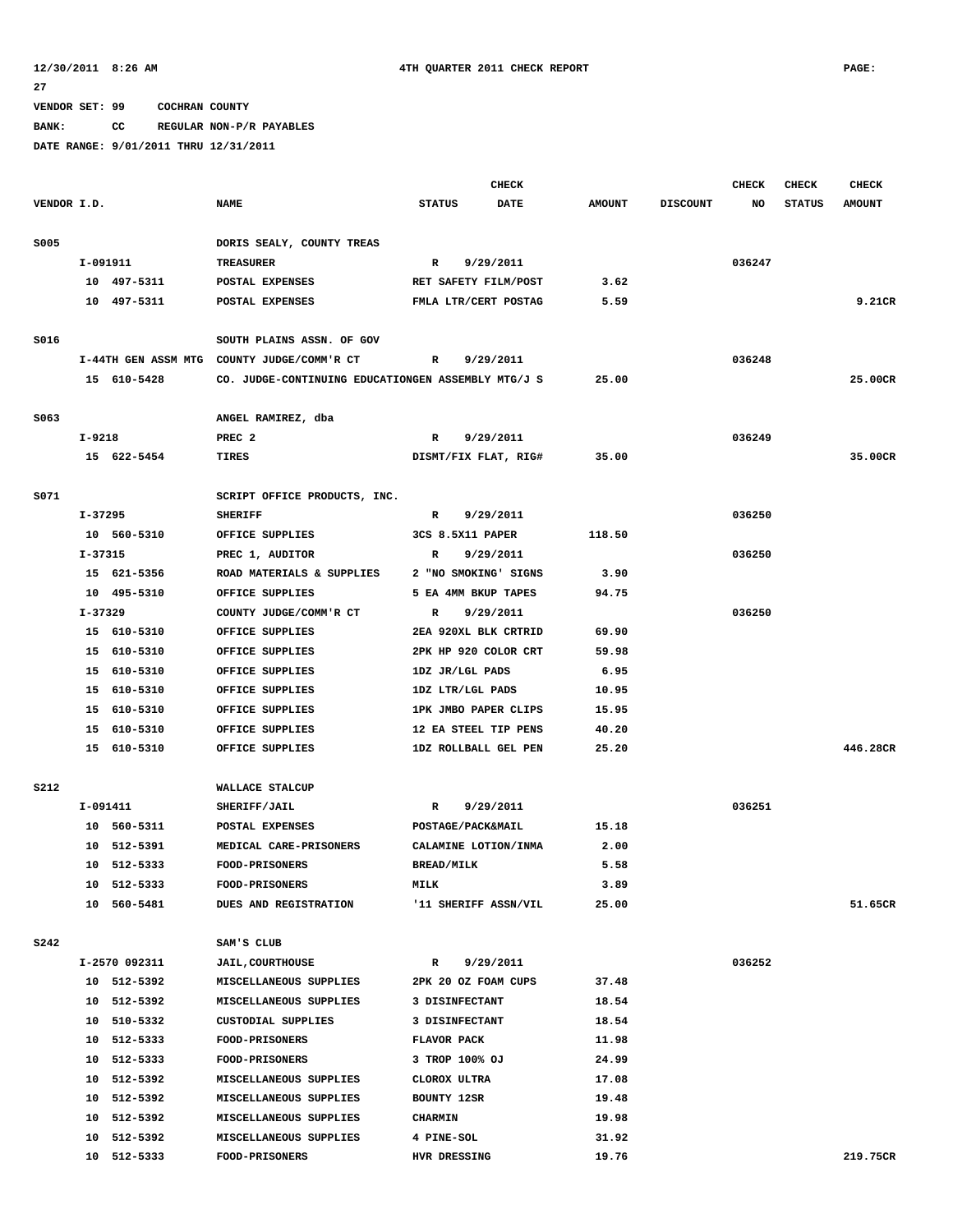#### **VENDOR SET: 99 COCHRAN COUNTY**

# **BANK: CC REGULAR NON-P/R PAYABLES**

|             |          |                            |                                                    | <b>CHECK</b>       |                     |                      |               |                 |        | <b>CHECK</b>  | <b>CHECK</b>  |
|-------------|----------|----------------------------|----------------------------------------------------|--------------------|---------------------|----------------------|---------------|-----------------|--------|---------------|---------------|
| VENDOR I.D. |          |                            | <b>NAME</b>                                        | <b>STATUS</b>      |                     | <b>DATE</b>          | <b>AMOUNT</b> | <b>DISCOUNT</b> | NO     | <b>STATUS</b> | <b>AMOUNT</b> |
|             |          |                            |                                                    |                    |                     |                      |               |                 |        |               |               |
| S005        |          |                            | DORIS SEALY, COUNTY TREAS                          |                    |                     |                      |               |                 |        |               |               |
|             | I-091911 |                            | TREASURER                                          | R                  | 9/29/2011           |                      |               |                 | 036247 |               |               |
|             |          | 10 497-5311                | POSTAL EXPENSES                                    |                    |                     | RET SAFETY FILM/POST | 3.62          |                 |        |               |               |
|             |          | 10 497-5311                | POSTAL EXPENSES                                    |                    |                     | FMLA LTR/CERT POSTAG | 5.59          |                 |        |               | 9.21CR        |
|             |          |                            |                                                    |                    |                     |                      |               |                 |        |               |               |
| S016        |          |                            | SOUTH PLAINS ASSN. OF GOV<br>9/29/2011             |                    |                     |                      |               |                 |        |               |               |
|             |          |                            | I-44TH GEN ASSM MTG COUNTY JUDGE/COMM'R CT         | R                  |                     |                      |               |                 | 036248 |               |               |
|             |          | 15 610-5428                | CO. JUDGE-CONTINUING EDUCATIONGEN ASSEMBLY MTG/J S |                    |                     |                      | 25.00         |                 |        |               | 25.00CR       |
| S063        |          |                            | ANGEL RAMIREZ, dba                                 |                    |                     |                      |               |                 |        |               |               |
|             | I-9218   |                            | PREC <sub>2</sub>                                  | R                  | 9/29/2011           |                      |               |                 | 036249 |               |               |
|             |          | 15 622-5454                | TIRES                                              |                    |                     | DISMT/FIX FLAT, RIG# | 35.00         |                 |        |               | 35.00CR       |
|             |          |                            |                                                    |                    |                     |                      |               |                 |        |               |               |
| S071        |          |                            | SCRIPT OFFICE PRODUCTS, INC.                       |                    |                     |                      |               |                 |        |               |               |
|             | I-37295  |                            | <b>SHERIFF</b>                                     | R                  | 9/29/2011           |                      |               |                 | 036250 |               |               |
|             |          | 10 560-5310                | OFFICE SUPPLIES                                    |                    | 3CS 8.5X11 PAPER    |                      | 118.50        |                 |        |               |               |
|             | I-37315  |                            | PREC 1, AUDITOR                                    | R                  | 9/29/2011           |                      |               |                 | 036250 |               |               |
|             |          | 15 621-5356                | ROAD MATERIALS & SUPPLIES                          |                    |                     | 2 "NO SMOKING' SIGNS | 3.90          |                 |        |               |               |
|             |          | 10 495-5310                | OFFICE SUPPLIES                                    |                    | 5 EA 4MM BKUP TAPES |                      | 94.75         |                 |        |               |               |
|             | I-37329  |                            | COUNTY JUDGE/COMM'R CT                             | R                  | 9/29/2011           |                      |               |                 | 036250 |               |               |
|             |          | 15 610-5310                | OFFICE SUPPLIES                                    |                    |                     | 2EA 920XL BLK CRTRID | 69.90         |                 |        |               |               |
|             |          | 15 610-5310                | OFFICE SUPPLIES                                    |                    |                     | 2PK HP 920 COLOR CRT | 59.98         |                 |        |               |               |
|             |          | 15 610-5310                | OFFICE SUPPLIES                                    |                    | 1DZ JR/LGL PADS     |                      | 6.95          |                 |        |               |               |
|             |          | 15 610-5310                | OFFICE SUPPLIES                                    |                    | 1DZ LTR/LGL PADS    |                      | 10.95         |                 |        |               |               |
|             |          | 15 610-5310                | OFFICE SUPPLIES                                    |                    |                     | 1PK JMBO PAPER CLIPS | 15.95         |                 |        |               |               |
|             |          | 15 610-5310                | OFFICE SUPPLIES                                    |                    |                     | 12 EA STEEL TIP PENS | 40.20         |                 |        |               |               |
|             |          | 15 610-5310                | OFFICE SUPPLIES                                    |                    |                     | 1DZ ROLLBALL GEL PEN | 25.20         |                 |        |               | 446.28CR      |
|             |          |                            |                                                    |                    |                     |                      |               |                 |        |               |               |
| <b>S212</b> |          |                            | WALLACE STALCUP                                    |                    |                     |                      |               |                 |        |               |               |
|             | I-091411 |                            | SHERIFF/JAIL                                       | R                  | 9/29/2011           |                      | 15.18         |                 | 036251 |               |               |
|             |          | 10 560-5311<br>10 512-5391 | POSTAL EXPENSES<br>MEDICAL CARE-PRISONERS          |                    | POSTAGE/PACK&MAIL   | CALAMINE LOTION/INMA | 2.00          |                 |        |               |               |
|             |          | 10 512-5333                | FOOD-PRISONERS                                     | <b>BREAD/MILK</b>  |                     |                      | 5.58          |                 |        |               |               |
|             |          | 10 512-5333                | <b>FOOD-PRISONERS</b>                              | MILK               |                     |                      | 3.89          |                 |        |               |               |
|             |          | 10 560-5481                | DUES AND REGISTRATION                              |                    |                     | '11 SHERIFF ASSN/VIL | 25.00         |                 |        |               | 51.65CR       |
|             |          |                            |                                                    |                    |                     |                      |               |                 |        |               |               |
| <b>S242</b> |          |                            | SAM'S CLUB                                         |                    |                     |                      |               |                 |        |               |               |
|             |          | I-2570 092311              | <b>JAIL, COURTHOUSE</b>                            | $\mathbb{R}$       | 9/29/2011           |                      |               |                 | 036252 |               |               |
|             |          | 10 512-5392                | MISCELLANEOUS SUPPLIES                             |                    | 2PK 20 OZ FOAM CUPS |                      | 37.48         |                 |        |               |               |
|             |          | 10 512-5392                | MISCELLANEOUS SUPPLIES                             |                    | 3 DISINFECTANT      |                      | 18.54         |                 |        |               |               |
|             |          | 10 510-5332                | CUSTODIAL SUPPLIES                                 |                    | 3 DISINFECTANT      |                      | 18.54         |                 |        |               |               |
|             |          | 10 512-5333                | <b>FOOD-PRISONERS</b>                              | <b>FLAVOR PACK</b> |                     |                      | 11.98         |                 |        |               |               |
|             |          | 10 512-5333                | <b>FOOD-PRISONERS</b>                              |                    | 3 TROP 100% OJ      |                      | 24.99         |                 |        |               |               |
|             |          | 10 512-5392                | MISCELLANEOUS SUPPLIES                             | CLOROX ULTRA       |                     |                      | 17.08         |                 |        |               |               |
|             |          | 10 512-5392                | MISCELLANEOUS SUPPLIES                             | BOUNTY 12SR        |                     |                      | 19.48         |                 |        |               |               |
|             |          | 10 512-5392                | MISCELLANEOUS SUPPLIES                             | CHARMIN            |                     |                      | 19.98         |                 |        |               |               |
|             |          | 10 512-5392                | MISCELLANEOUS SUPPLIES                             | 4 PINE-SOL         |                     |                      | 31.92         |                 |        |               |               |
|             |          | 10 512-5333                | <b>FOOD-PRISONERS</b>                              | HVR DRESSING       |                     |                      | 19.76         |                 |        |               | 219.75CR      |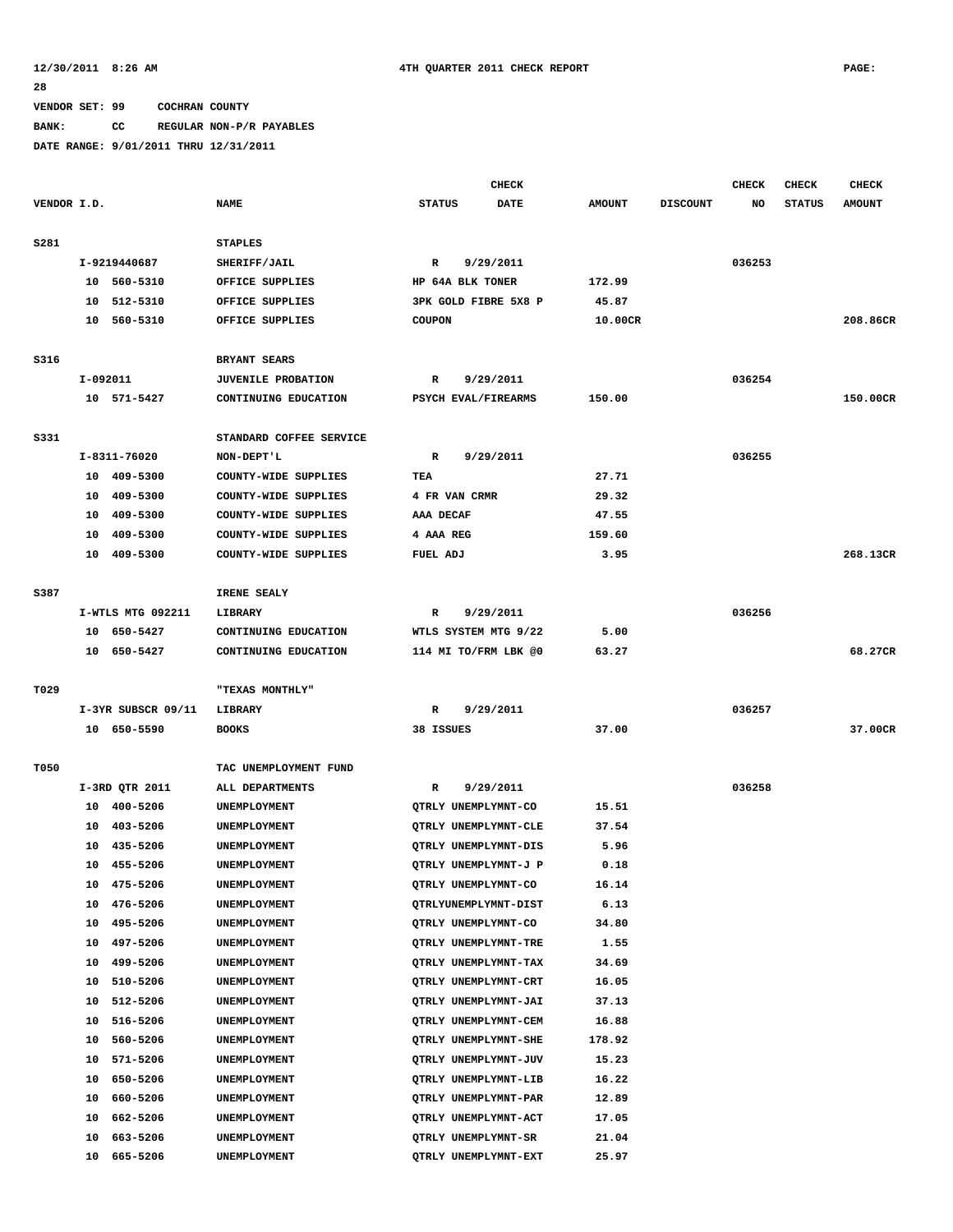## **VENDOR SET: 99 COCHRAN COUNTY**

# **BANK: CC REGULAR NON-P/R PAYABLES**

|             |          |                                   |                         | <b>CHECK</b>     |  |                             |               |                 | <b>CHECK</b> | <b>CHECK</b><br><b>CHECK</b> |               |  |  |
|-------------|----------|-----------------------------------|-------------------------|------------------|--|-----------------------------|---------------|-----------------|--------------|------------------------------|---------------|--|--|
| VENDOR I.D. |          |                                   | <b>NAME</b>             | <b>STATUS</b>    |  | DATE                        | <b>AMOUNT</b> | <b>DISCOUNT</b> | NO           | <b>STATUS</b>                | <b>AMOUNT</b> |  |  |
|             |          |                                   |                         |                  |  |                             |               |                 |              |                              |               |  |  |
| S281        |          |                                   | <b>STAPLES</b>          |                  |  |                             |               |                 |              |                              |               |  |  |
|             |          | I-9219440687                      | SHERIFF/JAIL            | R                |  | 9/29/2011                   |               |                 | 036253       |                              |               |  |  |
|             |          | 10 560-5310                       | OFFICE SUPPLIES         | HP 64A BLK TONER |  |                             | 172.99        |                 |              |                              |               |  |  |
|             | 10       | 512-5310                          | OFFICE SUPPLIES         |                  |  | <b>3PK GOLD FIBRE 5X8 P</b> | 45.87         |                 |              |                              |               |  |  |
|             |          | 10 560-5310                       | OFFICE SUPPLIES         | <b>COUPON</b>    |  |                             | 10.00CR       |                 |              |                              | 208.86CR      |  |  |
| S316        |          |                                   | BRYANT SEARS            |                  |  |                             |               |                 |              |                              |               |  |  |
|             | I-092011 |                                   | JUVENILE PROBATION      | R                |  | 9/29/2011                   |               |                 | 036254       |                              |               |  |  |
|             |          | 10 571-5427                       | CONTINUING EDUCATION    |                  |  | PSYCH EVAL/FIREARMS         | 150.00        |                 |              |                              | 150.00CR      |  |  |
|             |          |                                   |                         |                  |  |                             |               |                 |              |                              |               |  |  |
| S331        |          |                                   | STANDARD COFFEE SERVICE |                  |  |                             |               |                 |              |                              |               |  |  |
|             |          | I-8311-76020                      | NON-DEPT'L              | R                |  | 9/29/2011                   |               |                 | 036255       |                              |               |  |  |
|             | 10       | 409-5300                          | COUNTY-WIDE SUPPLIES    | TEA              |  |                             | 27.71         |                 |              |                              |               |  |  |
|             | 10       | 409-5300                          | COUNTY-WIDE SUPPLIES    | 4 FR VAN CRMR    |  |                             | 29.32         |                 |              |                              |               |  |  |
|             | 10       | 409-5300                          | COUNTY-WIDE SUPPLIES    | AAA DECAF        |  |                             | 47.55         |                 |              |                              |               |  |  |
|             | 10       | 409-5300                          | COUNTY-WIDE SUPPLIES    | 4 AAA REG        |  |                             | 159.60        |                 |              |                              |               |  |  |
|             |          | 10 409-5300                       | COUNTY-WIDE SUPPLIES    | FUEL ADJ         |  |                             | 3.95          |                 |              |                              | 268.13CR      |  |  |
|             |          |                                   |                         |                  |  |                             |               |                 |              |                              |               |  |  |
| S387        |          |                                   | IRENE SEALY             |                  |  |                             |               |                 |              |                              |               |  |  |
|             |          | I-WTLS MTG 092211                 | LIBRARY                 | R                |  | 9/29/2011                   |               |                 | 036256       |                              |               |  |  |
|             |          | 10 650-5427                       | CONTINUING EDUCATION    |                  |  | WTLS SYSTEM MTG 9/22        | 5.00          |                 |              |                              |               |  |  |
|             |          | 10 650-5427                       | CONTINUING EDUCATION    |                  |  | 114 MI TO/FRM LBK @0        | 63.27         |                 |              |                              | 68.27CR       |  |  |
| T029        |          |                                   |                         |                  |  |                             |               |                 |              |                              |               |  |  |
|             |          |                                   | "TEXAS MONTHLY"         |                  |  |                             |               |                 |              |                              |               |  |  |
|             |          | I-3YR SUBSCR 09/11<br>10 650-5590 | LIBRARY<br><b>BOOKS</b> | R<br>38 ISSUES   |  | 9/29/2011                   | 37.00         |                 | 036257       |                              | 37.00CR       |  |  |
|             |          |                                   |                         |                  |  |                             |               |                 |              |                              |               |  |  |
| T050        |          |                                   | TAC UNEMPLOYMENT FUND   |                  |  |                             |               |                 |              |                              |               |  |  |
|             |          | I-3RD QTR 2011                    | ALL DEPARTMENTS         | R                |  | 9/29/2011                   |               |                 | 036258       |                              |               |  |  |
|             |          | 10 400-5206                       | UNEMPLOYMENT            |                  |  | QTRLY UNEMPLYMNT-CO         | 15.51         |                 |              |                              |               |  |  |
|             | 10       | 403-5206                          | UNEMPLOYMENT            |                  |  | QTRLY UNEMPLYMNT-CLE        | 37.54         |                 |              |                              |               |  |  |
|             | 10       | 435-5206                          | UNEMPLOYMENT            |                  |  | QTRLY UNEMPLYMNT-DIS        | 5.96          |                 |              |                              |               |  |  |
|             |          | 10 455-5206                       | UNEMPLOYMENT            |                  |  | QTRLY UNEMPLYMNT-J P        | 0.18          |                 |              |                              |               |  |  |
|             |          | 10 475-5206                       | UNEMPLOYMENT            |                  |  | QTRLY UNEMPLYMNT-CO         | 16.14         |                 |              |                              |               |  |  |
|             |          | 10 476-5206                       | UNEMPLOYMENT            |                  |  | QTRLYUNEMPLYMNT-DIST        | 6.13          |                 |              |                              |               |  |  |
|             | 10       | 495-5206                          | UNEMPLOYMENT            |                  |  | QTRLY UNEMPLYMNT-CO         | 34.80         |                 |              |                              |               |  |  |
|             | 10       | 497-5206                          | UNEMPLOYMENT            |                  |  | QTRLY UNEMPLYMNT-TRE        | 1.55          |                 |              |                              |               |  |  |
|             | 10       | 499-5206                          | UNEMPLOYMENT            |                  |  | QTRLY UNEMPLYMNT-TAX        | 34.69         |                 |              |                              |               |  |  |
|             |          | 10 510-5206                       | UNEMPLOYMENT            |                  |  | QTRLY UNEMPLYMNT-CRT        | 16.05         |                 |              |                              |               |  |  |
|             |          | 10 512-5206                       | UNEMPLOYMENT            |                  |  | QTRLY UNEMPLYMNT-JAI        | 37.13         |                 |              |                              |               |  |  |
|             | 10       | 516-5206                          | UNEMPLOYMENT            |                  |  | QTRLY UNEMPLYMNT-CEM        | 16.88         |                 |              |                              |               |  |  |
|             | 10       | 560-5206                          | UNEMPLOYMENT            |                  |  | QTRLY UNEMPLYMNT-SHE        | 178.92        |                 |              |                              |               |  |  |
|             |          | 10 571-5206                       | UNEMPLOYMENT            |                  |  | QTRLY UNEMPLYMNT-JUV        | 15.23         |                 |              |                              |               |  |  |
|             |          | 10 650-5206                       | UNEMPLOYMENT            |                  |  | QTRLY UNEMPLYMNT-LIB        | 16.22         |                 |              |                              |               |  |  |
|             |          | 10 660-5206                       | UNEMPLOYMENT            |                  |  | QTRLY UNEMPLYMNT-PAR        | 12.89         |                 |              |                              |               |  |  |
|             |          | 10 662-5206                       | UNEMPLOYMENT            |                  |  | QTRLY UNEMPLYMNT-ACT        | 17.05         |                 |              |                              |               |  |  |
|             | 10       | 663-5206                          | UNEMPLOYMENT            |                  |  | QTRLY UNEMPLYMNT-SR         | 21.04         |                 |              |                              |               |  |  |
|             |          | 10 665-5206                       | UNEMPLOYMENT            |                  |  | QTRLY UNEMPLYMNT-EXT        | 25.97         |                 |              |                              |               |  |  |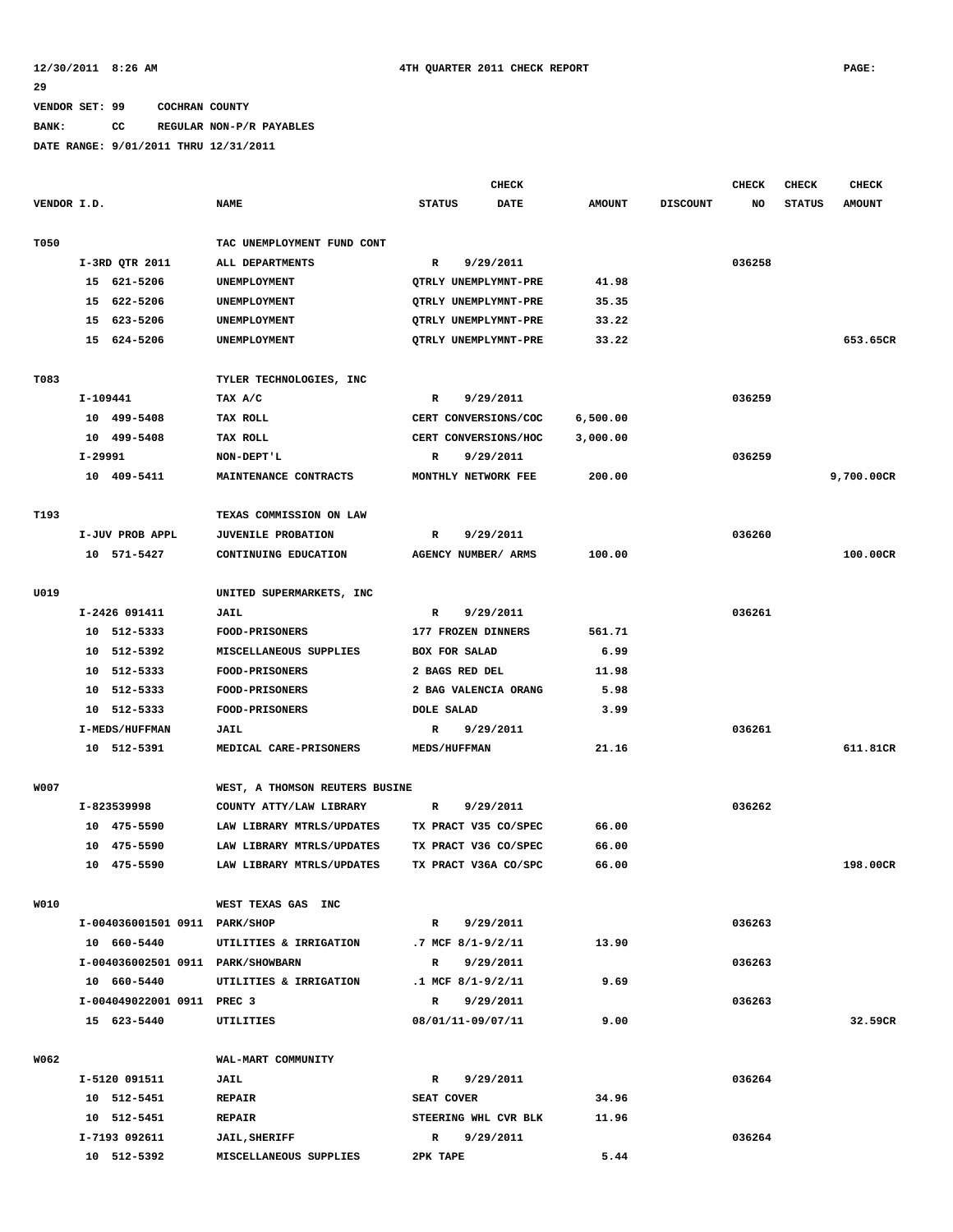#### **VENDOR SET: 99 COCHRAN COUNTY**

# **BANK: CC REGULAR NON-P/R PAYABLES**

|             |                                   |                                | <b>CHECK</b>              |                       |                 | CHECK  | <b>CHECK</b><br><b>CHECK</b> |               |  |  |
|-------------|-----------------------------------|--------------------------------|---------------------------|-----------------------|-----------------|--------|------------------------------|---------------|--|--|
| VENDOR I.D. |                                   | <b>NAME</b>                    | <b>STATUS</b>             | DATE<br><b>AMOUNT</b> | <b>DISCOUNT</b> | NO     | <b>STATUS</b>                | <b>AMOUNT</b> |  |  |
|             |                                   |                                |                           |                       |                 |        |                              |               |  |  |
| T050        |                                   | TAC UNEMPLOYMENT FUND CONT     |                           |                       |                 |        |                              |               |  |  |
|             | I-3RD QTR 2011                    | ALL DEPARTMENTS                | 9/29/2011<br>R            |                       |                 | 036258 |                              |               |  |  |
|             | 15 621-5206                       | UNEMPLOYMENT                   | QTRLY UNEMPLYMNT-PRE      |                       | 41.98           |        |                              |               |  |  |
|             | 622-5206<br>15                    | UNEMPLOYMENT                   | QTRLY UNEMPLYMNT-PRE      |                       | 35.35           |        |                              |               |  |  |
|             | 623-5206<br>15                    | UNEMPLOYMENT                   | QTRLY UNEMPLYMNT-PRE      |                       | 33.22           |        |                              |               |  |  |
|             | 15 624-5206                       | UNEMPLOYMENT                   | QTRLY UNEMPLYMNT-PRE      |                       | 33.22           |        |                              | 653.65CR      |  |  |
| T083        |                                   | TYLER TECHNOLOGIES, INC        |                           |                       |                 |        |                              |               |  |  |
|             | I-109441                          | TAX A/C                        | 9/29/2011<br>R            |                       |                 | 036259 |                              |               |  |  |
|             | 10 499-5408                       | TAX ROLL                       | CERT CONVERSIONS/COC      | 6,500.00              |                 |        |                              |               |  |  |
|             | 10 499-5408                       | TAX ROLL                       | CERT CONVERSIONS/HOC      | 3,000.00              |                 |        |                              |               |  |  |
|             | I-29991                           | NON-DEPT'L                     | 9/29/2011<br>R            |                       |                 | 036259 |                              |               |  |  |
|             | 10 409-5411                       | MAINTENANCE CONTRACTS          | MONTHLY NETWORK FEE       | 200.00                |                 |        |                              | 9,700.00CR    |  |  |
|             |                                   |                                |                           |                       |                 |        |                              |               |  |  |
| T193        |                                   | TEXAS COMMISSION ON LAW        |                           |                       |                 |        |                              |               |  |  |
|             | I-JUV PROB APPL                   | JUVENILE PROBATION             | 9/29/2011<br>R            |                       |                 | 036260 |                              |               |  |  |
|             | 10 571-5427                       | CONTINUING EDUCATION           | AGENCY NUMBER/ ARMS       | 100.00                |                 |        |                              | 100.00CR      |  |  |
|             |                                   |                                |                           |                       |                 |        |                              |               |  |  |
| U019        |                                   | UNITED SUPERMARKETS, INC       |                           |                       |                 |        |                              |               |  |  |
|             | I-2426 091411                     | JAIL                           | 9/29/2011<br>R            |                       |                 | 036261 |                              |               |  |  |
|             | 10 512-5333                       | <b>FOOD-PRISONERS</b>          | 177 FROZEN DINNERS        | 561.71                |                 |        |                              |               |  |  |
|             | 10 512-5392                       | MISCELLANEOUS SUPPLIES         | BOX FOR SALAD             |                       | 6.99            |        |                              |               |  |  |
|             | 512-5333<br>10                    | <b>FOOD-PRISONERS</b>          | 2 BAGS RED DEL            |                       | 11.98           |        |                              |               |  |  |
|             | 512-5333<br>10                    | <b>FOOD-PRISONERS</b>          | 2 BAG VALENCIA ORANG      |                       | 5.98            |        |                              |               |  |  |
|             | 10 512-5333                       | <b>FOOD-PRISONERS</b>          | DOLE SALAD                |                       | 3.99            |        |                              |               |  |  |
|             | <b>I-MEDS/HUFFMAN</b>             | <b>JAIL</b>                    | 9/29/2011<br>R            |                       |                 | 036261 |                              |               |  |  |
|             | 10 512-5391                       | MEDICAL CARE-PRISONERS         | <b>MEDS/HUFFMAN</b>       |                       | 21.16           |        |                              | 611.81CR      |  |  |
|             |                                   |                                |                           |                       |                 |        |                              |               |  |  |
| <b>W007</b> |                                   | WEST, A THOMSON REUTERS BUSINE |                           |                       |                 |        |                              |               |  |  |
|             | I-823539998                       | COUNTY ATTY/LAW LIBRARY        | 9/29/2011<br>R            |                       |                 | 036262 |                              |               |  |  |
|             | 10 475-5590                       | LAW LIBRARY MTRLS/UPDATES      | TX PRACT V35 CO/SPEC      |                       | 66.00           |        |                              |               |  |  |
|             | 475-5590<br>10                    | LAW LIBRARY MTRLS/UPDATES      | TX PRACT V36 CO/SPEC      |                       | 66.00           |        |                              |               |  |  |
|             | 10<br>475-5590                    | LAW LIBRARY MTRLS/UPDATES      | TX PRACT V36A CO/SPC      |                       | 66.00           |        |                              | 198.00CR      |  |  |
|             |                                   |                                |                           |                       |                 |        |                              |               |  |  |
| W010        |                                   | WEST TEXAS GAS INC             |                           |                       |                 |        |                              |               |  |  |
|             | I-004036001501 0911 PARK/SHOP     |                                | $\mathbb{R}$<br>9/29/2011 |                       |                 | 036263 |                              |               |  |  |
|             | 10 660-5440                       | UTILITIES & IRRIGATION         | .7 MCF $8/1 - 9/2/11$     |                       | 13.90           |        |                              |               |  |  |
|             | I-004036002501 0911 PARK/SHOWBARN |                                | 9/29/2011<br>R            |                       |                 | 036263 |                              |               |  |  |
|             | 10 660-5440                       | UTILITIES & IRRIGATION         | $.1$ MCF $8/1 - 9/2/11$   |                       | 9.69            |        |                              |               |  |  |
|             | I-004049022001 0911 PREC 3        |                                | 9/29/2011<br>R            |                       |                 | 036263 |                              |               |  |  |
|             | 15 623-5440                       | UTILITIES                      | 08/01/11-09/07/11         |                       | 9.00            |        |                              | 32.59CR       |  |  |
|             |                                   |                                |                           |                       |                 |        |                              |               |  |  |
| W062        |                                   | WAL-MART COMMUNITY             |                           |                       |                 |        |                              |               |  |  |
|             | I-5120 091511                     | JAIL                           | 9/29/2011<br>R            |                       |                 | 036264 |                              |               |  |  |
|             | 10 512-5451                       | <b>REPAIR</b>                  | SEAT COVER                |                       | 34.96           |        |                              |               |  |  |
|             | 10 512-5451                       | <b>REPAIR</b>                  | STEERING WHL CVR BLK      |                       | 11.96           |        |                              |               |  |  |
|             | I-7193 092611                     | <b>JAIL, SHERIFF</b>           | $\mathbb{R}$<br>9/29/2011 |                       |                 | 036264 |                              |               |  |  |
|             | 10 512-5392                       | MISCELLANEOUS SUPPLIES         | 2PK TAPE                  |                       | 5.44            |        |                              |               |  |  |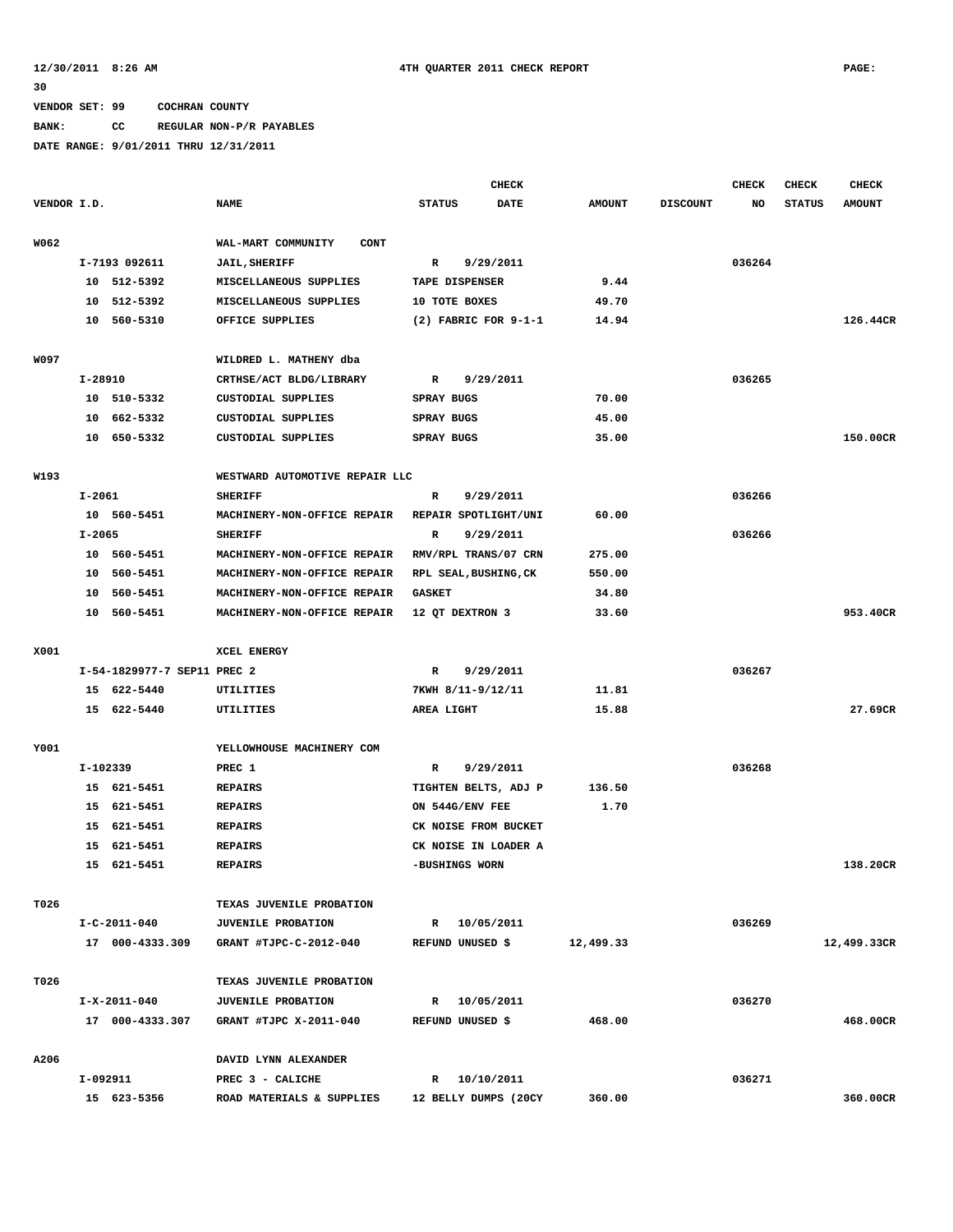#### **VENDOR SET: 99 COCHRAN COUNTY**

# **BANK: CC REGULAR NON-P/R PAYABLES**

|             |            |                             |                                   |                   | <b>CHECK</b>             |               |                 | CHECK  | <b>CHECK</b>  | <b>CHECK</b>  |  |
|-------------|------------|-----------------------------|-----------------------------------|-------------------|--------------------------|---------------|-----------------|--------|---------------|---------------|--|
| VENDOR I.D. |            |                             | <b>NAME</b>                       | <b>STATUS</b>     | <b>DATE</b>              | <b>AMOUNT</b> | <b>DISCOUNT</b> | NO     | <b>STATUS</b> | <b>AMOUNT</b> |  |
| W062        |            |                             | WAL-MART COMMUNITY<br><b>CONT</b> |                   |                          |               |                 |        |               |               |  |
|             |            | I-7193 092611               | <b>JAIL, SHERIFF</b>              | R                 | 9/29/2011                |               |                 | 036264 |               |               |  |
|             |            | 10 512-5392                 | MISCELLANEOUS SUPPLIES            |                   | TAPE DISPENSER           | 9.44          |                 |        |               |               |  |
|             | 10         | 512-5392                    | MISCELLANEOUS SUPPLIES            |                   | 10 TOTE BOXES            | 49.70         |                 |        |               |               |  |
|             | 10         | 560-5310                    | OFFICE SUPPLIES                   |                   | $(2)$ FABRIC FOR $9-1-1$ | 14.94         |                 |        |               | 126.44CR      |  |
|             |            |                             |                                   |                   |                          |               |                 |        |               |               |  |
| W097        |            |                             | WILDRED L. MATHENY dba            |                   |                          |               |                 |        |               |               |  |
|             | I-28910    |                             | CRTHSE/ACT BLDG/LIBRARY           | R                 | 9/29/2011                |               |                 | 036265 |               |               |  |
|             |            | 10 510-5332                 | CUSTODIAL SUPPLIES                | <b>SPRAY BUGS</b> |                          | 70.00         |                 |        |               |               |  |
|             | 10         | 662-5332                    | CUSTODIAL SUPPLIES                | SPRAY BUGS        |                          | 45.00         |                 |        |               |               |  |
|             | 10         | 650-5332                    | CUSTODIAL SUPPLIES                | SPRAY BUGS        |                          | 35.00         |                 |        |               | 150.00CR      |  |
| W193        |            |                             | WESTWARD AUTOMOTIVE REPAIR LLC    |                   |                          |               |                 |        |               |               |  |
|             | I-2061     |                             | <b>SHERIFF</b>                    | R                 | 9/29/2011                |               |                 | 036266 |               |               |  |
|             |            | 10 560-5451                 | MACHINERY-NON-OFFICE REPAIR       |                   | REPAIR SPOTLIGHT/UNI     | 60.00         |                 |        |               |               |  |
|             | $I - 2065$ |                             | <b>SHERIFF</b>                    | R                 | 9/29/2011                |               |                 | 036266 |               |               |  |
|             |            | 10 560-5451                 | MACHINERY-NON-OFFICE REPAIR       |                   | RMV/RPL TRANS/07 CRN     | 275.00        |                 |        |               |               |  |
|             |            | 10 560-5451                 | MACHINERY-NON-OFFICE REPAIR       |                   | RPL SEAL, BUSHING, CK    | 550.00        |                 |        |               |               |  |
|             |            | 10 560-5451                 | MACHINERY-NON-OFFICE REPAIR       | <b>GASKET</b>     |                          | 34.80         |                 |        |               |               |  |
|             | 10         | 560-5451                    | MACHINERY-NON-OFFICE REPAIR       |                   | 12 QT DEXTRON 3          | 33.60         |                 |        |               | 953.40CR      |  |
| X001        |            |                             | XCEL ENERGY                       |                   |                          |               |                 |        |               |               |  |
|             |            | I-54-1829977-7 SEP11 PREC 2 |                                   | R                 | 9/29/2011                |               |                 | 036267 |               |               |  |
|             |            | 15 622-5440                 | UTILITIES                         |                   | 7KWH 8/11-9/12/11        | 11.81         |                 |        |               |               |  |
|             |            | 15 622-5440                 | UTILITIES                         | AREA LIGHT        |                          | 15.88         |                 |        |               | 27.69CR       |  |
| Y001        |            |                             | YELLOWHOUSE MACHINERY COM         |                   |                          |               |                 |        |               |               |  |
|             | I-102339   |                             | PREC 1                            | R                 | 9/29/2011                |               |                 | 036268 |               |               |  |
|             |            | 15 621-5451                 | <b>REPAIRS</b>                    |                   | TIGHTEN BELTS, ADJ P     | 136.50        |                 |        |               |               |  |
|             |            | 15 621-5451                 | <b>REPAIRS</b>                    |                   | ON 544G/ENV FEE          | 1.70          |                 |        |               |               |  |
|             |            | 15 621-5451                 | <b>REPAIRS</b>                    |                   | CK NOISE FROM BUCKET     |               |                 |        |               |               |  |
|             | 15         | 621-5451                    | <b>REPAIRS</b>                    |                   | CK NOISE IN LOADER A     |               |                 |        |               |               |  |
|             |            | 15 621-5451                 | <b>REPAIRS</b>                    |                   | -BUSHINGS WORN           |               |                 |        |               | 138.20CR      |  |
| T026        |            |                             | TEXAS JUVENILE PROBATION          |                   |                          |               |                 |        |               |               |  |
|             |            | I-C-2011-040                | <b>JUVENILE PROBATION</b>         | R                 | 10/05/2011               |               |                 | 036269 |               |               |  |
|             |            | 17 000-4333.309             | GRANT #TJPC-C-2012-040            |                   | REFUND UNUSED \$         | 12,499.33     |                 |        |               | 12,499.33CR   |  |
| T026        |            |                             | TEXAS JUVENILE PROBATION          |                   |                          |               |                 |        |               |               |  |
|             |            | $I-X-2011-040$              | <b>JUVENILE PROBATION</b>         |                   | R 10/05/2011             |               |                 | 036270 |               |               |  |
|             |            | 17 000-4333.307             | GRANT #TJPC X-2011-040            |                   | REFUND UNUSED \$         | 468.00        |                 |        |               | 468.00CR      |  |
| A206        |            |                             | DAVID LYNN ALEXANDER              |                   |                          |               |                 |        |               |               |  |
|             |            | I-092911                    | PREC 3 - CALICHE                  |                   | R 10/10/2011             |               |                 | 036271 |               |               |  |
|             |            | 15 623-5356                 | ROAD MATERIALS & SUPPLIES         |                   | 12 BELLY DUMPS (20CY     | 360.00        |                 |        |               | 360.00CR      |  |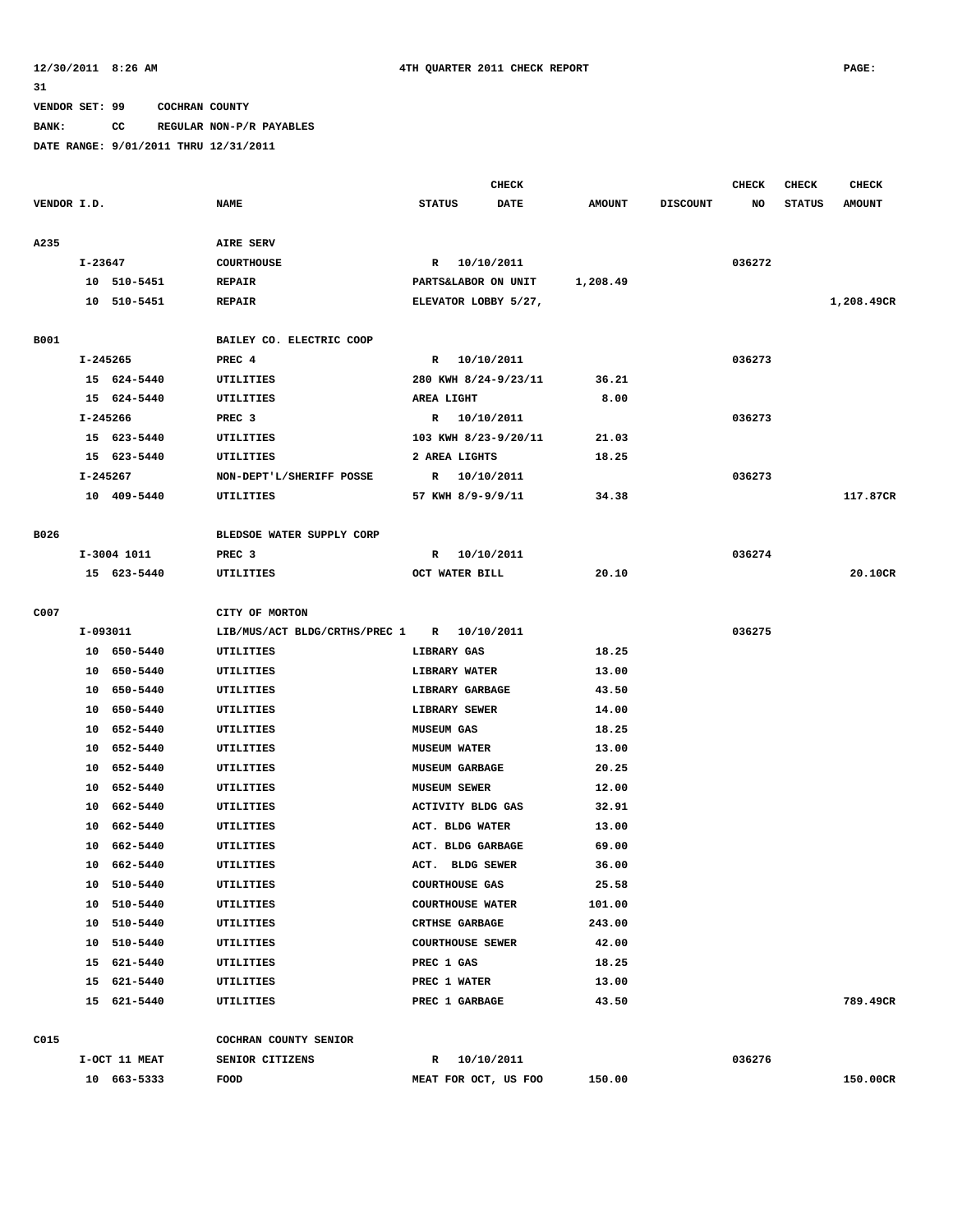#### **VENDOR SET: 99 COCHRAN COUNTY BANK: CC REGULAR NON-P/R PAYABLES**

|             |               |                                            | <b>CHECK</b>                   |             |               |                 | CHECK  | <b>CHECK</b>  | <b>CHECK</b>  |
|-------------|---------------|--------------------------------------------|--------------------------------|-------------|---------------|-----------------|--------|---------------|---------------|
| VENDOR I.D. |               | <b>NAME</b>                                | <b>STATUS</b>                  | <b>DATE</b> | <b>AMOUNT</b> | <b>DISCOUNT</b> | NO     | <b>STATUS</b> | <b>AMOUNT</b> |
|             |               |                                            |                                |             |               |                 |        |               |               |
| A235        |               | AIRE SERV                                  |                                |             |               |                 |        |               |               |
|             | I-23647       | COURTHOUSE                                 | R 10/10/2011                   |             |               |                 | 036272 |               |               |
|             | 10 510-5451   | <b>REPAIR</b>                              | PARTS&LABOR ON UNIT            |             | 1,208.49      |                 |        |               |               |
|             | 10 510-5451   | <b>REPAIR</b>                              | ELEVATOR LOBBY 5/27,           |             |               |                 |        |               | 1,208.49CR    |
|             |               |                                            |                                |             |               |                 |        |               |               |
| B001        |               | BAILEY CO. ELECTRIC COOP                   |                                |             |               |                 |        |               |               |
|             | I-245265      | PREC 4                                     | R 10/10/2011                   |             |               |                 | 036273 |               |               |
|             | 15 624-5440   | UTILITIES                                  | 280 KWH 8/24-9/23/11           |             | 36.21         |                 |        |               |               |
|             | 15 624-5440   | UTILITIES                                  | AREA LIGHT                     |             | 8.00          |                 |        |               |               |
|             | I-245266      | PREC 3                                     | R 10/10/2011                   |             |               |                 | 036273 |               |               |
|             | 15 623-5440   | UTILITIES                                  | 103 KWH 8/23-9/20/11           |             | 21.03         |                 |        |               |               |
|             | 15 623-5440   | UTILITIES                                  | 2 AREA LIGHTS                  |             | 18.25         |                 |        |               |               |
|             | I-245267      | NON-DEPT'L/SHERIFF POSSE                   | R 10/10/2011                   |             |               |                 | 036273 |               |               |
|             | 10 409-5440   | UTILITIES                                  | 57 KWH 8/9-9/9/11              |             | 34.38         |                 |        |               | 117.87CR      |
| B026        |               | BLEDSOE WATER SUPPLY CORP                  |                                |             |               |                 |        |               |               |
|             | I-3004 1011   |                                            |                                |             |               |                 | 036274 |               |               |
|             |               | PREC <sub>3</sub>                          | R 10/10/2011<br>OCT WATER BILL |             | 20.10         |                 |        |               | 20.10CR       |
|             | 15 623-5440   | UTILITIES                                  |                                |             |               |                 |        |               |               |
| C007        |               | CITY OF MORTON                             |                                |             |               |                 |        |               |               |
|             | I-093011      | LIB/MUS/ACT BLDG/CRTHS/PREC 1 R 10/10/2011 |                                |             |               |                 | 036275 |               |               |
|             | 10 650-5440   | UTILITIES                                  | LIBRARY GAS                    |             | 18.25         |                 |        |               |               |
|             | 10 650-5440   | UTILITIES                                  | <b>LIBRARY WATER</b>           |             | 13.00         |                 |        |               |               |
|             | 10 650-5440   | UTILITIES                                  | LIBRARY GARBAGE                |             | 43.50         |                 |        |               |               |
|             | 10 650-5440   | UTILITIES                                  | LIBRARY SEWER                  |             | 14.00         |                 |        |               |               |
|             | 10 652-5440   | UTILITIES                                  | <b>MUSEUM GAS</b>              |             | 18.25         |                 |        |               |               |
|             | 10 652-5440   | UTILITIES                                  | <b>MUSEUM WATER</b>            |             | 13.00         |                 |        |               |               |
|             | 10 652-5440   | UTILITIES                                  | <b>MUSEUM GARBAGE</b>          |             | 20.25         |                 |        |               |               |
|             | 10 652-5440   | UTILITIES                                  | <b>MUSEUM SEWER</b>            |             | 12.00         |                 |        |               |               |
|             | 10 662-5440   | UTILITIES                                  | ACTIVITY BLDG GAS              |             | 32.91         |                 |        |               |               |
|             | 10 662-5440   | UTILITIES                                  | ACT. BLDG WATER                |             | 13.00         |                 |        |               |               |
|             | 10 662-5440   | UTILITIES                                  | ACT. BLDG GARBAGE              |             | 69.00         |                 |        |               |               |
|             | 10 662-5440   | UTILITIES                                  | ACT. BLDG SEWER                |             | 36.00         |                 |        |               |               |
|             | 10 510-5440   | UTILITIES                                  | <b>COURTHOUSE GAS</b>          |             | 25.58         |                 |        |               |               |
|             | 10 510-5440   | UTILITIES                                  | <b>COURTHOUSE WATER</b>        |             | 101.00        |                 |        |               |               |
|             | 10 510-5440   | UTILITIES                                  | <b>CRTHSE GARBAGE</b>          |             | 243.00        |                 |        |               |               |
|             | 10 510-5440   | UTILITIES                                  | <b>COURTHOUSE SEWER</b>        |             | 42.00         |                 |        |               |               |
|             | 15 621-5440   | UTILITIES                                  | PREC 1 GAS                     |             | 18.25         |                 |        |               |               |
|             |               |                                            |                                |             |               |                 |        |               |               |
|             | 15 621-5440   | UTILITIES                                  | PREC 1 WATER                   |             | 13.00         |                 |        |               |               |
|             | 15 621-5440   | UTILITIES                                  | PREC 1 GARBAGE                 |             | 43.50         |                 |        |               | 789.49CR      |
| C015        |               | COCHRAN COUNTY SENIOR                      |                                |             |               |                 |        |               |               |
|             | I-OCT 11 MEAT | SENIOR CITIZENS                            | R 10/10/2011                   |             |               |                 | 036276 |               |               |
|             | 10 663-5333   | FOOD                                       | MEAT FOR OCT, US FOO           |             | 150.00        |                 |        |               | 150.00CR      |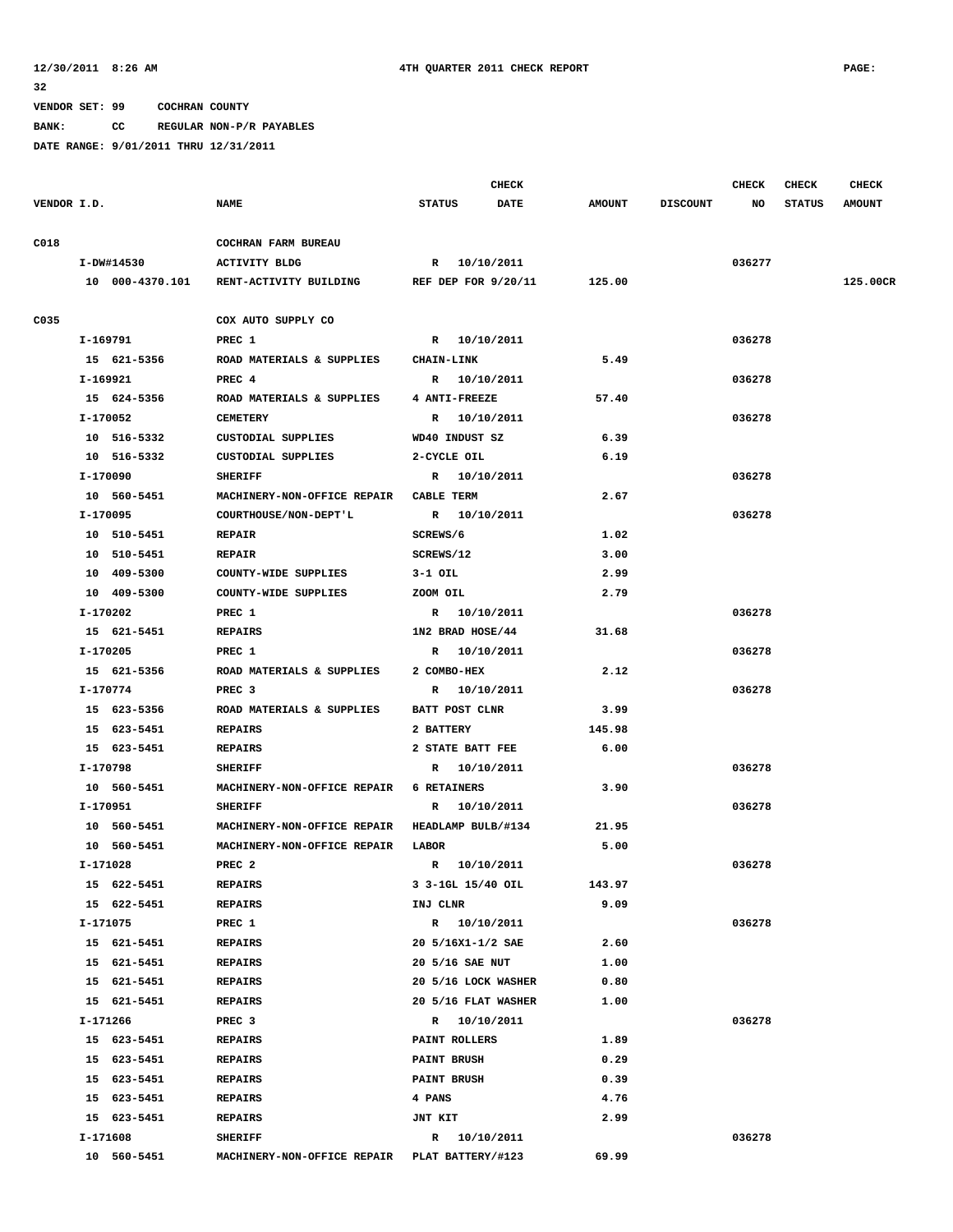#### **VENDOR SET: 99 COCHRAN COUNTY BANK: CC REGULAR NON-P/R PAYABLES**

|             |                 |                                                | <b>CHECK</b>                 |               |                 | CHECK  | <b>CHECK</b>  | <b>CHECK</b>  |
|-------------|-----------------|------------------------------------------------|------------------------------|---------------|-----------------|--------|---------------|---------------|
| VENDOR I.D. |                 | <b>NAME</b>                                    | <b>STATUS</b><br><b>DATE</b> | <b>AMOUNT</b> | <b>DISCOUNT</b> | NO     | <b>STATUS</b> | <b>AMOUNT</b> |
| C018        |                 | COCHRAN FARM BUREAU                            |                              |               |                 |        |               |               |
|             | I-DW#14530      | <b>ACTIVITY BLDG</b>                           | R 10/10/2011                 |               |                 | 036277 |               |               |
|             | 10 000-4370.101 | RENT-ACTIVITY BUILDING                         | REF DEP FOR $9/20/11$        | 125.00        |                 |        |               | 125.00CR      |
|             |                 |                                                |                              |               |                 |        |               |               |
| C035        |                 | COX AUTO SUPPLY CO                             |                              |               |                 |        |               |               |
|             | I-169791        | PREC 1                                         | R 10/10/2011                 |               |                 | 036278 |               |               |
|             | 15 621-5356     | ROAD MATERIALS & SUPPLIES                      | <b>CHAIN-LINK</b>            | 5.49          |                 |        |               |               |
|             | I-169921        | PREC 4                                         | R 10/10/2011                 |               |                 | 036278 |               |               |
|             | 15 624-5356     | ROAD MATERIALS & SUPPLIES                      | 4 ANTI-FREEZE                | 57.40         |                 |        |               |               |
|             | I-170052        | <b>CEMETERY</b>                                | R 10/10/2011                 |               |                 | 036278 |               |               |
|             | 10 516-5332     | CUSTODIAL SUPPLIES                             | WD40 INDUST SZ               | 6.39          |                 |        |               |               |
|             | 10 516-5332     | CUSTODIAL SUPPLIES                             | 2-CYCLE OIL                  | 6.19          |                 |        |               |               |
|             | I-170090        | <b>SHERIFF</b>                                 | R 10/10/2011                 |               |                 | 036278 |               |               |
|             | 10 560-5451     | MACHINERY-NON-OFFICE REPAIR                    | <b>CABLE TERM</b>            | 2.67          |                 |        |               |               |
|             | I-170095        | COURTHOUSE/NON-DEPT'L                          | R 10/10/2011                 |               |                 | 036278 |               |               |
|             | 10 510-5451     | <b>REPAIR</b>                                  | SCREWS/6                     | 1.02          |                 |        |               |               |
|             | 10 510-5451     | <b>REPAIR</b>                                  | SCREWS/12                    | 3.00          |                 |        |               |               |
|             | 10 409-5300     | COUNTY-WIDE SUPPLIES                           | $3-1$ OIL                    | 2.99          |                 |        |               |               |
|             | 10 409-5300     | COUNTY-WIDE SUPPLIES                           | ZOOM OIL                     | 2.79          |                 |        |               |               |
|             | I-170202        | PREC 1                                         | R 10/10/2011                 |               |                 | 036278 |               |               |
|             | 15 621-5451     | REPAIRS                                        | 1N2 BRAD HOSE/44             | 31.68         |                 |        |               |               |
|             | I-170205        | PREC 1                                         | R 10/10/2011                 |               |                 | 036278 |               |               |
|             | 15 621-5356     | ROAD MATERIALS & SUPPLIES                      | 2 COMBO-HEX                  | 2.12          |                 |        |               |               |
|             | I-170774        | PREC <sub>3</sub>                              | R 10/10/2011                 |               |                 | 036278 |               |               |
|             | 15 623-5356     | ROAD MATERIALS & SUPPLIES                      | BATT POST CLNR               | 3.99          |                 |        |               |               |
|             | 15 623-5451     | <b>REPAIRS</b>                                 | 2 BATTERY                    | 145.98        |                 |        |               |               |
|             | 15 623-5451     | <b>REPAIRS</b>                                 | 2 STATE BATT FEE             | 6.00          |                 |        |               |               |
|             | I-170798        | <b>SHERIFF</b>                                 | 10/10/2011<br>R              |               |                 | 036278 |               |               |
|             | 10 560-5451     | MACHINERY-NON-OFFICE REPAIR                    | <b>6 RETAINERS</b>           | 3.90          |                 |        |               |               |
|             | I-170951        | <b>SHERIFF</b>                                 | 10/10/2011<br>R              |               |                 | 036278 |               |               |
|             | 10 560-5451     | MACHINERY-NON-OFFICE REPAIR HEADLAMP BULB/#134 |                              | 21.95         |                 |        |               |               |
|             | 10 560-5451     | MACHINERY-NON-OFFICE REPAIR                    | LABOR                        | 5.00          |                 |        |               |               |
|             | I-171028        | PREC <sub>2</sub>                              | R 10/10/2011                 |               |                 | 036278 |               |               |
|             | 15 622-5451     | <b>REPAIRS</b>                                 | 3 3-1GL 15/40 OIL            | 143.97        |                 |        |               |               |
|             | 15 622-5451     | <b>REPAIRS</b>                                 | INJ CLNR                     | 9.09          |                 |        |               |               |
|             | I-171075        | PREC 1                                         | R 10/10/2011                 |               |                 | 036278 |               |               |
|             | 15 621-5451     | <b>REPAIRS</b>                                 | 20 5/16X1-1/2 SAE            | 2.60          |                 |        |               |               |
|             | 15 621-5451     | <b>REPAIRS</b>                                 | 20 5/16 SAE NUT              | 1.00          |                 |        |               |               |
|             | 15 621-5451     | <b>REPAIRS</b>                                 | 20 5/16 LOCK WASHER          | 0.80          |                 |        |               |               |
|             | 15 621-5451     | <b>REPAIRS</b>                                 | 20 5/16 FLAT WASHER          | 1.00          |                 |        |               |               |
|             | I-171266        | PREC <sub>3</sub>                              | R 10/10/2011                 |               |                 | 036278 |               |               |
|             | 15 623-5451     | <b>REPAIRS</b>                                 | PAINT ROLLERS                | 1.89          |                 |        |               |               |
|             | 15 623-5451     | <b>REPAIRS</b>                                 | <b>PAINT BRUSH</b>           | 0.29          |                 |        |               |               |
|             | 15 623-5451     | <b>REPAIRS</b>                                 | <b>PAINT BRUSH</b>           | 0.39          |                 |        |               |               |
|             | 15 623-5451     | <b>REPAIRS</b>                                 | 4 PANS                       | 4.76          |                 |        |               |               |
|             | 15 623-5451     | <b>REPAIRS</b>                                 | JNT KIT                      | 2.99          |                 |        |               |               |
|             | I-171608        | <b>SHERIFF</b>                                 | R 10/10/2011                 |               |                 | 036278 |               |               |
|             | 10 560-5451     | MACHINERY-NON-OFFICE REPAIR                    | PLAT BATTERY/#123            | 69.99         |                 |        |               |               |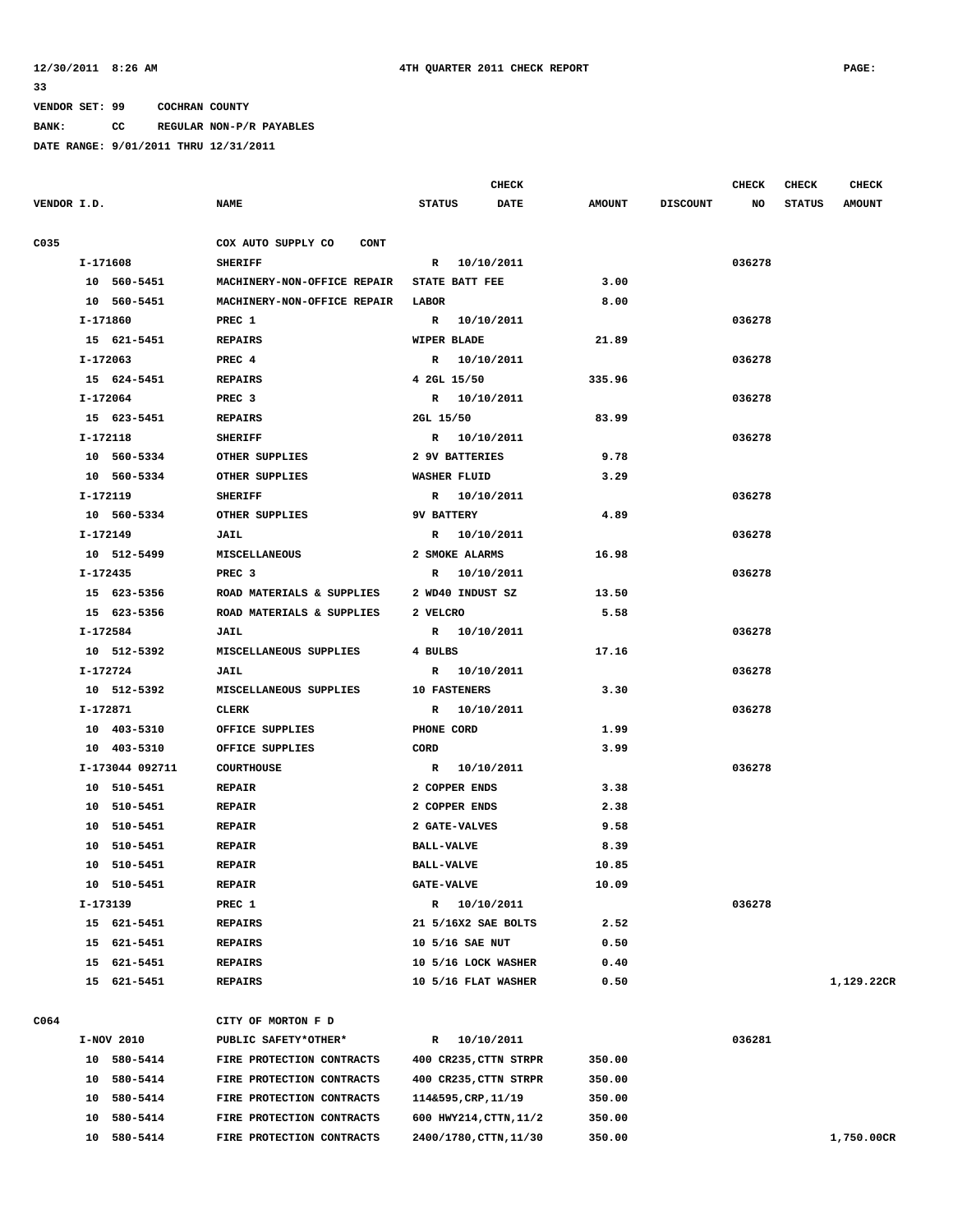## **VENDOR SET: 99 COCHRAN COUNTY**

**BANK: CC REGULAR NON-P/R PAYABLES**

|             |                         |                                   | <b>CHECK</b>                 |               |                 | <b>CHECK</b> | <b>CHECK</b>  | CHECK         |
|-------------|-------------------------|-----------------------------------|------------------------------|---------------|-----------------|--------------|---------------|---------------|
| VENDOR I.D. |                         | <b>NAME</b>                       | <b>DATE</b><br><b>STATUS</b> | <b>AMOUNT</b> | <b>DISCOUNT</b> | NO           | <b>STATUS</b> | <b>AMOUNT</b> |
| C035        |                         | COX AUTO SUPPLY CO<br><b>CONT</b> |                              |               |                 |              |               |               |
|             | I-171608                | <b>SHERIFF</b>                    | R 10/10/2011                 |               |                 | 036278       |               |               |
|             | 10 560-5451             | MACHINERY-NON-OFFICE REPAIR       | STATE BATT FEE               | 3.00          |                 |              |               |               |
|             | 10 560-5451             | MACHINERY-NON-OFFICE REPAIR       | <b>LABOR</b>                 | 8.00          |                 |              |               |               |
|             | I-171860                | PREC 1                            | R 10/10/2011                 |               |                 | 036278       |               |               |
|             | 15 621-5451             | <b>REPAIRS</b>                    | WIPER BLADE                  | 21.89         |                 |              |               |               |
|             | I-172063                | PREC 4                            | R 10/10/2011                 |               |                 | 036278       |               |               |
|             | 15 624-5451             | <b>REPAIRS</b>                    | 4 2GL 15/50                  | 335.96        |                 |              |               |               |
|             | I-172064                | PREC <sub>3</sub>                 | R 10/10/2011                 |               |                 | 036278       |               |               |
|             | 15 623-5451             | <b>REPAIRS</b>                    | 2GL 15/50                    | 83.99         |                 |              |               |               |
|             | I-172118                | <b>SHERIFF</b>                    | R 10/10/2011                 |               |                 | 036278       |               |               |
|             | 10 560-5334             | OTHER SUPPLIES                    | 2 9V BATTERIES               | 9.78          |                 |              |               |               |
|             |                         |                                   |                              |               |                 |              |               |               |
|             | 10 560-5334<br>I-172119 | OTHER SUPPLIES<br><b>SHERIFF</b>  | <b>WASHER FLUID</b>          | 3.29          |                 | 036278       |               |               |
|             |                         | OTHER SUPPLIES                    | R 10/10/2011                 |               |                 |              |               |               |
|             | 10 560-5334             |                                   | <b>9V BATTERY</b>            | 4.89          |                 |              |               |               |
|             | I-172149                | JAIL                              | R 10/10/2011                 |               |                 | 036278       |               |               |
|             | 10 512-5499             | <b>MISCELLANEOUS</b>              | 2 SMOKE ALARMS               | 16.98         |                 |              |               |               |
|             | I-172435                | PREC 3                            | R 10/10/2011                 |               |                 | 036278       |               |               |
|             | 15 623-5356             | ROAD MATERIALS & SUPPLIES         | 2 WD40 INDUST SZ             | 13.50         |                 |              |               |               |
|             | 15 623-5356             | ROAD MATERIALS & SUPPLIES         | 2 VELCRO                     | 5.58          |                 |              |               |               |
|             | I-172584                | <b>JAIL</b>                       | R 10/10/2011                 |               |                 | 036278       |               |               |
|             | 10 512-5392             | MISCELLANEOUS SUPPLIES            | 4 BULBS                      | 17.16         |                 |              |               |               |
|             | I-172724                | JAIL                              | R 10/10/2011                 |               |                 | 036278       |               |               |
|             | 10 512-5392             | MISCELLANEOUS SUPPLIES            | <b>10 FASTENERS</b>          | 3.30          |                 |              |               |               |
|             | I-172871                | CLERK                             | R 10/10/2011                 |               |                 | 036278       |               |               |
|             | 10 403-5310             | OFFICE SUPPLIES                   | PHONE CORD                   | 1.99          |                 |              |               |               |
|             | 10 403-5310             | OFFICE SUPPLIES                   | CORD                         | 3.99          |                 |              |               |               |
|             | I-173044 092711         | <b>COURTHOUSE</b>                 | R 10/10/2011                 |               |                 | 036278       |               |               |
|             | 10 510-5451             | <b>REPAIR</b>                     | 2 COPPER ENDS                | 3.38          |                 |              |               |               |
|             | 10 510-5451             | <b>REPAIR</b>                     | 2 COPPER ENDS                | 2.38          |                 |              |               |               |
|             | 10 510-5451             | <b>REPAIR</b>                     | 2 GATE-VALVES                | 9.58          |                 |              |               |               |
|             | 510-5451<br>10          | <b>REPAIR</b>                     | <b>BALL-VALVE</b>            | 8.39          |                 |              |               |               |
|             | 10 510-5451             | <b>REPAIR</b>                     | <b>BALL-VALVE</b>            | 10.85         |                 |              |               |               |
|             | 10 510-5451             | <b>REPAIR</b>                     | <b>GATE-VALVE</b>            | 10.09         |                 |              |               |               |
|             | I-173139                | PREC 1                            | R 10/10/2011                 |               |                 | 036278       |               |               |
|             | 15 621-5451             | <b>REPAIRS</b>                    | 21 5/16X2 SAE BOLTS          | 2.52          |                 |              |               |               |
|             | 15 621-5451             | <b>REPAIRS</b>                    | 10 5/16 SAE NUT              | 0.50          |                 |              |               |               |
|             | 15 621-5451             | <b>REPAIRS</b>                    | 10 5/16 LOCK WASHER          | 0.40          |                 |              |               |               |
|             | 15 621-5451             | <b>REPAIRS</b>                    | 10 5/16 FLAT WASHER          | 0.50          |                 |              |               | 1,129.22CR    |
| C064        |                         |                                   |                              |               |                 |              |               |               |
|             |                         | CITY OF MORTON F D                | 10/10/2011                   |               |                 | 036281       |               |               |
|             | I-NOV 2010              | PUBLIC SAFETY*OTHER*              | $\mathbb{R}$                 | 350.00        |                 |              |               |               |
|             | 10 580-5414             | FIRE PROTECTION CONTRACTS         | 400 CR235, CTTN STRPR        |               |                 |              |               |               |
|             | 10 580-5414             | FIRE PROTECTION CONTRACTS         | 400 CR235, CTTN STRPR        | 350.00        |                 |              |               |               |
|             | 10 580-5414             | FIRE PROTECTION CONTRACTS         | 114&595, CRP, 11/19          | 350.00        |                 |              |               |               |
|             | 580-5414<br>10          | FIRE PROTECTION CONTRACTS         | 600 HWY214, CTTN, 11/2       | 350.00        |                 |              |               |               |
|             | 10 580-5414             | FIRE PROTECTION CONTRACTS         | 2400/1780, CTTN, 11/30       | 350.00        |                 |              |               | 1,750.00CR    |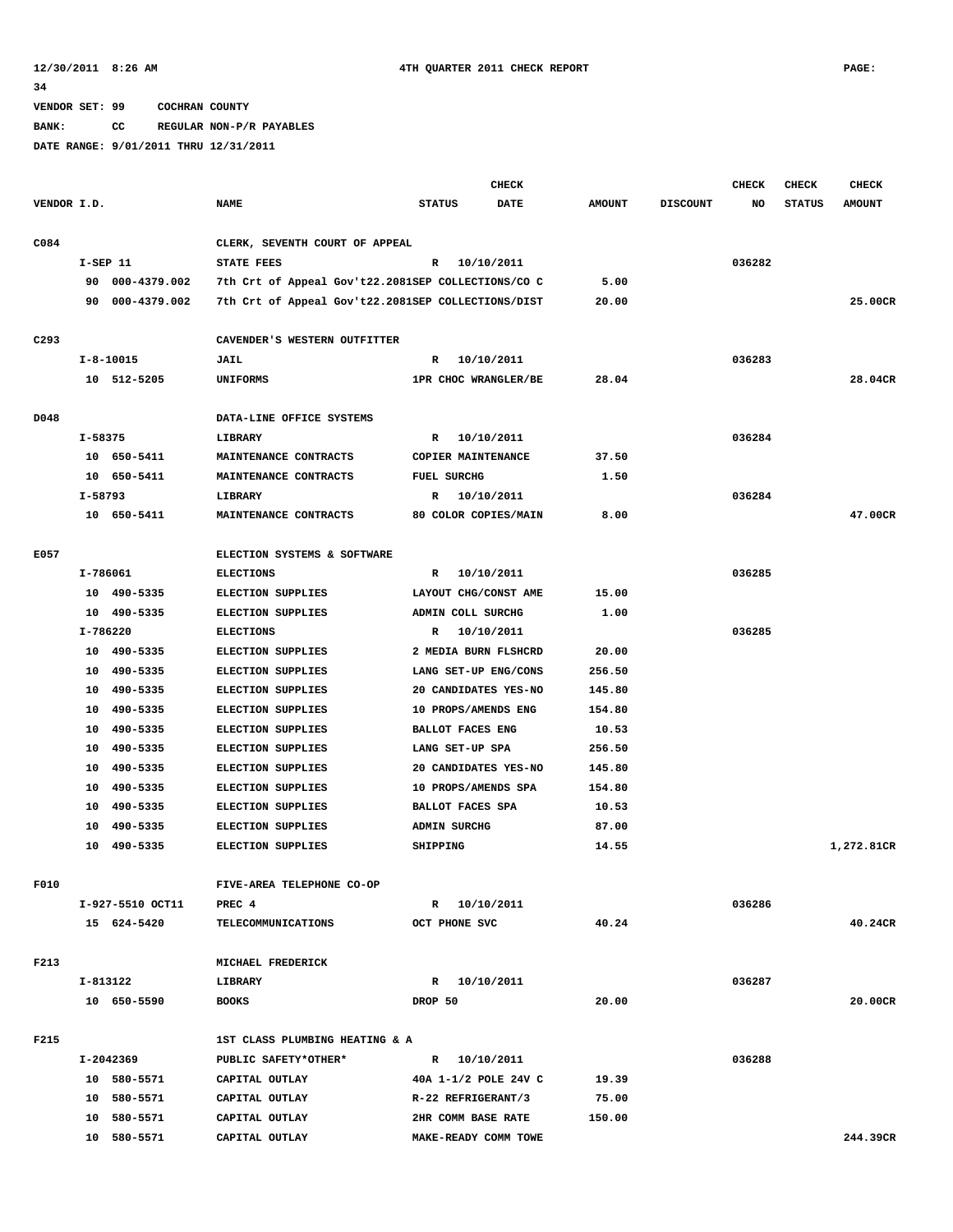## **VENDOR SET: 99 COCHRAN COUNTY**

**BANK: CC REGULAR NON-P/R PAYABLES**

|             | <b>CHECK</b> |                  |                                                    |                         |             | CHECK         | <b>CHECK</b>    | <b>CHECK</b> |               |               |
|-------------|--------------|------------------|----------------------------------------------------|-------------------------|-------------|---------------|-----------------|--------------|---------------|---------------|
| VENDOR I.D. |              |                  | <b>NAME</b>                                        | <b>STATUS</b>           | <b>DATE</b> | <b>AMOUNT</b> | <b>DISCOUNT</b> | NO           | <b>STATUS</b> | <b>AMOUNT</b> |
|             |              |                  |                                                    |                         |             |               |                 |              |               |               |
| C084        |              |                  | CLERK, SEVENTH COURT OF APPEAL                     |                         |             |               |                 |              |               |               |
|             | $I-SEP$ 11   |                  | STATE FEES                                         | R                       | 10/10/2011  |               |                 | 036282       |               |               |
|             |              | 90 000-4379.002  | 7th Crt of Appeal Gov't22.2081SEP COLLECTIONS/CO C |                         |             | 5.00          |                 |              |               |               |
|             | 90           | 000-4379.002     | 7th Crt of Appeal Gov't22.2081SEP COLLECTIONS/DIST |                         |             | 20.00         |                 |              |               | 25.00CR       |
|             |              |                  |                                                    |                         |             |               |                 |              |               |               |
| C293        |              |                  | CAVENDER'S WESTERN OUTFITTER                       |                         |             |               |                 |              |               |               |
|             |              | $I - 8 - 10015$  | <b>JAIL</b>                                        | R                       | 10/10/2011  |               |                 | 036283       |               |               |
|             |              | 10 512-5205      | <b>UNIFORMS</b>                                    | 1PR CHOC WRANGLER/BE    |             | 28.04         |                 |              |               | 28.04CR       |
| D048        |              |                  | DATA-LINE OFFICE SYSTEMS                           |                         |             |               |                 |              |               |               |
|             | I-58375      |                  | LIBRARY                                            | $\mathbb{R}$            | 10/10/2011  |               |                 | 036284       |               |               |
|             |              | 10 650-5411      | MAINTENANCE CONTRACTS                              | COPIER MAINTENANCE      |             | 37.50         |                 |              |               |               |
|             |              | 10 650-5411      | MAINTENANCE CONTRACTS                              | <b>FUEL SURCHG</b>      |             | 1.50          |                 |              |               |               |
|             | $I-58793$    |                  | LIBRARY                                            | R                       | 10/10/2011  |               |                 | 036284       |               |               |
|             |              | 10 650-5411      | MAINTENANCE CONTRACTS                              | 80 COLOR COPIES/MAIN    |             | 8.00          |                 |              |               | 47.00CR       |
|             |              |                  |                                                    |                         |             |               |                 |              |               |               |
| E057        |              |                  | ELECTION SYSTEMS & SOFTWARE                        |                         |             |               |                 |              |               |               |
|             | I-786061     |                  | <b>ELECTIONS</b>                                   | R                       | 10/10/2011  |               |                 | 036285       |               |               |
|             |              | 10 490-5335      | ELECTION SUPPLIES                                  | LAYOUT CHG/CONST AME    |             | 15.00         |                 |              |               |               |
|             |              | 10 490-5335      | <b>ELECTION SUPPLIES</b>                           | ADMIN COLL SURCHG       |             | 1.00          |                 |              |               |               |
|             | I-786220     |                  | <b>ELECTIONS</b>                                   | R                       | 10/10/2011  |               |                 | 036285       |               |               |
|             |              | 10 490-5335      | <b>ELECTION SUPPLIES</b>                           | 2 MEDIA BURN FLSHCRD    |             | 20.00         |                 |              |               |               |
|             | 10           | 490-5335         | <b>ELECTION SUPPLIES</b>                           | LANG SET-UP ENG/CONS    |             | 256.50        |                 |              |               |               |
|             | 10           | 490-5335         | <b>ELECTION SUPPLIES</b>                           | 20 CANDIDATES YES-NO    |             | 145.80        |                 |              |               |               |
|             | 10           | 490-5335         | <b>ELECTION SUPPLIES</b>                           | 10 PROPS/AMENDS ENG     |             | 154.80        |                 |              |               |               |
|             | 10           | 490-5335         | <b>ELECTION SUPPLIES</b>                           | <b>BALLOT FACES ENG</b> |             | 10.53         |                 |              |               |               |
|             | 10           | 490-5335         | <b>ELECTION SUPPLIES</b>                           | LANG SET-UP SPA         |             | 256.50        |                 |              |               |               |
|             | 10           | 490-5335         | <b>ELECTION SUPPLIES</b>                           | 20 CANDIDATES YES-NO    |             | 145.80        |                 |              |               |               |
|             | 10           | 490-5335         | <b>ELECTION SUPPLIES</b>                           | 10 PROPS/AMENDS SPA     |             | 154.80        |                 |              |               |               |
|             |              | 10 490-5335      | <b>ELECTION SUPPLIES</b>                           | <b>BALLOT FACES SPA</b> |             | 10.53         |                 |              |               |               |
|             | 10           | 490-5335         | ELECTION SUPPLIES                                  | <b>ADMIN SURCHG</b>     |             | 87.00         |                 |              |               |               |
|             | 10           | 490-5335         | <b>ELECTION SUPPLIES</b>                           | SHIPPING                |             | 14.55         |                 |              |               | 1,272.81CR    |
|             |              |                  |                                                    |                         |             |               |                 |              |               |               |
| F010        |              |                  | FIVE-AREA TELEPHONE CO-OP                          |                         |             |               |                 |              |               |               |
|             |              | I-927-5510 OCT11 | PREC <sub>4</sub>                                  | R 10/10/2011            |             |               |                 | 036286       |               |               |
|             |              | 15 624-5420      | TELECOMMUNICATIONS                                 | OCT PHONE SVC           |             | 40.24         |                 |              |               | 40.24CR       |
|             |              |                  |                                                    |                         |             |               |                 |              |               |               |
| F213        |              |                  | MICHAEL FREDERICK                                  |                         |             |               |                 |              |               |               |
|             | I-813122     |                  | LIBRARY                                            | R 10/10/2011            |             |               |                 | 036287       |               |               |
|             |              | 10 650-5590      | <b>BOOKS</b>                                       | DROP 50                 |             | 20.00         |                 |              |               | 20.00CR       |
| F215        |              |                  | 1ST CLASS PLUMBING HEATING & A                     |                         |             |               |                 |              |               |               |
|             |              | I-2042369        | PUBLIC SAFETY*OTHER*                               | R 10/10/2011            |             |               |                 | 036288       |               |               |
|             |              | 10 580-5571      | CAPITAL OUTLAY                                     | 40A 1-1/2 POLE 24V C    |             | 19.39         |                 |              |               |               |
|             |              | 10 580-5571      | CAPITAL OUTLAY                                     | R-22 REFRIGERANT/3      |             | 75.00         |                 |              |               |               |
|             |              | 10 580-5571      | CAPITAL OUTLAY                                     | 2HR COMM BASE RATE      |             | 150.00        |                 |              |               |               |
|             |              | 10 580-5571      | CAPITAL OUTLAY                                     | MAKE-READY COMM TOWE    |             |               |                 |              |               | 244.39CR      |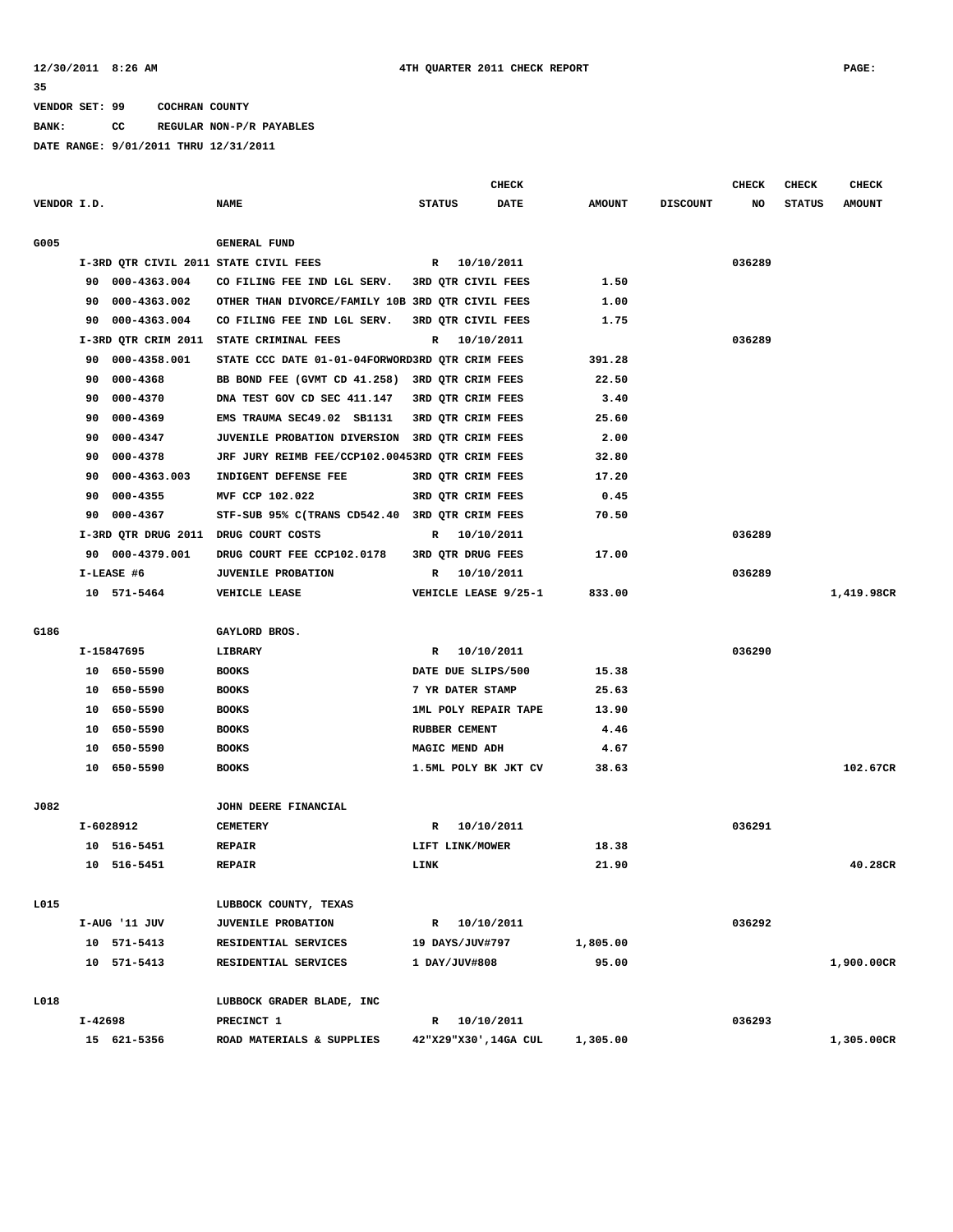#### **VENDOR SET: 99 COCHRAN COUNTY**

**BANK: CC REGULAR NON-P/R PAYABLES**

|             |         |                 |                                                  |               | <b>CHECK</b>         |               |                 | CHECK  | <b>CHECK</b>  | <b>CHECK</b>  |
|-------------|---------|-----------------|--------------------------------------------------|---------------|----------------------|---------------|-----------------|--------|---------------|---------------|
| VENDOR I.D. |         |                 | <b>NAME</b>                                      | <b>STATUS</b> | <b>DATE</b>          | <b>AMOUNT</b> | <b>DISCOUNT</b> | NO     | <b>STATUS</b> | <b>AMOUNT</b> |
| G005        |         |                 | <b>GENERAL FUND</b>                              |               |                      |               |                 |        |               |               |
|             |         |                 | I-3RD QTR CIVIL 2011 STATE CIVIL FEES            |               | R 10/10/2011         |               |                 | 036289 |               |               |
|             | 90      | 000-4363.004    | CO FILING FEE IND LGL SERV.                      |               | 3RD QTR CIVIL FEES   | 1.50          |                 |        |               |               |
|             | 90      | 000-4363.002    | OTHER THAN DIVORCE/FAMILY 10B 3RD QTR CIVIL FEES |               |                      | 1.00          |                 |        |               |               |
|             | 90      | 000-4363.004    | CO FILING FEE IND LGL SERV.                      |               | 3RD QTR CIVIL FEES   | 1.75          |                 |        |               |               |
|             |         |                 | I-3RD QTR CRIM 2011 STATE CRIMINAL FEES          | R             | 10/10/2011           |               |                 | 036289 |               |               |
|             | 90      | 000-4358.001    | STATE CCC DATE 01-01-04FORWORD3RD QTR CRIM FEES  |               |                      | 391.28        |                 |        |               |               |
|             | 90      | 000-4368        | BB BOND FEE (GVMT CD 41.258)                     |               | 3RD QTR CRIM FEES    | 22.50         |                 |        |               |               |
|             | 90      | 000-4370        | DNA TEST GOV CD SEC 411.147                      |               | 3RD QTR CRIM FEES    | 3.40          |                 |        |               |               |
|             | 90      | 000-4369        | EMS TRAUMA SEC49.02 SB1131                       |               | 3RD QTR CRIM FEES    | 25.60         |                 |        |               |               |
|             | 90      | 000-4347        | JUVENILE PROBATION DIVERSION                     |               | 3RD QTR CRIM FEES    | 2.00          |                 |        |               |               |
|             | 90      | 000-4378        | JRF JURY REIMB FEE/CCP102.00453RD QTR CRIM FEES  |               |                      | 32.80         |                 |        |               |               |
|             | 90      | 000-4363.003    | INDIGENT DEFENSE FEE                             |               | 3RD QTR CRIM FEES    | 17.20         |                 |        |               |               |
|             | 90      | 000-4355        | MVF CCP 102.022                                  |               | 3RD QTR CRIM FEES    | 0.45          |                 |        |               |               |
|             | 90      | $000 - 4367$    | STF-SUB 95% C(TRANS CD542.40 3RD QTR CRIM FEES   |               |                      | 70.50         |                 |        |               |               |
|             |         |                 | I-3RD QTR DRUG 2011 DRUG COURT COSTS             |               | R 10/10/2011         |               |                 | 036289 |               |               |
|             |         | 90 000-4379.001 | DRUG COURT FEE CCP102.0178                       |               | 3RD QTR DRUG FEES    | 17.00         |                 |        |               |               |
|             |         | I-LEASE #6      | <b>JUVENILE PROBATION</b>                        |               | R 10/10/2011         |               |                 | 036289 |               |               |
|             |         | 10 571-5464     | <b>VEHICLE LEASE</b>                             |               | VEHICLE LEASE 9/25-1 | 833.00        |                 |        |               | 1,419.98CR    |
|             |         |                 |                                                  |               |                      |               |                 |        |               |               |
| G186        |         |                 | GAYLORD BROS.                                    |               |                      |               |                 |        |               |               |
|             |         | I-15847695      | LIBRARY                                          | $\mathbb{R}$  | 10/10/2011           |               |                 | 036290 |               |               |
|             |         | 10 650-5590     | <b>BOOKS</b>                                     |               | DATE DUE SLIPS/500   | 15.38         |                 |        |               |               |
|             |         | 10 650-5590     | <b>BOOKS</b>                                     |               | 7 YR DATER STAMP     | 25.63         |                 |        |               |               |
|             | 10      | 650-5590        | <b>BOOKS</b>                                     |               | 1ML POLY REPAIR TAPE | 13.90         |                 |        |               |               |
|             | 10      | 650-5590        | <b>BOOKS</b>                                     | RUBBER CEMENT |                      | 4.46          |                 |        |               |               |
|             | 10      | 650-5590        | <b>BOOKS</b>                                     |               | MAGIC MEND ADH       | 4.67          |                 |        |               |               |
|             | 10      | 650-5590        | <b>BOOKS</b>                                     |               | 1.5ML POLY BK JKT CV | 38.63         |                 |        |               | 102.67CR      |
|             |         |                 |                                                  |               |                      |               |                 |        |               |               |
| J082        |         |                 | JOHN DEERE FINANCIAL                             |               |                      |               |                 |        |               |               |
|             |         | I-6028912       | <b>CEMETERY</b>                                  | $\mathbb{R}$  | 10/10/2011           |               |                 | 036291 |               |               |
|             |         | 10 516-5451     | <b>REPAIR</b>                                    |               | LIFT LINK/MOWER      | 18.38         |                 |        |               |               |
|             |         | 10 516-5451     | <b>REPAIR</b>                                    | LINK          |                      | 21.90         |                 |        |               | 40.28CR       |
|             |         |                 |                                                  |               |                      |               |                 |        |               |               |
| L015        |         |                 | LUBBOCK COUNTY, TEXAS                            |               |                      |               |                 |        |               |               |
|             |         | I-AUG '11 JUV   | JUVENILE PROBATION                               |               | R 10/10/2011         |               |                 | 036292 |               |               |
|             |         | 10 571-5413     | RESIDENTIAL SERVICES                             |               | 19 DAYS/JUV#797      | 1,805.00      |                 |        |               |               |
|             |         | 10 571-5413     | RESIDENTIAL SERVICES                             | 1 DAY/JUV#808 |                      | 95.00         |                 |        |               | 1,900.00CR    |
|             |         |                 |                                                  |               |                      |               |                 |        |               |               |
| L018        |         |                 | LUBBOCK GRADER BLADE, INC                        |               |                      |               |                 |        |               |               |
|             | I-42698 |                 | PRECINCT 1                                       |               | R 10/10/2011         |               |                 | 036293 |               |               |
|             |         | 15 621-5356     | ROAD MATERIALS & SUPPLIES                        |               | 42"X29"X30',14GA CUL | 1,305.00      |                 |        |               | 1,305.00CR    |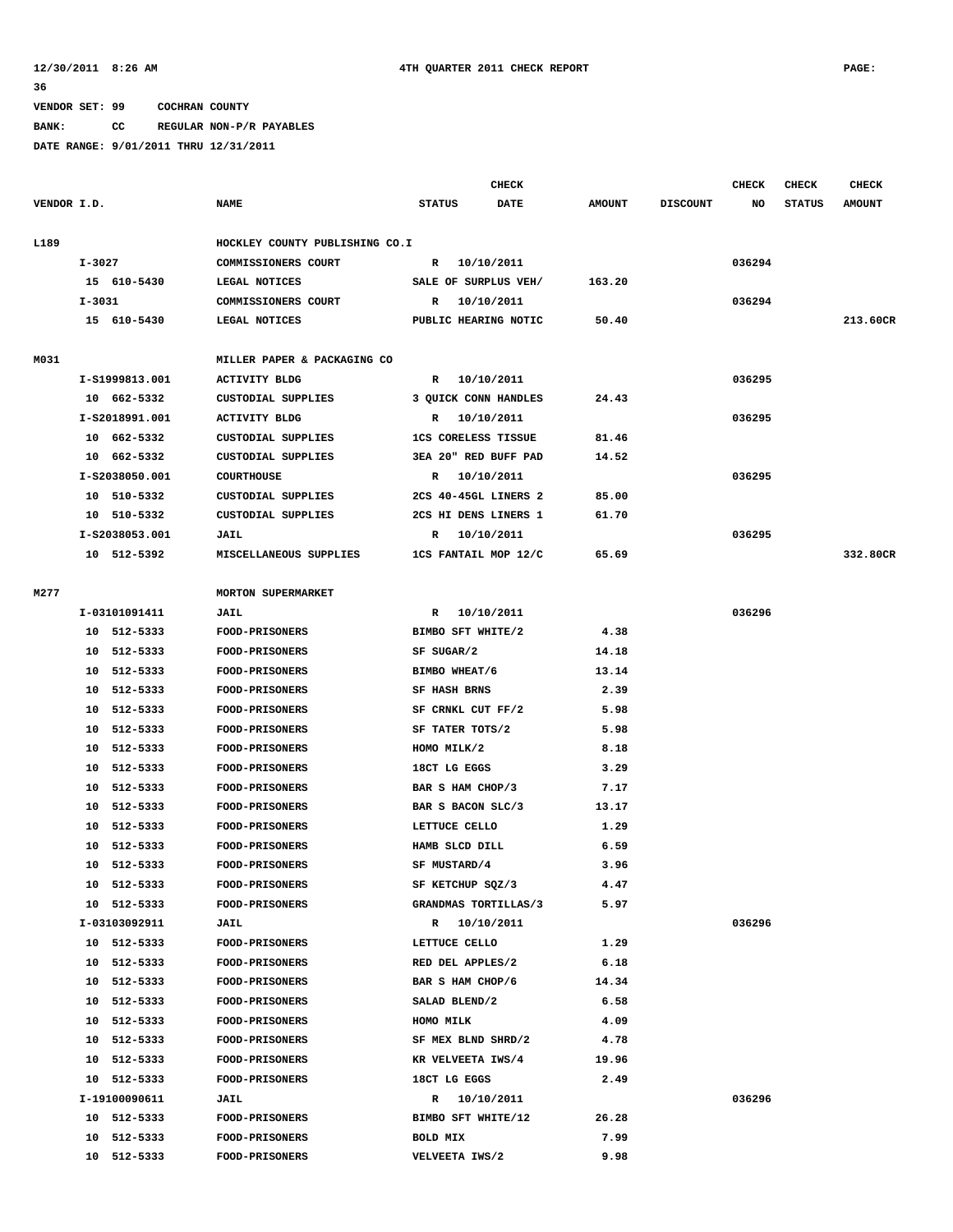#### **VENDOR SET: 99 COCHRAN COUNTY**

**BANK: CC REGULAR NON-P/R PAYABLES**

|             |                |                                |                            | CHECK       |               |                 | CHECK  | <b>CHECK</b>  | <b>CHECK</b>  |
|-------------|----------------|--------------------------------|----------------------------|-------------|---------------|-----------------|--------|---------------|---------------|
| VENDOR I.D. |                | <b>NAME</b>                    | <b>STATUS</b>              | <b>DATE</b> | <b>AMOUNT</b> | <b>DISCOUNT</b> | NO     | <b>STATUS</b> | <b>AMOUNT</b> |
| L189        |                | HOCKLEY COUNTY PUBLISHING CO.I |                            |             |               |                 |        |               |               |
|             | I-3027         | COMMISSIONERS COURT            | R 10/10/2011               |             |               |                 | 036294 |               |               |
|             | 15 610-5430    | LEGAL NOTICES                  | SALE OF SURPLUS VEH/       |             | 163.20        |                 |        |               |               |
|             | $I - 3031$     | COMMISSIONERS COURT            | R                          | 10/10/2011  |               |                 | 036294 |               |               |
|             | 15 610-5430    | LEGAL NOTICES                  | PUBLIC HEARING NOTIC       |             | 50.40         |                 |        |               | 213.60CR      |
|             |                |                                |                            |             |               |                 |        |               |               |
| M031        |                | MILLER PAPER & PACKAGING CO    |                            |             |               |                 |        |               |               |
|             | I-S1999813.001 | <b>ACTIVITY BLDG</b>           | R 10/10/2011               |             |               |                 | 036295 |               |               |
|             | 10 662-5332    | CUSTODIAL SUPPLIES             | 3 QUICK CONN HANDLES       |             | 24.43         |                 |        |               |               |
|             | I-S2018991.001 | <b>ACTIVITY BLDG</b>           | $\mathbb{R}$               | 10/10/2011  |               |                 | 036295 |               |               |
|             | 10 662-5332    | CUSTODIAL SUPPLIES             | <b>1CS CORELESS TISSUE</b> |             | 81.46         |                 |        |               |               |
|             | 10 662-5332    | CUSTODIAL SUPPLIES             | 3EA 20" RED BUFF PAD       |             | 14.52         |                 |        |               |               |
|             | I-S2038050.001 | <b>COURTHOUSE</b>              | $\mathbb{R}$               | 10/10/2011  |               |                 | 036295 |               |               |
|             | 10 510-5332    | CUSTODIAL SUPPLIES             | 2CS 40-45GL LINERS 2       |             | 85.00         |                 |        |               |               |
|             | 10 510-5332    | CUSTODIAL SUPPLIES             | 2CS HI DENS LINERS 1       |             | 61.70         |                 |        |               |               |
|             | I-S2038053.001 | JAIL                           | R                          | 10/10/2011  |               |                 | 036295 |               |               |
|             | 10 512-5392    | MISCELLANEOUS SUPPLIES         | 1CS FANTAIL MOP 12/C       |             | 65.69         |                 |        |               | 332.80CR      |
| M277        |                | <b>MORTON SUPERMARKET</b>      |                            |             |               |                 |        |               |               |
|             | I-03101091411  | JAIL                           | R                          | 10/10/2011  |               |                 | 036296 |               |               |
|             | 10 512-5333    | <b>FOOD-PRISONERS</b>          | BIMBO SFT WHITE/2          |             | 4.38          |                 |        |               |               |
|             | 10 512-5333    | <b>FOOD-PRISONERS</b>          | SF SUGAR/2                 |             | 14.18         |                 |        |               |               |
|             | 10 512-5333    | FOOD-PRISONERS                 | BIMBO WHEAT/6              |             | 13.14         |                 |        |               |               |
|             | 10<br>512-5333 | <b>FOOD-PRISONERS</b>          | SF HASH BRNS               |             | 2.39          |                 |        |               |               |
|             | 512-5333<br>10 | FOOD-PRISONERS                 | SF CRNKL CUT FF/2          |             | 5.98          |                 |        |               |               |
|             | 10<br>512-5333 | <b>FOOD-PRISONERS</b>          | SF TATER TOTS/2            |             | 5.98          |                 |        |               |               |
|             | 512-5333<br>10 | <b>FOOD-PRISONERS</b>          | HOMO MILK/2                |             | 8.18          |                 |        |               |               |
|             | 512-5333<br>10 | FOOD-PRISONERS                 | 18CT LG EGGS               |             | 3.29          |                 |        |               |               |
|             | 10 512-5333    | <b>FOOD-PRISONERS</b>          | BAR S HAM CHOP/3           |             | 7.17          |                 |        |               |               |
|             | 10<br>512-5333 | <b>FOOD-PRISONERS</b>          | BAR S BACON SLC/3          |             | 13.17         |                 |        |               |               |
|             | 512-5333<br>10 | FOOD-PRISONERS                 | LETTUCE CELLO              |             | 1.29          |                 |        |               |               |
|             | 512-5333<br>10 | <b>FOOD-PRISONERS</b>          | HAMB SLCD DILL             |             | 6.59          |                 |        |               |               |
|             | 512-5333<br>10 | <b>FOOD-PRISONERS</b>          | SF MUSTARD/4               |             | 3.96          |                 |        |               |               |
|             | 10 512-5333    | <b>FOOD-PRISONERS</b>          | SF KETCHUP SQZ/3           |             | 4.47          |                 |        |               |               |
|             | 10 512-5333    | FOOD-PRISONERS                 | GRANDMAS TORTILLAS/3       |             | 5.97          |                 |        |               |               |
|             | I-03103092911  | <b>JAIL</b>                    | R 10/10/2011               |             |               |                 | 036296 |               |               |
|             | 10 512-5333    | <b>FOOD-PRISONERS</b>          | LETTUCE CELLO              |             | 1.29          |                 |        |               |               |
|             | 10 512-5333    | FOOD-PRISONERS                 | RED DEL APPLES/2           |             | 6.18          |                 |        |               |               |
|             | 10 512-5333    | <b>FOOD-PRISONERS</b>          | BAR S HAM CHOP/6           |             | 14.34         |                 |        |               |               |
|             | 10 512-5333    | FOOD-PRISONERS                 | SALAD BLEND/2              |             | 6.58          |                 |        |               |               |
|             | 10 512-5333    | <b>FOOD-PRISONERS</b>          | HOMO MILK                  |             | 4.09          |                 |        |               |               |
|             | 10 512-5333    | <b>FOOD-PRISONERS</b>          | SF MEX BLND SHRD/2         |             | 4.78          |                 |        |               |               |
|             | 10 512-5333    | FOOD-PRISONERS                 | KR VELVEETA IWS/4          |             | 19.96         |                 |        |               |               |
|             | 10 512-5333    | <b>FOOD-PRISONERS</b>          | 18CT LG EGGS               |             | 2.49          |                 |        |               |               |
|             | I-19100090611  | <b>JAIL</b>                    | R 10/10/2011               |             |               |                 | 036296 |               |               |
|             | 10 512-5333    | <b>FOOD-PRISONERS</b>          | BIMBO SFT WHITE/12         |             | 26.28         |                 |        |               |               |
|             | 10 512-5333    | <b>FOOD-PRISONERS</b>          | BOLD MIX                   |             | 7.99          |                 |        |               |               |
|             | 10 512-5333    | <b>FOOD-PRISONERS</b>          | VELVEETA IWS/2             |             | 9.98          |                 |        |               |               |
|             |                |                                |                            |             |               |                 |        |               |               |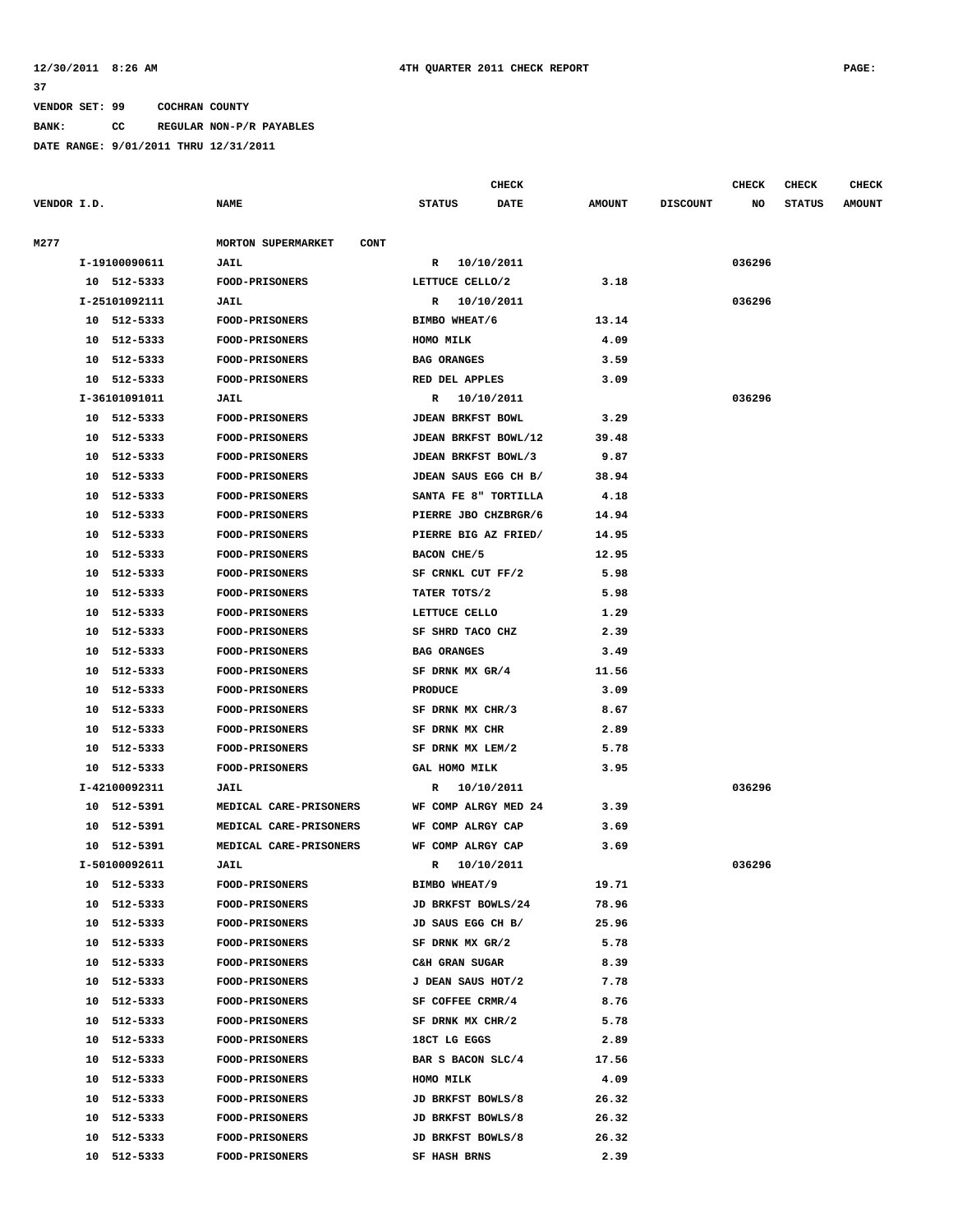#### **VENDOR SET: 99 COCHRAN COUNTY BANK: CC REGULAR NON-P/R PAYABLES**

|             |    |               |             |                                                |             |                                      | CHECK                       |               |                 | <b>CHECK</b> | CHECK         | CHECK         |
|-------------|----|---------------|-------------|------------------------------------------------|-------------|--------------------------------------|-----------------------------|---------------|-----------------|--------------|---------------|---------------|
| VENDOR I.D. |    |               | <b>NAME</b> |                                                |             | <b>STATUS</b>                        | DATE                        | <b>AMOUNT</b> | <b>DISCOUNT</b> | NO           | <b>STATUS</b> | <b>AMOUNT</b> |
| M277        |    |               |             | <b>MORTON SUPERMARKET</b>                      | <b>CONT</b> |                                      |                             |               |                 |              |               |               |
|             |    | I-19100090611 | JAIL        |                                                |             | R 10/10/2011                         |                             |               |                 | 036296       |               |               |
|             |    | 10 512-5333   |             | FOOD-PRISONERS                                 |             | LETTUCE CELLO/2                      |                             | 3.18          |                 |              |               |               |
|             |    | I-25101092111 | <b>JAIL</b> |                                                |             | R                                    | 10/10/2011                  |               |                 | 036296       |               |               |
|             |    | 10 512-5333   |             | <b>FOOD-PRISONERS</b>                          |             | BIMBO WHEAT/6                        |                             | 13.14         |                 |              |               |               |
|             | 10 | 512-5333      |             | <b>FOOD-PRISONERS</b>                          |             | HOMO MILK                            |                             | 4.09          |                 |              |               |               |
|             | 10 | 512-5333      |             | FOOD-PRISONERS                                 |             | <b>BAG ORANGES</b>                   |                             | 3.59          |                 |              |               |               |
|             | 10 | 512-5333      |             | FOOD-PRISONERS                                 |             | RED DEL APPLES                       |                             | 3.09          |                 |              |               |               |
|             |    | I-36101091011 | <b>JAIL</b> |                                                |             | R                                    | 10/10/2011                  |               |                 | 036296       |               |               |
|             |    | 10 512-5333   |             | FOOD-PRISONERS                                 |             | JDEAN BRKFST BOWL                    |                             | 3.29          |                 |              |               |               |
|             | 10 | 512-5333      |             | FOOD-PRISONERS                                 |             |                                      | <b>JDEAN BRKFST BOWL/12</b> | 39.48         |                 |              |               |               |
|             | 10 | 512-5333      |             | FOOD-PRISONERS                                 |             | JDEAN BRKFST BOWL/3                  |                             | 9.87          |                 |              |               |               |
|             | 10 | 512-5333      |             | FOOD-PRISONERS                                 |             | JDEAN SAUS EGG CH B/                 |                             | 38.94         |                 |              |               |               |
|             | 10 | 512-5333      |             | FOOD-PRISONERS                                 |             |                                      | SANTA FE 8" TORTILLA        | 4.18          |                 |              |               |               |
|             | 10 | 512-5333      |             | FOOD-PRISONERS                                 |             | PIERRE JBO CHZBRGR/6                 |                             | 14.94         |                 |              |               |               |
|             | 10 | 512-5333      |             | FOOD-PRISONERS                                 |             | PIERRE BIG AZ FRIED/                 |                             | 14.95         |                 |              |               |               |
|             | 10 | 512-5333      |             | <b>FOOD-PRISONERS</b>                          |             | BACON CHE/5                          |                             | 12.95         |                 |              |               |               |
|             | 10 | 512-5333      |             | <b>FOOD-PRISONERS</b>                          |             | SF CRNKL CUT FF/2                    |                             | 5.98          |                 |              |               |               |
|             | 10 | 512-5333      |             | <b>FOOD-PRISONERS</b>                          |             | TATER TOTS/2                         |                             | 5.98          |                 |              |               |               |
|             | 10 | 512-5333      |             | FOOD-PRISONERS                                 |             | LETTUCE CELLO                        |                             | 1.29          |                 |              |               |               |
|             | 10 | 512-5333      |             | <b>FOOD-PRISONERS</b>                          |             | SF SHRD TACO CHZ                     |                             | 2.39          |                 |              |               |               |
|             | 10 | 512-5333      |             | FOOD-PRISONERS                                 |             | <b>BAG ORANGES</b>                   |                             | 3.49          |                 |              |               |               |
|             | 10 | 512-5333      |             | FOOD-PRISONERS                                 |             | SF DRNK MX GR/4                      |                             | 11.56         |                 |              |               |               |
|             | 10 | 512-5333      |             | <b>FOOD-PRISONERS</b>                          |             | <b>PRODUCE</b>                       |                             | 3.09          |                 |              |               |               |
|             | 10 | 512-5333      |             | FOOD-PRISONERS                                 |             | SF DRNK MX CHR/3                     |                             | 8.67          |                 |              |               |               |
|             | 10 | 512-5333      |             | FOOD-PRISONERS                                 |             | SF DRNK MX CHR                       |                             | 2.89          |                 |              |               |               |
|             | 10 | 512-5333      |             | <b>FOOD-PRISONERS</b>                          |             | SF DRNK MX LEM/2                     |                             | 5.78          |                 |              |               |               |
|             | 10 | 512-5333      |             | FOOD-PRISONERS                                 |             | GAL HOMO MILK                        |                             | 3.95          |                 |              |               |               |
|             |    | I-42100092311 | <b>JAIL</b> |                                                |             | R                                    | 10/10/2011                  |               |                 | 036296       |               |               |
|             |    | 10 512-5391   |             | MEDICAL CARE-PRISONERS                         |             | WF COMP ALRGY MED 24                 |                             | 3.39          |                 |              |               |               |
|             | 10 | 512-5391      |             | MEDICAL CARE-PRISONERS                         |             | WF COMP ALRGY CAP                    |                             | 3.69          |                 |              |               |               |
|             | 10 | 512-5391      |             | MEDICAL CARE-PRISONERS                         |             | WF COMP ALRGY CAP                    |                             | 3.69          |                 |              |               |               |
|             |    | I-50100092611 | <b>JAIL</b> |                                                |             | R                                    | 10/10/2011                  |               |                 | 036296       |               |               |
|             | 10 | 512-5333      |             |                                                |             | BIMBO WHEAT/9                        |                             | 19.71         |                 |              |               |               |
|             |    | 10 512-5333   |             | <b>FOOD-PRISONERS</b><br><b>FOOD-PRISONERS</b> |             | JD BRKFST BOWLS/24                   |                             | 78.96         |                 |              |               |               |
|             | 10 | 512-5333      |             | <b>FOOD-PRISONERS</b>                          |             | JD SAUS EGG CH B/                    |                             | 25.96         |                 |              |               |               |
|             |    | 10 512-5333   |             | FOOD-PRISONERS                                 |             | SF DRNK MX GR/2                      |                             | 5.78          |                 |              |               |               |
|             |    | 10 512-5333   |             | FOOD-PRISONERS                                 |             | C&H GRAN SUGAR                       |                             | 8.39          |                 |              |               |               |
|             |    | 512-5333      |             |                                                |             |                                      |                             | 7.78          |                 |              |               |               |
|             | 10 | 512-5333      |             | <b>FOOD-PRISONERS</b><br>FOOD-PRISONERS        |             | J DEAN SAUS HOT/2                    |                             |               |                 |              |               |               |
|             | 10 |               |             |                                                |             | SF COFFEE CRMR/4<br>SF DRNK MX CHR/2 |                             | 8.76          |                 |              |               |               |
|             | 10 | 512-5333      |             | FOOD-PRISONERS                                 |             |                                      |                             | 5.78<br>2.89  |                 |              |               |               |
|             |    | 10 512-5333   |             | <b>FOOD-PRISONERS</b>                          |             | 18CT LG EGGS                         |                             |               |                 |              |               |               |
|             |    | 10 512-5333   |             | <b>FOOD-PRISONERS</b>                          |             | BAR S BACON SLC/4                    |                             | 17.56         |                 |              |               |               |
|             |    | 10 512-5333   |             | <b>FOOD-PRISONERS</b>                          |             | HOMO MILK                            |                             | 4.09          |                 |              |               |               |
|             |    | 10 512-5333   |             | <b>FOOD-PRISONERS</b>                          |             | JD BRKFST BOWLS/8                    |                             | 26.32         |                 |              |               |               |
|             |    | 10 512-5333   |             | <b>FOOD-PRISONERS</b>                          |             | JD BRKFST BOWLS/8                    |                             | 26.32         |                 |              |               |               |
|             | 10 | 512-5333      |             | <b>FOOD-PRISONERS</b>                          |             | JD BRKFST BOWLS/8                    |                             | 26.32         |                 |              |               |               |
|             |    | 10 512-5333   |             | <b>FOOD-PRISONERS</b>                          |             | SF HASH BRNS                         |                             | 2.39          |                 |              |               |               |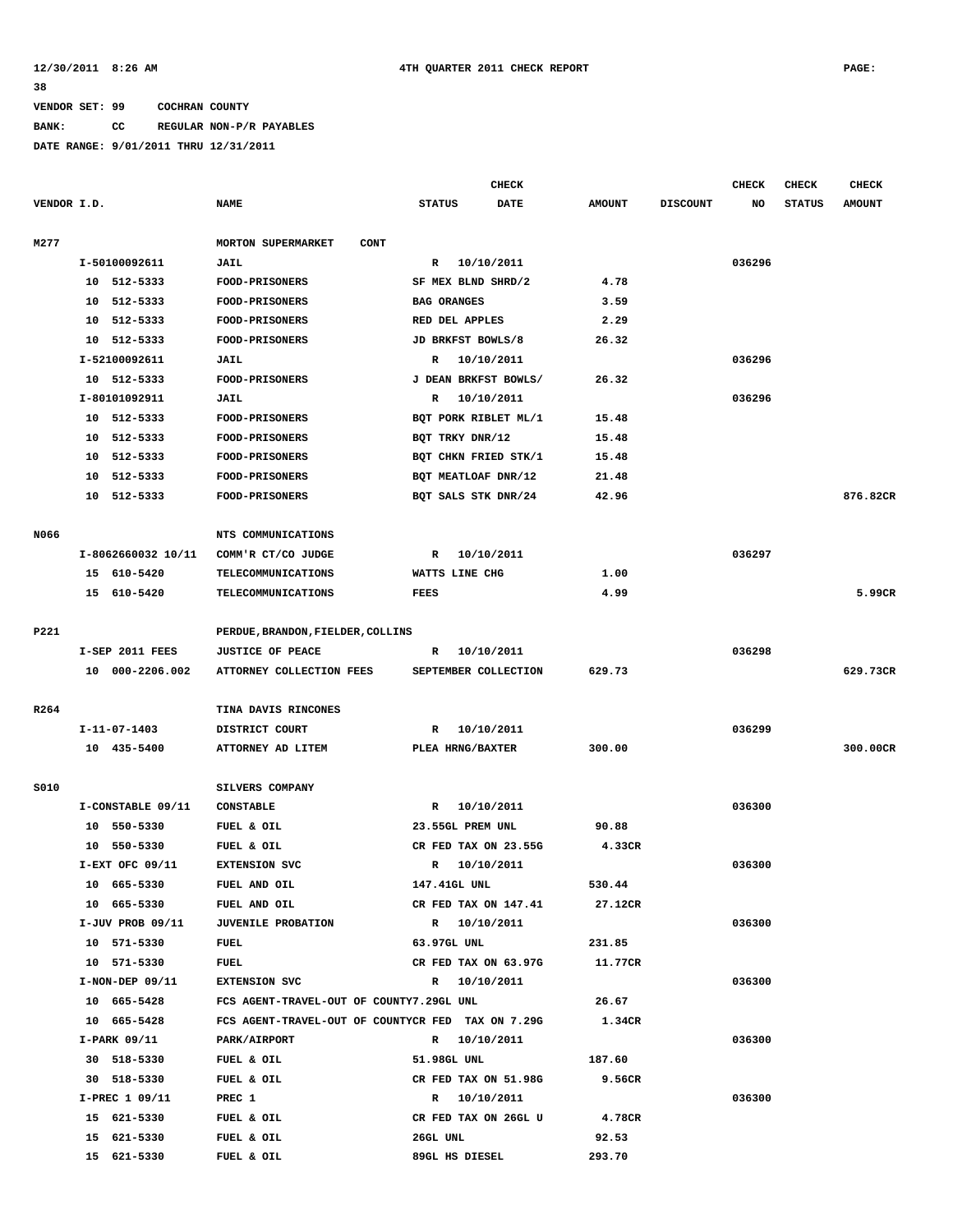## **VENDOR SET: 99 COCHRAN COUNTY**

**BANK: CC REGULAR NON-P/R PAYABLES**

|             |                      |                                                   | <b>CHECK</b>                 |               |                 | <b>CHECK</b> | <b>CHECK</b>  | <b>CHECK</b>  |
|-------------|----------------------|---------------------------------------------------|------------------------------|---------------|-----------------|--------------|---------------|---------------|
| VENDOR I.D. |                      | <b>NAME</b>                                       | <b>STATUS</b><br><b>DATE</b> | <b>AMOUNT</b> | <b>DISCOUNT</b> | NO.          | <b>STATUS</b> | <b>AMOUNT</b> |
| M277        |                      | <b>MORTON SUPERMARKET</b><br><b>CONT</b>          |                              |               |                 |              |               |               |
|             | I-50100092611        | JAIL                                              | 10/10/2011<br>R              |               |                 | 036296       |               |               |
|             | 10 512-5333          | FOOD-PRISONERS                                    | SF MEX BLND SHRD/2           | 4.78          |                 |              |               |               |
|             | 512-5333<br>10       | FOOD-PRISONERS                                    | <b>BAG ORANGES</b>           | 3.59          |                 |              |               |               |
|             | 512-5333<br>10       | <b>FOOD-PRISONERS</b>                             | RED DEL APPLES               | 2.29          |                 |              |               |               |
|             | 10 512-5333          | FOOD-PRISONERS                                    | JD BRKFST BOWLS/8            | 26.32         |                 |              |               |               |
|             | I-52100092611        | <b>JAIL</b>                                       | 10/10/2011<br>R              |               |                 | 036296       |               |               |
|             | 10 512-5333          | <b>FOOD-PRISONERS</b>                             | J DEAN BRKFST BOWLS/         | 26.32         |                 |              |               |               |
|             | I-80101092911        | JAIL                                              | 10/10/2011<br>R              |               |                 | 036296       |               |               |
|             | 10 512-5333          | <b>FOOD-PRISONERS</b>                             | BQT PORK RIBLET ML/1         | 15.48         |                 |              |               |               |
|             | 10 512-5333          | <b>FOOD-PRISONERS</b>                             | BQT TRKY DNR/12              | 15.48         |                 |              |               |               |
|             | 10 512-5333          | <b>FOOD-PRISONERS</b>                             | BQT CHKN FRIED STK/1         | 15.48         |                 |              |               |               |
|             | 512-5333<br>10       | FOOD-PRISONERS                                    |                              | 21.48         |                 |              |               |               |
|             |                      |                                                   | BQT MEATLOAF DNR/12          |               |                 |              |               |               |
|             | 10<br>512-5333       | FOOD-PRISONERS                                    | BQT SALS STK DNR/24          | 42.96         |                 |              |               | 876.82CR      |
| N066        |                      | NTS COMMUNICATIONS                                |                              |               |                 |              |               |               |
|             | I-8062660032 10/11   | COMM'R CT/CO JUDGE                                | 10/10/2011<br>R              |               |                 | 036297       |               |               |
|             | 15 610-5420          | TELECOMMUNICATIONS                                | WATTS LINE CHG               | 1.00          |                 |              |               |               |
|             | 15 610-5420          | TELECOMMUNICATIONS                                | <b>FEES</b>                  | 4.99          |                 |              |               | 5.99CR        |
| P221        |                      | PERDUE, BRANDON, FIELDER, COLLINS                 |                              |               |                 |              |               |               |
|             | I-SEP 2011 FEES      | <b>JUSTICE OF PEACE</b>                           | 10/10/2011<br>R              |               |                 | 036298       |               |               |
|             | 10 000-2206.002      | ATTORNEY COLLECTION FEES                          | SEPTEMBER COLLECTION         | 629.73        |                 |              |               | 629.73CR      |
|             |                      |                                                   |                              |               |                 |              |               |               |
| R264        |                      | TINA DAVIS RINCONES                               |                              |               |                 |              |               |               |
|             | $I - 11 - 07 - 1403$ | DISTRICT COURT                                    | 10/10/2011<br>R              |               |                 | 036299       |               |               |
|             | 10 435-5400          | ATTORNEY AD LITEM                                 | PLEA HRNG/BAXTER             | 300.00        |                 |              |               | 300.00CR      |
|             |                      |                                                   |                              |               |                 |              |               |               |
| S010        |                      | SILVERS COMPANY                                   |                              |               |                 |              |               |               |
|             | I-CONSTABLE 09/11    | <b>CONSTABLE</b>                                  | R<br>10/10/2011              |               |                 | 036300       |               |               |
|             | 550-5330<br>10       | FUEL & OIL                                        | 23.55GL PREM UNL             | 90.88         |                 |              |               |               |
|             | 10 550-5330          | FUEL & OIL                                        | CR FED TAX ON 23.55G         | 4.33CR        |                 |              |               |               |
|             | I-EXT OFC 09/11      | <b>EXTENSION SVC</b>                              | 10/10/2011<br>R              |               |                 | 036300       |               |               |
|             | 10 665-5330          | FUEL AND OIL                                      | 147.41GL UNL                 | 530.44        |                 |              |               |               |
|             | 10 665-5330          | FUEL AND OIL                                      | CR FED TAX ON 147.41         | 27.12CR       |                 |              |               |               |
|             | $I-JUV$ PROB 09/11   | <b>JUVENILE PROBATION</b>                         | R 10/10/2011                 |               |                 | 036300       |               |               |
|             | 10 571-5330          | FUEL                                              | 63.97GL UNL                  | 231.85        |                 |              |               |               |
|             | 10 571-5330          | FUEL                                              | CR FED TAX ON 63.97G         | 11.77CR       |                 |              |               |               |
|             | $I-NON-DEF$ 09/11    | <b>EXTENSION SVC</b>                              | R 10/10/2011                 |               |                 | 036300       |               |               |
|             | 10 665-5428          | FCS AGENT-TRAVEL-OUT OF COUNTY7.29GL UNL          |                              | 26.67         |                 |              |               |               |
|             | 10 665-5428          | FCS AGENT-TRAVEL-OUT OF COUNTYCR FED TAX ON 7.29G |                              | 1.34CR        |                 |              |               |               |
|             | $I-PARK$ 09/11       | PARK/AIRPORT                                      | R 10/10/2011                 |               |                 | 036300       |               |               |
|             | 30 518-5330          | FUEL & OIL                                        | 51.98GL UNL                  | 187.60        |                 |              |               |               |
|             | 30 518-5330          | FUEL & OIL                                        | CR FED TAX ON 51.98G         | 9.56CR        |                 |              |               |               |
|             | I-PREC 1 09/11       | PREC 1                                            | R 10/10/2011                 |               |                 | 036300       |               |               |
|             | 15 621-5330          | FUEL & OIL                                        | CR FED TAX ON 26GL U         | 4.78CR        |                 |              |               |               |
|             | 15 621-5330          | FUEL & OIL                                        | 26GL UNL                     | 92.53         |                 |              |               |               |
|             | 15 621-5330          | FUEL & OIL                                        | 89GL HS DIESEL               | 293.70        |                 |              |               |               |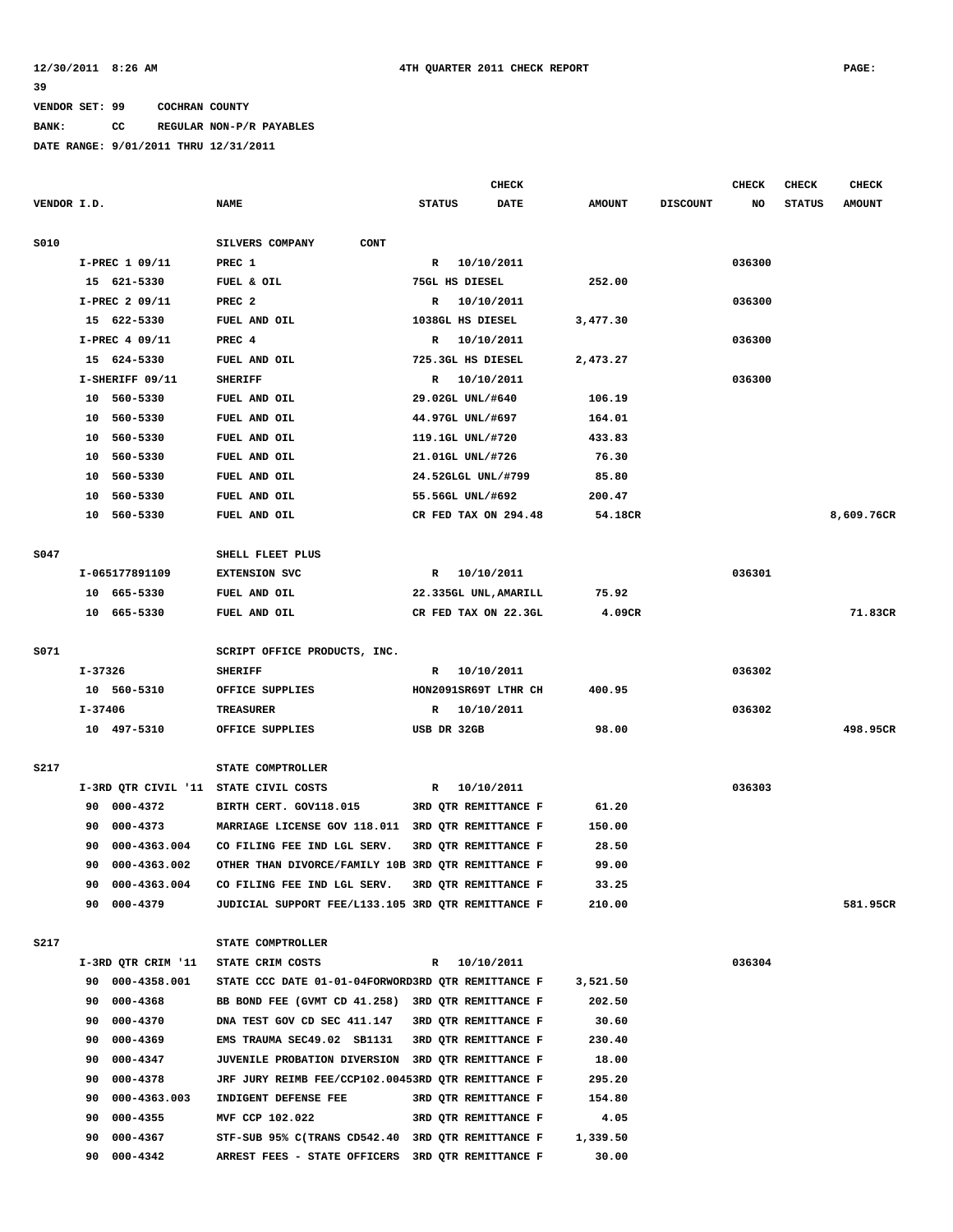#### **VENDOR SET: 99 COCHRAN COUNTY**

# **BANK: CC REGULAR NON-P/R PAYABLES**

|             |                     |                                                    | <b>CHECK</b>          |             |               |                 | CHECK  | <b>CHECK</b>  | <b>CHECK</b>  |
|-------------|---------------------|----------------------------------------------------|-----------------------|-------------|---------------|-----------------|--------|---------------|---------------|
| VENDOR I.D. |                     | <b>NAME</b>                                        | <b>STATUS</b>         | <b>DATE</b> | <b>AMOUNT</b> | <b>DISCOUNT</b> | NO     | <b>STATUS</b> | <b>AMOUNT</b> |
|             |                     |                                                    |                       |             |               |                 |        |               |               |
| S010        |                     | SILVERS COMPANY<br>CONT                            |                       |             |               |                 |        |               |               |
|             | I-PREC 1 09/11      | PREC 1                                             | R 10/10/2011          |             |               |                 | 036300 |               |               |
|             | 15 621-5330         | FUEL & OIL                                         | 75GL HS DIESEL        |             | 252.00        |                 |        |               |               |
|             | I-PREC 2 09/11      | PREC <sub>2</sub>                                  | R.                    | 10/10/2011  |               |                 | 036300 |               |               |
|             | 15 622-5330         | FUEL AND OIL                                       | 1038GL HS DIESEL      |             | 3,477.30      |                 |        |               |               |
|             | I-PREC 4 09/11      | PREC 4                                             | $\mathbf{R}$          | 10/10/2011  |               |                 | 036300 |               |               |
|             | 15 624-5330         | FUEL AND OIL                                       | 725.3GL HS DIESEL     |             | 2,473.27      |                 |        |               |               |
|             | I-SHERIFF 09/11     | <b>SHERIFF</b>                                     | $\mathbb{R}$          | 10/10/2011  |               |                 | 036300 |               |               |
|             | 10 560-5330         | FUEL AND OIL                                       | 29.02GL UNL/#640      |             | 106.19        |                 |        |               |               |
|             | 10 560-5330         | FUEL AND OIL                                       | 44.97GL UNL/#697      |             | 164.01        |                 |        |               |               |
|             | 10 560-5330         | FUEL AND OIL                                       | 119.1GL UNL/#720      |             | 433.83        |                 |        |               |               |
|             | 10 560-5330         | FUEL AND OIL                                       | 21.01GL UNL/#726      |             | 76.30         |                 |        |               |               |
|             | 560-5330<br>10      | FUEL AND OIL                                       | 24.52GLGL UNL/#799    |             | 85.80         |                 |        |               |               |
|             | 560-5330<br>10      | FUEL AND OIL                                       | 55.56GL UNL/#692      |             | 200.47        |                 |        |               |               |
|             | 10 560-5330         | FUEL AND OIL                                       | CR FED TAX ON 294.48  |             | 54.18CR       |                 |        |               | 8,609.76CR    |
|             |                     |                                                    |                       |             |               |                 |        |               |               |
| S047        |                     | SHELL FLEET PLUS                                   |                       |             |               |                 |        |               |               |
|             | I-065177891109      | <b>EXTENSION SVC</b>                               | $\mathbb{R}$          | 10/10/2011  |               |                 | 036301 |               |               |
|             | 10 665-5330         | FUEL AND OIL                                       | 22.335GL UNL, AMARILL |             | 75.92         |                 |        |               |               |
|             | 10 665-5330         | FUEL AND OIL                                       | CR FED TAX ON 22.3GL  |             | 4.09CR        |                 |        |               | 71.83CR       |
|             |                     |                                                    |                       |             |               |                 |        |               |               |
| S071        |                     | SCRIPT OFFICE PRODUCTS, INC.                       |                       |             |               |                 |        |               |               |
|             | I-37326             | <b>SHERIFF</b>                                     | R 10/10/2011          |             |               |                 | 036302 |               |               |
|             | 10 560-5310         | OFFICE SUPPLIES                                    | HON2091SR69T LTHR CH  |             | 400.95        |                 |        |               |               |
|             | I-37406             | <b>TREASURER</b>                                   | R 10/10/2011          |             |               |                 | 036302 |               |               |
|             | 10 497-5310         | OFFICE SUPPLIES                                    | USB DR 32GB           |             | 98.00         |                 |        |               | 498.95CR      |
|             |                     |                                                    |                       |             |               |                 |        |               |               |
| S217        |                     | STATE COMPTROLLER                                  |                       |             |               |                 |        |               |               |
|             |                     | I-3RD QTR CIVIL '11 STATE CIVIL COSTS              | $\mathbb{R}$          | 10/10/2011  |               |                 | 036303 |               |               |
|             | 90 000-4372         | BIRTH CERT. GOV118.015                             | 3RD QTR REMITTANCE F  |             | 61.20         |                 |        |               |               |
|             | 000-4373<br>90      | MARRIAGE LICENSE GOV 118.011 3RD QTR REMITTANCE F  |                       |             | 150.00        |                 |        |               |               |
|             | 000-4363.004<br>90  | CO FILING FEE IND LGL SERV.                        | 3RD QTR REMITTANCE F  |             | 28.50         |                 |        |               |               |
|             | 90<br>000-4363.002  | OTHER THAN DIVORCE/FAMILY 10B 3RD QTR REMITTANCE F |                       |             | 99.00         |                 |        |               |               |
|             | 000-4363.004<br>90. | CO FILING FEE IND LGL SERV.                        | 3RD QTR REMITTANCE F  |             | 33.25         |                 |        |               |               |
|             | 90 000-4379         | JUDICIAL SUPPORT FEE/L133.105 3RD QTR REMITTANCE F |                       |             | 210.00        |                 |        |               | 581.95CR      |
|             |                     |                                                    |                       |             |               |                 |        |               |               |
| S217        |                     | STATE COMPTROLLER                                  |                       |             |               |                 |        |               |               |
|             | I-3RD QTR CRIM '11  | STATE CRIM COSTS                                   | R 10/10/2011          |             |               |                 | 036304 |               |               |
|             | 90 000-4358.001     | STATE CCC DATE 01-01-04FORWORD3RD QTR REMITTANCE F |                       |             | 3,521.50      |                 |        |               |               |
|             | 90 000-4368         | BB BOND FEE (GVMT CD 41.258) 3RD QTR REMITTANCE F  |                       |             | 202.50        |                 |        |               |               |
|             | 000-4370<br>90      | DNA TEST GOV CD SEC 411.147                        | 3RD QTR REMITTANCE F  |             | 30.60         |                 |        |               |               |
|             | 000-4369<br>90      | EMS TRAUMA SEC49.02 SB1131                         | 3RD QTR REMITTANCE F  |             | 230.40        |                 |        |               |               |
|             | $000 - 4347$<br>90  | JUVENILE PROBATION DIVERSION 3RD QTR REMITTANCE F  |                       |             | 18.00         |                 |        |               |               |
|             | 000-4378<br>90      | JRF JURY REIMB FEE/CCP102.00453RD QTR REMITTANCE F |                       |             | 295.20        |                 |        |               |               |
|             | 000-4363.003<br>90  | INDIGENT DEFENSE FEE                               | 3RD QTR REMITTANCE F  |             | 154.80        |                 |        |               |               |
|             | 000-4355<br>90      | MVF CCP 102.022                                    | 3RD QTR REMITTANCE F  |             | 4.05          |                 |        |               |               |
|             | 000-4367<br>90      | STF-SUB 95% C(TRANS CD542.40 3RD QTR REMITTANCE F  |                       |             | 1,339.50      |                 |        |               |               |
|             | 90<br>000-4342      | ARREST FEES - STATE OFFICERS 3RD QTR REMITTANCE F  |                       |             | 30.00         |                 |        |               |               |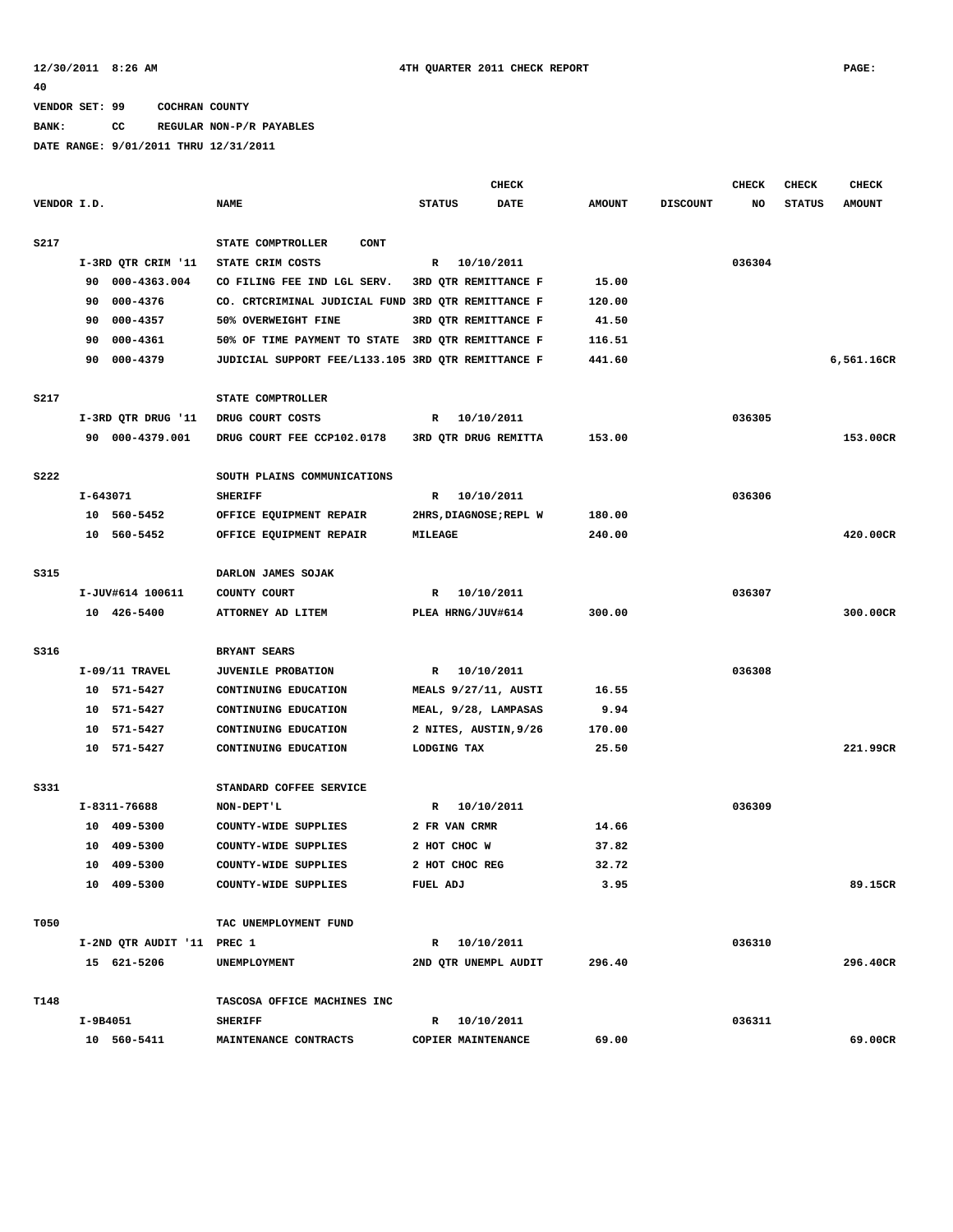#### **VENDOR SET: 99 COCHRAN COUNTY**

# **BANK: CC REGULAR NON-P/R PAYABLES**

|             | <b>CHECK</b>               |                                                    |                            | <b>CHECK</b><br>CHECK |                 |        |               | <b>CHECK</b>  |
|-------------|----------------------------|----------------------------------------------------|----------------------------|-----------------------|-----------------|--------|---------------|---------------|
| VENDOR I.D. |                            | <b>NAME</b>                                        | <b>STATUS</b><br>DATE      | <b>AMOUNT</b>         | <b>DISCOUNT</b> | NO     | <b>STATUS</b> | <b>AMOUNT</b> |
|             |                            |                                                    |                            |                       |                 |        |               |               |
| S217        |                            | STATE COMPTROLLER<br>CONT                          |                            |                       |                 |        |               |               |
|             | I-3RD QTR CRIM '11         | STATE CRIM COSTS                                   | R<br>10/10/2011            |                       |                 | 036304 |               |               |
|             | 000-4363.004<br>90         | CO FILING FEE IND LGL SERV.                        | 3RD QTR REMITTANCE F       | 15.00                 |                 |        |               |               |
|             | 000-4376<br>90             | CO. CRTCRIMINAL JUDICIAL FUND 3RD QTR REMITTANCE F |                            | 120.00                |                 |        |               |               |
|             | 000-4357<br>90             | 50% OVERWEIGHT FINE                                | 3RD QTR REMITTANCE F       | 41.50                 |                 |        |               |               |
|             | 000-4361<br>90             | 50% OF TIME PAYMENT TO STATE                       | 3RD QTR REMITTANCE F       | 116.51                |                 |        |               |               |
|             | 000-4379<br>90             | JUDICIAL SUPPORT FEE/L133.105 3RD QTR REMITTANCE F |                            | 441.60                |                 |        |               | 6,561.16CR    |
| S217        |                            | STATE COMPTROLLER                                  |                            |                       |                 |        |               |               |
|             | I-3RD QTR DRUG '11         | DRUG COURT COSTS                                   | 10/10/2011<br>R            |                       |                 | 036305 |               |               |
|             | 90 000-4379.001            | DRUG COURT FEE CCP102.0178                         | 3RD QTR DRUG REMITTA       | 153.00                |                 |        |               | 153.00CR      |
|             |                            |                                                    |                            |                       |                 |        |               |               |
| <b>S222</b> |                            | SOUTH PLAINS COMMUNICATIONS                        |                            |                       |                 |        |               |               |
|             | I-643071                   | <b>SHERIFF</b>                                     | 10/10/2011<br>R            |                       |                 | 036306 |               |               |
|             | 10 560-5452                | OFFICE EQUIPMENT REPAIR                            | 2HRS, DIAGNOSE; REPL W     | 180.00                |                 |        |               |               |
|             | 10 560-5452                | OFFICE EQUIPMENT REPAIR                            | MILEAGE                    | 240.00                |                 |        |               | 420.00CR      |
|             |                            |                                                    |                            |                       |                 |        |               |               |
| S315        |                            | DARLON JAMES SOJAK                                 |                            |                       |                 |        |               |               |
|             | I-JUV#614 100611           | COUNTY COURT                                       | 10/10/2011<br>R            |                       |                 | 036307 |               |               |
|             | 10 426-5400                | ATTORNEY AD LITEM                                  | PLEA HRNG/JUV#614          | 300.00                |                 |        |               | 300.00CR      |
| S316        |                            | BRYANT SEARS                                       |                            |                       |                 |        |               |               |
|             | $I-09/11$ TRAVEL           | <b>JUVENILE PROBATION</b>                          | 10/10/2011<br>$\mathbb{R}$ |                       |                 | 036308 |               |               |
|             | 10 571-5427                | CONTINUING EDUCATION                               | MEALS 9/27/11, AUSTI       | 16.55                 |                 |        |               |               |
|             | 571-5427<br>10             | CONTINUING EDUCATION                               | MEAL, 9/28, LAMPASAS       | 9.94                  |                 |        |               |               |
|             | 571-5427<br>10             | CONTINUING EDUCATION                               | 2 NITES, AUSTIN, 9/26      | 170.00                |                 |        |               |               |
|             | 10 571-5427                | CONTINUING EDUCATION                               | LODGING TAX                | 25.50                 |                 |        |               | 221.99CR      |
|             |                            |                                                    |                            |                       |                 |        |               |               |
| S331        |                            | STANDARD COFFEE SERVICE                            |                            |                       |                 |        |               |               |
|             | I-8311-76688               | NON-DEPT'L                                         | 10/10/2011<br>R            |                       |                 | 036309 |               |               |
|             | 10 409-5300                | COUNTY-WIDE SUPPLIES                               | 2 FR VAN CRMR              | 14.66                 |                 |        |               |               |
|             | 409-5300<br>10             | COUNTY-WIDE SUPPLIES                               | 2 HOT CHOC W               | 37.82                 |                 |        |               |               |
|             | 10<br>409-5300             | COUNTY-WIDE SUPPLIES                               | 2 HOT CHOC REG             | 32.72                 |                 |        |               |               |
|             | 10 409-5300                | COUNTY-WIDE SUPPLIES                               | FUEL ADJ                   | 3.95                  |                 |        |               | 89.15CR       |
|             |                            |                                                    |                            |                       |                 |        |               |               |
| T050        |                            | TAC UNEMPLOYMENT FUND                              |                            |                       |                 |        |               |               |
|             | I-2ND QTR AUDIT '11 PREC 1 |                                                    | R 10/10/2011               |                       |                 | 036310 |               |               |
|             | 15 621-5206                | UNEMPLOYMENT                                       | 2ND QTR UNEMPL AUDIT       | 296.40                |                 |        |               | 296.40CR      |
| T148        |                            | TASCOSA OFFICE MACHINES INC                        |                            |                       |                 |        |               |               |
|             | I-9B4051                   | <b>SHERIFF</b>                                     | R 10/10/2011               |                       |                 | 036311 |               |               |
|             | 10 560-5411                | MAINTENANCE CONTRACTS                              | COPIER MAINTENANCE         | 69.00                 |                 |        |               | 69.00CR       |
|             |                            |                                                    |                            |                       |                 |        |               |               |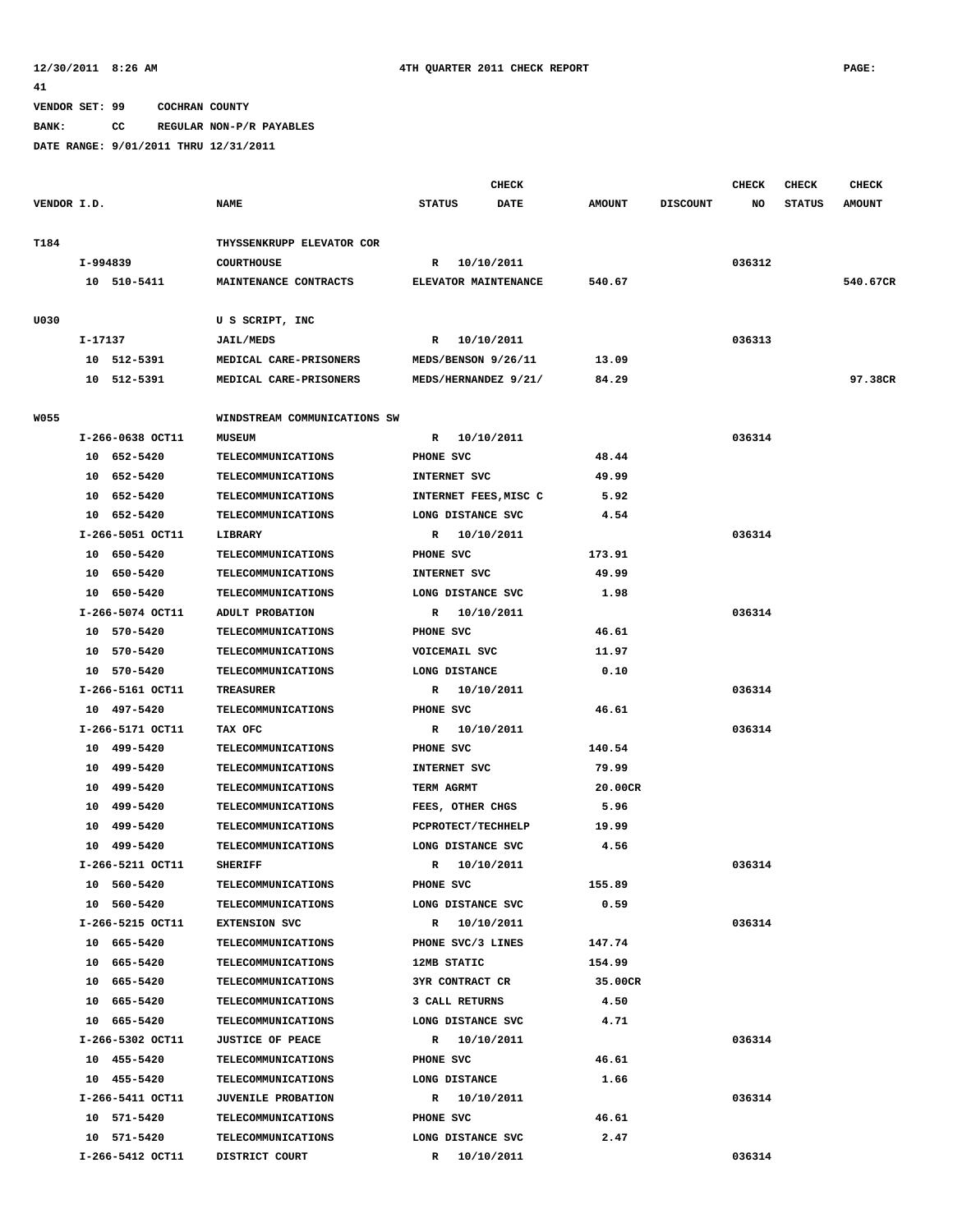#### **VENDOR SET: 99 COCHRAN COUNTY**

# **BANK: CC REGULAR NON-P/R PAYABLES**

|             |                  |                              |                        | <b>CHECK</b> |               |                 | CHECK  | <b>CHECK</b>  | <b>CHECK</b>  |
|-------------|------------------|------------------------------|------------------------|--------------|---------------|-----------------|--------|---------------|---------------|
| VENDOR I.D. |                  | <b>NAME</b>                  | <b>STATUS</b>          | <b>DATE</b>  | <b>AMOUNT</b> | <b>DISCOUNT</b> | NO     | <b>STATUS</b> | <b>AMOUNT</b> |
| T184        |                  | THYSSENKRUPP ELEVATOR COR    |                        |              |               |                 |        |               |               |
|             | I-994839         | <b>COURTHOUSE</b>            | R                      | 10/10/2011   |               |                 | 036312 |               |               |
|             | 10 510-5411      | MAINTENANCE CONTRACTS        | ELEVATOR MAINTENANCE   |              | 540.67        |                 |        |               | 540.67CR      |
|             |                  |                              |                        |              |               |                 |        |               |               |
| U030        |                  | U S SCRIPT, INC              |                        |              |               |                 |        |               |               |
|             | I-17137          | <b>JAIL/MEDS</b>             | R                      | 10/10/2011   |               |                 | 036313 |               |               |
|             | 10 512-5391      | MEDICAL CARE-PRISONERS       | MEDS/BENSON 9/26/11    |              | 13.09         |                 |        |               |               |
|             | 10 512-5391      | MEDICAL CARE-PRISONERS       | MEDS/HERNANDEZ 9/21/   |              | 84.29         |                 |        |               | 97.38CR       |
|             |                  |                              |                        |              |               |                 |        |               |               |
| W055        |                  | WINDSTREAM COMMUNICATIONS SW |                        |              |               |                 |        |               |               |
|             | I-266-0638 OCT11 | <b>MUSEUM</b>                | R                      | 10/10/2011   |               |                 | 036314 |               |               |
|             | 10 652-5420      | TELECOMMUNICATIONS           | PHONE SVC              |              | 48.44         |                 |        |               |               |
|             | 10 652-5420      | TELECOMMUNICATIONS           | INTERNET SVC           |              | 49.99         |                 |        |               |               |
|             | 10 652-5420      | TELECOMMUNICATIONS           | INTERNET FEES, MISC C  |              | 5.92          |                 |        |               |               |
|             | 10 652-5420      | <b>TELECOMMUNICATIONS</b>    | LONG DISTANCE SVC      |              | 4.54          |                 |        |               |               |
|             | I-266-5051 OCT11 | LIBRARY                      | R                      | 10/10/2011   |               |                 | 036314 |               |               |
|             | 10 650-5420      | TELECOMMUNICATIONS           | PHONE SVC              |              | 173.91        |                 |        |               |               |
|             | 10 650-5420      | TELECOMMUNICATIONS           | INTERNET SVC           |              | 49.99         |                 |        |               |               |
|             | 10 650-5420      | <b>TELECOMMUNICATIONS</b>    | LONG DISTANCE SVC      |              | 1.98          |                 |        |               |               |
|             | I-266-5074 OCT11 | ADULT PROBATION              | R                      | 10/10/2011   |               |                 | 036314 |               |               |
|             | 10 570-5420      | <b>TELECOMMUNICATIONS</b>    | PHONE SVC              |              | 46.61         |                 |        |               |               |
|             | 10 570-5420      | <b>TELECOMMUNICATIONS</b>    | VOICEMAIL SVC          |              | 11.97         |                 |        |               |               |
|             | 10 570-5420      | TELECOMMUNICATIONS           | LONG DISTANCE          |              | 0.10          |                 |        |               |               |
|             | I-266-5161 OCT11 | TREASURER                    | R                      | 10/10/2011   |               |                 | 036314 |               |               |
|             | 10 497-5420      | <b>TELECOMMUNICATIONS</b>    | PHONE SVC              |              | 46.61         |                 |        |               |               |
|             | I-266-5171 OCT11 | TAX OFC                      | R                      | 10/10/2011   |               |                 | 036314 |               |               |
|             | 10 499-5420      | <b>TELECOMMUNICATIONS</b>    | PHONE SVC              |              | 140.54        |                 |        |               |               |
|             | 10 499-5420      | <b>TELECOMMUNICATIONS</b>    | INTERNET SVC           |              | 79.99         |                 |        |               |               |
|             | 10 499-5420      | TELECOMMUNICATIONS           | TERM AGRMT             |              | 20.00CR       |                 |        |               |               |
|             | 10 499-5420      | TELECOMMUNICATIONS           | FEES, OTHER CHGS       |              | 5.96          |                 |        |               |               |
|             | 499-5420<br>10   | <b>TELECOMMUNICATIONS</b>    | PCPROTECT/TECHHELP     |              | 19.99         |                 |        |               |               |
|             | 10 499-5420      | <b>TELECOMMUNICATIONS</b>    | LONG DISTANCE SVC      |              | 4.56          |                 |        |               |               |
|             | I-266-5211 OCT11 | <b>SHERIFF</b>               | R                      | 10/10/2011   |               |                 | 036314 |               |               |
|             | 10 560-5420      | <b>TELECOMMUNICATIONS</b>    | PHONE SVC              |              | 155.89        |                 |        |               |               |
|             | 10 560-5420      | TELECOMMUNICATIONS           | LONG DISTANCE SVC      |              | 0.59          |                 |        |               |               |
|             | I-266-5215 OCT11 | <b>EXTENSION SVC</b>         | R 10/10/2011           |              |               |                 | 036314 |               |               |
|             | 10 665-5420      | TELECOMMUNICATIONS           | PHONE SVC/3 LINES      |              | 147.74        |                 |        |               |               |
|             | 10 665-5420      | TELECOMMUNICATIONS           | 12MB STATIC            |              | 154.99        |                 |        |               |               |
|             | 10 665-5420      | <b>TELECOMMUNICATIONS</b>    | <b>3YR CONTRACT CR</b> |              | 35.00CR       |                 |        |               |               |
|             | 10 665-5420      | TELECOMMUNICATIONS           | <b>3 CALL RETURNS</b>  |              | 4.50          |                 |        |               |               |
|             | 10 665-5420      | TELECOMMUNICATIONS           | LONG DISTANCE SVC      |              | 4.71          |                 |        |               |               |
|             | I-266-5302 OCT11 | <b>JUSTICE OF PEACE</b>      | R 10/10/2011           |              |               |                 | 036314 |               |               |
|             | 10 455-5420      | <b>TELECOMMUNICATIONS</b>    | PHONE SVC              |              | 46.61         |                 |        |               |               |
|             | 10 455-5420      | <b>TELECOMMUNICATIONS</b>    | LONG DISTANCE          |              | 1.66          |                 |        |               |               |
|             | I-266-5411 OCT11 | <b>JUVENILE PROBATION</b>    | R 10/10/2011           |              |               |                 | 036314 |               |               |
|             | 10 571-5420      | <b>TELECOMMUNICATIONS</b>    | PHONE SVC              |              | 46.61         |                 |        |               |               |
|             | 10 571-5420      | <b>TELECOMMUNICATIONS</b>    | LONG DISTANCE SVC      |              | 2.47          |                 |        |               |               |
|             | I-266-5412 OCT11 | DISTRICT COURT               | R 10/10/2011           |              |               |                 | 036314 |               |               |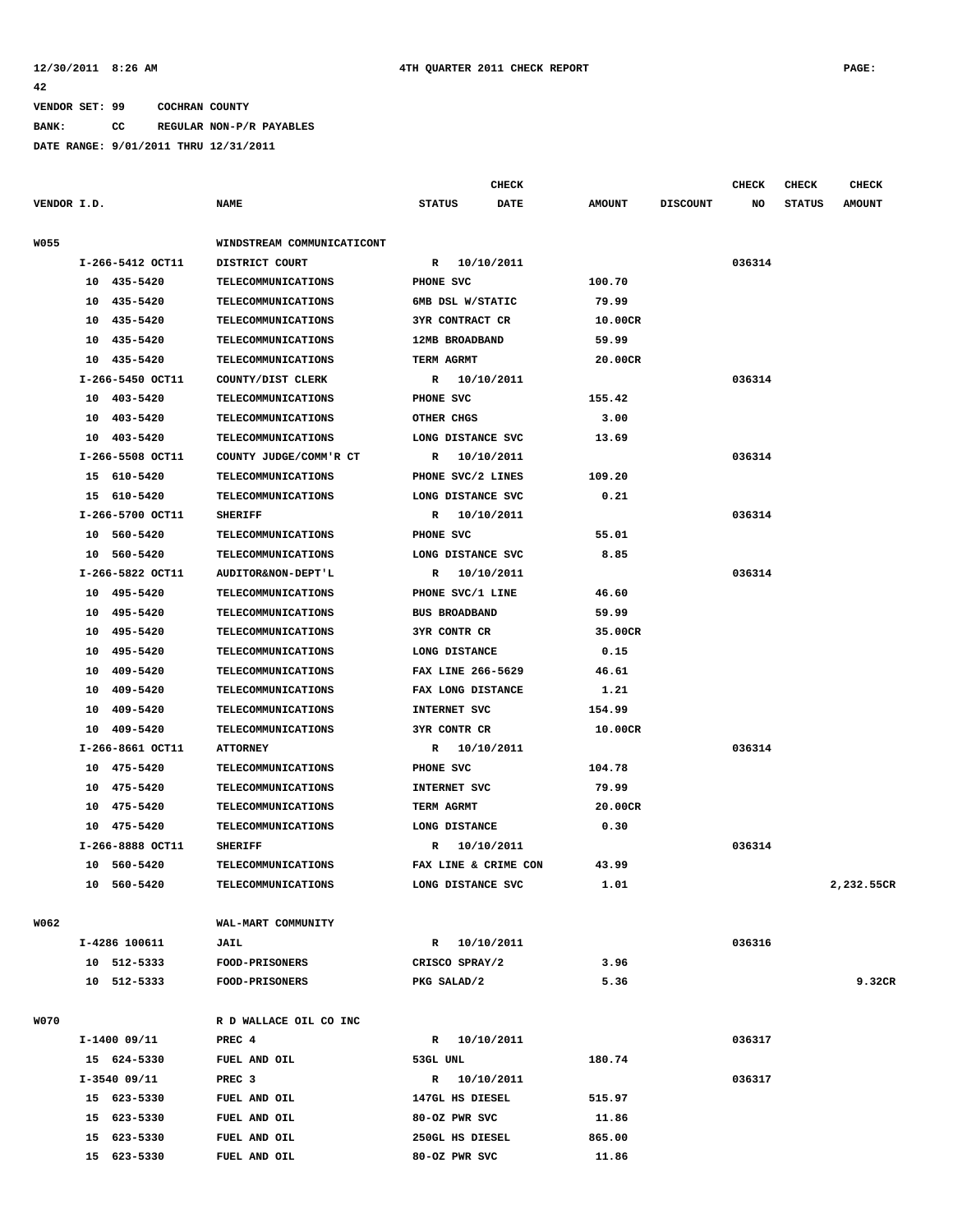# **VENDOR SET: 99 COCHRAN COUNTY**

**BANK: CC REGULAR NON-P/R PAYABLES DATE RANGE: 9/01/2011 THRU 12/31/2011**

|             |                  |                            |                      | CHECK      |               |                 | CHECK  | <b>CHECK</b>  | <b>CHECK</b>  |
|-------------|------------------|----------------------------|----------------------|------------|---------------|-----------------|--------|---------------|---------------|
| VENDOR I.D. |                  | <b>NAME</b>                | <b>STATUS</b>        | DATE       | <b>AMOUNT</b> | <b>DISCOUNT</b> | NO     | <b>STATUS</b> | <b>AMOUNT</b> |
| <b>W055</b> |                  | WINDSTREAM COMMUNICATICONT |                      |            |               |                 |        |               |               |
|             | I-266-5412 OCT11 | DISTRICT COURT             | R 10/10/2011         |            |               |                 | 036314 |               |               |
|             | 10 435-5420      | <b>TELECOMMUNICATIONS</b>  | PHONE SVC            |            | 100.70        |                 |        |               |               |
|             | 435-5420<br>10   | TELECOMMUNICATIONS         | 6MB DSL W/STATIC     |            | 79.99         |                 |        |               |               |
|             | 10 435-5420      | TELECOMMUNICATIONS         | 3YR CONTRACT CR      |            | 10.00CR       |                 |        |               |               |
|             | 10 435-5420      | TELECOMMUNICATIONS         | 12MB BROADBAND       |            | 59.99         |                 |        |               |               |
|             | 10 435-5420      | <b>TELECOMMUNICATIONS</b>  | TERM AGRMT           |            | 20.00CR       |                 |        |               |               |
|             | I-266-5450 OCT11 | COUNTY/DIST CLERK          | R 10/10/2011         |            |               |                 | 036314 |               |               |
|             | 10 403-5420      | <b>TELECOMMUNICATIONS</b>  | PHONE SVC            |            | 155.42        |                 |        |               |               |
|             | 10 403-5420      | <b>TELECOMMUNICATIONS</b>  | OTHER CHGS           |            | 3.00          |                 |        |               |               |
|             | 10 403-5420      | TELECOMMUNICATIONS         | LONG DISTANCE SVC    |            | 13.69         |                 |        |               |               |
|             | I-266-5508 OCT11 | COUNTY JUDGE/COMM'R CT     | R                    | 10/10/2011 |               |                 | 036314 |               |               |
|             | 15 610-5420      | <b>TELECOMMUNICATIONS</b>  | PHONE SVC/2 LINES    |            | 109.20        |                 |        |               |               |
|             | 15 610-5420      | <b>TELECOMMUNICATIONS</b>  | LONG DISTANCE SVC    |            | 0.21          |                 |        |               |               |
|             | I-266-5700 OCT11 | <b>SHERIFF</b>             | R 10/10/2011         |            |               |                 | 036314 |               |               |
|             | 10 560-5420      | <b>TELECOMMUNICATIONS</b>  | PHONE SVC            |            | 55.01         |                 |        |               |               |
|             | 10 560-5420      | TELECOMMUNICATIONS         | LONG DISTANCE SVC    |            | 8.85          |                 |        |               |               |
|             | I-266-5822 OCT11 | AUDITOR&NON-DEPT'L         | R 10/10/2011         |            |               |                 | 036314 |               |               |
|             | 10 495-5420      | <b>TELECOMMUNICATIONS</b>  | PHONE SVC/1 LINE     |            | 46.60         |                 |        |               |               |
|             | 10 495-5420      | <b>TELECOMMUNICATIONS</b>  | BUS BROADBAND        |            | 59.99         |                 |        |               |               |
|             | 10 495-5420      | <b>TELECOMMUNICATIONS</b>  | 3YR CONTR CR         |            | 35.00CR       |                 |        |               |               |
|             | 10 495-5420      | <b>TELECOMMUNICATIONS</b>  | LONG DISTANCE        |            | 0.15          |                 |        |               |               |
|             | 10 409-5420      | <b>TELECOMMUNICATIONS</b>  | FAX LINE 266-5629    |            | 46.61         |                 |        |               |               |
|             | 10 409-5420      | <b>TELECOMMUNICATIONS</b>  | FAX LONG DISTANCE    |            | 1.21          |                 |        |               |               |
|             | 409-5420<br>10   | <b>TELECOMMUNICATIONS</b>  | INTERNET SVC         |            | 154.99        |                 |        |               |               |
|             | 10 409-5420      | <b>TELECOMMUNICATIONS</b>  | 3YR CONTR CR         |            | 10.00CR       |                 |        |               |               |
|             | I-266-8661 OCT11 | <b>ATTORNEY</b>            | $\mathbb{R}$         | 10/10/2011 |               |                 | 036314 |               |               |
|             | 10 475-5420      | <b>TELECOMMUNICATIONS</b>  | PHONE SVC            |            | 104.78        |                 |        |               |               |
|             | 10 475-5420      | TELECOMMUNICATIONS         | INTERNET SVC         |            | 79.99         |                 |        |               |               |
|             | 10 475-5420      | TELECOMMUNICATIONS         | TERM AGRMT           |            | 20.00CR       |                 |        |               |               |
|             | 10 475-5420      | <b>TELECOMMUNICATIONS</b>  | LONG DISTANCE        |            | 0.30          |                 |        |               |               |
|             | I-266-8888 OCT11 | <b>SHERIFF</b>             | R                    | 10/10/2011 |               |                 | 036314 |               |               |
|             | 10 560-5420      | TELECOMMUNICATIONS         | FAX LINE & CRIME CON |            | 43.99         |                 |        |               |               |
|             | 10 560-5420      | TELECOMMUNICATIONS         | LONG DISTANCE SVC    |            | 1.01          |                 |        |               | 2,232.55CR    |
| W062        |                  | WAL-MART COMMUNITY         |                      |            |               |                 |        |               |               |
|             | I-4286 100611    | <b>JAIL</b>                | R 10/10/2011         |            |               |                 | 036316 |               |               |
|             | 10 512-5333      | <b>FOOD-PRISONERS</b>      | CRISCO SPRAY/2       |            | 3.96          |                 |        |               |               |
|             | 10 512-5333      | <b>FOOD-PRISONERS</b>      | PKG SALAD/2          |            | 5.36          |                 |        |               | 9.32CR        |
| W070        |                  | R D WALLACE OIL CO INC     |                      |            |               |                 |        |               |               |
|             | $I-1400$ 09/11   | PREC 4                     | R 10/10/2011         |            |               |                 | 036317 |               |               |
|             | 15 624-5330      | FUEL AND OIL               | 53GL UNL             |            | 180.74        |                 |        |               |               |
|             | $I-3540$ 09/11   | PREC <sub>3</sub>          | R 10/10/2011         |            |               |                 | 036317 |               |               |
|             | 15 623-5330      | FUEL AND OIL               | 147GL HS DIESEL      |            | 515.97        |                 |        |               |               |
|             | 15 623-5330      | FUEL AND OIL               | 80-OZ PWR SVC        |            | 11.86         |                 |        |               |               |
|             | 15 623-5330      | FUEL AND OIL               | 250GL HS DIESEL      |            | 865.00        |                 |        |               |               |
|             | 15 623-5330      | FUEL AND OIL               | 80-OZ PWR SVC        |            | 11.86         |                 |        |               |               |
|             |                  |                            |                      |            |               |                 |        |               |               |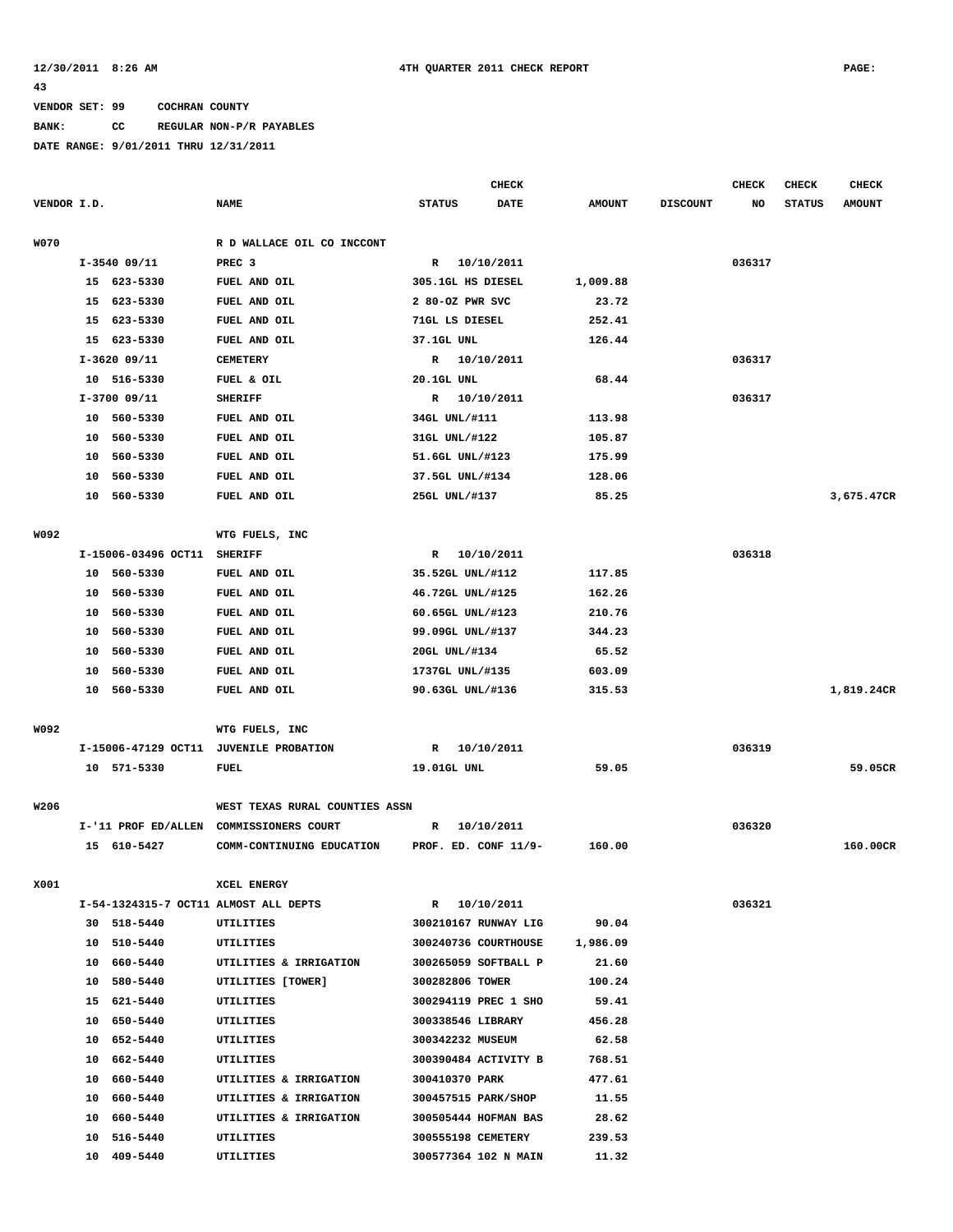#### **VENDOR SET: 99 COCHRAN COUNTY BANK: CC REGULAR NON-P/R PAYABLES**

**DATE RANGE: 9/01/2011 THRU 12/31/2011**

|             |                |                            |               | <b>CHECK</b>      |               |                 | <b>CHECK</b> | <b>CHECK</b>  | <b>CHECK</b>  |
|-------------|----------------|----------------------------|---------------|-------------------|---------------|-----------------|--------------|---------------|---------------|
| VENDOR I.D. |                | <b>NAME</b>                | <b>STATUS</b> | <b>DATE</b>       | <b>AMOUNT</b> | <b>DISCOUNT</b> | <b>NO</b>    | <b>STATUS</b> | <b>AMOUNT</b> |
|             |                |                            |               |                   |               |                 |              |               |               |
| <b>W070</b> |                | R D WALLACE OIL CO INCCONT |               |                   |               |                 |              |               |               |
|             | I-3540 09/11   | PREC <sub>3</sub>          | R             | 10/10/2011        |               |                 | 036317       |               |               |
|             | 15 623-5330    | FUEL AND OIL               |               | 305.1GL HS DIESEL | 1,009.88      |                 |              |               |               |
|             | 623-5330<br>15 | FUEL AND OIL               |               | 2 80-OZ PWR SVC   | 23.72         |                 |              |               |               |
|             | 623-5330<br>15 | FUEL AND OIL               |               | 71GL LS DIESEL    | 252.41        |                 |              |               |               |
|             | 15 623-5330    | FUEL AND OIL               | 37.1GL UNL    |                   | 126.44        |                 |              |               |               |
|             | $I-3620$ 09/11 | <b>CEMETERY</b>            | R             | 10/10/2011        |               |                 | 036317       |               |               |

|             | $I-3540$ 09/11                          | PREC <sub>3</sub>              | R 10/10/2011         |          | 036317     |
|-------------|-----------------------------------------|--------------------------------|----------------------|----------|------------|
|             | 15 623-5330                             | FUEL AND OIL                   | 305.1GL HS DIESEL    | 1,009.88 |            |
|             | 15 623-5330                             | FUEL AND OIL                   | 2 80-OZ PWR SVC      | 23.72    |            |
|             | 15 623-5330                             | FUEL AND OIL                   | 71GL LS DIESEL       | 252.41   |            |
|             | 15 623-5330                             | FUEL AND OIL                   | 37.1GL UNL           | 126.44   |            |
|             | $I-3620$ 09/11                          | <b>CEMETERY</b>                | R 10/10/2011         |          | 036317     |
|             | 10 516-5330                             | FUEL & OIL                     | 20.1GL UNL           | 68.44    |            |
|             | $I-3700$ 09/11                          | <b>SHERIFF</b>                 | R 10/10/2011         |          | 036317     |
|             | 10 560-5330                             | FUEL AND OIL                   | 34GL UNL/#111        | 113.98   |            |
|             | 10 560-5330                             | FUEL AND OIL                   | 31GL UNL/#122        | 105.87   |            |
|             | 10 560-5330                             | FUEL AND OIL                   | 51.6GL UNL/#123      | 175.99   |            |
|             | 10 560-5330                             | FUEL AND OIL                   | 37.5GL UNL/#134      | 128.06   |            |
|             | 10 560-5330                             | FUEL AND OIL                   | 25GL UNL/#137        | 85.25    | 3,675.47CR |
|             |                                         |                                |                      |          |            |
| WO92        |                                         | WTG FUELS, INC                 |                      |          |            |
|             | I-15006-03496 OCT11                     | <b>SHERIFF</b>                 | R 10/10/2011         |          | 036318     |
|             | 10 560-5330                             | FUEL AND OIL                   | 35.52GL UNL/#112     | 117.85   |            |
|             | 10 560-5330                             | FUEL AND OIL                   | 46.72GL UNL/#125     | 162.26   |            |
|             | 10 560-5330                             | FUEL AND OIL                   | 60.65GL UNL/#123     | 210.76   |            |
|             | 10 560-5330                             | FUEL AND OIL                   | 99.09GL UNL/#137     | 344.23   |            |
|             | 10 560-5330                             | FUEL AND OIL                   | 20GL UNL/#134        | 65.52    |            |
|             | 10 560-5330                             | FUEL AND OIL                   | 1737GL UNL/#135      | 603.09   |            |
|             | 10 560-5330                             | FUEL AND OIL                   | 90.63GL UNL/#136     | 315.53   | 1,819.24CR |
|             |                                         |                                |                      |          |            |
| WO92        |                                         | WTG FUELS, INC                 |                      |          |            |
|             | I-15006-47129 OCT11 JUVENILE PROBATION  |                                | R 10/10/2011         |          | 036319     |
|             | 10 571-5330                             | FUEL                           | 19.01GL UNL          | 59.05    | 59.05CR    |
|             |                                         |                                |                      |          |            |
| W206        |                                         | WEST TEXAS RURAL COUNTIES ASSN |                      |          |            |
|             | I-'11 PROF ED/ALLEN COMMISSIONERS COURT |                                | R 10/10/2011         |          | 036320     |
|             | 15 610-5427                             | COMM-CONTINUING EDUCATION      | PROF. ED. CONF 11/9- | 160.00   | 160.00CR   |
|             |                                         |                                |                      |          |            |
| <b>x001</b> |                                         | XCEL ENERGY                    |                      |          |            |
|             | I-54-1324315-7 OCT11 ALMOST ALL DEPTS   |                                | R 10/10/2011         |          | 036321     |
|             | 30 518-5440                             | UTILITIES                      | 300210167 RUNWAY LIG | 90.04    |            |
|             |                                         |                                |                      |          |            |

|  | 10 510-5440 | UTILITIES         |                        |                    | 300240736 COURTHOUSE | 1,986.09 |
|--|-------------|-------------------|------------------------|--------------------|----------------------|----------|
|  | 10 660-5440 |                   | UTILITIES & IRRIGATION |                    | 300265059 SOFTBALL P | 21.60    |
|  | 10 580-5440 | UTILITIES [TOWER] |                        | 300282806 TOWER    |                      | 100.24   |
|  | 15 621-5440 | UTILITIES         |                        |                    | 300294119 PREC 1 SHO | 59.41    |
|  | 10 650-5440 | UTILITIES         |                        | 300338546 LIBRARY  |                      | 456.28   |
|  | 10 652-5440 | UTILITIES         |                        | 300342232 MUSEUM   |                      | 62.58    |
|  | 10 662-5440 | UTILITIES         |                        |                    | 300390484 ACTIVITY B | 768.51   |
|  | 10 660-5440 |                   | UTILITIES & IRRIGATION | 300410370 PARK     |                      | 477.61   |
|  | 10 660-5440 |                   | UTILITIES & IRRIGATION |                    | 300457515 PARK/SHOP  | 11.55    |
|  | 10 660-5440 |                   | UTILITIES & IRRIGATION |                    | 300505444 HOFMAN BAS | 28.62    |
|  | 10 516-5440 | UTILITIES         |                        | 300555198 CEMETERY |                      | 239.53   |

 **10 409-5440 UTILITIES 300577364 102 N MAIN 11.32**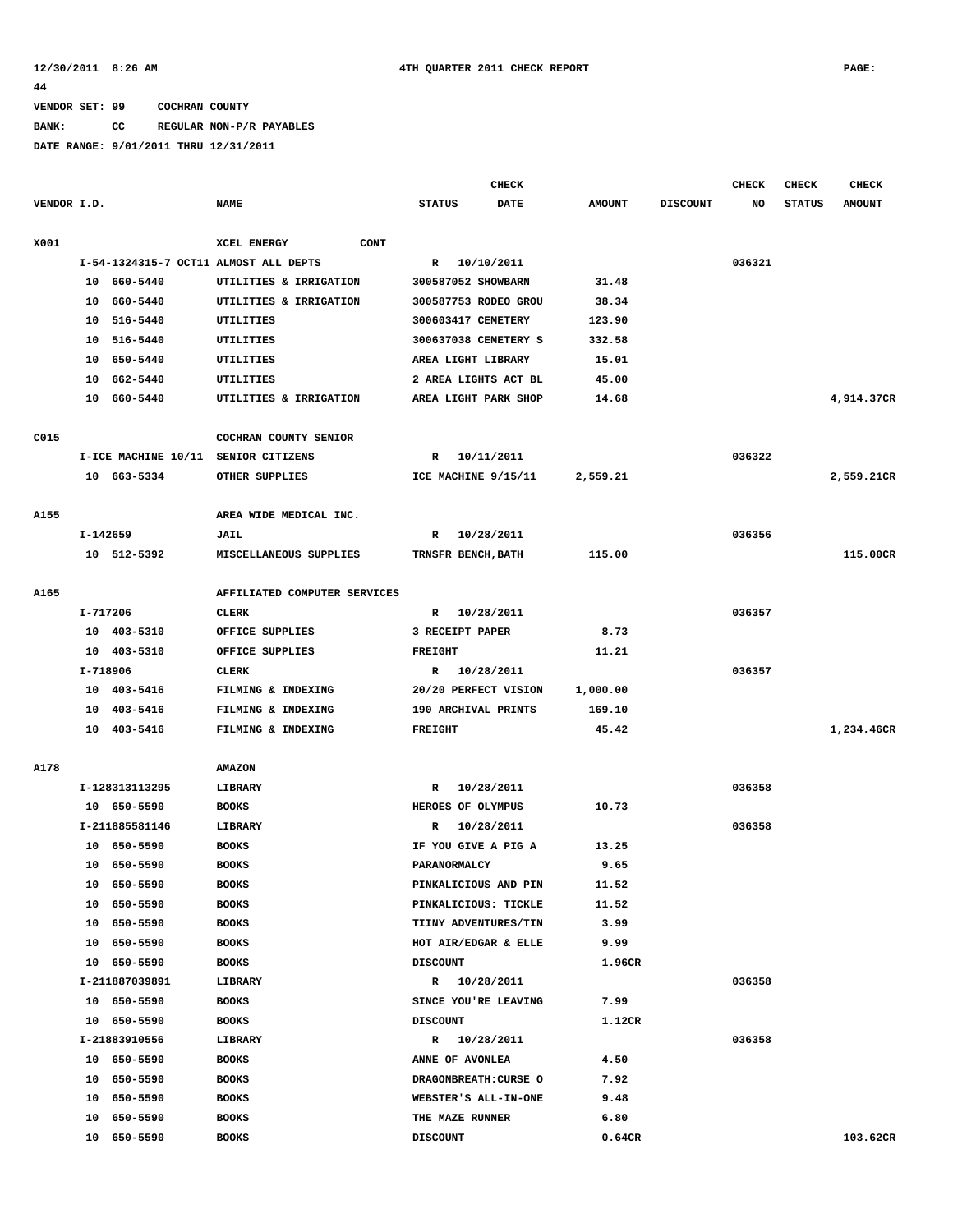#### **VENDOR SET: 99 COCHRAN COUNTY BANK: CC REGULAR NON-P/R PAYABLES**

|             |          |                                     |                                       |                 | <b>CHECK</b>          |               |                 | <b>CHECK</b> | <b>CHECK</b>  | <b>CHECK</b>  |
|-------------|----------|-------------------------------------|---------------------------------------|-----------------|-----------------------|---------------|-----------------|--------------|---------------|---------------|
| VENDOR I.D. |          |                                     | <b>NAME</b>                           | <b>STATUS</b>   | <b>DATE</b>           | <b>AMOUNT</b> | <b>DISCOUNT</b> | NO           | <b>STATUS</b> | <b>AMOUNT</b> |
| X001        |          |                                     | XCEL ENERGY<br><b>CONT</b>            |                 |                       |               |                 |              |               |               |
|             |          |                                     | I-54-1324315-7 OCT11 ALMOST ALL DEPTS |                 | R 10/10/2011          |               |                 | 036321       |               |               |
|             |          | 10 660-5440                         | UTILITIES & IRRIGATION                |                 | 300587052 SHOWBARN    | 31.48         |                 |              |               |               |
|             |          | 10 660-5440                         | UTILITIES & IRRIGATION                |                 | 300587753 RODEO GROU  | 38.34         |                 |              |               |               |
|             | 10       | 516-5440                            | UTILITIES                             |                 | 300603417 CEMETERY    | 123.90        |                 |              |               |               |
|             | 10       | 516-5440                            | UTILITIES                             |                 | 300637038 CEMETERY S  | 332.58        |                 |              |               |               |
|             | 10       | 650-5440                            | <b>UTILITIES</b>                      |                 | AREA LIGHT LIBRARY    | 15.01         |                 |              |               |               |
|             | 10       | 662-5440                            | UTILITIES                             |                 | 2 AREA LIGHTS ACT BL  | 45.00         |                 |              |               |               |
|             |          | 10 660-5440                         | UTILITIES & IRRIGATION                |                 | AREA LIGHT PARK SHOP  | 14.68         |                 |              |               | 4,914.37CR    |
| C015        |          |                                     | COCHRAN COUNTY SENIOR                 |                 |                       |               |                 |              |               |               |
|             |          | I-ICE MACHINE 10/11 SENIOR CITIZENS |                                       |                 | R 10/11/2011          |               |                 | 036322       |               |               |
|             |          | 10 663-5334                         | OTHER SUPPLIES                        |                 | ICE MACHINE 9/15/11   | 2,559.21      |                 |              |               | 2,559.21CR    |
|             |          |                                     |                                       |                 |                       |               |                 |              |               |               |
| A155        |          |                                     | AREA WIDE MEDICAL INC.                |                 |                       |               |                 |              |               |               |
|             | I-142659 |                                     | <b>JAIL</b>                           | R               | 10/28/2011            |               |                 | 036356       |               |               |
|             |          | 10 512-5392                         | MISCELLANEOUS SUPPLIES                |                 | TRNSFR BENCH, BATH    | 115.00        |                 |              |               | 115.00CR      |
| A165        |          |                                     | AFFILIATED COMPUTER SERVICES          |                 |                       |               |                 |              |               |               |
|             | I-717206 |                                     | <b>CLERK</b>                          | R               | 10/28/2011            |               |                 | 036357       |               |               |
|             |          | 10 403-5310                         | OFFICE SUPPLIES                       | 3 RECEIPT PAPER |                       | 8.73          |                 |              |               |               |
|             |          | 10 403-5310                         | OFFICE SUPPLIES                       | <b>FREIGHT</b>  |                       | 11.21         |                 |              |               |               |
|             | I-718906 |                                     | <b>CLERK</b>                          | R               | 10/28/2011            |               |                 | 036357       |               |               |
|             |          | 10 403-5416                         | FILMING & INDEXING                    |                 | 20/20 PERFECT VISION  | 1,000.00      |                 |              |               |               |
|             |          | 10 403-5416                         | FILMING & INDEXING                    |                 | 190 ARCHIVAL PRINTS   | 169.10        |                 |              |               |               |
|             |          | 10 403-5416                         | FILMING & INDEXING                    | <b>FREIGHT</b>  |                       | 45.42         |                 |              |               | 1,234.46CR    |
| A178        |          |                                     | <b>AMAZON</b>                         |                 |                       |               |                 |              |               |               |
|             |          | I-128313113295                      | LIBRARY                               | R               | 10/28/2011            |               |                 | 036358       |               |               |
|             |          | 10 650-5590                         | <b>BOOKS</b>                          |                 | HEROES OF OLYMPUS     | 10.73         |                 |              |               |               |
|             |          | I-211885581146                      | LIBRARY                               | R               | 10/28/2011            |               |                 | 036358       |               |               |
|             |          | 10 650-5590                         | <b>BOOKS</b>                          |                 | IF YOU GIVE A PIG A   | 13.25         |                 |              |               |               |
|             |          | 10 650-5590                         | <b>BOOKS</b>                          | PARANORMALCY    |                       | 9.65          |                 |              |               |               |
|             |          | 10 650-5590                         | <b>BOOKS</b>                          |                 | PINKALICIOUS AND PIN  | 11.52         |                 |              |               |               |
|             |          | 10 650-5590                         | <b>BOOKS</b>                          |                 | PINKALICIOUS: TICKLE  | 11.52         |                 |              |               |               |
|             |          | 10 650-5590                         | <b>BOOKS</b>                          |                 | TIINY ADVENTURES/TIN  | 3.99          |                 |              |               |               |
|             |          | 10 650-5590                         | <b>BOOKS</b>                          |                 | HOT AIR/EDGAR & ELLE  | 9.99          |                 |              |               |               |
|             |          | 10 650-5590                         | <b>BOOKS</b>                          | <b>DISCOUNT</b> |                       | 1.96CR        |                 |              |               |               |
|             |          | I-211887039891                      | LIBRARY                               |                 | R 10/28/2011          |               |                 | 036358       |               |               |
|             |          | 10 650-5590                         | <b>BOOKS</b>                          |                 | SINCE YOU'RE LEAVING  | 7.99          |                 |              |               |               |
|             |          | 10 650-5590                         | <b>BOOKS</b>                          | <b>DISCOUNT</b> |                       | 1.12CR        |                 |              |               |               |
|             |          | I-21883910556                       | LIBRARY                               |                 | R 10/28/2011          |               |                 | 036358       |               |               |
|             |          | 10 650-5590                         | <b>BOOKS</b>                          | ANNE OF AVONLEA |                       | 4.50          |                 |              |               |               |
|             |          | 10 650-5590                         | <b>BOOKS</b>                          |                 | DRAGONBREATH: CURSE O | 7.92          |                 |              |               |               |
|             |          | 10 650-5590                         | <b>BOOKS</b>                          |                 | WEBSTER'S ALL-IN-ONE  | 9.48          |                 |              |               |               |
|             |          | 10 650-5590                         | <b>BOOKS</b>                          | THE MAZE RUNNER |                       | 6.80          |                 |              |               |               |
|             |          | 10 650-5590                         | <b>BOOKS</b>                          | <b>DISCOUNT</b> |                       | 0.64CR        |                 |              |               | 103.62CR      |
|             |          |                                     |                                       |                 |                       |               |                 |              |               |               |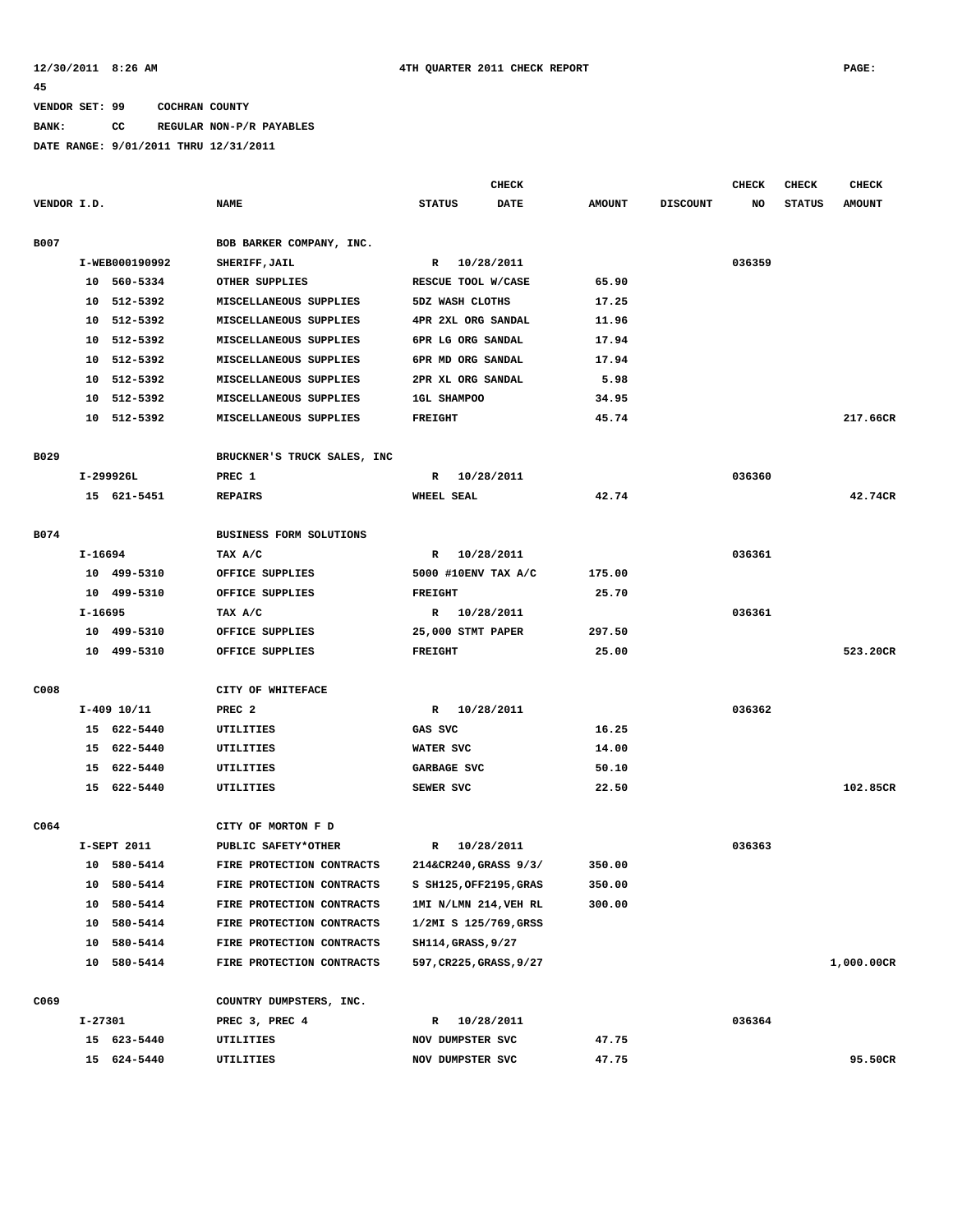#### **VENDOR SET: 99 COCHRAN COUNTY**

# **BANK: CC REGULAR NON-P/R PAYABLES**

|             |         |                |                                |                |                    | <b>CHECK</b>            |               |                 | CHECK  | <b>CHECK</b>  | <b>CHECK</b>  |
|-------------|---------|----------------|--------------------------------|----------------|--------------------|-------------------------|---------------|-----------------|--------|---------------|---------------|
| VENDOR I.D. |         |                | <b>NAME</b>                    | <b>STATUS</b>  |                    | DATE                    | <b>AMOUNT</b> | <b>DISCOUNT</b> | NO     | <b>STATUS</b> | <b>AMOUNT</b> |
| <b>B007</b> |         |                | BOB BARKER COMPANY, INC.       |                |                    |                         |               |                 |        |               |               |
|             |         | I-WEB000190992 | SHERIFF, JAIL                  |                | R 10/28/2011       |                         |               |                 | 036359 |               |               |
|             |         | 10 560-5334    | OTHER SUPPLIES                 |                | RESCUE TOOL W/CASE |                         | 65.90         |                 |        |               |               |
|             |         | 10 512-5392    | MISCELLANEOUS SUPPLIES         |                | 5DZ WASH CLOTHS    |                         | 17.25         |                 |        |               |               |
|             |         | 10 512-5392    | MISCELLANEOUS SUPPLIES         |                | 4PR 2XL ORG SANDAL |                         | 11.96         |                 |        |               |               |
|             |         | 10 512-5392    | MISCELLANEOUS SUPPLIES         |                | 6PR LG ORG SANDAL  |                         | 17.94         |                 |        |               |               |
|             |         | 10 512-5392    | MISCELLANEOUS SUPPLIES         |                | 6PR MD ORG SANDAL  |                         | 17.94         |                 |        |               |               |
|             |         | 10 512-5392    | MISCELLANEOUS SUPPLIES         |                | 2PR XL ORG SANDAL  |                         | 5.98          |                 |        |               |               |
|             |         | 10 512-5392    | MISCELLANEOUS SUPPLIES         | 1GL SHAMPOO    |                    |                         | 34.95         |                 |        |               |               |
|             |         | 10 512-5392    |                                | <b>FREIGHT</b> |                    |                         | 45.74         |                 |        |               | 217.66CR      |
|             |         |                | MISCELLANEOUS SUPPLIES         |                |                    |                         |               |                 |        |               |               |
| B029        |         |                | BRUCKNER'S TRUCK SALES, INC    |                |                    |                         |               |                 |        |               |               |
|             |         | I-299926L      | PREC 1                         | R              | 10/28/2011         |                         |               |                 | 036360 |               |               |
|             |         | 15 621-5451    | <b>REPAIRS</b>                 | WHEEL SEAL     |                    |                         | 42.74         |                 |        |               | 42.74CR       |
|             |         |                |                                |                |                    |                         |               |                 |        |               |               |
| B074        |         |                | <b>BUSINESS FORM SOLUTIONS</b> |                |                    |                         |               |                 |        |               |               |
|             | I-16694 |                | TAX A/C                        | $\mathbb{R}$   | 10/28/2011         |                         |               |                 | 036361 |               |               |
|             |         | 10 499-5310    | OFFICE SUPPLIES                |                |                    | 5000 #10ENV TAX A/C     | 175.00        |                 |        |               |               |
|             |         | 10 499-5310    | OFFICE SUPPLIES                | <b>FREIGHT</b> |                    |                         | 25.70         |                 |        |               |               |
|             | I-16695 |                | TAX A/C                        |                | R 10/28/2011       |                         |               |                 | 036361 |               |               |
|             |         | 10 499-5310    | OFFICE SUPPLIES                |                | 25,000 STMT PAPER  |                         | 297.50        |                 |        |               |               |
|             |         | 10 499-5310    | OFFICE SUPPLIES                | <b>FREIGHT</b> |                    |                         | 25.00         |                 |        |               | 523.20CR      |
| C008        |         |                | CITY OF WHITEFACE              |                |                    |                         |               |                 |        |               |               |
|             |         | $I-409$ 10/11  | PREC <sub>2</sub>              |                | R 10/28/2011       |                         |               |                 | 036362 |               |               |
|             |         | 15 622-5440    | UTILITIES                      | GAS SVC        |                    |                         | 16.25         |                 |        |               |               |
|             |         | 15 622-5440    | UTILITIES                      | WATER SVC      |                    |                         | 14.00         |                 |        |               |               |
|             |         | 15 622-5440    | UTILITIES                      | GARBAGE SVC    |                    |                         | 50.10         |                 |        |               |               |
|             |         | 15 622-5440    | UTILITIES                      | SEWER SVC      |                    |                         | 22.50         |                 |        |               | 102.85CR      |
|             |         |                |                                |                |                    |                         |               |                 |        |               |               |
| C064        |         |                | CITY OF MORTON F D             |                |                    |                         |               |                 |        |               |               |
|             |         | I-SEPT 2011    | PUBLIC SAFETY*OTHER            | $\mathbb{R}$   | 10/28/2011         |                         |               |                 | 036363 |               |               |
|             |         | 10 580-5414    | FIRE PROTECTION CONTRACTS      |                |                    | 214&CR240, GRASS 9/3/   | 350.00        |                 |        |               |               |
|             |         | 10 580-5414    | FIRE PROTECTION CONTRACTS      |                |                    | S SH125, OFF2195, GRAS  | 350.00        |                 |        |               |               |
|             |         | 10 580-5414    | FIRE PROTECTION CONTRACTS      |                |                    | 1MI N/LMN 214, VEH RL   | 300.00        |                 |        |               |               |
|             |         | 10 580-5414    | FIRE PROTECTION CONTRACTS      |                |                    | 1/2MI S 125/769, GRSS   |               |                 |        |               |               |
|             |         | 10 580-5414    | FIRE PROTECTION CONTRACTS      |                | SH114, GRASS, 9/27 |                         |               |                 |        |               |               |
|             |         | 10 580-5414    | FIRE PROTECTION CONTRACTS      |                |                    | 597, CR225, GRASS, 9/27 |               |                 |        |               | 1,000.00CR    |
|             |         |                |                                |                |                    |                         |               |                 |        |               |               |
| C069        |         |                | COUNTRY DUMPSTERS, INC.        |                |                    |                         |               |                 |        |               |               |
|             | I-27301 |                | PREC 3, PREC 4                 | R              | 10/28/2011         |                         |               |                 | 036364 |               |               |
|             |         | 15 623-5440    | UTILITIES                      |                | NOV DUMPSTER SVC   |                         | 47.75         |                 |        |               |               |
|             |         | 15 624-5440    | UTILITIES                      |                | NOV DUMPSTER SVC   |                         | 47.75         |                 |        |               | 95.50CR       |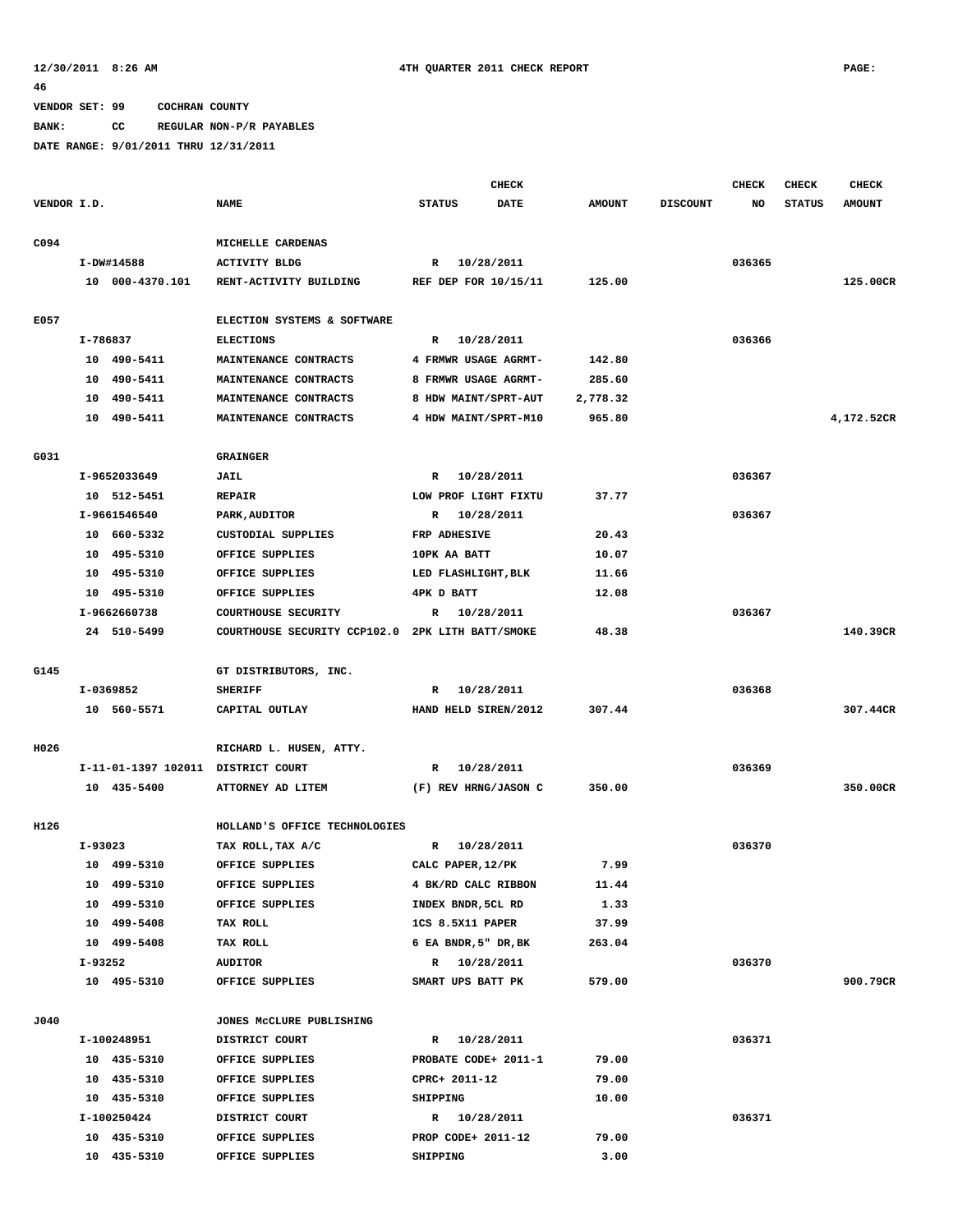### **VENDOR SET: 99 COCHRAN COUNTY**

# **BANK: CC REGULAR NON-P/R PAYABLES**

|             |                                    |                                                  | <b>CHECK</b>                           |               |                 | <b>CHECK</b> | <b>CHECK</b>  | <b>CHECK</b>  |
|-------------|------------------------------------|--------------------------------------------------|----------------------------------------|---------------|-----------------|--------------|---------------|---------------|
| VENDOR I.D. |                                    | <b>NAME</b>                                      | DATE<br><b>STATUS</b>                  | <b>AMOUNT</b> | <b>DISCOUNT</b> | NO           | <b>STATUS</b> | <b>AMOUNT</b> |
|             |                                    |                                                  |                                        |               |                 |              |               |               |
| C094        |                                    | MICHELLE CARDENAS                                |                                        |               |                 |              |               |               |
|             | I-DW#14588                         | <b>ACTIVITY BLDG</b>                             | 10/28/2011<br>R                        |               |                 | 036365       |               |               |
|             | 10 000-4370.101                    | RENT-ACTIVITY BUILDING                           | REF DEP FOR 10/15/11                   | 125.00        |                 |              |               | 125.00CR      |
|             |                                    |                                                  |                                        |               |                 |              |               |               |
| E057        |                                    | ELECTION SYSTEMS & SOFTWARE                      |                                        |               |                 |              |               |               |
|             | I-786837                           | <b>ELECTIONS</b>                                 | 10/28/2011<br>$\mathbb{R}$             |               |                 | 036366       |               |               |
|             | 10 490-5411                        | MAINTENANCE CONTRACTS                            | 4 FRMWR USAGE AGRMT-                   | 142.80        |                 |              |               |               |
|             | 10 490-5411                        | MAINTENANCE CONTRACTS                            | 8 FRMWR USAGE AGRMT-                   | 285.60        |                 |              |               |               |
|             | 10 490-5411                        | MAINTENANCE CONTRACTS                            | 8 HDW MAINT/SPRT-AUT                   | 2,778.32      |                 |              |               |               |
|             | 10 490-5411                        | MAINTENANCE CONTRACTS                            | 4 HDW MAINT/SPRT-M10                   | 965.80        |                 |              |               | 4,172.52CR    |
| G031        |                                    | <b>GRAINGER</b>                                  |                                        |               |                 |              |               |               |
|             | I-9652033649                       | JAIL                                             | 10/28/2011<br>$\mathbb{R}$             |               |                 | 036367       |               |               |
|             | 10 512-5451                        | <b>REPAIR</b>                                    | LOW PROF LIGHT FIXTU                   | 37.77         |                 |              |               |               |
|             | I-9661546540                       | PARK, AUDITOR                                    | 10/28/2011<br>$\mathbf{R}$             |               |                 | 036367       |               |               |
|             | 10 660-5332                        | <b>CUSTODIAL SUPPLIES</b>                        | FRP ADHESIVE                           | 20.43         |                 |              |               |               |
|             | 10 495-5310                        | OFFICE SUPPLIES                                  | 10PK AA BATT                           | 10.07         |                 |              |               |               |
|             | 10 495-5310                        | OFFICE SUPPLIES                                  | LED FLASHLIGHT, BLK                    | 11.66         |                 |              |               |               |
|             | 10 495-5310                        | OFFICE SUPPLIES                                  | 4PK D BATT                             | 12.08         |                 |              |               |               |
|             | I-9662660738                       | COURTHOUSE SECURITY                              | 10/28/2011<br>R                        |               |                 | 036367       |               |               |
|             | 24 510-5499                        | COURTHOUSE SECURITY CCP102.0 2PK LITH BATT/SMOKE |                                        | 48.38         |                 |              |               | 140.39CR      |
|             |                                    |                                                  |                                        |               |                 |              |               |               |
| G145        |                                    | GT DISTRIBUTORS, INC.                            |                                        |               |                 |              |               |               |
|             | I-0369852                          | <b>SHERIFF</b>                                   | 10/28/2011<br>R                        |               |                 | 036368       |               |               |
|             | 10 560-5571                        | CAPITAL OUTLAY                                   | HAND HELD SIREN/2012                   | 307.44        |                 |              |               | 307.44CR      |
|             |                                    |                                                  |                                        |               |                 |              |               |               |
| H026        |                                    | RICHARD L. HUSEN, ATTY.                          |                                        |               |                 |              |               |               |
|             | I-11-01-1397 102011 DISTRICT COURT |                                                  | 10/28/2011<br>$\mathbb{R}$             |               |                 | 036369       |               |               |
|             | 10 435-5400                        | ATTORNEY AD LITEM                                | (F) REV HRNG/JASON C                   | 350.00        |                 |              |               | 350.00CR      |
|             |                                    |                                                  |                                        |               |                 |              |               |               |
| H126        |                                    | HOLLAND'S OFFICE TECHNOLOGIES                    |                                        |               |                 |              |               |               |
|             | I-93023                            | TAX ROLL, TAX A/C                                | 10/28/2011<br>R                        |               |                 | 036370       |               |               |
|             | 10 499-5310                        | OFFICE SUPPLIES                                  | CALC PAPER, 12/PK                      | 7.99          |                 |              |               |               |
|             | 10 499-5310                        | OFFICE SUPPLIES                                  | 4 BK/RD CALC RIBBON                    | 11.44         |                 |              |               |               |
|             | 10 499-5310<br>10 499-5408         | OFFICE SUPPLIES                                  | INDEX BNDR, 5CL RD<br>1CS 8.5X11 PAPER | 1.33<br>37.99 |                 |              |               |               |
|             | 10 499-5408                        | TAX ROLL<br>TAX ROLL                             | 6 EA BNDR, 5" DR, BK                   | 263.04        |                 |              |               |               |
|             | I-93252                            | AUDITOR                                          | R 10/28/2011                           |               |                 | 036370       |               |               |
|             | 10 495-5310                        | OFFICE SUPPLIES                                  | SMART UPS BATT PK                      | 579.00        |                 |              |               | 900.79CR      |
|             |                                    |                                                  |                                        |               |                 |              |               |               |
| J040        |                                    | JONES MCCLURE PUBLISHING                         |                                        |               |                 |              |               |               |
|             | I-100248951                        | DISTRICT COURT                                   | R 10/28/2011                           |               |                 | 036371       |               |               |
|             | 10 435-5310                        | OFFICE SUPPLIES                                  | PROBATE CODE+ 2011-1                   | 79.00         |                 |              |               |               |
|             | 10 435-5310                        | OFFICE SUPPLIES                                  | CPRC+ 2011-12                          | 79.00         |                 |              |               |               |
|             | 10 435-5310                        | OFFICE SUPPLIES                                  | SHIPPING                               | 10.00         |                 |              |               |               |
|             | I-100250424                        | DISTRICT COURT                                   | R 10/28/2011                           |               |                 | 036371       |               |               |
|             | 10 435-5310                        | OFFICE SUPPLIES                                  | PROP CODE+ 2011-12                     | 79.00         |                 |              |               |               |
|             | 10 435-5310                        | OFFICE SUPPLIES                                  | SHIPPING                               | 3.00          |                 |              |               |               |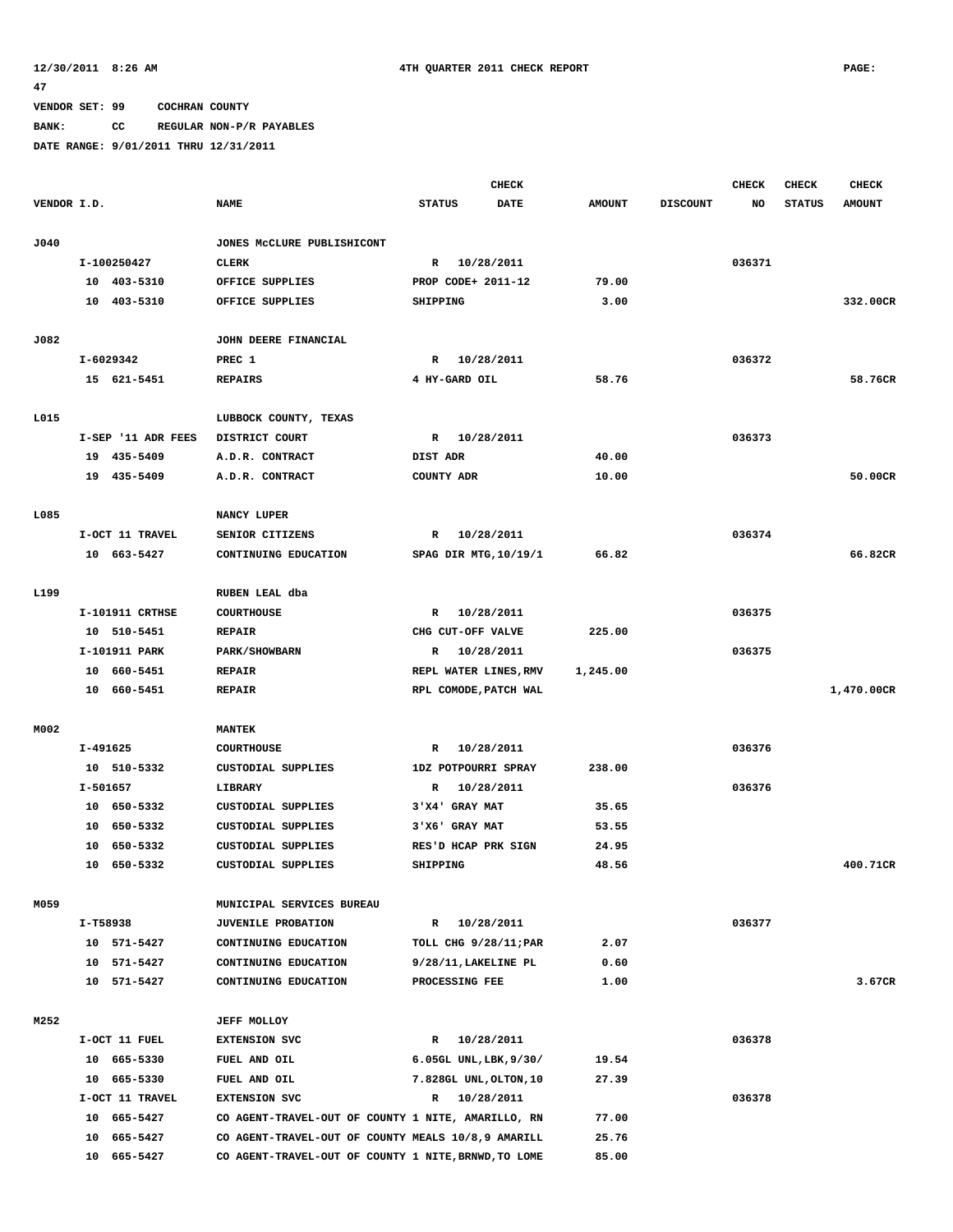# **VENDOR SET: 99 COCHRAN COUNTY**

# **BANK: CC REGULAR NON-P/R PAYABLES**

| <b>CHECK</b>   |                                                                                                                                                                                                                                                                      |                                                                                                                                                                                                                                                                                      |                                            | <b>CHECK</b><br><b>CHECK</b><br><b>CHECK</b>                                                                                                                                                                                                                                                                                                                                                                                                                                                                                                                                                                            |                                                                                      |        |                                      |               |
|----------------|----------------------------------------------------------------------------------------------------------------------------------------------------------------------------------------------------------------------------------------------------------------------|--------------------------------------------------------------------------------------------------------------------------------------------------------------------------------------------------------------------------------------------------------------------------------------|--------------------------------------------|-------------------------------------------------------------------------------------------------------------------------------------------------------------------------------------------------------------------------------------------------------------------------------------------------------------------------------------------------------------------------------------------------------------------------------------------------------------------------------------------------------------------------------------------------------------------------------------------------------------------------|--------------------------------------------------------------------------------------|--------|--------------------------------------|---------------|
|                | <b>NAME</b>                                                                                                                                                                                                                                                          | <b>STATUS</b>                                                                                                                                                                                                                                                                        | <b>DATE</b>                                | <b>AMOUNT</b>                                                                                                                                                                                                                                                                                                                                                                                                                                                                                                                                                                                                           | <b>DISCOUNT</b>                                                                      | NO     | <b>STATUS</b>                        | <b>AMOUNT</b> |
|                |                                                                                                                                                                                                                                                                      |                                                                                                                                                                                                                                                                                      |                                            |                                                                                                                                                                                                                                                                                                                                                                                                                                                                                                                                                                                                                         |                                                                                      |        |                                      |               |
|                | JONES MCCLURE PUBLISHICONT                                                                                                                                                                                                                                           |                                                                                                                                                                                                                                                                                      |                                            |                                                                                                                                                                                                                                                                                                                                                                                                                                                                                                                                                                                                                         |                                                                                      |        |                                      |               |
| I-100250427    | <b>CLERK</b>                                                                                                                                                                                                                                                         | R                                                                                                                                                                                                                                                                                    |                                            |                                                                                                                                                                                                                                                                                                                                                                                                                                                                                                                                                                                                                         |                                                                                      | 036371 |                                      |               |
| 10 403-5310    | OFFICE SUPPLIES                                                                                                                                                                                                                                                      |                                                                                                                                                                                                                                                                                      |                                            | 79.00                                                                                                                                                                                                                                                                                                                                                                                                                                                                                                                                                                                                                   |                                                                                      |        |                                      |               |
| 10 403-5310    | OFFICE SUPPLIES                                                                                                                                                                                                                                                      | SHIPPING                                                                                                                                                                                                                                                                             |                                            | 3.00                                                                                                                                                                                                                                                                                                                                                                                                                                                                                                                                                                                                                    |                                                                                      |        |                                      | 332.00CR      |
|                |                                                                                                                                                                                                                                                                      |                                                                                                                                                                                                                                                                                      |                                            |                                                                                                                                                                                                                                                                                                                                                                                                                                                                                                                                                                                                                         |                                                                                      |        |                                      |               |
|                | JOHN DEERE FINANCIAL                                                                                                                                                                                                                                                 |                                                                                                                                                                                                                                                                                      |                                            |                                                                                                                                                                                                                                                                                                                                                                                                                                                                                                                                                                                                                         |                                                                                      |        |                                      |               |
| I-6029342      | PREC 1                                                                                                                                                                                                                                                               | R                                                                                                                                                                                                                                                                                    |                                            |                                                                                                                                                                                                                                                                                                                                                                                                                                                                                                                                                                                                                         |                                                                                      | 036372 |                                      |               |
|                | <b>REPAIRS</b>                                                                                                                                                                                                                                                       |                                                                                                                                                                                                                                                                                      |                                            |                                                                                                                                                                                                                                                                                                                                                                                                                                                                                                                                                                                                                         |                                                                                      |        |                                      | 58.76CR       |
|                |                                                                                                                                                                                                                                                                      |                                                                                                                                                                                                                                                                                      |                                            |                                                                                                                                                                                                                                                                                                                                                                                                                                                                                                                                                                                                                         |                                                                                      |        |                                      |               |
|                |                                                                                                                                                                                                                                                                      |                                                                                                                                                                                                                                                                                      |                                            |                                                                                                                                                                                                                                                                                                                                                                                                                                                                                                                                                                                                                         |                                                                                      |        |                                      |               |
|                |                                                                                                                                                                                                                                                                      |                                                                                                                                                                                                                                                                                      |                                            |                                                                                                                                                                                                                                                                                                                                                                                                                                                                                                                                                                                                                         |                                                                                      |        |                                      |               |
|                |                                                                                                                                                                                                                                                                      |                                                                                                                                                                                                                                                                                      |                                            |                                                                                                                                                                                                                                                                                                                                                                                                                                                                                                                                                                                                                         |                                                                                      |        |                                      |               |
|                |                                                                                                                                                                                                                                                                      |                                                                                                                                                                                                                                                                                      |                                            |                                                                                                                                                                                                                                                                                                                                                                                                                                                                                                                                                                                                                         |                                                                                      |        |                                      | 50.00CR       |
|                |                                                                                                                                                                                                                                                                      |                                                                                                                                                                                                                                                                                      |                                            |                                                                                                                                                                                                                                                                                                                                                                                                                                                                                                                                                                                                                         |                                                                                      |        |                                      |               |
|                |                                                                                                                                                                                                                                                                      |                                                                                                                                                                                                                                                                                      |                                            |                                                                                                                                                                                                                                                                                                                                                                                                                                                                                                                                                                                                                         |                                                                                      |        |                                      |               |
|                |                                                                                                                                                                                                                                                                      |                                                                                                                                                                                                                                                                                      |                                            |                                                                                                                                                                                                                                                                                                                                                                                                                                                                                                                                                                                                                         |                                                                                      |        |                                      | 66.82CR       |
|                |                                                                                                                                                                                                                                                                      |                                                                                                                                                                                                                                                                                      |                                            |                                                                                                                                                                                                                                                                                                                                                                                                                                                                                                                                                                                                                         |                                                                                      |        |                                      |               |
|                |                                                                                                                                                                                                                                                                      |                                                                                                                                                                                                                                                                                      |                                            |                                                                                                                                                                                                                                                                                                                                                                                                                                                                                                                                                                                                                         |                                                                                      |        |                                      |               |
|                |                                                                                                                                                                                                                                                                      | R                                                                                                                                                                                                                                                                                    |                                            |                                                                                                                                                                                                                                                                                                                                                                                                                                                                                                                                                                                                                         |                                                                                      | 036375 |                                      |               |
| 10 510-5451    | <b>REPAIR</b>                                                                                                                                                                                                                                                        |                                                                                                                                                                                                                                                                                      |                                            | 225.00                                                                                                                                                                                                                                                                                                                                                                                                                                                                                                                                                                                                                  |                                                                                      |        |                                      |               |
| I-101911 PARK  | PARK/SHOWBARN                                                                                                                                                                                                                                                        | R                                                                                                                                                                                                                                                                                    |                                            |                                                                                                                                                                                                                                                                                                                                                                                                                                                                                                                                                                                                                         |                                                                                      | 036375 |                                      |               |
| 10 660-5451    | <b>REPAIR</b>                                                                                                                                                                                                                                                        |                                                                                                                                                                                                                                                                                      |                                            | 1,245.00                                                                                                                                                                                                                                                                                                                                                                                                                                                                                                                                                                                                                |                                                                                      |        |                                      |               |
| 10 660-5451    | <b>REPAIR</b>                                                                                                                                                                                                                                                        |                                                                                                                                                                                                                                                                                      |                                            |                                                                                                                                                                                                                                                                                                                                                                                                                                                                                                                                                                                                                         |                                                                                      |        |                                      | 1,470.00CR    |
|                |                                                                                                                                                                                                                                                                      |                                                                                                                                                                                                                                                                                      |                                            |                                                                                                                                                                                                                                                                                                                                                                                                                                                                                                                                                                                                                         |                                                                                      |        |                                      |               |
|                | <b>MANTEK</b>                                                                                                                                                                                                                                                        |                                                                                                                                                                                                                                                                                      |                                            |                                                                                                                                                                                                                                                                                                                                                                                                                                                                                                                                                                                                                         |                                                                                      |        |                                      |               |
| I-491625       | <b>COURTHOUSE</b>                                                                                                                                                                                                                                                    | R                                                                                                                                                                                                                                                                                    |                                            |                                                                                                                                                                                                                                                                                                                                                                                                                                                                                                                                                                                                                         |                                                                                      | 036376 |                                      |               |
| 10 510-5332    | CUSTODIAL SUPPLIES                                                                                                                                                                                                                                                   |                                                                                                                                                                                                                                                                                      |                                            | 238.00                                                                                                                                                                                                                                                                                                                                                                                                                                                                                                                                                                                                                  |                                                                                      |        |                                      |               |
| I-501657       | LIBRARY                                                                                                                                                                                                                                                              | R                                                                                                                                                                                                                                                                                    |                                            |                                                                                                                                                                                                                                                                                                                                                                                                                                                                                                                                                                                                                         |                                                                                      | 036376 |                                      |               |
| 10 650-5332    | CUSTODIAL SUPPLIES                                                                                                                                                                                                                                                   |                                                                                                                                                                                                                                                                                      |                                            | 35.65                                                                                                                                                                                                                                                                                                                                                                                                                                                                                                                                                                                                                   |                                                                                      |        |                                      |               |
| 10 650-5332    | CUSTODIAL SUPPLIES                                                                                                                                                                                                                                                   |                                                                                                                                                                                                                                                                                      |                                            | 53.55                                                                                                                                                                                                                                                                                                                                                                                                                                                                                                                                                                                                                   |                                                                                      |        |                                      |               |
| 650-5332<br>10 | CUSTODIAL SUPPLIES                                                                                                                                                                                                                                                   |                                                                                                                                                                                                                                                                                      |                                            | 24.95                                                                                                                                                                                                                                                                                                                                                                                                                                                                                                                                                                                                                   |                                                                                      |        |                                      |               |
| 10 650-5332    | <b>CUSTODIAL SUPPLIES</b>                                                                                                                                                                                                                                            | SHIPPING                                                                                                                                                                                                                                                                             |                                            | 48.56                                                                                                                                                                                                                                                                                                                                                                                                                                                                                                                                                                                                                   |                                                                                      |        |                                      | 400.71CR      |
|                |                                                                                                                                                                                                                                                                      |                                                                                                                                                                                                                                                                                      |                                            |                                                                                                                                                                                                                                                                                                                                                                                                                                                                                                                                                                                                                         |                                                                                      |        |                                      |               |
|                | MUNICIPAL SERVICES BUREAU                                                                                                                                                                                                                                            |                                                                                                                                                                                                                                                                                      |                                            |                                                                                                                                                                                                                                                                                                                                                                                                                                                                                                                                                                                                                         |                                                                                      |        |                                      |               |
| I-T58938       | <b>JUVENILE PROBATION</b>                                                                                                                                                                                                                                            | $\mathbf{R}$                                                                                                                                                                                                                                                                         |                                            |                                                                                                                                                                                                                                                                                                                                                                                                                                                                                                                                                                                                                         |                                                                                      | 036377 |                                      |               |
| 10 571-5427    | CONTINUING EDUCATION                                                                                                                                                                                                                                                 |                                                                                                                                                                                                                                                                                      |                                            | 2.07                                                                                                                                                                                                                                                                                                                                                                                                                                                                                                                                                                                                                    |                                                                                      |        |                                      |               |
|                | CONTINUING EDUCATION                                                                                                                                                                                                                                                 |                                                                                                                                                                                                                                                                                      |                                            |                                                                                                                                                                                                                                                                                                                                                                                                                                                                                                                                                                                                                         |                                                                                      |        |                                      |               |
|                | CONTINUING EDUCATION                                                                                                                                                                                                                                                 |                                                                                                                                                                                                                                                                                      |                                            |                                                                                                                                                                                                                                                                                                                                                                                                                                                                                                                                                                                                                         |                                                                                      |        |                                      | 3.67CR        |
|                |                                                                                                                                                                                                                                                                      |                                                                                                                                                                                                                                                                                      |                                            |                                                                                                                                                                                                                                                                                                                                                                                                                                                                                                                                                                                                                         |                                                                                      |        |                                      |               |
|                |                                                                                                                                                                                                                                                                      |                                                                                                                                                                                                                                                                                      |                                            |                                                                                                                                                                                                                                                                                                                                                                                                                                                                                                                                                                                                                         |                                                                                      |        |                                      |               |
|                |                                                                                                                                                                                                                                                                      |                                                                                                                                                                                                                                                                                      |                                            |                                                                                                                                                                                                                                                                                                                                                                                                                                                                                                                                                                                                                         |                                                                                      |        |                                      |               |
|                |                                                                                                                                                                                                                                                                      |                                                                                                                                                                                                                                                                                      |                                            |                                                                                                                                                                                                                                                                                                                                                                                                                                                                                                                                                                                                                         |                                                                                      |        |                                      |               |
|                |                                                                                                                                                                                                                                                                      |                                                                                                                                                                                                                                                                                      |                                            |                                                                                                                                                                                                                                                                                                                                                                                                                                                                                                                                                                                                                         |                                                                                      |        |                                      |               |
|                |                                                                                                                                                                                                                                                                      |                                                                                                                                                                                                                                                                                      |                                            |                                                                                                                                                                                                                                                                                                                                                                                                                                                                                                                                                                                                                         |                                                                                      |        |                                      |               |
|                |                                                                                                                                                                                                                                                                      |                                                                                                                                                                                                                                                                                      |                                            |                                                                                                                                                                                                                                                                                                                                                                                                                                                                                                                                                                                                                         |                                                                                      |        |                                      |               |
| 10 665-5427    | CO AGENT-TRAVEL-OUT OF COUNTY 1 NITE, BRNWD, TO LOME                                                                                                                                                                                                                 |                                                                                                                                                                                                                                                                                      |                                            | 85.00                                                                                                                                                                                                                                                                                                                                                                                                                                                                                                                                                                                                                   |                                                                                      |        |                                      |               |
|                | VENDOR I.D.<br>15 621-5451<br>I-SEP '11 ADR FEES<br>19 435-5409<br>19 435-5409<br>I-OCT 11 TRAVEL<br>10 663-5427<br>I-101911 CRTHSE<br>10 571-5427<br>10 571-5427<br>I-OCT 11 FUEL<br>10 665-5330<br>10 665-5330<br>I-OCT 11 TRAVEL<br>10 665-5427<br>665–5427<br>10 | LUBBOCK COUNTY, TEXAS<br>DISTRICT COURT<br>A.D.R. CONTRACT<br>A.D.R. CONTRACT<br>NANCY LUPER<br>SENIOR CITIZENS<br>CONTINUING EDUCATION<br>RUBEN LEAL dba<br><b>COURTHOUSE</b><br><b>JEFF MOLLOY</b><br><b>EXTENSION SVC</b><br>FUEL AND OIL<br>FUEL AND OIL<br><b>EXTENSION SVC</b> | R<br>DIST ADR<br>COUNTY ADR<br>R<br>R<br>R | 10/28/2011<br>PROP CODE+ 2011-12<br>10/28/2011<br>4 HY-GARD OIL<br>10/28/2011<br>10/28/2011<br>SPAG DIR MTG, 10/19/1<br>10/28/2011<br>CHG CUT-OFF VALVE<br>10/28/2011<br>REPL WATER LINES, RMV<br>RPL COMODE, PATCH WAL<br>10/28/2011<br>1DZ POTPOURRI SPRAY<br>10/28/2011<br>3'X4' GRAY MAT<br>3'X6' GRAY MAT<br>RES'D HCAP PRK SIGN<br>10/28/2011<br>TOLL CHG 9/28/11; PAR<br>9/28/11, LAKELINE PL<br>PROCESSING FEE<br>10/28/2011<br>$6.05$ GL UNL, LBK, $9/30/$<br>7.828GL UNL, OLTON, 10<br>10/28/2011<br>CO AGENT-TRAVEL-OUT OF COUNTY 1 NITE, AMARILLO, RN<br>CO AGENT-TRAVEL-OUT OF COUNTY MEALS 10/8,9 AMARILL | 58.76<br>40.00<br>10.00<br>66.82<br>0.60<br>1.00<br>19.54<br>27.39<br>77.00<br>25.76 |        | 036373<br>036374<br>036378<br>036378 |               |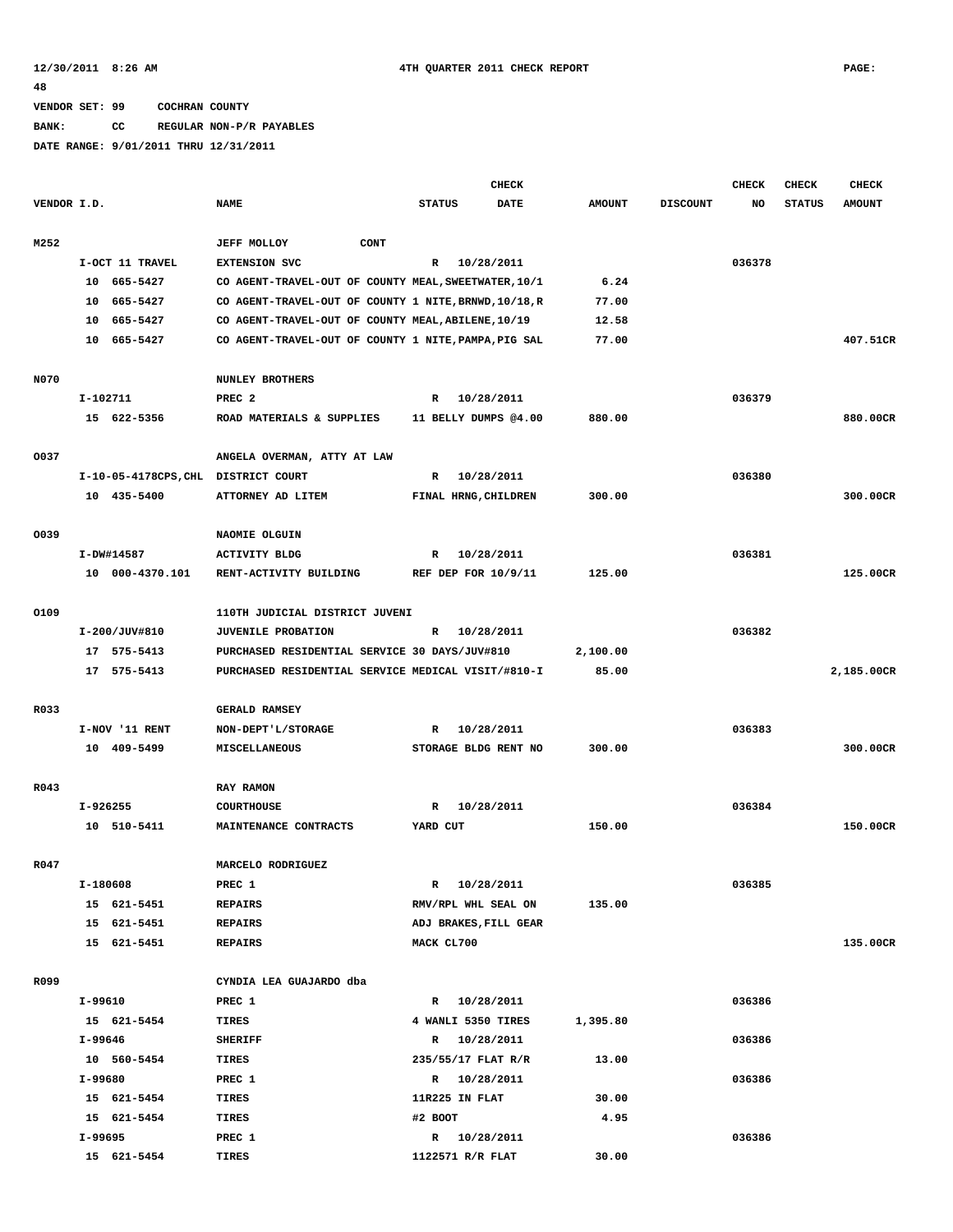## **VENDOR SET: 99 COCHRAN COUNTY**

# **BANK: CC REGULAR NON-P/R PAYABLES**

|             |                                     |                                                       | <b>CHECK</b>          |             |               |                 | <b>CHECK</b> | <b>CHECK</b>  | <b>CHECK</b>  |
|-------------|-------------------------------------|-------------------------------------------------------|-----------------------|-------------|---------------|-----------------|--------------|---------------|---------------|
| VENDOR I.D. |                                     | <b>NAME</b>                                           | <b>STATUS</b>         | <b>DATE</b> | <b>AMOUNT</b> | <b>DISCOUNT</b> | NO           | <b>STATUS</b> | <b>AMOUNT</b> |
|             |                                     |                                                       |                       |             |               |                 |              |               |               |
| M252        |                                     | <b>JEFF MOLLOY</b><br><b>CONT</b>                     |                       |             |               |                 |              |               |               |
|             | I-OCT 11 TRAVEL                     | <b>EXTENSION SVC</b>                                  | R                     | 10/28/2011  |               |                 | 036378       |               |               |
|             | 10 665-5427                         | CO AGENT-TRAVEL-OUT OF COUNTY MEAL, SWEETWATER, 10/1  |                       |             | 6.24          |                 |              |               |               |
|             | 665–5427<br>10                      | CO AGENT-TRAVEL-OUT OF COUNTY 1 NITE, BRNWD, 10/18, R |                       |             | 77.00         |                 |              |               |               |
|             | 665–5427<br>10                      | CO AGENT-TRAVEL-OUT OF COUNTY MEAL, ABILENE, 10/19    |                       |             | 12.58         |                 |              |               |               |
|             | 10 665-5427                         | CO AGENT-TRAVEL-OUT OF COUNTY 1 NITE, PAMPA, PIG SAL  |                       |             | 77.00         |                 |              |               | 407.51CR      |
|             |                                     |                                                       |                       |             |               |                 |              |               |               |
| N070        |                                     | <b>NUNLEY BROTHERS</b>                                |                       |             |               |                 |              |               |               |
|             | I-102711                            | PREC <sub>2</sub>                                     | R                     | 10/28/2011  |               |                 | 036379       |               |               |
|             | 15 622-5356                         | ROAD MATERIALS & SUPPLIES                             | 11 BELLY DUMPS @4.00  |             | 880.00        |                 |              |               | 880.00CR      |
| 0037        |                                     | ANGELA OVERMAN, ATTY AT LAW                           |                       |             |               |                 |              |               |               |
|             | I-10-05-4178CPS, CHL DISTRICT COURT |                                                       | R                     | 10/28/2011  |               |                 | 036380       |               |               |
|             | 10 435-5400                         | ATTORNEY AD LITEM                                     | FINAL HRNG, CHILDREN  |             | 300.00        |                 |              |               | 300.00CR      |
|             |                                     |                                                       |                       |             |               |                 |              |               |               |
| 0039        |                                     | NAOMIE OLGUIN                                         |                       |             |               |                 |              |               |               |
|             | I-DW#14587                          | <b>ACTIVITY BLDG</b>                                  | R                     | 10/28/2011  |               |                 | 036381       |               |               |
|             | 10 000-4370.101                     | RENT-ACTIVITY BUILDING                                | REF DEP FOR 10/9/11   |             | 125.00        |                 |              |               | 125.00CR      |
|             |                                     |                                                       |                       |             |               |                 |              |               |               |
| 0109        |                                     | 110TH JUDICIAL DISTRICT JUVENI                        |                       |             |               |                 |              |               |               |
|             | I-200/JUV#810                       | <b>JUVENILE PROBATION</b>                             | R                     | 10/28/2011  |               |                 | 036382       |               |               |
|             | 17 575-5413                         | PURCHASED RESIDENTIAL SERVICE 30 DAYS/JUV#810         |                       |             | 2,100.00      |                 |              |               |               |
|             | 17 575-5413                         | PURCHASED RESIDENTIAL SERVICE MEDICAL VISIT/#810-I    |                       |             | 85.00         |                 |              |               | 2,185.00CR    |
|             |                                     |                                                       |                       |             |               |                 |              |               |               |
| R033        |                                     | <b>GERALD RAMSEY</b>                                  |                       |             |               |                 |              |               |               |
|             | I-NOV '11 RENT                      | NON-DEPT'L/STORAGE                                    | R                     | 10/28/2011  |               |                 | 036383       |               |               |
|             | 10 409-5499                         | MISCELLANEOUS                                         | STORAGE BLDG RENT NO  |             | 300.00        |                 |              |               | 300.00CR      |
|             |                                     |                                                       |                       |             |               |                 |              |               |               |
| R043        |                                     | <b>RAY RAMON</b>                                      |                       |             |               |                 |              |               |               |
|             | I-926255                            | <b>COURTHOUSE</b>                                     | R                     | 10/28/2011  |               |                 | 036384       |               |               |
|             | 10 510-5411                         | MAINTENANCE CONTRACTS                                 | YARD CUT              |             | 150.00        |                 |              |               | 150.00CR      |
| R047        |                                     | MARCELO RODRIGUEZ                                     |                       |             |               |                 |              |               |               |
|             | I-180608                            | PREC 1                                                | R 10/28/2011          |             |               |                 | 036385       |               |               |
|             | 15 621-5451                         | <b>REPAIRS</b>                                        | RMV/RPL WHL SEAL ON   |             | 135.00        |                 |              |               |               |
|             | 15 621-5451                         | <b>REPAIRS</b>                                        | ADJ BRAKES, FILL GEAR |             |               |                 |              |               |               |
|             | 15 621-5451                         | <b>REPAIRS</b>                                        | MACK CL700            |             |               |                 |              |               | 135.00CR      |
|             |                                     |                                                       |                       |             |               |                 |              |               |               |
| R099        |                                     | CYNDIA LEA GUAJARDO dba                               |                       |             |               |                 |              |               |               |
|             | I-99610                             | PREC 1                                                | R 10/28/2011          |             |               |                 | 036386       |               |               |
|             | 15 621-5454                         | TIRES                                                 | 4 WANLI 5350 TIRES    |             | 1,395.80      |                 |              |               |               |
|             | I-99646                             | <b>SHERIFF</b>                                        | R 10/28/2011          |             |               |                 | 036386       |               |               |
|             | 10 560-5454                         | TIRES                                                 | 235/55/17 FLAT R/R    |             | 13.00         |                 |              |               |               |
|             | I-99680                             | PREC 1                                                | R 10/28/2011          |             |               |                 | 036386       |               |               |
|             | 15 621-5454                         | TIRES                                                 | 11R225 IN FLAT        |             | 30.00         |                 |              |               |               |
|             | 15 621-5454                         | TIRES                                                 | #2 BOOT               |             | 4.95          |                 |              |               |               |
|             | I-99695                             | PREC 1                                                | R 10/28/2011          |             |               |                 | 036386       |               |               |
|             | 15 621-5454                         | TIRES                                                 | 1122571 R/R FLAT      |             | 30.00         |                 |              |               |               |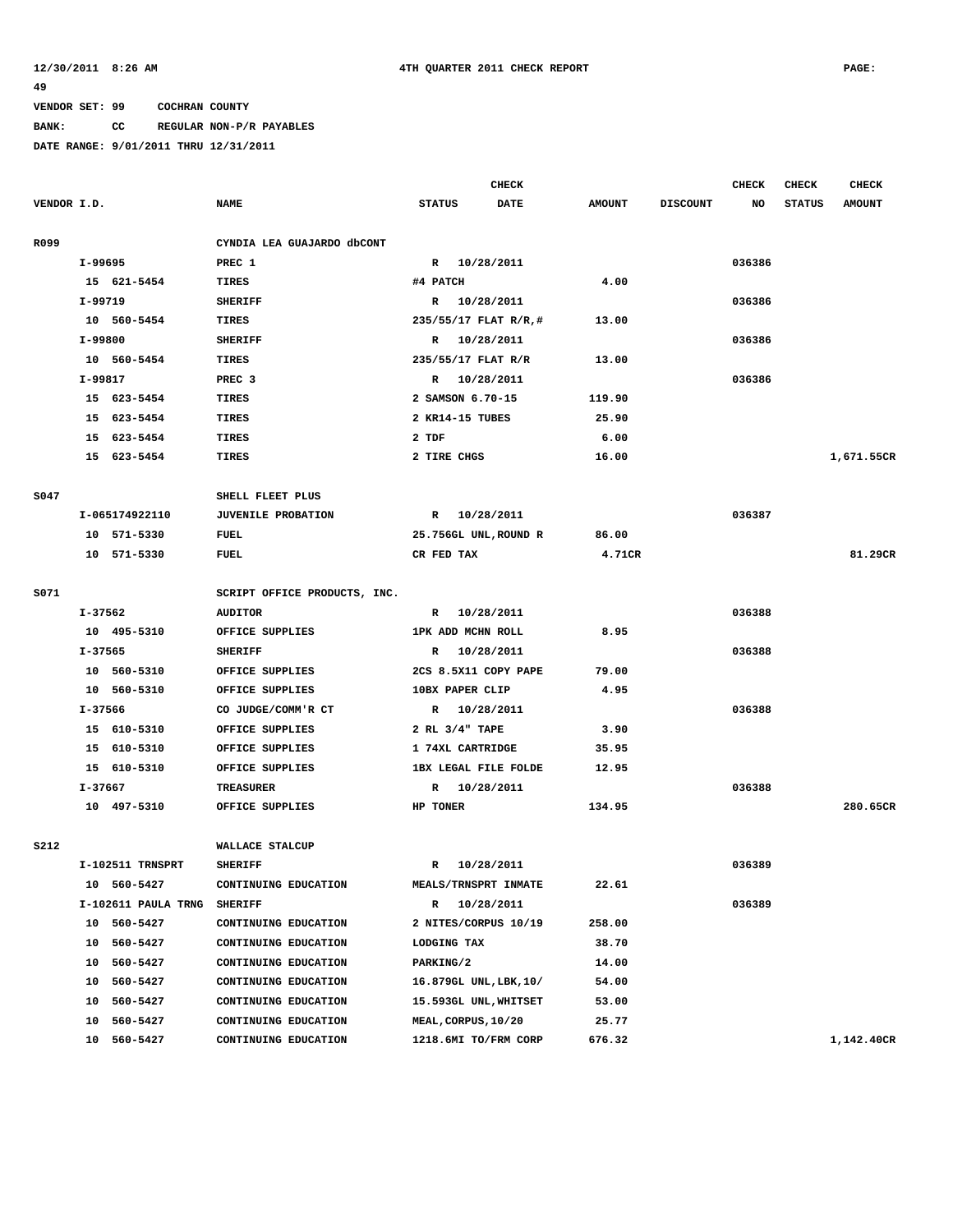#### **VENDOR SET: 99 COCHRAN COUNTY**

# **BANK: CC REGULAR NON-P/R PAYABLES**

|             |             |                     |                              | <b>CHECK</b>    |                        |               |                 | CHECK  | <b>CHECK</b>  | <b>CHECK</b>  |
|-------------|-------------|---------------------|------------------------------|-----------------|------------------------|---------------|-----------------|--------|---------------|---------------|
| VENDOR I.D. |             |                     | <b>NAME</b>                  | <b>STATUS</b>   | DATE                   | <b>AMOUNT</b> | <b>DISCOUNT</b> | NO     | <b>STATUS</b> | <b>AMOUNT</b> |
|             |             |                     |                              |                 |                        |               |                 |        |               |               |
| R099        |             |                     | CYNDIA LEA GUAJARDO dbCONT   |                 |                        |               |                 |        |               |               |
|             | I-99695     |                     | PREC 1                       |                 | R 10/28/2011           |               |                 | 036386 |               |               |
|             |             | 15 621-5454         | TIRES                        | #4 PATCH        |                        | 4.00          |                 |        |               |               |
|             | I-99719     |                     | <b>SHERIFF</b>               |                 | R 10/28/2011           |               |                 | 036386 |               |               |
|             |             | 10 560-5454         | TIRES                        |                 | 235/55/17 FLAT R/R,#   | 13.00         |                 |        |               |               |
|             | I-99800     |                     | <b>SHERIFF</b>               | R               | 10/28/2011             |               |                 | 036386 |               |               |
|             |             | 10 560-5454         | TIRES                        |                 | 235/55/17 FLAT R/R     | 13.00         |                 |        |               |               |
|             | I-99817     |                     | PREC <sub>3</sub>            |                 | R 10/28/2011           |               |                 | 036386 |               |               |
|             |             | 15 623-5454         | TIRES                        |                 | 2 SAMSON 6.70-15       | 119.90        |                 |        |               |               |
|             |             | 15 623-5454         | <b>TIRES</b>                 |                 | 2 KR14-15 TUBES        | 25.90         |                 |        |               |               |
|             |             | 15 623-5454         | TIRES                        | 2 TDF           |                        | 6.00          |                 |        |               |               |
|             |             | 15 623-5454         | TIRES                        | 2 TIRE CHGS     |                        | 16.00         |                 |        |               | 1,671.55CR    |
|             |             |                     |                              |                 |                        |               |                 |        |               |               |
| S047        |             |                     | SHELL FLEET PLUS             |                 |                        |               |                 |        |               |               |
|             |             | I-065174922110      | <b>JUVENILE PROBATION</b>    | $\mathbb{R}$    | 10/28/2011             |               |                 | 036387 |               |               |
|             |             | 10 571-5330         | <b>FUEL</b>                  |                 | 25.756GL UNL, ROUND R  | 86.00         |                 |        |               |               |
|             |             | 10 571-5330         | <b>FUEL</b>                  | CR FED TAX      |                        | 4.71CR        |                 |        |               | 81.29CR       |
| S071        |             |                     | SCRIPT OFFICE PRODUCTS, INC. |                 |                        |               |                 |        |               |               |
|             | I-37562     |                     | <b>AUDITOR</b>               |                 | R 10/28/2011           |               |                 | 036388 |               |               |
|             |             | 10 495-5310         | OFFICE SUPPLIES              |                 | 1PK ADD MCHN ROLL      | 8.95          |                 |        |               |               |
|             | $I - 37565$ |                     | <b>SHERIFF</b>               |                 | R 10/28/2011           |               |                 | 036388 |               |               |
|             |             | 10 560-5310         | OFFICE SUPPLIES              |                 | 2CS 8.5X11 COPY PAPE   | 79.00         |                 |        |               |               |
|             |             | 10 560-5310         | OFFICE SUPPLIES              |                 | 10BX PAPER CLIP        | 4.95          |                 |        |               |               |
|             | I-37566     |                     | CO JUDGE/COMM'R CT           | R               | 10/28/2011             |               |                 | 036388 |               |               |
|             |             | 15 610-5310         | OFFICE SUPPLIES              |                 | 2 RL 3/4" TAPE         | 3.90          |                 |        |               |               |
|             |             | 15 610-5310         | OFFICE SUPPLIES              |                 | 1 74XL CARTRIDGE       | 35.95         |                 |        |               |               |
|             |             | 15 610-5310         | OFFICE SUPPLIES              |                 | 1BX LEGAL FILE FOLDE   | 12.95         |                 |        |               |               |
|             | I-37667     |                     | <b>TREASURER</b>             |                 | R 10/28/2011           |               |                 | 036388 |               |               |
|             |             | 10 497-5310         | OFFICE SUPPLIES              | <b>HP TONER</b> |                        | 134.95        |                 |        |               | 280.65CR      |
|             |             |                     |                              |                 |                        |               |                 |        |               |               |
| S212        |             |                     | WALLACE STALCUP              |                 |                        |               |                 |        |               |               |
|             |             | I-102511 TRNSPRT    | <b>SHERIFF</b>               | R               | 10/28/2011             |               |                 | 036389 |               |               |
|             |             | 10 560-5427         | CONTINUING EDUCATION         |                 | MEALS/TRNSPRT INMATE   | 22.61         |                 |        |               |               |
|             |             | I-102611 PAULA TRNG | <b>SHERIFF</b>               |                 | R 10/28/2011           |               |                 | 036389 |               |               |
|             |             | 10 560-5427         | CONTINUING EDUCATION         |                 | 2 NITES/CORPUS 10/19   | 258.00        |                 |        |               |               |
|             |             | 10 560-5427         | CONTINUING EDUCATION         | LODGING TAX     |                        | 38.70         |                 |        |               |               |
|             |             | 10 560-5427         | CONTINUING EDUCATION         | PARKING/2       |                        | 14.00         |                 |        |               |               |
|             |             | 10 560-5427         | CONTINUING EDUCATION         |                 | 16.879GL UNL, LBK, 10/ | 54.00         |                 |        |               |               |
|             |             | 10 560-5427         | CONTINUING EDUCATION         |                 | 15.593GL UNL, WHITSET  | 53.00         |                 |        |               |               |
|             |             | 10 560-5427         | CONTINUING EDUCATION         |                 | MEAL, CORPUS, 10/20    | 25.77         |                 |        |               |               |
|             | 10          | 560-5427            | CONTINUING EDUCATION         |                 | 1218.6MI TO/FRM CORP   | 676.32        |                 |        |               | 1,142.40CR    |
|             |             |                     |                              |                 |                        |               |                 |        |               |               |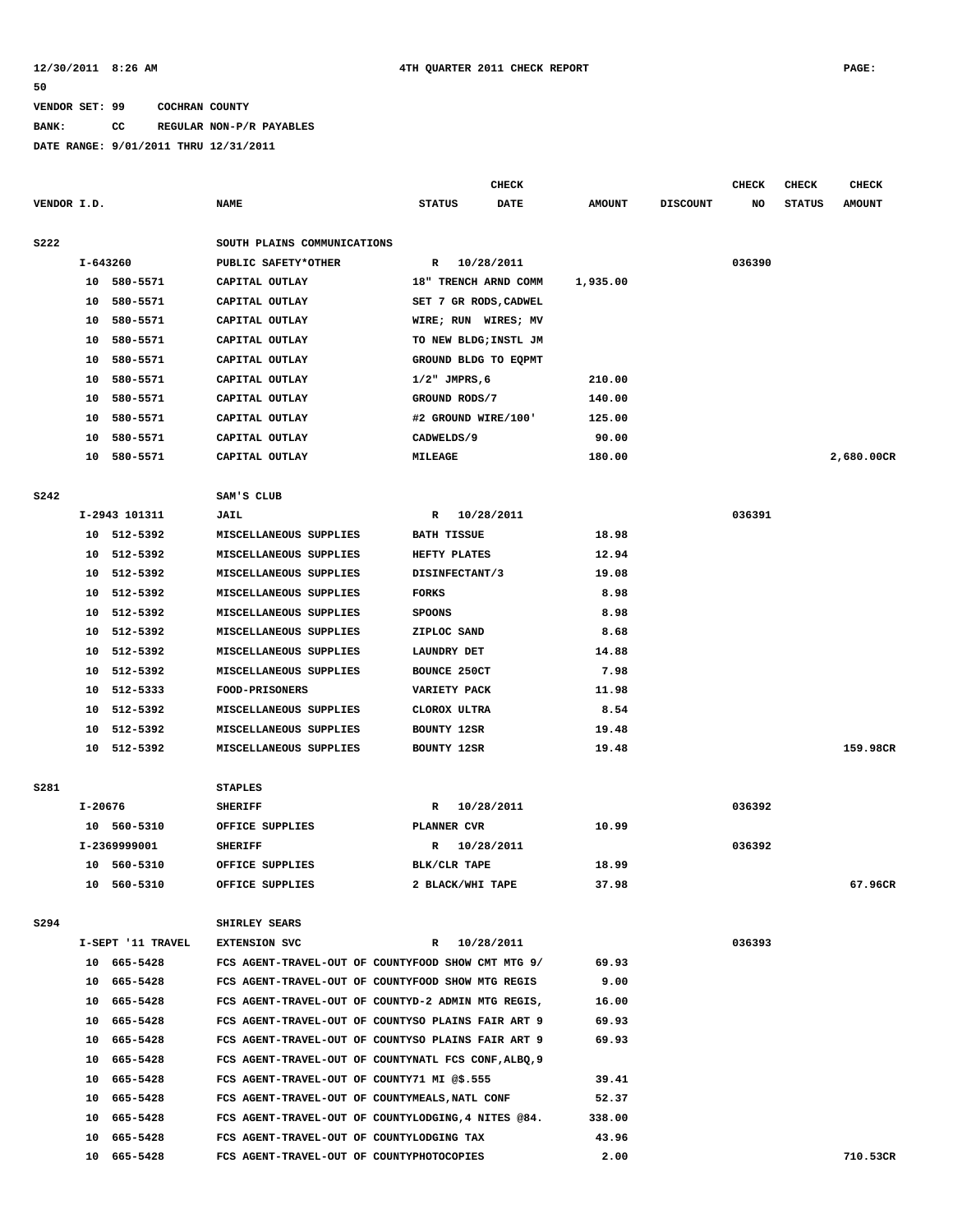### **VENDOR SET: 99 COCHRAN COUNTY BANK: CC REGULAR NON-P/R PAYABLES**

|             |             |                   |                                                      |                       | <b>CHECK</b> |               |                 | <b>CHECK</b> | <b>CHECK</b>  | <b>CHECK</b>  |
|-------------|-------------|-------------------|------------------------------------------------------|-----------------------|--------------|---------------|-----------------|--------------|---------------|---------------|
| VENDOR I.D. |             |                   | <b>NAME</b>                                          | <b>STATUS</b>         | DATE         | <b>AMOUNT</b> | <b>DISCOUNT</b> | NO           | <b>STATUS</b> | <b>AMOUNT</b> |
| <b>S222</b> |             |                   | SOUTH PLAINS COMMUNICATIONS                          |                       |              |               |                 |              |               |               |
|             | I-643260    |                   | PUBLIC SAFETY*OTHER                                  | R                     | 10/28/2011   |               |                 | 036390       |               |               |
|             |             | 10 580-5571       | CAPITAL OUTLAY                                       | 18" TRENCH ARND COMM  |              | 1,935.00      |                 |              |               |               |
|             | 10          | 580-5571          | CAPITAL OUTLAY                                       | SET 7 GR RODS, CADWEL |              |               |                 |              |               |               |
|             | 10          | 580-5571          | CAPITAL OUTLAY                                       | WIRE; RUN WIRES; MV   |              |               |                 |              |               |               |
|             | 10          | 580-5571          | CAPITAL OUTLAY                                       | TO NEW BLDG; INSTL JM |              |               |                 |              |               |               |
|             | 10          | 580-5571          | CAPITAL OUTLAY                                       | GROUND BLDG TO EQPMT  |              |               |                 |              |               |               |
|             | 10          | 580-5571          | CAPITAL OUTLAY                                       | $1/2$ " JMPRS, $6$    |              | 210.00        |                 |              |               |               |
|             | 10          | 580-5571          | CAPITAL OUTLAY                                       | GROUND RODS/7         |              | 140.00        |                 |              |               |               |
|             | 10          | 580-5571          | CAPITAL OUTLAY                                       | #2 GROUND WIRE/100'   |              | 125.00        |                 |              |               |               |
|             | 10          | 580-5571          | CAPITAL OUTLAY                                       | CADWELDS/9            |              | 90.00         |                 |              |               |               |
|             | 10          | 580-5571          | CAPITAL OUTLAY                                       | MILEAGE               |              | 180.00        |                 |              |               | 2,680.00CR    |
| <b>S242</b> |             |                   | SAM'S CLUB                                           |                       |              |               |                 |              |               |               |
|             |             | I-2943 101311     | <b>JAIL</b>                                          | R                     | 10/28/2011   |               |                 | 036391       |               |               |
|             | 10          | 512-5392          | MISCELLANEOUS SUPPLIES                               | <b>BATH TISSUE</b>    |              | 18.98         |                 |              |               |               |
|             | 10          | 512-5392          | MISCELLANEOUS SUPPLIES                               | HEFTY PLATES          |              | 12.94         |                 |              |               |               |
|             | 10          | 512-5392          | MISCELLANEOUS SUPPLIES                               | DISINFECTANT/3        |              | 19.08         |                 |              |               |               |
|             | 10          | 512-5392          | MISCELLANEOUS SUPPLIES                               | <b>FORKS</b>          |              | 8.98          |                 |              |               |               |
|             | 10          | 512-5392          | MISCELLANEOUS SUPPLIES                               | <b>SPOONS</b>         |              | 8.98          |                 |              |               |               |
|             | 10          | 512-5392          | MISCELLANEOUS SUPPLIES                               | ZIPLOC SAND           |              | 8.68          |                 |              |               |               |
|             | 10          | 512-5392          | MISCELLANEOUS SUPPLIES                               | LAUNDRY DET           |              | 14.88         |                 |              |               |               |
|             | 10          | 512-5392          | MISCELLANEOUS SUPPLIES                               | <b>BOUNCE 250CT</b>   |              | 7.98          |                 |              |               |               |
|             | 10          | 512-5333          | <b>FOOD-PRISONERS</b>                                | VARIETY PACK          |              | 11.98         |                 |              |               |               |
|             | 10          | 512-5392          | MISCELLANEOUS SUPPLIES                               | CLOROX ULTRA          |              | 8.54          |                 |              |               |               |
|             | 10          | 512-5392          | MISCELLANEOUS SUPPLIES                               | BOUNTY 12SR           |              | 19.48         |                 |              |               |               |
|             | 10          | 512-5392          | MISCELLANEOUS SUPPLIES                               | BOUNTY 12SR           |              | 19.48         |                 |              |               | 159.98CR      |
|             |             |                   |                                                      |                       |              |               |                 |              |               |               |
| S281        |             |                   | <b>STAPLES</b>                                       |                       |              |               |                 |              |               |               |
|             | $I - 20676$ |                   | <b>SHERIFF</b>                                       | R                     | 10/28/2011   |               |                 | 036392       |               |               |
|             |             | 10 560-5310       | OFFICE SUPPLIES                                      | PLANNER CVR           |              | 10.99         |                 |              |               |               |
|             |             | I-2369999001      | <b>SHERIFF</b>                                       | R                     | 10/28/2011   |               |                 | 036392       |               |               |
|             |             | 10 560-5310       | OFFICE SUPPLIES                                      | BLK/CLR TAPE          |              | 18.99         |                 |              |               |               |
|             |             | 10 560-5310       | OFFICE SUPPLIES                                      | 2 BLACK/WHI TAPE      |              | 37.98         |                 |              |               | 67.96CR       |
| S294        |             |                   | SHIRLEY SEARS                                        |                       |              |               |                 |              |               |               |
|             |             | I-SEPT '11 TRAVEL | <b>EXTENSION SVC</b>                                 | $\mathbb{R}$          | 10/28/2011   |               |                 | 036393       |               |               |
|             |             | 10 665-5428       | FCS AGENT-TRAVEL-OUT OF COUNTYFOOD SHOW CMT MTG 9/   |                       |              | 69.93         |                 |              |               |               |
|             |             | 10 665-5428       | FCS AGENT-TRAVEL-OUT OF COUNTYFOOD SHOW MTG REGIS    |                       |              | 9.00          |                 |              |               |               |
|             |             | 10 665-5428       | FCS AGENT-TRAVEL-OUT OF COUNTYD-2 ADMIN MTG REGIS,   |                       |              | 16.00         |                 |              |               |               |
|             |             | 10 665-5428       | FCS AGENT-TRAVEL-OUT OF COUNTYSO PLAINS FAIR ART 9   |                       |              | 69.93         |                 |              |               |               |
|             |             | 10 665-5428       | FCS AGENT-TRAVEL-OUT OF COUNTYSO PLAINS FAIR ART 9   |                       |              | 69.93         |                 |              |               |               |
|             |             | 10 665-5428       | FCS AGENT-TRAVEL-OUT OF COUNTYNATL FCS CONF, ALBQ, 9 |                       |              |               |                 |              |               |               |
|             |             | 10 665-5428       | FCS AGENT-TRAVEL-OUT OF COUNTY71 MI @\$.555          |                       |              | 39.41         |                 |              |               |               |
|             |             | 10 665-5428       | FCS AGENT-TRAVEL-OUT OF COUNTYMEALS, NATL CONF       |                       |              | 52.37         |                 |              |               |               |
|             | 10          | 665-5428          | FCS AGENT-TRAVEL-OUT OF COUNTYLODGING, 4 NITES @84.  |                       |              | 338.00        |                 |              |               |               |
|             |             | 10 665-5428       | FCS AGENT-TRAVEL-OUT OF COUNTYLODGING TAX            |                       |              | 43.96         |                 |              |               |               |
|             |             | 10 665-5428       | FCS AGENT-TRAVEL-OUT OF COUNTYPHOTOCOPIES            |                       |              | 2.00          |                 |              |               | 710.53CR      |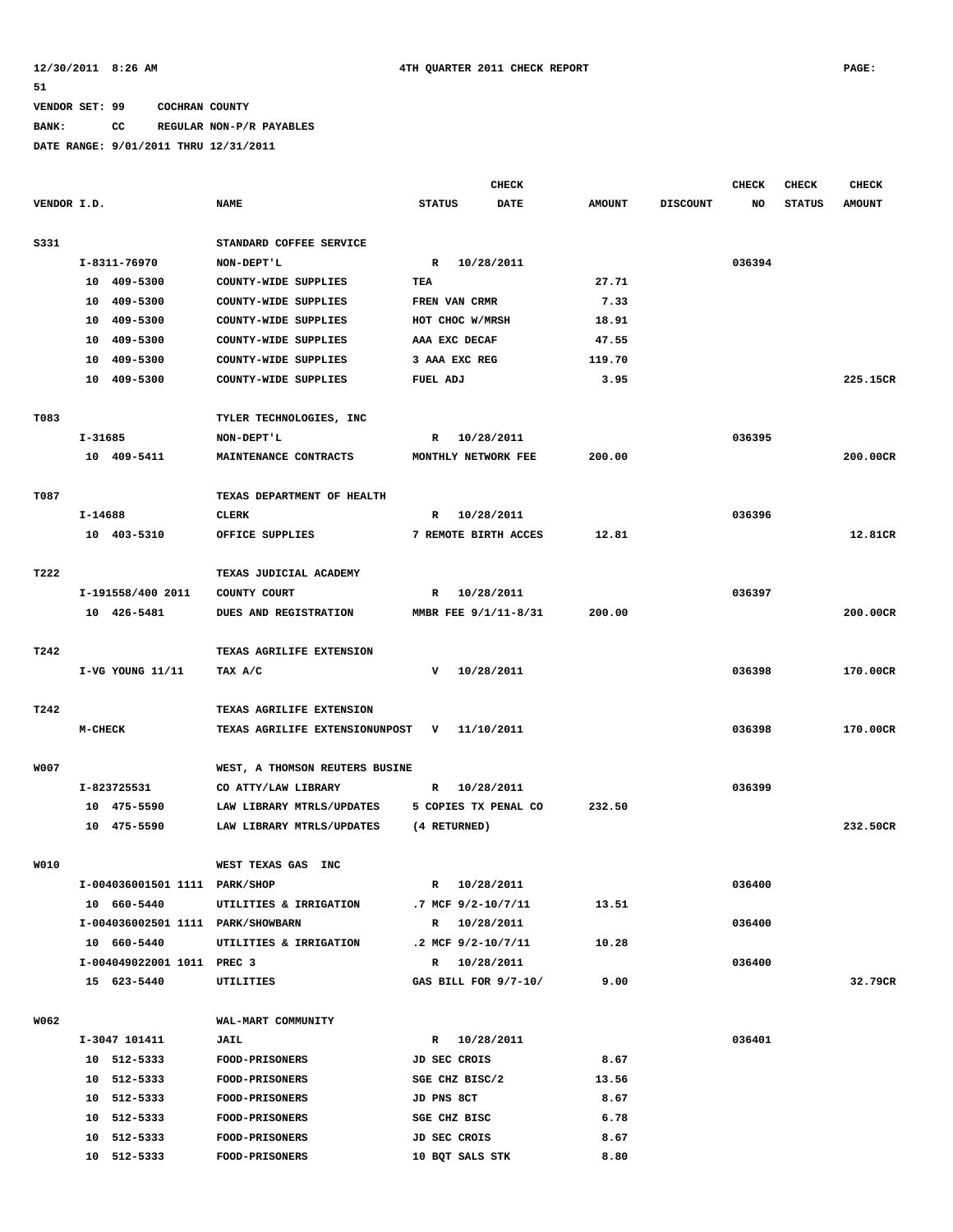## **VENDOR SET: 99 COCHRAN COUNTY**

# **BANK: CC REGULAR NON-P/R PAYABLES**

|             |                                   |                                | <b>CHECK</b>           |             |               |                 | CHECK  | <b>CHECK</b>  | <b>CHECK</b>  |
|-------------|-----------------------------------|--------------------------------|------------------------|-------------|---------------|-----------------|--------|---------------|---------------|
| VENDOR I.D. |                                   | <b>NAME</b>                    | <b>STATUS</b>          | <b>DATE</b> | <b>AMOUNT</b> | <b>DISCOUNT</b> | NO     | <b>STATUS</b> | <b>AMOUNT</b> |
|             |                                   |                                |                        |             |               |                 |        |               |               |
| S331        |                                   | STANDARD COFFEE SERVICE        |                        |             |               |                 |        |               |               |
|             | I-8311-76970                      | NON-DEPT'L                     | R 10/28/2011           |             |               |                 | 036394 |               |               |
|             | 10 409-5300                       | COUNTY-WIDE SUPPLIES           | TEA                    |             | 27.71         |                 |        |               |               |
|             | 10 409-5300                       | COUNTY-WIDE SUPPLIES           | FREN VAN CRMR          |             | 7.33          |                 |        |               |               |
|             | 10 409-5300                       | COUNTY-WIDE SUPPLIES           | HOT CHOC W/MRSH        |             | 18.91         |                 |        |               |               |
|             | 10 409-5300                       | COUNTY-WIDE SUPPLIES           | AAA EXC DECAF          |             | 47.55         |                 |        |               |               |
|             | 10 409-5300                       | COUNTY-WIDE SUPPLIES           | 3 AAA EXC REG          |             | 119.70        |                 |        |               |               |
|             | 10 409-5300                       | COUNTY-WIDE SUPPLIES           | FUEL ADJ               |             | 3.95          |                 |        |               | 225.15CR      |
|             |                                   |                                |                        |             |               |                 |        |               |               |
| T083        |                                   | TYLER TECHNOLOGIES, INC        |                        |             |               |                 |        |               |               |
|             | I-31685                           | NON-DEPT'L                     | 10/28/2011<br>R        |             |               |                 | 036395 |               |               |
|             | 10 409-5411                       | MAINTENANCE CONTRACTS          | MONTHLY NETWORK FEE    |             | 200.00        |                 |        |               | 200.00CR      |
| T087        |                                   | TEXAS DEPARTMENT OF HEALTH     |                        |             |               |                 |        |               |               |
|             | I-14688                           | <b>CLERK</b>                   | 10/28/2011<br>R        |             |               |                 | 036396 |               |               |
|             | 10 403-5310                       | OFFICE SUPPLIES                | 7 REMOTE BIRTH ACCES   |             | 12.81         |                 |        |               | 12.81CR       |
|             |                                   |                                |                        |             |               |                 |        |               |               |
| T222        |                                   | TEXAS JUDICIAL ACADEMY         |                        |             |               |                 |        |               |               |
|             | I-191558/400 2011                 | COUNTY COURT                   | 10/28/2011<br>R        |             |               |                 | 036397 |               |               |
|             | 10 426-5481                       | DUES AND REGISTRATION          | MMBR FEE 9/1/11-8/31   |             | 200.00        |                 |        |               | 200.00CR      |
|             |                                   |                                |                        |             |               |                 |        |               |               |
| T242        |                                   | TEXAS AGRILIFE EXTENSION       |                        |             |               |                 |        |               |               |
|             | I-VG YOUNG 11/11                  | TAX A/C                        | 10/28/2011<br>v        |             |               |                 | 036398 |               | 170.00CR      |
|             |                                   |                                |                        |             |               |                 |        |               |               |
| T242        |                                   | TEXAS AGRILIFE EXTENSION       |                        |             |               |                 |        |               |               |
|             | M-CHECK                           | TEXAS AGRILIFE EXTENSIONUNPOST | v<br>11/10/2011        |             |               |                 | 036398 |               | 170.00CR      |
|             |                                   |                                |                        |             |               |                 |        |               |               |
| <b>W007</b> |                                   | WEST, A THOMSON REUTERS BUSINE |                        |             |               |                 |        |               |               |
|             | I-823725531                       | CO ATTY/LAW LIBRARY            | 10/28/2011<br>R        |             |               |                 | 036399 |               |               |
|             | 10 475-5590                       | LAW LIBRARY MTRLS/UPDATES      | 5 COPIES TX PENAL CO   |             | 232.50        |                 |        |               |               |
|             | 10 475-5590                       | LAW LIBRARY MTRLS/UPDATES      | (4 RETURNED)           |             |               |                 |        |               | 232.50CR      |
|             |                                   |                                |                        |             |               |                 |        |               |               |
| W010        |                                   | WEST TEXAS GAS INC             |                        |             |               |                 |        |               |               |
|             | I-004036001501 1111 PARK/SHOP     |                                | R 10/28/2011           |             |               |                 | 036400 |               |               |
|             | 10 660-5440                       | UTILITIES & IRRIGATION         | .7 MCF $9/2 - 10/7/11$ |             | 13.51         |                 |        |               |               |
|             | I-004036002501 1111 PARK/SHOWBARN |                                | R 10/28/2011           |             |               |                 | 036400 |               |               |
|             | 10 660-5440                       | UTILITIES & IRRIGATION         | .2 MCF $9/2 - 10/7/11$ |             | 10.28         |                 |        |               |               |
|             | I-004049022001 1011 PREC 3        |                                | R 10/28/2011           |             |               |                 | 036400 |               |               |
|             | 15 623-5440                       | UTILITIES                      | GAS BILL FOR $9/7-10/$ |             | 9.00          |                 |        |               | 32.79CR       |
| W062        |                                   | WAL-MART COMMUNITY             |                        |             |               |                 |        |               |               |
|             | I-3047 101411                     | JAIL                           | R 10/28/2011           |             |               |                 | 036401 |               |               |
|             | 10 512-5333                       | <b>FOOD-PRISONERS</b>          | JD SEC CROIS           |             | 8.67          |                 |        |               |               |
|             | 10 512-5333                       | <b>FOOD-PRISONERS</b>          | SGE CHZ BISC/2         |             | 13.56         |                 |        |               |               |
|             | 10 512-5333                       | FOOD-PRISONERS                 | JD PNS 8CT             |             | 8.67          |                 |        |               |               |
|             | 10 512-5333                       | <b>FOOD-PRISONERS</b>          | SGE CHZ BISC           |             | 6.78          |                 |        |               |               |
|             | 10 512-5333                       | <b>FOOD-PRISONERS</b>          | JD SEC CROIS           |             | 8.67          |                 |        |               |               |
|             | 10 512-5333                       | FOOD-PRISONERS                 | 10 BQT SALS STK        |             | 8.80          |                 |        |               |               |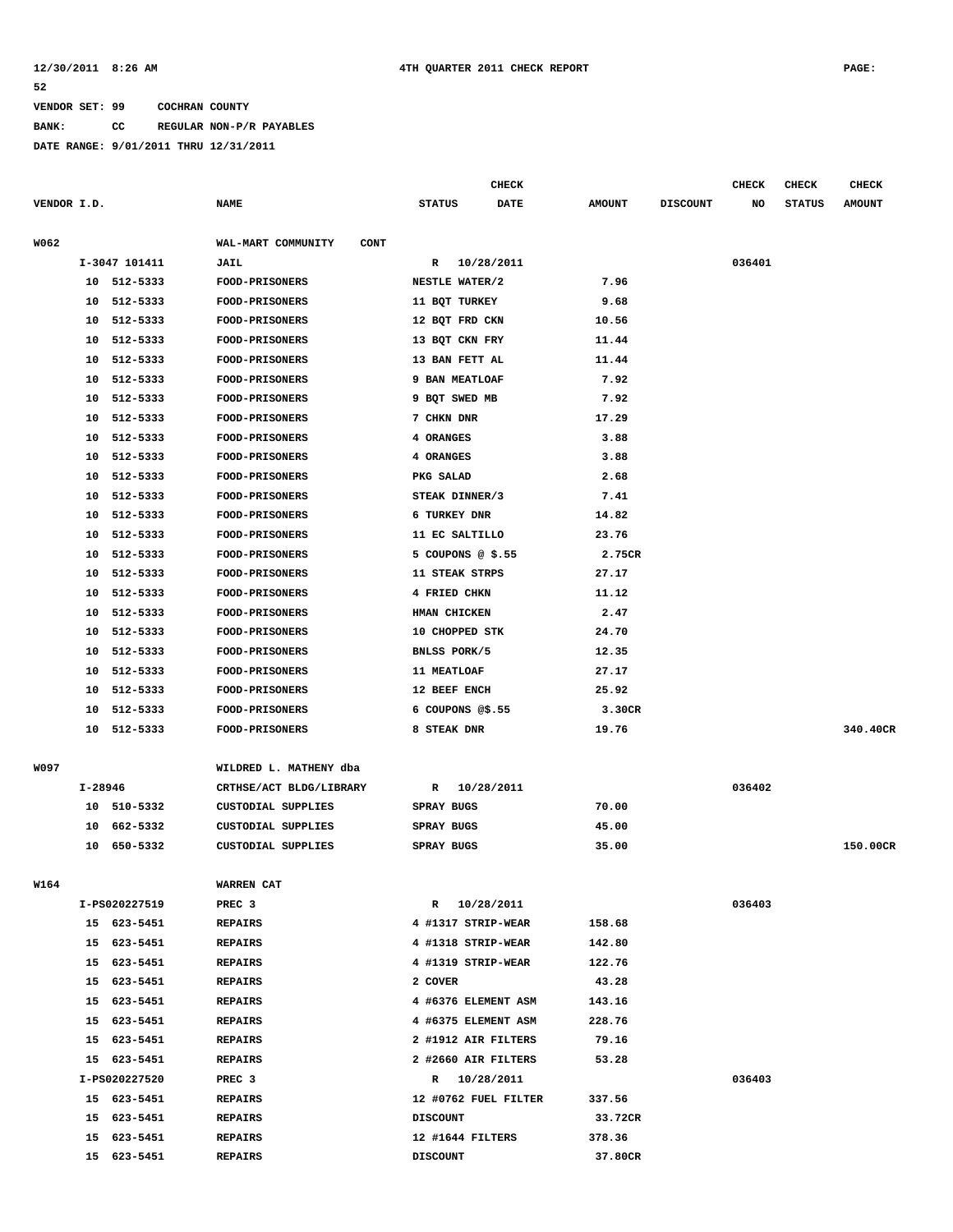### **VENDOR SET: 99 COCHRAN COUNTY BANK: CC REGULAR NON-P/R PAYABLES**

|             |         |               |                         |             |                       | <b>CHECK</b> |               |                 | CHECK  | <b>CHECK</b>  | <b>CHECK</b>  |
|-------------|---------|---------------|-------------------------|-------------|-----------------------|--------------|---------------|-----------------|--------|---------------|---------------|
| VENDOR I.D. |         |               | <b>NAME</b>             |             | <b>STATUS</b>         | <b>DATE</b>  | <b>AMOUNT</b> | <b>DISCOUNT</b> | NO     | <b>STATUS</b> | <b>AMOUNT</b> |
| W062        |         |               | WAL-MART COMMUNITY      | <b>CONT</b> |                       |              |               |                 |        |               |               |
|             |         | I-3047 101411 | <b>JAIL</b>             |             | R<br>10/28/2011       |              |               |                 | 036401 |               |               |
|             |         | 10 512-5333   | <b>FOOD-PRISONERS</b>   |             | <b>NESTLE WATER/2</b> |              | 7.96          |                 |        |               |               |
|             | 10      | 512-5333      | FOOD-PRISONERS          |             | 11 BQT TURKEY         |              | 9.68          |                 |        |               |               |
|             | 10      | 512-5333      | FOOD-PRISONERS          |             | 12 BQT FRD CKN        |              | 10.56         |                 |        |               |               |
|             | 10      | 512-5333      | <b>FOOD-PRISONERS</b>   |             | 13 BOT CKN FRY        |              | 11.44         |                 |        |               |               |
|             | 10      | 512-5333      | FOOD-PRISONERS          |             | 13 BAN FETT AL        |              | 11.44         |                 |        |               |               |
|             | 10      | 512-5333      | FOOD-PRISONERS          |             | 9 BAN MEATLOAF        |              | 7.92          |                 |        |               |               |
|             | 10      | 512-5333      | <b>FOOD-PRISONERS</b>   |             | 9 BQT SWED MB         |              | 7.92          |                 |        |               |               |
|             | 10      | 512-5333      | FOOD-PRISONERS          |             | 7 CHKN DNR            |              | 17.29         |                 |        |               |               |
|             | 10      | 512-5333      | <b>FOOD-PRISONERS</b>   |             | 4 ORANGES             |              | 3.88          |                 |        |               |               |
|             | 10      | 512-5333      | <b>FOOD-PRISONERS</b>   |             | 4 ORANGES             |              | 3.88          |                 |        |               |               |
|             | 10      | 512-5333      | FOOD-PRISONERS          |             | PKG SALAD             |              | 2.68          |                 |        |               |               |
|             | 10      | 512-5333      | <b>FOOD-PRISONERS</b>   |             | STEAK DINNER/3        |              | 7.41          |                 |        |               |               |
|             | 10      | 512-5333      | <b>FOOD-PRISONERS</b>   |             | 6 TURKEY DNR          |              | 14.82         |                 |        |               |               |
|             | 10      | 512-5333      | FOOD-PRISONERS          |             | 11 EC SALTILLO        |              | 23.76         |                 |        |               |               |
|             | 10      | 512-5333      | <b>FOOD-PRISONERS</b>   |             | 5 COUPONS @ \$.55     |              | 2.75CR        |                 |        |               |               |
|             | 10      | 512-5333      | <b>FOOD-PRISONERS</b>   |             | 11 STEAK STRPS        |              | 27.17         |                 |        |               |               |
|             | 10      | 512-5333      | FOOD-PRISONERS          |             | 4 FRIED CHKN          |              | 11.12         |                 |        |               |               |
|             | 10      | 512-5333      | FOOD-PRISONERS          |             | HMAN CHICKEN          |              | 2.47          |                 |        |               |               |
|             | 10      | 512-5333      | <b>FOOD-PRISONERS</b>   |             | 10 CHOPPED STK        |              | 24.70         |                 |        |               |               |
|             | 10      | 512-5333      | FOOD-PRISONERS          |             | BNLSS PORK/5          |              | 12.35         |                 |        |               |               |
|             | 10      | 512-5333      | <b>FOOD-PRISONERS</b>   |             | 11 MEATLOAF           |              | 27.17         |                 |        |               |               |
|             | 10      | 512-5333      | <b>FOOD-PRISONERS</b>   |             | 12 BEEF ENCH          |              | 25.92         |                 |        |               |               |
|             | 10      | 512-5333      | <b>FOOD-PRISONERS</b>   |             | 6 COUPONS @\$.55      |              | 3.30CR        |                 |        |               |               |
|             |         | 10 512-5333   | <b>FOOD-PRISONERS</b>   |             | 8 STEAK DNR           |              | 19.76         |                 |        |               | 340.40CR      |
|             |         |               |                         |             |                       |              |               |                 |        |               |               |
| W097        |         |               | WILDRED L. MATHENY dba  |             |                       |              |               |                 |        |               |               |
|             | I-28946 |               | CRTHSE/ACT BLDG/LIBRARY |             | R                     | 10/28/2011   |               |                 | 036402 |               |               |
|             |         | 10 510-5332   | CUSTODIAL SUPPLIES      |             | SPRAY BUGS            |              | 70.00         |                 |        |               |               |
|             | 10      | 662-5332      | CUSTODIAL SUPPLIES      |             | SPRAY BUGS            |              | 45.00         |                 |        |               |               |
|             |         | 10 650-5332   | CUSTODIAL SUPPLIES      |             | SPRAY BUGS            |              | 35.00         |                 |        |               | 150.00CR      |
|             |         |               |                         |             |                       |              |               |                 |        |               |               |
| W164        |         |               | <b>WARREN CAT</b>       |             |                       |              |               |                 |        |               |               |
|             |         | I-PS020227519 | PREC 3                  |             | R 10/28/2011          |              |               |                 | 036403 |               |               |
|             |         | 15 623-5451   | <b>REPAIRS</b>          |             | 4 #1317 STRIP-WEAR    |              | 158.68        |                 |        |               |               |
|             |         | 15 623-5451   | <b>REPAIRS</b>          |             | 4 #1318 STRIP-WEAR    |              | 142.80        |                 |        |               |               |
|             |         | 15 623-5451   | <b>REPAIRS</b>          |             | 4 #1319 STRIP-WEAR    |              | 122.76        |                 |        |               |               |
|             |         | 15 623-5451   | <b>REPAIRS</b>          |             | 2 COVER               |              | 43.28         |                 |        |               |               |
|             |         | 15 623-5451   | <b>REPAIRS</b>          |             | 4 #6376 ELEMENT ASM   |              | 143.16        |                 |        |               |               |
|             |         | 15 623-5451   | <b>REPAIRS</b>          |             | 4 #6375 ELEMENT ASM   |              | 228.76        |                 |        |               |               |
|             |         | 15 623-5451   | <b>REPAIRS</b>          |             | 2 #1912 AIR FILTERS   |              | 79.16         |                 |        |               |               |
|             |         | 15 623-5451   | <b>REPAIRS</b>          |             | 2 #2660 AIR FILTERS   |              | 53.28         |                 |        |               |               |
|             |         | I-PS020227520 | PREC 3                  |             | R 10/28/2011          |              |               |                 | 036403 |               |               |
|             |         | 15 623-5451   | <b>REPAIRS</b>          |             | 12 #0762 FUEL FILTER  |              | 337.56        |                 |        |               |               |
|             |         | 15 623-5451   | <b>REPAIRS</b>          |             | <b>DISCOUNT</b>       |              | 33.72CR       |                 |        |               |               |
|             |         | 15 623-5451   | <b>REPAIRS</b>          |             | 12 #1644 FILTERS      |              | 378.36        |                 |        |               |               |
|             |         | 15 623-5451   | <b>REPAIRS</b>          |             | <b>DISCOUNT</b>       |              | 37.80CR       |                 |        |               |               |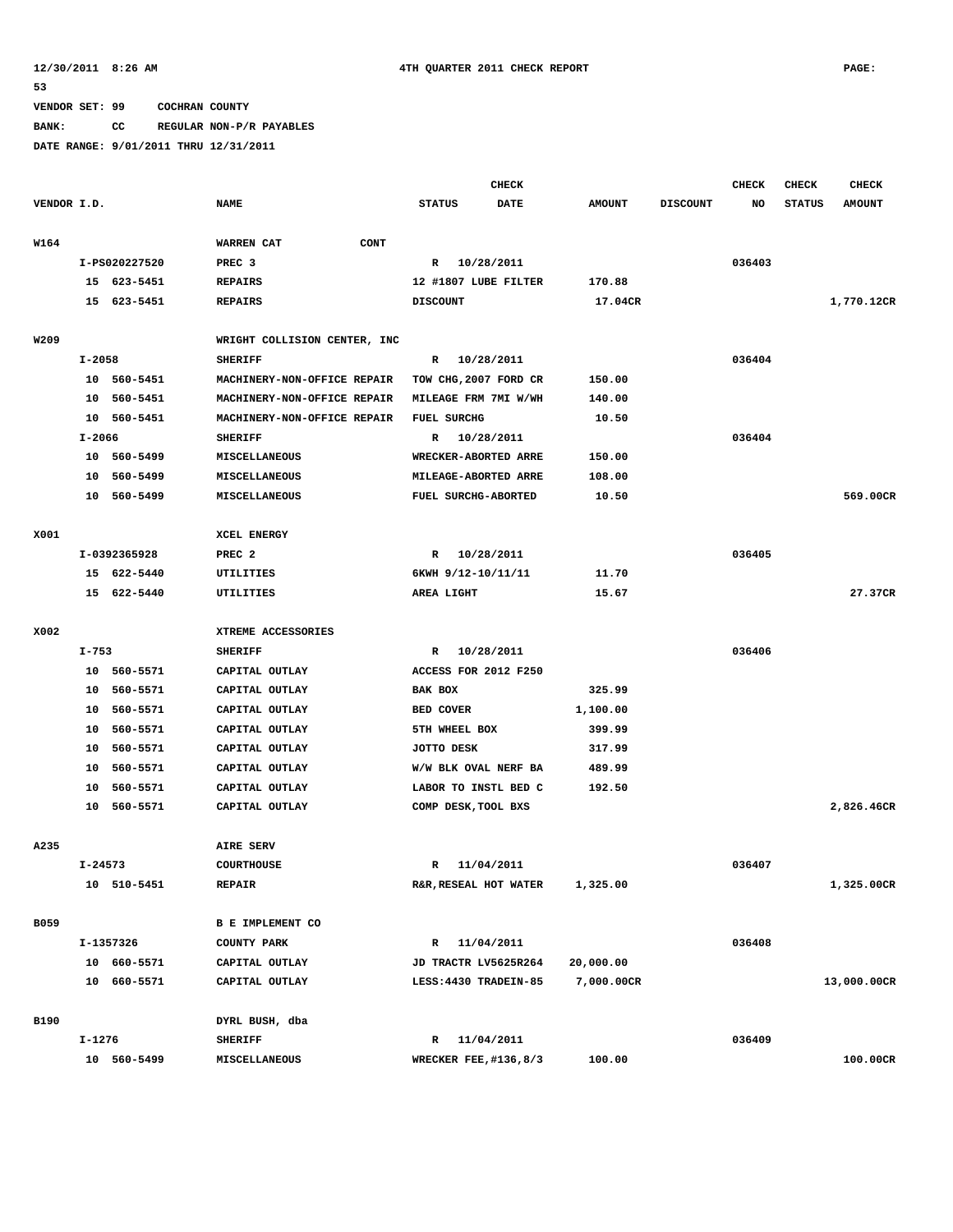#### **VENDOR SET: 99 COCHRAN COUNTY**

**BANK: CC REGULAR NON-P/R PAYABLES**

|             |            |               |                                  | <b>CHECK</b>          |            |               |                 | <b>CHECK</b> | <b>CHECK</b>  | <b>CHECK</b>  |
|-------------|------------|---------------|----------------------------------|-----------------------|------------|---------------|-----------------|--------------|---------------|---------------|
| VENDOR I.D. |            |               | <b>NAME</b>                      | <b>STATUS</b>         | DATE       | <b>AMOUNT</b> | <b>DISCOUNT</b> | NO           | <b>STATUS</b> | <b>AMOUNT</b> |
|             |            |               |                                  |                       |            |               |                 |              |               |               |
| W164        |            |               | <b>CONT</b><br><b>WARREN CAT</b> |                       |            |               |                 |              |               |               |
|             |            | I-PS020227520 | PREC <sub>3</sub>                | $\mathbb{R}$          | 10/28/2011 |               |                 | 036403       |               |               |
|             |            | 15 623-5451   | <b>REPAIRS</b>                   | 12 #1807 LUBE FILTER  |            | 170.88        |                 |              |               |               |
|             |            | 15 623-5451   | <b>REPAIRS</b>                   | <b>DISCOUNT</b>       |            | 17.04CR       |                 |              |               | 1,770.12CR    |
|             |            |               |                                  |                       |            |               |                 |              |               |               |
| W209        |            |               | WRIGHT COLLISION CENTER, INC     |                       |            |               |                 |              |               |               |
|             | $I - 2058$ |               | <b>SHERIFF</b>                   | R                     | 10/28/2011 |               |                 | 036404       |               |               |
|             |            | 10 560-5451   | MACHINERY-NON-OFFICE REPAIR      | TOW CHG, 2007 FORD CR |            | 150.00        |                 |              |               |               |
|             |            | 10 560-5451   | MACHINERY-NON-OFFICE REPAIR      | MILEAGE FRM 7MI W/WH  |            | 140.00        |                 |              |               |               |
|             |            | 10 560-5451   | MACHINERY-NON-OFFICE REPAIR      | <b>FUEL SURCHG</b>    |            | 10.50         |                 |              |               |               |
|             | I-2066     |               | <b>SHERIFF</b>                   | R                     | 10/28/2011 |               |                 | 036404       |               |               |
|             |            | 10 560-5499   | MISCELLANEOUS                    | WRECKER-ABORTED ARRE  |            | 150.00        |                 |              |               |               |
|             |            | 10 560-5499   | MISCELLANEOUS                    | MILEAGE-ABORTED ARRE  |            | 108.00        |                 |              |               |               |
|             |            | 10 560-5499   | MISCELLANEOUS                    | FUEL SURCHG-ABORTED   |            | 10.50         |                 |              |               | 569.00CR      |
|             |            |               |                                  |                       |            |               |                 |              |               |               |
| X001        |            |               | XCEL ENERGY                      |                       |            |               |                 |              |               |               |
|             |            | I-0392365928  | PREC <sub>2</sub>                | $\mathbb{R}$          | 10/28/2011 | 11.70         |                 | 036405       |               |               |
|             |            | 15 622-5440   | UTILITIES                        | 6KWH 9/12-10/11/11    |            |               |                 |              |               |               |
|             |            | 15 622-5440   | UTILITIES                        | AREA LIGHT            |            | 15.67         |                 |              |               | 27.37CR       |
| X002        |            |               | XTREME ACCESSORIES               |                       |            |               |                 |              |               |               |
|             | $I - 753$  |               | <b>SHERIFF</b>                   | R                     | 10/28/2011 |               |                 | 036406       |               |               |
|             |            | 10 560-5571   | CAPITAL OUTLAY                   | ACCESS FOR 2012 F250  |            |               |                 |              |               |               |
|             |            | 10 560-5571   | CAPITAL OUTLAY                   | BAK BOX               |            | 325.99        |                 |              |               |               |
|             | 10         | 560-5571      | CAPITAL OUTLAY                   | BED COVER             |            | 1,100.00      |                 |              |               |               |
|             |            | 10 560-5571   | CAPITAL OUTLAY                   | 5TH WHEEL BOX         |            | 399.99        |                 |              |               |               |
|             |            | 10 560-5571   | CAPITAL OUTLAY                   | JOTTO DESK            |            | 317.99        |                 |              |               |               |
|             |            | 10 560-5571   | CAPITAL OUTLAY                   | W/W BLK OVAL NERF BA  |            | 489.99        |                 |              |               |               |
|             |            | 10 560-5571   | CAPITAL OUTLAY                   | LABOR TO INSTL BED C  |            | 192.50        |                 |              |               |               |
|             |            | 10 560-5571   | CAPITAL OUTLAY                   | COMP DESK, TOOL BXS   |            |               |                 |              |               | 2,826.46CR    |
|             |            |               |                                  |                       |            |               |                 |              |               |               |
| A235        |            |               | AIRE SERV                        |                       |            |               |                 |              |               |               |
|             | I-24573    |               | <b>COURTHOUSE</b>                | R                     | 11/04/2011 |               |                 | 036407       |               |               |
|             |            | 10 510-5451   | <b>REPAIR</b>                    | R&R, RESEAL HOT WATER |            | 1,325.00      |                 |              |               | 1,325.00CR    |
|             |            |               |                                  |                       |            |               |                 |              |               |               |
| B059        |            |               | <b>B E IMPLEMENT CO</b>          |                       |            |               |                 |              |               |               |
|             |            | I-1357326     | COUNTY PARK                      | R 11/04/2011          |            |               |                 | 036408       |               |               |
|             |            | 10 660-5571   | CAPITAL OUTLAY                   | JD TRACTR LV5625R264  |            | 20,000.00     |                 |              |               |               |
|             |            | 10 660-5571   | CAPITAL OUTLAY                   | LESS: 4430 TRADEIN-85 |            | 7,000.00CR    |                 |              |               | 13,000.00CR   |
|             |            |               |                                  |                       |            |               |                 |              |               |               |
| <b>B190</b> |            |               | DYRL BUSH, dba                   |                       |            |               |                 |              |               |               |
|             | I-1276     |               | <b>SHERIFF</b>                   | $\mathbb{R}$          | 11/04/2011 |               |                 | 036409       |               |               |
|             |            | 10 560-5499   | MISCELLANEOUS                    | WRECKER FEE, #136,8/3 |            | 100.00        |                 |              |               | 100.00CR      |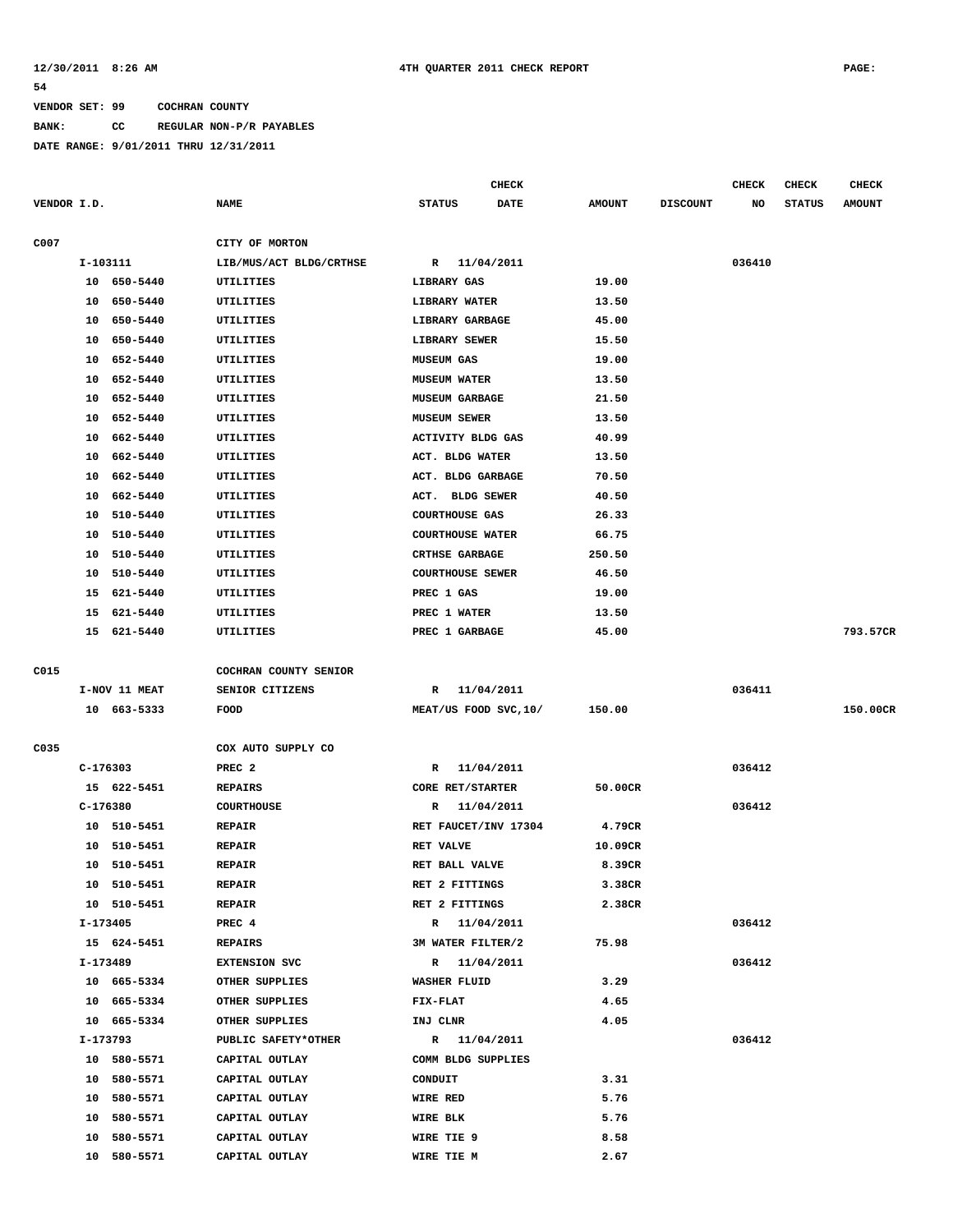#### **VENDOR SET: 99 COCHRAN COUNTY BANK: CC REGULAR NON-P/R PAYABLES**

|             |                |                         | <b>CHECK</b>                 |               |                 | <b>CHECK</b> | <b>CHECK</b>  | <b>CHECK</b>  |
|-------------|----------------|-------------------------|------------------------------|---------------|-----------------|--------------|---------------|---------------|
| VENDOR I.D. |                | <b>NAME</b>             | <b>STATUS</b><br><b>DATE</b> | <b>AMOUNT</b> | <b>DISCOUNT</b> | NO           | <b>STATUS</b> | <b>AMOUNT</b> |
| C007        |                | CITY OF MORTON          |                              |               |                 |              |               |               |
|             | I-103111       | LIB/MUS/ACT BLDG/CRTHSE | R 11/04/2011                 |               |                 | 036410       |               |               |
|             | 10 650-5440    | UTILITIES               | LIBRARY GAS                  | 19.00         |                 |              |               |               |
|             | 650-5440<br>10 | UTILITIES               | LIBRARY WATER                | 13.50         |                 |              |               |               |
|             | 650-5440<br>10 | UTILITIES               | LIBRARY GARBAGE              | 45.00         |                 |              |               |               |
|             | 10<br>650-5440 | UTILITIES               | LIBRARY SEWER                | 15.50         |                 |              |               |               |
|             | 652-5440<br>10 | UTILITIES               | <b>MUSEUM GAS</b>            | 19.00         |                 |              |               |               |
|             | 652-5440<br>10 | UTILITIES               | <b>MUSEUM WATER</b>          | 13.50         |                 |              |               |               |
|             | 652-5440<br>10 | UTILITIES               | <b>MUSEUM GARBAGE</b>        | 21.50         |                 |              |               |               |
|             | 652-5440<br>10 | UTILITIES               | <b>MUSEUM SEWER</b>          | 13.50         |                 |              |               |               |
|             | 662-5440<br>10 | UTILITIES               | ACTIVITY BLDG GAS            | 40.99         |                 |              |               |               |
|             | 10<br>662-5440 | UTILITIES               | ACT. BLDG WATER              | 13.50         |                 |              |               |               |
|             | 662-5440<br>10 | UTILITIES               | ACT. BLDG GARBAGE            | 70.50         |                 |              |               |               |
|             | 662-5440<br>10 | UTILITIES               | ACT. BLDG SEWER              | 40.50         |                 |              |               |               |
|             | 510-5440<br>10 | UTILITIES               | <b>COURTHOUSE GAS</b>        | 26.33         |                 |              |               |               |
|             | 510-5440<br>10 | UTILITIES               | <b>COURTHOUSE WATER</b>      | 66.75         |                 |              |               |               |
|             | 510-5440<br>10 | UTILITIES               | <b>CRTHSE GARBAGE</b>        | 250.50        |                 |              |               |               |
|             | 10<br>510-5440 | UTILITIES               | <b>COURTHOUSE SEWER</b>      | 46.50         |                 |              |               |               |
|             | 621-5440<br>15 | UTILITIES               | PREC 1 GAS                   | 19.00         |                 |              |               |               |
|             | 621-5440<br>15 | UTILITIES               | PREC 1 WATER                 | 13.50         |                 |              |               |               |
|             | 15 621-5440    | UTILITIES               | PREC 1 GARBAGE               | 45.00         |                 |              |               | 793.57CR      |
|             |                |                         |                              |               |                 |              |               |               |
| C015        |                | COCHRAN COUNTY SENIOR   |                              |               |                 |              |               |               |
|             | I-NOV 11 MEAT  | SENIOR CITIZENS         | 11/04/2011<br>$\mathbb{R}$   |               |                 | 036411       |               |               |
|             | 10 663-5333    | FOOD                    | MEAT/US FOOD SVC, 10/        | 150.00        |                 |              |               | 150.00CR      |
|             |                |                         |                              |               |                 |              |               |               |
| C035        |                | COX AUTO SUPPLY CO      |                              |               |                 |              |               |               |
|             | C-176303       | PREC <sub>2</sub>       | R 11/04/2011                 |               |                 | 036412       |               |               |
|             | 15 622-5451    | <b>REPAIRS</b>          | CORE RET/STARTER             | 50.00CR       |                 |              |               |               |
|             | C-176380       | <b>COURTHOUSE</b>       | R<br>11/04/2011              |               |                 | 036412       |               |               |
|             | 10 510-5451    | <b>REPAIR</b>           | RET FAUCET/INV 17304         | 4.79CR        |                 |              |               |               |
|             | 510-5451<br>10 | <b>REPAIR</b>           | RET VALVE                    | 10.09CR       |                 |              |               |               |
|             | 10 510-5451    | <b>REPAIR</b>           | RET BALL VALVE               | 8.39CR        |                 |              |               |               |
|             | 10 510-5451    | <b>REPAIR</b>           | RET 2 FITTINGS               | 3.38CR        |                 |              |               |               |
|             | 10 510-5451    | REPAIR                  | RET 2 FITTINGS               | 2.38CR        |                 |              |               |               |
|             | I-173405       | PREC 4                  | R 11/04/2011                 |               |                 | 036412       |               |               |
|             | 15 624-5451    | REPAIRS                 | 3M WATER FILTER/2            | 75.98         |                 |              |               |               |
|             | I-173489       | <b>EXTENSION SVC</b>    | R 11/04/2011                 |               |                 | 036412       |               |               |
|             | 10 665-5334    | OTHER SUPPLIES          | <b>WASHER FLUID</b>          | 3.29          |                 |              |               |               |
|             | 10 665-5334    | OTHER SUPPLIES          | <b>FIX-FLAT</b>              | 4.65          |                 |              |               |               |
|             | 10 665-5334    | OTHER SUPPLIES          | INJ CLNR                     | 4.05          |                 |              |               |               |
|             | I-173793       | PUBLIC SAFETY*OTHER     | R 11/04/2011                 |               |                 | 036412       |               |               |
|             | 10 580-5571    | CAPITAL OUTLAY          | COMM BLDG SUPPLIES           |               |                 |              |               |               |
|             | 10 580-5571    | CAPITAL OUTLAY          | CONDUIT                      | 3.31          |                 |              |               |               |
|             | 10 580-5571    | CAPITAL OUTLAY          | WIRE RED                     | 5.76          |                 |              |               |               |
|             | 10 580-5571    | CAPITAL OUTLAY          | WIRE BLK                     | 5.76          |                 |              |               |               |
|             | 10 580-5571    | CAPITAL OUTLAY          | WIRE TIE 9                   | 8.58          |                 |              |               |               |
|             | 580-5571<br>10 | CAPITAL OUTLAY          | WIRE TIE M                   | 2.67          |                 |              |               |               |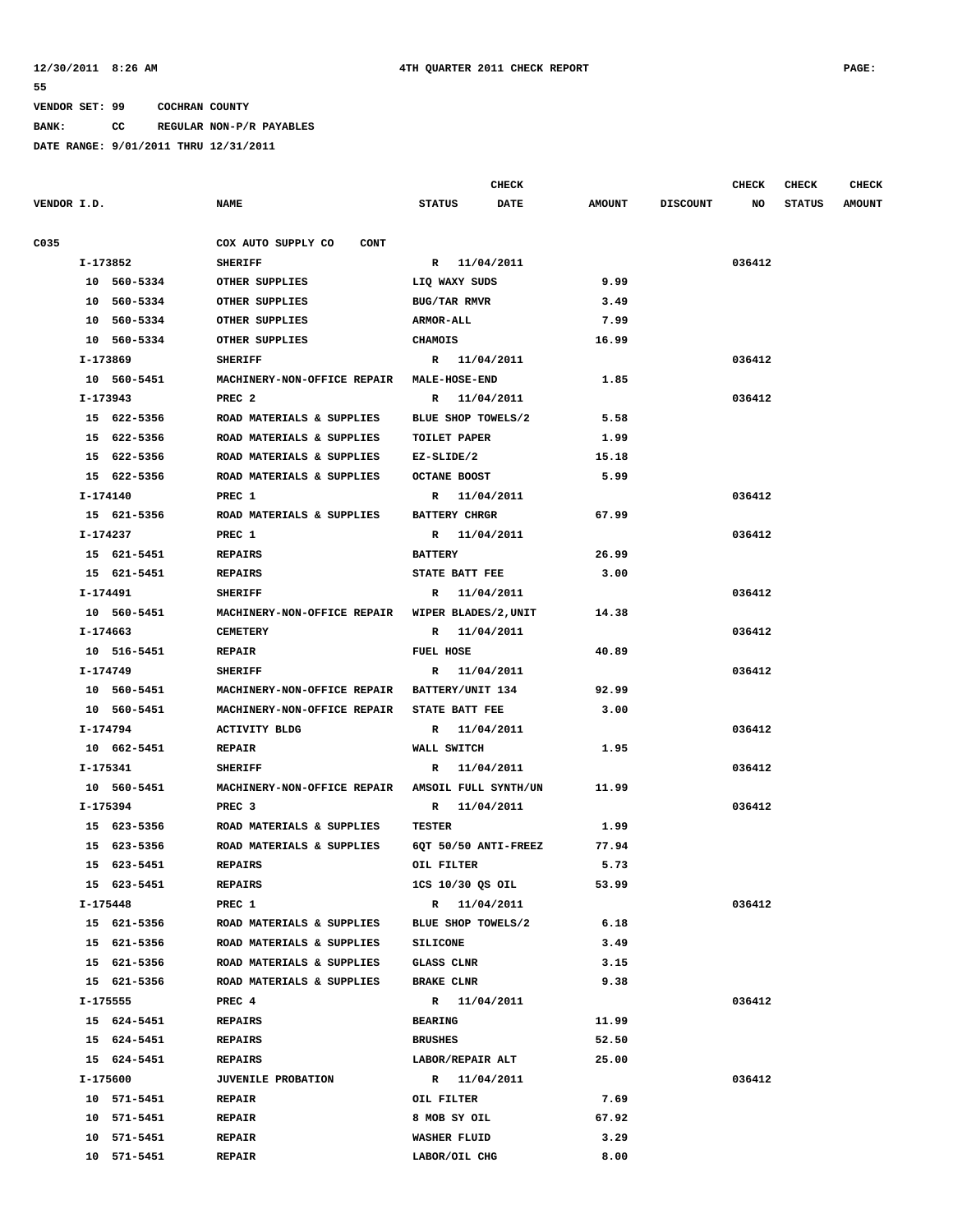### **VENDOR SET: 99 COCHRAN COUNTY BANK: CC REGULAR NON-P/R PAYABLES**

|             |                                            |                            |                                   |                                      | <b>CHECK</b> |               |                 | <b>CHECK</b> | <b>CHECK</b>  | <b>CHECK</b>  |
|-------------|--------------------------------------------|----------------------------|-----------------------------------|--------------------------------------|--------------|---------------|-----------------|--------------|---------------|---------------|
| VENDOR I.D. |                                            |                            | <b>NAME</b>                       | <b>STATUS</b>                        | <b>DATE</b>  | <b>AMOUNT</b> | <b>DISCOUNT</b> | NO           | <b>STATUS</b> | <b>AMOUNT</b> |
| C035        |                                            |                            | COX AUTO SUPPLY CO<br><b>CONT</b> |                                      |              |               |                 |              |               |               |
|             | I-173852                                   |                            | <b>SHERIFF</b>                    | R 11/04/2011                         |              |               |                 | 036412       |               |               |
|             |                                            | 10 560-5334                | OTHER SUPPLIES                    | LIQ WAXY SUDS                        |              | 9.99          |                 |              |               |               |
|             |                                            | 10 560-5334                | OTHER SUPPLIES                    | BUG/TAR RMVR                         |              | 3.49          |                 |              |               |               |
|             |                                            | 10 560-5334                | OTHER SUPPLIES                    | <b>ARMOR-ALL</b>                     |              | 7.99          |                 |              |               |               |
|             |                                            | 10 560-5334                | OTHER SUPPLIES                    | <b>CHAMOIS</b>                       |              | 16.99         |                 |              |               |               |
|             | I-173869                                   |                            | <b>SHERIFF</b>                    | R 11/04/2011                         |              |               |                 | 036412       |               |               |
|             |                                            | 10 560-5451                | MACHINERY-NON-OFFICE REPAIR       | <b>MALE-HOSE-END</b>                 |              | 1.85          |                 |              |               |               |
|             | I-173943                                   |                            | PREC <sub>2</sub>                 | R 11/04/2011                         |              |               |                 | 036412       |               |               |
|             |                                            | 15 622-5356                | ROAD MATERIALS & SUPPLIES         | BLUE SHOP TOWELS/2                   |              | 5.58          |                 |              |               |               |
|             |                                            | 15 622-5356                | ROAD MATERIALS & SUPPLIES         | TOILET PAPER                         |              | 1.99          |                 |              |               |               |
|             |                                            | 15 622-5356                | ROAD MATERIALS & SUPPLIES         | EZ-SLIDE/2                           |              | 15.18         |                 |              |               |               |
|             |                                            | 15 622-5356                | ROAD MATERIALS & SUPPLIES         | OCTANE BOOST                         |              | 5.99          |                 |              |               |               |
|             | I-174140                                   |                            | PREC 1                            | R 11/04/2011                         |              |               |                 | 036412       |               |               |
|             |                                            | 15 621-5356                | ROAD MATERIALS & SUPPLIES         | <b>BATTERY CHRGR</b>                 |              | 67.99         |                 |              |               |               |
|             | I-174237                                   |                            | PREC 1                            | R 11/04/2011                         |              |               |                 | 036412       |               |               |
|             |                                            | 15 621-5451                | <b>REPAIRS</b>                    | <b>BATTERY</b>                       |              | 26.99         |                 |              |               |               |
|             |                                            | 15 621-5451                | REPAIRS                           | STATE BATT FEE                       |              | 3.00          |                 |              |               |               |
|             | I-174491                                   |                            | <b>SHERIFF</b>                    | R 11/04/2011                         |              |               |                 | 036412       |               |               |
|             |                                            | 10 560-5451                | MACHINERY-NON-OFFICE REPAIR       | WIPER BLADES/2, UNIT                 |              | 14.38         |                 |              |               |               |
|             |                                            |                            |                                   | R 11/04/2011                         |              |               |                 | 036412       |               |               |
|             | I-174663<br><b>CEMETERY</b><br>10 516-5451 |                            | <b>REPAIR</b>                     | FUEL HOSE                            |              | 40.89         |                 |              |               |               |
|             | I-174749                                   |                            | <b>SHERIFF</b>                    | R 11/04/2011                         |              |               |                 | 036412       |               |               |
|             |                                            | 10 560-5451                | MACHINERY-NON-OFFICE REPAIR       | BATTERY/UNIT 134                     |              | 92.99         |                 |              |               |               |
|             |                                            | 10 560-5451                | MACHINERY-NON-OFFICE REPAIR       | STATE BATT FEE                       |              | 3.00          |                 |              |               |               |
|             | I-174794                                   |                            | <b>ACTIVITY BLDG</b>              | R 11/04/2011                         |              |               |                 | 036412       |               |               |
|             |                                            | 10 662-5451                | <b>REPAIR</b>                     | WALL SWITCH                          |              | 1.95          |                 |              |               |               |
|             | I-175341                                   |                            | <b>SHERIFF</b>                    | $\mathbb{R}$                         | 11/04/2011   |               |                 | 036412       |               |               |
|             |                                            | 10 560-5451                | MACHINERY-NON-OFFICE REPAIR       | AMSOIL FULL SYNTH/UN                 |              | 11.99         |                 |              |               |               |
|             |                                            | I-175394                   | PREC 3                            | R                                    | 11/04/2011   |               |                 | 036412       |               |               |
|             |                                            | 15 623-5356                | ROAD MATERIALS & SUPPLIES         | <b>TESTER</b>                        |              | 1.99          |                 |              |               |               |
|             |                                            | 15 623-5356                | ROAD MATERIALS & SUPPLIES         | 6QT 50/50 ANTI-FREEZ                 |              | 77.94         |                 |              |               |               |
|             |                                            | 15 623-5451                | <b>REPAIRS</b>                    | OIL FILTER                           |              | 5.73          |                 |              |               |               |
|             |                                            |                            |                                   |                                      |              |               |                 |              |               |               |
|             |                                            | 15 623-5451<br>I-175448    | REPAIRS<br>PREC 1                 | 1CS 10/30 QS OIL<br>R 11/04/2011     |              | 53.99         |                 | 036412       |               |               |
|             |                                            | 15 621-5356                | ROAD MATERIALS & SUPPLIES         | BLUE SHOP TOWELS/2                   |              | 6.18          |                 |              |               |               |
|             |                                            | 15 621-5356                | ROAD MATERIALS & SUPPLIES         |                                      |              | 3.49          |                 |              |               |               |
|             |                                            | 15 621-5356                | ROAD MATERIALS & SUPPLIES         | <b>SILICONE</b><br><b>GLASS CLNR</b> |              | 3.15          |                 |              |               |               |
|             |                                            | 15 621-5356                | ROAD MATERIALS & SUPPLIES         | <b>BRAKE CLNR</b>                    |              | 9.38          |                 |              |               |               |
|             |                                            | I-175555                   | PREC 4                            | R 11/04/2011                         |              |               |                 | 036412       |               |               |
|             |                                            |                            |                                   | <b>BEARING</b>                       |              | 11.99         |                 |              |               |               |
|             |                                            | 15 624-5451<br>15 624-5451 | REPAIRS                           |                                      |              |               |                 |              |               |               |
|             |                                            |                            | <b>REPAIRS</b>                    | <b>BRUSHES</b>                       |              | 52.50         |                 |              |               |               |
|             | 15 624-5451<br><b>REPAIRS</b>              |                            |                                   | LABOR/REPAIR ALT                     |              | 25.00         |                 |              |               |               |
|             |                                            | I-175600                   | <b>JUVENILE PROBATION</b>         | R 11/04/2011                         |              |               |                 | 036412       |               |               |
|             |                                            | 10 571-5451                | <b>REPAIR</b>                     | OIL FILTER                           |              | 7.69          |                 |              |               |               |
|             |                                            | 10 571-5451                | <b>REPAIR</b>                     | 8 MOB SY OIL                         |              | 67.92         |                 |              |               |               |
|             |                                            | 10 571-5451                | <b>REPAIR</b>                     | <b>WASHER FLUID</b>                  |              | 3.29          |                 |              |               |               |
|             |                                            | 10 571-5451                | <b>REPAIR</b>                     | LABOR/OIL CHG                        |              | 8.00          |                 |              |               |               |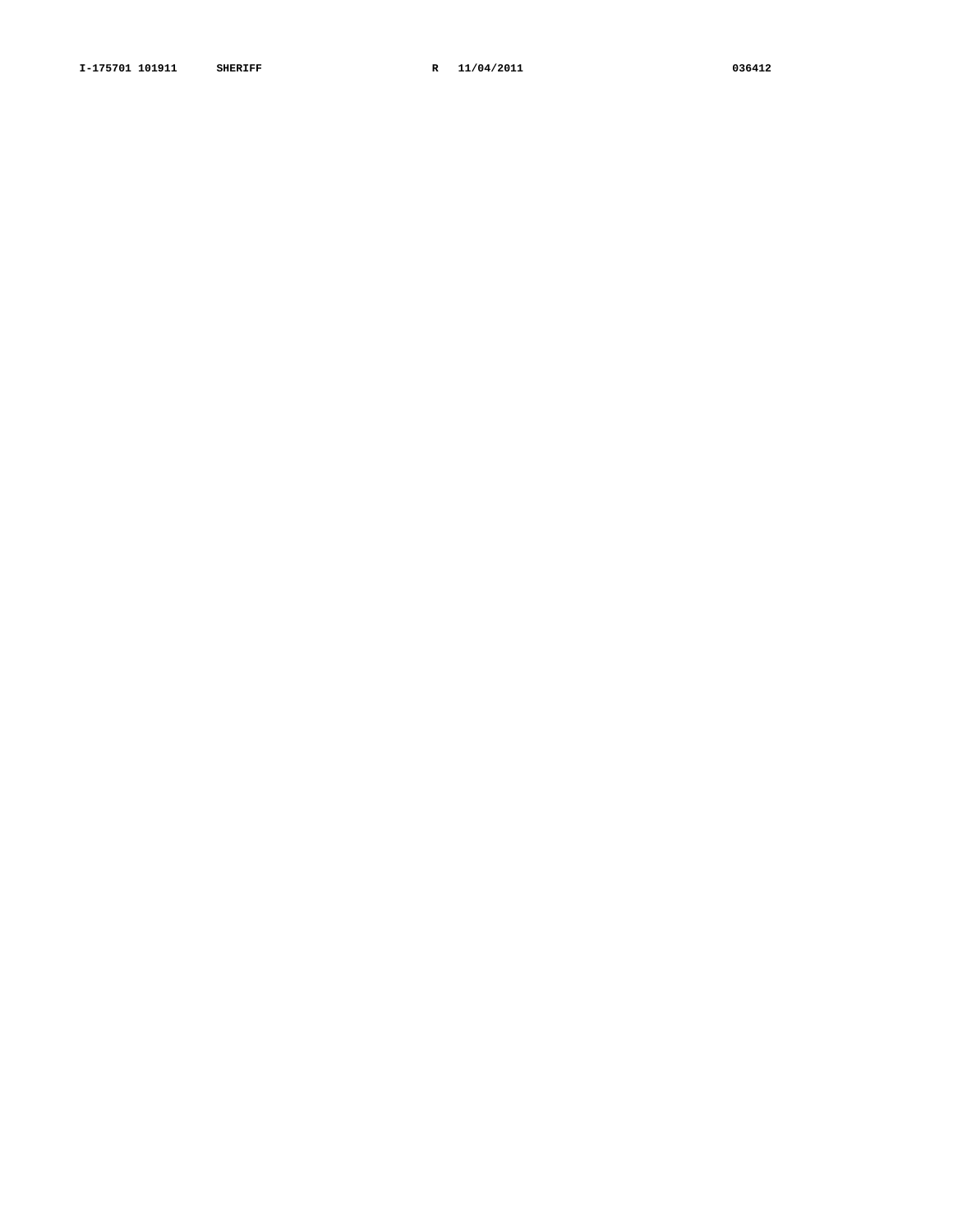**I-175701 101911 SHERIFF R 11/04/2011 036412**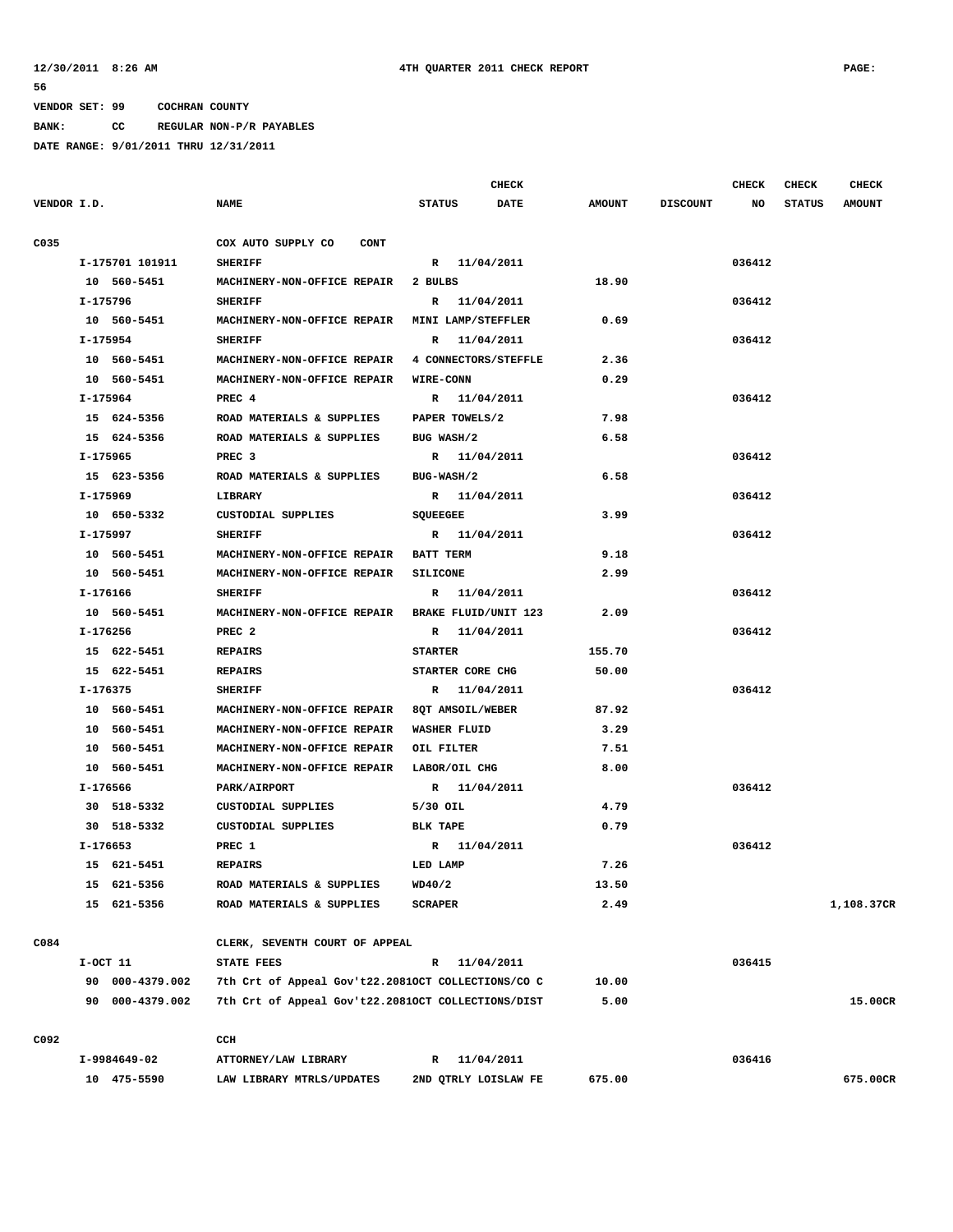## **VENDOR SET: 99 COCHRAN COUNTY**

# **BANK: CC REGULAR NON-P/R PAYABLES**

|             |                                     |                 |                                                    |                  |                     | CHECK                |               |                 | <b>CHECK</b> | <b>CHECK</b>  | <b>CHECK</b>  |
|-------------|-------------------------------------|-----------------|----------------------------------------------------|------------------|---------------------|----------------------|---------------|-----------------|--------------|---------------|---------------|
| VENDOR I.D. |                                     |                 | <b>NAME</b>                                        | <b>STATUS</b>    |                     | <b>DATE</b>          | <b>AMOUNT</b> | <b>DISCOUNT</b> | NO           | <b>STATUS</b> | <b>AMOUNT</b> |
| C035        |                                     |                 | COX AUTO SUPPLY CO<br><b>CONT</b>                  |                  |                     |                      |               |                 |              |               |               |
|             |                                     | I-175701 101911 | <b>SHERIFF</b>                                     |                  | R 11/04/2011        |                      |               |                 | 036412       |               |               |
|             |                                     | 10 560-5451     | MACHINERY-NON-OFFICE REPAIR                        | 2 BULBS          |                     |                      | 18.90         |                 |              |               |               |
|             | I-175796                            |                 | <b>SHERIFF</b>                                     |                  | R 11/04/2011        |                      |               |                 | 036412       |               |               |
|             |                                     | 10 560-5451     | MACHINERY-NON-OFFICE REPAIR MINI LAMP/STEFFLER     |                  |                     |                      | 0.69          |                 |              |               |               |
|             | I-175954                            |                 | <b>SHERIFF</b>                                     | $\mathbb{R}$     |                     | 11/04/2011           |               |                 | 036412       |               |               |
|             |                                     | 10 560-5451     | MACHINERY-NON-OFFICE REPAIR 4 CONNECTORS/STEFFLE   |                  |                     |                      | 2.36          |                 |              |               |               |
|             |                                     | 10 560-5451     | MACHINERY-NON-OFFICE REPAIR                        | <b>WIRE-CONN</b> |                     |                      | 0.29          |                 |              |               |               |
|             |                                     | I-175964        | PREC 4                                             |                  | R 11/04/2011        |                      |               |                 | 036412       |               |               |
|             |                                     | 15 624-5356     | ROAD MATERIALS & SUPPLIES                          |                  | PAPER TOWELS/2      |                      | 7.98          |                 |              |               |               |
|             |                                     | 15 624-5356     | ROAD MATERIALS & SUPPLIES                          | BUG WASH/2       |                     |                      | 6.58          |                 |              |               |               |
|             | I-175965<br>15 623-5356<br>I-175969 |                 | PREC 3                                             |                  | R 11/04/2011        |                      |               |                 | 036412       |               |               |
|             |                                     |                 | ROAD MATERIALS & SUPPLIES                          |                  | BUG-WASH/2          |                      | 6.58          |                 |              |               |               |
|             |                                     |                 | LIBRARY                                            |                  | R 11/04/2011        |                      |               |                 | 036412       |               |               |
|             |                                     | 10 650-5332     | CUSTODIAL SUPPLIES                                 | <b>SOUEEGEE</b>  |                     |                      | 3.99          |                 |              |               |               |
|             |                                     | I-175997        | <b>SHERIFF</b>                                     |                  | R 11/04/2011        |                      |               |                 | 036412       |               |               |
|             |                                     | 10 560-5451     | MACHINERY-NON-OFFICE REPAIR BATT TERM              |                  |                     |                      | 9.18          |                 |              |               |               |
|             |                                     | 10 560-5451     | MACHINERY-NON-OFFICE REPAIR SILICONE               |                  |                     |                      | 2.99          |                 |              |               |               |
|             | I-176166                            |                 | <b>SHERIFF</b>                                     |                  | R 11/04/2011        |                      |               |                 | 036412       |               |               |
|             |                                     | 10 560-5451     | MACHINERY-NON-OFFICE REPAIR                        |                  |                     | BRAKE FLUID/UNIT 123 | 2.09          |                 |              |               |               |
|             |                                     | I-176256        | PREC <sub>2</sub>                                  |                  | R 11/04/2011        |                      |               |                 | 036412       |               |               |
|             |                                     | 15 622-5451     | <b>REPAIRS</b>                                     | <b>STARTER</b>   |                     | 155.70               |               |                 |              |               |               |
|             |                                     | 15 622-5451     | <b>REPAIRS</b>                                     |                  | STARTER CORE CHG    |                      | 50.00         |                 |              |               |               |
|             |                                     | I-176375        | <b>SHERIFF</b>                                     | R 11/04/2011     |                     |                      |               | 036412          |              |               |               |
|             |                                     | 10 560-5451     | MACHINERY-NON-OFFICE REPAIR                        |                  | 8QT AMSOIL/WEBER    |                      | 87.92         |                 |              |               |               |
|             |                                     | 10 560-5451     | MACHINERY-NON-OFFICE REPAIR                        |                  | <b>WASHER FLUID</b> |                      | 3.29          |                 |              |               |               |
|             |                                     | 10 560-5451     | MACHINERY-NON-OFFICE REPAIR                        | OIL FILTER       |                     |                      | 7.51          |                 |              |               |               |
|             |                                     | 10 560-5451     | MACHINERY-NON-OFFICE REPAIR                        |                  | LABOR/OIL CHG       |                      | 8.00          |                 |              |               |               |
|             | I-176566                            |                 | PARK/AIRPORT                                       |                  | R 11/04/2011        |                      |               |                 | 036412       |               |               |
|             |                                     | 30 518-5332     | CUSTODIAL SUPPLIES                                 | $5/30$ OIL       |                     |                      | 4.79          |                 |              |               |               |
|             |                                     | 30 518-5332     | <b>CUSTODIAL SUPPLIES</b>                          | <b>BLK TAPE</b>  |                     |                      | 0.79          |                 |              |               |               |
|             |                                     | I-176653        | PREC 1                                             |                  | R 11/04/2011        |                      |               |                 | 036412       |               |               |
|             |                                     | 15 621-5451     | REPAIRS                                            | LED LAMP         |                     |                      | 7.26          |                 |              |               |               |
|             |                                     | 15 621-5356     | ROAD MATERIALS & SUPPLIES                          | WD40/2           |                     |                      | 13.50         |                 |              |               |               |
|             |                                     | 15 621-5356     | ROAD MATERIALS & SUPPLIES                          | <b>SCRAPER</b>   |                     |                      | 2.49          |                 |              |               | 1,108.37CR    |
| C084        |                                     |                 | CLERK, SEVENTH COURT OF APPEAL                     |                  |                     |                      |               |                 |              |               |               |
|             | $I-OCT$ 11                          |                 | <b>STATE FEES</b>                                  |                  | R 11/04/2011        |                      |               |                 | 036415       |               |               |
|             |                                     | 90 000-4379.002 | 7th Crt of Appeal Gov't22.20810CT COLLECTIONS/CO C |                  |                     |                      | 10.00         |                 |              |               |               |
|             |                                     | 90 000-4379.002 | 7th Crt of Appeal Gov't22.20810CT COLLECTIONS/DIST |                  |                     |                      | 5.00          |                 |              |               | 15.00CR       |
| C092        |                                     |                 | CCH                                                |                  |                     |                      |               |                 |              |               |               |
|             |                                     | I-9984649-02    | ATTORNEY/LAW LIBRARY                               |                  | R 11/04/2011        |                      |               |                 | 036416       |               |               |
|             |                                     | 10 475-5590     | LAW LIBRARY MTRLS/UPDATES                          |                  |                     | 2ND QTRLY LOISLAW FE | 675.00        |                 |              |               | 675.00CR      |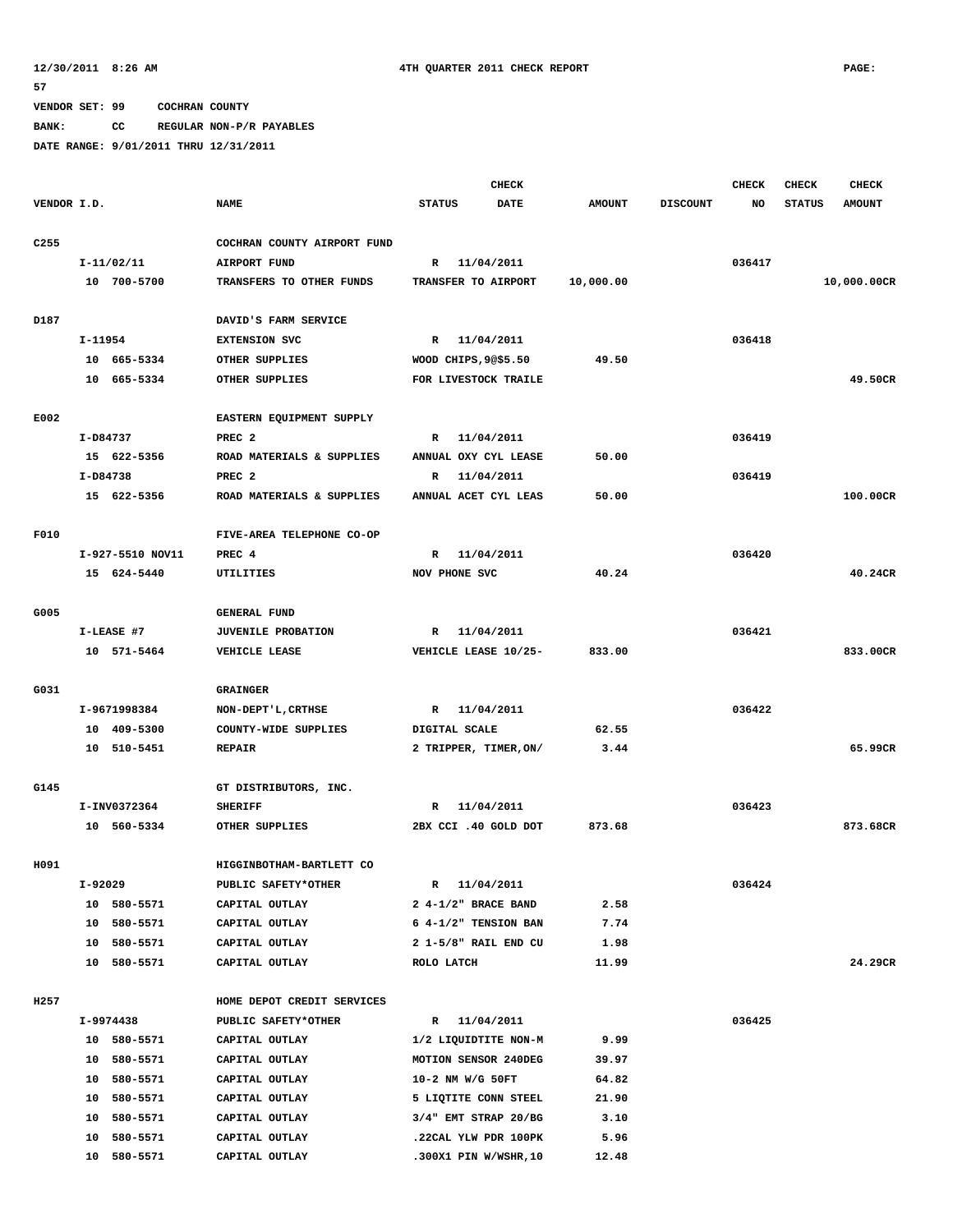## **VENDOR SET: 99 COCHRAN COUNTY**

**BANK: CC REGULAR NON-P/R PAYABLES**

|                  |          |                  |                             | <b>CHECK</b>          |             |               |                 | <b>CHECK</b> | <b>CHECK</b>  | <b>CHECK</b>  |
|------------------|----------|------------------|-----------------------------|-----------------------|-------------|---------------|-----------------|--------------|---------------|---------------|
| VENDOR I.D.      |          |                  | <b>NAME</b>                 | <b>STATUS</b>         | <b>DATE</b> | <b>AMOUNT</b> | <b>DISCOUNT</b> | NO           | <b>STATUS</b> | <b>AMOUNT</b> |
|                  |          |                  |                             |                       |             |               |                 |              |               |               |
| C <sub>255</sub> |          |                  | COCHRAN COUNTY AIRPORT FUND |                       |             |               |                 |              |               |               |
|                  |          | I-11/02/11       | <b>AIRPORT FUND</b>         | $\mathbb{R}$          | 11/04/2011  |               |                 | 036417       |               |               |
|                  |          | 10 700-5700      | TRANSFERS TO OTHER FUNDS    | TRANSFER TO AIRPORT   |             | 10,000.00     |                 |              |               | 10,000.00CR   |
| D187             |          |                  | DAVID'S FARM SERVICE        |                       |             |               |                 |              |               |               |
|                  | I-11954  |                  | <b>EXTENSION SVC</b>        | $\mathbb{R}$          | 11/04/2011  |               |                 | 036418       |               |               |
|                  |          | 10 665-5334      | OTHER SUPPLIES              | WOOD CHIPS, 9@\$5.50  |             | 49.50         |                 |              |               |               |
|                  |          | 10 665-5334      | OTHER SUPPLIES              | FOR LIVESTOCK TRAILE  |             |               |                 |              |               | 49.50CR       |
|                  |          |                  |                             |                       |             |               |                 |              |               |               |
| E002             |          |                  | EASTERN EQUIPMENT SUPPLY    |                       |             |               |                 |              |               |               |
|                  |          | I-D84737         | PREC <sub>2</sub>           | $\mathbb{R}$          | 11/04/2011  |               |                 | 036419       |               |               |
|                  |          | 15 622-5356      | ROAD MATERIALS & SUPPLIES   | ANNUAL OXY CYL LEASE  |             | 50.00         |                 |              |               |               |
|                  | I-D84738 |                  | PREC <sub>2</sub>           | $\mathbb{R}$          | 11/04/2011  |               |                 | 036419       |               |               |
|                  |          | 15 622-5356      | ROAD MATERIALS & SUPPLIES   | ANNUAL ACET CYL LEAS  |             | 50.00         |                 |              |               | 100.00CR      |
| F010             |          |                  | FIVE-AREA TELEPHONE CO-OP   |                       |             |               |                 |              |               |               |
|                  |          | I-927-5510 NOV11 | PREC <sub>4</sub>           | $\mathbb{R}$          | 11/04/2011  |               |                 | 036420       |               |               |
|                  |          | 15 624-5440      | <b>UTILITIES</b>            | NOV PHONE SVC         |             | 40.24         |                 |              |               | 40.24CR       |
|                  |          |                  |                             |                       |             |               |                 |              |               |               |
| G005             |          |                  | <b>GENERAL FUND</b>         |                       |             |               |                 |              |               |               |
|                  |          | I-LEASE #7       | <b>JUVENILE PROBATION</b>   | $\mathbb{R}$          | 11/04/2011  |               |                 | 036421       |               |               |
|                  |          | 10 571-5464      | <b>VEHICLE LEASE</b>        | VEHICLE LEASE 10/25-  |             | 833.00        |                 |              |               | 833.00CR      |
|                  |          |                  |                             |                       |             |               |                 |              |               |               |
| G031             |          |                  | <b>GRAINGER</b>             |                       |             |               |                 |              |               |               |
|                  |          | I-9671998384     | NON-DEPT'L, CRTHSE          | $\mathbf{R}$          | 11/04/2011  |               |                 | 036422       |               |               |
|                  |          | 10 409-5300      | COUNTY-WIDE SUPPLIES        | DIGITAL SCALE         |             | 62.55         |                 |              |               |               |
|                  |          | 10 510-5451      | <b>REPAIR</b>               | 2 TRIPPER, TIMER, ON/ |             | 3.44          |                 |              |               | 65.99CR       |
| G145             |          |                  | GT DISTRIBUTORS, INC.       |                       |             |               |                 |              |               |               |
|                  |          | I-INV0372364     | <b>SHERIFF</b>              | R                     | 11/04/2011  |               |                 | 036423       |               |               |
|                  |          | 10 560-5334      | OTHER SUPPLIES              | 2BX CCI.40 GOLD DOT   |             | 873.68        |                 |              |               | 873.68CR      |
|                  |          |                  |                             |                       |             |               |                 |              |               |               |
| H091             |          |                  | HIGGINBOTHAM-BARTLETT CO    |                       |             |               |                 |              |               |               |
|                  | I-92029  |                  | PUBLIC SAFETY*OTHER         | R 11/04/2011          |             |               |                 | 036424       |               |               |
|                  |          | 10 580-5571      | CAPITAL OUTLAY              | 2 4-1/2" BRACE BAND   |             | 2.58          |                 |              |               |               |
|                  |          | 10 580-5571      | CAPITAL OUTLAY              | 6 4-1/2" TENSION BAN  |             | 7.74          |                 |              |               |               |
|                  |          | 10 580-5571      | CAPITAL OUTLAY              | 2 1-5/8" RAIL END CU  |             | 1.98          |                 |              |               |               |
|                  |          | 10 580-5571      | CAPITAL OUTLAY              | ROLO LATCH            |             | 11.99         |                 |              |               | 24.29CR       |
| H257             |          |                  | HOME DEPOT CREDIT SERVICES  |                       |             |               |                 |              |               |               |
|                  |          | I-9974438        | PUBLIC SAFETY*OTHER         | R 11/04/2011          |             |               |                 | 036425       |               |               |
|                  |          | 10 580-5571      | CAPITAL OUTLAY              | 1/2 LIQUIDTITE NON-M  |             | 9.99          |                 |              |               |               |
|                  |          | 10 580-5571      | CAPITAL OUTLAY              | MOTION SENSOR 240DEG  |             | 39.97         |                 |              |               |               |
|                  |          | 10 580-5571      | CAPITAL OUTLAY              | 10-2 NM W/G 50FT      |             | 64.82         |                 |              |               |               |
|                  |          | 10 580-5571      | CAPITAL OUTLAY              | 5 LIQTITE CONN STEEL  |             | 21.90         |                 |              |               |               |
|                  |          | 10 580-5571      | CAPITAL OUTLAY              | 3/4" EMT STRAP 20/BG  |             | 3.10          |                 |              |               |               |
|                  |          | 10 580-5571      | CAPITAL OUTLAY              | .22CAL YLW PDR 100PK  |             | 5.96          |                 |              |               |               |
|                  |          | 10 580-5571      | CAPITAL OUTLAY              | .300X1 PIN W/WSHR, 10 |             | 12.48         |                 |              |               |               |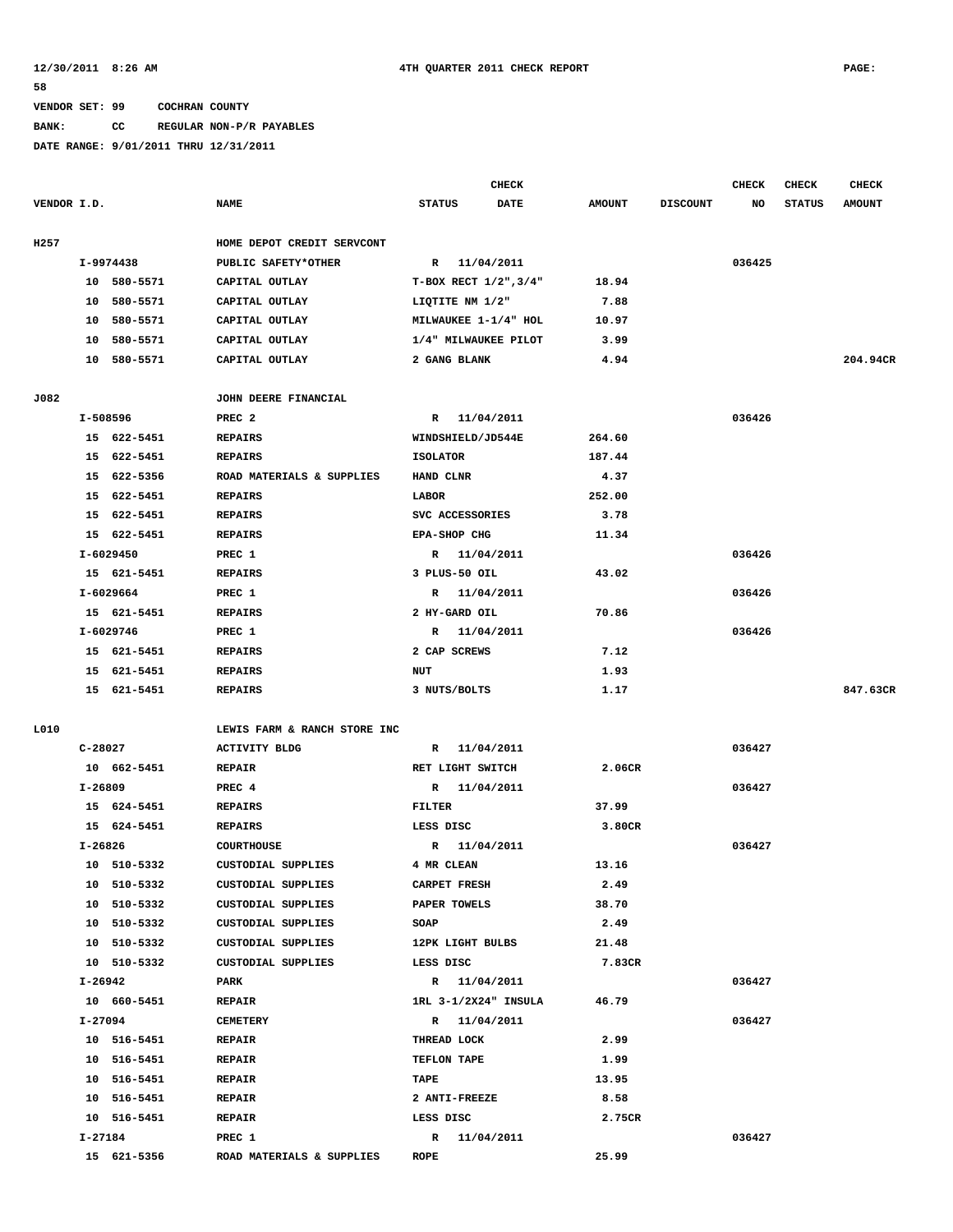#### **VENDOR SET: 99 COCHRAN COUNTY**

# **BANK: CC REGULAR NON-P/R PAYABLES**

|             |           |             |                              |                             | <b>CHECK</b> |               |                 | <b>CHECK</b> | <b>CHECK</b>  | <b>CHECK</b>  |
|-------------|-----------|-------------|------------------------------|-----------------------------|--------------|---------------|-----------------|--------------|---------------|---------------|
| VENDOR I.D. |           |             | <b>NAME</b>                  | <b>STATUS</b>               | DATE         | <b>AMOUNT</b> | <b>DISCOUNT</b> | NO           | <b>STATUS</b> | <b>AMOUNT</b> |
| H257        |           |             | HOME DEPOT CREDIT SERVCONT   |                             |              |               |                 |              |               |               |
|             |           | I-9974438   | PUBLIC SAFETY*OTHER          | R 11/04/2011                |              |               |                 | 036425       |               |               |
|             |           | 10 580-5571 | CAPITAL OUTLAY               | T-BOX RECT $1/2$ ", $3/4$ " |              | 18.94         |                 |              |               |               |
|             |           | 10 580-5571 | CAPITAL OUTLAY               | LIQTITE NM 1/2"             |              | 7.88          |                 |              |               |               |
|             |           | 10 580-5571 | CAPITAL OUTLAY               | MILWAUKEE 1-1/4" HOL        |              | 10.97         |                 |              |               |               |
|             | 10        | 580-5571    | CAPITAL OUTLAY               | 1/4" MILWAUKEE PILOT        |              | 3.99          |                 |              |               |               |
|             |           | 10 580-5571 | CAPITAL OUTLAY               | 2 GANG BLANK                |              | 4.94          |                 |              |               | 204.94CR      |
| J082        |           |             | JOHN DEERE FINANCIAL         |                             |              |               |                 |              |               |               |
|             | I-508596  |             | PREC <sub>2</sub>            | R 11/04/2011                |              |               |                 | 036426       |               |               |
|             |           | 15 622-5451 | <b>REPAIRS</b>               | WINDSHIELD/JD544E           |              | 264.60        |                 |              |               |               |
|             |           | 15 622-5451 | <b>REPAIRS</b>               | <b>ISOLATOR</b>             |              | 187.44        |                 |              |               |               |
|             |           | 15 622-5356 | ROAD MATERIALS & SUPPLIES    | HAND CLNR                   |              | 4.37          |                 |              |               |               |
|             |           | 15 622-5451 | <b>REPAIRS</b>               | LABOR                       |              | 252.00        |                 |              |               |               |
|             |           | 15 622-5451 | <b>REPAIRS</b>               | SVC ACCESSORIES             |              | 3.78          |                 |              |               |               |
|             |           | 15 622-5451 | <b>REPAIRS</b>               | EPA-SHOP CHG                |              | 11.34         |                 |              |               |               |
|             |           | I-6029450   | PREC 1                       | R 11/04/2011                |              |               |                 | 036426       |               |               |
|             |           | 15 621-5451 | <b>REPAIRS</b>               | 3 PLUS-50 OIL               |              | 43.02         |                 |              |               |               |
|             |           | I-6029664   | PREC 1                       | R 11/04/2011                |              |               |                 | 036426       |               |               |
|             |           | 15 621-5451 | <b>REPAIRS</b>               | 2 HY-GARD OIL               |              | 70.86         |                 |              |               |               |
|             |           | I-6029746   | PREC 1                       | R 11/04/2011                |              |               |                 | 036426       |               |               |
|             |           | 15 621-5451 | <b>REPAIRS</b>               | 2 CAP SCREWS                |              | 7.12          |                 |              |               |               |
|             |           | 15 621-5451 | <b>REPAIRS</b>               | NUT                         |              | 1.93          |                 |              |               |               |
|             |           | 15 621-5451 | <b>REPAIRS</b>               | 3 NUTS/BOLTS                |              | 1.17          |                 |              |               | 847.63CR      |
|             |           |             |                              |                             |              |               |                 |              |               |               |
| L010        |           |             | LEWIS FARM & RANCH STORE INC |                             |              |               |                 |              |               |               |
|             | $C-28027$ |             | <b>ACTIVITY BLDG</b>         | R                           | 11/04/2011   |               |                 | 036427       |               |               |
|             |           | 10 662-5451 | <b>REPAIR</b>                | RET LIGHT SWITCH            |              | 2.06CR        |                 |              |               |               |
|             | I-26809   |             | PREC 4                       | $\mathbb{R}$                | 11/04/2011   |               |                 | 036427       |               |               |
|             |           | 15 624-5451 | <b>REPAIRS</b>               | <b>FILTER</b>               |              | 37.99         |                 |              |               |               |
|             |           | 15 624-5451 | <b>REPAIRS</b>               | LESS DISC                   |              | 3.80CR        |                 |              |               |               |
|             | I-26826   |             | <b>COURTHOUSE</b>            | R 11/04/2011                |              |               |                 | 036427       |               |               |
|             |           | 10 510-5332 | CUSTODIAL SUPPLIES           | 4 MR CLEAN                  |              | 13.16         |                 |              |               |               |
|             |           | 10 510-5332 | CUSTODIAL SUPPLIES           | CARPET FRESH                |              | 2.49          |                 |              |               |               |
|             |           | 10 510-5332 | CUSTODIAL SUPPLIES           | PAPER TOWELS                |              | 38.70         |                 |              |               |               |
|             |           | 10 510-5332 | CUSTODIAL SUPPLIES           | SOAP                        |              | 2.49          |                 |              |               |               |
|             |           | 10 510-5332 | CUSTODIAL SUPPLIES           | 12PK LIGHT BULBS            |              | 21.48         |                 |              |               |               |
|             |           | 10 510-5332 | CUSTODIAL SUPPLIES           | LESS DISC                   |              | 7.83CR        |                 |              |               |               |
|             | I-26942   |             | PARK                         | R 11/04/2011                |              |               |                 | 036427       |               |               |
|             |           | 10 660-5451 | <b>REPAIR</b>                | 1RL 3-1/2X24" INSULA        |              | 46.79         |                 |              |               |               |
|             | I-27094   |             | <b>CEMETERY</b>              | R 11/04/2011                |              |               |                 | 036427       |               |               |
|             |           | 10 516-5451 | <b>REPAIR</b>                | THREAD LOCK                 |              | 2.99          |                 |              |               |               |
|             |           | 10 516-5451 | <b>REPAIR</b>                | TEFLON TAPE                 |              | 1.99          |                 |              |               |               |
|             |           | 10 516-5451 | <b>REPAIR</b>                | TAPE                        |              | 13.95         |                 |              |               |               |
|             |           | 10 516-5451 | <b>REPAIR</b>                | 2 ANTI-FREEZE               |              | 8.58          |                 |              |               |               |
|             |           | 10 516-5451 | <b>REPAIR</b>                | LESS DISC                   |              | 2.75CR        |                 |              |               |               |
|             | I-27184   |             | PREC 1                       | R 11/04/2011                |              |               |                 | 036427       |               |               |
|             |           | 15 621-5356 | ROAD MATERIALS & SUPPLIES    | ROPE                        |              | 25.99         |                 |              |               |               |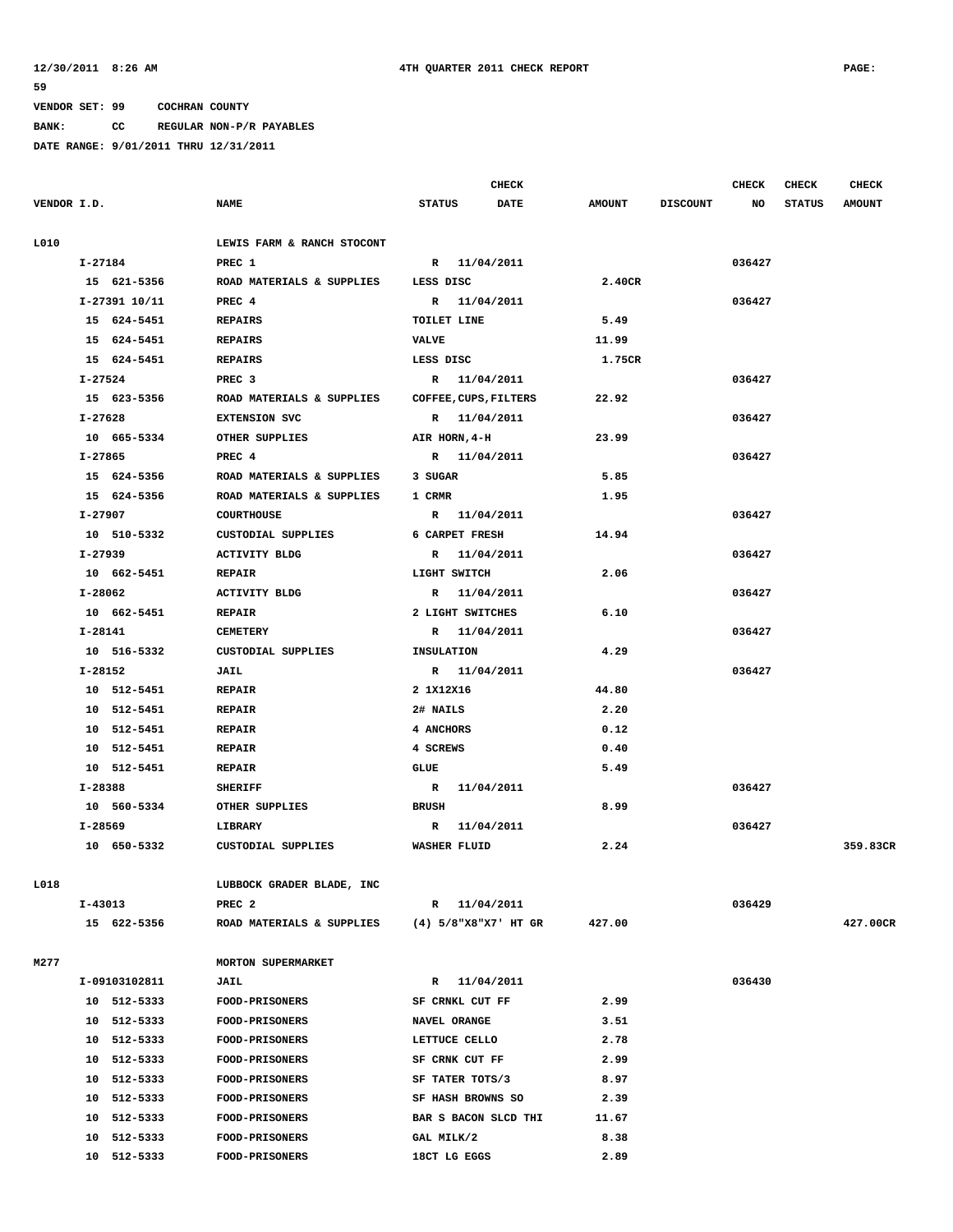## **VENDOR SET: 99 COCHRAN COUNTY**

**BANK: CC REGULAR NON-P/R PAYABLES**

|             |               |                            |                            | <b>CHECK</b> |               |                 | CHECK  | <b>CHECK</b>  | <b>CHECK</b>  |
|-------------|---------------|----------------------------|----------------------------|--------------|---------------|-----------------|--------|---------------|---------------|
| VENDOR I.D. |               | <b>NAME</b>                | <b>STATUS</b>              | <b>DATE</b>  | <b>AMOUNT</b> | <b>DISCOUNT</b> | NO     | <b>STATUS</b> | <b>AMOUNT</b> |
| L010        |               | LEWIS FARM & RANCH STOCONT |                            |              |               |                 |        |               |               |
|             | I-27184       | PREC 1                     | R 11/04/2011               |              |               |                 | 036427 |               |               |
|             | 15 621-5356   | ROAD MATERIALS & SUPPLIES  | LESS DISC                  |              | 2.40CR        |                 |        |               |               |
|             | I-27391 10/11 | PREC 4                     | R 11/04/2011               |              |               |                 | 036427 |               |               |
|             | 15 624-5451   | <b>REPAIRS</b>             | TOILET LINE                |              | 5.49          |                 |        |               |               |
|             | 15 624-5451   | <b>REPAIRS</b>             | <b>VALVE</b>               |              | 11.99         |                 |        |               |               |
|             | 15 624-5451   | <b>REPAIRS</b>             | LESS DISC                  |              | 1.75CR        |                 |        |               |               |
|             | I-27524       | PREC <sub>3</sub>          | R 11/04/2011               |              |               |                 | 036427 |               |               |
|             | 15 623-5356   | ROAD MATERIALS & SUPPLIES  | COFFEE, CUPS, FILTERS      |              | 22.92         |                 |        |               |               |
|             | I-27628       | <b>EXTENSION SVC</b>       | R 11/04/2011               |              |               |                 | 036427 |               |               |
|             | 10 665-5334   | OTHER SUPPLIES             | AIR HORN, 4-H              |              | 23.99         |                 |        |               |               |
|             | I-27865       | PREC 4                     | R 11/04/2011               |              |               |                 | 036427 |               |               |
|             | 15 624-5356   | ROAD MATERIALS & SUPPLIES  | 3 SUGAR                    |              | 5.85          |                 |        |               |               |
|             | 15 624-5356   | ROAD MATERIALS & SUPPLIES  | 1 CRMR                     |              |               |                 |        |               |               |
|             |               |                            |                            |              | 1.95          |                 |        |               |               |
|             | I-27907       | <b>COURTHOUSE</b>          | R 11/04/2011               |              |               |                 | 036427 |               |               |
|             | 10 510-5332   | CUSTODIAL SUPPLIES         | <b>6 CARPET FRESH</b>      |              | 14.94         |                 |        |               |               |
|             | I-27939       | <b>ACTIVITY BLDG</b>       | R 11/04/2011               |              |               |                 | 036427 |               |               |
|             | 10 662-5451   | <b>REPAIR</b>              | LIGHT SWITCH               |              | 2.06          |                 |        |               |               |
|             | I-28062       | <b>ACTIVITY BLDG</b>       | R 11/04/2011               |              |               |                 | 036427 |               |               |
|             | 10 662-5451   | <b>REPAIR</b>              | 2 LIGHT SWITCHES           |              | 6.10          |                 |        |               |               |
|             | $I - 28141$   | <b>CEMETERY</b>            | R 11/04/2011               |              |               |                 | 036427 |               |               |
|             | 10 516-5332   | CUSTODIAL SUPPLIES         | <b>INSULATION</b>          |              | 4.29          |                 |        |               |               |
|             | I-28152       | JAIL                       | R 11/04/2011               |              |               |                 | 036427 |               |               |
|             | 10 512-5451   | <b>REPAIR</b>              | 2 1X12X16                  |              | 44.80         |                 |        |               |               |
|             | 10 512-5451   | <b>REPAIR</b>              | 2# NAILS                   |              | 2.20          |                 |        |               |               |
|             | 10 512-5451   | <b>REPAIR</b>              | 4 ANCHORS                  |              | 0.12          |                 |        |               |               |
|             | 10 512-5451   | <b>REPAIR</b>              | 4 SCREWS                   |              | 0.40          |                 |        |               |               |
|             | 10 512-5451   | <b>REPAIR</b>              | <b>GLUE</b>                |              | 5.49          |                 |        |               |               |
|             | I-28388       | <b>SHERIFF</b>             | R 11/04/2011               |              |               |                 | 036427 |               |               |
|             | 10 560-5334   | OTHER SUPPLIES             | <b>BRUSH</b>               |              | 8.99          |                 |        |               |               |
|             | $I - 28569$   | LIBRARY                    | 11/04/2011<br>$\mathbb{R}$ |              |               |                 | 036427 |               |               |
|             | 10 650-5332   | CUSTODIAL SUPPLIES         | WASHER FLUID               |              | 2.24          |                 |        |               | 359.83CR      |
| L018        |               | LUBBOCK GRADER BLADE, INC  |                            |              |               |                 |        |               |               |
|             | I-43013       | PREC <sub>2</sub>          | R 11/04/2011               |              |               |                 | 036429 |               |               |
|             | 15 622-5356   | ROAD MATERIALS & SUPPLIES  | (4) 5/8"X8"X7' HT GR       |              | 427.00        |                 |        |               | 427.00CR      |
|             |               |                            |                            |              |               |                 |        |               |               |
| M277        |               | <b>MORTON SUPERMARKET</b>  |                            |              |               |                 |        |               |               |
|             | I-09103102811 | <b>JAIL</b>                | R 11/04/2011               |              |               |                 | 036430 |               |               |
|             | 10 512-5333   | <b>FOOD-PRISONERS</b>      | SF CRNKL CUT FF            |              | 2.99          |                 |        |               |               |
|             | 10 512-5333   | <b>FOOD-PRISONERS</b>      | NAVEL ORANGE               |              | 3.51          |                 |        |               |               |
|             | 10 512-5333   | <b>FOOD-PRISONERS</b>      | LETTUCE CELLO              |              | 2.78          |                 |        |               |               |
|             | 10 512-5333   | <b>FOOD-PRISONERS</b>      | SF CRNK CUT FF             |              | 2.99          |                 |        |               |               |
|             | 10 512-5333   | <b>FOOD-PRISONERS</b>      | SF TATER TOTS/3            |              | 8.97          |                 |        |               |               |
|             | 10 512-5333   | <b>FOOD-PRISONERS</b>      | SF HASH BROWNS SO          |              | 2.39          |                 |        |               |               |
|             | 10 512-5333   | <b>FOOD-PRISONERS</b>      | BAR S BACON SLCD THI       |              | 11.67         |                 |        |               |               |
|             | 10 512-5333   | <b>FOOD-PRISONERS</b>      | GAL MILK/2                 |              | 8.38          |                 |        |               |               |
|             | 10 512-5333   | <b>FOOD-PRISONERS</b>      | 18CT LG EGGS               |              | 2.89          |                 |        |               |               |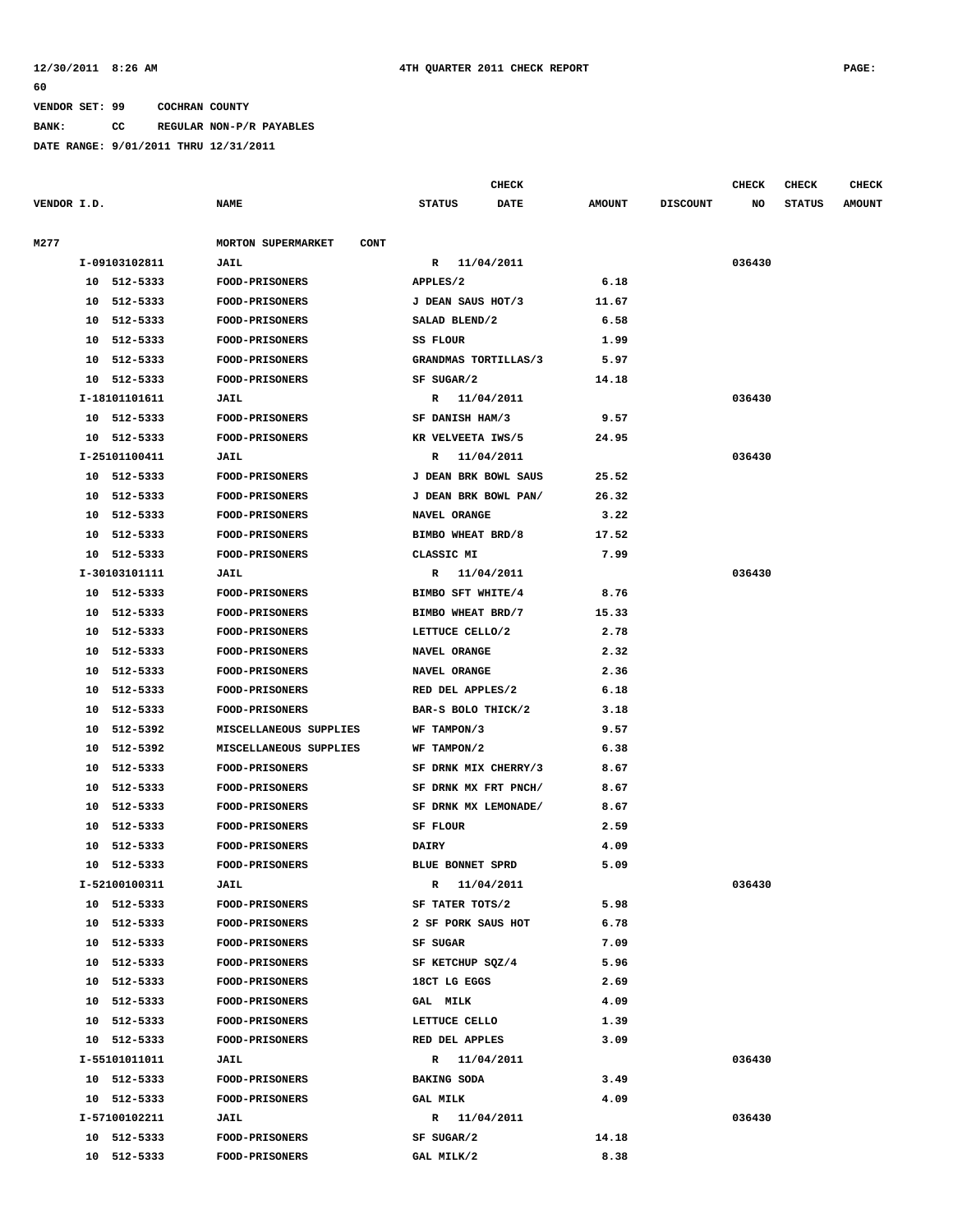#### **VENDOR SET: 99 COCHRAN COUNTY BANK: CC REGULAR NON-P/R PAYABLES**

|             |               |                                   |                      | <b>CHECK</b> |               |                 | <b>CHECK</b> | CHECK         | <b>CHECK</b>  |
|-------------|---------------|-----------------------------------|----------------------|--------------|---------------|-----------------|--------------|---------------|---------------|
| VENDOR I.D. |               | <b>NAME</b>                       | <b>STATUS</b>        | DATE         | <b>AMOUNT</b> | <b>DISCOUNT</b> | NO           | <b>STATUS</b> | <b>AMOUNT</b> |
| M277        |               | MORTON SUPERMARKET<br><b>CONT</b> |                      |              |               |                 |              |               |               |
|             | I-09103102811 | <b>JAIL</b>                       | R 11/04/2011         |              |               |                 | 036430       |               |               |
|             | 10 512-5333   | FOOD-PRISONERS                    | APPLES/2             |              | 6.18          |                 |              |               |               |
| 10          | 512-5333      | <b>FOOD-PRISONERS</b>             | J DEAN SAUS HOT/3    |              | 11.67         |                 |              |               |               |
| 10          | 512-5333      | <b>FOOD-PRISONERS</b>             | SALAD BLEND/2        |              | 6.58          |                 |              |               |               |
| 10          | 512-5333      | <b>FOOD-PRISONERS</b>             | <b>SS FLOUR</b>      |              | 1.99          |                 |              |               |               |
| 10          | 512-5333      | <b>FOOD-PRISONERS</b>             | GRANDMAS TORTILLAS/3 |              | 5.97          |                 |              |               |               |
| 10          | 512-5333      | <b>FOOD-PRISONERS</b>             | SF SUGAR/2           |              | 14.18         |                 |              |               |               |
|             | I-18101101611 | JAIL                              | R 11/04/2011         |              |               |                 | 036430       |               |               |
|             | 10 512-5333   | <b>FOOD-PRISONERS</b>             | SF DANISH HAM/3      |              | 9.57          |                 |              |               |               |
|             | 10 512-5333   | <b>FOOD-PRISONERS</b>             | KR VELVEETA IWS/5    |              | 24.95         |                 |              |               |               |
|             | I-25101100411 | JAIL                              | R 11/04/2011         |              |               |                 | 036430       |               |               |
|             | 10 512-5333   | <b>FOOD-PRISONERS</b>             | J DEAN BRK BOWL SAUS |              | 25.52         |                 |              |               |               |
|             | 10 512-5333   | <b>FOOD-PRISONERS</b>             | J DEAN BRK BOWL PAN/ |              | 26.32         |                 |              |               |               |
| 10          | 512-5333      | FOOD-PRISONERS                    | NAVEL ORANGE         |              | 3.22          |                 |              |               |               |
| 10          | 512-5333      | FOOD-PRISONERS                    | BIMBO WHEAT BRD/8    |              | 17.52         |                 |              |               |               |
|             | 10 512-5333   | FOOD-PRISONERS                    | CLASSIC MI           |              | 7.99          |                 |              |               |               |
|             | I-30103101111 | JAIL                              | R 11/04/2011         |              |               |                 | 036430       |               |               |
| 10          | 512-5333      | <b>FOOD-PRISONERS</b>             | BIMBO SFT WHITE/4    |              | 8.76          |                 |              |               |               |
| 10          | 512-5333      | <b>FOOD-PRISONERS</b>             | BIMBO WHEAT BRD/7    |              | 15.33         |                 |              |               |               |
| 10          | 512-5333      | <b>FOOD-PRISONERS</b>             | LETTUCE CELLO/2      |              | 2.78          |                 |              |               |               |
| 10          | 512-5333      | <b>FOOD-PRISONERS</b>             | NAVEL ORANGE         |              | 2.32          |                 |              |               |               |
| 10          | 512-5333      | <b>FOOD-PRISONERS</b>             | NAVEL ORANGE         |              | 2.36          |                 |              |               |               |
| 10          | 512-5333      | FOOD-PRISONERS                    | RED DEL APPLES/2     |              | 6.18          |                 |              |               |               |
| 10          | 512-5333      | <b>FOOD-PRISONERS</b>             | BAR-S BOLO THICK/2   |              | 3.18          |                 |              |               |               |
| 10          | 512-5392      | MISCELLANEOUS SUPPLIES            | WF TAMPON/3          |              | 9.57          |                 |              |               |               |
| 10          | 512-5392      | MISCELLANEOUS SUPPLIES            | WF TAMPON/2          |              | 6.38          |                 |              |               |               |
| 10          | 512-5333      | <b>FOOD-PRISONERS</b>             | SF DRNK MIX CHERRY/3 |              | 8.67          |                 |              |               |               |
| 10          | 512-5333      | <b>FOOD-PRISONERS</b>             | SF DRNK MX FRT PNCH/ |              | 8.67          |                 |              |               |               |
| 10          | 512-5333      | FOOD-PRISONERS                    | SF DRNK MX LEMONADE/ |              | 8.67          |                 |              |               |               |
| 10          | 512-5333      | <b>FOOD-PRISONERS</b>             | SF FLOUR             |              | 2.59          |                 |              |               |               |
| 10          | 512-5333      | FOOD-PRISONERS                    | <b>DAIRY</b>         |              | 4.09          |                 |              |               |               |
| 10          | 512-5333      | FOOD-PRISONERS                    | BLUE BONNET SPRD     |              | 5.09          |                 |              |               |               |
|             | I-52100100311 | <b>JAIL</b>                       | R 11/04/2011         |              |               |                 | 036430       |               |               |
|             | 10 512-5333   | FOOD-PRISONERS                    | SF TATER TOTS/2      |              | 5.98          |                 |              |               |               |
|             | 10 512-5333   | FOOD-PRISONERS                    | 2 SF PORK SAUS HOT   |              | 6.78          |                 |              |               |               |
|             | 10 512-5333   | FOOD-PRISONERS                    | SF SUGAR             |              | 7.09          |                 |              |               |               |
|             | 10 512-5333   | FOOD-PRISONERS                    | SF KETCHUP SQZ/4     |              | 5.96          |                 |              |               |               |
|             | 10 512-5333   | FOOD-PRISONERS                    | 18CT LG EGGS         |              | 2.69          |                 |              |               |               |
|             | 10 512-5333   | <b>FOOD-PRISONERS</b>             | <b>GAL MILK</b>      |              | 4.09          |                 |              |               |               |
|             | 10 512-5333   | FOOD-PRISONERS                    | LETTUCE CELLO        |              | 1.39          |                 |              |               |               |
|             | 10 512-5333   | FOOD-PRISONERS                    | RED DEL APPLES       |              | 3.09          |                 |              |               |               |
|             | I-55101011011 | <b>JAIL</b>                       | R 11/04/2011         |              |               |                 | 036430       |               |               |
|             | 10 512-5333   | <b>FOOD-PRISONERS</b>             | <b>BAKING SODA</b>   |              | 3.49          |                 |              |               |               |
|             | 10 512-5333   | <b>FOOD-PRISONERS</b>             | <b>GAL MILK</b>      |              | 4.09          |                 |              |               |               |
|             | I-57100102211 | <b>JAIL</b>                       | R 11/04/2011         |              |               |                 | 036430       |               |               |
|             | 10 512-5333   | <b>FOOD-PRISONERS</b>             | SF SUGAR/2           |              | 14.18         |                 |              |               |               |
|             | 10 512-5333   | FOOD-PRISONERS                    | GAL MILK/2           |              | 8.38          |                 |              |               |               |
|             |               |                                   |                      |              |               |                 |              |               |               |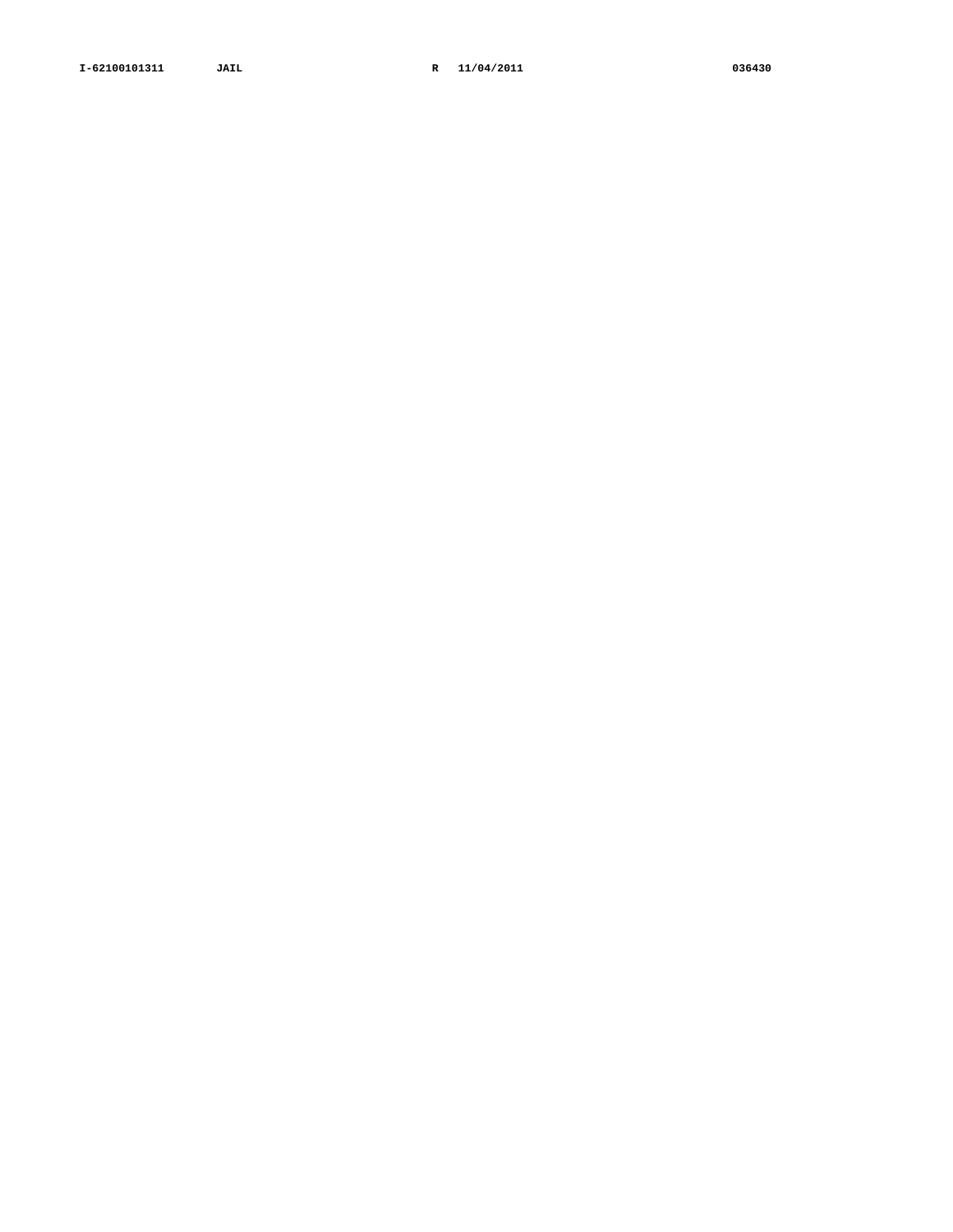**I-62100101311 JAIL R 11/04/2011 036430**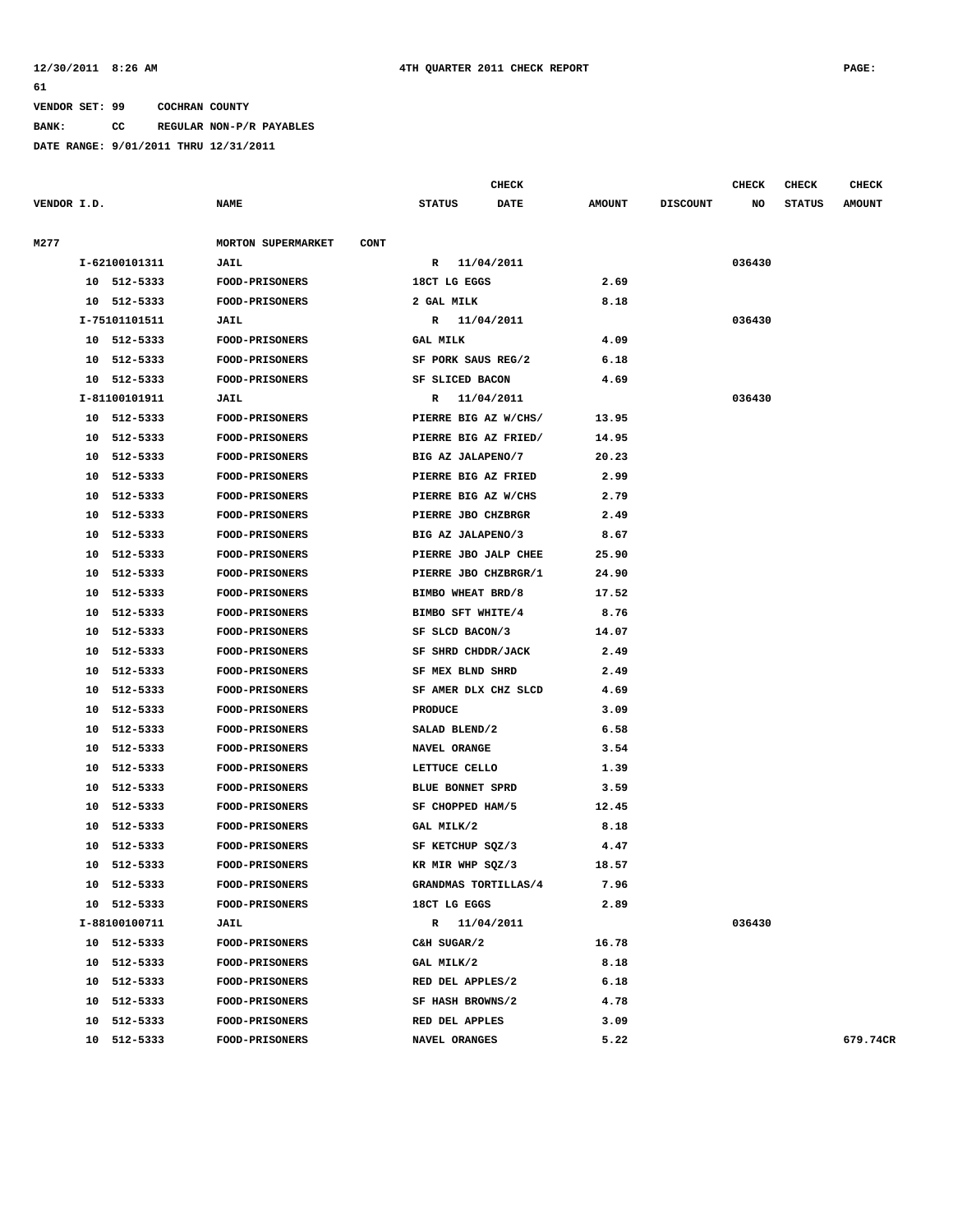# **VENDOR SET: 99 COCHRAN COUNTY BANK: CC REGULAR NON-P/R PAYABLES**

|             |               |                                   |                      | <b>CHECK</b> |               |                 | <b>CHECK</b> | <b>CHECK</b>  | <b>CHECK</b>  |
|-------------|---------------|-----------------------------------|----------------------|--------------|---------------|-----------------|--------------|---------------|---------------|
| VENDOR I.D. |               | <b>NAME</b>                       | <b>STATUS</b>        | DATE         | <b>AMOUNT</b> | <b>DISCOUNT</b> | NO           | <b>STATUS</b> | <b>AMOUNT</b> |
| M277        |               | MORTON SUPERMARKET<br><b>CONT</b> |                      |              |               |                 |              |               |               |
|             | I-62100101311 | <b>JAIL</b>                       | R                    | 11/04/2011   |               |                 | 036430       |               |               |
|             | 10 512-5333   | FOOD-PRISONERS                    | 18CT LG EGGS         |              | 2.69          |                 |              |               |               |
|             | 10 512-5333   | FOOD-PRISONERS                    | 2 GAL MILK           |              | 8.18          |                 |              |               |               |
|             | I-75101101511 | JAIL                              | R 11/04/2011         |              |               |                 | 036430       |               |               |
|             | 10 512-5333   | FOOD-PRISONERS                    | <b>GAL MILK</b>      |              | 4.09          |                 |              |               |               |
| 10          | 512-5333      | <b>FOOD-PRISONERS</b>             | SF PORK SAUS REG/2   |              | 6.18          |                 |              |               |               |
| 10          | 512-5333      | FOOD-PRISONERS                    | SF SLICED BACON      |              | 4.69          |                 |              |               |               |
|             | I-81100101911 | JAIL                              | R                    | 11/04/2011   |               |                 | 036430       |               |               |
|             | 10 512-5333   | FOOD-PRISONERS                    | PIERRE BIG AZ W/CHS/ |              | 13.95         |                 |              |               |               |
| 10          | 512-5333      | <b>FOOD-PRISONERS</b>             | PIERRE BIG AZ FRIED/ |              | 14.95         |                 |              |               |               |
| 10          | 512-5333      | FOOD-PRISONERS                    | BIG AZ JALAPENO/7    |              | 20.23         |                 |              |               |               |
| 10          | 512-5333      | <b>FOOD-PRISONERS</b>             | PIERRE BIG AZ FRIED  |              | 2.99          |                 |              |               |               |
| 10          | 512-5333      | <b>FOOD-PRISONERS</b>             | PIERRE BIG AZ W/CHS  |              | 2.79          |                 |              |               |               |
| 10          | 512-5333      | FOOD-PRISONERS                    | PIERRE JBO CHZBRGR   |              | 2.49          |                 |              |               |               |
| 10          | 512-5333      | <b>FOOD-PRISONERS</b>             | BIG AZ JALAPENO/3    |              | 8.67          |                 |              |               |               |
| 10          | 512-5333      | <b>FOOD-PRISONERS</b>             | PIERRE JBO JALP CHEE |              | 25.90         |                 |              |               |               |
| 10          | 512-5333      | FOOD-PRISONERS                    | PIERRE JBO CHZBRGR/1 |              | 24.90         |                 |              |               |               |
| 10          | 512-5333      | <b>FOOD-PRISONERS</b>             | BIMBO WHEAT BRD/8    |              | 17.52         |                 |              |               |               |
| 10          | 512-5333      | FOOD-PRISONERS                    | BIMBO SFT WHITE/4    |              | 8.76          |                 |              |               |               |
| 10          | 512-5333      | FOOD-PRISONERS                    | SF SLCD BACON/3      |              | 14.07         |                 |              |               |               |
| 10          | 512-5333      | <b>FOOD-PRISONERS</b>             | SF SHRD CHDDR/JACK   |              | 2.49          |                 |              |               |               |
| 10          | 512-5333      | <b>FOOD-PRISONERS</b>             | SF MEX BLND SHRD     |              | 2.49          |                 |              |               |               |
| 10          | 512-5333      | FOOD-PRISONERS                    | SF AMER DLX CHZ SLCD |              | 4.69          |                 |              |               |               |
| 10          | 512-5333      | FOOD-PRISONERS                    | <b>PRODUCE</b>       |              | 3.09          |                 |              |               |               |
| 10          | 512-5333      | <b>FOOD-PRISONERS</b>             | SALAD BLEND/2        |              | 6.58          |                 |              |               |               |
| 10          | 512-5333      | FOOD-PRISONERS                    | NAVEL ORANGE         |              | 3.54          |                 |              |               |               |
| 10          | 512-5333      | FOOD-PRISONERS                    | LETTUCE CELLO        |              | 1.39          |                 |              |               |               |
| 10          | 512-5333      | FOOD-PRISONERS                    | BLUE BONNET SPRD     |              | 3.59          |                 |              |               |               |
| 10          | 512-5333      | FOOD-PRISONERS                    | SF CHOPPED HAM/5     |              | 12.45         |                 |              |               |               |
| 10          | 512-5333      | <b>FOOD-PRISONERS</b>             | GAL MILK/2           |              | 8.18          |                 |              |               |               |
| 10          | 512-5333      | FOOD-PRISONERS                    | SF KETCHUP SQZ/3     |              | 4.47          |                 |              |               |               |
| 10          | 512-5333      | <b>FOOD-PRISONERS</b>             | KR MIR WHP SQZ/3     |              | 18.57         |                 |              |               |               |
|             | 10 512-5333   | <b>FOOD-PRISONERS</b>             | GRANDMAS TORTILLAS/4 |              | 7.96          |                 |              |               |               |
|             | 10 512-5333   | <b>FOOD-PRISONERS</b>             | 18CT LG EGGS         |              | 2.89          |                 |              |               |               |
|             | I-88100100711 | JAIL                              | R 11/04/2011         |              |               |                 | 036430       |               |               |
|             | 10 512-5333   | <b>FOOD-PRISONERS</b>             | C&H SUGAR/2          |              | 16.78         |                 |              |               |               |
|             | 10 512-5333   | FOOD-PRISONERS                    | GAL MILK/2           |              | 8.18          |                 |              |               |               |
|             | 10 512-5333   | <b>FOOD-PRISONERS</b>             | RED DEL APPLES/2     |              | 6.18          |                 |              |               |               |
|             | 10 512-5333   | <b>FOOD-PRISONERS</b>             | SF HASH BROWNS/2     |              | 4.78          |                 |              |               |               |
|             | 10 512-5333   | <b>FOOD-PRISONERS</b>             | RED DEL APPLES       |              | 3.09          |                 |              |               |               |
|             | 10 512-5333   | <b>FOOD-PRISONERS</b>             | NAVEL ORANGES        |              | 5.22          |                 |              |               | 679.74CR      |
|             |               |                                   |                      |              |               |                 |              |               |               |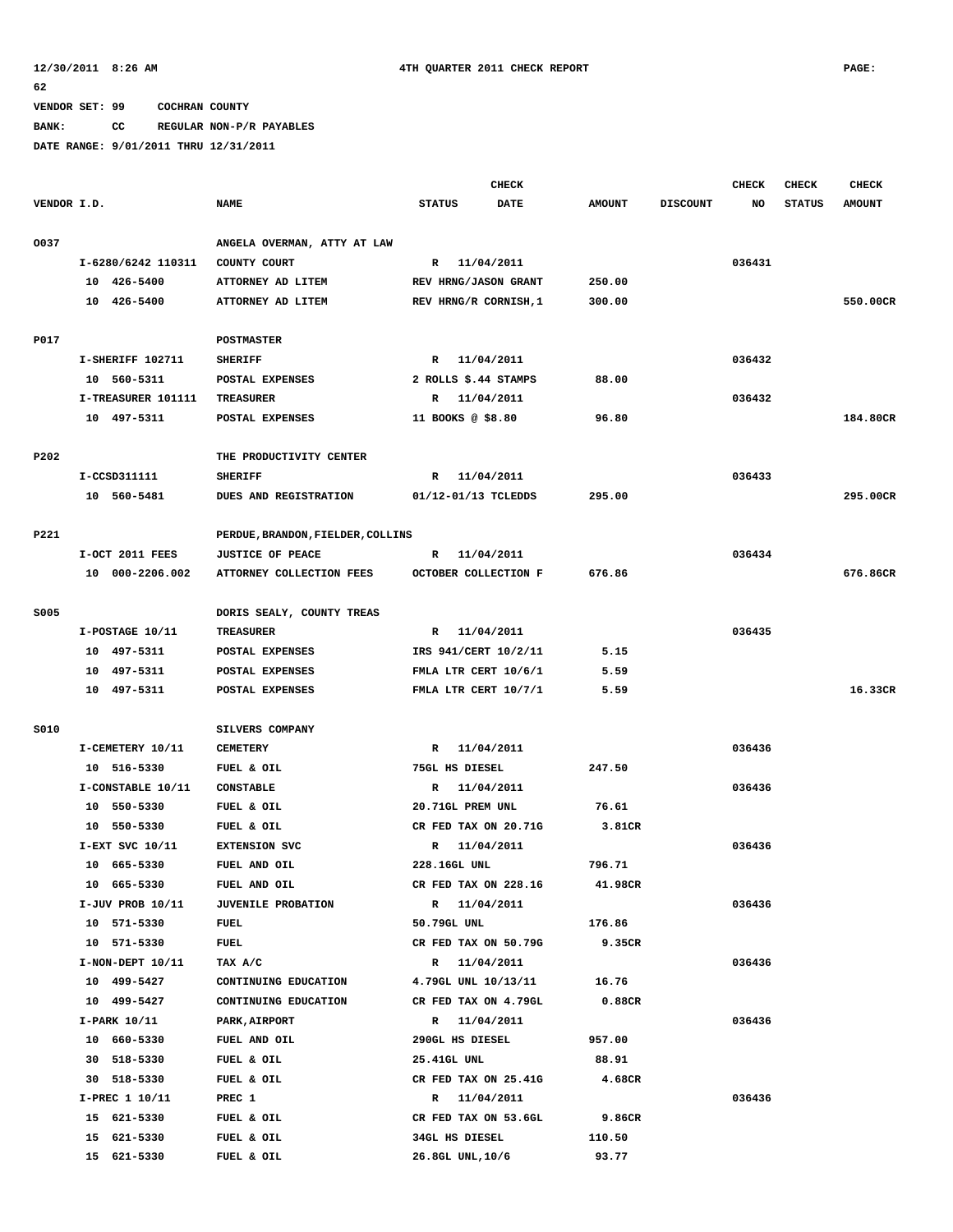#### **VENDOR SET: 99 COCHRAN COUNTY**

# **BANK: CC REGULAR NON-P/R PAYABLES**

|             |                      |                                   | <b>CHECK</b>          |            |               |                 | <b>CHECK</b> | <b>CHECK</b>  | <b>CHECK</b>  |
|-------------|----------------------|-----------------------------------|-----------------------|------------|---------------|-----------------|--------------|---------------|---------------|
| VENDOR I.D. |                      | <b>NAME</b>                       | <b>STATUS</b>         | DATE       | <b>AMOUNT</b> | <b>DISCOUNT</b> | NO           | <b>STATUS</b> | <b>AMOUNT</b> |
|             |                      |                                   |                       |            |               |                 |              |               |               |
| 0037        |                      | ANGELA OVERMAN, ATTY AT LAW       |                       |            |               |                 |              |               |               |
|             | I-6280/6242 110311   | COUNTY COURT                      | R 11/04/2011          |            |               |                 | 036431       |               |               |
|             | 10 426-5400          | ATTORNEY AD LITEM                 | REV HRNG/JASON GRANT  |            | 250.00        |                 |              |               |               |
|             | 10 426-5400          | ATTORNEY AD LITEM                 | REV HRNG/R CORNISH, 1 |            | 300.00        |                 |              |               | 550.00CR      |
|             |                      |                                   |                       |            |               |                 |              |               |               |
| P017        |                      | POSTMASTER                        |                       |            |               |                 |              |               |               |
|             | I-SHERIFF 102711     | <b>SHERIFF</b>                    | R 11/04/2011          |            |               |                 | 036432       |               |               |
|             | 10 560-5311          | POSTAL EXPENSES                   | 2 ROLLS \$.44 STAMPS  |            | 88.00         |                 |              |               |               |
|             | I-TREASURER 101111   | TREASURER                         | R 11/04/2011          |            |               |                 | 036432       |               |               |
|             | 10 497-5311          | POSTAL EXPENSES                   | 11 BOOKS @ \$8.80     |            | 96.80         |                 |              |               | 184.80CR      |
| P202        |                      | THE PRODUCTIVITY CENTER           |                       |            |               |                 |              |               |               |
|             | I-CCSD311111         | <b>SHERIFF</b>                    | R                     | 11/04/2011 |               |                 | 036433       |               |               |
|             | 10 560-5481          | DUES AND REGISTRATION             | 01/12-01/13 TCLEDDS   |            | 295.00        |                 |              |               | 295.00CR      |
|             |                      |                                   |                       |            |               |                 |              |               |               |
| P221        |                      | PERDUE, BRANDON, FIELDER, COLLINS |                       |            |               |                 |              |               |               |
|             | I-OCT 2011 FEES      | <b>JUSTICE OF PEACE</b>           | $\mathbb{R}$          | 11/04/2011 |               |                 | 036434       |               |               |
|             | 10 000-2206.002      | ATTORNEY COLLECTION FEES          | OCTOBER COLLECTION F  |            | 676.86        |                 |              |               | 676.86CR      |
|             |                      |                                   |                       |            |               |                 |              |               |               |
| <b>S005</b> |                      | DORIS SEALY, COUNTY TREAS         |                       |            |               |                 |              |               |               |
|             | I-POSTAGE 10/11      | <b>TREASURER</b>                  | R 11/04/2011          |            |               |                 | 036435       |               |               |
|             | 10 497-5311          | POSTAL EXPENSES                   | IRS 941/CERT 10/2/11  |            | 5.15          |                 |              |               |               |
|             | 10 497-5311          | POSTAL EXPENSES                   | FMLA LTR CERT 10/6/1  |            | 5.59          |                 |              |               |               |
|             | 10 497-5311          | POSTAL EXPENSES                   | FMLA LTR CERT 10/7/1  |            | 5.59          |                 |              |               | 16.33CR       |
|             |                      |                                   |                       |            |               |                 |              |               |               |
| S010        |                      | SILVERS COMPANY                   |                       |            |               |                 |              |               |               |
|             | I-CEMETERY 10/11     | <b>CEMETERY</b>                   | R 11/04/2011          |            |               |                 | 036436       |               |               |
|             | 10 516-5330          | FUEL & OIL                        | 75GL HS DIESEL        |            | 247.50        |                 |              |               |               |
|             | I-CONSTABLE 10/11    | <b>CONSTABLE</b>                  | R 11/04/2011          |            |               |                 | 036436       |               |               |
|             | 10 550-5330          | FUEL & OIL                        | 20.71GL PREM UNL      |            | 76.61         |                 |              |               |               |
|             | 10 550-5330          | FUEL & OIL                        | CR FED TAX ON 20.71G  |            | 3.81CR        |                 |              |               |               |
|             | $I-EXT$ SVC $10/11$  | <b>EXTENSION SVC</b>              | $\mathbb{R}$          | 11/04/2011 |               |                 | 036436       |               |               |
|             | 10 665-5330          | FUEL AND OIL                      | 228.16GL UNL          |            | 796.71        |                 |              |               |               |
|             | 10 665-5330          | FUEL AND OIL                      | CR FED TAX ON 228.16  |            | 41.98CR       |                 |              |               |               |
|             | $I-JUV$ PROB $10/11$ | <b>JUVENILE PROBATION</b>         | R 11/04/2011          |            |               |                 | 036436       |               |               |
|             | 10 571-5330          | FUEL                              | 50.79GL UNL           |            | 176.86        |                 |              |               |               |
|             | 10 571-5330          | FUEL                              | CR FED TAX ON 50.79G  |            | 9.35CR        |                 |              |               |               |
|             | $I-NON-DEFT 10/11$   | TAX A/C                           | R 11/04/2011          |            |               |                 | 036436       |               |               |
|             | 10 499-5427          | CONTINUING EDUCATION              | 4.79GL UNL 10/13/11   |            | 16.76         |                 |              |               |               |
|             | 10 499-5427          | CONTINUING EDUCATION              | CR FED TAX ON 4.79GL  |            | 0.88CR        |                 |              |               |               |
|             | I-PARK 10/11         | PARK, AIRPORT                     | R 11/04/2011          |            |               |                 | 036436       |               |               |
|             | 10 660-5330          | <b>FUEL AND OIL</b>               | 290GL HS DIESEL       |            | 957.00        |                 |              |               |               |
|             | 30 518-5330          | FUEL & OIL                        | 25.41GL UNL           |            | 88.91         |                 |              |               |               |
|             | 30 518-5330          | FUEL & OIL                        | CR FED TAX ON 25.41G  |            | 4.68CR        |                 |              |               |               |
|             | I-PREC 1 10/11       | PREC 1                            | R 11/04/2011          |            |               |                 | 036436       |               |               |
|             | 15 621-5330          | FUEL & OIL                        | CR FED TAX ON 53.6GL  |            | 9.86CR        |                 |              |               |               |
|             | 15 621-5330          | FUEL & OIL                        | <b>34GL HS DIESEL</b> |            | 110.50        |                 |              |               |               |
|             | 15 621-5330          | FUEL & OIL                        | 26.8GL UNL, 10/6      |            | 93.77         |                 |              |               |               |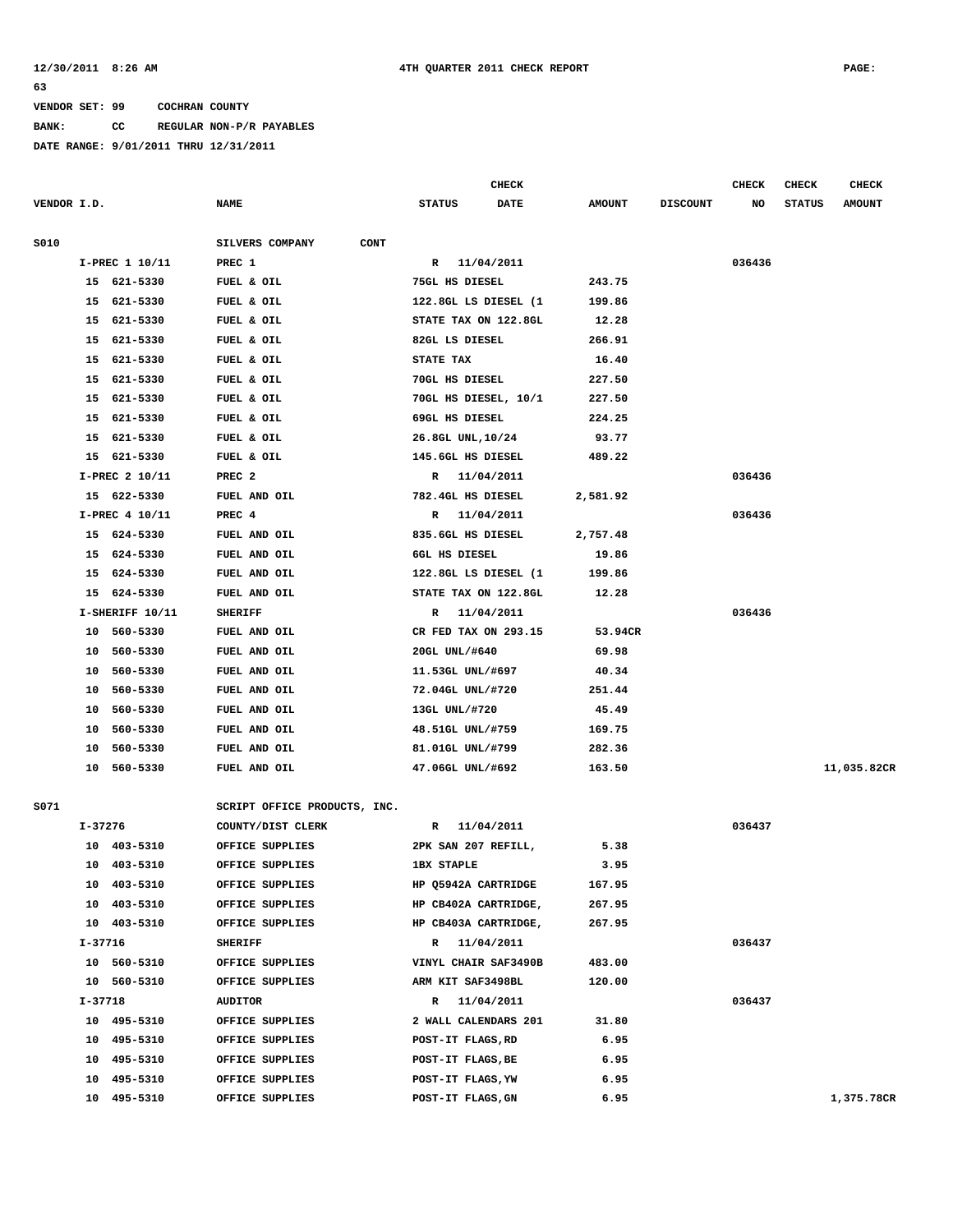### **VENDOR SET: 99 COCHRAN COUNTY BANK: CC REGULAR NON-P/R PAYABLES DATE RANGE: 9/01/2011 THRU 12/31/2011**

|             |         |                 |                              | <b>CHECK</b>      |              |                      |               |                 | <b>CHECK</b> | <b>CHECK</b>  | <b>CHECK</b>  |
|-------------|---------|-----------------|------------------------------|-------------------|--------------|----------------------|---------------|-----------------|--------------|---------------|---------------|
| VENDOR I.D. |         |                 | <b>NAME</b>                  | <b>STATUS</b>     |              | <b>DATE</b>          | <b>AMOUNT</b> | <b>DISCOUNT</b> | NO           | <b>STATUS</b> | <b>AMOUNT</b> |
| S010        |         |                 | SILVERS COMPANY<br>CONT      |                   |              |                      |               |                 |              |               |               |
|             |         | I-PREC 1 10/11  | PREC 1                       |                   | R 11/04/2011 |                      |               |                 | 036436       |               |               |
|             |         | 15 621-5330     | FUEL & OIL                   | 75GL HS DIESEL    |              |                      | 243.75        |                 |              |               |               |
|             |         | 15 621-5330     | FUEL & OIL                   |                   |              | 122.8GL LS DIESEL (1 | 199.86        |                 |              |               |               |
|             |         | 15 621-5330     | FUEL & OIL                   |                   |              | STATE TAX ON 122.8GL | 12.28         |                 |              |               |               |
|             |         | 15 621-5330     | FUEL & OIL                   | 82GL LS DIESEL    |              |                      | 266.91        |                 |              |               |               |
|             |         | 15 621-5330     | FUEL & OIL                   | STATE TAX         |              |                      | 16.40         |                 |              |               |               |
|             |         | 15 621-5330     | FUEL & OIL                   | 70GL HS DIESEL    |              |                      | 227.50        |                 |              |               |               |
|             |         | 15 621-5330     | FUEL & OIL                   |                   |              | 70GL HS DIESEL, 10/1 | 227.50        |                 |              |               |               |
|             |         | 15 621-5330     | FUEL & OIL                   | 69GL HS DIESEL    |              |                      | 224.25        |                 |              |               |               |
|             |         | 15 621-5330     | FUEL & OIL                   | 26.8GL UNL, 10/24 |              |                      | 93.77         |                 |              |               |               |
|             |         | 15 621-5330     | FUEL & OIL                   | 145.6GL HS DIESEL |              |                      | 489.22        |                 |              |               |               |
|             |         | I-PREC 2 10/11  | PREC <sub>2</sub>            |                   | R 11/04/2011 |                      |               |                 | 036436       |               |               |
|             |         | 15 622-5330     | FUEL AND OIL                 | 782.4GL HS DIESEL |              |                      | 2,581.92      |                 |              |               |               |
|             |         | I-PREC 4 10/11  | PREC 4                       |                   | R 11/04/2011 |                      |               |                 | 036436       |               |               |
|             |         | 15 624-5330     | FUEL AND OIL                 | 835.6GL HS DIESEL |              |                      | 2,757.48      |                 |              |               |               |
|             |         | 15 624-5330     | FUEL AND OIL                 | 6GL HS DIESEL     |              |                      | 19.86         |                 |              |               |               |
|             |         | 15 624-5330     | FUEL AND OIL                 |                   |              | 122.8GL LS DIESEL (1 | 199.86        |                 |              |               |               |
|             |         | 15 624-5330     | FUEL AND OIL                 |                   |              | STATE TAX ON 122.8GL | 12.28         |                 |              |               |               |
|             |         | I-SHERIFF 10/11 | <b>SHERIFF</b>               |                   | R 11/04/2011 |                      |               |                 | 036436       |               |               |
|             |         | 10 560-5330     | FUEL AND OIL                 |                   |              | CR FED TAX ON 293.15 | 53.94CR       |                 |              |               |               |
|             | 10      | 560-5330        | FUEL AND OIL                 | 20GL UNL/#640     |              |                      | 69.98         |                 |              |               |               |
|             |         | 10 560-5330     | FUEL AND OIL                 | 11.53GL UNL/#697  |              |                      | 40.34         |                 |              |               |               |
|             | 10      | 560-5330        | FUEL AND OIL                 | 72.04GL UNL/#720  |              |                      | 251.44        |                 |              |               |               |
|             |         | 10 560-5330     | FUEL AND OIL                 | 13GL UNL/#720     |              |                      | 45.49         |                 |              |               |               |
|             |         | 10 560-5330     | FUEL AND OIL                 | 48.51GL UNL/#759  |              |                      | 169.75        |                 |              |               |               |
|             | 10      | 560-5330        | FUEL AND OIL                 | 81.01GL UNL/#799  |              |                      | 282.36        |                 |              |               |               |
|             | 10      | 560-5330        | FUEL AND OIL                 | 47.06GL UNL/#692  |              |                      | 163.50        |                 |              |               | 11,035.82CR   |
| S071        |         |                 | SCRIPT OFFICE PRODUCTS, INC. |                   |              |                      |               |                 |              |               |               |
|             | I-37276 |                 | COUNTY/DIST CLERK            |                   | R 11/04/2011 |                      |               |                 | 036437       |               |               |
|             |         | 10 403-5310     | OFFICE SUPPLIES              |                   |              | 2PK SAN 207 REFILL,  | 5.38          |                 |              |               |               |
|             |         | 10 403-5310     | OFFICE SUPPLIES              | <b>1BX STAPLE</b> |              |                      | 3.95          |                 |              |               |               |
|             |         | 10 403-5310     | OFFICE SUPPLIES              |                   |              | HP Q5942A CARTRIDGE  | 167.95        |                 |              |               |               |
|             |         | 10 403-5310     | OFFICE SUPPLIES              |                   |              | HP CB402A CARTRIDGE, | 267.95        |                 |              |               |               |
|             |         | 10 403-5310     | OFFICE SUPPLIES              |                   |              | HP CB403A CARTRIDGE, | 267.95        |                 |              |               |               |
|             | I-37716 |                 | <b>SHERIFF</b>               |                   | R 11/04/2011 |                      |               |                 | 036437       |               |               |
|             |         | 10 560-5310     | OFFICE SUPPLIES              |                   |              | VINYL CHAIR SAF3490B | 483.00        |                 |              |               |               |
|             |         | 10 560-5310     | OFFICE SUPPLIES              | ARM KIT SAF3498BL |              |                      | 120.00        |                 |              |               |               |
|             | I-37718 |                 | <b>AUDITOR</b>               |                   | R 11/04/2011 |                      |               |                 | 036437       |               |               |
|             |         | 10 495-5310     | OFFICE SUPPLIES              |                   |              | 2 WALL CALENDARS 201 | 31.80         |                 |              |               |               |
|             |         | 10 495-5310     | OFFICE SUPPLIES              | POST-IT FLAGS, RD |              |                      | 6.95          |                 |              |               |               |
|             |         | 10 495-5310     | OFFICE SUPPLIES              | POST-IT FLAGS, BE |              |                      | 6.95          |                 |              |               |               |
|             |         | 10 495-5310     | OFFICE SUPPLIES              | POST-IT FLAGS, YW |              |                      | 6.95          |                 |              |               |               |
|             |         | 10 495-5310     | OFFICE SUPPLIES              | POST-IT FLAGS, GN |              |                      | 6.95          |                 |              |               | 1,375.78CR    |
|             |         |                 |                              |                   |              |                      |               |                 |              |               |               |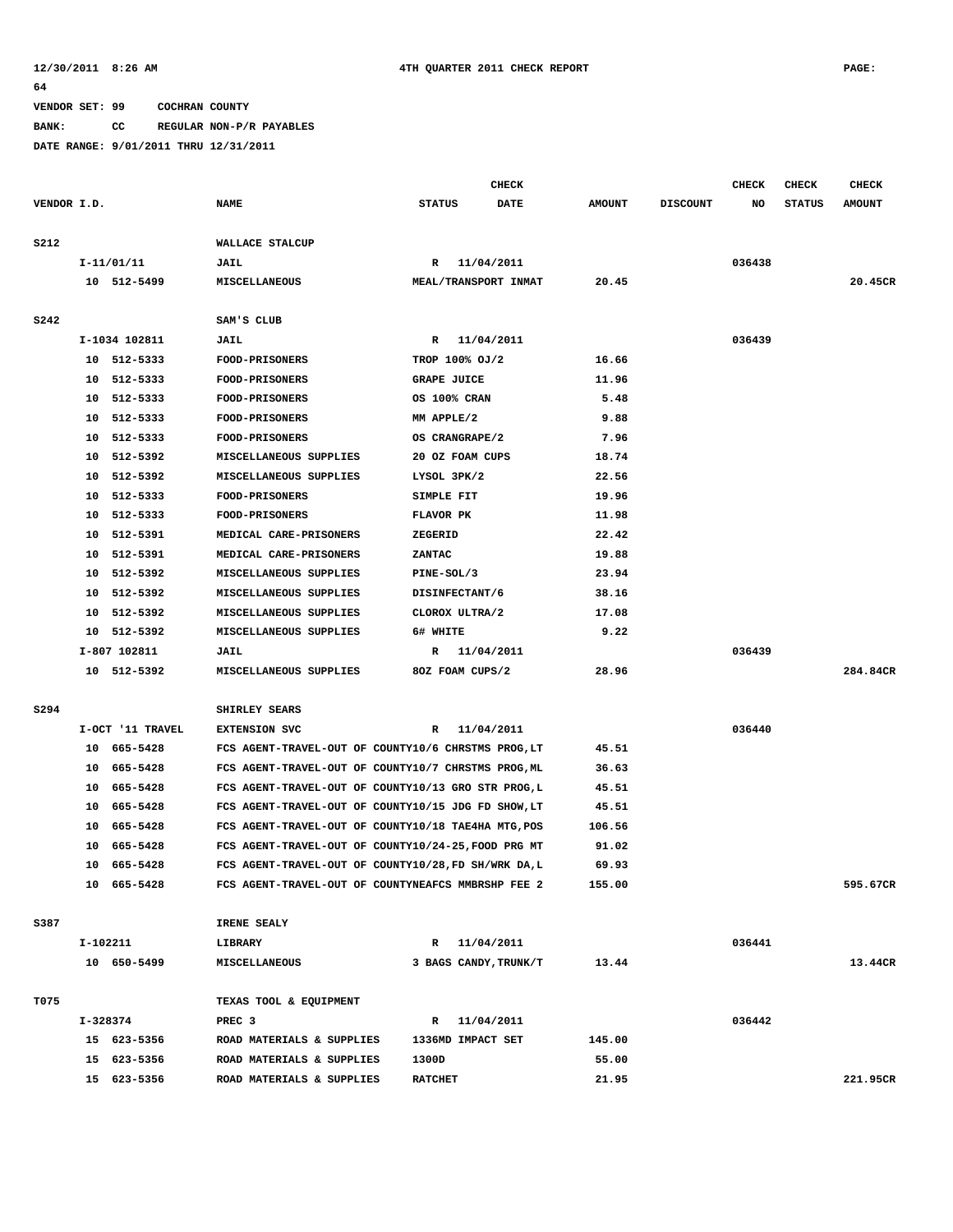#### **VENDOR SET: 99 COCHRAN COUNTY BANK: CC REGULAR NON-P/R PAYABLES DATE RANGE: 9/01/2011 THRU 12/31/2011**

|             |                  |                                                      | CHECK                        |               |                 | CHECK  | <b>CHECK</b>  | <b>CHECK</b>  |
|-------------|------------------|------------------------------------------------------|------------------------------|---------------|-----------------|--------|---------------|---------------|
| VENDOR I.D. |                  | <b>NAME</b>                                          | <b>STATUS</b><br><b>DATE</b> | <b>AMOUNT</b> | <b>DISCOUNT</b> | NO     | <b>STATUS</b> | <b>AMOUNT</b> |
| <b>S212</b> |                  | WALLACE STALCUP                                      |                              |               |                 |        |               |               |
|             | I-11/01/11       | JAIL                                                 | 11/04/2011<br>R              |               |                 | 036438 |               |               |
|             | 10 512-5499      | MISCELLANEOUS                                        | MEAL/TRANSPORT INMAT         | 20.45         |                 |        |               | 20.45CR       |
|             |                  |                                                      |                              |               |                 |        |               |               |
| S242        |                  | SAM'S CLUB                                           |                              |               |                 |        |               |               |
|             | I-1034 102811    | JAIL                                                 | 11/04/2011<br>R              |               |                 | 036439 |               |               |
|             | 10 512-5333      | <b>FOOD-PRISONERS</b>                                | TROP 100% OJ/2               | 16.66         |                 |        |               |               |
|             | 10<br>512-5333   | <b>FOOD-PRISONERS</b>                                | <b>GRAPE JUICE</b>           | 11.96         |                 |        |               |               |
|             | 512-5333<br>10   | FOOD-PRISONERS                                       | OS 100% CRAN                 | 5.48          |                 |        |               |               |
|             | 512-5333<br>10   | FOOD-PRISONERS                                       | MM APPLE/2                   | 9.88          |                 |        |               |               |
|             | 512-5333<br>10   | <b>FOOD-PRISONERS</b>                                | OS CRANGRAPE/2               | 7.96          |                 |        |               |               |
|             | 10 512-5392      | MISCELLANEOUS SUPPLIES                               | 20 OZ FOAM CUPS              | 18.74         |                 |        |               |               |
|             | 512-5392<br>10   | MISCELLANEOUS SUPPLIES                               | LYSOL 3PK/2                  | 22.56         |                 |        |               |               |
|             | 512-5333<br>10   | FOOD-PRISONERS                                       | SIMPLE FIT                   | 19.96         |                 |        |               |               |
|             | 512-5333<br>10   | <b>FOOD-PRISONERS</b>                                | FLAVOR PK                    | 11.98         |                 |        |               |               |
|             | 512-5391<br>10   | MEDICAL CARE-PRISONERS                               | ZEGERID                      | 22.42         |                 |        |               |               |
|             | 10<br>512-5391   | MEDICAL CARE-PRISONERS                               | ZANTAC                       | 19.88         |                 |        |               |               |
|             | 10 512-5392      | MISCELLANEOUS SUPPLIES                               | PINE-SOL/3                   | 23.94         |                 |        |               |               |
|             | 512-5392<br>10   | MISCELLANEOUS SUPPLIES                               | DISINFECTANT/6               | 38.16         |                 |        |               |               |
|             | 512-5392<br>10   | MISCELLANEOUS SUPPLIES                               | CLOROX ULTRA/2               | 17.08         |                 |        |               |               |
|             | 512-5392<br>10   | MISCELLANEOUS SUPPLIES                               | 6# WHITE                     | 9.22          |                 |        |               |               |
|             | I-807 102811     | <b>JAIL</b>                                          | 11/04/2011<br>R              |               |                 | 036439 |               |               |
|             | 10 512-5392      | MISCELLANEOUS SUPPLIES                               | 80Z FOAM CUPS/2              | 28.96         |                 |        |               | 284.84CR      |
|             |                  |                                                      |                              |               |                 |        |               |               |
| S294        |                  | SHIRLEY SEARS                                        |                              |               |                 |        |               |               |
|             | I-OCT '11 TRAVEL | <b>EXTENSION SVC</b>                                 | 11/04/2011<br>R              |               |                 | 036440 |               |               |
|             | 10 665-5428      | FCS AGENT-TRAVEL-OUT OF COUNTY10/6 CHRSTMS PROG, LT  |                              | 45.51         |                 |        |               |               |
|             | 10 665-5428      | FCS AGENT-TRAVEL-OUT OF COUNTY10/7 CHRSTMS PROG, ML  |                              | 36.63         |                 |        |               |               |
|             | 10<br>665–5428   | FCS AGENT-TRAVEL-OUT OF COUNTY10/13 GRO STR PROG, L  |                              | 45.51         |                 |        |               |               |
|             | 665-5428<br>10   | FCS AGENT-TRAVEL-OUT OF COUNTY10/15 JDG FD SHOW, LT  |                              | 45.51         |                 |        |               |               |
|             | 665-5428<br>10   | FCS AGENT-TRAVEL-OUT OF COUNTY10/18 TAE4HA MTG, POS  |                              | 106.56        |                 |        |               |               |
|             | 10<br>665-5428   | FCS AGENT-TRAVEL-OUT OF COUNTY10/24-25, FOOD PRG MT  |                              | 91.02         |                 |        |               |               |
|             | 10<br>665-5428   | FCS AGENT-TRAVEL-OUT OF COUNTY10/28, FD SH/WRK DA, L |                              | 69.93         |                 |        |               |               |
|             | 10 665-5428      | FCS AGENT-TRAVEL-OUT OF COUNTYNEAFCS MMBRSHP FEE 2   |                              | 155.00        |                 |        |               | 595.67CR      |
| S387        |                  | IRENE SEALY                                          |                              |               |                 |        |               |               |
|             | I-102211         | LIBRARY                                              | 11/04/2011<br>$\mathbb{R}$   |               |                 | 036441 |               |               |
|             | 10 650-5499      | <b>MISCELLANEOUS</b>                                 |                              | 13.44         |                 |        |               |               |
|             |                  |                                                      | 3 BAGS CANDY, TRUNK/T        |               |                 |        |               | 13.44CR       |
| T075        |                  | TEXAS TOOL & EQUIPMENT                               |                              |               |                 |        |               |               |
|             | I-328374         | PREC <sub>3</sub>                                    | R 11/04/2011                 |               |                 | 036442 |               |               |
|             | 15 623-5356      | ROAD MATERIALS & SUPPLIES                            | 1336MD IMPACT SET            | 145.00        |                 |        |               |               |
|             | 15 623-5356      | ROAD MATERIALS & SUPPLIES                            | 1300D                        | 55.00         |                 |        |               |               |
|             | 15 623-5356      | ROAD MATERIALS & SUPPLIES                            | <b>RATCHET</b>               | 21.95         |                 |        |               | 221.95CR      |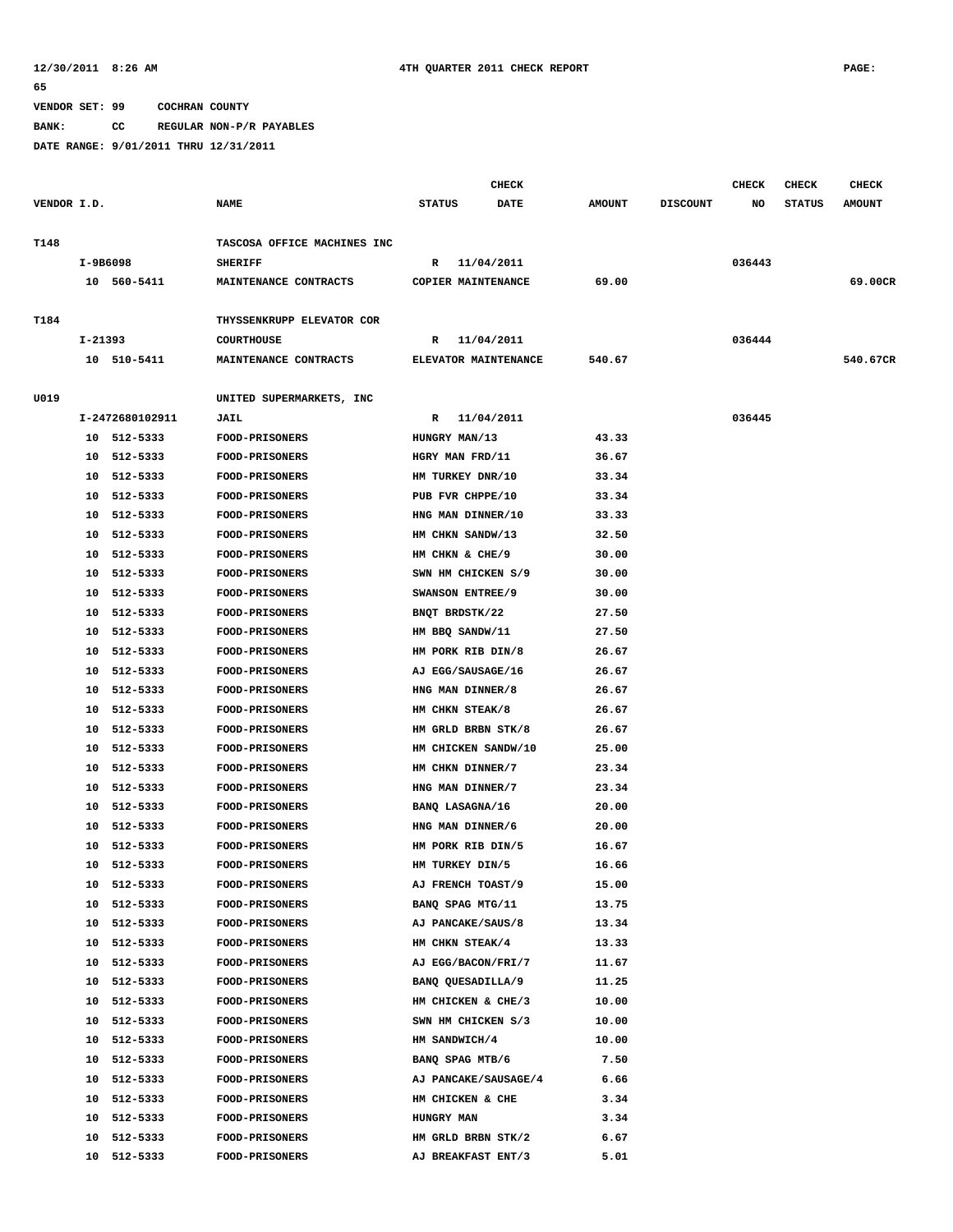#### **VENDOR SET: 99 COCHRAN COUNTY**

**BANK: CC REGULAR NON-P/R PAYABLES**

|             |          |                 |                                         |                   | <b>CHECK</b>         |      |               |                 | CHECK  | <b>CHECK</b>  | CHECK         |
|-------------|----------|-----------------|-----------------------------------------|-------------------|----------------------|------|---------------|-----------------|--------|---------------|---------------|
| VENDOR I.D. |          |                 | <b>NAME</b>                             | <b>STATUS</b>     |                      | DATE | <b>AMOUNT</b> | <b>DISCOUNT</b> | NO     | <b>STATUS</b> | <b>AMOUNT</b> |
|             |          |                 |                                         |                   |                      |      |               |                 |        |               |               |
| T148        |          |                 | TASCOSA OFFICE MACHINES INC             |                   |                      |      |               |                 |        |               |               |
|             | I-9B6098 |                 | <b>SHERIFF</b>                          | R                 | 11/04/2011           |      |               |                 | 036443 |               |               |
|             |          | 10 560-5411     | MAINTENANCE CONTRACTS                   |                   | COPIER MAINTENANCE   |      | 69.00         |                 |        |               | 69.00CR       |
|             |          |                 |                                         |                   |                      |      |               |                 |        |               |               |
| T184        |          |                 | THYSSENKRUPP ELEVATOR COR               |                   |                      |      |               |                 |        |               |               |
|             | I-21393  |                 | <b>COURTHOUSE</b>                       | R                 | 11/04/2011           |      |               |                 | 036444 |               |               |
|             |          | 10 510-5411     | MAINTENANCE CONTRACTS                   |                   | ELEVATOR MAINTENANCE |      | 540.67        |                 |        |               | 540.67CR      |
| U019        |          |                 |                                         |                   |                      |      |               |                 |        |               |               |
|             |          | I-2472680102911 | UNITED SUPERMARKETS, INC<br><b>JAIL</b> | R                 | 11/04/2011           |      |               |                 | 036445 |               |               |
|             |          | 10 512-5333     | <b>FOOD-PRISONERS</b>                   |                   | HUNGRY MAN/13        |      | 43.33         |                 |        |               |               |
|             | 10       | 512-5333        | <b>FOOD-PRISONERS</b>                   |                   | HGRY MAN FRD/11      |      | 36.67         |                 |        |               |               |
|             | 10       | 512-5333        | FOOD-PRISONERS                          |                   | HM TURKEY DNR/10     |      | 33.34         |                 |        |               |               |
|             | 10       | 512-5333        | <b>FOOD-PRISONERS</b>                   |                   | PUB FVR CHPPE/10     |      | 33.34         |                 |        |               |               |
|             | 10       | 512-5333        | <b>FOOD-PRISONERS</b>                   |                   | HNG MAN DINNER/10    |      | 33.33         |                 |        |               |               |
|             | 10       | 512-5333        | FOOD-PRISONERS                          |                   | HM CHKN SANDW/13     |      | 32.50         |                 |        |               |               |
|             | 10       | 512-5333        | <b>FOOD-PRISONERS</b>                   |                   | HM CHKN & CHE/9      |      | 30.00         |                 |        |               |               |
|             | 10       | 512-5333        | FOOD-PRISONERS                          |                   | SWN HM CHICKEN S/9   |      | 30.00         |                 |        |               |               |
|             | 10       | 512-5333        | FOOD-PRISONERS                          |                   | SWANSON ENTREE/9     |      | 30.00         |                 |        |               |               |
|             | 10       | 512-5333        | <b>FOOD-PRISONERS</b>                   |                   | BNQT BRDSTK/22       |      | 27.50         |                 |        |               |               |
|             | 10       | 512-5333        | <b>FOOD-PRISONERS</b>                   |                   | HM BBQ SANDW/11      |      | 27.50         |                 |        |               |               |
|             | 10       | 512-5333        | FOOD-PRISONERS                          |                   | HM PORK RIB DIN/8    |      | 26.67         |                 |        |               |               |
|             | 10       | 512-5333        | <b>FOOD-PRISONERS</b>                   |                   | AJ EGG/SAUSAGE/16    |      | 26.67         |                 |        |               |               |
|             | 10       | 512-5333        | <b>FOOD-PRISONERS</b>                   |                   | HNG MAN DINNER/8     |      | 26.67         |                 |        |               |               |
|             | 10       | 512-5333        | <b>FOOD-PRISONERS</b>                   |                   | HM CHKN STEAK/8      |      | 26.67         |                 |        |               |               |
|             | 10       | 512-5333        | <b>FOOD-PRISONERS</b>                   |                   | HM GRLD BRBN STK/8   |      | 26.67         |                 |        |               |               |
|             | 10       | 512-5333        | <b>FOOD-PRISONERS</b>                   |                   | HM CHICKEN SANDW/10  |      | 25.00         |                 |        |               |               |
|             | 10       | 512-5333        | <b>FOOD-PRISONERS</b>                   |                   | HM CHKN DINNER/7     |      | 23.34         |                 |        |               |               |
|             | 10       | 512-5333        | <b>FOOD-PRISONERS</b>                   |                   | HNG MAN DINNER/7     |      | 23.34         |                 |        |               |               |
|             | 10       | 512-5333        | <b>FOOD-PRISONERS</b>                   |                   | BANQ LASAGNA/16      |      | 20.00         |                 |        |               |               |
|             | 10       | 512-5333        | <b>FOOD-PRISONERS</b>                   |                   | HNG MAN DINNER/6     |      | 20.00         |                 |        |               |               |
|             | 10       | 512-5333        | <b>FOOD-PRISONERS</b>                   |                   | HM PORK RIB DIN/5    |      | 16.67         |                 |        |               |               |
|             | 10       | 512-5333        | <b>FOOD-PRISONERS</b>                   |                   | HM TURKEY DIN/5      |      | 16.66         |                 |        |               |               |
|             |          | 10 512-5333     | <b>FOOD-PRISONERS</b>                   |                   | AJ FRENCH TOAST/9    |      | 15.00         |                 |        |               |               |
|             | 10       | 512-5333        | <b>FOOD-PRISONERS</b>                   |                   | BANQ SPAG MTG/11     |      | 13.75         |                 |        |               |               |
|             | 10       | 512-5333        | <b>FOOD-PRISONERS</b>                   |                   | AJ PANCAKE/SAUS/8    |      | 13.34         |                 |        |               |               |
|             | 10       | 512-5333        | FOOD-PRISONERS                          |                   | HM CHKN STEAK/4      |      | 13.33         |                 |        |               |               |
|             | 10       | 512-5333        | <b>FOOD-PRISONERS</b>                   |                   | AJ EGG/BACON/FRI/7   |      | 11.67         |                 |        |               |               |
|             | 10       | 512-5333        | <b>FOOD-PRISONERS</b>                   |                   | BANQ QUESADILLA/9    |      | 11.25         |                 |        |               |               |
|             | 10       | 512-5333        | FOOD-PRISONERS                          |                   | HM CHICKEN & CHE/3   |      | 10.00         |                 |        |               |               |
|             | 10       | 512-5333        | <b>FOOD-PRISONERS</b>                   |                   | SWN HM CHICKEN S/3   |      | 10.00         |                 |        |               |               |
|             | 10       | 512-5333        | <b>FOOD-PRISONERS</b>                   |                   | HM SANDWICH/4        |      | 10.00         |                 |        |               |               |
|             | 10       | 512-5333        | <b>FOOD-PRISONERS</b>                   |                   | BANQ SPAG MTB/6      |      | 7.50          |                 |        |               |               |
|             | 10       | 512-5333        | <b>FOOD-PRISONERS</b>                   |                   | AJ PANCAKE/SAUSAGE/4 |      | 6.66          |                 |        |               |               |
|             |          | 10 512-5333     | <b>FOOD-PRISONERS</b>                   |                   | HM CHICKEN & CHE     |      | 3.34          |                 |        |               |               |
|             | 10       | 512-5333        | <b>FOOD-PRISONERS</b>                   | <b>HUNGRY MAN</b> |                      |      | 3.34          |                 |        |               |               |
|             | 10       | 512-5333        | <b>FOOD-PRISONERS</b>                   |                   | HM GRLD BRBN STK/2   |      | 6.67          |                 |        |               |               |
|             | 10       | 512-5333        | <b>FOOD-PRISONERS</b>                   |                   | AJ BREAKFAST ENT/3   |      | 5.01          |                 |        |               |               |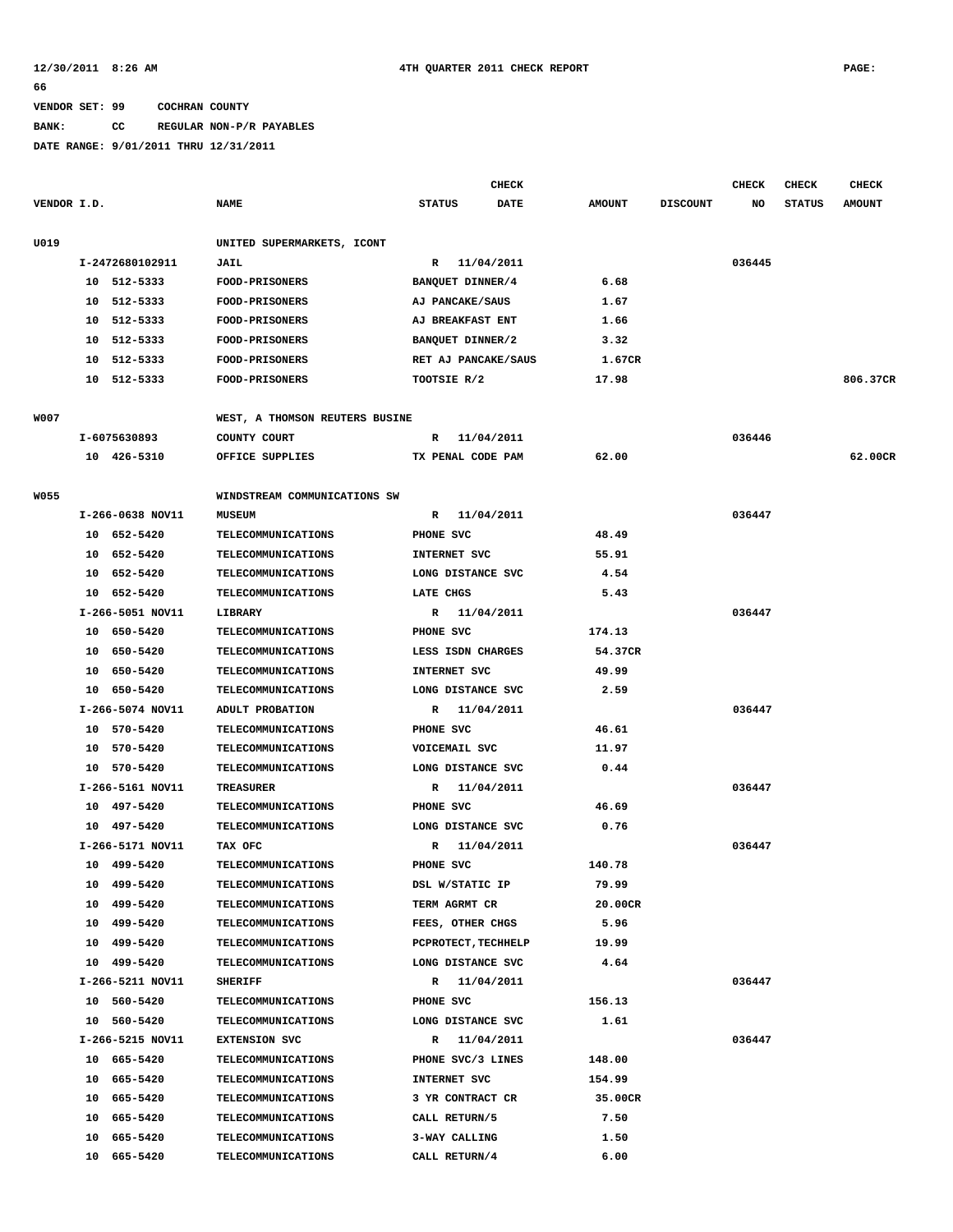#### **VENDOR SET: 99 COCHRAN COUNTY**

# **BANK: CC REGULAR NON-P/R PAYABLES**

|             |                  |                                | <b>CHECK</b>                 |               |                 | CHECK  | <b>CHECK</b>  | <b>CHECK</b>  |
|-------------|------------------|--------------------------------|------------------------------|---------------|-----------------|--------|---------------|---------------|
| VENDOR I.D. |                  | <b>NAME</b>                    | <b>STATUS</b><br><b>DATE</b> | <b>AMOUNT</b> | <b>DISCOUNT</b> | NO     | <b>STATUS</b> | <b>AMOUNT</b> |
| U019        |                  | UNITED SUPERMARKETS, ICONT     |                              |               |                 |        |               |               |
|             | I-2472680102911  | JAIL                           | 11/04/2011<br>$\mathbb{R}$   |               |                 | 036445 |               |               |
|             | 10 512-5333      | <b>FOOD-PRISONERS</b>          | BANQUET DINNER/4             | 6.68          |                 |        |               |               |
|             | 10 512-5333      | <b>FOOD-PRISONERS</b>          | AJ PANCAKE/SAUS              | 1.67          |                 |        |               |               |
|             | 10 512-5333      | <b>FOOD-PRISONERS</b>          | AJ BREAKFAST ENT             | 1.66          |                 |        |               |               |
|             | 10 512-5333      | <b>FOOD-PRISONERS</b>          | BANQUET DINNER/2             | 3.32          |                 |        |               |               |
|             | 10 512-5333      | <b>FOOD-PRISONERS</b>          | RET AJ PANCAKE/SAUS          | 1.67CR        |                 |        |               |               |
|             | 10 512-5333      | <b>FOOD-PRISONERS</b>          | TOOTSIE R/2                  | 17.98         |                 |        |               | 806.37CR      |
| W007        |                  | WEST, A THOMSON REUTERS BUSINE |                              |               |                 |        |               |               |
|             | I-6075630893     | COUNTY COURT                   | 11/04/2011<br>$\mathbb{R}$   |               |                 | 036446 |               |               |
|             | 10 426-5310      | OFFICE SUPPLIES                | TX PENAL CODE PAM            | 62.00         |                 |        |               | 62.00CR       |
| W055        |                  | WINDSTREAM COMMUNICATIONS SW   |                              |               |                 |        |               |               |
|             | I-266-0638 NOV11 | <b>MUSEUM</b>                  | 11/04/2011<br>R              |               |                 | 036447 |               |               |
|             | 10 652-5420      | <b>TELECOMMUNICATIONS</b>      | PHONE SVC                    | 48.49         |                 |        |               |               |
|             | 10 652-5420      | TELECOMMUNICATIONS             | INTERNET SVC                 | 55.91         |                 |        |               |               |
|             | 10 652-5420      | TELECOMMUNICATIONS             | LONG DISTANCE SVC            | 4.54          |                 |        |               |               |
|             | 10 652-5420      | <b>TELECOMMUNICATIONS</b>      | LATE CHGS                    | 5.43          |                 |        |               |               |
|             | I-266-5051 NOV11 | LIBRARY                        | 11/04/2011<br>R              |               |                 | 036447 |               |               |
|             | 10 650-5420      | TELECOMMUNICATIONS             | PHONE SVC                    | 174.13        |                 |        |               |               |
|             | 10 650-5420      | <b>TELECOMMUNICATIONS</b>      | LESS ISDN CHARGES            | 54.37CR       |                 |        |               |               |
|             | 10 650-5420      | TELECOMMUNICATIONS             | INTERNET SVC                 | 49.99         |                 |        |               |               |
|             | 10 650-5420      | <b>TELECOMMUNICATIONS</b>      | LONG DISTANCE SVC            | 2.59          |                 |        |               |               |
|             | I-266-5074 NOV11 | ADULT PROBATION                | 11/04/2011<br>R              |               |                 | 036447 |               |               |
|             | 10 570-5420      | <b>TELECOMMUNICATIONS</b>      | PHONE SVC                    | 46.61         |                 |        |               |               |
|             |                  |                                |                              |               |                 |        |               |               |
|             | 10 570-5420      | <b>TELECOMMUNICATIONS</b>      | VOICEMAIL SVC                | 11.97         |                 |        |               |               |
|             | 10 570-5420      | <b>TELECOMMUNICATIONS</b>      | LONG DISTANCE SVC            | 0.44          |                 | 036447 |               |               |
|             | I-266-5161 NOV11 | TREASURER                      | R<br>11/04/2011              |               |                 |        |               |               |
|             | 10 497-5420      | <b>TELECOMMUNICATIONS</b>      | PHONE SVC                    | 46.69         |                 |        |               |               |
|             | 10 497-5420      | <b>TELECOMMUNICATIONS</b>      | LONG DISTANCE SVC            | 0.76          |                 |        |               |               |
|             | I-266-5171 NOV11 | TAX OFC                        | 11/04/2011<br>R              |               |                 | 036447 |               |               |
|             | 10 499-5420      | TELECOMMUNICATIONS             | PHONE SVC                    | 140.78        |                 |        |               |               |
|             | 499-5420<br>10   | <b>TELECOMMUNICATIONS</b>      | DSL W/STATIC IP              | 79.99         |                 |        |               |               |
|             | 499-5420<br>10   | <b>TELECOMMUNICATIONS</b>      | TERM AGRMT CR                | 20.00CR       |                 |        |               |               |
|             | 10 499-5420      | <b>TELECOMMUNICATIONS</b>      | FEES, OTHER CHGS             | 5.96          |                 |        |               |               |
|             | 10 499-5420      | <b>TELECOMMUNICATIONS</b>      | PCPROTECT, TECHHELP          | 19.99         |                 |        |               |               |
|             | 10 499-5420      | <b>TELECOMMUNICATIONS</b>      | LONG DISTANCE SVC            | 4.64          |                 |        |               |               |
|             | I-266-5211 NOV11 | SHERIFF                        | R 11/04/2011                 |               |                 | 036447 |               |               |
|             | 10 560-5420      | <b>TELECOMMUNICATIONS</b>      | PHONE SVC                    | 156.13        |                 |        |               |               |
|             | 10 560-5420      | TELECOMMUNICATIONS             | LONG DISTANCE SVC            | 1.61          |                 |        |               |               |
|             | I-266-5215 NOV11 | <b>EXTENSION SVC</b>           | R 11/04/2011                 |               |                 | 036447 |               |               |
|             | 10 665-5420      | <b>TELECOMMUNICATIONS</b>      | PHONE SVC/3 LINES            | 148.00        |                 |        |               |               |
|             | 10 665-5420      | <b>TELECOMMUNICATIONS</b>      | INTERNET SVC                 | 154.99        |                 |        |               |               |
|             | 10 665-5420      | <b>TELECOMMUNICATIONS</b>      | 3 YR CONTRACT CR             | 35.00CR       |                 |        |               |               |
|             | 10 665-5420      | <b>TELECOMMUNICATIONS</b>      | CALL RETURN/5                | 7.50          |                 |        |               |               |
|             | 665-5420<br>10   | <b>TELECOMMUNICATIONS</b>      | 3-WAY CALLING                | 1.50          |                 |        |               |               |
|             | 10 665-5420      | TELECOMMUNICATIONS             | CALL RETURN/4                | 6.00          |                 |        |               |               |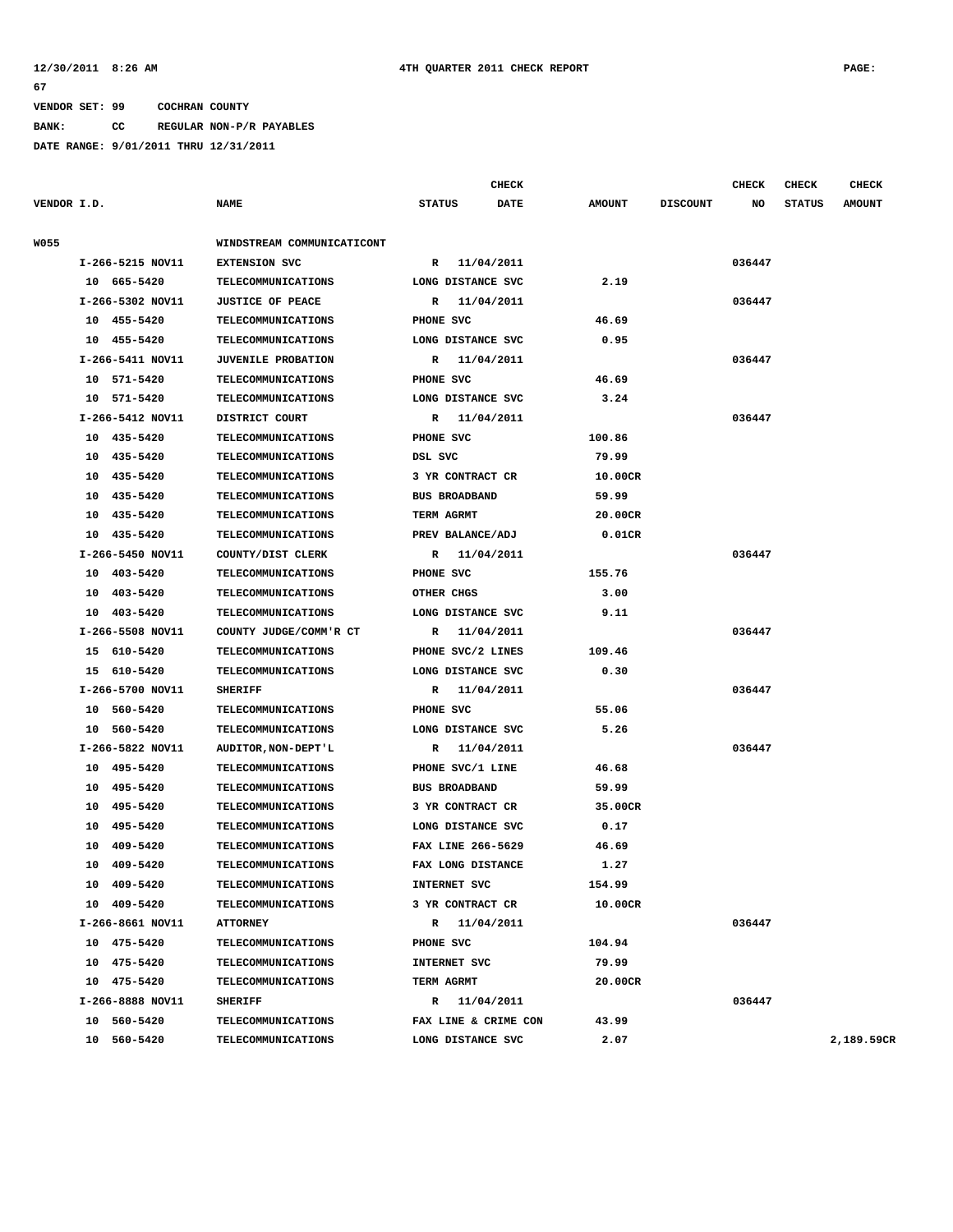### **VENDOR SET: 99 COCHRAN COUNTY BANK: CC REGULAR NON-P/R PAYABLES**

|             |                  |                            |                      | CHECK      |               |                 | <b>CHECK</b> | <b>CHECK</b>  | <b>CHECK</b>  |
|-------------|------------------|----------------------------|----------------------|------------|---------------|-----------------|--------------|---------------|---------------|
| VENDOR I.D. |                  | <b>NAME</b>                | <b>STATUS</b>        | DATE       | <b>AMOUNT</b> | <b>DISCOUNT</b> | NO           | <b>STATUS</b> | <b>AMOUNT</b> |
| <b>W055</b> |                  | WINDSTREAM COMMUNICATICONT |                      |            |               |                 |              |               |               |
|             | I-266-5215 NOV11 | <b>EXTENSION SVC</b>       | R 11/04/2011         |            |               |                 | 036447       |               |               |
|             | 10 665-5420      | <b>TELECOMMUNICATIONS</b>  | LONG DISTANCE SVC    |            | 2.19          |                 |              |               |               |
|             | I-266-5302 NOV11 | <b>JUSTICE OF PEACE</b>    | R                    | 11/04/2011 |               |                 | 036447       |               |               |
|             | 10 455-5420      | <b>TELECOMMUNICATIONS</b>  | PHONE SVC            |            | 46.69         |                 |              |               |               |
|             | 10 455-5420      | <b>TELECOMMUNICATIONS</b>  | LONG DISTANCE SVC    |            | 0.95          |                 |              |               |               |
|             | I-266-5411 NOV11 | <b>JUVENILE PROBATION</b>  | R                    | 11/04/2011 |               |                 | 036447       |               |               |
|             | 10 571-5420      | <b>TELECOMMUNICATIONS</b>  | PHONE SVC            |            | 46.69         |                 |              |               |               |
|             | 10 571-5420      | TELECOMMUNICATIONS         | LONG DISTANCE SVC    |            | 3.24          |                 |              |               |               |
|             | I-266-5412 NOV11 | DISTRICT COURT             | R                    | 11/04/2011 |               |                 | 036447       |               |               |
|             | 10 435-5420      | <b>TELECOMMUNICATIONS</b>  | PHONE SVC            |            | 100.86        |                 |              |               |               |
|             | 10 435-5420      | <b>TELECOMMUNICATIONS</b>  | DSL SVC              |            | 79.99         |                 |              |               |               |
|             | 10 435-5420      | TELECOMMUNICATIONS         | 3 YR CONTRACT CR     |            | 10.00CR       |                 |              |               |               |
|             | 10 435-5420      | <b>TELECOMMUNICATIONS</b>  | <b>BUS BROADBAND</b> |            | 59.99         |                 |              |               |               |
|             | 10 435-5420      | <b>TELECOMMUNICATIONS</b>  | TERM AGRMT           |            | 20.00CR       |                 |              |               |               |
|             | 10 435-5420      | <b>TELECOMMUNICATIONS</b>  | PREV BALANCE/ADJ     |            | 0.01CR        |                 |              |               |               |
|             | I-266-5450 NOV11 | COUNTY/DIST CLERK          | R 11/04/2011         |            |               |                 | 036447       |               |               |
|             | 10 403-5420      | <b>TELECOMMUNICATIONS</b>  | PHONE SVC            |            | 155.76        |                 |              |               |               |
|             | 10 403-5420      | <b>TELECOMMUNICATIONS</b>  | OTHER CHGS           |            | 3.00          |                 |              |               |               |
|             | 10 403-5420      | <b>TELECOMMUNICATIONS</b>  | LONG DISTANCE SVC    |            | 9.11          |                 |              |               |               |
|             | I-266-5508 NOV11 | COUNTY JUDGE/COMM'R CT     | R 11/04/2011         |            |               |                 | 036447       |               |               |
|             | 15 610-5420      | <b>TELECOMMUNICATIONS</b>  | PHONE SVC/2 LINES    |            | 109.46        |                 |              |               |               |
|             | 15 610-5420      | <b>TELECOMMUNICATIONS</b>  | LONG DISTANCE SVC    |            | 0.30          |                 |              |               |               |
|             | I-266-5700 NOV11 | <b>SHERIFF</b>             | R 11/04/2011         |            |               |                 | 036447       |               |               |
|             | 10 560-5420      | TELECOMMUNICATIONS         | PHONE SVC            |            | 55.06         |                 |              |               |               |
|             | 10 560-5420      | <b>TELECOMMUNICATIONS</b>  | LONG DISTANCE SVC    |            | 5.26          |                 |              |               |               |
|             | I-266-5822 NOV11 | AUDITOR, NON-DEPT'L        | R 11/04/2011         |            |               |                 | 036447       |               |               |
|             | 10 495-5420      | TELECOMMUNICATIONS         | PHONE SVC/1 LINE     |            | 46.68         |                 |              |               |               |
|             | 10 495-5420      | <b>TELECOMMUNICATIONS</b>  | <b>BUS BROADBAND</b> |            | 59.99         |                 |              |               |               |
|             | 10 495-5420      | <b>TELECOMMUNICATIONS</b>  | 3 YR CONTRACT CR     |            | 35.00CR       |                 |              |               |               |
|             | 10 495-5420      | <b>TELECOMMUNICATIONS</b>  | LONG DISTANCE SVC    |            | 0.17          |                 |              |               |               |
|             | 10<br>409-5420   | <b>TELECOMMUNICATIONS</b>  | FAX LINE 266-5629    |            | 46.69         |                 |              |               |               |
|             | 10 409-5420      | <b>TELECOMMUNICATIONS</b>  | FAX LONG DISTANCE    |            | 1.27          |                 |              |               |               |
|             | 10 409-5420      | <b>TELECOMMUNICATIONS</b>  | INTERNET SVC         |            | 154.99        |                 |              |               |               |
|             | 10 409-5420      | <b>TELECOMMUNICATIONS</b>  | 3 YR CONTRACT CR     |            | 10.00CR       |                 |              |               |               |
|             | I-266-8661 NOV11 | <b>ATTORNEY</b>            | R 11/04/2011         |            |               |                 | 036447       |               |               |
|             | 10 475-5420      | <b>TELECOMMUNICATIONS</b>  | PHONE SVC            |            | 104.94        |                 |              |               |               |
|             | 10 475-5420      | <b>TELECOMMUNICATIONS</b>  | INTERNET SVC         |            | 79.99         |                 |              |               |               |
|             | 10 475-5420      | <b>TELECOMMUNICATIONS</b>  | TERM AGRMT           |            | 20.00CR       |                 |              |               |               |
|             | I-266-8888 NOV11 | <b>SHERIFF</b>             | R 11/04/2011         |            |               |                 | 036447       |               |               |
|             | 10 560-5420      | <b>TELECOMMUNICATIONS</b>  | FAX LINE & CRIME CON |            | 43.99         |                 |              |               |               |
|             | 10 560-5420      | <b>TELECOMMUNICATIONS</b>  | LONG DISTANCE SVC    |            | 2.07          |                 |              |               | 2,189.59CR    |
|             |                  |                            |                      |            |               |                 |              |               |               |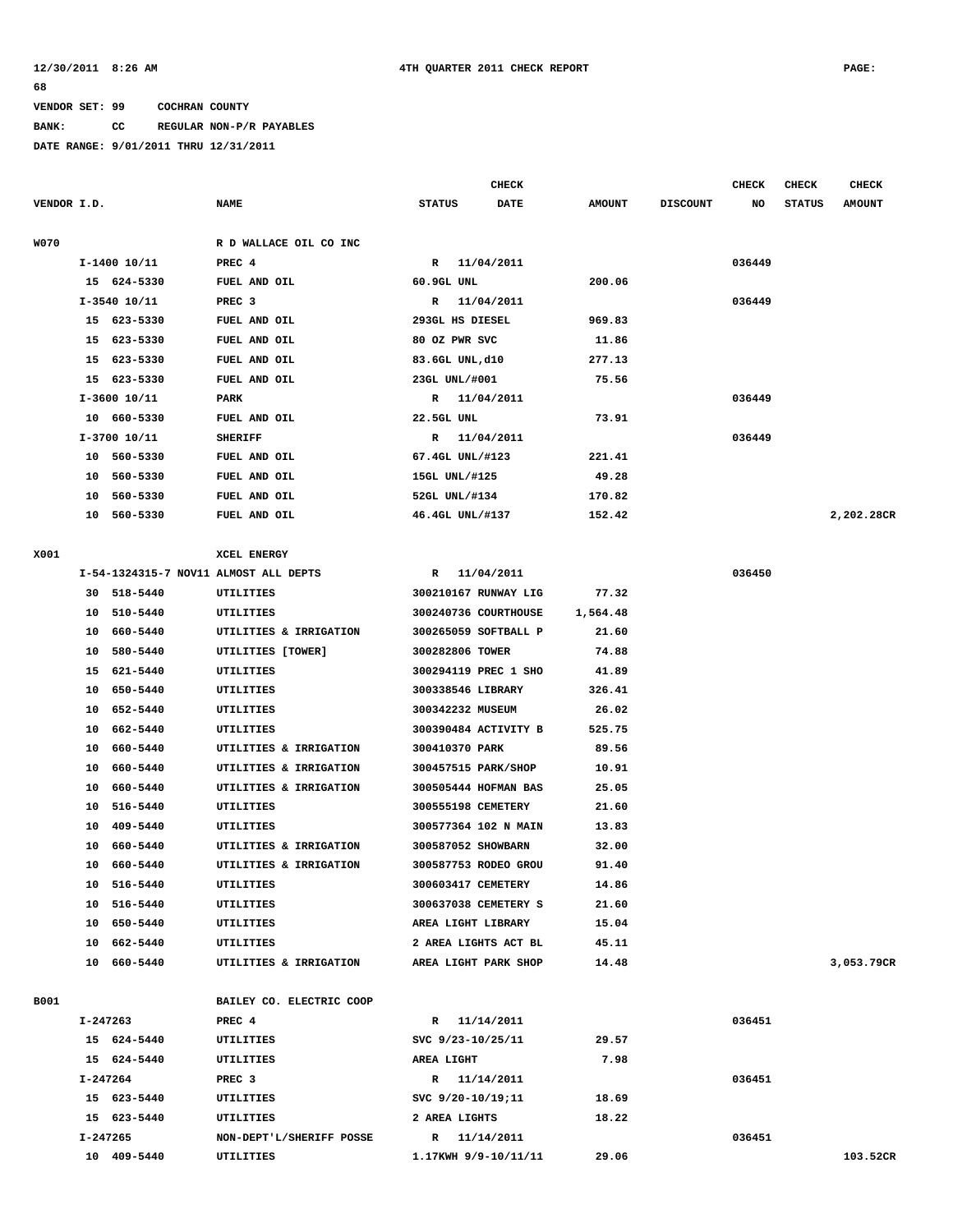### **VENDOR SET: 99 COCHRAN COUNTY BANK: CC REGULAR NON-P/R PAYABLES**

|             |              |                  |                                       |                      | <b>CHECK</b> |               |                 | CHECK  | CHECK         | CHECK         |
|-------------|--------------|------------------|---------------------------------------|----------------------|--------------|---------------|-----------------|--------|---------------|---------------|
| VENDOR I.D. |              |                  | <b>NAME</b>                           | <b>STATUS</b>        | DATE         | <b>AMOUNT</b> | <b>DISCOUNT</b> | NO     | <b>STATUS</b> | <b>AMOUNT</b> |
| W070        |              |                  | R D WALLACE OIL CO INC                |                      |              |               |                 |        |               |               |
|             |              | I-1400 10/11     | PREC 4                                | $\mathbb{R}$         | 11/04/2011   |               |                 | 036449 |               |               |
|             |              | 15 624-5330      | FUEL AND OIL                          | 60.9GL UNL           |              | 200.06        |                 |        |               |               |
|             |              | $I-3540$ 10/11   | PREC <sub>3</sub>                     | $\mathbb{R}$         | 11/04/2011   |               |                 | 036449 |               |               |
|             |              | 15 623-5330      | FUEL AND OIL                          | 293GL HS DIESEL      |              | 969.83        |                 |        |               |               |
|             |              | 15 623-5330      | FUEL AND OIL                          | 80 OZ PWR SVC        |              | 11.86         |                 |        |               |               |
|             |              | 15 623-5330      | FUEL AND OIL                          | 83.6GL UNL, d10      |              | 277.13        |                 |        |               |               |
|             |              | 15 623-5330      | FUEL AND OIL                          | 23GL UNL/#001        |              | 75.56         |                 |        |               |               |
|             |              | $I-3600$ $10/11$ | PARK                                  | R                    | 11/04/2011   |               |                 | 036449 |               |               |
|             |              | 10 660-5330      | FUEL AND OIL                          | 22.5GL UNL           |              | 73.91         |                 |        |               |               |
|             |              | $I-3700$ 10/11   | <b>SHERIFF</b>                        | $\mathbb{R}$         | 11/04/2011   |               |                 | 036449 |               |               |
|             |              | 10 560-5330      | FUEL AND OIL                          | 67.4GL UNL/#123      |              | 221.41        |                 |        |               |               |
|             |              | 10 560-5330      | FUEL AND OIL                          | 15GL UNL/#125        |              | 49.28         |                 |        |               |               |
|             |              | 10 560-5330      | FUEL AND OIL                          | 52GL UNL/#134        |              | 170.82        |                 |        |               |               |
|             |              | 10 560-5330      | FUEL AND OIL                          | 46.4GL UNL/#137      |              | 152.42        |                 |        |               | 2,202.28CR    |
|             |              |                  |                                       |                      |              |               |                 |        |               |               |
| X001        |              |                  | XCEL ENERGY                           |                      |              |               |                 |        |               |               |
|             |              |                  | I-54-1324315-7 NOV11 ALMOST ALL DEPTS | R                    | 11/04/2011   |               |                 | 036450 |               |               |
|             | 30           | 518-5440         | UTILITIES                             | 300210167 RUNWAY LIG |              | 77.32         |                 |        |               |               |
|             | 10           | 510-5440         | UTILITIES                             | 300240736 COURTHOUSE |              | 1,564.48      |                 |        |               |               |
|             | 10           | 660-5440         | UTILITIES & IRRIGATION                | 300265059 SOFTBALL P |              | 21.60         |                 |        |               |               |
|             | 10           | 580-5440         | UTILITIES [TOWER]                     | 300282806 TOWER      |              | 74.88         |                 |        |               |               |
|             | 15           | 621-5440         | UTILITIES                             | 300294119 PREC 1 SHO |              | 41.89         |                 |        |               |               |
|             | 10           | 650-5440         | UTILITIES                             | 300338546 LIBRARY    |              | 326.41        |                 |        |               |               |
|             | 10           | 652-5440         | UTILITIES                             | 300342232 MUSEUM     |              | 26.02         |                 |        |               |               |
|             | 10           | 662-5440         | UTILITIES                             | 300390484 ACTIVITY B |              | 525.75        |                 |        |               |               |
|             | 10           | 660-5440         | UTILITIES & IRRIGATION                | 300410370 PARK       |              | 89.56         |                 |        |               |               |
|             | 10           | 660-5440         | UTILITIES & IRRIGATION                | 300457515 PARK/SHOP  |              | 10.91         |                 |        |               |               |
|             | 10           | 660-5440         | UTILITIES & IRRIGATION                | 300505444 HOFMAN BAS |              | 25.05         |                 |        |               |               |
|             | 10           | 516-5440         | UTILITIES                             | 300555198 CEMETERY   |              | 21.60         |                 |        |               |               |
|             | 10           | 409-5440         | UTILITIES                             | 300577364 102 N MAIN |              | 13.83         |                 |        |               |               |
|             | 10           | 660-5440         | UTILITIES & IRRIGATION                | 300587052 SHOWBARN   |              | 32.00         |                 |        |               |               |
|             |              | 10 660-5440      | UTILITIES & IRRIGATION                | 300587753 RODEO GROU |              | 91.40         |                 |        |               |               |
|             |              | 10 516-5440      | UTILITIES                             | 300603417 CEMETERY   |              | 14.86         |                 |        |               |               |
|             |              | 10 516-5440      | UTILITIES                             | 300637038 CEMETERY S |              | 21.60         |                 |        |               |               |
|             |              | 10 650-5440      | UTILITIES                             | AREA LIGHT LIBRARY   |              | 15.04         |                 |        |               |               |
|             |              | 10 662-5440      | UTILITIES                             | 2 AREA LIGHTS ACT BL |              | 45.11         |                 |        |               |               |
|             |              | 10 660-5440      | UTILITIES & IRRIGATION                | AREA LIGHT PARK SHOP |              | 14.48         |                 |        |               | 3,053.79CR    |
|             |              |                  |                                       |                      |              |               |                 |        |               |               |
| B001        |              |                  | BAILEY CO. ELECTRIC COOP              |                      |              |               |                 |        |               |               |
|             | I-247263     |                  | PREC 4                                | R 11/14/2011         |              |               |                 | 036451 |               |               |
|             |              | 15 624-5440      | UTILITIES                             | SVC 9/23-10/25/11    |              | 29.57         |                 |        |               |               |
|             |              | 15 624-5440      | UTILITIES                             | AREA LIGHT           |              | 7.98          |                 |        |               |               |
|             | $I - 247264$ |                  | PREC <sub>3</sub>                     | R 11/14/2011         |              |               |                 | 036451 |               |               |
|             |              | 15 623-5440      | UTILITIES                             | svc 9/20-10/19;11    |              | 18.69         |                 |        |               |               |
|             |              | 15 623-5440      | UTILITIES                             | 2 AREA LIGHTS        |              | 18.22         |                 |        |               |               |
|             | I-247265     |                  | NON-DEPT'L/SHERIFF POSSE              | R 11/14/2011         |              |               |                 | 036451 |               |               |
|             |              | 10 409-5440      | UTILITIES                             | 1.17KWH 9/9-10/11/11 |              | 29.06         |                 |        |               | 103.52CR      |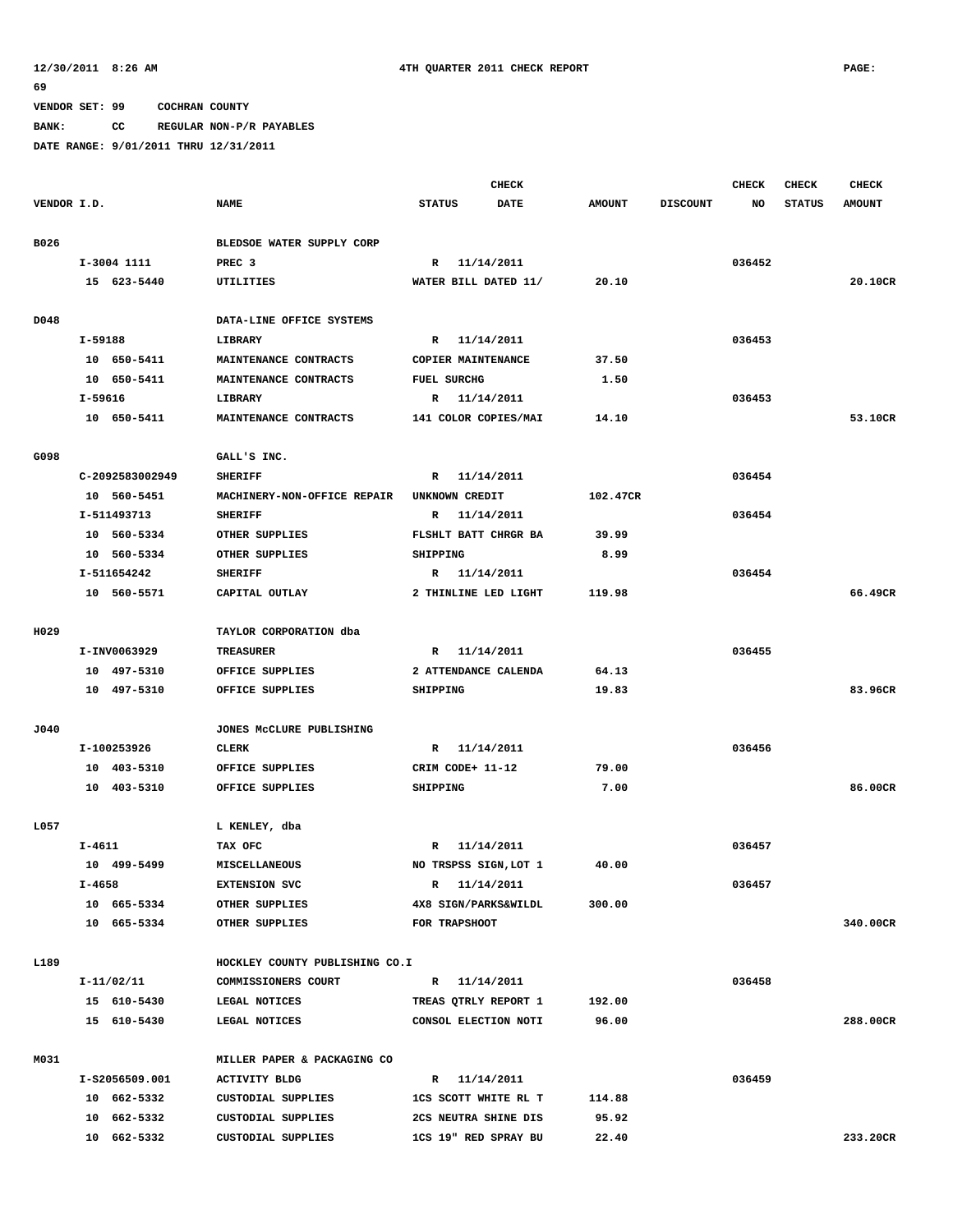# **VENDOR SET: 99 COCHRAN COUNTY**

**BANK: CC REGULAR NON-P/R PAYABLES**

|             |                            |                                                | <b>CHECK</b>                             |             |               |                 | <b>CHECK</b> | <b>CHECK</b>  | <b>CHECK</b>  |
|-------------|----------------------------|------------------------------------------------|------------------------------------------|-------------|---------------|-----------------|--------------|---------------|---------------|
| VENDOR I.D. |                            | <b>NAME</b>                                    | <b>STATUS</b>                            | <b>DATE</b> | <b>AMOUNT</b> | <b>DISCOUNT</b> | NO           | <b>STATUS</b> | <b>AMOUNT</b> |
|             |                            |                                                |                                          |             |               |                 |              |               |               |
| B026        |                            | BLEDSOE WATER SUPPLY CORP                      |                                          |             |               |                 |              |               |               |
|             | I-3004 1111                | PREC <sub>3</sub>                              | R 11/14/2011                             |             |               |                 | 036452       |               |               |
|             | 15 623-5440                | UTILITIES                                      | WATER BILL DATED 11/                     |             | 20.10         |                 |              |               | 20.10CR       |
|             |                            |                                                |                                          |             |               |                 |              |               |               |
| D048        |                            | DATA-LINE OFFICE SYSTEMS                       |                                          |             |               |                 |              |               |               |
|             | I-59188                    | LIBRARY                                        | R 11/14/2011                             |             |               |                 | 036453       |               |               |
|             | 10 650-5411<br>10 650-5411 | MAINTENANCE CONTRACTS<br>MAINTENANCE CONTRACTS | COPIER MAINTENANCE<br><b>FUEL SURCHG</b> |             | 37.50<br>1.50 |                 |              |               |               |
|             | I-59616                    | LIBRARY                                        | R 11/14/2011                             |             |               |                 | 036453       |               |               |
|             | 10 650-5411                | MAINTENANCE CONTRACTS                          | 141 COLOR COPIES/MAI                     |             | 14.10         |                 |              |               | 53.10CR       |
|             |                            |                                                |                                          |             |               |                 |              |               |               |
| G098        |                            | GALL'S INC.                                    |                                          |             |               |                 |              |               |               |
|             | C-2092583002949            | <b>SHERIFF</b>                                 | R                                        | 11/14/2011  |               |                 | 036454       |               |               |
|             | 10 560-5451                | MACHINERY-NON-OFFICE REPAIR                    | UNKNOWN CREDIT                           |             | 102.47CR      |                 |              |               |               |
|             | I-511493713                | <b>SHERIFF</b>                                 | R 11/14/2011                             |             |               |                 | 036454       |               |               |
|             | 10 560-5334                | <b>OTHER SUPPLIES</b>                          | FLSHLT BATT CHRGR BA                     |             | 39.99         |                 |              |               |               |
|             | 10 560-5334                | OTHER SUPPLIES                                 | SHIPPING                                 |             | 8.99          |                 |              |               |               |
|             | I-511654242                | <b>SHERIFF</b>                                 | R 11/14/2011                             |             |               |                 | 036454       |               |               |
|             | 10 560-5571                | CAPITAL OUTLAY                                 | 2 THINLINE LED LIGHT                     |             | 119.98        |                 |              |               | 66.49CR       |
|             |                            |                                                |                                          |             |               |                 |              |               |               |
| H029        |                            | TAYLOR CORPORATION dba                         |                                          |             |               |                 |              |               |               |
|             | I-INV0063929               | <b>TREASURER</b>                               | R 11/14/2011                             |             |               |                 | 036455       |               |               |
|             | 10 497-5310                | OFFICE SUPPLIES                                | 2 ATTENDANCE CALENDA                     |             | 64.13         |                 |              |               |               |
|             | 10 497-5310                | OFFICE SUPPLIES                                | SHIPPING                                 |             | 19.83         |                 |              |               | 83.96CR       |
|             |                            |                                                |                                          |             |               |                 |              |               |               |
| J040        |                            | JONES MCCLURE PUBLISHING                       |                                          |             |               |                 |              |               |               |
|             | I-100253926                | <b>CLERK</b>                                   | R 11/14/2011                             |             |               |                 | 036456       |               |               |
|             | 10 403-5310                | OFFICE SUPPLIES                                | CRIM CODE+ 11-12                         |             | 79.00         |                 |              |               |               |
|             | 10 403-5310                | OFFICE SUPPLIES                                | SHIPPING                                 |             | 7.00          |                 |              |               | 86.00CR       |
|             |                            |                                                |                                          |             |               |                 |              |               |               |
| L057        | I-4611                     | L KENLEY, dba<br>TAX OFC                       | R 11/14/2011                             |             |               |                 | 036457       |               |               |
|             | 10 499-5499                | MISCELLANEOUS                                  | NO TRSPSS SIGN, LOT 1                    |             | 40.00         |                 |              |               |               |
|             | I-4658                     | <b>EXTENSION SVC</b>                           | R 11/14/2011                             |             |               |                 | 036457       |               |               |
|             | 10 665-5334                | OTHER SUPPLIES                                 | 4X8 SIGN/PARKS&WILDL                     |             | 300.00        |                 |              |               |               |
|             | 10 665-5334                | OTHER SUPPLIES                                 | FOR TRAPSHOOT                            |             |               |                 |              |               | 340.00CR      |
|             |                            |                                                |                                          |             |               |                 |              |               |               |
| L189        |                            | HOCKLEY COUNTY PUBLISHING CO.I                 |                                          |             |               |                 |              |               |               |
|             | I-11/02/11                 | COMMISSIONERS COURT                            | R 11/14/2011                             |             |               |                 | 036458       |               |               |
|             | 15 610-5430                | LEGAL NOTICES                                  | TREAS QTRLY REPORT 1                     |             | 192.00        |                 |              |               |               |
|             | 15 610-5430                | LEGAL NOTICES                                  | CONSOL ELECTION NOTI                     |             | 96.00         |                 |              |               | 288.00CR      |
|             |                            |                                                |                                          |             |               |                 |              |               |               |
| M031        |                            | MILLER PAPER & PACKAGING CO                    |                                          |             |               |                 |              |               |               |
|             | I-S2056509.001             | <b>ACTIVITY BLDG</b>                           | R 11/14/2011                             |             |               |                 | 036459       |               |               |
|             | 10 662-5332                | CUSTODIAL SUPPLIES                             | 1CS SCOTT WHITE RL T                     |             | 114.88        |                 |              |               |               |
|             | 10 662-5332                | CUSTODIAL SUPPLIES                             | 2CS NEUTRA SHINE DIS                     |             | 95.92         |                 |              |               |               |
|             | 10 662-5332                | CUSTODIAL SUPPLIES                             | 1CS 19" RED SPRAY BU                     |             | 22.40         |                 |              |               | 233.20CR      |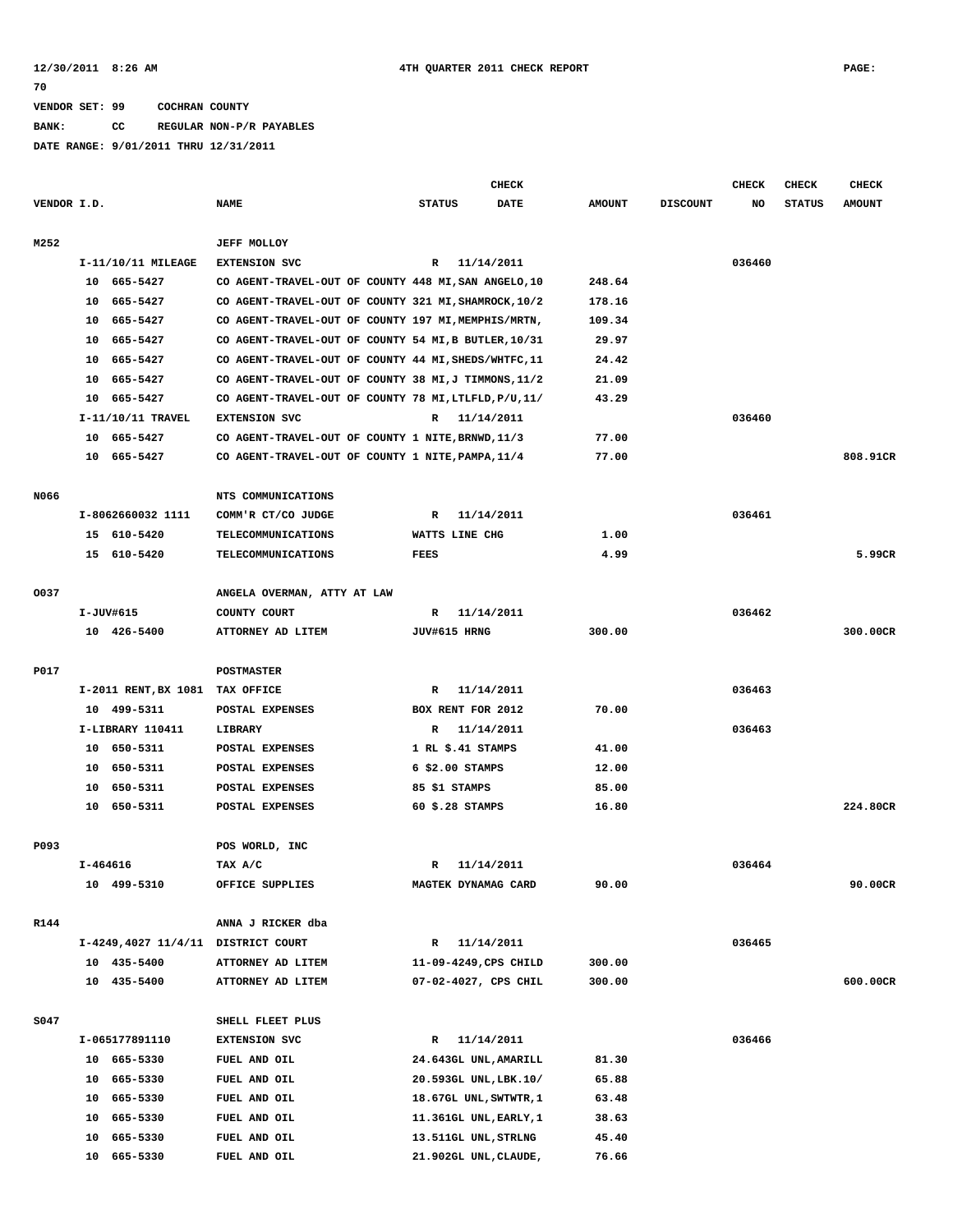#### **VENDOR SET: 99 COCHRAN COUNTY**

**BANK: CC REGULAR NON-P/R PAYABLES**

|             |            |                                    |                                                       |                       | <b>CHECK</b>           |               |                 | CHECK  | <b>CHECK</b>  | <b>CHECK</b>  |
|-------------|------------|------------------------------------|-------------------------------------------------------|-----------------------|------------------------|---------------|-----------------|--------|---------------|---------------|
| VENDOR I.D. |            |                                    | <b>NAME</b>                                           | <b>STATUS</b>         | <b>DATE</b>            | <b>AMOUNT</b> | <b>DISCOUNT</b> | NO     | <b>STATUS</b> | <b>AMOUNT</b> |
| M252        |            |                                    | <b>JEFF MOLLOY</b>                                    |                       |                        |               |                 |        |               |               |
|             |            | I-11/10/11 MILEAGE                 | <b>EXTENSION SVC</b>                                  | R                     | 11/14/2011             |               |                 | 036460 |               |               |
|             | 10         | 665-5427                           | CO AGENT-TRAVEL-OUT OF COUNTY 448 MI, SAN ANGELO, 10  |                       |                        | 248.64        |                 |        |               |               |
|             | 10         | 665-5427                           | CO AGENT-TRAVEL-OUT OF COUNTY 321 MI, SHAMROCK, 10/2  |                       |                        | 178.16        |                 |        |               |               |
|             | 10         | 665–5427                           | CO AGENT-TRAVEL-OUT OF COUNTY 197 MI, MEMPHIS/MRTN,   |                       |                        | 109.34        |                 |        |               |               |
|             | 10         | 665–5427                           | CO AGENT-TRAVEL-OUT OF COUNTY 54 MI, B BUTLER, 10/31  |                       |                        | 29.97         |                 |        |               |               |
|             | 10         | 665-5427                           | CO AGENT-TRAVEL-OUT OF COUNTY 44 MI, SHEDS/WHTFC, 11  |                       |                        | 24.42         |                 |        |               |               |
|             | 10         | 665-5427                           | CO AGENT-TRAVEL-OUT OF COUNTY 38 MI, J TIMMONS, 11/2  |                       |                        | 21.09         |                 |        |               |               |
|             | 10         | 665-5427                           | CO AGENT-TRAVEL-OUT OF COUNTY 78 MI, LTLFLD, P/U, 11/ |                       |                        | 43.29         |                 |        |               |               |
|             |            | I-11/10/11 TRAVEL                  | <b>EXTENSION SVC</b>                                  | R                     | 11/14/2011             |               |                 | 036460 |               |               |
|             |            | 10 665-5427                        | CO AGENT-TRAVEL-OUT OF COUNTY 1 NITE, BRNWD, 11/3     |                       |                        | 77.00         |                 |        |               |               |
|             | 10         | 665–5427                           | CO AGENT-TRAVEL-OUT OF COUNTY 1 NITE, PAMPA, 11/4     |                       |                        | 77.00         |                 |        |               | 808.91CR      |
| N066        |            |                                    | NTS COMMUNICATIONS                                    |                       |                        |               |                 |        |               |               |
|             |            | I-8062660032 1111                  | COMM'R CT/CO JUDGE                                    | R                     | 11/14/2011             |               |                 | 036461 |               |               |
|             |            | 15 610-5420                        | TELECOMMUNICATIONS                                    | WATTS LINE CHG        |                        | 1.00          |                 |        |               |               |
|             |            | 15 610-5420                        | <b>TELECOMMUNICATIONS</b>                             | FEES                  |                        | 4.99          |                 |        |               | 5.99CR        |
| 0037        |            |                                    | ANGELA OVERMAN, ATTY AT LAW                           |                       |                        |               |                 |        |               |               |
|             |            | I-JUV#615                          | COUNTY COURT                                          | R                     | 11/14/2011             |               |                 | 036462 |               |               |
|             |            | 10 426-5400                        | ATTORNEY AD LITEM                                     | JUV#615 HRNG          |                        | 300.00        |                 |        |               | 300.00CR      |
|             |            |                                    |                                                       |                       |                        |               |                 |        |               |               |
| P017        |            |                                    | POSTMASTER                                            |                       |                        |               |                 |        |               |               |
|             |            | I-2011 RENT, BX 1081               | TAX OFFICE                                            | R                     | 11/14/2011             |               |                 | 036463 |               |               |
|             |            | 10 499-5311                        | POSTAL EXPENSES                                       | BOX RENT FOR 2012     |                        | 70.00         |                 |        |               |               |
|             |            | I-LIBRARY 110411                   | LIBRARY                                               | R                     | 11/14/2011             |               |                 | 036463 |               |               |
|             | 10         | 650-5311                           | POSTAL EXPENSES                                       | $1$ RL $$.41$ STAMPS  |                        | 41.00         |                 |        |               |               |
|             | 10         | 650-5311                           | POSTAL EXPENSES                                       | $6$ \$2.00 STAMPS     |                        | 12.00         |                 |        |               |               |
|             | 10         | 650-5311                           | POSTAL EXPENSES                                       | 85 \$1 STAMPS         |                        | 85.00         |                 |        |               |               |
|             | 10         | 650-5311                           | POSTAL EXPENSES                                       | $60$ \$.28 STAMPS     |                        | 16.80         |                 |        |               | 224.80CR      |
| P093        |            |                                    | POS WORLD, INC                                        |                       |                        |               |                 |        |               |               |
|             | $I-464616$ |                                    | TAX A/C                                               | R                     | 11/14/2011             |               |                 | 036464 |               |               |
|             |            | 10 499-5310                        | OFFICE SUPPLIES                                       | MAGTEK DYNAMAG CARD   |                        | 90.00         |                 |        |               | 90.00CR       |
| R144        |            |                                    | ANNA J RICKER dba                                     |                       |                        |               |                 |        |               |               |
|             |            | I-4249,4027 11/4/11 DISTRICT COURT |                                                       | $\mathbb{R}$          | 11/14/2011             |               |                 | 036465 |               |               |
|             |            | 10 435-5400                        | ATTORNEY AD LITEM                                     |                       | 11-09-4249, CPS CHILD  | 300.00        |                 |        |               |               |
|             |            | 10 435-5400                        | ATTORNEY AD LITEM                                     |                       | 07-02-4027, CPS CHIL   | 300.00        |                 |        |               | 600.00CR      |
| S047        |            |                                    | SHELL FLEET PLUS                                      |                       |                        |               |                 |        |               |               |
|             |            | I-065177891110                     | <b>EXTENSION SVC</b>                                  | $\mathbf{R}$          | 11/14/2011             |               |                 | 036466 |               |               |
|             |            | 10 665-5330                        | FUEL AND OIL                                          |                       | 24.643GL UNL, AMARILL  | 81.30         |                 |        |               |               |
|             |            | 10 665-5330                        | FUEL AND OIL                                          |                       | 20.593GL UNL, LBK.10/  | 65.88         |                 |        |               |               |
|             | 10         | 665-5330                           | FUEL AND OIL                                          |                       | 18.67GL UNL, SWTWTR, 1 | 63.48         |                 |        |               |               |
|             |            | 10 665-5330                        | FUEL AND OIL                                          |                       | 11.361GL UNL, EARLY, 1 | 38.63         |                 |        |               |               |
|             | 10         | 665-5330                           | FUEL AND OIL                                          | 13.511GL UNL, STRLNG  |                        | 45.40         |                 |        |               |               |
|             |            | 10 665-5330                        | FUEL AND OIL                                          | 21.902GL UNL, CLAUDE, |                        | 76.66         |                 |        |               |               |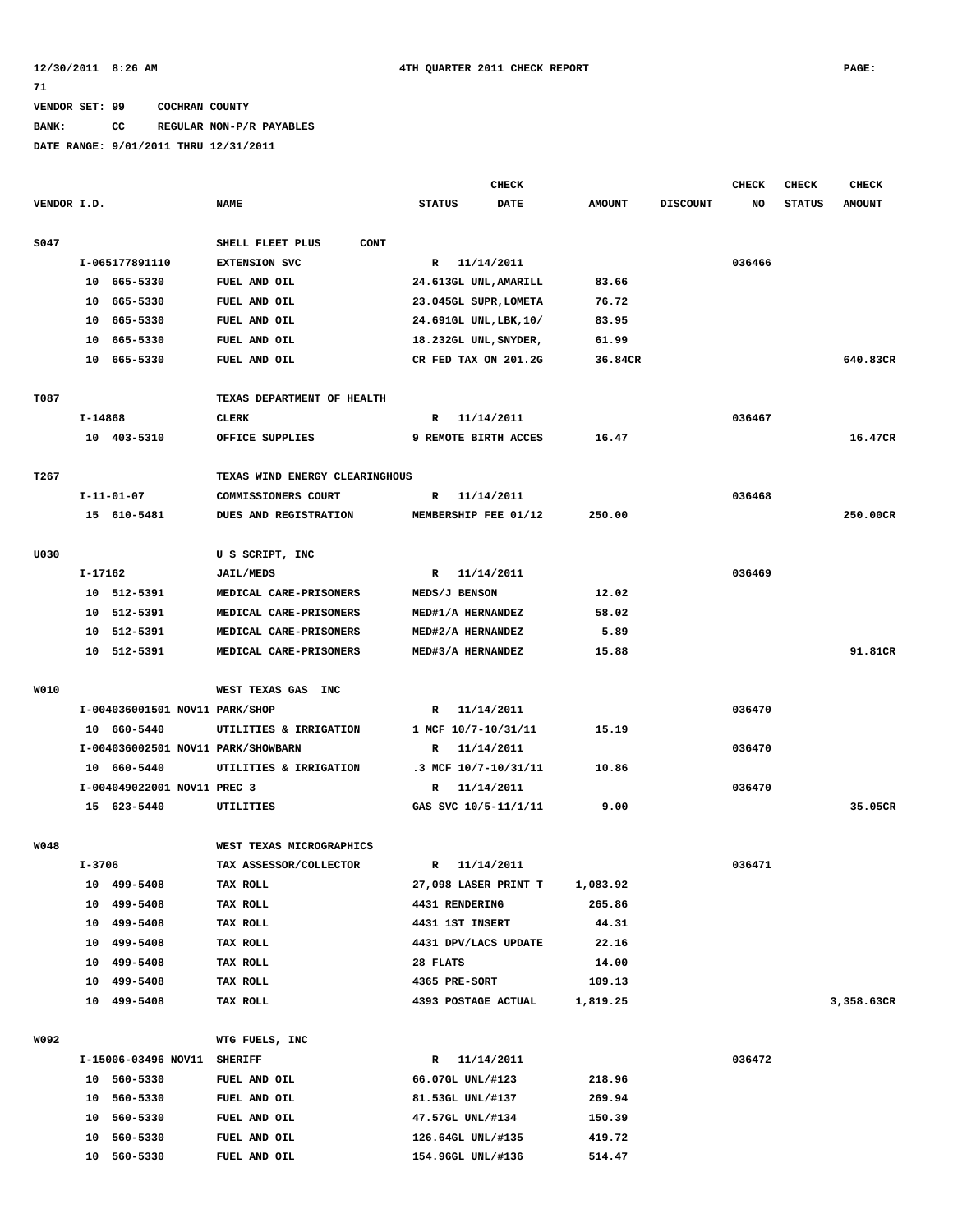## **VENDOR SET: 99 COCHRAN COUNTY**

# **BANK: CC REGULAR NON-P/R PAYABLES**

|             |            |                                    |                                 | <b>CHECK</b>           |             |               |                 | <b>CHECK</b> | <b>CHECK</b>  | <b>CHECK</b>  |
|-------------|------------|------------------------------------|---------------------------------|------------------------|-------------|---------------|-----------------|--------------|---------------|---------------|
| VENDOR I.D. |            |                                    | <b>NAME</b>                     | <b>STATUS</b>          | <b>DATE</b> | <b>AMOUNT</b> | <b>DISCOUNT</b> | NO           | <b>STATUS</b> | <b>AMOUNT</b> |
|             |            |                                    |                                 |                        |             |               |                 |              |               |               |
| S047        |            |                                    | SHELL FLEET PLUS<br><b>CONT</b> |                        |             |               |                 |              |               |               |
|             |            | I-065177891110                     | <b>EXTENSION SVC</b>            | $\mathbb{R}$           | 11/14/2011  |               |                 | 036466       |               |               |
|             |            | 10 665-5330                        | FUEL AND OIL                    | 24.613GL UNL, AMARILL  |             | 83.66         |                 |              |               |               |
|             |            | 10 665-5330                        | FUEL AND OIL                    | 23.045GL SUPR, LOMETA  |             | 76.72         |                 |              |               |               |
|             |            | 10 665-5330                        | FUEL AND OIL                    | 24.691GL UNL, LBK, 10/ |             | 83.95         |                 |              |               |               |
|             |            | 10 665-5330                        | FUEL AND OIL                    | 18.232GL UNL, SNYDER,  |             | 61.99         |                 |              |               |               |
|             |            | 10 665-5330                        | FUEL AND OIL                    | CR FED TAX ON 201.2G   |             | 36.84CR       |                 |              |               | 640.83CR      |
| T087        |            |                                    | TEXAS DEPARTMENT OF HEALTH      |                        |             |               |                 |              |               |               |
|             | I-14868    |                                    | <b>CLERK</b>                    | R                      | 11/14/2011  |               |                 | 036467       |               |               |
|             |            | 10 403-5310                        | OFFICE SUPPLIES                 | 9 REMOTE BIRTH ACCES   |             | 16.47         |                 |              |               | 16.47CR       |
|             |            |                                    |                                 |                        |             |               |                 |              |               |               |
| T267        |            |                                    | TEXAS WIND ENERGY CLEARINGHOUS  |                        |             |               |                 |              |               |               |
|             |            | I-11-01-07                         | COMMISSIONERS COURT             | R                      | 11/14/2011  |               |                 | 036468       |               |               |
|             |            | 15 610-5481                        | DUES AND REGISTRATION           | MEMBERSHIP FEE 01/12   |             | 250.00        |                 |              |               | 250.00CR      |
|             |            |                                    |                                 |                        |             |               |                 |              |               |               |
| U030        |            |                                    | U S SCRIPT, INC                 |                        |             |               |                 |              |               |               |
|             | I-17162    |                                    | <b>JAIL/MEDS</b>                | R                      | 11/14/2011  |               |                 | 036469       |               |               |
|             |            | 10 512-5391                        | MEDICAL CARE-PRISONERS          | MEDS/J BENSON          |             | 12.02         |                 |              |               |               |
|             |            | 10 512-5391                        | MEDICAL CARE-PRISONERS          | MED#1/A HERNANDEZ      |             | 58.02         |                 |              |               |               |
|             |            | 10 512-5391                        | MEDICAL CARE-PRISONERS          | MED#2/A HERNANDEZ      |             | 5.89          |                 |              |               |               |
|             |            | 10 512-5391                        | MEDICAL CARE-PRISONERS          | MED#3/A HERNANDEZ      |             | 15.88         |                 |              |               | 91.81CR       |
| W010        |            |                                    | WEST TEXAS GAS INC              |                        |             |               |                 |              |               |               |
|             |            | I-004036001501 NOV11 PARK/SHOP     |                                 | R                      | 11/14/2011  |               |                 | 036470       |               |               |
|             |            | 10 660-5440                        | UTILITIES & IRRIGATION          | 1 MCF 10/7-10/31/11    |             | 15.19         |                 |              |               |               |
|             |            | I-004036002501 NOV11 PARK/SHOWBARN |                                 | R                      | 11/14/2011  |               |                 | 036470       |               |               |
|             |            | 10 660-5440                        | UTILITIES & IRRIGATION          | .3 MCF 10/7-10/31/11   |             | 10.86         |                 |              |               |               |
|             |            | I-004049022001 NOV11 PREC 3        |                                 | R                      | 11/14/2011  |               |                 | 036470       |               |               |
|             |            | 15 623-5440                        | UTILITIES                       | GAS SVC 10/5-11/1/11   |             | 9.00          |                 |              |               | 35.05CR       |
|             |            |                                    |                                 |                        |             |               |                 |              |               |               |
| W048        |            |                                    | WEST TEXAS MICROGRAPHICS        |                        |             |               |                 |              |               |               |
|             | $I - 3706$ |                                    | TAX ASSESSOR/COLLECTOR          | R                      | 11/14/2011  |               |                 | 036471       |               |               |
|             |            | 10 499-5408                        | TAX ROLL                        | 27,098 LASER PRINT T   |             | 1,083.92      |                 |              |               |               |
|             |            | 10 499-5408                        | TAX ROLL                        | 4431 RENDERING         |             | 265.86        |                 |              |               |               |
|             |            | 10 499-5408                        | TAX ROLL                        | 4431 1ST INSERT        |             | 44.31         |                 |              |               |               |
|             |            | 10 499-5408                        | TAX ROLL                        | 4431 DPV/LACS UPDATE   |             | 22.16         |                 |              |               |               |
|             |            | 10 499-5408                        | TAX ROLL                        | 28 FLATS               |             | 14.00         |                 |              |               |               |
|             |            | 10 499-5408                        | TAX ROLL                        | 4365 PRE-SORT          |             | 109.13        |                 |              |               |               |
|             |            | 10 499-5408                        | TAX ROLL                        | 4393 POSTAGE ACTUAL    |             | 1,819.25      |                 |              |               | 3,358.63CR    |
| W092        |            |                                    | WTG FUELS, INC                  |                        |             |               |                 |              |               |               |
|             |            | I-15006-03496 NOV11 SHERIFF        |                                 | R 11/14/2011           |             |               |                 | 036472       |               |               |
|             |            | 10 560-5330                        | FUEL AND OIL                    | 66.07GL UNL/#123       |             | 218.96        |                 |              |               |               |
|             |            | 10 560-5330                        | FUEL AND OIL                    | 81.53GL UNL/#137       |             | 269.94        |                 |              |               |               |
|             |            | 10 560-5330                        | FUEL AND OIL                    | 47.57GL UNL/#134       |             | 150.39        |                 |              |               |               |
|             |            | 10 560-5330                        | FUEL AND OIL                    | 126.64GL UNL/#135      |             | 419.72        |                 |              |               |               |
|             |            | 10 560-5330                        | FUEL AND OIL                    | 154.96GL UNL/#136      |             | 514.47        |                 |              |               |               |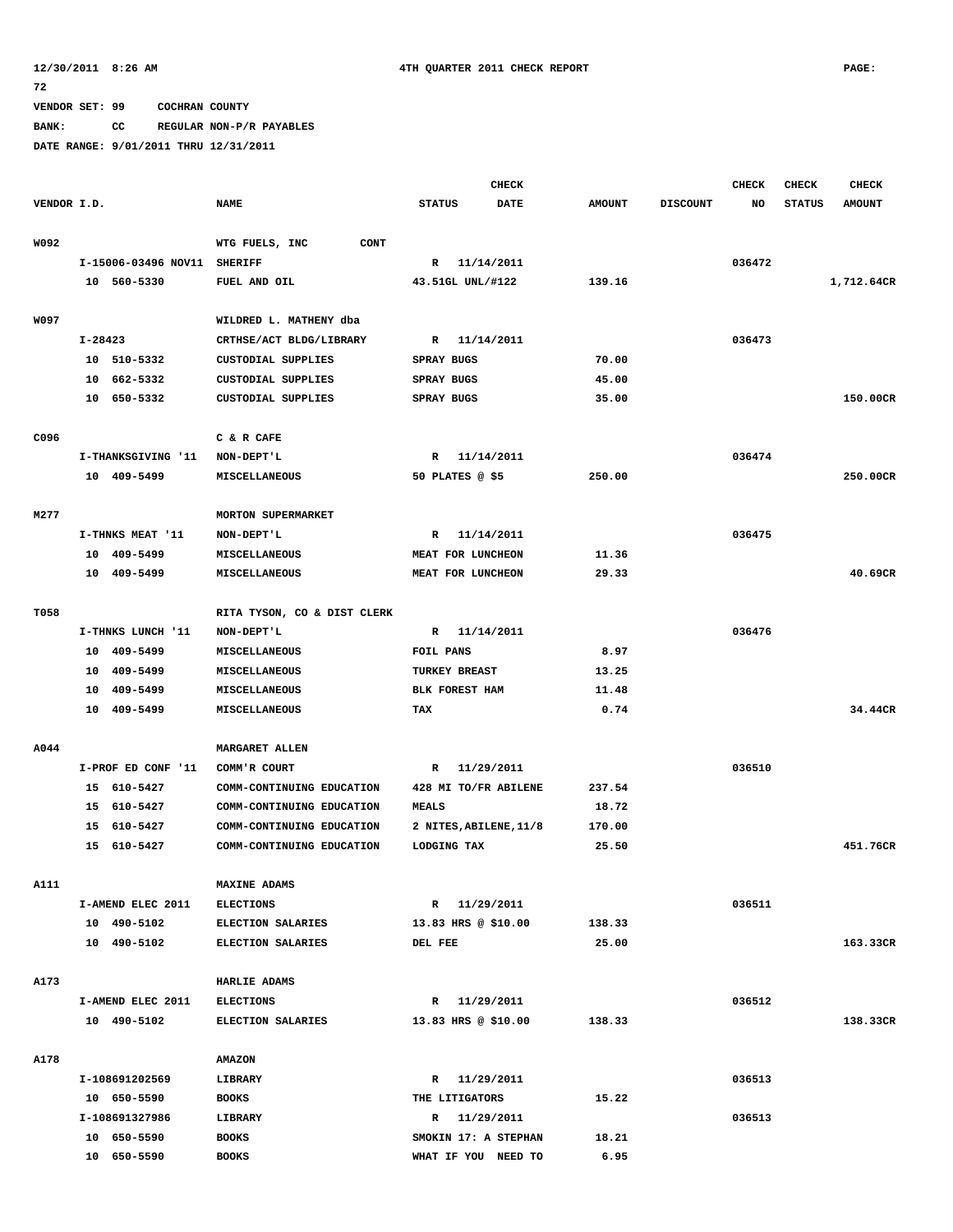#### **VENDOR SET: 99 COCHRAN COUNTY BANK: CC REGULAR NON-P/R PAYABLES**

|             |                     |                                       | <b>CHECK</b>               |             |               | <b>CHECK</b>    | <b>CHECK</b> | <b>CHECK</b>  |               |
|-------------|---------------------|---------------------------------------|----------------------------|-------------|---------------|-----------------|--------------|---------------|---------------|
| VENDOR I.D. |                     | <b>NAME</b>                           | <b>STATUS</b>              | <b>DATE</b> | <b>AMOUNT</b> | <b>DISCOUNT</b> | NO           | <b>STATUS</b> | <b>AMOUNT</b> |
|             |                     |                                       |                            |             |               |                 |              |               |               |
| W092        |                     | WTG FUELS, INC<br>CONT                |                            |             |               |                 |              |               |               |
|             | I-15006-03496 NOV11 | <b>SHERIFF</b>                        | 11/14/2011<br>R            |             |               |                 | 036472       |               |               |
|             | 10 560-5330         | FUEL AND OIL                          | 43.51GL UNL/#122           |             | 139.16        |                 |              |               | 1,712.64CR    |
|             |                     |                                       |                            |             |               |                 |              |               |               |
| <b>W097</b> |                     | WILDRED L. MATHENY dba                |                            |             |               |                 |              |               |               |
|             | I-28423             | CRTHSE/ACT BLDG/LIBRARY               | $\mathbb{R}$               | 11/14/2011  |               |                 | 036473       |               |               |
|             | 10 510-5332         | CUSTODIAL SUPPLIES                    | SPRAY BUGS                 |             | 70.00         |                 |              |               |               |
|             | 10 662-5332         | CUSTODIAL SUPPLIES                    | <b>SPRAY BUGS</b>          |             | 45.00         |                 |              |               |               |
|             | 10 650-5332         | <b>CUSTODIAL SUPPLIES</b>             | SPRAY BUGS                 |             | 35.00         |                 |              |               | 150.00CR      |
| C096        |                     | C & R CAFE                            |                            |             |               |                 |              |               |               |
|             | I-THANKSGIVING '11  | NON-DEPT'L                            | 11/14/2011<br>$\mathbb{R}$ |             |               |                 | 036474       |               |               |
|             | 10 409-5499         | MISCELLANEOUS                         | 50 PLATES @ \$5            |             | 250.00        |                 |              |               | 250.00CR      |
|             |                     |                                       |                            |             |               |                 |              |               |               |
| M277        |                     | <b>MORTON SUPERMARKET</b>             |                            |             |               |                 |              |               |               |
|             | I-THNKS MEAT '11    | NON-DEPT'L                            | R                          | 11/14/2011  |               |                 | 036475       |               |               |
|             | 10 409-5499         | MISCELLANEOUS                         | MEAT FOR LUNCHEON          |             | 11.36         |                 |              |               |               |
|             | 10 409-5499         | <b>MISCELLANEOUS</b>                  | MEAT FOR LUNCHEON          |             | 29.33         |                 |              |               | 40.69CR       |
|             |                     |                                       |                            |             |               |                 |              |               |               |
| T058        |                     | RITA TYSON, CO & DIST CLERK           |                            |             |               |                 |              |               |               |
|             | I-THNKS LUNCH '11   | NON-DEPT'L                            | 11/14/2011<br>$\mathbb{R}$ |             |               |                 | 036476       |               |               |
|             | 10 409-5499         | MISCELLANEOUS                         | FOIL PANS                  |             | 8.97          |                 |              |               |               |
|             | 10 409-5499         | MISCELLANEOUS                         | TURKEY BREAST              |             | 13.25         |                 |              |               |               |
|             | 409-5499<br>10      | MISCELLANEOUS                         | BLK FOREST HAM             |             | 11.48         |                 |              |               |               |
|             | 10 409-5499         | MISCELLANEOUS                         | TAX                        |             | 0.74          |                 |              |               | 34.44CR       |
|             |                     |                                       |                            |             |               |                 |              |               |               |
| A044        | I-PROF ED CONF '11  | <b>MARGARET ALLEN</b><br>COMM'R COURT | $\mathbb{R}$               | 11/29/2011  |               |                 | 036510       |               |               |
|             | 15 610-5427         | COMM-CONTINUING EDUCATION             | 428 MI TO/FR ABILENE       |             | 237.54        |                 |              |               |               |
|             | 15 610-5427         | COMM-CONTINUING EDUCATION             | <b>MEALS</b>               |             | 18.72         |                 |              |               |               |
|             | 15 610-5427         | COMM-CONTINUING EDUCATION             | 2 NITES, ABILENE, 11/8     |             | 170.00        |                 |              |               |               |
|             | 15 610-5427         | COMM-CONTINUING EDUCATION             | LODGING TAX                |             | 25.50         |                 |              |               | 451.76CR      |
|             |                     |                                       |                            |             |               |                 |              |               |               |
| A111        |                     | <b>MAXINE ADAMS</b>                   |                            |             |               |                 |              |               |               |
|             | I-AMEND ELEC 2011   | <b>ELECTIONS</b>                      | R 11/29/2011               |             |               |                 | 036511       |               |               |
|             | 10 490-5102         | ELECTION SALARIES                     | 13.83 HRS @ \$10.00        |             | 138.33        |                 |              |               |               |
|             | 10 490-5102         | ELECTION SALARIES                     | DEL FEE                    |             | 25.00         |                 |              |               | 163.33CR      |
|             |                     |                                       |                            |             |               |                 |              |               |               |
| A173        |                     | HARLIE ADAMS                          |                            |             |               |                 |              |               |               |
|             | I-AMEND ELEC 2011   | <b>ELECTIONS</b>                      | R 11/29/2011               |             |               |                 | 036512       |               |               |
|             | 10 490-5102         | ELECTION SALARIES                     | 13.83 HRS @ \$10.00        |             | 138.33        |                 |              |               | 138.33CR      |
| A178        |                     | <b>AMAZON</b>                         |                            |             |               |                 |              |               |               |
|             | I-108691202569      | LIBRARY                               | R 11/29/2011               |             |               |                 | 036513       |               |               |
|             | 10 650-5590         | <b>BOOKS</b>                          | THE LITIGATORS             |             | 15.22         |                 |              |               |               |
|             | I-108691327986      | LIBRARY                               | R 11/29/2011               |             |               |                 | 036513       |               |               |
|             | 10 650-5590         | <b>BOOKS</b>                          | SMOKIN 17: A STEPHAN       |             | 18.21         |                 |              |               |               |
|             | 10 650-5590         | <b>BOOKS</b>                          | WHAT IF YOU NEED TO        |             | 6.95          |                 |              |               |               |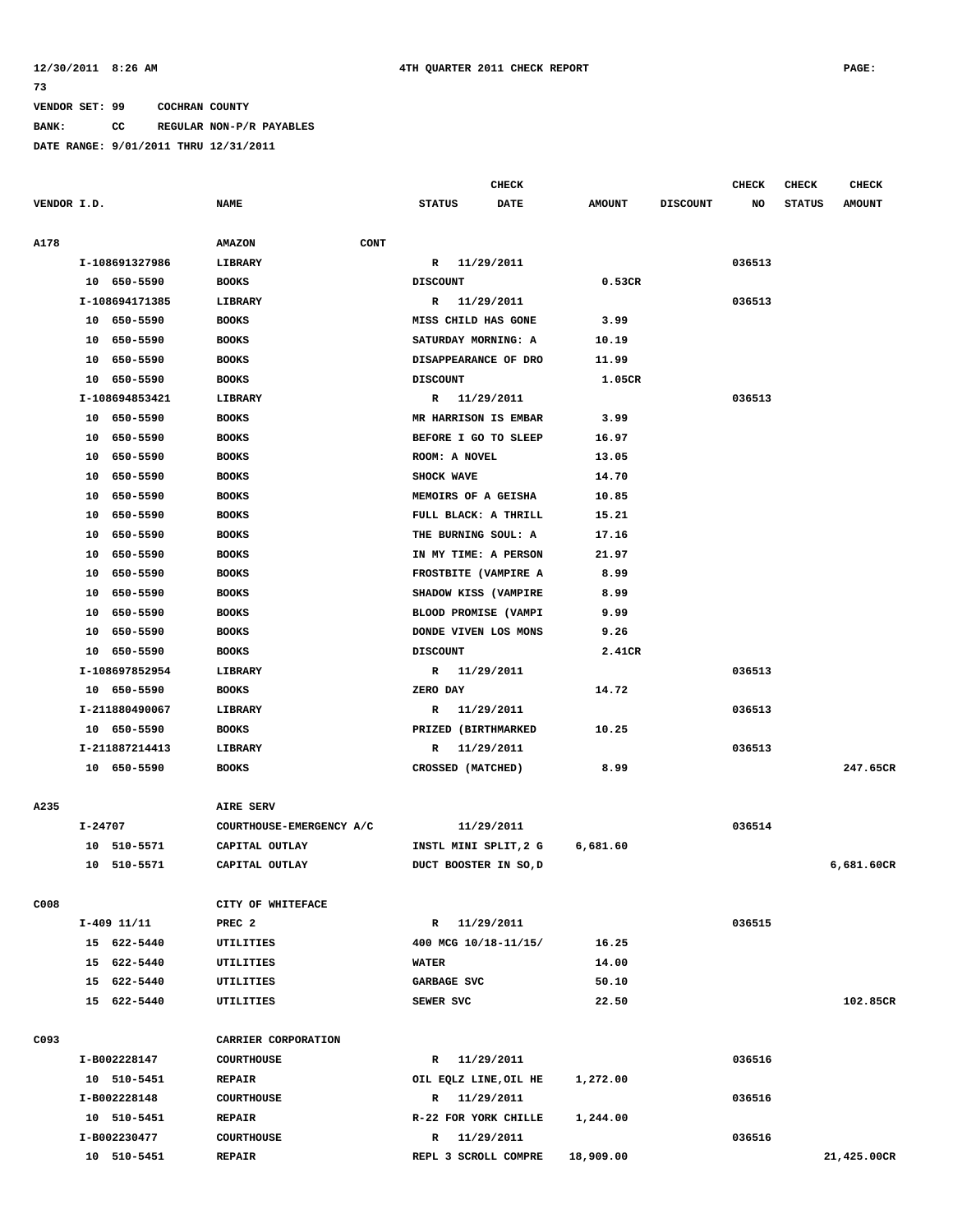### **VENDOR SET: 99 COCHRAN COUNTY BANK: CC REGULAR NON-P/R PAYABLES**

|      |                               |                              | <b>CHECK</b>                 |               |                 | <b>CHECK</b> | <b>CHECK</b>  | CHECK         |
|------|-------------------------------|------------------------------|------------------------------|---------------|-----------------|--------------|---------------|---------------|
|      | VENDOR I.D.                   | <b>NAME</b>                  | <b>STATUS</b><br><b>DATE</b> | <b>AMOUNT</b> | <b>DISCOUNT</b> | NO           | <b>STATUS</b> | <b>AMOUNT</b> |
| A178 |                               | <b>CONT</b><br><b>AMAZON</b> |                              |               |                 |              |               |               |
|      | I-108691327986                | LIBRARY                      | R 11/29/2011                 |               |                 | 036513       |               |               |
|      | 10 650-5590                   | <b>BOOKS</b>                 | <b>DISCOUNT</b>              | 0.53CR        |                 |              |               |               |
|      | I-108694171385                | LIBRARY                      | 11/29/2011<br>R              |               |                 | 036513       |               |               |
|      | 10 650-5590                   | <b>BOOKS</b>                 | MISS CHILD HAS GONE          | 3.99          |                 |              |               |               |
|      | 10 650-5590                   | <b>BOOKS</b>                 | SATURDAY MORNING: A          | 10.19         |                 |              |               |               |
|      | 10<br>650–5590                | <b>BOOKS</b>                 | DISAPPEARANCE OF DRO         | 11.99         |                 |              |               |               |
|      | 650-5590<br>10                | <b>BOOKS</b>                 | <b>DISCOUNT</b>              | 1.05CR        |                 |              |               |               |
|      | I-108694853421                | LIBRARY                      | R 11/29/2011                 |               |                 | 036513       |               |               |
|      | 10 650-5590                   | <b>BOOKS</b>                 | MR HARRISON IS EMBAR         | 3.99          |                 |              |               |               |
|      | 10 650-5590                   | <b>BOOKS</b>                 | BEFORE I GO TO SLEEP         | 16.97         |                 |              |               |               |
|      | 650-5590<br>10                | <b>BOOKS</b>                 | ROOM: A NOVEL                | 13.05         |                 |              |               |               |
|      | 10<br>650-5590                | <b>BOOKS</b>                 | <b>SHOCK WAVE</b>            | 14.70         |                 |              |               |               |
|      | 650-5590<br>10                | <b>BOOKS</b>                 | MEMOIRS OF A GEISHA          | 10.85         |                 |              |               |               |
|      | 10<br>650-5590                | <b>BOOKS</b>                 | FULL BLACK: A THRILL         | 15.21         |                 |              |               |               |
|      | 10<br>650-5590                | <b>BOOKS</b>                 | THE BURNING SOUL: A          | 17.16         |                 |              |               |               |
|      | 10<br>650-5590                | <b>BOOKS</b>                 | IN MY TIME: A PERSON         | 21.97         |                 |              |               |               |
|      | 10<br>650-5590                | <b>BOOKS</b>                 | FROSTBITE (VAMPIRE A         | 8.99          |                 |              |               |               |
|      | 10<br>650-5590                | <b>BOOKS</b>                 | SHADOW KISS (VAMPIRE         |               |                 |              |               |               |
|      |                               |                              |                              | 8.99          |                 |              |               |               |
|      | 650-5590<br>10                | <b>BOOKS</b>                 | BLOOD PROMISE (VAMPI         | 9.99          |                 |              |               |               |
|      | 650-5590<br>10                | <b>BOOKS</b>                 | DONDE VIVEN LOS MONS         | 9.26          |                 |              |               |               |
|      | 10 650-5590<br>I-108697852954 | <b>BOOKS</b><br>LIBRARY      | <b>DISCOUNT</b>              | 2.41CR        |                 | 036513       |               |               |
|      |                               | <b>BOOKS</b>                 | R 11/29/2011<br>ZERO DAY     | 14.72         |                 |              |               |               |
|      | 10 650-5590                   |                              |                              |               |                 |              |               |               |
|      | I-211880490067                | LIBRARY                      | 11/29/2011<br>R              |               |                 | 036513       |               |               |
|      | 10 650-5590                   | <b>BOOKS</b>                 | PRIZED (BIRTHMARKED          | 10.25         |                 |              |               |               |
|      | I-211887214413                | LIBRARY                      | 11/29/2011<br>R              |               |                 | 036513       |               |               |
|      | 10 650-5590                   | <b>BOOKS</b>                 | CROSSED (MATCHED)            | 8.99          |                 |              |               | 247.65CR      |
| A235 |                               | <b>AIRE SERV</b>             |                              |               |                 |              |               |               |
|      | I-24707                       | COURTHOUSE-EMERGENCY A/C     | 11/29/2011                   |               |                 | 036514       |               |               |
|      | 10 510-5571                   | CAPITAL OUTLAY               | INSTL MINI SPLIT, 2 G        | 6,681.60      |                 |              |               |               |
|      | 10 510-5571                   | CAPITAL OUTLAY               | DUCT BOOSTER IN SO, D        |               |                 |              |               | 6,681.60CR    |
|      |                               |                              |                              |               |                 |              |               |               |
| C008 |                               | CITY OF WHITEFACE            |                              |               |                 |              |               |               |
|      | $I-409$ $11/11$               | PREC <sub>2</sub>            | R 11/29/2011                 |               |                 | 036515       |               |               |
|      | 15 622-5440                   | UTILITIES                    | 400 MCG 10/18-11/15/         | 16.25         |                 |              |               |               |
|      | 15 622-5440                   | <b>UTILITIES</b>             | <b>WATER</b>                 | 14.00         |                 |              |               |               |
|      | 15 622-5440                   | UTILITIES                    | GARBAGE SVC                  | 50.10         |                 |              |               |               |
|      | 15 622-5440                   | UTILITIES                    | SEWER SVC                    | 22.50         |                 |              |               | 102.85CR      |
| C093 |                               | CARRIER CORPORATION          |                              |               |                 |              |               |               |
|      | I-B002228147                  | <b>COURTHOUSE</b>            | R 11/29/2011                 |               |                 | 036516       |               |               |
|      | 10 510-5451                   | <b>REPAIR</b>                | OIL EQLZ LINE, OIL HE        | 1,272.00      |                 |              |               |               |
|      | I-B002228148                  | <b>COURTHOUSE</b>            | R 11/29/2011                 |               |                 | 036516       |               |               |
|      | 10 510-5451                   | <b>REPAIR</b>                | R-22 FOR YORK CHILLE         | 1,244.00      |                 |              |               |               |
|      | I-B002230477                  | <b>COURTHOUSE</b>            | R 11/29/2011                 |               |                 | 036516       |               |               |
|      | 10 510-5451                   | <b>REPAIR</b>                | REPL 3 SCROLL COMPRE         | 18,909.00     |                 |              |               | 21,425.00CR   |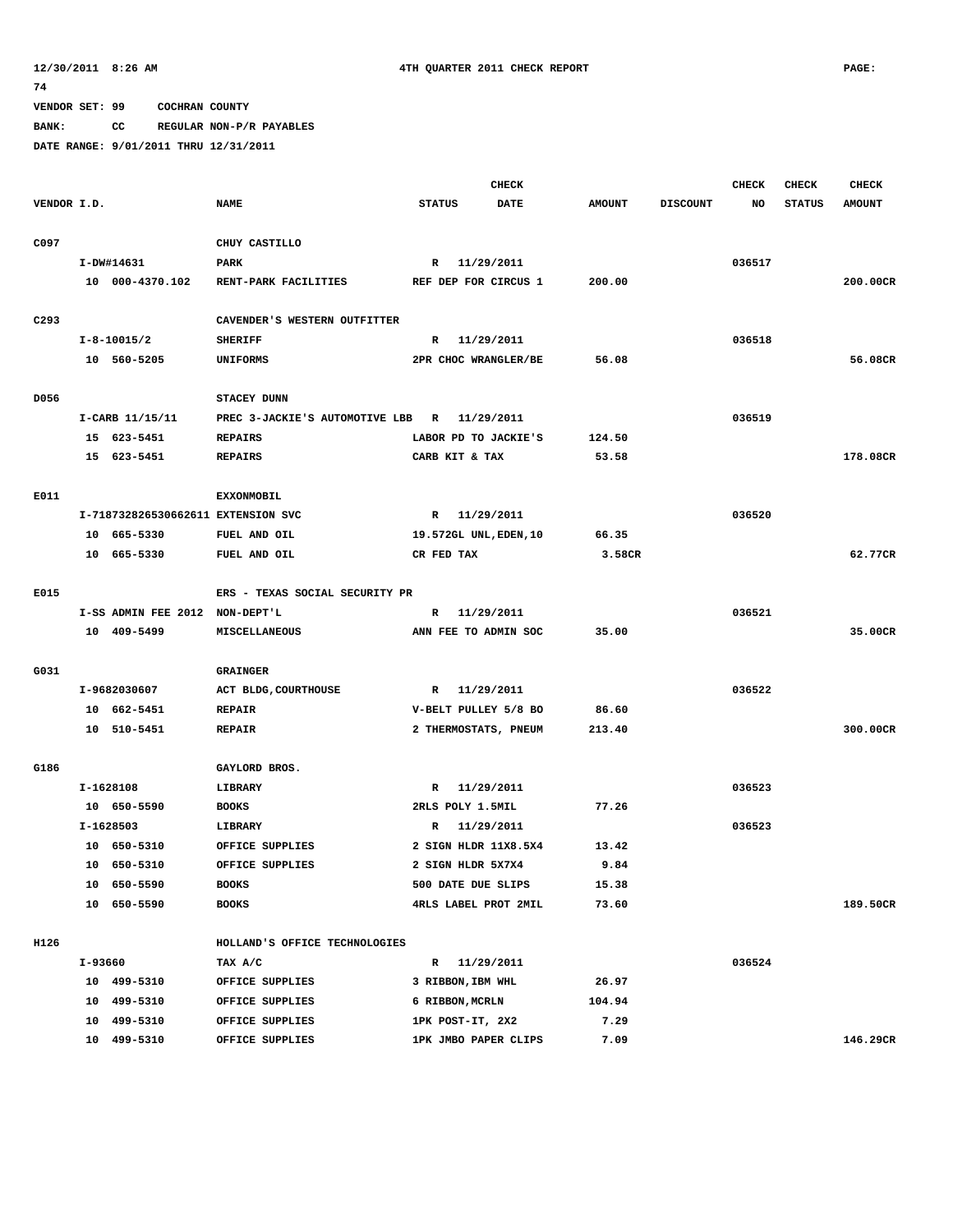#### **VENDOR SET: 99 COCHRAN COUNTY**

# **BANK: CC REGULAR NON-P/R PAYABLES**

|             | <b>CHECK</b><br><b>CHECK</b><br><b>CHECK</b> |                                    |                                                 | <b>CHECK</b>    |                             |                |                 |        |               |               |
|-------------|----------------------------------------------|------------------------------------|-------------------------------------------------|-----------------|-----------------------------|----------------|-----------------|--------|---------------|---------------|
| VENDOR I.D. |                                              |                                    | <b>NAME</b>                                     | <b>STATUS</b>   | DATE                        | <b>AMOUNT</b>  | <b>DISCOUNT</b> | NO     | <b>STATUS</b> | <b>AMOUNT</b> |
|             |                                              |                                    |                                                 |                 |                             |                |                 |        |               |               |
| C097        |                                              |                                    | CHUY CASTILLO                                   |                 |                             |                |                 |        |               |               |
|             |                                              | I-DW#14631                         | <b>PARK</b>                                     | R               | 11/29/2011                  |                |                 | 036517 |               |               |
|             |                                              | 10 000-4370.102                    | RENT-PARK FACILITIES                            |                 | REF DEP FOR CIRCUS 1        | 200.00         |                 |        |               | 200.00CR      |
|             |                                              |                                    |                                                 |                 |                             |                |                 |        |               |               |
| C293        |                                              |                                    | CAVENDER'S WESTERN OUTFITTER                    |                 |                             |                |                 |        |               |               |
|             |                                              | $I - 8 - 10015/2$                  | <b>SHERIFF</b>                                  | R               | 11/29/2011                  |                |                 | 036518 |               |               |
|             |                                              | 10 560-5205                        | UNIFORMS                                        |                 | 2PR CHOC WRANGLER/BE        | 56.08          |                 |        |               | 56.08CR       |
|             |                                              |                                    |                                                 |                 |                             |                |                 |        |               |               |
| D056        |                                              | I-CARB 11/15/11                    | STACEY DUNN<br>PREC 3-JACKIE'S AUTOMOTIVE LBB R |                 | 11/29/2011                  |                |                 | 036519 |               |               |
|             |                                              | 15 623-5451                        | REPAIRS                                         |                 | LABOR PD TO JACKIE'S        | 124.50         |                 |        |               |               |
|             |                                              | 15 623-5451                        | <b>REPAIRS</b>                                  | CARB KIT & TAX  |                             | 53.58          |                 |        |               | 178.08CR      |
|             |                                              |                                    |                                                 |                 |                             |                |                 |        |               |               |
| E011        |                                              |                                    | EXXONMOBIL                                      |                 |                             |                |                 |        |               |               |
|             |                                              | I-718732826530662611 EXTENSION SVC |                                                 | $\mathbb{R}$    | 11/29/2011                  |                |                 | 036520 |               |               |
|             |                                              | 10 665-5330                        | FUEL AND OIL                                    |                 | 19.572GL UNL, EDEN, 10      | 66.35          |                 |        |               |               |
|             |                                              | 10 665-5330                        | FUEL AND OIL                                    | CR FED TAX      |                             | 3.58CR         |                 |        |               | 62.77CR       |
|             |                                              |                                    |                                                 |                 |                             |                |                 |        |               |               |
| E015        |                                              |                                    | ERS - TEXAS SOCIAL SECURITY PR                  |                 |                             |                |                 |        |               |               |
|             |                                              | I-SS ADMIN FEE 2012 NON-DEPT'L     |                                                 | R               | 11/29/2011                  |                |                 | 036521 |               |               |
|             |                                              | 10 409-5499                        | MISCELLANEOUS                                   |                 | ANN FEE TO ADMIN SOC        | 35.00          |                 |        |               | 35.00CR       |
|             |                                              |                                    |                                                 |                 |                             |                |                 |        |               |               |
| G031        |                                              |                                    | <b>GRAINGER</b>                                 |                 |                             |                |                 |        |               |               |
|             |                                              | I-9682030607                       | ACT BLDG, COURTHOUSE                            | R               | 11/29/2011                  |                |                 | 036522 |               |               |
|             |                                              | 10 662-5451                        | <b>REPAIR</b>                                   |                 | V-BELT PULLEY 5/8 BO        | 86.60          |                 |        |               |               |
|             |                                              | 10 510-5451                        | <b>REPAIR</b>                                   |                 | 2 THERMOSTATS, PNEUM        | 213.40         |                 |        |               | 300.00CR      |
|             |                                              |                                    |                                                 |                 |                             |                |                 |        |               |               |
| G186        |                                              |                                    | GAYLORD BROS.                                   |                 |                             |                |                 |        |               |               |
|             |                                              | I-1628108                          | LIBRARY                                         | R               | 11/29/2011                  |                |                 | 036523 |               |               |
|             |                                              | 10 650-5590                        | <b>BOOKS</b>                                    |                 | 2RLS POLY 1.5MIL            | 77.26          |                 |        |               |               |
|             |                                              | I-1628503                          | LIBRARY                                         | R               | 11/29/2011                  |                |                 | 036523 |               |               |
|             |                                              | 10 650-5310                        | OFFICE SUPPLIES                                 |                 | 2 SIGN HLDR 11X8.5X4        | 13.42          |                 |        |               |               |
|             |                                              | 10 650-5310                        | OFFICE SUPPLIES                                 |                 | 2 SIGN HLDR 5X7X4           | 9.84           |                 |        |               |               |
|             |                                              | 10 650-5590                        | <b>BOOKS</b>                                    |                 | 500 DATE DUE SLIPS          | 15.38          |                 |        |               |               |
|             |                                              | 10 650-5590                        | <b>BOOKS</b>                                    |                 | <b>4RLS LABEL PROT 2MIL</b> | 73.60          |                 |        |               | 189.50CR      |
|             |                                              |                                    |                                                 |                 |                             |                |                 |        |               |               |
| H126        |                                              |                                    | HOLLAND'S OFFICE TECHNOLOGIES                   |                 |                             |                |                 |        |               |               |
|             | I-93660                                      |                                    | TAX A/C                                         |                 | R 11/29/2011                |                |                 | 036524 |               |               |
|             |                                              | 10 499-5310                        | OFFICE SUPPLIES                                 |                 | 3 RIBBON, IBM WHL           | 26.97          |                 |        |               |               |
|             |                                              | 10 499-5310<br>10 499-5310         | OFFICE SUPPLIES<br>OFFICE SUPPLIES              | 6 RIBBON, MCRLN | 1PK POST-IT, 2X2            | 104.94<br>7.29 |                 |        |               |               |
|             |                                              | 10 499-5310                        | OFFICE SUPPLIES                                 |                 | 1PK JMBO PAPER CLIPS        | 7.09           |                 |        |               | 146.29CR      |
|             |                                              |                                    |                                                 |                 |                             |                |                 |        |               |               |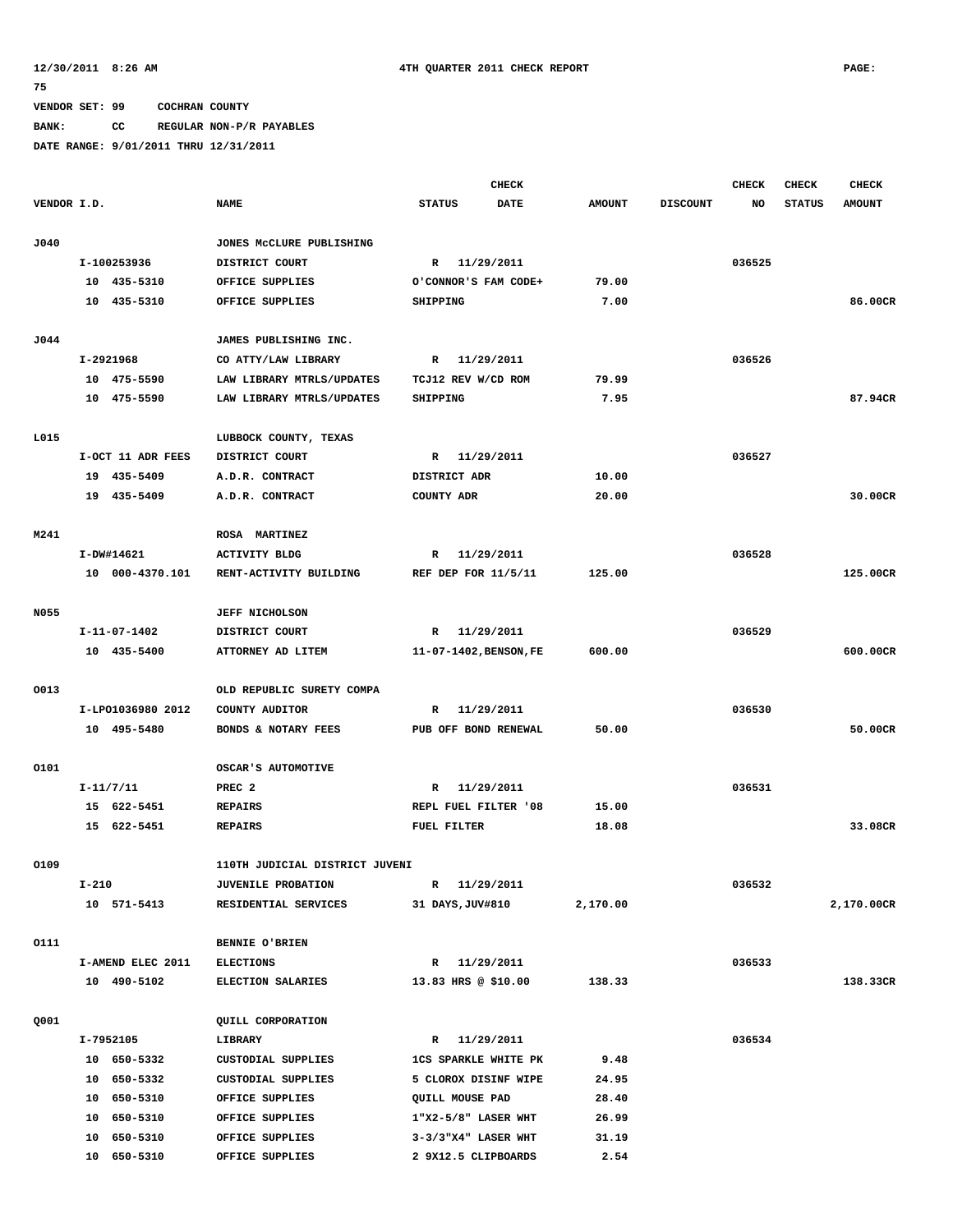## **VENDOR SET: 99 COCHRAN COUNTY**

# **BANK: CC REGULAR NON-P/R PAYABLES**

|             |                      |                                                   | <b>CHECK</b><br><b>STATUS</b><br><b>DATE</b> |            |               |                 | <b>CHECK</b> | <b>CHECK</b>  | <b>CHECK</b>  |
|-------------|----------------------|---------------------------------------------------|----------------------------------------------|------------|---------------|-----------------|--------------|---------------|---------------|
| VENDOR I.D. |                      | <b>NAME</b>                                       |                                              |            | <b>AMOUNT</b> | <b>DISCOUNT</b> | NO           | <b>STATUS</b> | <b>AMOUNT</b> |
|             |                      |                                                   |                                              |            |               |                 |              |               |               |
| J040        |                      | JONES MCCLURE PUBLISHING                          |                                              |            |               |                 |              |               |               |
|             | I-100253936          | DISTRICT COURT                                    | R                                            | 11/29/2011 |               |                 | 036525       |               |               |
|             | 10 435-5310          | OFFICE SUPPLIES                                   | O'CONNOR'S FAM CODE+                         |            | 79.00         |                 |              |               |               |
|             | 10 435-5310          | OFFICE SUPPLIES                                   | SHIPPING                                     |            | 7.00          |                 |              |               | 86.00CR       |
| J044        |                      | JAMES PUBLISHING INC.                             |                                              |            |               |                 |              |               |               |
|             | I-2921968            | CO ATTY/LAW LIBRARY                               | R                                            | 11/29/2011 |               |                 | 036526       |               |               |
|             | 10 475-5590          | LAW LIBRARY MTRLS/UPDATES                         | TCJ12 REV W/CD ROM                           |            | 79.99         |                 |              |               |               |
|             | 10 475-5590          | LAW LIBRARY MTRLS/UPDATES                         | SHIPPING                                     |            | 7.95          |                 |              |               | 87.94CR       |
|             |                      |                                                   |                                              |            |               |                 |              |               |               |
| L015        |                      | LUBBOCK COUNTY, TEXAS                             |                                              |            |               |                 |              |               |               |
|             | I-OCT 11 ADR FEES    | DISTRICT COURT                                    | R                                            | 11/29/2011 |               |                 | 036527       |               |               |
|             | 19 435-5409          | A.D.R. CONTRACT                                   | DISTRICT ADR                                 |            | 10.00         |                 |              |               |               |
|             | 19 435-5409          | A.D.R. CONTRACT                                   | COUNTY ADR                                   |            | 20.00         |                 |              |               | 30.00CR       |
|             |                      |                                                   |                                              |            |               |                 |              |               |               |
| M241        |                      | ROSA MARTINEZ                                     |                                              |            |               |                 |              |               |               |
|             | I-DW#14621           | <b>ACTIVITY BLDG</b>                              | R                                            | 11/29/2011 |               |                 | 036528       |               |               |
|             | 10 000-4370.101      | RENT-ACTIVITY BUILDING                            | REF DEP FOR 11/5/11                          |            | 125.00        |                 |              |               | 125.00CR      |
| N055        |                      | <b>JEFF NICHOLSON</b>                             |                                              |            |               |                 |              |               |               |
|             | I-11-07-1402         | DISTRICT COURT                                    | R 11/29/2011                                 |            |               |                 | 036529       |               |               |
|             | 10 435-5400          | ATTORNEY AD LITEM                                 | 11-07-1402, BENSON, FE                       |            | 600.00        |                 |              |               | 600.00CR      |
|             |                      |                                                   |                                              |            |               |                 |              |               |               |
| 0013        |                      | OLD REPUBLIC SURETY COMPA                         |                                              |            |               |                 |              |               |               |
|             | I-LP01036980 2012    | COUNTY AUDITOR                                    | R                                            | 11/29/2011 |               |                 | 036530       |               |               |
|             | 10 495-5480          | BONDS & NOTARY FEES                               | PUB OFF BOND RENEWAL                         |            | 50.00         |                 |              |               | 50.00CR       |
|             |                      |                                                   |                                              |            |               |                 |              |               |               |
| 0101        |                      | OSCAR'S AUTOMOTIVE                                |                                              |            |               |                 |              |               |               |
|             | $I - 11/7/11$        | PREC <sub>2</sub>                                 | R                                            | 11/29/2011 |               |                 | 036531       |               |               |
|             | 15 622-5451          | <b>REPAIRS</b>                                    | REPL FUEL FILTER '08                         |            | 15.00         |                 |              |               |               |
|             | 15 622-5451          | <b>REPAIRS</b>                                    | FUEL FILTER                                  |            | 18.08         |                 |              |               | 33.08CR       |
|             |                      | 110TH JUDICIAL DISTRICT JUVENI                    |                                              |            |               |                 |              |               |               |
| 0109        |                      |                                                   |                                              | 11/29/2011 |               |                 | 036532       |               |               |
|             | I-210<br>10 571-5413 | <b>JUVENILE PROBATION</b><br>RESIDENTIAL SERVICES | R<br>31 DAYS, JUV#810                        |            | 2,170.00      |                 |              |               | 2,170.00CR    |
|             |                      |                                                   |                                              |            |               |                 |              |               |               |
| 0111        |                      | BENNIE O'BRIEN                                    |                                              |            |               |                 |              |               |               |
|             | I-AMEND ELEC 2011    | <b>ELECTIONS</b>                                  | R 11/29/2011                                 |            |               |                 | 036533       |               |               |
|             | 10 490-5102          | ELECTION SALARIES                                 | 13.83 HRS @ \$10.00                          |            | 138.33        |                 |              |               | 138.33CR      |
|             |                      |                                                   |                                              |            |               |                 |              |               |               |
| Q001        |                      | QUILL CORPORATION                                 |                                              |            |               |                 |              |               |               |
|             | I-7952105            | LIBRARY                                           | R 11/29/2011                                 |            |               |                 | 036534       |               |               |
|             | 10 650-5332          | CUSTODIAL SUPPLIES                                | <b>1CS SPARKLE WHITE PK</b>                  |            | 9.48          |                 |              |               |               |
|             | 10 650-5332          | CUSTODIAL SUPPLIES                                | 5 CLOROX DISINF WIPE                         |            | 24.95         |                 |              |               |               |
|             | 10 650-5310          | OFFICE SUPPLIES                                   | QUILL MOUSE PAD                              |            | 28.40         |                 |              |               |               |
|             | 10 650-5310          | OFFICE SUPPLIES                                   | $1"X2-5/8"$ LASER WHT                        |            | 26.99         |                 |              |               |               |
|             | 10 650-5310          | OFFICE SUPPLIES                                   | $3-3/3$ "X4" LASER WHT                       |            | 31.19         |                 |              |               |               |
|             | 10 650-5310          | OFFICE SUPPLIES                                   | 2 9X12.5 CLIPBOARDS                          |            | 2.54          |                 |              |               |               |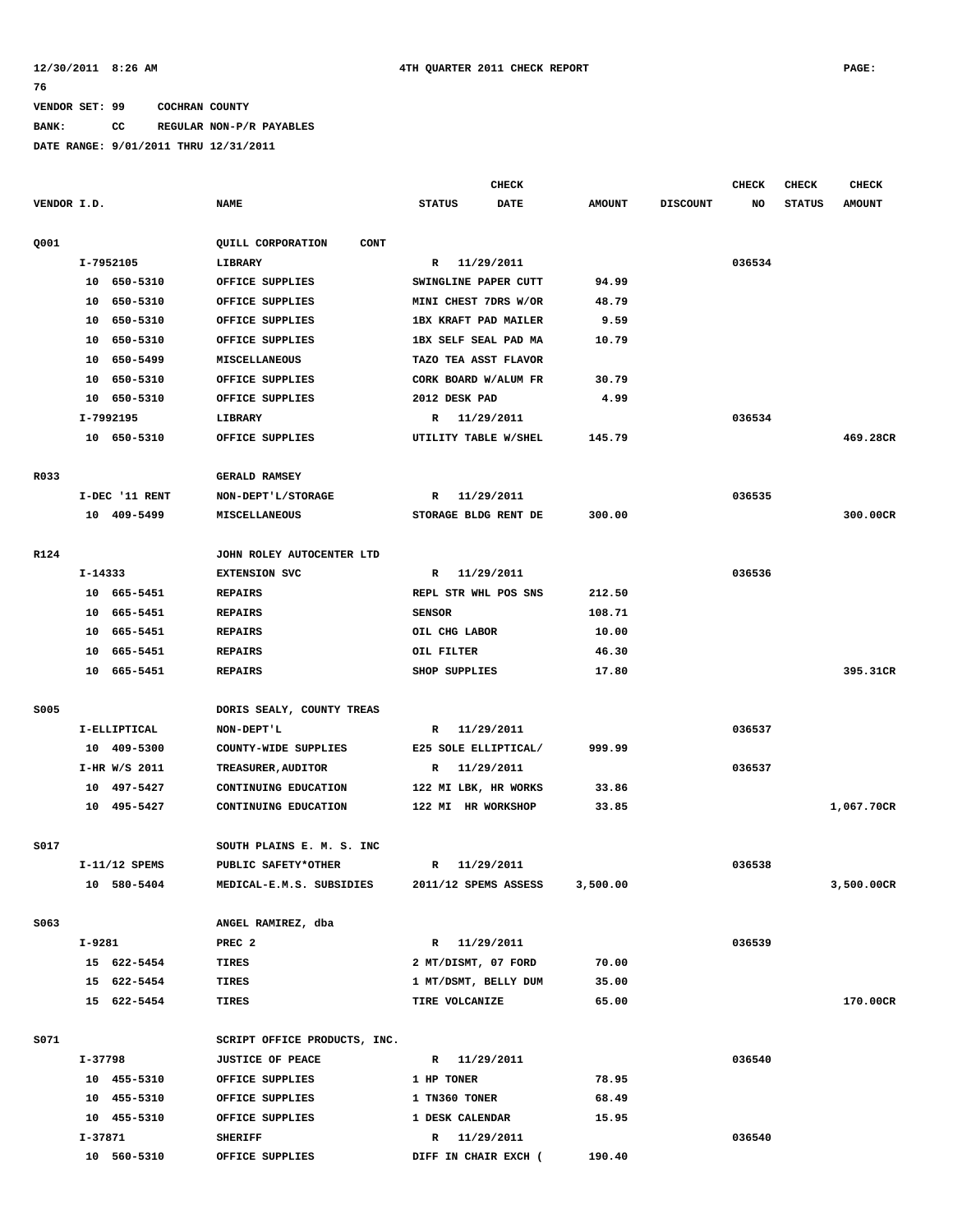## **VENDOR SET: 99 COCHRAN COUNTY BANK: CC REGULAR NON-P/R PAYABLES**

|             |         |                 |                              |                      | CHECK                |               |                 | <b>CHECK</b> | <b>CHECK</b>  | <b>CHECK</b>  |
|-------------|---------|-----------------|------------------------------|----------------------|----------------------|---------------|-----------------|--------------|---------------|---------------|
| VENDOR I.D. |         |                 | <b>NAME</b>                  | <b>STATUS</b>        | <b>DATE</b>          | <b>AMOUNT</b> | <b>DISCOUNT</b> | NO           | <b>STATUS</b> | <b>AMOUNT</b> |
| Q001        |         |                 | QUILL CORPORATION<br>CONT    |                      |                      |               |                 |              |               |               |
|             |         | I-7952105       | LIBRARY                      |                      | R 11/29/2011         |               |                 | 036534       |               |               |
|             |         | 10 650-5310     | OFFICE SUPPLIES              |                      | SWINGLINE PAPER CUTT | 94.99         |                 |              |               |               |
|             |         | 10 650-5310     | OFFICE SUPPLIES              |                      | MINI CHEST 7DRS W/OR | 48.79         |                 |              |               |               |
|             |         | 10 650-5310     | OFFICE SUPPLIES              |                      | 1BX KRAFT PAD MAILER | 9.59          |                 |              |               |               |
|             |         | 10 650-5310     | OFFICE SUPPLIES              |                      | 1BX SELF SEAL PAD MA | 10.79         |                 |              |               |               |
|             |         | 10 650-5499     | MISCELLANEOUS                |                      | TAZO TEA ASST FLAVOR |               |                 |              |               |               |
|             |         | 10 650-5310     | OFFICE SUPPLIES              |                      | CORK BOARD W/ALUM FR | 30.79         |                 |              |               |               |
|             |         | 10 650-5310     | OFFICE SUPPLIES              | 2012 DESK PAD        |                      | 4.99          |                 |              |               |               |
|             |         | I-7992195       | LIBRARY                      |                      | R 11/29/2011         |               |                 | 036534       |               |               |
|             |         | 10 650-5310     | OFFICE SUPPLIES              |                      | UTILITY TABLE W/SHEL | 145.79        |                 |              |               | 469.28CR      |
|             |         |                 |                              |                      |                      |               |                 |              |               |               |
| R033        |         |                 | GERALD RAMSEY                |                      |                      |               |                 |              |               |               |
|             |         | I-DEC '11 RENT  | NON-DEPT'L/STORAGE           | R                    | 11/29/2011           |               |                 | 036535       |               |               |
|             |         | 10 409-5499     | <b>MISCELLANEOUS</b>         |                      | STORAGE BLDG RENT DE | 300.00        |                 |              |               | 300.00CR      |
| R124        |         |                 | JOHN ROLEY AUTOCENTER LTD    |                      |                      |               |                 |              |               |               |
|             | I-14333 |                 | <b>EXTENSION SVC</b>         | R                    | 11/29/2011           |               |                 | 036536       |               |               |
|             |         | 10 665-5451     | <b>REPAIRS</b>               |                      | REPL STR WHL POS SNS | 212.50        |                 |              |               |               |
|             |         | 10 665-5451     | <b>REPAIRS</b>               | <b>SENSOR</b>        |                      | 108.71        |                 |              |               |               |
|             |         | 10 665-5451     | <b>REPAIRS</b>               | OIL CHG LABOR        |                      | 10.00         |                 |              |               |               |
|             |         | 10 665-5451     | <b>REPAIRS</b>               | OIL FILTER           |                      | 46.30         |                 |              |               |               |
|             |         | 10 665-5451     | <b>REPAIRS</b>               | <b>SHOP SUPPLIES</b> |                      | 17.80         |                 |              |               | 395.31CR      |
|             |         |                 |                              |                      |                      |               |                 |              |               |               |
| S005        |         |                 | DORIS SEALY, COUNTY TREAS    |                      |                      |               |                 |              |               |               |
|             |         | I-ELLIPTICAL    | NON-DEPT'L                   | R                    | 11/29/2011           |               |                 | 036537       |               |               |
|             |         | 10 409-5300     | COUNTY-WIDE SUPPLIES         |                      | E25 SOLE ELLIPTICAL/ | 999.99        |                 |              |               |               |
|             |         | I-HR W/S 2011   | <b>TREASURER, AUDITOR</b>    | R                    | 11/29/2011           |               |                 | 036537       |               |               |
|             |         | 10 497-5427     | CONTINUING EDUCATION         |                      | 122 MI LBK, HR WORKS | 33.86         |                 |              |               |               |
|             |         | 10 495-5427     | CONTINUING EDUCATION         | 122 MI HR WORKSHOP   |                      | 33.85         |                 |              |               | 1,067.70CR    |
| S017        |         |                 | SOUTH PLAINS E. M. S. INC    |                      |                      |               |                 |              |               |               |
|             |         | $I-11/12$ SPEMS | PUBLIC SAFETY*OTHER          | R                    | 11/29/2011           |               |                 | 036538       |               |               |
|             |         | 10 580-5404     | MEDICAL-E.M.S. SUBSIDIES     |                      | 2011/12 SPEMS ASSESS | 3,500.00      |                 |              |               | 3,500.00CR    |
| S063        |         |                 | ANGEL RAMIREZ, dba           |                      |                      |               |                 |              |               |               |
|             | I-9281  |                 | PREC <sub>2</sub>            |                      | R 11/29/2011         |               |                 | 036539       |               |               |
|             |         | 15 622-5454     | TIRES                        | 2 MT/DISMT, 07 FORD  |                      | 70.00         |                 |              |               |               |
|             |         | 15 622-5454     | TIRES                        |                      | 1 MT/DSMT, BELLY DUM | 35.00         |                 |              |               |               |
|             |         | 15 622-5454     | TIRES                        | TIRE VOLCANIZE       |                      | 65.00         |                 |              |               | 170.00CR      |
|             |         |                 |                              |                      |                      |               |                 |              |               |               |
| S071        |         |                 | SCRIPT OFFICE PRODUCTS, INC. |                      |                      |               |                 |              |               |               |
|             | I-37798 |                 | <b>JUSTICE OF PEACE</b>      | R 11/29/2011         |                      |               |                 | 036540       |               |               |
|             |         | 10 455-5310     | OFFICE SUPPLIES              | 1 HP TONER           |                      | 78.95         |                 |              |               |               |
|             |         | 10 455-5310     | OFFICE SUPPLIES              | 1 TN360 TONER        |                      | 68.49         |                 |              |               |               |
|             |         | 10 455-5310     | OFFICE SUPPLIES              | 1 DESK CALENDAR      |                      | 15.95         |                 |              |               |               |
|             | I-37871 |                 | <b>SHERIFF</b>               |                      | R 11/29/2011         |               |                 | 036540       |               |               |
|             |         | 10 560-5310     | OFFICE SUPPLIES              |                      | DIFF IN CHAIR EXCH ( | 190.40        |                 |              |               |               |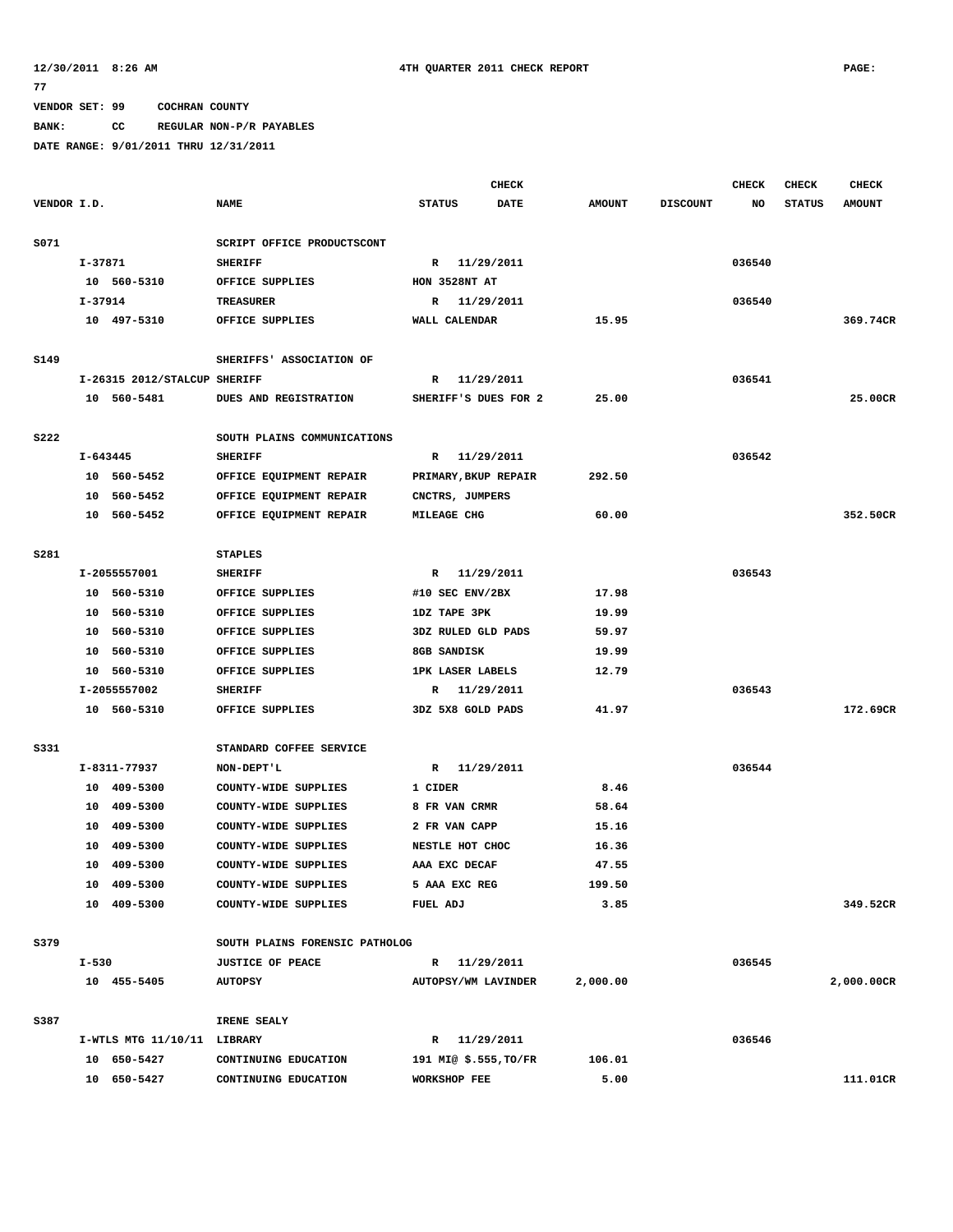#### **VENDOR SET: 99 COCHRAN COUNTY**

# **BANK: CC REGULAR NON-P/R PAYABLES**

|             |           |                              |                                | <b>CHECK</b><br><b>STATUS</b><br><b>DATE</b> |            |               |                 | <b>CHECK</b> | <b>CHECK</b>  | <b>CHECK</b>  |
|-------------|-----------|------------------------------|--------------------------------|----------------------------------------------|------------|---------------|-----------------|--------------|---------------|---------------|
| VENDOR I.D. |           |                              | <b>NAME</b>                    |                                              |            | <b>AMOUNT</b> | <b>DISCOUNT</b> | NO           | <b>STATUS</b> | <b>AMOUNT</b> |
|             |           |                              |                                |                                              |            |               |                 |              |               |               |
| S071        |           |                              | SCRIPT OFFICE PRODUCTSCONT     |                                              |            |               |                 |              |               |               |
|             | I-37871   |                              | <b>SHERIFF</b>                 | $\mathbb{R}$                                 | 11/29/2011 |               |                 | 036540       |               |               |
|             |           | 10 560-5310                  | OFFICE SUPPLIES                | HON 3528NT AT                                |            |               |                 |              |               |               |
|             | I-37914   |                              | TREASURER                      | R                                            | 11/29/2011 |               |                 | 036540       |               |               |
|             |           | 10 497-5310                  | OFFICE SUPPLIES                | WALL CALENDAR                                |            | 15.95         |                 |              |               | 369.74CR      |
|             |           |                              |                                |                                              |            |               |                 |              |               |               |
| S149        |           |                              | SHERIFFS' ASSOCIATION OF       |                                              |            |               |                 |              |               |               |
|             |           | I-26315 2012/STALCUP SHERIFF |                                | R                                            | 11/29/2011 |               |                 | 036541       |               |               |
|             |           | 10 560-5481                  | DUES AND REGISTRATION          | SHERIFF'S DUES FOR 2                         |            | 25.00         |                 |              |               | 25.00CR       |
|             |           |                              |                                |                                              |            |               |                 |              |               |               |
| <b>S222</b> |           |                              | SOUTH PLAINS COMMUNICATIONS    |                                              |            |               |                 | 036542       |               |               |
|             | I-643445  |                              | <b>SHERIFF</b>                 | R                                            | 11/29/2011 |               |                 |              |               |               |
|             |           | 10 560-5452<br>10 560-5452   | OFFICE EQUIPMENT REPAIR        | PRIMARY, BKUP REPAIR                         |            | 292.50        |                 |              |               |               |
|             |           |                              | OFFICE EQUIPMENT REPAIR        | CNCTRS, JUMPERS                              |            |               |                 |              |               |               |
|             |           | 10 560-5452                  | OFFICE EQUIPMENT REPAIR        | MILEAGE CHG                                  |            | 60.00         |                 |              |               | 352.50CR      |
| S281        |           |                              | <b>STAPLES</b>                 |                                              |            |               |                 |              |               |               |
|             |           | I-2055557001                 | <b>SHERIFF</b>                 | R                                            | 11/29/2011 |               |                 | 036543       |               |               |
|             |           | 10 560-5310                  | OFFICE SUPPLIES                | #10 SEC ENV/2BX                              |            | 17.98         |                 |              |               |               |
|             |           | 10 560-5310                  | OFFICE SUPPLIES                | 1DZ TAPE 3PK                                 |            | 19.99         |                 |              |               |               |
|             |           | 10 560-5310                  | OFFICE SUPPLIES                | 3DZ RULED GLD PADS                           |            | 59.97         |                 |              |               |               |
|             | 10        | 560-5310                     | OFFICE SUPPLIES                | 8GB SANDISK                                  |            | 19.99         |                 |              |               |               |
|             |           | 10 560-5310                  | OFFICE SUPPLIES                | <b>1PK LASER LABELS</b>                      |            | 12.79         |                 |              |               |               |
|             |           | I-2055557002                 | <b>SHERIFF</b>                 | R                                            | 11/29/2011 |               |                 | 036543       |               |               |
|             |           | 10 560-5310                  | OFFICE SUPPLIES                | 3DZ 5X8 GOLD PADS                            |            | 41.97         |                 |              |               | 172.69CR      |
|             |           |                              |                                |                                              |            |               |                 |              |               |               |
| S331        |           |                              | STANDARD COFFEE SERVICE        |                                              |            |               |                 |              |               |               |
|             |           | I-8311-77937                 | NON-DEPT'L                     | R                                            | 11/29/2011 |               |                 | 036544       |               |               |
|             |           | 10 409-5300                  | COUNTY-WIDE SUPPLIES           | 1 CIDER                                      |            | 8.46          |                 |              |               |               |
|             |           | 10 409-5300                  | COUNTY-WIDE SUPPLIES           | 8 FR VAN CRMR                                |            | 58.64         |                 |              |               |               |
|             |           | 10 409-5300                  | COUNTY-WIDE SUPPLIES           | 2 FR VAN CAPP                                |            | 15.16         |                 |              |               |               |
|             | 10        | 409-5300                     | COUNTY-WIDE SUPPLIES           | NESTLE HOT CHOC                              |            | 16.36         |                 |              |               |               |
|             |           | 10 409-5300                  | COUNTY-WIDE SUPPLIES           | AAA EXC DECAF                                |            | 47.55         |                 |              |               |               |
|             |           | 10 409-5300                  | COUNTY-WIDE SUPPLIES           | 5 AAA EXC REG                                |            | 199.50        |                 |              |               |               |
|             |           | 10 409-5300                  | COUNTY-WIDE SUPPLIES           | FUEL ADJ                                     |            | 3.85          |                 |              |               | 349.52CR      |
|             |           |                              |                                |                                              |            |               |                 |              |               |               |
| S379        |           |                              | SOUTH PLAINS FORENSIC PATHOLOG |                                              |            |               |                 |              |               |               |
|             | $I - 530$ |                              | <b>JUSTICE OF PEACE</b>        | R 11/29/2011                                 |            |               |                 | 036545       |               |               |
|             |           | 10 455-5405                  | <b>AUTOPSY</b>                 | AUTOPSY/WM LAVINDER                          |            | 2,000.00      |                 |              |               | 2,000.00CR    |
|             |           |                              |                                |                                              |            |               |                 |              |               |               |
| S387        |           |                              | IRENE SEALY                    |                                              |            |               |                 |              |               |               |
|             |           | I-WTLS MTG 11/10/11 LIBRARY  |                                | R 11/29/2011                                 |            |               |                 | 036546       |               |               |
|             |           | 10 650-5427                  | CONTINUING EDUCATION           | 191 MI@ \$.555, TO/FR                        |            | 106.01        |                 |              |               |               |
|             |           | 10 650-5427                  | CONTINUING EDUCATION           | <b>WORKSHOP FEE</b>                          |            | 5.00          |                 |              |               | 111.01CR      |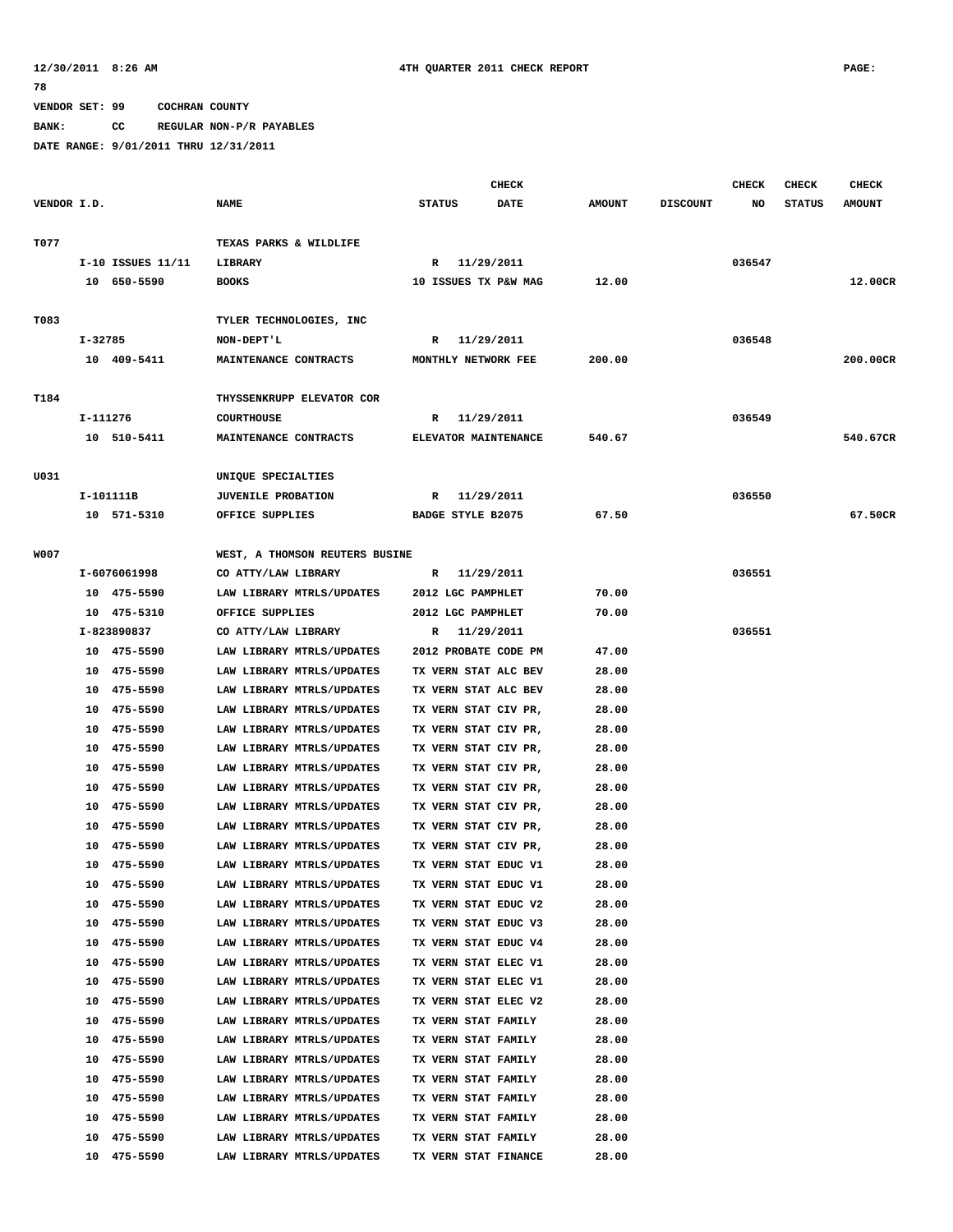# **VENDOR SET: 99 COCHRAN COUNTY**

# **BANK: CC REGULAR NON-P/R PAYABLES**

|             |                                  |                                                        |                                              | <b>CHECK</b> |                |                 | <b>CHECK</b> | <b>CHECK</b>  | <b>CHECK</b>  |
|-------------|----------------------------------|--------------------------------------------------------|----------------------------------------------|--------------|----------------|-----------------|--------------|---------------|---------------|
| VENDOR I.D. |                                  | <b>NAME</b>                                            | <b>STATUS</b>                                | DATE         | <b>AMOUNT</b>  | <b>DISCOUNT</b> | NO           | <b>STATUS</b> | <b>AMOUNT</b> |
|             |                                  |                                                        |                                              |              |                |                 |              |               |               |
| T077        |                                  | TEXAS PARKS & WILDLIFE                                 |                                              |              |                |                 |              |               |               |
|             | I-10 ISSUES 11/11                | LIBRARY                                                | R                                            | 11/29/2011   |                |                 | 036547       |               |               |
|             | 10 650-5590                      | <b>BOOKS</b>                                           | 10 ISSUES TX P&W MAG                         |              | 12.00          |                 |              |               | 12.00CR       |
| T083        |                                  | TYLER TECHNOLOGIES, INC                                |                                              |              |                |                 |              |               |               |
|             | I-32785                          | NON-DEPT'L                                             | R                                            | 11/29/2011   |                |                 | 036548       |               |               |
|             | 10 409-5411                      | MAINTENANCE CONTRACTS                                  | MONTHLY NETWORK FEE                          |              | 200.00         |                 |              |               | 200.00CR      |
|             |                                  |                                                        |                                              |              |                |                 |              |               |               |
| T184        |                                  | THYSSENKRUPP ELEVATOR COR                              |                                              |              |                |                 |              |               |               |
|             | I-111276                         | <b>COURTHOUSE</b>                                      | R                                            | 11/29/2011   |                |                 | 036549       |               |               |
|             | 10 510-5411                      | MAINTENANCE CONTRACTS                                  | ELEVATOR MAINTENANCE                         |              | 540.67         |                 |              |               | 540.67CR      |
| U031        |                                  | UNIQUE SPECIALTIES                                     |                                              |              |                |                 |              |               |               |
|             | I-101111B                        | JUVENILE PROBATION                                     | R                                            | 11/29/2011   |                |                 | 036550       |               |               |
|             | 10 571-5310                      | OFFICE SUPPLIES                                        | <b>BADGE STYLE B2075</b>                     |              | 67.50          |                 |              |               | 67.50CR       |
|             |                                  |                                                        |                                              |              |                |                 |              |               |               |
| W007        |                                  | WEST, A THOMSON REUTERS BUSINE                         |                                              |              |                |                 |              |               |               |
|             | I-6076061998                     | CO ATTY/LAW LIBRARY                                    | R                                            | 11/29/2011   |                |                 | 036551       |               |               |
|             | 10 475-5590                      | LAW LIBRARY MTRLS/UPDATES                              | 2012 LGC PAMPHLET                            |              | 70.00          |                 |              |               |               |
|             | 10 475-5310                      | OFFICE SUPPLIES                                        | 2012 LGC PAMPHLET                            |              | 70.00          |                 |              |               |               |
|             | I-823890837                      | CO ATTY/LAW LIBRARY                                    | 11/29/2011<br>R                              |              |                |                 | 036551       |               |               |
|             | 10 475-5590                      | LAW LIBRARY MTRLS/UPDATES                              | 2012 PROBATE CODE PM                         |              | 47.00          |                 |              |               |               |
|             | 10 475-5590                      | LAW LIBRARY MTRLS/UPDATES                              | TX VERN STAT ALC BEV                         |              | 28.00          |                 |              |               |               |
|             | 10 475-5590                      | LAW LIBRARY MTRLS/UPDATES                              | TX VERN STAT ALC BEV                         |              | 28.00          |                 |              |               |               |
|             | 475-5590<br>10                   | LAW LIBRARY MTRLS/UPDATES                              | TX VERN STAT CIV PR,                         |              | 28.00          |                 |              |               |               |
|             | 475-5590<br>10                   | LAW LIBRARY MTRLS/UPDATES                              | TX VERN STAT CIV PR,                         |              | 28.00          |                 |              |               |               |
|             | 475-5590<br>10                   | LAW LIBRARY MTRLS/UPDATES                              | TX VERN STAT CIV PR,                         |              | 28.00          |                 |              |               |               |
|             | 475-5590<br>10                   | LAW LIBRARY MTRLS/UPDATES                              | TX VERN STAT CIV PR,                         |              | 28.00          |                 |              |               |               |
|             | 475-5590<br>10                   | LAW LIBRARY MTRLS/UPDATES                              | TX VERN STAT CIV PR,                         |              | 28.00          |                 |              |               |               |
|             | 475-5590<br>10                   | LAW LIBRARY MTRLS/UPDATES                              | TX VERN STAT CIV PR,                         |              | 28.00          |                 |              |               |               |
|             | 475-5590<br>10                   | LAW LIBRARY MTRLS/UPDATES                              | TX VERN STAT CIV PR,                         |              | 28.00          |                 |              |               |               |
|             | 475-5590<br>10                   | LAW LIBRARY MTRLS/UPDATES                              | TX VERN STAT CIV PR,                         |              | 28.00          |                 |              |               |               |
|             | 10<br>475-5590                   | LAW LIBRARY MTRLS/UPDATES                              | TX VERN STAT EDUC V1                         |              | 28.00          |                 |              |               |               |
|             | 475-5590<br>10                   | LAW LIBRARY MTRLS/UPDATES                              | TX VERN STAT EDUC V1<br>TX VERN STAT EDUC V2 |              | 28.00          |                 |              |               |               |
|             | 475-5590<br>10<br>475-5590<br>10 | LAW LIBRARY MTRLS/UPDATES<br>LAW LIBRARY MTRLS/UPDATES | TX VERN STAT EDUC V3                         |              | 28.00<br>28.00 |                 |              |               |               |
|             | 475-5590<br>10                   | LAW LIBRARY MTRLS/UPDATES                              | TX VERN STAT EDUC V4                         |              | 28.00          |                 |              |               |               |
|             | 475-5590<br>10                   | LAW LIBRARY MTRLS/UPDATES                              | TX VERN STAT ELEC V1                         |              | 28.00          |                 |              |               |               |
|             | 475-5590<br>10                   | LAW LIBRARY MTRLS/UPDATES                              | TX VERN STAT ELEC V1                         |              | 28.00          |                 |              |               |               |
|             | 475-5590<br>10                   | LAW LIBRARY MTRLS/UPDATES                              | TX VERN STAT ELEC V2                         |              | 28.00          |                 |              |               |               |
|             | 475-5590<br>10                   | LAW LIBRARY MTRLS/UPDATES                              | TX VERN STAT FAMILY                          |              | 28.00          |                 |              |               |               |
|             | 475-5590<br>10                   | LAW LIBRARY MTRLS/UPDATES                              | TX VERN STAT FAMILY                          |              | 28.00          |                 |              |               |               |
|             | 475-5590<br>10                   | LAW LIBRARY MTRLS/UPDATES                              | TX VERN STAT FAMILY                          |              | 28.00          |                 |              |               |               |
|             | 475-5590<br>10                   | LAW LIBRARY MTRLS/UPDATES                              | TX VERN STAT FAMILY                          |              | 28.00          |                 |              |               |               |
|             | 475-5590<br>10                   | LAW LIBRARY MTRLS/UPDATES                              | TX VERN STAT FAMILY                          |              | 28.00          |                 |              |               |               |
|             | 475-5590<br>10                   | LAW LIBRARY MTRLS/UPDATES                              | TX VERN STAT FAMILY                          |              | 28.00          |                 |              |               |               |
|             | 475-5590<br>10                   | LAW LIBRARY MTRLS/UPDATES                              | TX VERN STAT FAMILY                          |              | 28.00          |                 |              |               |               |
|             | 10 475-5590                      | LAW LIBRARY MTRLS/UPDATES                              | TX VERN STAT FINANCE                         |              | 28.00          |                 |              |               |               |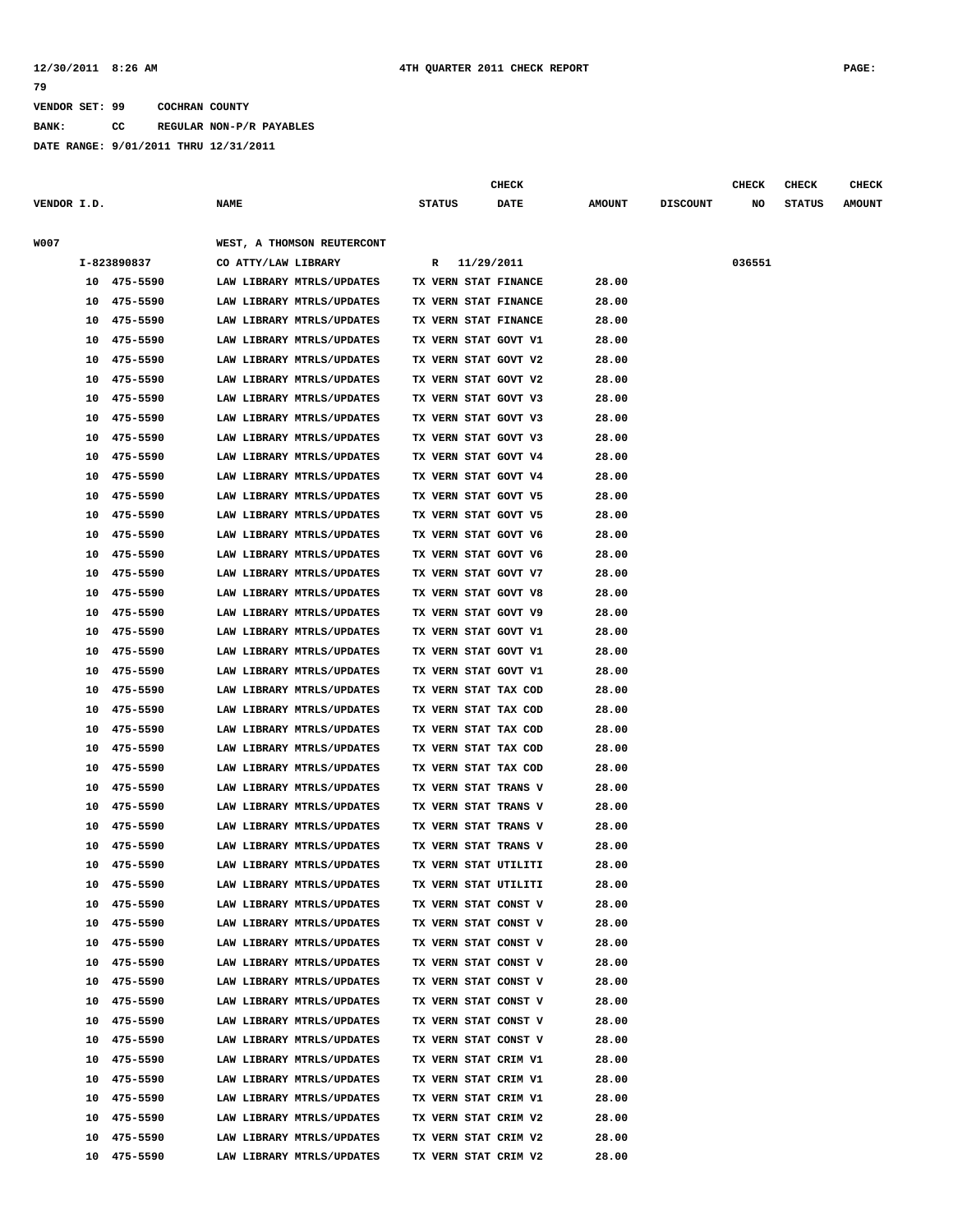# **VENDOR SET: 99 COCHRAN COUNTY**

**BANK: CC REGULAR NON-P/R PAYABLES**

|             |    |             |                            |               |            | <b>CHECK</b>                |               |                 | <b>CHECK</b> | <b>CHECK</b>  | CHECK         |
|-------------|----|-------------|----------------------------|---------------|------------|-----------------------------|---------------|-----------------|--------------|---------------|---------------|
| VENDOR I.D. |    |             | <b>NAME</b>                | <b>STATUS</b> |            | DATE                        | <b>AMOUNT</b> | <b>DISCOUNT</b> | NO           | <b>STATUS</b> | <b>AMOUNT</b> |
| W007        |    |             | WEST, A THOMSON REUTERCONT |               |            |                             |               |                 |              |               |               |
|             |    | I-823890837 | CO ATTY/LAW LIBRARY        | R             | 11/29/2011 |                             |               |                 | 036551       |               |               |
|             | 10 | 475-5590    | LAW LIBRARY MTRLS/UPDATES  |               |            | TX VERN STAT FINANCE        | 28.00         |                 |              |               |               |
|             | 10 | 475-5590    | LAW LIBRARY MTRLS/UPDATES  |               |            | TX VERN STAT FINANCE        | 28.00         |                 |              |               |               |
|             | 10 | 475-5590    | LAW LIBRARY MTRLS/UPDATES  |               |            | TX VERN STAT FINANCE        | 28.00         |                 |              |               |               |
|             | 10 | 475-5590    | LAW LIBRARY MTRLS/UPDATES  |               |            | TX VERN STAT GOVT V1        | 28.00         |                 |              |               |               |
|             | 10 | 475-5590    | LAW LIBRARY MTRLS/UPDATES  |               |            | TX VERN STAT GOVT V2        | 28.00         |                 |              |               |               |
|             | 10 | 475-5590    | LAW LIBRARY MTRLS/UPDATES  |               |            | TX VERN STAT GOVT V2        | 28.00         |                 |              |               |               |
|             | 10 | 475-5590    | LAW LIBRARY MTRLS/UPDATES  |               |            | TX VERN STAT GOVT V3        | 28.00         |                 |              |               |               |
|             | 10 | 475-5590    | LAW LIBRARY MTRLS/UPDATES  |               |            | TX VERN STAT GOVT V3        | 28.00         |                 |              |               |               |
|             | 10 | 475-5590    | LAW LIBRARY MTRLS/UPDATES  |               |            | TX VERN STAT GOVT V3        | 28.00         |                 |              |               |               |
|             | 10 | 475-5590    | LAW LIBRARY MTRLS/UPDATES  |               |            | TX VERN STAT GOVT V4        | 28.00         |                 |              |               |               |
|             | 10 | 475-5590    | LAW LIBRARY MTRLS/UPDATES  |               |            | TX VERN STAT GOVT V4        | 28.00         |                 |              |               |               |
|             | 10 | 475-5590    | LAW LIBRARY MTRLS/UPDATES  |               |            | TX VERN STAT GOVT V5        | 28.00         |                 |              |               |               |
|             | 10 | 475-5590    | LAW LIBRARY MTRLS/UPDATES  |               |            | TX VERN STAT GOVT V5        | 28.00         |                 |              |               |               |
|             | 10 | 475-5590    | LAW LIBRARY MTRLS/UPDATES  |               |            | TX VERN STAT GOVT V6        | 28.00         |                 |              |               |               |
|             | 10 | 475-5590    | LAW LIBRARY MTRLS/UPDATES  |               |            | TX VERN STAT GOVT V6        | 28.00         |                 |              |               |               |
|             | 10 | 475-5590    | LAW LIBRARY MTRLS/UPDATES  |               |            | TX VERN STAT GOVT V7        | 28.00         |                 |              |               |               |
|             | 10 | 475-5590    | LAW LIBRARY MTRLS/UPDATES  |               |            | TX VERN STAT GOVT V8        | 28.00         |                 |              |               |               |
|             | 10 | 475-5590    | LAW LIBRARY MTRLS/UPDATES  |               |            | TX VERN STAT GOVT V9        | 28.00         |                 |              |               |               |
|             | 10 | 475-5590    | LAW LIBRARY MTRLS/UPDATES  |               |            | TX VERN STAT GOVT V1        | 28.00         |                 |              |               |               |
|             | 10 | 475-5590    | LAW LIBRARY MTRLS/UPDATES  |               |            | TX VERN STAT GOVT V1        | 28.00         |                 |              |               |               |
|             | 10 | 475-5590    | LAW LIBRARY MTRLS/UPDATES  |               |            | TX VERN STAT GOVT V1        | 28.00         |                 |              |               |               |
|             | 10 | 475-5590    | LAW LIBRARY MTRLS/UPDATES  |               |            | TX VERN STAT TAX COD        | 28.00         |                 |              |               |               |
|             | 10 | 475-5590    | LAW LIBRARY MTRLS/UPDATES  |               |            | TX VERN STAT TAX COD        | 28.00         |                 |              |               |               |
|             | 10 | 475-5590    | LAW LIBRARY MTRLS/UPDATES  |               |            | TX VERN STAT TAX COD        | 28.00         |                 |              |               |               |
|             | 10 | 475-5590    | LAW LIBRARY MTRLS/UPDATES  |               |            | TX VERN STAT TAX COD        | 28.00         |                 |              |               |               |
|             | 10 | 475-5590    | LAW LIBRARY MTRLS/UPDATES  |               |            | TX VERN STAT TAX COD        | 28.00         |                 |              |               |               |
|             | 10 | 475-5590    | LAW LIBRARY MTRLS/UPDATES  |               |            | TX VERN STAT TRANS V        | 28.00         |                 |              |               |               |
|             | 10 | 475-5590    | LAW LIBRARY MTRLS/UPDATES  |               |            | TX VERN STAT TRANS V        | 28.00         |                 |              |               |               |
|             | 10 | 475-5590    | LAW LIBRARY MTRLS/UPDATES  |               |            | TX VERN STAT TRANS V        | 28.00         |                 |              |               |               |
|             | 10 | 475-5590    | LAW LIBRARY MTRLS/UPDATES  |               |            | TX VERN STAT TRANS V        | 28.00         |                 |              |               |               |
|             | 10 | 475-5590    | LAW LIBRARY MTRLS/UPDATES  |               |            | TX VERN STAT UTILITI        | 28.00         |                 |              |               |               |
|             | 10 | 475-5590    | LAW LIBRARY MTRLS/UPDATES  |               |            | <b>TX VERN STAT UTILITI</b> | 28.00         |                 |              |               |               |
|             | 10 | 475-5590    | LAW LIBRARY MTRLS/UPDATES  |               |            | TX VERN STAT CONST V        | 28.00         |                 |              |               |               |
|             | 10 | 475-5590    | LAW LIBRARY MTRLS/UPDATES  |               |            | TX VERN STAT CONST V        | 28.00         |                 |              |               |               |
|             | 10 | 475-5590    | LAW LIBRARY MTRLS/UPDATES  |               |            | TX VERN STAT CONST V        | 28.00         |                 |              |               |               |
|             | 10 | 475-5590    | LAW LIBRARY MTRLS/UPDATES  |               |            | TX VERN STAT CONST V        | 28.00         |                 |              |               |               |
|             | 10 | 475-5590    | LAW LIBRARY MTRLS/UPDATES  |               |            | TX VERN STAT CONST V        | 28.00         |                 |              |               |               |
|             | 10 | 475-5590    | LAW LIBRARY MTRLS/UPDATES  |               |            | TX VERN STAT CONST V        | 28.00         |                 |              |               |               |
|             | 10 | 475-5590    | LAW LIBRARY MTRLS/UPDATES  |               |            | TX VERN STAT CONST V        | 28.00         |                 |              |               |               |
|             | 10 | 475-5590    | LAW LIBRARY MTRLS/UPDATES  |               |            | TX VERN STAT CONST V        | 28.00         |                 |              |               |               |
|             | 10 | 475-5590    | LAW LIBRARY MTRLS/UPDATES  |               |            | TX VERN STAT CRIM V1        | 28.00         |                 |              |               |               |
|             | 10 | 475-5590    | LAW LIBRARY MTRLS/UPDATES  |               |            | TX VERN STAT CRIM V1        | 28.00         |                 |              |               |               |
|             | 10 | 475-5590    | LAW LIBRARY MTRLS/UPDATES  |               |            | TX VERN STAT CRIM V1        | 28.00         |                 |              |               |               |
|             | 10 | 475-5590    | LAW LIBRARY MTRLS/UPDATES  |               |            | TX VERN STAT CRIM V2        | 28.00         |                 |              |               |               |
|             | 10 | 475-5590    | LAW LIBRARY MTRLS/UPDATES  |               |            | TX VERN STAT CRIM V2        | 28.00         |                 |              |               |               |
|             | 10 | 475-5590    | LAW LIBRARY MTRLS/UPDATES  |               |            | TX VERN STAT CRIM V2        | 28.00         |                 |              |               |               |
|             |    |             |                            |               |            |                             |               |                 |              |               |               |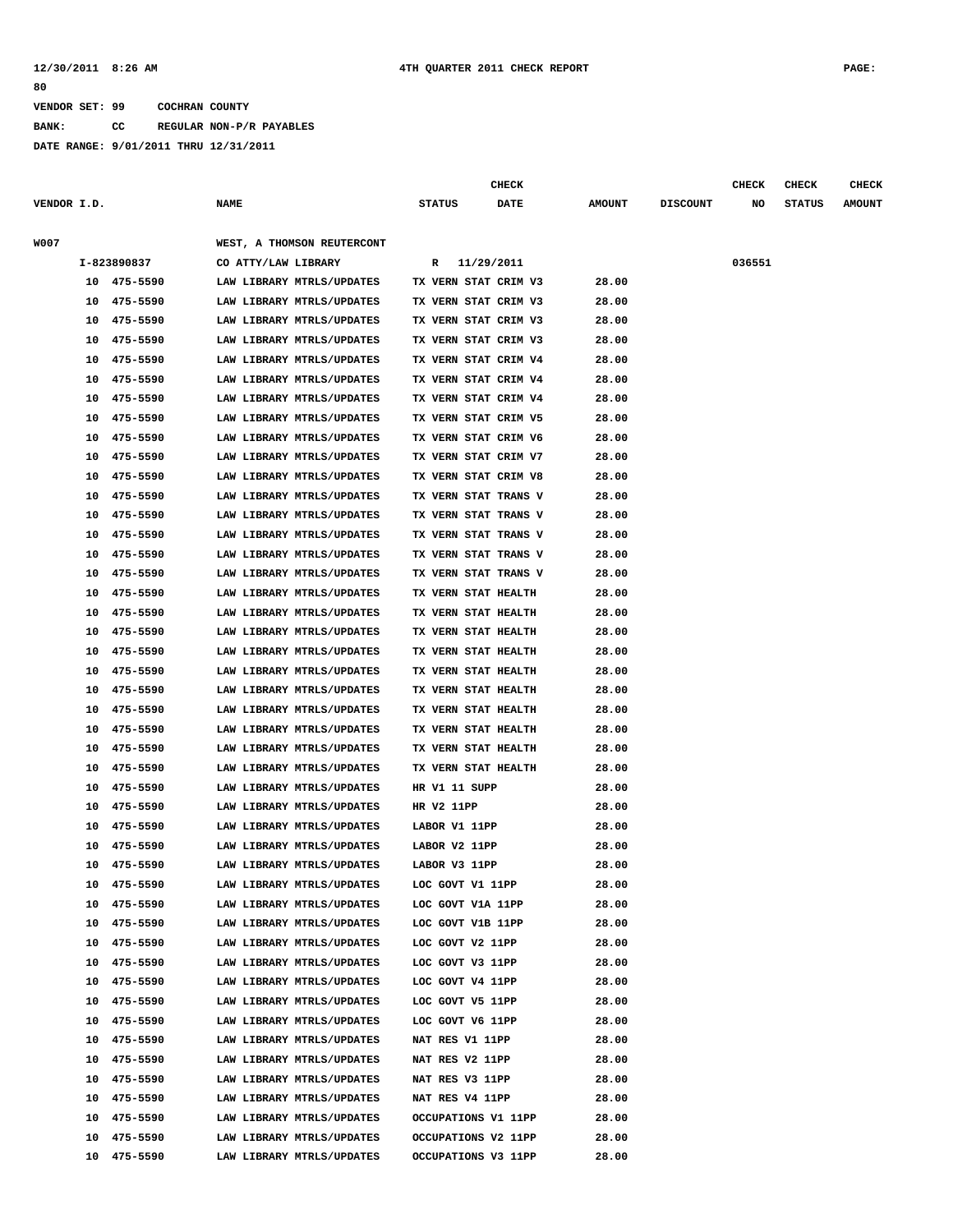# **VENDOR SET: 99 COCHRAN COUNTY**

**BANK: CC REGULAR NON-P/R PAYABLES**

|             |          |                      |                     |                                                        |                                            |            | <b>CHECK</b> |                |                 | CHECK  | <b>CHECK</b>  | <b>CHECK</b>  |
|-------------|----------|----------------------|---------------------|--------------------------------------------------------|--------------------------------------------|------------|--------------|----------------|-----------------|--------|---------------|---------------|
| VENDOR I.D. |          |                      | <b>NAME</b>         |                                                        | <b>STATUS</b>                              |            | <b>DATE</b>  | <b>AMOUNT</b>  | <b>DISCOUNT</b> | NO     | <b>STATUS</b> | <b>AMOUNT</b> |
| W007        |          |                      |                     | WEST, A THOMSON REUTERCONT                             |                                            |            |              |                |                 |        |               |               |
|             |          | I-823890837          | CO ATTY/LAW LIBRARY |                                                        | R                                          | 11/29/2011 |              |                |                 | 036551 |               |               |
|             |          | 10 475-5590          |                     | LAW LIBRARY MTRLS/UPDATES                              | TX VERN STAT CRIM V3                       |            |              | 28.00          |                 |        |               |               |
|             |          | 10 475-5590          |                     | LAW LIBRARY MTRLS/UPDATES                              | TX VERN STAT CRIM V3                       |            |              | 28.00          |                 |        |               |               |
|             |          | 10 475-5590          |                     | LAW LIBRARY MTRLS/UPDATES                              | TX VERN STAT CRIM V3                       |            |              | 28.00          |                 |        |               |               |
|             | 10       | 475–5590             |                     | LAW LIBRARY MTRLS/UPDATES                              | TX VERN STAT CRIM V3                       |            |              | 28.00          |                 |        |               |               |
|             | 10       | 475-5590             |                     | LAW LIBRARY MTRLS/UPDATES                              | TX VERN STAT CRIM V4                       |            |              | 28.00          |                 |        |               |               |
|             | 10       | 475-5590             |                     | LAW LIBRARY MTRLS/UPDATES                              | TX VERN STAT CRIM V4                       |            |              | 28.00          |                 |        |               |               |
|             | 10       | 475-5590             |                     | LAW LIBRARY MTRLS/UPDATES                              | TX VERN STAT CRIM V4                       |            |              | 28.00          |                 |        |               |               |
|             | 10       | 475-5590             |                     | LAW LIBRARY MTRLS/UPDATES                              | TX VERN STAT CRIM V5                       |            |              | 28.00          |                 |        |               |               |
|             | 10       | 475-5590             |                     | LAW LIBRARY MTRLS/UPDATES                              | TX VERN STAT CRIM V6                       |            |              | 28.00          |                 |        |               |               |
|             | 10       | 475-5590             |                     | LAW LIBRARY MTRLS/UPDATES                              | TX VERN STAT CRIM V7                       |            |              | 28.00          |                 |        |               |               |
|             | 10       | 475-5590             |                     | LAW LIBRARY MTRLS/UPDATES                              | TX VERN STAT CRIM V8                       |            |              | 28.00          |                 |        |               |               |
|             | 10       | 475-5590             |                     | LAW LIBRARY MTRLS/UPDATES                              | TX VERN STAT TRANS V                       |            |              | 28.00          |                 |        |               |               |
|             | 10       | 475-5590             |                     | LAW LIBRARY MTRLS/UPDATES                              | TX VERN STAT TRANS V                       |            |              | 28.00          |                 |        |               |               |
|             | 10       | 475-5590             |                     | LAW LIBRARY MTRLS/UPDATES                              | TX VERN STAT TRANS V                       |            |              | 28.00          |                 |        |               |               |
|             | 10       | 475-5590             |                     | LAW LIBRARY MTRLS/UPDATES                              | TX VERN STAT TRANS V                       |            |              | 28.00          |                 |        |               |               |
|             | 10       | 475-5590             |                     | LAW LIBRARY MTRLS/UPDATES                              | TX VERN STAT TRANS V                       |            |              | 28.00          |                 |        |               |               |
|             | 10       | 475-5590             |                     | LAW LIBRARY MTRLS/UPDATES                              | TX VERN STAT HEALTH                        |            |              | 28.00          |                 |        |               |               |
|             | 10       | 475-5590             |                     | LAW LIBRARY MTRLS/UPDATES                              | TX VERN STAT HEALTH                        |            |              | 28.00          |                 |        |               |               |
|             | 10       | 475-5590             |                     | LAW LIBRARY MTRLS/UPDATES                              | TX VERN STAT HEALTH                        |            |              | 28.00          |                 |        |               |               |
|             | 10       | 475-5590             |                     | LAW LIBRARY MTRLS/UPDATES                              | TX VERN STAT HEALTH                        |            |              | 28.00          |                 |        |               |               |
|             | 10       | 475-5590             |                     | LAW LIBRARY MTRLS/UPDATES                              | TX VERN STAT HEALTH                        |            |              | 28.00          |                 |        |               |               |
|             | 10       | 475-5590             |                     | LAW LIBRARY MTRLS/UPDATES                              | TX VERN STAT HEALTH                        |            |              | 28.00          |                 |        |               |               |
|             | 10       | 475-5590             |                     | LAW LIBRARY MTRLS/UPDATES                              | TX VERN STAT HEALTH                        |            |              | 28.00          |                 |        |               |               |
|             | 10       | 475-5590             |                     | LAW LIBRARY MTRLS/UPDATES                              | TX VERN STAT HEALTH                        |            |              | 28.00          |                 |        |               |               |
|             | 10       | 475-5590             |                     | LAW LIBRARY MTRLS/UPDATES                              | TX VERN STAT HEALTH                        |            |              | 28.00          |                 |        |               |               |
|             | 10       | 475-5590             |                     | LAW LIBRARY MTRLS/UPDATES                              | TX VERN STAT HEALTH                        |            |              | 28.00          |                 |        |               |               |
|             | 10       | 475-5590             |                     | LAW LIBRARY MTRLS/UPDATES                              | HR V1 11 SUPP                              |            |              | 28.00          |                 |        |               |               |
|             | 10       | 475-5590             |                     | LAW LIBRARY MTRLS/UPDATES                              | HR V2 11PP                                 |            |              | 28.00          |                 |        |               |               |
|             | 10       | 475-5590             |                     | LAW LIBRARY MTRLS/UPDATES                              | LABOR V1 11PP                              |            |              | 28.00          |                 |        |               |               |
|             | 10       | 475-5590             |                     | LAW LIBRARY MTRLS/UPDATES                              | LABOR V2 11PP                              |            |              | 28.00          |                 |        |               |               |
|             |          | 10 475-5590          |                     | LAW LIBRARY MTRLS/UPDATES                              | LABOR V3 11PP                              |            |              | 28.00          |                 |        |               |               |
|             | 10       | 475-5590             |                     | LAW LIBRARY MTRLS/UPDATES                              | LOC GOVT V1 11PP                           |            |              | 28.00          |                 |        |               |               |
|             | 10       | 475-5590             |                     | LAW LIBRARY MTRLS/UPDATES                              | LOC GOVT V1A 11PP                          |            |              | 28.00          |                 |        |               |               |
|             | 10       | 475-5590             |                     | LAW LIBRARY MTRLS/UPDATES                              | LOC GOVT V1B 11PP                          |            |              | 28.00          |                 |        |               |               |
|             | 10       | 475-5590             |                     | LAW LIBRARY MTRLS/UPDATES                              | LOC GOVT V2 11PP                           |            |              | 28.00          |                 |        |               |               |
|             | 10       | 475-5590             |                     | LAW LIBRARY MTRLS/UPDATES                              | LOC GOVT V3 11PP                           |            |              | 28.00          |                 |        |               |               |
|             | 10       | 475-5590             |                     | LAW LIBRARY MTRLS/UPDATES                              | LOC GOVT V4 11PP                           |            |              | 28.00          |                 |        |               |               |
|             |          | 10 475-5590          |                     | LAW LIBRARY MTRLS/UPDATES                              | LOC GOVT V5 11PP                           |            |              | 28.00          |                 |        |               |               |
|             | 10       | 475-5590             |                     | LAW LIBRARY MTRLS/UPDATES                              | LOC GOVT V6 11PP                           |            |              | 28.00          |                 |        |               |               |
|             | 10       | 475–5590             |                     | LAW LIBRARY MTRLS/UPDATES                              | NAT RES V1 11PP                            |            |              | 28.00          |                 |        |               |               |
|             |          | 475-5590             |                     |                                                        | NAT RES V2 11PP                            |            |              |                |                 |        |               |               |
|             | 10       | 475-5590             |                     | LAW LIBRARY MTRLS/UPDATES                              | NAT RES V3 11PP                            |            |              | 28.00<br>28.00 |                 |        |               |               |
|             | 10       |                      |                     | LAW LIBRARY MTRLS/UPDATES                              |                                            |            |              | 28.00          |                 |        |               |               |
|             | 10       | 475-5590             |                     | LAW LIBRARY MTRLS/UPDATES                              | NAT RES V4 11PP                            |            |              |                |                 |        |               |               |
|             | 10<br>10 | 475-5590<br>475-5590 |                     | LAW LIBRARY MTRLS/UPDATES<br>LAW LIBRARY MTRLS/UPDATES | OCCUPATIONS V1 11PP<br>OCCUPATIONS V2 11PP |            |              | 28.00<br>28.00 |                 |        |               |               |
|             |          |                      |                     |                                                        |                                            |            |              | 28.00          |                 |        |               |               |
|             |          | 10 475-5590          |                     | LAW LIBRARY MTRLS/UPDATES                              | OCCUPATIONS V3 11PP                        |            |              |                |                 |        |               |               |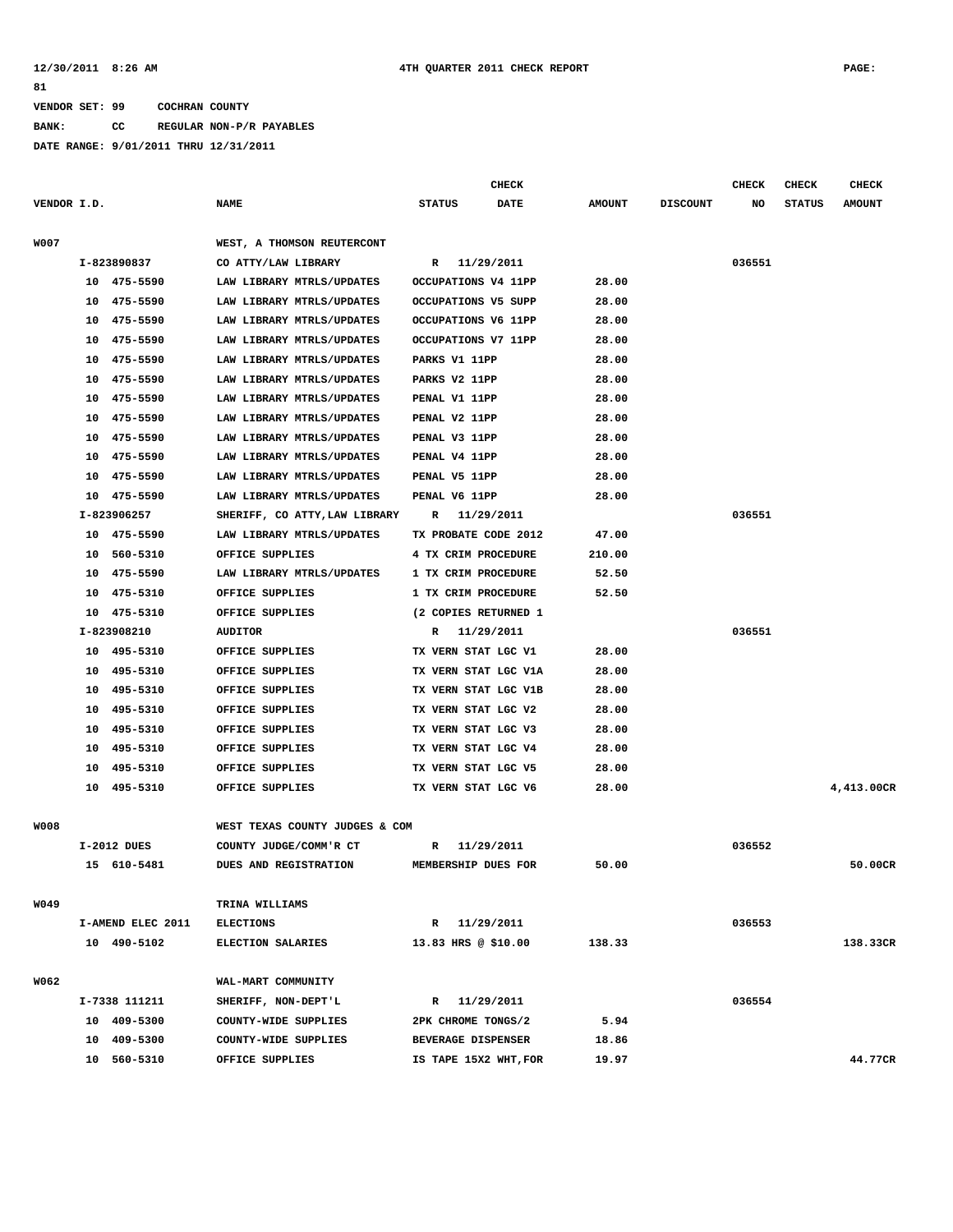## **VENDOR SET: 99 COCHRAN COUNTY**

# **BANK: CC REGULAR NON-P/R PAYABLES**

|             |    |                   |                                |                           | <b>CHECK</b> |               |                 | <b>CHECK</b> | <b>CHECK</b>  | <b>CHECK</b>  |
|-------------|----|-------------------|--------------------------------|---------------------------|--------------|---------------|-----------------|--------------|---------------|---------------|
| VENDOR I.D. |    |                   | <b>NAME</b>                    | <b>STATUS</b>             | DATE         | <b>AMOUNT</b> | <b>DISCOUNT</b> | NO           | <b>STATUS</b> | <b>AMOUNT</b> |
| W007        |    |                   | WEST, A THOMSON REUTERCONT     |                           |              |               |                 |              |               |               |
|             |    | I-823890837       | CO ATTY/LAW LIBRARY            | R 11/29/2011              |              |               |                 | 036551       |               |               |
|             |    | 10 475-5590       | LAW LIBRARY MTRLS/UPDATES      | OCCUPATIONS V4 11PP       |              | 28.00         |                 |              |               |               |
|             | 10 | 475-5590          | LAW LIBRARY MTRLS/UPDATES      | OCCUPATIONS V5 SUPP       |              | 28.00         |                 |              |               |               |
|             | 10 | 475-5590          | LAW LIBRARY MTRLS/UPDATES      | OCCUPATIONS V6 11PP       |              | 28.00         |                 |              |               |               |
|             | 10 | 475-5590          | LAW LIBRARY MTRLS/UPDATES      | OCCUPATIONS V7 11PP       |              | 28.00         |                 |              |               |               |
|             | 10 | 475-5590          | LAW LIBRARY MTRLS/UPDATES      | PARKS V1 11PP             |              | 28.00         |                 |              |               |               |
|             | 10 | 475-5590          | LAW LIBRARY MTRLS/UPDATES      | PARKS V2 11PP             |              | 28.00         |                 |              |               |               |
|             | 10 | 475-5590          | LAW LIBRARY MTRLS/UPDATES      | PENAL V1 11PP             |              | 28.00         |                 |              |               |               |
|             | 10 | 475-5590          | LAW LIBRARY MTRLS/UPDATES      | PENAL V2 11PP             |              | 28.00         |                 |              |               |               |
|             | 10 | 475-5590          | LAW LIBRARY MTRLS/UPDATES      | PENAL V3 11PP             |              | 28.00         |                 |              |               |               |
|             | 10 | 475-5590          | LAW LIBRARY MTRLS/UPDATES      | PENAL V4 11PP             |              | 28.00         |                 |              |               |               |
|             | 10 | 475-5590          | LAW LIBRARY MTRLS/UPDATES      | PENAL V5 11PP             |              | 28.00         |                 |              |               |               |
|             | 10 | 475-5590          | LAW LIBRARY MTRLS/UPDATES      | PENAL V6 11PP             |              | 28.00         |                 |              |               |               |
|             |    | I-823906257       | SHERIFF, CO ATTY, LAW LIBRARY  | R 11/29/2011              |              |               |                 | 036551       |               |               |
|             | 10 | 475-5590          | LAW LIBRARY MTRLS/UPDATES      | TX PROBATE CODE 2012      |              | 47.00         |                 |              |               |               |
|             | 10 | 560-5310          | OFFICE SUPPLIES                | 4 TX CRIM PROCEDURE       |              | 210.00        |                 |              |               |               |
|             | 10 | 475-5590          | LAW LIBRARY MTRLS/UPDATES      | 1 TX CRIM PROCEDURE       |              | 52.50         |                 |              |               |               |
|             | 10 | 475-5310          | OFFICE SUPPLIES                | 1 TX CRIM PROCEDURE       |              | 52.50         |                 |              |               |               |
|             | 10 | 475-5310          | OFFICE SUPPLIES                | (2 COPIES RETURNED 1      |              |               |                 |              |               |               |
|             |    | I-823908210       | <b>AUDITOR</b>                 | R 11/29/2011              |              |               |                 | 036551       |               |               |
|             |    | 10 495-5310       | OFFICE SUPPLIES                | TX VERN STAT LGC V1       |              | 28.00         |                 |              |               |               |
|             | 10 | 495-5310          | OFFICE SUPPLIES                | TX VERN STAT LGC V1A      |              | 28.00         |                 |              |               |               |
|             | 10 | 495-5310          | OFFICE SUPPLIES                | TX VERN STAT LGC V1B      |              | 28.00         |                 |              |               |               |
|             | 10 | 495-5310          | OFFICE SUPPLIES                | TX VERN STAT LGC V2       |              | 28.00         |                 |              |               |               |
|             | 10 | 495-5310          | OFFICE SUPPLIES                | TX VERN STAT LGC V3       |              | 28.00         |                 |              |               |               |
|             | 10 | 495-5310          | OFFICE SUPPLIES                | TX VERN STAT LGC V4       |              | 28.00         |                 |              |               |               |
|             | 10 | 495-5310          | OFFICE SUPPLIES                | TX VERN STAT LGC V5       |              | 28.00         |                 |              |               |               |
|             | 10 | 495-5310          | OFFICE SUPPLIES                | TX VERN STAT LGC V6       |              | 28.00         |                 |              |               | 4,413,00CR    |
|             |    |                   |                                |                           |              |               |                 |              |               |               |
| <b>W008</b> |    |                   | WEST TEXAS COUNTY JUDGES & COM |                           |              |               |                 |              |               |               |
|             |    | I-2012 DUES       | COUNTY JUDGE/COMM'R CT         | R                         | 11/29/2011   |               |                 | 036552       |               |               |
|             |    | 15 610-5481       | DUES AND REGISTRATION          | MEMBERSHIP DUES FOR       |              | 50.00         |                 |              |               | 50.00CR       |
| W049        |    |                   | TRINA WILLIAMS                 |                           |              |               |                 |              |               |               |
|             |    | I-AMEND ELEC 2011 | <b>ELECTIONS</b>               | R 11/29/2011              |              |               |                 | 036553       |               |               |
|             |    | 10 490-5102       | <b>ELECTION SALARIES</b>       | 13.83 HRS @ \$10.00       |              | 138.33        |                 |              |               | 138.33CR      |
| W062        |    |                   | WAL-MART COMMUNITY             |                           |              |               |                 |              |               |               |
|             |    | I-7338 111211     | SHERIFF, NON-DEPT'L            | R 11/29/2011              |              |               |                 | 036554       |               |               |
|             |    | 10 409-5300       | COUNTY-WIDE SUPPLIES           | 2PK CHROME TONGS/2        |              | 5.94          |                 |              |               |               |
|             |    | 10 409-5300       | COUNTY-WIDE SUPPLIES           | <b>BEVERAGE DISPENSER</b> |              | 18.86         |                 |              |               |               |
|             |    | 10 560-5310       | OFFICE SUPPLIES                | IS TAPE 15X2 WHT, FOR     |              | 19.97         |                 |              |               | 44.77CR       |
|             |    |                   |                                |                           |              |               |                 |              |               |               |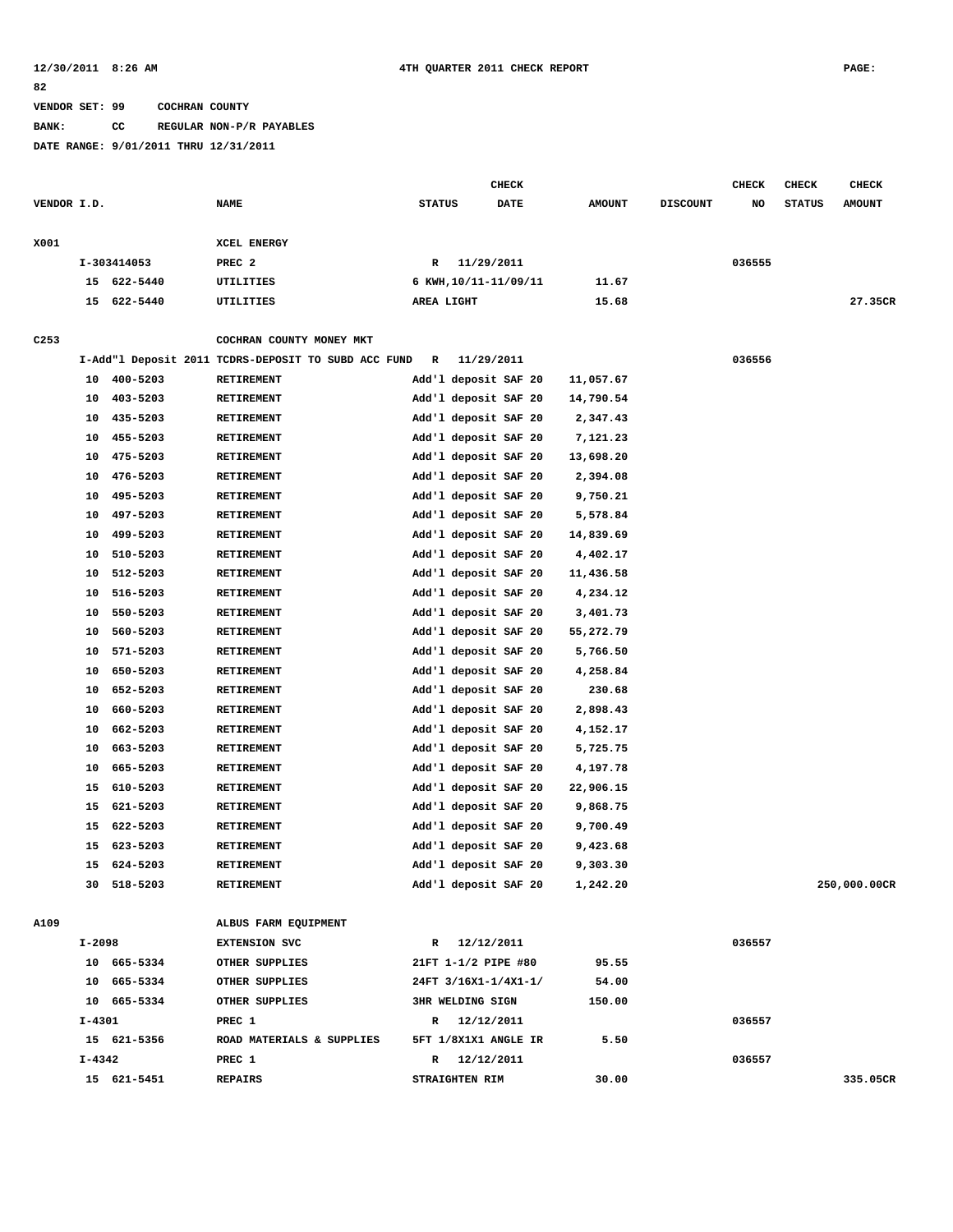## **VENDOR SET: 99 COCHRAN COUNTY**

# **BANK: CC REGULAR NON-P/R PAYABLES**

|                  |        |                            |                                                     | <b>CHECK</b>  |                  |                                             |                | CHECK           | CHECK  | CHECK         |               |
|------------------|--------|----------------------------|-----------------------------------------------------|---------------|------------------|---------------------------------------------|----------------|-----------------|--------|---------------|---------------|
| VENDOR I.D.      |        |                            | <b>NAME</b>                                         | <b>STATUS</b> |                  | <b>DATE</b>                                 | <b>AMOUNT</b>  | <b>DISCOUNT</b> | NO     | <b>STATUS</b> | <b>AMOUNT</b> |
|                  |        |                            |                                                     |               |                  |                                             |                |                 |        |               |               |
| X001             |        |                            | XCEL ENERGY                                         |               |                  |                                             |                |                 |        |               |               |
|                  |        | I-303414053                | PREC <sub>2</sub>                                   | R             |                  | 11/29/2011                                  |                |                 | 036555 |               |               |
|                  |        | 15 622-5440                | UTILITIES                                           |               |                  | 6 KWH, 10/11-11/09/11                       | 11.67          |                 |        |               |               |
|                  | 15     | 622-5440                   | UTILITIES                                           | AREA LIGHT    |                  |                                             | 15.68          |                 |        |               | 27.35CR       |
| C <sub>253</sub> |        |                            | COCHRAN COUNTY MONEY MKT                            |               |                  |                                             |                |                 |        |               |               |
|                  |        |                            | I-Add"l Deposit 2011 TCDRS-DEPOSIT TO SUBD ACC FUND | R             |                  | 11/29/2011                                  |                |                 | 036556 |               |               |
|                  | 10     | 400-5203                   | RETIREMENT                                          |               |                  | Add'l deposit SAF 20                        | 11,057.67      |                 |        |               |               |
|                  | 10     | 403-5203                   | RETIREMENT                                          |               |                  | Add'l deposit SAF 20                        | 14,790.54      |                 |        |               |               |
|                  | 10     | 435-5203                   | RETIREMENT                                          |               |                  | Add'l deposit SAF 20                        | 2,347.43       |                 |        |               |               |
|                  | 10     | 455-5203                   | RETIREMENT                                          |               |                  | Add'l deposit SAF 20                        | 7,121.23       |                 |        |               |               |
|                  | 10     | 475-5203                   | RETIREMENT                                          |               |                  | Add'l deposit SAF 20                        | 13,698.20      |                 |        |               |               |
|                  | 10     | 476-5203                   | RETIREMENT                                          |               |                  | Add'l deposit SAF 20                        | 2,394.08       |                 |        |               |               |
|                  | 10     | 495-5203                   | RETIREMENT                                          |               |                  | Add'l deposit SAF 20                        | 9,750.21       |                 |        |               |               |
|                  | 10     | 497-5203                   | RETIREMENT                                          |               |                  | Add'l deposit SAF 20                        | 5,578.84       |                 |        |               |               |
|                  | 10     | 499-5203                   | RETIREMENT                                          |               |                  | Add'l deposit SAF 20                        | 14,839.69      |                 |        |               |               |
|                  | 10     | 510-5203                   | RETIREMENT                                          |               |                  | Add'l deposit SAF 20                        | 4,402.17       |                 |        |               |               |
|                  | 10     | 512-5203                   | RETIREMENT                                          |               |                  | Add'l deposit SAF 20                        | 11,436.58      |                 |        |               |               |
|                  | 10     | 516-5203                   | RETIREMENT                                          |               |                  | Add'l deposit SAF 20                        | 4,234.12       |                 |        |               |               |
|                  | 10     | 550-5203                   | RETIREMENT                                          |               |                  | Add'l deposit SAF 20                        | 3,401.73       |                 |        |               |               |
|                  | 10     | 560-5203                   | RETIREMENT                                          |               |                  | Add'l deposit SAF 20                        | 55,272.79      |                 |        |               |               |
|                  | 10     | 571-5203                   | RETIREMENT                                          |               |                  | Add'l deposit SAF 20                        | 5,766.50       |                 |        |               |               |
|                  | 10     | 650-5203                   | RETIREMENT                                          |               |                  | Add'l deposit SAF 20                        | 4,258.84       |                 |        |               |               |
|                  | 10     | 652-5203                   | RETIREMENT                                          |               |                  | Add'l deposit SAF 20                        | 230.68         |                 |        |               |               |
|                  | 10     | 660-5203                   | RETIREMENT                                          |               |                  | Add'l deposit SAF 20                        | 2,898.43       |                 |        |               |               |
|                  | 10     | 662-5203                   | RETIREMENT                                          |               |                  | Add'l deposit SAF 20                        | 4,152.17       |                 |        |               |               |
|                  | 10     | 663-5203                   | RETIREMENT                                          |               |                  | Add'l deposit SAF 20                        | 5,725.75       |                 |        |               |               |
|                  | 10     | 665-5203                   | RETIREMENT                                          |               |                  | Add'l deposit SAF 20                        | 4,197.78       |                 |        |               |               |
|                  | 15     | 610-5203                   | RETIREMENT                                          |               |                  | Add'l deposit SAF 20                        | 22,906.15      |                 |        |               |               |
|                  | 15     | 621-5203                   | RETIREMENT                                          |               |                  | Add'l deposit SAF 20                        | 9,868.75       |                 |        |               |               |
|                  | 15     | 622-5203                   | RETIREMENT                                          |               |                  | Add'l deposit SAF 20                        | 9,700.49       |                 |        |               |               |
|                  | 15     | 623-5203                   | RETIREMENT                                          |               |                  | Add'l deposit SAF 20                        | 9,423.68       |                 |        |               |               |
|                  | 15     | 624-5203                   | RETIREMENT                                          |               |                  | Add'l deposit SAF 20                        | 9,303.30       |                 |        |               |               |
|                  |        | 30 518-5203                | RETIREMENT                                          |               |                  | Add'l deposit SAF 20                        | 1,242.20       |                 |        |               | 250,000.00CR  |
| A109             |        |                            |                                                     |               |                  |                                             |                |                 |        |               |               |
|                  |        |                            | ALBUS FARM EQUIPMENT<br>EXTENSION SVC               |               | R 12/12/2011     |                                             |                |                 | 036557 |               |               |
|                  | I-2098 |                            |                                                     |               |                  |                                             |                |                 |        |               |               |
|                  |        | 10 665-5334<br>10 665-5334 | OTHER SUPPLIES<br>OTHER SUPPLIES                    |               |                  | 21FT 1-1/2 PIPE #80<br>24FT 3/16X1-1/4X1-1/ | 95.55<br>54.00 |                 |        |               |               |
|                  |        | 10 665-5334                | OTHER SUPPLIES                                      |               | 3HR WELDING SIGN |                                             | 150.00         |                 |        |               |               |
|                  | I-4301 |                            | PREC 1                                              |               | R 12/12/2011     |                                             |                |                 | 036557 |               |               |
|                  |        | 15 621-5356                | ROAD MATERIALS & SUPPLIES                           |               |                  | 5FT 1/8X1X1 ANGLE IR                        | 5.50           |                 |        |               |               |
|                  | I-4342 |                            | PREC 1                                              |               | R 12/12/2011     |                                             |                |                 | 036557 |               |               |
|                  |        | 15 621-5451                | <b>REPAIRS</b>                                      |               | STRAIGHTEN RIM   |                                             | 30.00          |                 |        |               | 335.05CR      |
|                  |        |                            |                                                     |               |                  |                                             |                |                 |        |               |               |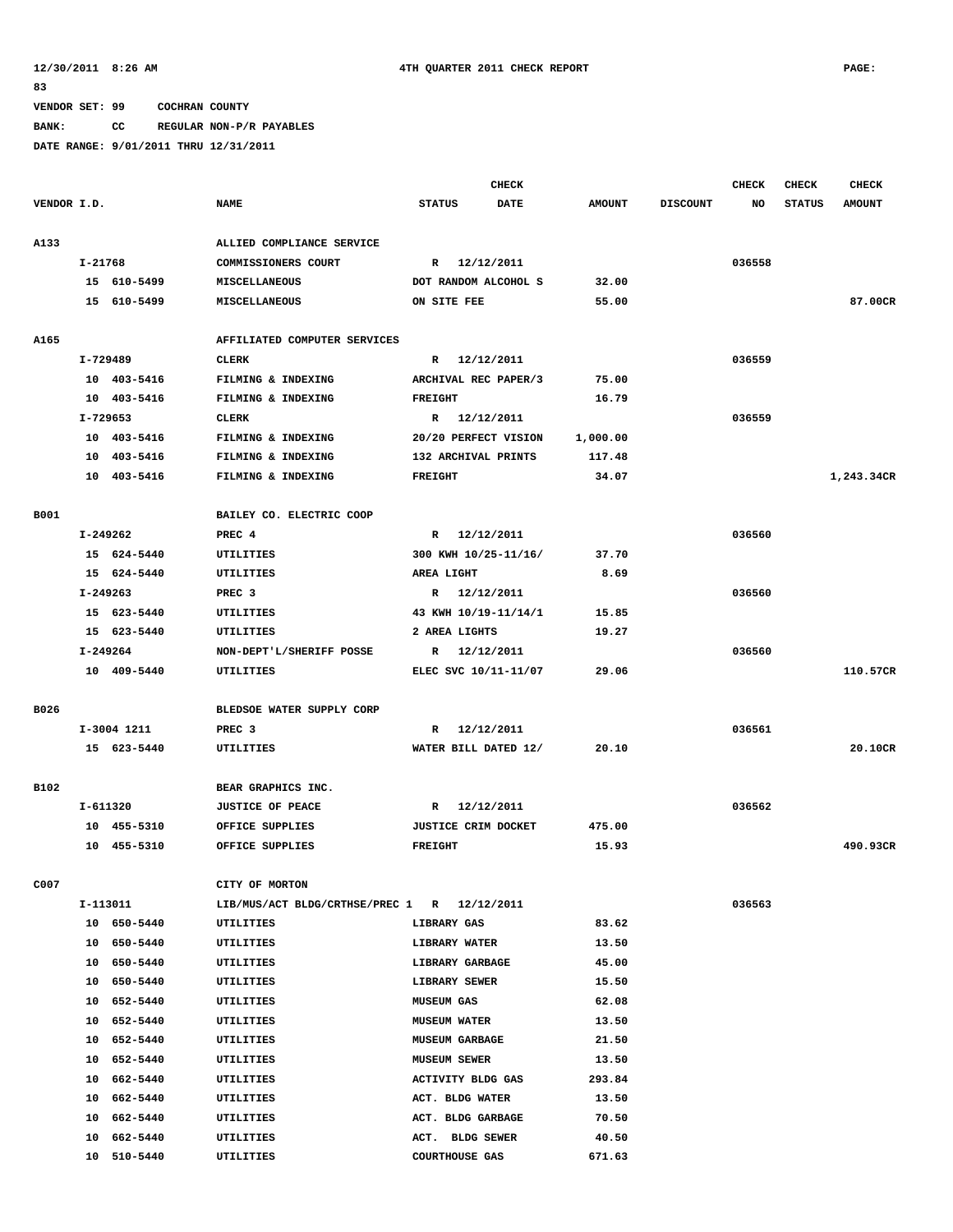### **VENDOR SET: 99 COCHRAN COUNTY**

**BANK: CC REGULAR NON-P/R PAYABLES**

|             |              |                            |                                             | <b>CHECK</b><br><b>STATUS</b><br><b>DATE</b> |                                      |  |                    | <b>CHECK</b>    | <b>CHECK</b> | <b>CHECK</b>  |               |
|-------------|--------------|----------------------------|---------------------------------------------|----------------------------------------------|--------------------------------------|--|--------------------|-----------------|--------------|---------------|---------------|
| VENDOR I.D. |              |                            | <b>NAME</b>                                 |                                              |                                      |  | <b>AMOUNT</b>      | <b>DISCOUNT</b> | NO           | <b>STATUS</b> | <b>AMOUNT</b> |
|             |              |                            |                                             |                                              |                                      |  |                    |                 |              |               |               |
| A133        |              |                            | ALLIED COMPLIANCE SERVICE                   |                                              |                                      |  |                    |                 |              |               |               |
|             | I-21768      |                            | COMMISSIONERS COURT                         | $\mathbb{R}$                                 | 12/12/2011                           |  |                    |                 | 036558       |               |               |
|             |              | 15 610-5499                | MISCELLANEOUS                               |                                              | DOT RANDOM ALCOHOL S                 |  | 32.00              |                 |              |               |               |
|             |              | 15 610-5499                | MISCELLANEOUS                               | ON SITE FEE                                  |                                      |  | 55.00              |                 |              |               | 87.00CR       |
|             |              |                            |                                             |                                              |                                      |  |                    |                 |              |               |               |
| A165        |              |                            | AFFILIATED COMPUTER SERVICES                |                                              |                                      |  |                    |                 |              |               |               |
|             | I-729489     |                            | <b>CLERK</b>                                | $\mathbf{R}$                                 | 12/12/2011                           |  |                    |                 | 036559       |               |               |
|             |              | 10 403-5416                | FILMING & INDEXING                          |                                              | ARCHIVAL REC PAPER/3                 |  | 75.00              |                 |              |               |               |
|             |              | 10 403-5416                | FILMING & INDEXING                          | <b>FREIGHT</b>                               |                                      |  | 16.79              |                 |              |               |               |
|             | I-729653     | 10 403-5416                | CLERK<br>FILMING & INDEXING                 |                                              | R 12/12/2011<br>20/20 PERFECT VISION |  |                    |                 | 036559       |               |               |
|             |              | 10 403-5416                | FILMING & INDEXING                          |                                              | 132 ARCHIVAL PRINTS                  |  | 1,000.00<br>117.48 |                 |              |               |               |
|             |              | 10 403-5416                | FILMING & INDEXING                          | <b>FREIGHT</b>                               |                                      |  | 34.07              |                 |              |               | 1,243.34CR    |
|             |              |                            |                                             |                                              |                                      |  |                    |                 |              |               |               |
| B001        |              |                            | BAILEY CO. ELECTRIC COOP                    |                                              |                                      |  |                    |                 |              |               |               |
|             | $I-249262$   |                            | PREC <sub>4</sub>                           | $\mathbb{R}$                                 | 12/12/2011                           |  |                    |                 | 036560       |               |               |
|             |              | 15 624-5440                | <b>UTILITIES</b>                            |                                              | 300 KWH 10/25-11/16/                 |  | 37.70              |                 |              |               |               |
|             |              | 15 624-5440                | UTILITIES                                   | AREA LIGHT                                   |                                      |  | 8.69               |                 |              |               |               |
|             | I-249263     |                            | PREC <sub>3</sub>                           | R                                            | 12/12/2011                           |  |                    |                 | 036560       |               |               |
|             |              | 15 623-5440                | UTILITIES                                   |                                              | 43 KWH 10/19-11/14/1                 |  | 15.85              |                 |              |               |               |
|             |              | 15 623-5440                | UTILITIES                                   | 2 AREA LIGHTS                                |                                      |  | 19.27              |                 |              |               |               |
|             | I-249264     |                            | NON-DEPT'L/SHERIFF POSSE                    | R                                            | 12/12/2011                           |  |                    |                 | 036560       |               |               |
|             |              | 10 409-5440                | UTILITIES                                   |                                              | ELEC SVC 10/11-11/07                 |  | 29.06              |                 |              |               | 110.57CR      |
|             |              |                            |                                             |                                              |                                      |  |                    |                 |              |               |               |
| B026        |              |                            | BLEDSOE WATER SUPPLY CORP                   |                                              |                                      |  |                    |                 |              |               |               |
|             |              | I-3004 1211                | PREC <sub>3</sub>                           | R                                            | 12/12/2011                           |  |                    |                 | 036561       |               |               |
|             |              | 15 623-5440                | UTILITIES                                   |                                              | WATER BILL DATED 12/                 |  | 20.10              |                 |              |               | 20.10CR       |
|             |              |                            |                                             |                                              |                                      |  |                    |                 |              |               |               |
| B102        |              |                            | BEAR GRAPHICS INC.                          |                                              |                                      |  |                    |                 |              |               |               |
|             | $I - 611320$ |                            | <b>JUSTICE OF PEACE</b>                     | R                                            | 12/12/2011                           |  |                    |                 | 036562       |               |               |
|             |              | 10 455-5310                | OFFICE SUPPLIES                             |                                              | <b>JUSTICE CRIM DOCKET</b>           |  | 475.00             |                 |              |               |               |
|             |              | 10 455-5310                | OFFICE SUPPLIES                             | <b>FREIGHT</b>                               |                                      |  | 15.93              |                 |              |               | 490.93CR      |
|             |              |                            |                                             |                                              |                                      |  |                    |                 |              |               |               |
| C007        |              |                            | CITY OF MORTON                              |                                              |                                      |  |                    |                 |              |               |               |
|             | I-113011     |                            | LIB/MUS/ACT BLDG/CRTHSE/PREC 1 R 12/12/2011 |                                              |                                      |  |                    |                 | 036563       |               |               |
|             |              | 10 650-5440                | UTILITIES                                   | <b>LIBRARY GAS</b>                           |                                      |  | 83.62              |                 |              |               |               |
|             |              | 10 650-5440                | UTILITIES                                   |                                              | LIBRARY WATER                        |  | 13.50              |                 |              |               |               |
|             |              | 10 650-5440                | UTILITIES                                   |                                              | LIBRARY GARBAGE                      |  | 45.00              |                 |              |               |               |
|             |              | 10 650-5440                | UTILITIES                                   | LIBRARY SEWER                                |                                      |  | 15.50              |                 |              |               |               |
|             |              | 10 652-5440<br>10 652-5440 | UTILITIES                                   | <b>MUSEUM GAS</b><br><b>MUSEUM WATER</b>     |                                      |  | 62.08<br>13.50     |                 |              |               |               |
|             |              | 10 652-5440                | UTILITIES<br>UTILITIES                      |                                              | <b>MUSEUM GARBAGE</b>                |  | 21.50              |                 |              |               |               |
|             |              | 10 652-5440                | UTILITIES                                   | <b>MUSEUM SEWER</b>                          |                                      |  | 13.50              |                 |              |               |               |
|             |              | 10 662-5440                | UTILITIES                                   |                                              | ACTIVITY BLDG GAS                    |  | 293.84             |                 |              |               |               |
|             |              | 10 662-5440                | UTILITIES                                   |                                              | ACT. BLDG WATER                      |  | 13.50              |                 |              |               |               |
|             |              | 10 662-5440                | UTILITIES                                   |                                              | ACT. BLDG GARBAGE                    |  | 70.50              |                 |              |               |               |
|             |              | 10 662-5440                | UTILITIES                                   |                                              | ACT. BLDG SEWER                      |  | 40.50              |                 |              |               |               |
|             |              | 10 510-5440                | UTILITIES                                   |                                              | <b>COURTHOUSE GAS</b>                |  | 671.63             |                 |              |               |               |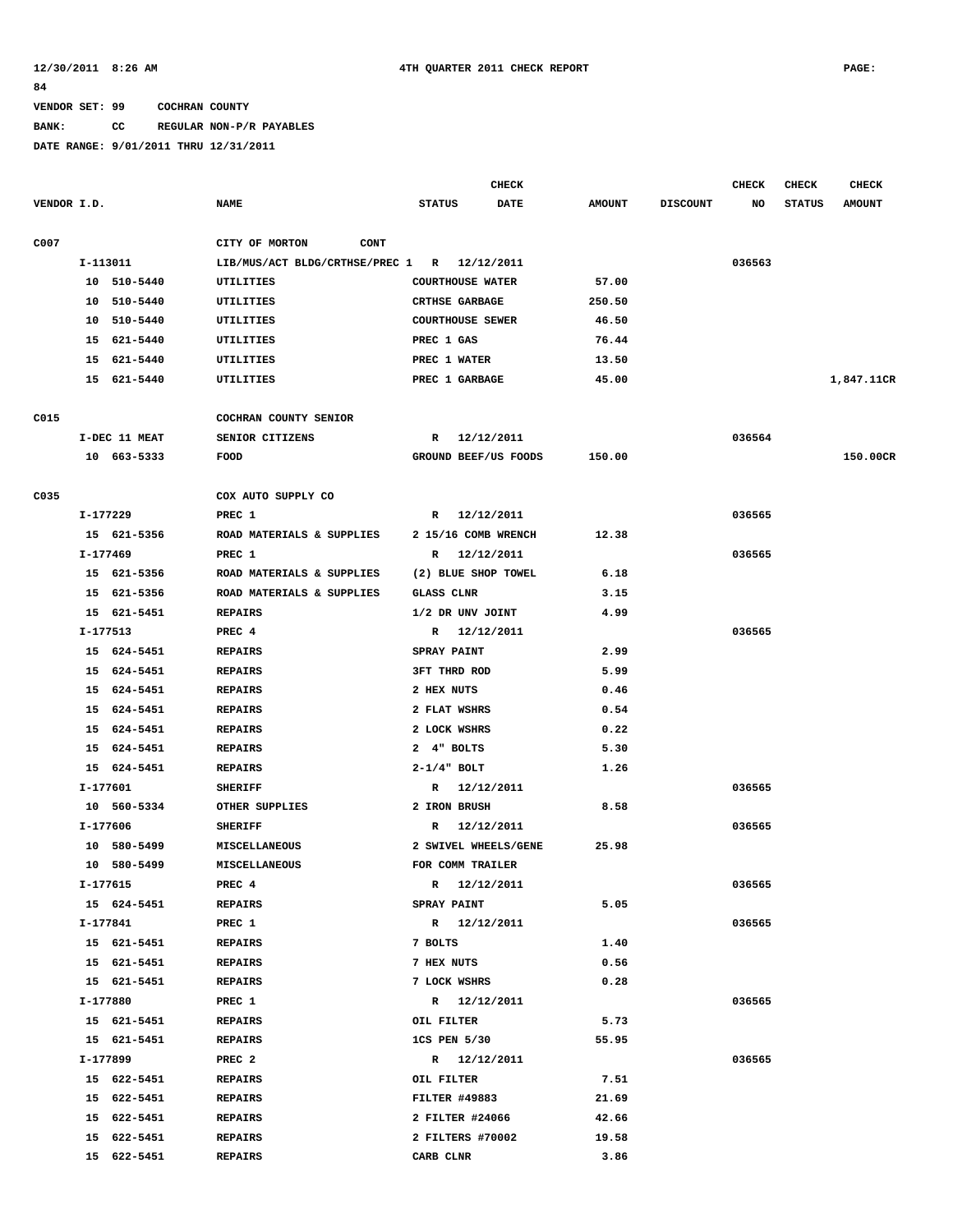## **VENDOR SET: 99 COCHRAN COUNTY**

# **BANK: CC REGULAR NON-P/R PAYABLES**

|             |               |                                             | <b>CHECK</b>               |               |                 | <b>CHECK</b> | <b>CHECK</b>  | <b>CHECK</b>  |
|-------------|---------------|---------------------------------------------|----------------------------|---------------|-----------------|--------------|---------------|---------------|
| VENDOR I.D. |               | <b>NAME</b>                                 | <b>STATUS</b><br>DATE      | <b>AMOUNT</b> | <b>DISCOUNT</b> | NO           | <b>STATUS</b> | <b>AMOUNT</b> |
| C007        |               | CITY OF MORTON<br>CONT                      |                            |               |                 |              |               |               |
|             | I-113011      | LIB/MUS/ACT BLDG/CRTHSE/PREC 1 R 12/12/2011 |                            |               |                 | 036563       |               |               |
|             | 10 510-5440   | UTILITIES                                   | <b>COURTHOUSE WATER</b>    | 57.00         |                 |              |               |               |
|             | 10 510-5440   | UTILITIES                                   | <b>CRTHSE GARBAGE</b>      | 250.50        |                 |              |               |               |
|             | 10 510-5440   | UTILITIES                                   | <b>COURTHOUSE SEWER</b>    | 46.50         |                 |              |               |               |
|             | 15 621-5440   | UTILITIES                                   | PREC 1 GAS                 | 76.44         |                 |              |               |               |
|             | 15 621-5440   | <b>UTILITIES</b>                            | PREC 1 WATER               | 13.50         |                 |              |               |               |
|             | 15 621-5440   | UTILITIES                                   | PREC 1 GARBAGE             | 45.00         |                 |              |               | 1,847.11CR    |
| C015        |               | COCHRAN COUNTY SENIOR                       |                            |               |                 |              |               |               |
|             | I-DEC 11 MEAT | SENIOR CITIZENS                             | 12/12/2011<br>$\mathbb{R}$ |               |                 | 036564       |               |               |
|             | 10 663-5333   | FOOD                                        | GROUND BEEF/US FOODS       | 150.00        |                 |              |               | 150.00CR      |
| C035        |               | COX AUTO SUPPLY CO                          |                            |               |                 |              |               |               |
|             | I-177229      | PREC 1                                      | R 12/12/2011               |               |                 | 036565       |               |               |
|             | 15 621-5356   | ROAD MATERIALS & SUPPLIES                   | 2 15/16 COMB WRENCH        | 12.38         |                 |              |               |               |
|             | I-177469      | PREC 1                                      | R 12/12/2011               |               |                 | 036565       |               |               |
|             | 15 621-5356   | ROAD MATERIALS & SUPPLIES                   | (2) BLUE SHOP TOWEL        | 6.18          |                 |              |               |               |
|             | 15 621-5356   | ROAD MATERIALS & SUPPLIES                   | <b>GLASS CLNR</b>          | 3.15          |                 |              |               |               |
|             | 15 621-5451   | <b>REPAIRS</b>                              | 1/2 DR UNV JOINT           | 4.99          |                 |              |               |               |
|             | I-177513      | PREC 4                                      | R 12/12/2011               |               |                 | 036565       |               |               |
|             | 15 624-5451   | <b>REPAIRS</b>                              | SPRAY PAINT                | 2.99          |                 |              |               |               |
|             | 15 624-5451   | <b>REPAIRS</b>                              | 3FT THRD ROD               | 5.99          |                 |              |               |               |
|             | 15 624-5451   | <b>REPAIRS</b>                              | 2 HEX NUTS                 | 0.46          |                 |              |               |               |
|             | 15 624-5451   | <b>REPAIRS</b>                              | 2 FLAT WSHRS               | 0.54          |                 |              |               |               |
|             | 15 624-5451   | <b>REPAIRS</b>                              | 2 LOCK WSHRS               | 0.22          |                 |              |               |               |
|             | 15 624-5451   | <b>REPAIRS</b>                              | 2 4" BOLTS                 | 5.30          |                 |              |               |               |
|             | 15 624-5451   | <b>REPAIRS</b>                              | $2 - 1/4$ " BOLT           | 1.26          |                 |              |               |               |
|             | I-177601      | <b>SHERIFF</b>                              | 12/12/2011<br>R            |               |                 | 036565       |               |               |
|             | 10 560-5334   | OTHER SUPPLIES                              | 2 IRON BRUSH               | 8.58          |                 |              |               |               |
|             | I-177606      | <b>SHERIFF</b>                              | 12/12/2011<br>R            |               |                 | 036565       |               |               |
|             | 10 580-5499   | MISCELLANEOUS                               | 2 SWIVEL WHEELS/GENE       | 25.98         |                 |              |               |               |
|             | 10 580-5499   | MISCELLANEOUS                               | FOR COMM TRAILER           |               |                 |              |               |               |
|             | I-177615      | PREC 4                                      | R 12/12/2011               |               |                 | 036565       |               |               |
|             | 15 624-5451   | <b>REPAIRS</b>                              | <b>SPRAY PAINT</b>         | 5.05          |                 |              |               |               |
|             | I-177841      | PREC 1                                      | R 12/12/2011               |               |                 | 036565       |               |               |
|             | 15 621-5451   | <b>REPAIRS</b>                              | 7 BOLTS                    | 1.40          |                 |              |               |               |
|             | 15 621-5451   | REPAIRS                                     | 7 HEX NUTS                 | 0.56          |                 |              |               |               |
|             | 15 621-5451   | REPAIRS                                     | 7 LOCK WSHRS               | 0.28          |                 |              |               |               |
|             | I-177880      | PREC 1                                      | R 12/12/2011               |               |                 | 036565       |               |               |
|             | 15 621-5451   | <b>REPAIRS</b>                              | OIL FILTER                 | 5.73          |                 |              |               |               |
|             | 15 621-5451   | REPAIRS                                     | 1CS PEN 5/30               | 55.95         |                 |              |               |               |
|             | I-177899      | PREC <sub>2</sub>                           | R 12/12/2011               |               |                 | 036565       |               |               |
|             | 15 622-5451   | <b>REPAIRS</b>                              | OIL FILTER                 | 7.51          |                 |              |               |               |
|             | 15 622-5451   | <b>REPAIRS</b>                              | FILTER #49883              | 21.69         |                 |              |               |               |
|             | 15 622-5451   | <b>REPAIRS</b>                              | 2 FILTER #24066            | 42.66         |                 |              |               |               |
|             | 15 622-5451   | <b>REPAIRS</b>                              | 2 FILTERS #70002           | 19.58         |                 |              |               |               |
|             | 15 622-5451   | <b>REPAIRS</b>                              | CARB CLNR                  | 3.86          |                 |              |               |               |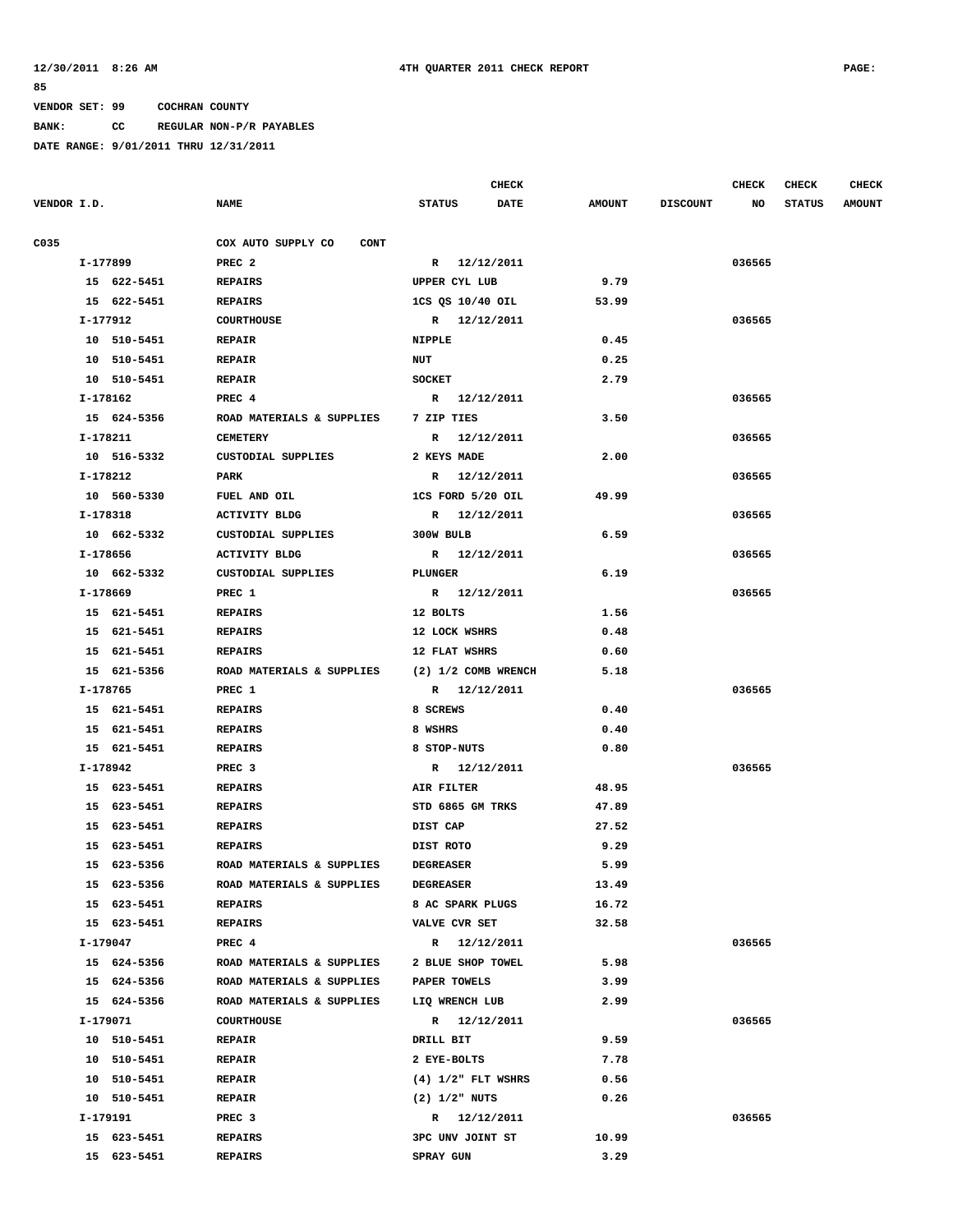### **VENDOR SET: 99 COCHRAN COUNTY BANK: CC REGULAR NON-P/R PAYABLES**

|             |          |             |                                   |                    | <b>CHECK</b>            |               |                 | CHECK  | <b>CHECK</b>  | <b>CHECK</b>  |
|-------------|----------|-------------|-----------------------------------|--------------------|-------------------------|---------------|-----------------|--------|---------------|---------------|
| VENDOR I.D. |          |             | <b>NAME</b>                       | <b>STATUS</b>      | <b>DATE</b>             | <b>AMOUNT</b> | <b>DISCOUNT</b> | NO     | <b>STATUS</b> | <b>AMOUNT</b> |
| C035        |          |             | COX AUTO SUPPLY CO<br><b>CONT</b> |                    |                         |               |                 |        |               |               |
|             | I-177899 |             | PREC <sub>2</sub>                 |                    | R 12/12/2011            |               |                 | 036565 |               |               |
|             |          | 15 622-5451 | <b>REPAIRS</b>                    | UPPER CYL LUB      |                         | 9.79          |                 |        |               |               |
|             |          | 15 622-5451 | <b>REPAIRS</b>                    | 1CS QS 10/40 OIL   |                         | 53.99         |                 |        |               |               |
|             | I-177912 |             | <b>COURTHOUSE</b>                 |                    | R 12/12/2011            |               |                 | 036565 |               |               |
|             |          | 10 510-5451 | <b>REPAIR</b>                     | NIPPLE             |                         | 0.45          |                 |        |               |               |
|             |          | 10 510-5451 | <b>REPAIR</b>                     | <b>NUT</b>         |                         | 0.25          |                 |        |               |               |
|             |          | 10 510-5451 | <b>REPAIR</b>                     | <b>SOCKET</b>      |                         | 2.79          |                 |        |               |               |
|             | I-178162 |             | PREC 4                            |                    | R 12/12/2011            |               |                 | 036565 |               |               |
|             |          | 15 624-5356 | ROAD MATERIALS & SUPPLIES         | 7 ZIP TIES         |                         | 3.50          |                 |        |               |               |
|             | I-178211 |             | <b>CEMETERY</b>                   |                    | R 12/12/2011            |               |                 | 036565 |               |               |
|             |          | 10 516-5332 | CUSTODIAL SUPPLIES                | 2 KEYS MADE        |                         | 2.00          |                 |        |               |               |
|             | I-178212 |             | PARK                              |                    | R 12/12/2011            |               |                 | 036565 |               |               |
|             |          | 10 560-5330 | FUEL AND OIL                      | 1CS FORD 5/20 OIL  |                         | 49.99         |                 |        |               |               |
|             | I-178318 |             | ACTIVITY BLDG                     |                    | R 12/12/2011            |               |                 | 036565 |               |               |
|             |          | 10 662-5332 | CUSTODIAL SUPPLIES                | 300W BULB          |                         | 6.59          |                 |        |               |               |
|             | I-178656 |             | <b>ACTIVITY BLDG</b>              |                    | R 12/12/2011            |               |                 | 036565 |               |               |
|             |          | 10 662-5332 | CUSTODIAL SUPPLIES                | PLUNGER            |                         | 6.19          |                 |        |               |               |
|             | I-178669 |             | PREC 1                            |                    | R 12/12/2011            |               |                 | 036565 |               |               |
|             |          | 15 621-5451 | <b>REPAIRS</b>                    | 12 BOLTS           |                         | 1.56          |                 |        |               |               |
|             |          | 15 621-5451 | <b>REPAIRS</b>                    | 12 LOCK WSHRS      |                         | 0.48          |                 |        |               |               |
|             |          | 15 621-5451 | <b>REPAIRS</b>                    | 12 FLAT WSHRS      |                         | 0.60          |                 |        |               |               |
|             |          | 15 621-5356 | ROAD MATERIALS & SUPPLIES         |                    | $(2)$ 1/2 COMB WRENCH   | 5.18          |                 |        |               |               |
|             | I-178765 |             | PREC 1                            |                    | R 12/12/2011            |               |                 | 036565 |               |               |
|             |          | 15 621-5451 | <b>REPAIRS</b>                    | 8 SCREWS           |                         | 0.40          |                 |        |               |               |
|             |          | 15 621-5451 | <b>REPAIRS</b>                    | 8 WSHRS            |                         | 0.40          |                 |        |               |               |
|             |          | 15 621-5451 | <b>REPAIRS</b>                    | 8 STOP-NUTS        |                         | 0.80          |                 |        |               |               |
|             | I-178942 |             | PREC 3                            |                    | R 12/12/2011            |               |                 | 036565 |               |               |
|             |          | 15 623-5451 | <b>REPAIRS</b>                    | AIR FILTER         |                         | 48.95         |                 |        |               |               |
|             |          | 15 623-5451 | <b>REPAIRS</b>                    | STD 6865 GM TRKS   |                         | 47.89         |                 |        |               |               |
|             |          | 15 623-5451 | <b>REPAIRS</b>                    | DIST CAP           |                         | 27.52         |                 |        |               |               |
|             |          | 15 623-5451 | <b>REPAIRS</b>                    | DIST ROTO          |                         | 9.29          |                 |        |               |               |
|             |          | 15 623-5356 | ROAD MATERIALS & SUPPLIES         | <b>DEGREASER</b>   |                         | 5.99          |                 |        |               |               |
|             |          | 15 623-5356 | ROAD MATERIALS & SUPPLIES         | DEGREASER          |                         | 13.49         |                 |        |               |               |
|             |          | 15 623-5451 | <b>REPAIRS</b>                    |                    | 8 AC SPARK PLUGS        | 16.72         |                 |        |               |               |
|             |          | 15 623-5451 | REPAIRS                           | VALVE CVR SET      |                         | 32.58         |                 |        |               |               |
|             |          | I-179047    | PREC 4                            |                    | R 12/12/2011            |               |                 | 036565 |               |               |
|             |          | 15 624-5356 | ROAD MATERIALS & SUPPLIES         | 2 BLUE SHOP TOWEL  |                         | 5.98          |                 |        |               |               |
|             |          | 15 624-5356 | ROAD MATERIALS & SUPPLIES         | PAPER TOWELS       |                         | 3.99          |                 |        |               |               |
|             |          | 15 624-5356 | ROAD MATERIALS & SUPPLIES         | LIQ WRENCH LUB     |                         | 2.99          |                 |        |               |               |
|             |          | I-179071    | <b>COURTHOUSE</b>                 |                    | R 12/12/2011            |               |                 | 036565 |               |               |
|             |          | 10 510-5451 | <b>REPAIR</b>                     | DRILL BIT          |                         | 9.59          |                 |        |               |               |
|             |          | 10 510-5451 | REPAIR                            | 2 EYE-BOLTS        |                         | 7.78          |                 |        |               |               |
|             |          | 10 510-5451 | <b>REPAIR</b>                     |                    | $(4)$ $1/2$ " FLT WSHRS | 0.56          |                 |        |               |               |
|             |          | 10 510-5451 | <b>REPAIR</b>                     | $(2)$ $1/2$ " NUTS |                         | 0.26          |                 |        |               |               |
|             |          | I-179191    | PREC <sub>3</sub>                 |                    | R 12/12/2011            |               |                 | 036565 |               |               |
|             |          | 15 623-5451 | REPAIRS                           | 3PC UNV JOINT ST   |                         | 10.99         |                 |        |               |               |
|             |          | 15 623-5451 | <b>REPAIRS</b>                    | SPRAY GUN          |                         | 3.29          |                 |        |               |               |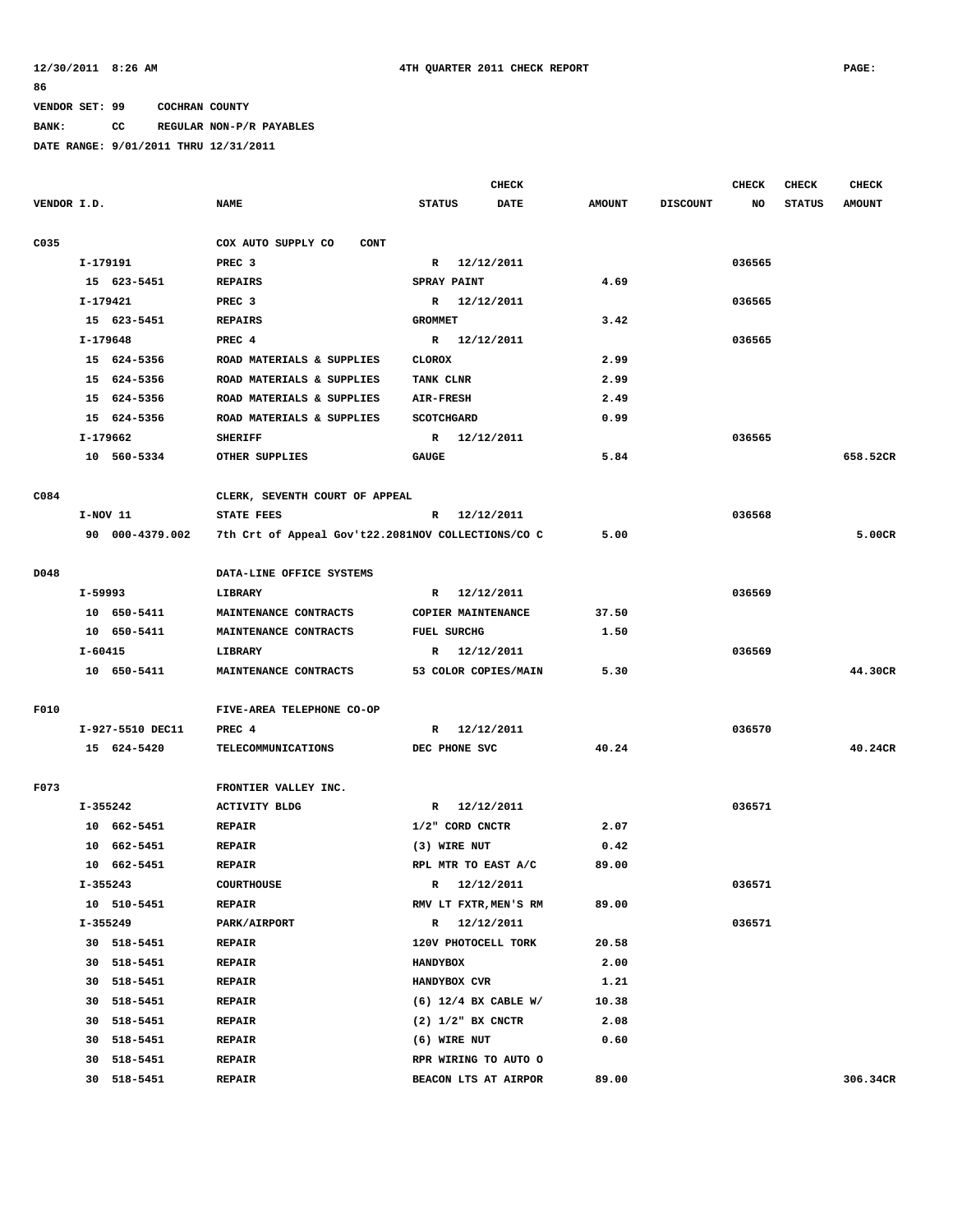## **VENDOR SET: 99 COCHRAN COUNTY**

# **BANK: CC REGULAR NON-P/R PAYABLES**

|             |             |                  |                                                    |                  |                        | <b>CHECK</b>           |               |                 | CHECK  | <b>CHECK</b>  | <b>CHECK</b>  |
|-------------|-------------|------------------|----------------------------------------------------|------------------|------------------------|------------------------|---------------|-----------------|--------|---------------|---------------|
| VENDOR I.D. |             |                  | <b>NAME</b>                                        | <b>STATUS</b>    |                        | <b>DATE</b>            | <b>AMOUNT</b> | <b>DISCOUNT</b> | NO     | <b>STATUS</b> | <b>AMOUNT</b> |
|             |             |                  |                                                    |                  |                        |                        |               |                 |        |               |               |
| C035        |             |                  | COX AUTO SUPPLY CO<br><b>CONT</b>                  |                  |                        |                        |               |                 |        |               |               |
|             | I-179191    |                  | PREC 3                                             |                  | R 12/12/2011           |                        |               |                 | 036565 |               |               |
|             |             | 15 623-5451      | <b>REPAIRS</b>                                     |                  | SPRAY PAINT            |                        | 4.69          |                 |        |               |               |
|             | I-179421    |                  | PREC <sub>3</sub>                                  |                  | R 12/12/2011           |                        |               |                 | 036565 |               |               |
|             |             | 15 623-5451      | <b>REPAIRS</b>                                     | <b>GROMMET</b>   |                        |                        | 3.42          |                 |        |               |               |
|             | I-179648    |                  | PREC 4                                             |                  | R 12/12/2011           |                        |               |                 | 036565 |               |               |
|             |             | 15 624-5356      | ROAD MATERIALS & SUPPLIES                          | <b>CLOROX</b>    |                        |                        | 2.99          |                 |        |               |               |
|             |             | 15 624-5356      | ROAD MATERIALS & SUPPLIES                          | TANK CLNR        |                        |                        | 2.99          |                 |        |               |               |
|             |             | 15 624-5356      | ROAD MATERIALS & SUPPLIES                          | <b>AIR-FRESH</b> |                        |                        | 2.49          |                 |        |               |               |
|             |             | 15 624-5356      | ROAD MATERIALS & SUPPLIES                          |                  | <b>SCOTCHGARD</b>      |                        | 0.99          |                 |        |               |               |
|             | I-179662    |                  | <b>SHERIFF</b>                                     | R                | 12/12/2011             |                        |               |                 | 036565 |               |               |
|             |             | 10 560-5334      | OTHER SUPPLIES                                     | <b>GAUGE</b>     |                        |                        | 5.84          |                 |        |               | 658.52CR      |
| C084        |             |                  | CLERK, SEVENTH COURT OF APPEAL                     |                  |                        |                        |               |                 |        |               |               |
|             | I-NOV 11    |                  | <b>STATE FEES</b>                                  | $\mathbb{R}$     |                        | 12/12/2011             |               |                 | 036568 |               |               |
|             |             | 90 000-4379.002  |                                                    |                  |                        |                        | 5.00          |                 |        |               | 5.00CR        |
|             |             |                  | 7th Crt of Appeal Gov't22.2081NOV COLLECTIONS/CO C |                  |                        |                        |               |                 |        |               |               |
| D048        |             |                  | DATA-LINE OFFICE SYSTEMS                           |                  |                        |                        |               |                 |        |               |               |
|             | I-59993     |                  | LIBRARY                                            |                  | R 12/12/2011           |                        |               |                 | 036569 |               |               |
|             |             | 10 650-5411      | MAINTENANCE CONTRACTS                              |                  |                        | COPIER MAINTENANCE     | 37.50         |                 |        |               |               |
|             |             | 10 650-5411      | MAINTENANCE CONTRACTS                              |                  | <b>FUEL SURCHG</b>     |                        | 1.50          |                 |        |               |               |
|             | $I - 60415$ |                  | LIBRARY                                            | R                |                        | 12/12/2011             |               |                 | 036569 |               |               |
|             |             | 10 650-5411      | MAINTENANCE CONTRACTS                              |                  |                        | 53 COLOR COPIES/MAIN   | 5.30          |                 |        |               | 44.30CR       |
|             |             |                  |                                                    |                  |                        |                        |               |                 |        |               |               |
| F010        |             |                  | FIVE-AREA TELEPHONE CO-OP                          |                  |                        |                        |               |                 |        |               |               |
|             |             | I-927-5510 DEC11 | PREC 4                                             |                  | R 12/12/2011           |                        |               |                 | 036570 |               |               |
|             |             | 15 624-5420      | TELECOMMUNICATIONS                                 |                  | DEC PHONE SVC          |                        | 40.24         |                 |        |               | 40.24CR       |
|             |             |                  |                                                    |                  |                        |                        |               |                 |        |               |               |
| F073        |             |                  | FRONTIER VALLEY INC.                               |                  |                        |                        |               |                 |        |               |               |
|             | I-355242    |                  | <b>ACTIVITY BLDG</b>                               | R                |                        | 12/12/2011             |               |                 | 036571 |               |               |
|             |             | 10 662-5451      | <b>REPAIR</b>                                      |                  | 1/2" CORD CNCTR        |                        | 2.07          |                 |        |               |               |
|             |             | 10 662-5451      | <b>REPAIR</b>                                      |                  | (3) WIRE NUT           |                        | 0.42          |                 |        |               |               |
|             |             | 10 662-5451      | <b>REPAIR</b>                                      |                  |                        | RPL MTR TO EAST A/C    | 89.00         |                 |        |               |               |
|             | I-355243    |                  | <b>COURTHOUSE</b>                                  |                  | R 12/12/2011           |                        |               |                 | 036571 |               |               |
|             |             | 10 510-5451      | REPAIR                                             |                  |                        | RMV LT FXTR, MEN'S RM  | 89.00         |                 |        |               |               |
|             | I-355249    |                  | PARK/AIRPORT                                       |                  | R 12/12/2011           |                        |               |                 | 036571 |               |               |
|             |             | 30 518-5451      | REPAIR                                             |                  |                        | 120V PHOTOCELL TORK    | 20.58         |                 |        |               |               |
|             |             | 30 518-5451      | <b>REPAIR</b>                                      | HANDYBOX         |                        |                        | 2.00          |                 |        |               |               |
|             |             | 30 518-5451      | <b>REPAIR</b>                                      |                  | HANDYBOX CVR           |                        | 1.21          |                 |        |               |               |
|             |             | 30 518-5451      | <b>REPAIR</b>                                      |                  |                        | $(6)$ 12/4 BX CABLE W/ | 10.38         |                 |        |               |               |
|             |             | 30 518-5451      | REPAIR                                             |                  | $(2)$ $1/2$ " BX CNCTR |                        | 2.08          |                 |        |               |               |
|             |             | 30 518-5451      | <b>REPAIR</b>                                      |                  | (6) WIRE NUT           |                        | 0.60          |                 |        |               |               |
|             |             | 30 518-5451      | REPAIR                                             |                  |                        | RPR WIRING TO AUTO O   |               |                 |        |               |               |
|             |             | 30 518-5451      | <b>REPAIR</b>                                      |                  |                        | BEACON LTS AT AIRPOR   | 89.00         |                 |        |               | 306.34CR      |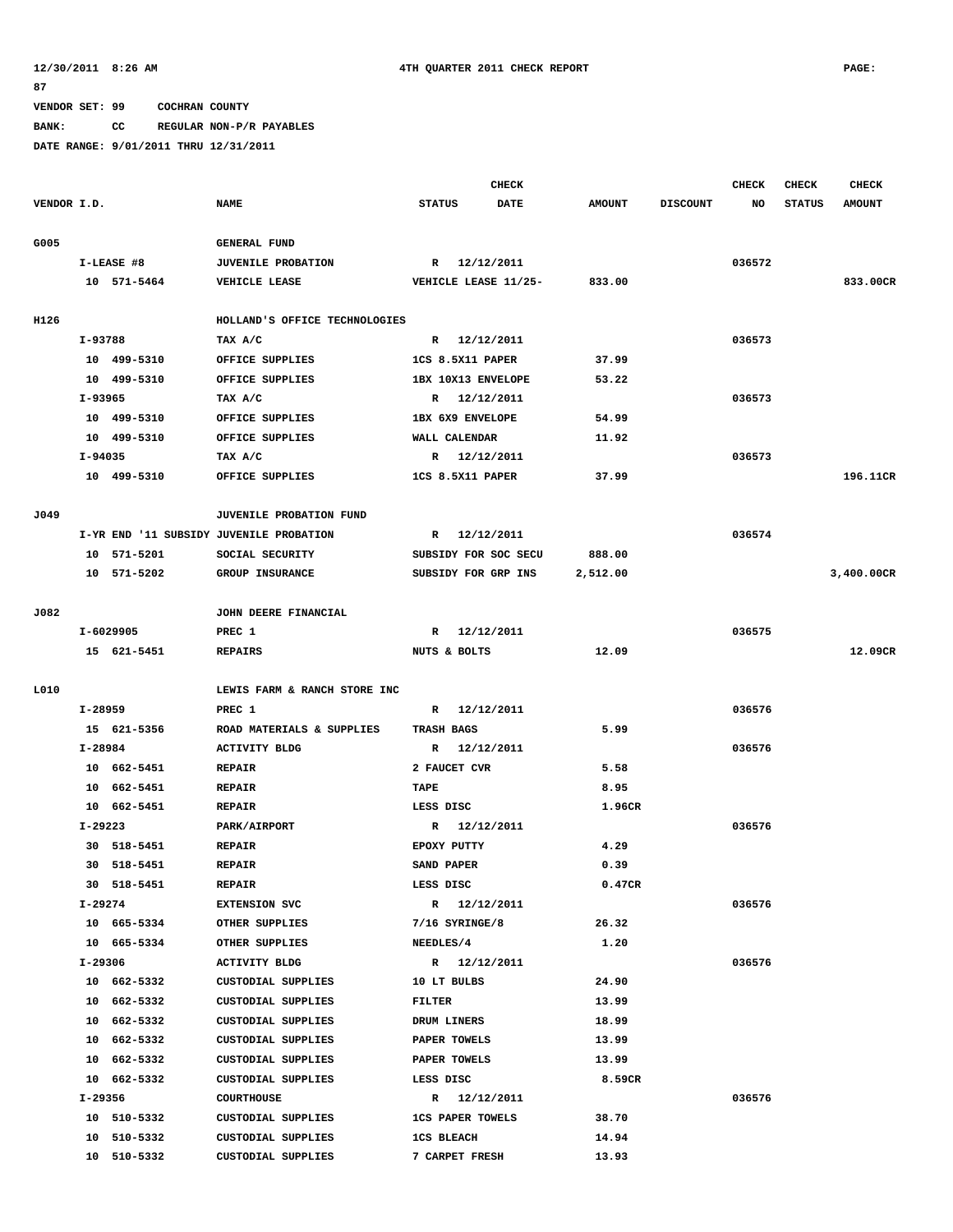#### **VENDOR SET: 99 COCHRAN COUNTY**

# **BANK: CC REGULAR NON-P/R PAYABLES**

|             |            |             |                                                                           |                   | <b>CHECK</b>            |               |                 | CHECK  | <b>CHECK</b>  |               |
|-------------|------------|-------------|---------------------------------------------------------------------------|-------------------|-------------------------|---------------|-----------------|--------|---------------|---------------|
| VENDOR I.D. |            |             | <b>NAME</b>                                                               | <b>STATUS</b>     | DATE                    | <b>AMOUNT</b> | <b>DISCOUNT</b> | NO     | <b>STATUS</b> | <b>AMOUNT</b> |
| G005        |            |             | <b>GENERAL FUND</b>                                                       |                   |                         |               |                 |        |               |               |
|             | I-LEASE #8 |             | <b>JUVENILE PROBATION</b>                                                 |                   | R 12/12/2011            |               |                 | 036572 |               |               |
|             |            | 10 571-5464 | <b>VEHICLE LEASE</b>                                                      |                   | VEHICLE LEASE 11/25-    | 833.00        |                 |        |               | 833.00CR      |
|             |            |             |                                                                           |                   |                         |               |                 |        |               |               |
| H126        |            |             | HOLLAND'S OFFICE TECHNOLOGIES                                             |                   |                         |               |                 |        |               |               |
|             | I-93788    |             | TAX A/C                                                                   |                   | R 12/12/2011            |               |                 | 036573 |               |               |
|             |            | 10 499-5310 | OFFICE SUPPLIES                                                           |                   | 1CS 8.5X11 PAPER        | 37.99         |                 |        |               |               |
|             |            | 10 499-5310 | OFFICE SUPPLIES                                                           |                   | 1BX 10X13 ENVELOPE      | 53.22         |                 |        |               |               |
|             | I-93965    |             | TAX A/C                                                                   |                   | R 12/12/2011            |               |                 | 036573 |               |               |
|             |            | 10 499-5310 | OFFICE SUPPLIES                                                           |                   | 1BX 6X9 ENVELOPE        | 54.99         |                 |        |               |               |
|             |            | 10 499-5310 | OFFICE SUPPLIES                                                           |                   | WALL CALENDAR           | 11.92         |                 |        |               |               |
|             | I-94035    |             | TAX A/C                                                                   |                   | R 12/12/2011            |               |                 | 036573 |               |               |
|             |            | 10 499-5310 | OFFICE SUPPLIES                                                           |                   | 1CS 8.5X11 PAPER        | 37.99         |                 |        |               | 196.11CR      |
|             |            |             |                                                                           |                   |                         |               |                 |        |               |               |
| J049        |            |             | <b>JUVENILE PROBATION FUND</b><br>I-YR END '11 SUBSIDY JUVENILE PROBATION |                   | R 12/12/2011            |               |                 | 036574 |               |               |
|             |            | 10 571-5201 | SOCIAL SECURITY                                                           |                   | SUBSIDY FOR SOC SECU    | 888.00        |                 |        |               |               |
|             |            | 10 571-5202 | GROUP INSURANCE                                                           |                   | SUBSIDY FOR GRP INS     | 2,512.00      |                 |        |               | 3,400.00CR    |
|             |            |             |                                                                           |                   |                         |               |                 |        |               |               |
| J082        |            |             | JOHN DEERE FINANCIAL                                                      |                   |                         |               |                 |        |               |               |
|             | I-6029905  |             | PREC 1                                                                    |                   | R 12/12/2011            |               |                 | 036575 |               |               |
|             |            | 15 621-5451 | <b>REPAIRS</b>                                                            |                   | NUTS & BOLTS            | 12.09         |                 |        |               | 12.09CR       |
| L010        |            |             | LEWIS FARM & RANCH STORE INC                                              |                   |                         |               |                 |        |               |               |
|             | I-28959    |             | PREC 1                                                                    | R                 | 12/12/2011              |               |                 | 036576 |               |               |
|             |            | 15 621-5356 | ROAD MATERIALS & SUPPLIES                                                 | TRASH BAGS        |                         | 5.99          |                 |        |               |               |
|             | I-28984    |             | <b>ACTIVITY BLDG</b>                                                      |                   | R 12/12/2011            |               |                 | 036576 |               |               |
|             |            | 10 662-5451 | <b>REPAIR</b>                                                             |                   | 2 FAUCET CVR            | 5.58          |                 |        |               |               |
|             |            | 10 662-5451 | <b>REPAIR</b>                                                             | <b>TAPE</b>       |                         | 8.95          |                 |        |               |               |
|             |            | 10 662-5451 | <b>REPAIR</b>                                                             | LESS DISC         |                         | 1.96CR        |                 |        |               |               |
|             | I-29223    |             | PARK/AIRPORT                                                              |                   | R 12/12/2011            |               |                 | 036576 |               |               |
|             |            | 30 518-5451 | <b>REPAIR</b>                                                             | EPOXY PUTTY       |                         | 4.29          |                 |        |               |               |
|             |            | 30 518-5451 | <b>REPAIR</b>                                                             | SAND PAPER        |                         | 0.39          |                 |        |               |               |
|             |            | 30 518-5451 | <b>REPAIR</b>                                                             | LESS DISC         |                         | 0.47CR        |                 |        |               |               |
|             | I-29274    |             | <b>EXTENSION SVC</b>                                                      |                   | R 12/12/2011            |               |                 | 036576 |               |               |
|             |            | 10 665-5334 | OTHER SUPPLIES                                                            |                   | $7/16$ SYRINGE/8        | 26.32         |                 |        |               |               |
|             |            | 10 665-5334 | OTHER SUPPLIES                                                            | NEEDLES/4         |                         | 1.20          |                 |        |               |               |
|             | I-29306    |             | <b>ACTIVITY BLDG</b>                                                      |                   | R 12/12/2011            |               |                 | 036576 |               |               |
|             |            | 10 662-5332 | CUSTODIAL SUPPLIES                                                        | 10 LT BULBS       |                         | 24.90         |                 |        |               |               |
|             |            | 10 662-5332 | CUSTODIAL SUPPLIES                                                        | FILTER            |                         | 13.99         |                 |        |               |               |
|             |            | 10 662-5332 | CUSTODIAL SUPPLIES                                                        | DRUM LINERS       |                         | 18.99         |                 |        |               |               |
|             |            | 10 662-5332 | CUSTODIAL SUPPLIES                                                        |                   | PAPER TOWELS            | 13.99         |                 |        |               |               |
|             |            | 10 662-5332 | CUSTODIAL SUPPLIES                                                        |                   | PAPER TOWELS            | 13.99         |                 |        |               |               |
|             |            | 10 662-5332 | CUSTODIAL SUPPLIES                                                        | LESS DISC         |                         | 8.59CR        |                 |        |               |               |
|             | I-29356    |             | <b>COURTHOUSE</b>                                                         |                   | R 12/12/2011            |               |                 | 036576 |               |               |
|             |            | 10 510-5332 | CUSTODIAL SUPPLIES                                                        |                   | <b>1CS PAPER TOWELS</b> | 38.70         |                 |        |               |               |
|             |            | 10 510-5332 | CUSTODIAL SUPPLIES                                                        | <b>1CS BLEACH</b> |                         | 14.94         |                 |        |               |               |
|             |            | 10 510-5332 | CUSTODIAL SUPPLIES                                                        |                   | 7 CARPET FRESH          | 13.93         |                 |        |               |               |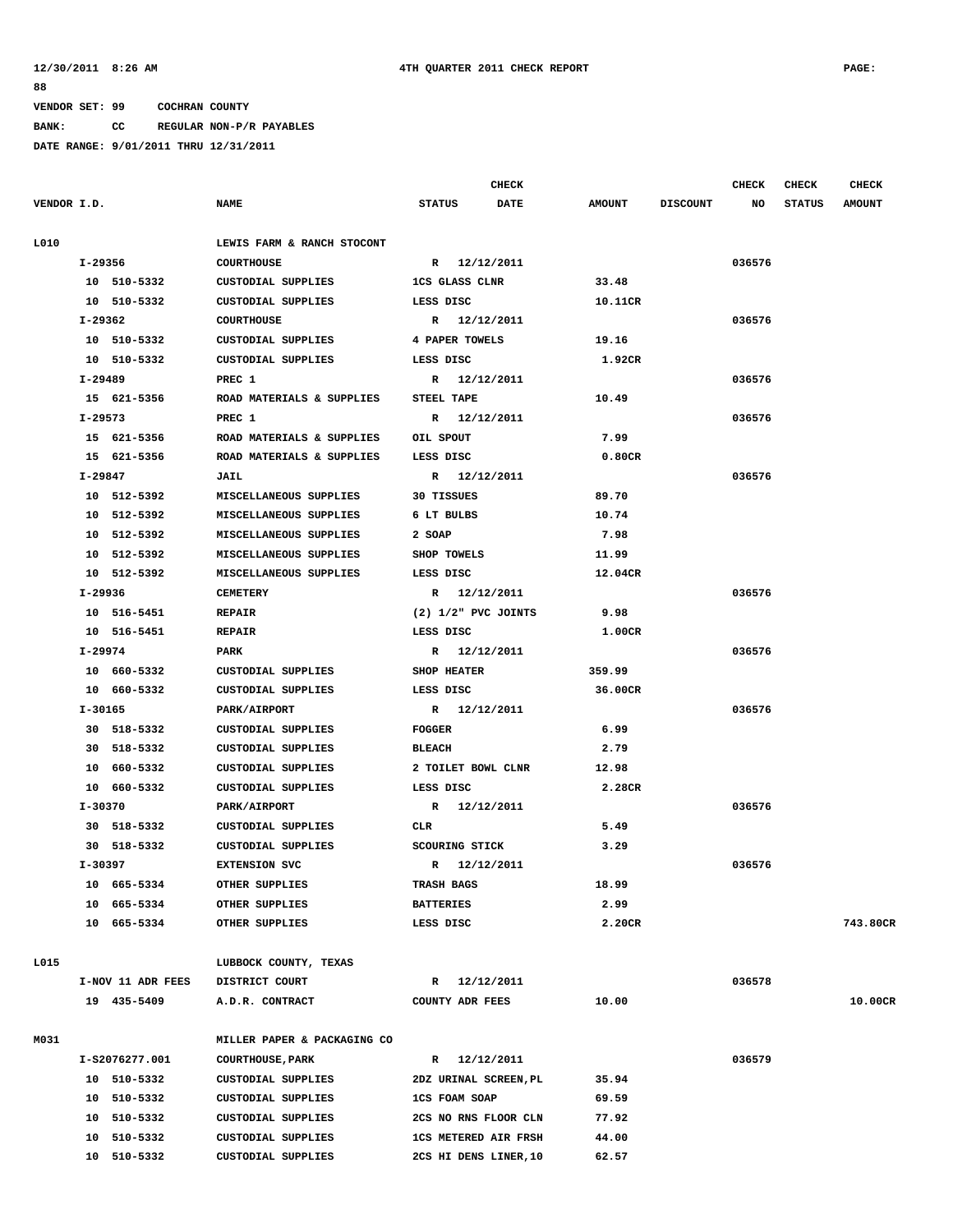### **VENDOR SET: 99 COCHRAN COUNTY BANK: CC REGULAR NON-P/R PAYABLES**

|             |                   |                             | CHECK                       |             |               |                 |        | <b>CHECK</b>  | <b>CHECK</b>  |
|-------------|-------------------|-----------------------------|-----------------------------|-------------|---------------|-----------------|--------|---------------|---------------|
| VENDOR I.D. |                   | <b>NAME</b>                 | <b>STATUS</b>               | <b>DATE</b> | <b>AMOUNT</b> | <b>DISCOUNT</b> | NO     | <b>STATUS</b> | <b>AMOUNT</b> |
| L010        |                   | LEWIS FARM & RANCH STOCONT  |                             |             |               |                 |        |               |               |
|             | I-29356           | <b>COURTHOUSE</b>           | R 12/12/2011                |             |               |                 | 036576 |               |               |
|             | 10 510-5332       | CUSTODIAL SUPPLIES          | <b>1CS GLASS CLNR</b>       |             | 33.48         |                 |        |               |               |
|             | 10 510-5332       | CUSTODIAL SUPPLIES          | LESS DISC                   |             | 10.11CR       |                 |        |               |               |
|             | I-29362           | <b>COURTHOUSE</b>           | R 12/12/2011                |             |               |                 | 036576 |               |               |
|             | 10 510-5332       | CUSTODIAL SUPPLIES          | 4 PAPER TOWELS              |             | 19.16         |                 |        |               |               |
|             | 10 510-5332       | CUSTODIAL SUPPLIES          | LESS DISC                   |             | 1.92CR        |                 |        |               |               |
|             | I-29489           | PREC 1                      | R 12/12/2011                |             |               |                 | 036576 |               |               |
|             | 15 621-5356       | ROAD MATERIALS & SUPPLIES   | STEEL TAPE                  |             | 10.49         |                 |        |               |               |
|             | I-29573           | PREC 1                      | R 12/12/2011                |             |               |                 | 036576 |               |               |
|             | 15 621-5356       | ROAD MATERIALS & SUPPLIES   | OIL SPOUT                   |             | 7.99          |                 |        |               |               |
|             | 15 621-5356       | ROAD MATERIALS & SUPPLIES   | LESS DISC                   |             | 0.80CR        |                 |        |               |               |
|             | I-29847           | <b>JAIL</b>                 | R 12/12/2011                |             |               |                 | 036576 |               |               |
|             | 10 512-5392       | MISCELLANEOUS SUPPLIES      | 30 TISSUES                  |             | 89.70         |                 |        |               |               |
|             | 10 512-5392       | MISCELLANEOUS SUPPLIES      | 6 LT BULBS                  |             | 10.74         |                 |        |               |               |
|             | 10 512-5392       | MISCELLANEOUS SUPPLIES      | 2 SOAP                      |             | 7.98          |                 |        |               |               |
|             | 10 512-5392       | MISCELLANEOUS SUPPLIES      | SHOP TOWELS                 |             | 11.99         |                 |        |               |               |
|             | 10 512-5392       | MISCELLANEOUS SUPPLIES      | LESS DISC                   |             | 12.04CR       |                 |        |               |               |
|             | I-29936           | <b>CEMETERY</b>             | R 12/12/2011                |             |               |                 | 036576 |               |               |
|             | 10 516-5451       | <b>REPAIR</b>               | $(2)$ $1/2$ " PVC JOINTS    |             | 9.98          |                 |        |               |               |
|             | 10 516-5451       | <b>REPAIR</b>               | LESS DISC                   |             | 1.00CR        |                 |        |               |               |
|             | I-29974           | PARK                        | R 12/12/2011                |             |               |                 | 036576 |               |               |
|             | 10 660-5332       | CUSTODIAL SUPPLIES          | <b>SHOP HEATER</b>          |             | 359.99        |                 |        |               |               |
|             | 10 660-5332       | CUSTODIAL SUPPLIES          | LESS DISC                   |             | 36.00CR       |                 |        |               |               |
|             | I-30165           | PARK/AIRPORT                | R 12/12/2011                |             |               |                 | 036576 |               |               |
|             |                   |                             |                             |             |               |                 |        |               |               |
|             | 30 518-5332       | CUSTODIAL SUPPLIES          | <b>FOGGER</b>               |             | 6.99          |                 |        |               |               |
|             | 30 518-5332       | CUSTODIAL SUPPLIES          | <b>BLEACH</b>               |             | 2.79          |                 |        |               |               |
|             | 10 660-5332       | CUSTODIAL SUPPLIES          | 2 TOILET BOWL CLNR          |             | 12.98         |                 |        |               |               |
|             | 10 660-5332       | CUSTODIAL SUPPLIES          | LESS DISC                   |             | 2.28CR        |                 |        |               |               |
|             | I-30370           | PARK/AIRPORT                | R 12/12/2011                |             |               |                 | 036576 |               |               |
|             | 30 518-5332       | CUSTODIAL SUPPLIES          | <b>CLR</b>                  |             | 5.49          |                 |        |               |               |
|             | 30 518-5332       | <b>CUSTODIAL SUPPLIES</b>   | SCOURING STICK              |             | 3.29          |                 |        |               |               |
|             | I-30397           | <b>EXTENSION SVC</b>        | R 12/12/2011                |             |               |                 | 036576 |               |               |
|             | 10 665-5334       | OTHER SUPPLIES              | <b>TRASH BAGS</b>           |             | 18.99         |                 |        |               |               |
|             | 10 665-5334       | OTHER SUPPLIES              | <b>BATTERIES</b>            |             | 2.99          |                 |        |               |               |
|             | 10 665-5334       | OTHER SUPPLIES              | LESS DISC                   |             | 2.20CR        |                 |        |               | 743.80CR      |
| L015        |                   | LUBBOCK COUNTY, TEXAS       |                             |             |               |                 |        |               |               |
|             | I-NOV 11 ADR FEES | DISTRICT COURT              | R 12/12/2011                |             |               |                 | 036578 |               |               |
|             | 19 435-5409       | A.D.R. CONTRACT             | COUNTY ADR FEES             |             | 10.00         |                 |        |               | 10.00CR       |
|             |                   |                             |                             |             |               |                 |        |               |               |
| M031        |                   | MILLER PAPER & PACKAGING CO |                             |             |               |                 |        |               |               |
|             | I-S2076277.001    | <b>COURTHOUSE, PARK</b>     | R 12/12/2011                |             |               |                 | 036579 |               |               |
|             | 10 510-5332       | CUSTODIAL SUPPLIES          | 2DZ URINAL SCREEN, PL       |             | 35.94         |                 |        |               |               |
|             | 10 510-5332       | CUSTODIAL SUPPLIES          | <b>1CS FOAM SOAP</b>        |             | 69.59         |                 |        |               |               |
|             | 10 510-5332       | CUSTODIAL SUPPLIES          | 2CS NO RNS FLOOR CLN        |             | 77.92         |                 |        |               |               |
|             | 10 510-5332       | CUSTODIAL SUPPLIES          | <b>1CS METERED AIR FRSH</b> |             | 44.00         |                 |        |               |               |
|             | 10 510-5332       | CUSTODIAL SUPPLIES          | 2CS HI DENS LINER, 10       |             | 62.57         |                 |        |               |               |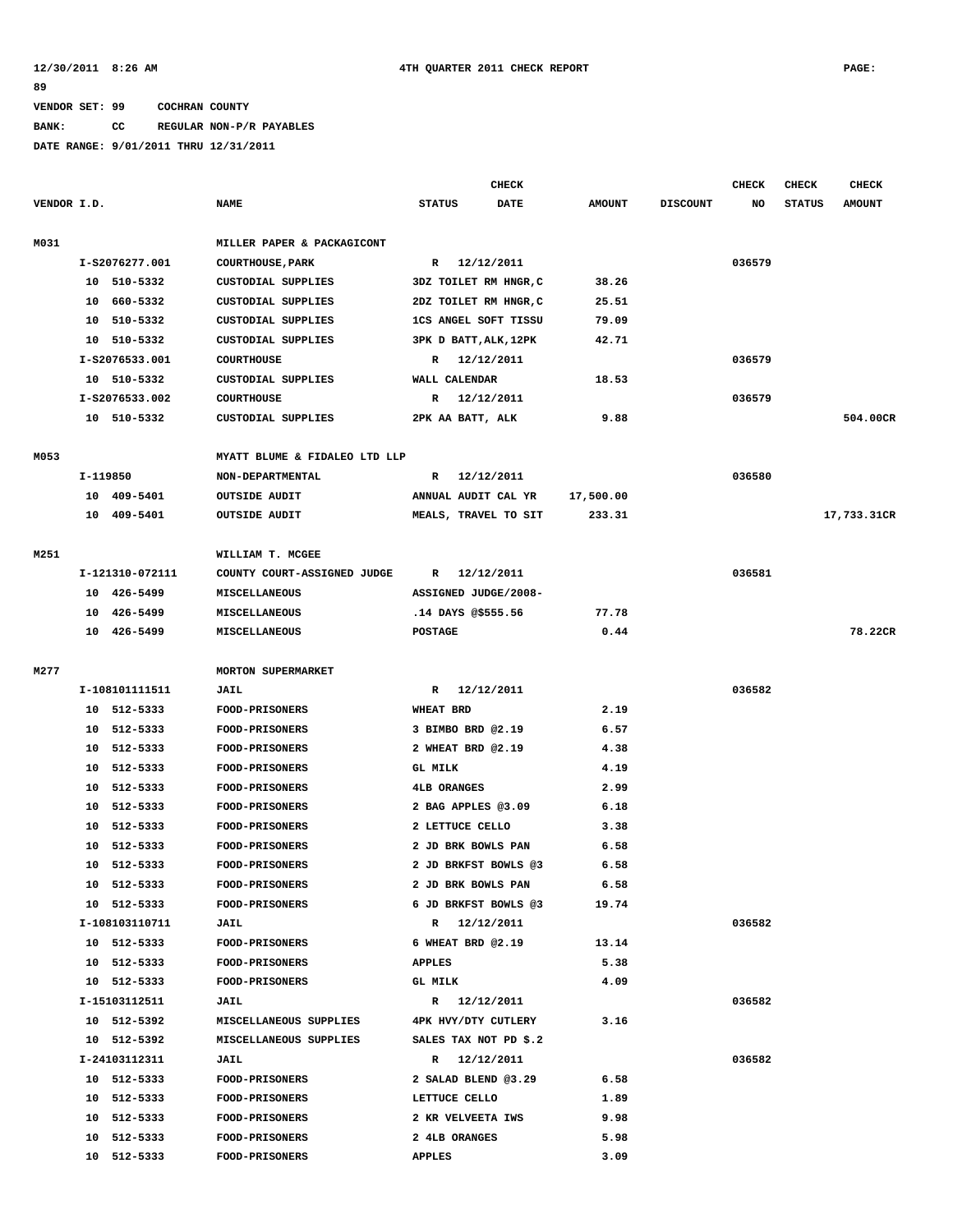## **VENDOR SET: 99 COCHRAN COUNTY**

# **BANK: CC REGULAR NON-P/R PAYABLES**

|             |             |                 |                               |                       | <b>CHECK</b> |               |                 | CHECK  | <b>CHECK</b>  | <b>CHECK</b>  |
|-------------|-------------|-----------------|-------------------------------|-----------------------|--------------|---------------|-----------------|--------|---------------|---------------|
| VENDOR I.D. |             |                 | <b>NAME</b>                   | <b>STATUS</b>         | <b>DATE</b>  | <b>AMOUNT</b> | <b>DISCOUNT</b> | NO     | <b>STATUS</b> | <b>AMOUNT</b> |
| M031        |             |                 | MILLER PAPER & PACKAGICONT    |                       |              |               |                 |        |               |               |
|             |             | I-S2076277.001  | <b>COURTHOUSE, PARK</b>       | R                     | 12/12/2011   |               |                 | 036579 |               |               |
|             |             | 10 510-5332     | CUSTODIAL SUPPLIES            | 3DZ TOILET RM HNGR, C |              | 38.26         |                 |        |               |               |
|             |             | 10 660-5332     | <b>CUSTODIAL SUPPLIES</b>     | 2DZ TOILET RM HNGR, C |              | 25.51         |                 |        |               |               |
|             |             | 10 510-5332     | CUSTODIAL SUPPLIES            | 1CS ANGEL SOFT TISSU  |              | 79.09         |                 |        |               |               |
|             |             | 10 510-5332     | CUSTODIAL SUPPLIES            | 3PK D BATT, ALK, 12PK |              | 42.71         |                 |        |               |               |
|             |             | I-S2076533.001  | <b>COURTHOUSE</b>             | R                     | 12/12/2011   |               |                 | 036579 |               |               |
|             |             | 10 510-5332     | CUSTODIAL SUPPLIES            | WALL CALENDAR         |              | 18.53         |                 |        |               |               |
|             |             | I-S2076533.002  | <b>COURTHOUSE</b>             | R                     | 12/12/2011   |               |                 | 036579 |               |               |
|             | 10 510-5332 |                 | CUSTODIAL SUPPLIES            | 2PK AA BATT, ALK      |              | 9.88          |                 |        |               | 504.00CR      |
| M053        |             |                 | MYATT BLUME & FIDALEO LTD LLP |                       |              |               |                 |        |               |               |
|             |             | I-119850        | NON-DEPARTMENTAL              | $\mathbb{R}$          | 12/12/2011   |               |                 | 036580 |               |               |
|             |             | 10 409-5401     | <b>OUTSIDE AUDIT</b>          | ANNUAL AUDIT CAL YR   |              | 17,500.00     |                 |        |               |               |
|             |             | 10 409-5401     | <b>OUTSIDE AUDIT</b>          | MEALS, TRAVEL TO SIT  |              | 233.31        |                 |        |               | 17,733.31CR   |
| M251        |             |                 | WILLIAM T. MCGEE              |                       |              |               |                 |        |               |               |
|             |             | I-121310-072111 | COUNTY COURT-ASSIGNED JUDGE   | R                     | 12/12/2011   |               |                 | 036581 |               |               |
|             |             | 10 426-5499     | MISCELLANEOUS                 | ASSIGNED JUDGE/2008-  |              |               |                 |        |               |               |
|             |             | 10 426-5499     | MISCELLANEOUS                 | .14 DAYS @\$555.56    |              | 77.78         |                 |        |               |               |
|             |             | 10 426-5499     | <b>MISCELLANEOUS</b>          | <b>POSTAGE</b>        |              | 0.44          |                 |        |               | 78.22CR       |
| M277        |             |                 | <b>MORTON SUPERMARKET</b>     |                       |              |               |                 |        |               |               |
|             |             | I-108101111511  | <b>JAIL</b>                   | R                     | 12/12/2011   |               |                 | 036582 |               |               |
|             |             | 10 512-5333     | FOOD-PRISONERS                | <b>WHEAT BRD</b>      |              | 2.19          |                 |        |               |               |
|             |             | 10 512-5333     | <b>FOOD-PRISONERS</b>         | 3 BIMBO BRD @2.19     |              | 6.57          |                 |        |               |               |
|             | 10          | 512-5333        | <b>FOOD-PRISONERS</b>         | 2 WHEAT BRD @2.19     |              | 4.38          |                 |        |               |               |
|             | 10          | 512-5333        | FOOD-PRISONERS                | <b>GL MILK</b>        |              | 4.19          |                 |        |               |               |
|             | 10          | 512-5333        | <b>FOOD-PRISONERS</b>         | <b>4LB ORANGES</b>    |              | 2.99          |                 |        |               |               |
|             | 10          | 512-5333        | <b>FOOD-PRISONERS</b>         | 2 BAG APPLES @3.09    |              | 6.18          |                 |        |               |               |
|             | 10          | 512-5333        | FOOD-PRISONERS                | 2 LETTUCE CELLO       |              | 3.38          |                 |        |               |               |
|             | 10          | 512-5333        | <b>FOOD-PRISONERS</b>         | 2 JD BRK BOWLS PAN    |              | 6.58          |                 |        |               |               |
|             |             | 10 512-5333     | <b>FOOD-PRISONERS</b>         | 2 JD BRKFST BOWLS @3  |              | 6.58          |                 |        |               |               |
|             |             | 10 512-5333     | <b>FOOD-PRISONERS</b>         | 2 JD BRK BOWLS PAN    |              | 6.58          |                 |        |               |               |
|             |             | 10 512-5333     | FOOD-PRISONERS                | 6 JD BRKFST BOWLS @3  |              | 19.74         |                 |        |               |               |
|             |             | I-108103110711  | <b>JAIL</b>                   | R 12/12/2011          |              |               |                 | 036582 |               |               |
|             |             | 10 512-5333     | <b>FOOD-PRISONERS</b>         | 6 WHEAT BRD @2.19     |              | 13.14         |                 |        |               |               |
|             |             | 10 512-5333     | <b>FOOD-PRISONERS</b>         | APPLES                |              | 5.38          |                 |        |               |               |
|             |             | 10 512-5333     | <b>FOOD-PRISONERS</b>         | GL MILK               |              | 4.09          |                 |        |               |               |
|             |             | I-15103112511   | JAIL                          | R 12/12/2011          |              |               |                 | 036582 |               |               |
|             |             | 10 512-5392     | MISCELLANEOUS SUPPLIES        | 4PK HVY/DTY CUTLERY   |              | 3.16          |                 |        |               |               |
|             |             | 10 512-5392     | MISCELLANEOUS SUPPLIES        | SALES TAX NOT PD \$.2 |              |               |                 |        |               |               |
|             |             | I-24103112311   | <b>JAIL</b>                   | R 12/12/2011          |              |               |                 | 036582 |               |               |
|             |             | 10 512-5333     | <b>FOOD-PRISONERS</b>         | 2 SALAD BLEND @3.29   |              | 6.58          |                 |        |               |               |
|             |             | 10 512-5333     | <b>FOOD-PRISONERS</b>         | LETTUCE CELLO         |              | 1.89          |                 |        |               |               |
|             |             | 10 512-5333     | FOOD-PRISONERS                | 2 KR VELVEETA IWS     |              | 9.98          |                 |        |               |               |
|             |             | 10 512-5333     | <b>FOOD-PRISONERS</b>         | 2 4LB ORANGES         |              | 5.98          |                 |        |               |               |
|             |             | 10 512-5333     | <b>FOOD-PRISONERS</b>         | <b>APPLES</b>         |              | 3.09          |                 |        |               |               |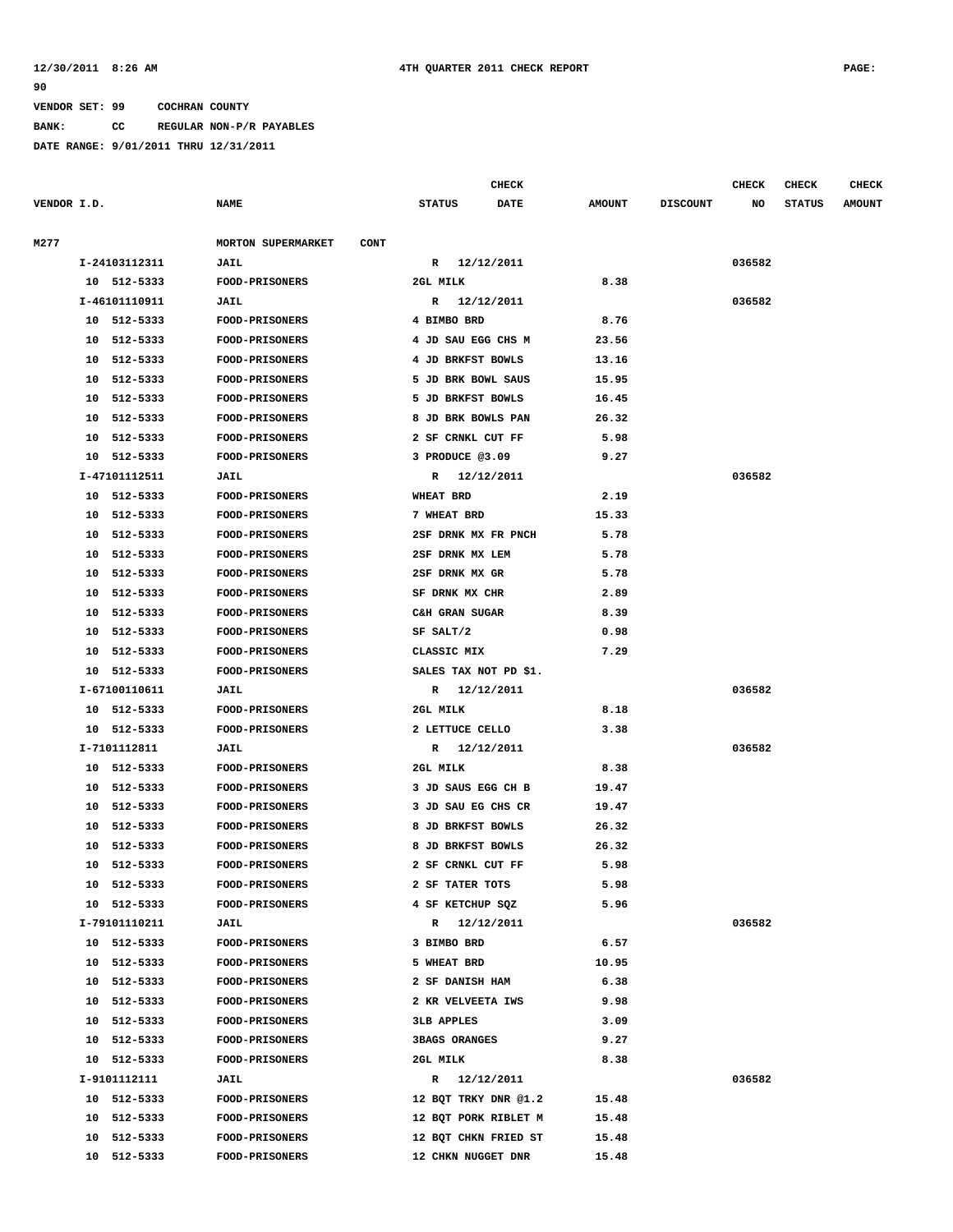# **VENDOR SET: 99 COCHRAN COUNTY**

**BANK: CC REGULAR NON-P/R PAYABLES**

|             |    |               |                                   |                       | <b>CHECK</b> |               |                 | <b>CHECK</b> | CHECK         | <b>CHECK</b>  |
|-------------|----|---------------|-----------------------------------|-----------------------|--------------|---------------|-----------------|--------------|---------------|---------------|
| VENDOR I.D. |    |               | <b>NAME</b>                       | <b>STATUS</b>         | DATE         | <b>AMOUNT</b> | <b>DISCOUNT</b> | NO           | <b>STATUS</b> | <b>AMOUNT</b> |
| M277        |    |               | MORTON SUPERMARKET<br><b>CONT</b> |                       |              |               |                 |              |               |               |
|             |    | I-24103112311 | <b>JAIL</b>                       | R 12/12/2011          |              |               |                 | 036582       |               |               |
|             |    | 10 512-5333   | FOOD-PRISONERS                    | 2GL MILK              |              | 8.38          |                 |              |               |               |
|             |    | I-46101110911 | <b>JAIL</b>                       | R                     | 12/12/2011   |               |                 | 036582       |               |               |
|             | 10 | 512-5333      | <b>FOOD-PRISONERS</b>             | 4 BIMBO BRD           |              | 8.76          |                 |              |               |               |
|             | 10 | 512-5333      | <b>FOOD-PRISONERS</b>             | 4 JD SAU EGG CHS M    |              | 23.56         |                 |              |               |               |
|             | 10 | 512-5333      | <b>FOOD-PRISONERS</b>             | 4 JD BRKFST BOWLS     |              | 13.16         |                 |              |               |               |
|             | 10 | 512-5333      | <b>FOOD-PRISONERS</b>             | 5 JD BRK BOWL SAUS    |              | 15.95         |                 |              |               |               |
|             | 10 | 512-5333      | FOOD-PRISONERS                    | 5 JD BRKFST BOWLS     |              | 16.45         |                 |              |               |               |
|             | 10 | 512-5333      | <b>FOOD-PRISONERS</b>             | 8 JD BRK BOWLS PAN    |              | 26.32         |                 |              |               |               |
|             | 10 | 512-5333      | <b>FOOD-PRISONERS</b>             | 2 SF CRNKL CUT FF     |              | 5.98          |                 |              |               |               |
|             | 10 | 512-5333      | FOOD-PRISONERS                    | 3 PRODUCE @3.09       |              | 9.27          |                 |              |               |               |
|             |    | I-47101112511 | <b>JAIL</b>                       | R                     | 12/12/2011   |               |                 | 036582       |               |               |
|             | 10 | 512-5333      | <b>FOOD-PRISONERS</b>             | <b>WHEAT BRD</b>      |              | 2.19          |                 |              |               |               |
|             | 10 | 512-5333      | FOOD-PRISONERS                    | 7 WHEAT BRD           |              | 15.33         |                 |              |               |               |
|             | 10 | 512-5333      | <b>FOOD-PRISONERS</b>             | 2SF DRNK MX FR PNCH   |              | 5.78          |                 |              |               |               |
|             | 10 | 512-5333      | <b>FOOD-PRISONERS</b>             | 2SF DRNK MX LEM       |              | 5.78          |                 |              |               |               |
|             | 10 | 512-5333      | <b>FOOD-PRISONERS</b>             | 2SF DRNK MX GR        |              | 5.78          |                 |              |               |               |
|             | 10 | 512-5333      | <b>FOOD-PRISONERS</b>             | SF DRNK MX CHR        |              | 2.89          |                 |              |               |               |
|             | 10 | 512-5333      | <b>FOOD-PRISONERS</b>             | C&H GRAN SUGAR        |              | 8.39          |                 |              |               |               |
|             | 10 | 512-5333      | FOOD-PRISONERS                    | SF SALT/2             |              | 0.98          |                 |              |               |               |
|             | 10 | 512-5333      | <b>FOOD-PRISONERS</b>             | CLASSIC MIX           |              | 7.29          |                 |              |               |               |
|             | 10 | 512-5333      | <b>FOOD-PRISONERS</b>             | SALES TAX NOT PD \$1. |              |               |                 |              |               |               |
|             |    | I-67100110611 | JAIL                              | R 12/12/2011          |              |               |                 | 036582       |               |               |
|             |    | 10 512-5333   | FOOD-PRISONERS                    | 2GL MILK              |              | 8.18          |                 |              |               |               |
|             | 10 | 512-5333      | <b>FOOD-PRISONERS</b>             | 2 LETTUCE CELLO       |              | 3.38          |                 |              |               |               |
|             |    | I-7101112811  | JAIL                              | R 12/12/2011          |              |               |                 | 036582       |               |               |
|             | 10 | 512-5333      | <b>FOOD-PRISONERS</b>             | 2GL MILK              |              | 8.38          |                 |              |               |               |
|             | 10 | 512-5333      | <b>FOOD-PRISONERS</b>             | 3 JD SAUS EGG CH B    |              | 19.47         |                 |              |               |               |
|             | 10 | 512-5333      | <b>FOOD-PRISONERS</b>             | 3 JD SAU EG CHS CR    |              | 19.47         |                 |              |               |               |
|             | 10 | 512-5333      | <b>FOOD-PRISONERS</b>             | 8 JD BRKFST BOWLS     |              | 26.32         |                 |              |               |               |
|             | 10 | 512-5333      | <b>FOOD-PRISONERS</b>             | 8 JD BRKFST BOWLS     |              | 26.32         |                 |              |               |               |
|             | 10 | 512-5333      | <b>FOOD-PRISONERS</b>             | 2 SF CRNKL CUT FF     |              | 5.98          |                 |              |               |               |
|             |    | 10 512-5333   | <b>FOOD-PRISONERS</b>             | 2 SF TATER TOTS       |              | 5.98          |                 |              |               |               |
|             |    | 10 512-5333   | <b>FOOD-PRISONERS</b>             | 4 SF KETCHUP SQZ      |              | 5.96          |                 |              |               |               |
|             |    | I-79101110211 | JAIL                              | R 12/12/2011          |              |               |                 | 036582       |               |               |
|             |    | 10 512-5333   | <b>FOOD-PRISONERS</b>             | 3 BIMBO BRD           |              | 6.57          |                 |              |               |               |
|             |    | 10 512-5333   | <b>FOOD-PRISONERS</b>             | 5 WHEAT BRD           |              | 10.95         |                 |              |               |               |
|             |    | 10 512-5333   | FOOD-PRISONERS                    | 2 SF DANISH HAM       |              | 6.38          |                 |              |               |               |
|             |    | 10 512-5333   | FOOD-PRISONERS                    | 2 KR VELVEETA IWS     |              | 9.98          |                 |              |               |               |
|             |    | 10 512-5333   | <b>FOOD-PRISONERS</b>             | <b>3LB APPLES</b>     |              | 3.09          |                 |              |               |               |
|             |    | 10 512-5333   | <b>FOOD-PRISONERS</b>             | <b>3BAGS ORANGES</b>  |              | 9.27          |                 |              |               |               |
|             |    | 10 512-5333   | <b>FOOD-PRISONERS</b>             | 2GL MILK              |              | 8.38          |                 |              |               |               |
|             |    | I-9101112111  | JAIL                              | R 12/12/2011          |              |               |                 | 036582       |               |               |
|             |    | 10 512-5333   | <b>FOOD-PRISONERS</b>             | 12 BQT TRKY DNR @1.2  |              | 15.48         |                 |              |               |               |
|             |    | 10 512-5333   | <b>FOOD-PRISONERS</b>             | 12 BQT PORK RIBLET M  |              | 15.48         |                 |              |               |               |
|             |    | 10 512-5333   | <b>FOOD-PRISONERS</b>             | 12 BQT CHKN FRIED ST  |              | 15.48         |                 |              |               |               |
|             |    | 10 512-5333   | <b>FOOD-PRISONERS</b>             | 12 CHKN NUGGET DNR    |              | 15.48         |                 |              |               |               |
|             |    |               |                                   |                       |              |               |                 |              |               |               |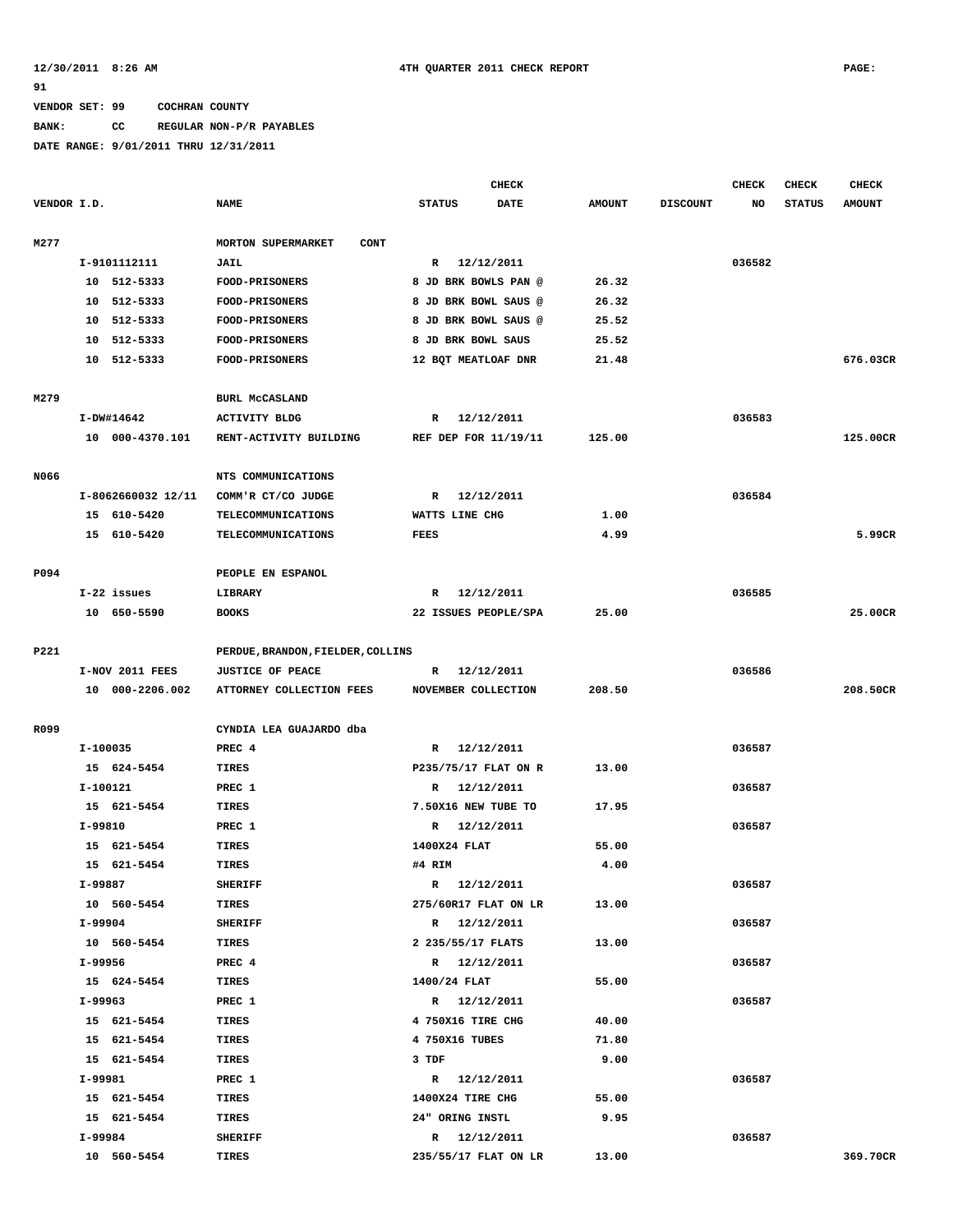#### **VENDOR SET: 99 COCHRAN COUNTY**

# **BANK: CC REGULAR NON-P/R PAYABLES**

|             |                    |                                   |                      | <b>CHECK</b> |               |                 | <b>CHECK</b> | <b>CHECK</b>  | <b>CHECK</b>  |
|-------------|--------------------|-----------------------------------|----------------------|--------------|---------------|-----------------|--------------|---------------|---------------|
| VENDOR I.D. |                    | <b>NAME</b>                       | <b>STATUS</b>        | DATE         | <b>AMOUNT</b> | <b>DISCOUNT</b> | NO           | <b>STATUS</b> | <b>AMOUNT</b> |
|             |                    |                                   |                      |              |               |                 |              |               |               |
| M277        |                    | MORTON SUPERMARKET<br><b>CONT</b> |                      |              |               |                 |              |               |               |
|             | I-9101112111       | JAIL                              | 12/12/2011<br>R      |              |               |                 | 036582       |               |               |
|             | 10 512-5333        | <b>FOOD-PRISONERS</b>             | 8 JD BRK BOWLS PAN @ |              | 26.32         |                 |              |               |               |
|             | 512-5333<br>10     | FOOD-PRISONERS                    | 8 JD BRK BOWL SAUS @ |              | 26.32         |                 |              |               |               |
|             | 512-5333<br>10     | FOOD-PRISONERS                    | 8 JD BRK BOWL SAUS @ |              | 25.52         |                 |              |               |               |
|             | 512-5333<br>10     | FOOD-PRISONERS                    | 8 JD BRK BOWL SAUS   |              | 25.52         |                 |              |               |               |
|             | 10 512-5333        | FOOD-PRISONERS                    | 12 BQT MEATLOAF DNR  |              | 21.48         |                 |              |               | 676.03CR      |
| M279        |                    | <b>BURL MCCASLAND</b>             |                      |              |               |                 |              |               |               |
|             | I-DW#14642         | <b>ACTIVITY BLDG</b>              | R                    | 12/12/2011   |               |                 | 036583       |               |               |
|             | 10 000-4370.101    | RENT-ACTIVITY BUILDING            | REF DEP FOR 11/19/11 |              | 125.00        |                 |              |               | 125.00CR      |
|             |                    |                                   |                      |              |               |                 |              |               |               |
| N066        |                    | NTS COMMUNICATIONS                |                      |              |               |                 |              |               |               |
|             | I-8062660032 12/11 | COMM'R CT/CO JUDGE                | R                    | 12/12/2011   |               |                 | 036584       |               |               |
|             | 15 610-5420        | TELECOMMUNICATIONS                | WATTS LINE CHG       |              | 1.00          |                 |              |               |               |
|             | 15 610-5420        | TELECOMMUNICATIONS                | <b>FEES</b>          |              | 4.99          |                 |              |               | 5.99CR        |
| P094        |                    | PEOPLE EN ESPANOL                 |                      |              |               |                 |              |               |               |
|             | I-22 issues        | LIBRARY                           | $\mathbb{R}$         | 12/12/2011   |               |                 | 036585       |               |               |
|             | 10 650-5590        | <b>BOOKS</b>                      | 22 ISSUES PEOPLE/SPA |              | 25.00         |                 |              |               | 25.00CR       |
|             |                    |                                   |                      |              |               |                 |              |               |               |
| P221        |                    | PERDUE, BRANDON, FIELDER, COLLINS |                      |              |               |                 |              |               |               |
|             | I-NOV 2011 FEES    | <b>JUSTICE OF PEACE</b>           | R                    | 12/12/2011   |               |                 | 036586       |               |               |
|             | 10 000-2206.002    | ATTORNEY COLLECTION FEES          | NOVEMBER COLLECTION  |              | 208.50        |                 |              |               | 208.50CR      |
|             |                    |                                   |                      |              |               |                 |              |               |               |
| R099        |                    | CYNDIA LEA GUAJARDO dba           |                      |              |               |                 |              |               |               |
|             | I-100035           | PREC <sub>4</sub>                 | R                    | 12/12/2011   |               |                 | 036587       |               |               |
|             | 15 624-5454        | TIRES                             | P235/75/17 FLAT ON R |              | 13.00         |                 |              |               |               |
|             | I-100121           | PREC 1                            | R                    | 12/12/2011   |               |                 | 036587       |               |               |
|             | 15 621-5454        | TIRES                             | 7.50X16 NEW TUBE TO  |              | 17.95         |                 |              |               |               |
|             | I-99810            | PREC 1                            | R                    | 12/12/2011   |               |                 | 036587       |               |               |
|             | 15 621-5454        | <b>TIRES</b>                      | 1400X24 FLAT         |              | 55.00         |                 |              |               |               |
|             | 15 621-5454        | TIRES                             | #4 RIM               |              | 4.00          |                 |              |               |               |
|             | I-99887            | <b>SHERIFF</b>                    | R 12/12/2011         |              |               |                 | 036587       |               |               |
|             | 10 560-5454        | TIRES                             | 275/60R17 FLAT ON LR |              | 13.00         |                 |              |               |               |
|             | I-99904            | <b>SHERIFF</b>                    | R 12/12/2011         |              |               |                 | 036587       |               |               |
|             | 10 560-5454        | TIRES                             | 2 235/55/17 FLATS    |              | 13.00         |                 |              |               |               |
|             | I-99956            | PREC 4                            | R 12/12/2011         |              |               |                 | 036587       |               |               |
|             | 15 624-5454        | TIRES                             | 1400/24 FLAT         |              | 55.00         |                 |              |               |               |
|             | I-99963            | PREC 1                            | R 12/12/2011         |              |               |                 | 036587       |               |               |
|             | 15 621-5454        | TIRES                             | 4 750X16 TIRE CHG    |              | 40.00         |                 |              |               |               |
|             | 15 621-5454        | TIRES                             | 4 750X16 TUBES       |              | 71.80         |                 |              |               |               |
|             | 15 621-5454        | TIRES                             | 3 TDF                |              | 9.00          |                 |              |               |               |
|             | I-99981            | PREC 1                            | R 12/12/2011         |              |               |                 | 036587       |               |               |
|             | 15 621-5454        | TIRES                             | 1400X24 TIRE CHG     |              | 55.00         |                 |              |               |               |
|             | 15 621-5454        | TIRES                             | 24" ORING INSTL      |              | 9.95          |                 |              |               |               |
|             | I-99984            | <b>SHERIFF</b>                    | R 12/12/2011         |              |               |                 | 036587       |               |               |
|             | 10 560-5454        | TIRES                             | 235/55/17 FLAT ON LR |              | 13.00         |                 |              |               | 369.70CR      |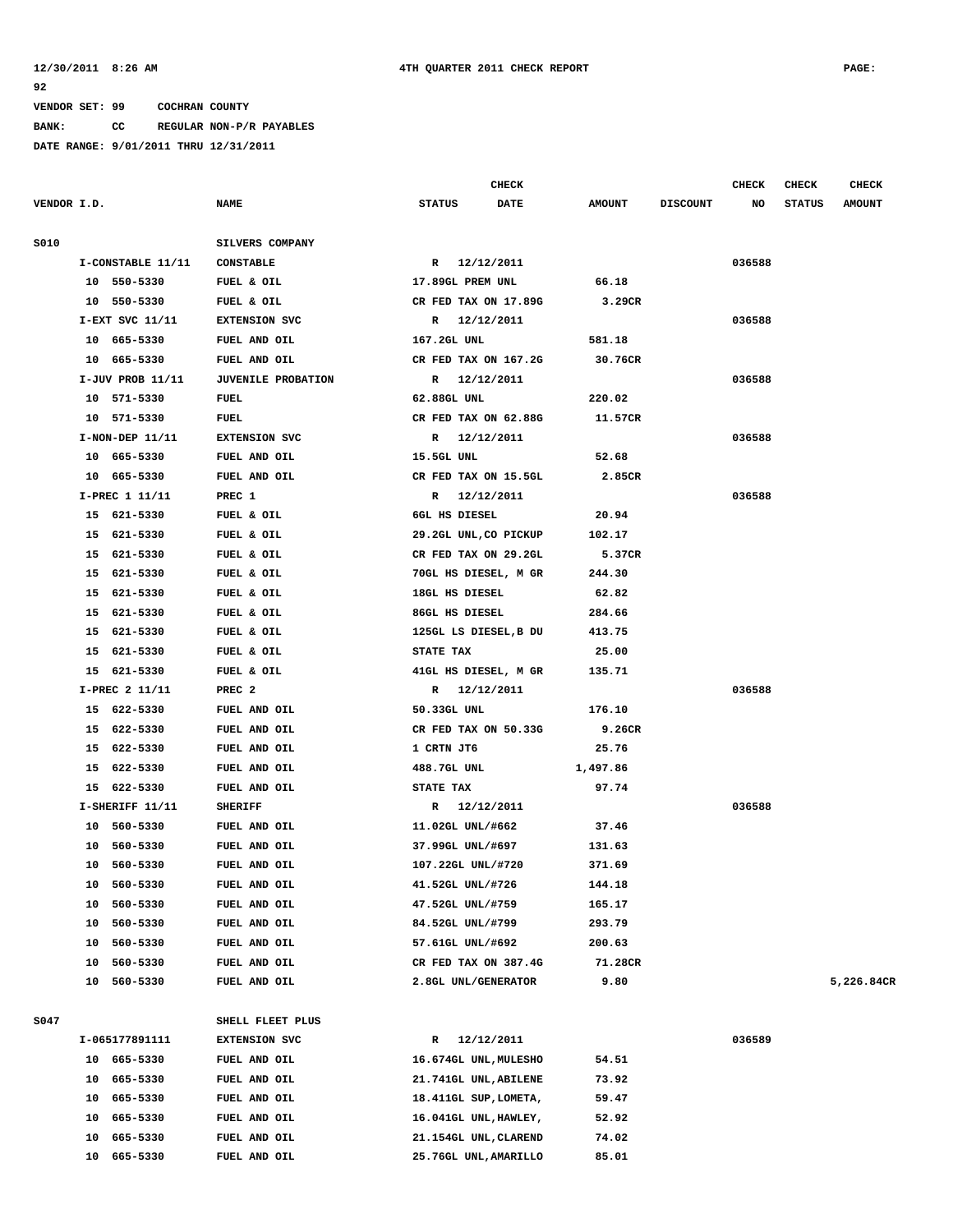#### **92 VENDOR SET: 99 COCHRAN COUNTY BANK: CC REGULAR NON-P/R PAYABLES DATE RANGE: 9/01/2011 THRU 12/31/2011**

|             |                |                     |                           |               | CHECK                 |               |                 | <b>CHECK</b> | <b>CHECK</b>  | <b>CHECK</b>  |
|-------------|----------------|---------------------|---------------------------|---------------|-----------------------|---------------|-----------------|--------------|---------------|---------------|
| VENDOR I.D. |                |                     | <b>NAME</b>               | <b>STATUS</b> | <b>DATE</b>           | <b>AMOUNT</b> | <b>DISCOUNT</b> | NO           | <b>STATUS</b> | <b>AMOUNT</b> |
| S010        |                |                     | SILVERS COMPANY           |               |                       |               |                 |              |               |               |
|             |                | I-CONSTABLE 11/11   | <b>CONSTABLE</b>          | $\mathbf{R}$  | 12/12/2011            |               |                 | 036588       |               |               |
|             | 10 550-5330    |                     | FUEL & OIL                |               | 17.89GL PREM UNL      | 66.18         |                 |              |               |               |
|             | 10 550-5330    |                     | FUEL & OIL                |               | CR FED TAX ON 17.89G  | 3.29CR        |                 |              |               |               |
|             |                | $I-EXT$ SVC $11/11$ | <b>EXTENSION SVC</b>      |               | R 12/12/2011          |               |                 | 036588       |               |               |
|             | 10 665-5330    |                     | FUEL AND OIL              | 167.2GL UNL   |                       | 581.18        |                 |              |               |               |
|             | 10 665-5330    |                     | FUEL AND OIL              |               | CR FED TAX ON 167.2G  | 30.76CR       |                 |              |               |               |
|             |                | I-JUV PROB 11/11    | <b>JUVENILE PROBATION</b> | $\mathbb{R}$  | 12/12/2011            |               |                 | 036588       |               |               |
|             | 10 571-5330    |                     | FUEL                      | 62.88GL UNL   |                       | 220.02        |                 |              |               |               |
|             | 10 571-5330    |                     | FUEL                      |               | CR FED TAX ON 62.88G  | 11.57CR       |                 |              |               |               |
|             |                | $I-NON-DEF$ 11/11   | <b>EXTENSION SVC</b>      | $\mathbb{R}$  | 12/12/2011            |               |                 | 036588       |               |               |
|             | 10 665-5330    |                     | FUEL AND OIL              | 15.5GL UNL    |                       | 52.68         |                 |              |               |               |
|             | 10 665-5330    |                     | FUEL AND OIL              |               | CR FED TAX ON 15.5GL  | 2.85CR        |                 |              |               |               |
|             | I-PREC 1 11/11 |                     | PREC 1                    | R             | 12/12/2011            |               |                 | 036588       |               |               |
|             | 15 621-5330    |                     | FUEL & OIL                | 6GL HS DIESEL |                       | 20.94         |                 |              |               |               |
|             | 15 621-5330    |                     | FUEL & OIL                |               | 29.2GL UNL, CO PICKUP | 102.17        |                 |              |               |               |
|             | 15 621-5330    |                     | FUEL & OIL                |               | CR FED TAX ON 29.2GL  | 5.37CR        |                 |              |               |               |
|             | 15 621-5330    |                     | FUEL & OIL                |               | 70GL HS DIESEL, M GR  | 244.30        |                 |              |               |               |
|             | 15             | 621-5330            | FUEL & OIL                |               | 18GL HS DIESEL        | 62.82         |                 |              |               |               |
|             | 15             | 621-5330            | FUEL & OIL                |               | 86GL HS DIESEL        | 284.66        |                 |              |               |               |
|             | 15 621-5330    |                     | FUEL & OIL                |               | 125GL LS DIESEL, B DU | 413.75        |                 |              |               |               |
|             | 15 621-5330    |                     | FUEL & OIL                | STATE TAX     |                       | 25.00         |                 |              |               |               |
|             | 15 621-5330    |                     | FUEL & OIL                |               | 41GL HS DIESEL, M GR  | 135.71        |                 |              |               |               |
|             | I-PREC 2 11/11 |                     | PREC <sub>2</sub>         |               | R 12/12/2011          |               |                 | 036588       |               |               |
|             | 15 622-5330    |                     |                           | 50.33GL UNL   |                       | 176.10        |                 |              |               |               |
|             |                |                     | FUEL AND OIL              |               | CR FED TAX ON 50.33G  | 9.26CR        |                 |              |               |               |
|             | 15             | 622-5330            | FUEL AND OIL              |               |                       |               |                 |              |               |               |
|             | 15 622-5330    |                     | FUEL AND OIL              | 1 CRTN JT6    |                       | 25.76         |                 |              |               |               |
|             | 15             | 622-5330            | FUEL AND OIL              | 488.7GL UNL   |                       | 1,497.86      |                 |              |               |               |
|             | 15             | 622-5330            | FUEL AND OIL              | STATE TAX     |                       | 97.74         |                 |              |               |               |
|             |                | I-SHERIFF 11/11     | <b>SHERIFF</b>            |               | R 12/12/2011          |               |                 | 036588       |               |               |
|             | 10             | 560-5330            | FUEL AND OIL              |               | 11.02GL UNL/#662      | 37.46         |                 |              |               |               |
|             | 10             | 560-5330            | FUEL AND OIL              |               | 37.99GL UNL/#697      | 131.63        |                 |              |               |               |
|             | 10 560-5330    |                     | FUEL AND OIL              |               | 107.22GL UNL/#720     | 371.69        |                 |              |               |               |
|             | 10             | 560-5330            | FUEL AND OIL              |               | 41.52GL UNL/#726      | 144.18        |                 |              |               |               |
|             | 10             | 560-5330            | FUEL AND OIL              |               | 47.52GL UNL/#759      | 165.17        |                 |              |               |               |
|             | 10             | 560-5330            | FUEL AND OIL              |               | 84.52GL UNL/#799      | 293.79        |                 |              |               |               |
|             | 10             | 560-5330            | FUEL AND OIL              |               | 57.61GL UNL/#692      | 200.63        |                 |              |               |               |
|             | 10             | 560-5330            | FUEL AND OIL              |               | CR FED TAX ON 387.4G  | 71.28CR       |                 |              |               |               |
|             | 10             | 560-5330            | FUEL AND OIL              |               | 2.8GL UNL/GENERATOR   | 9.80          |                 |              |               | 5,226.84CR    |
| S047        |                |                     | SHELL FLEET PLUS          |               |                       |               |                 |              |               |               |
|             | I-065177891111 |                     | <b>EXTENSION SVC</b>      | $\mathbf{R}$  | 12/12/2011            |               |                 | 036589       |               |               |
|             | 10 665-5330    |                     | FUEL AND OIL              |               | 16.674GL UNL, MULESHO | 54.51         |                 |              |               |               |
|             | 10             | 665-5330            | FUEL AND OIL              |               | 21.741GL UNL, ABILENE | 73.92         |                 |              |               |               |
|             | 10             | 665-5330            | FUEL AND OIL              |               | 18.411GL SUP, LOMETA, | 59.47         |                 |              |               |               |
|             | 10             | 665-5330            | FUEL AND OIL              |               | 16.041GL UNL, HAWLEY, | 52.92         |                 |              |               |               |
|             | 10             | 665-5330            | FUEL AND OIL              |               | 21.154GL UNL, CLAREND | 74.02         |                 |              |               |               |
|             | 10 665-5330    |                     | FUEL AND OIL              |               | 25.76GL UNL, AMARILLO | 85.01         |                 |              |               |               |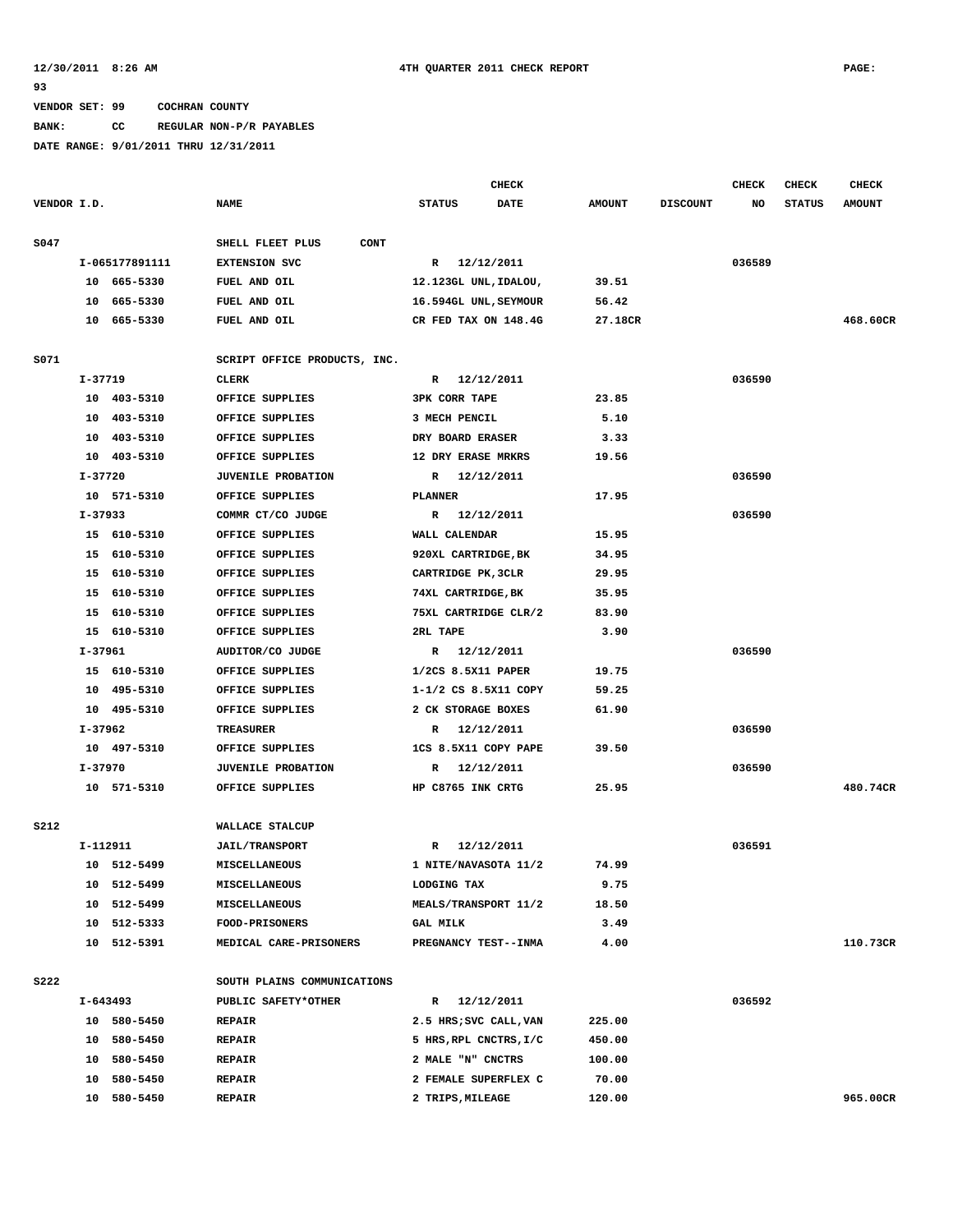#### **VENDOR SET: 99 COCHRAN COUNTY BANK: CC REGULAR NON-P/R PAYABLES**

|             |           |                |                                 | <b>CHECK</b>   |                          |               |                 | CHECK  | <b>CHECK</b>  | CHECK         |
|-------------|-----------|----------------|---------------------------------|----------------|--------------------------|---------------|-----------------|--------|---------------|---------------|
| VENDOR I.D. |           |                | <b>NAME</b>                     | <b>STATUS</b>  | <b>DATE</b>              | <b>AMOUNT</b> | <b>DISCOUNT</b> | NO     | <b>STATUS</b> | <b>AMOUNT</b> |
| S047        |           |                | SHELL FLEET PLUS<br><b>CONT</b> |                |                          |               |                 |        |               |               |
|             |           | I-065177891111 | <b>EXTENSION SVC</b>            |                | R 12/12/2011             |               |                 | 036589 |               |               |
|             |           | 10 665-5330    | FUEL AND OIL                    |                | 12.123GL UNL, IDALOU,    | 39.51         |                 |        |               |               |
|             |           | 10 665-5330    | FUEL AND OIL                    |                | 16.594GL UNL, SEYMOUR    | 56.42         |                 |        |               |               |
|             |           | 10 665-5330    | FUEL AND OIL                    |                | CR FED TAX ON 148.4G     | 27.18CR       |                 |        |               | 468.60CR      |
| S071        |           |                | SCRIPT OFFICE PRODUCTS, INC.    |                |                          |               |                 |        |               |               |
|             | I-37719   |                | CLERK                           |                | R 12/12/2011             |               |                 | 036590 |               |               |
|             |           | 10 403-5310    | OFFICE SUPPLIES                 |                | <b>3PK CORR TAPE</b>     | 23.85         |                 |        |               |               |
|             |           | 10 403-5310    | OFFICE SUPPLIES                 |                | 3 MECH PENCIL            | 5.10          |                 |        |               |               |
|             |           | 10 403-5310    | OFFICE SUPPLIES                 |                | DRY BOARD ERASER         | 3.33          |                 |        |               |               |
|             |           | 10 403-5310    | OFFICE SUPPLIES                 |                | 12 DRY ERASE MRKRS       | 19.56         |                 |        |               |               |
|             | I-37720   |                | <b>JUVENILE PROBATION</b>       |                | R 12/12/2011             |               |                 | 036590 |               |               |
|             |           | 10 571-5310    | OFFICE SUPPLIES                 | <b>PLANNER</b> |                          | 17.95         |                 |        |               |               |
|             | $I-37933$ |                | COMMR CT/CO JUDGE               |                | R 12/12/2011             |               |                 | 036590 |               |               |
|             |           | 15 610-5310    | OFFICE SUPPLIES                 |                | WALL CALENDAR            | 15.95         |                 |        |               |               |
|             |           | 15 610-5310    | OFFICE SUPPLIES                 |                | 920XL CARTRIDGE, BK      | 34.95         |                 |        |               |               |
|             |           | 15 610-5310    | OFFICE SUPPLIES                 |                | CARTRIDGE PK, 3CLR       | 29.95         |                 |        |               |               |
|             |           | 15 610-5310    | OFFICE SUPPLIES                 |                | 74XL CARTRIDGE, BK       | 35.95         |                 |        |               |               |
|             |           | 15 610-5310    | OFFICE SUPPLIES                 |                | 75XL CARTRIDGE CLR/2     | 83.90         |                 |        |               |               |
|             |           | 15 610-5310    | OFFICE SUPPLIES                 | 2RL TAPE       |                          | 3.90          |                 |        |               |               |
|             | I-37961   |                | AUDITOR/CO JUDGE                |                | R 12/12/2011             |               |                 | 036590 |               |               |
|             |           | 15 610-5310    | OFFICE SUPPLIES                 |                | $1/2CS$ 8.5X11 PAPER     | 19.75         |                 |        |               |               |
|             |           | 10 495-5310    | OFFICE SUPPLIES                 |                | $1 - 1/2$ CS 8.5X11 COPY | 59.25         |                 |        |               |               |
|             |           | 10 495-5310    | OFFICE SUPPLIES                 |                | 2 CK STORAGE BOXES       | 61.90         |                 |        |               |               |
|             | I-37962   |                | <b>TREASURER</b>                | R              | 12/12/2011               |               |                 | 036590 |               |               |
|             |           | 10 497-5310    | OFFICE SUPPLIES                 |                | 1CS 8.5X11 COPY PAPE     | 39.50         |                 |        |               |               |
|             | I-37970   |                | <b>JUVENILE PROBATION</b>       |                | R 12/12/2011             |               |                 | 036590 |               |               |
|             |           | 10 571-5310    | OFFICE SUPPLIES                 |                | HP C8765 INK CRTG        | 25.95         |                 |        |               | 480.74CR      |
| <b>S212</b> |           |                | WALLACE STALCUP                 |                |                          |               |                 |        |               |               |
|             | I-112911  |                | <b>JAIL/TRANSPORT</b>           |                | R 12/12/2011             |               |                 | 036591 |               |               |
|             |           | 10 512-5499    | <b>MISCELLANEOUS</b>            |                | 1 NITE/NAVASOTA 11/2     | 74.99         |                 |        |               |               |
|             |           | 10 512-5499    | MISCELLANEOUS                   | LODGING TAX    |                          | 9.75          |                 |        |               |               |
|             |           | 10 512-5499    | <b>MISCELLANEOUS</b>            |                | MEALS/TRANSPORT 11/2     | 18.50         |                 |        |               |               |
|             |           | 10 512-5333    | <b>FOOD-PRISONERS</b>           | GAL MILK       |                          | 3.49          |                 |        |               |               |
|             |           | 10 512-5391    | MEDICAL CARE-PRISONERS          |                | PREGNANCY TEST--INMA     | 4.00          |                 |        |               | 110.73CR      |
| <b>S222</b> |           |                | SOUTH PLAINS COMMUNICATIONS     |                |                          |               |                 |        |               |               |
|             | I-643493  |                | PUBLIC SAFETY*OTHER             |                | R 12/12/2011             |               |                 | 036592 |               |               |
|             |           | 10 580-5450    | <b>REPAIR</b>                   |                | 2.5 HRS; SVC CALL, VAN   | 225.00        |                 |        |               |               |
|             |           | 10 580-5450    | <b>REPAIR</b>                   |                | 5 HRS, RPL CNCTRS, I/C   | 450.00        |                 |        |               |               |
|             |           | 10 580-5450    | <b>REPAIR</b>                   |                | 2 MALE "N" CNCTRS        | 100.00        |                 |        |               |               |
|             |           | 10 580-5450    | <b>REPAIR</b>                   |                | 2 FEMALE SUPERFLEX C     | 70.00         |                 |        |               |               |
|             |           | 10 580-5450    | <b>REPAIR</b>                   |                | 2 TRIPS, MILEAGE         | 120.00        |                 |        |               | 965.00CR      |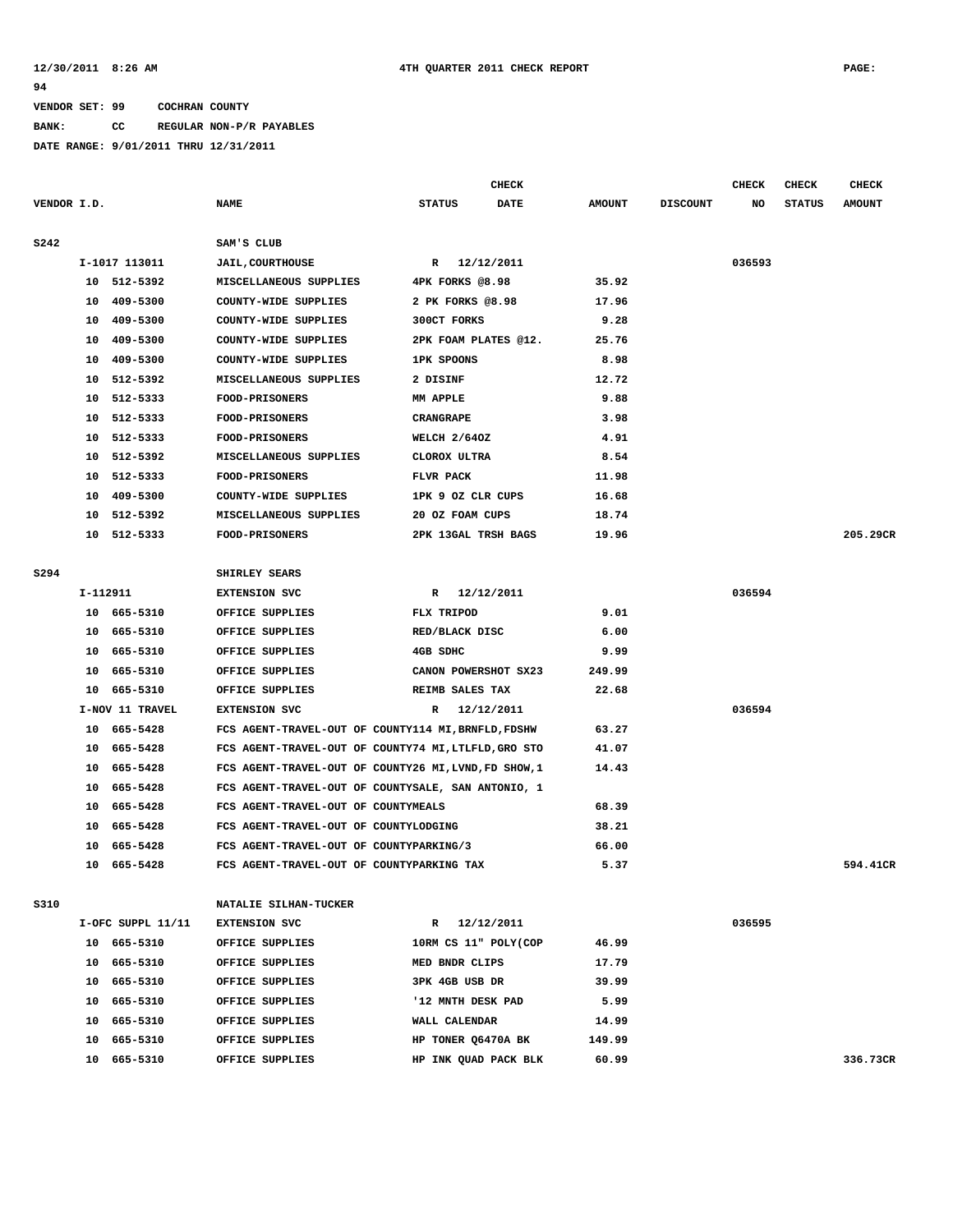#### **VENDOR SET: 99 COCHRAN COUNTY**

# **BANK: CC REGULAR NON-P/R PAYABLES**

|             |          |                   |                                                       |                      | <b>CHECK</b> |               |                 | <b>CHECK</b> | <b>CHECK</b>  | <b>CHECK</b>  |
|-------------|----------|-------------------|-------------------------------------------------------|----------------------|--------------|---------------|-----------------|--------------|---------------|---------------|
| VENDOR I.D. |          |                   | <b>NAME</b>                                           | <b>STATUS</b>        | <b>DATE</b>  | <b>AMOUNT</b> | <b>DISCOUNT</b> | NO           | <b>STATUS</b> | <b>AMOUNT</b> |
|             |          |                   |                                                       |                      |              |               |                 |              |               |               |
| <b>S242</b> |          |                   | SAM'S CLUB                                            |                      |              |               |                 |              |               |               |
|             |          | I-1017 113011     | <b>JAIL, COURTHOUSE</b>                               | $\mathbb{R}$         | 12/12/2011   |               |                 | 036593       |               |               |
|             |          | 10 512-5392       | MISCELLANEOUS SUPPLIES                                | 4PK FORKS @8.98      |              | 35.92         |                 |              |               |               |
|             | 10       | 409-5300          | COUNTY-WIDE SUPPLIES                                  | 2 PK FORKS @8.98     |              | 17.96         |                 |              |               |               |
|             | 10       | 409-5300          | COUNTY-WIDE SUPPLIES                                  | 300CT FORKS          |              | 9.28          |                 |              |               |               |
|             | 10       | 409-5300          | COUNTY-WIDE SUPPLIES                                  | 2PK FOAM PLATES @12. |              | 25.76         |                 |              |               |               |
|             | 10       | 409-5300          | COUNTY-WIDE SUPPLIES                                  | <b>1PK SPOONS</b>    |              | 8.98          |                 |              |               |               |
|             | 10       | 512-5392          | MISCELLANEOUS SUPPLIES                                | 2 DISINF             |              | 12.72         |                 |              |               |               |
|             | 10       | 512-5333          | <b>FOOD-PRISONERS</b>                                 | MM APPLE             |              | 9.88          |                 |              |               |               |
|             | 10       | 512-5333          | <b>FOOD-PRISONERS</b>                                 | CRANGRAPE            |              | 3.98          |                 |              |               |               |
|             | 10       | 512-5333          | <b>FOOD-PRISONERS</b>                                 | WELCH 2/640Z         |              | 4.91          |                 |              |               |               |
|             | 10       | 512-5392          | MISCELLANEOUS SUPPLIES                                | CLOROX ULTRA         |              | 8.54          |                 |              |               |               |
|             | 10       | 512-5333          | <b>FOOD-PRISONERS</b>                                 | FLVR PACK            |              | 11.98         |                 |              |               |               |
|             | 10       | 409-5300          | COUNTY-WIDE SUPPLIES                                  | 1PK 9 OZ CLR CUPS    |              | 16.68         |                 |              |               |               |
|             | 10       | 512-5392          | MISCELLANEOUS SUPPLIES                                | 20 OZ FOAM CUPS      |              | 18.74         |                 |              |               |               |
|             | 10       | 512-5333          | <b>FOOD-PRISONERS</b>                                 | 2PK 13GAL TRSH BAGS  |              | 19.96         |                 |              |               | 205.29CR      |
| S294        |          |                   | SHIRLEY SEARS                                         |                      |              |               |                 |              |               |               |
|             | I-112911 |                   | <b>EXTENSION SVC</b>                                  | R                    | 12/12/2011   |               |                 | 036594       |               |               |
|             |          | 10 665-5310       | OFFICE SUPPLIES                                       | FLX TRIPOD           |              | 9.01          |                 |              |               |               |
|             | 10       | 665-5310          | OFFICE SUPPLIES                                       | RED/BLACK DISC       |              | 6.00          |                 |              |               |               |
|             | 10       | 665-5310          | OFFICE SUPPLIES                                       | 4GB SDHC             |              | 9.99          |                 |              |               |               |
|             | 10       | 665-5310          | OFFICE SUPPLIES                                       | CANON POWERSHOT SX23 |              | 249.99        |                 |              |               |               |
|             |          | 10 665-5310       | OFFICE SUPPLIES                                       | REIMB SALES TAX      |              | 22.68         |                 |              |               |               |
|             |          | I-NOV 11 TRAVEL   | <b>EXTENSION SVC</b>                                  | R                    | 12/12/2011   |               |                 | 036594       |               |               |
|             |          | 10 665-5428       | FCS AGENT-TRAVEL-OUT OF COUNTY114 MI, BRNFLD, FDSHW   |                      |              | 63.27         |                 |              |               |               |
|             | 10       | 665–5428          | FCS AGENT-TRAVEL-OUT OF COUNTY74 MI, LTLFLD, GRO STO  |                      |              | 41.07         |                 |              |               |               |
|             | 10       | 665–5428          | FCS AGENT-TRAVEL-OUT OF COUNTY26 MI, LVND, FD SHOW, 1 |                      |              | 14.43         |                 |              |               |               |
|             |          | 10 665-5428       | FCS AGENT-TRAVEL-OUT OF COUNTYSALE, SAN ANTONIO, 1    |                      |              |               |                 |              |               |               |
|             |          | 10 665-5428       | FCS AGENT-TRAVEL-OUT OF COUNTYMEALS                   |                      |              | 68.39         |                 |              |               |               |
|             | 10       | 665–5428          | FCS AGENT-TRAVEL-OUT OF COUNTYLODGING                 |                      |              | 38.21         |                 |              |               |               |
|             | 10       | 665-5428          | FCS AGENT-TRAVEL-OUT OF COUNTYPARKING/3               |                      |              | 66.00         |                 |              |               |               |
|             |          | 10 665-5428       | FCS AGENT-TRAVEL-OUT OF COUNTYPARKING TAX             |                      |              | 5.37          |                 |              |               | 594.41CR      |
| S310        |          |                   | NATALIE SILHAN-TUCKER                                 |                      |              |               |                 |              |               |               |
|             |          | I-OFC SUPPL 11/11 | <b>EXTENSION SVC</b>                                  | $\mathbb{R}$         | 12/12/2011   |               |                 | 036595       |               |               |
|             |          | 10 665-5310       | OFFICE SUPPLIES                                       | 10RM CS 11" POLY(COP |              | 46.99         |                 |              |               |               |
|             |          | 10 665-5310       | OFFICE SUPPLIES                                       | MED BNDR CLIPS       |              | 17.79         |                 |              |               |               |
|             |          | 10 665-5310       | OFFICE SUPPLIES                                       | 3PK 4GB USB DR       |              | 39.99         |                 |              |               |               |
|             | 10       | 665-5310          | OFFICE SUPPLIES                                       | '12 MNTH DESK PAD    |              | 5.99          |                 |              |               |               |
|             |          | 10 665-5310       | OFFICE SUPPLIES                                       | WALL CALENDAR        |              | 14.99         |                 |              |               |               |
|             |          | 10 665-5310       | OFFICE SUPPLIES                                       | HP TONER Q6470A BK   |              | 149.99        |                 |              |               |               |
|             |          | 10 665-5310       | OFFICE SUPPLIES                                       | HP INK QUAD PACK BLK |              | 60.99         |                 |              |               | 336.73CR      |
|             |          |                   |                                                       |                      |              |               |                 |              |               |               |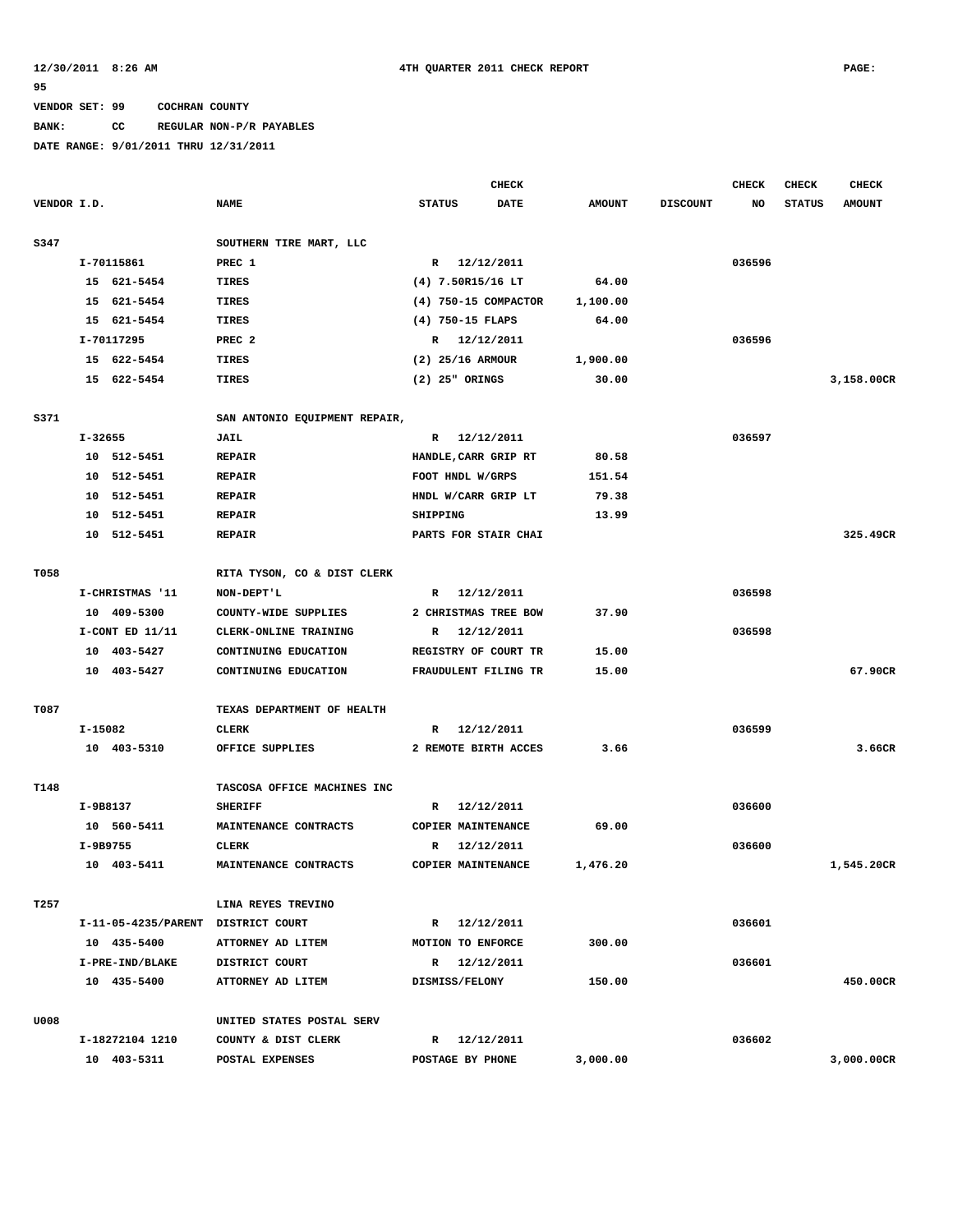#### **VENDOR SET: 99 COCHRAN COUNTY**

# **BANK: CC REGULAR NON-P/R PAYABLES**

|             |                                    |                               |                                           | <b>CHECK</b> |                   |                 | CHECK  | <b>CHECK</b>  | <b>CHECK</b>  |
|-------------|------------------------------------|-------------------------------|-------------------------------------------|--------------|-------------------|-----------------|--------|---------------|---------------|
| VENDOR I.D. |                                    | <b>NAME</b>                   | <b>STATUS</b>                             | DATE         | <b>AMOUNT</b>     | <b>DISCOUNT</b> | NO     | <b>STATUS</b> | <b>AMOUNT</b> |
|             |                                    |                               |                                           |              |                   |                 |        |               |               |
| S347        |                                    | SOUTHERN TIRE MART, LLC       |                                           |              |                   |                 | 036596 |               |               |
|             | I-70115861                         | PREC 1                        | R 12/12/2011                              |              |                   |                 |        |               |               |
|             | 15 621-5454<br>15 621-5454         | TIRES<br>TIRES                | (4) 7.50R15/16 LT<br>(4) 750-15 COMPACTOR |              | 64.00<br>1,100.00 |                 |        |               |               |
|             | 15 621-5454                        | TIRES                         | $(4)$ 750-15 FLAPS                        |              | 64.00             |                 |        |               |               |
|             | I-70117295                         | PREC <sub>2</sub>             | R 12/12/2011                              |              |                   |                 | 036596 |               |               |
|             | 15 622-5454                        | TIRES                         | (2) 25/16 ARMOUR                          |              | 1,900.00          |                 |        |               |               |
|             | 15 622-5454                        | TIRES                         | $(2)$ 25" ORINGS                          |              | 30.00             |                 |        |               | 3,158.00CR    |
|             |                                    |                               |                                           |              |                   |                 |        |               |               |
| S371        |                                    | SAN ANTONIO EQUIPMENT REPAIR, |                                           |              |                   |                 |        |               |               |
|             | I-32655                            | JAIL                          | R                                         | 12/12/2011   |                   |                 | 036597 |               |               |
|             | 10 512-5451                        | <b>REPAIR</b>                 | HANDLE, CARR GRIP RT                      |              | 80.58             |                 |        |               |               |
|             | 10 512-5451                        | <b>REPAIR</b>                 | FOOT HNDL W/GRPS                          |              | 151.54            |                 |        |               |               |
|             | 512-5451<br>10                     | <b>REPAIR</b>                 | HNDL W/CARR GRIP LT                       |              | 79.38             |                 |        |               |               |
|             | 512-5451<br>10                     | <b>REPAIR</b>                 | SHIPPING                                  |              | 13.99             |                 |        |               |               |
|             | 10 512-5451                        | <b>REPAIR</b>                 | PARTS FOR STAIR CHAI                      |              |                   |                 |        |               | 325.49CR      |
|             |                                    |                               |                                           |              |                   |                 |        |               |               |
| T058        |                                    | RITA TYSON, CO & DIST CLERK   |                                           |              |                   |                 |        |               |               |
|             | I-CHRISTMAS '11                    | NON-DEPT'L                    | $\mathbb{R}$                              | 12/12/2011   |                   |                 | 036598 |               |               |
|             | 10 409-5300                        | COUNTY-WIDE SUPPLIES          | 2 CHRISTMAS TREE BOW                      |              | 37.90             |                 |        |               |               |
|             | I-CONT ED 11/11                    | CLERK-ONLINE TRAINING         | R                                         | 12/12/2011   |                   |                 | 036598 |               |               |
|             | 10 403-5427                        | CONTINUING EDUCATION          | REGISTRY OF COURT TR                      |              | 15.00             |                 |        |               |               |
|             | 10 403-5427                        | CONTINUING EDUCATION          | FRAUDULENT FILING TR                      |              | 15.00             |                 |        |               | 67.90CR       |
|             |                                    | TEXAS DEPARTMENT OF HEALTH    |                                           |              |                   |                 |        |               |               |
| T087        | I-15082                            | CLERK                         | R                                         | 12/12/2011   |                   |                 | 036599 |               |               |
|             | 10 403-5310                        | OFFICE SUPPLIES               | 2 REMOTE BIRTH ACCES                      |              | 3.66              |                 |        |               | 3.66CR        |
|             |                                    |                               |                                           |              |                   |                 |        |               |               |
| T148        |                                    | TASCOSA OFFICE MACHINES INC   |                                           |              |                   |                 |        |               |               |
|             | I-9B8137                           | <b>SHERIFF</b>                | $\mathbb{R}$                              | 12/12/2011   |                   |                 | 036600 |               |               |
|             | 10 560-5411                        | MAINTENANCE CONTRACTS         | COPIER MAINTENANCE                        |              | 69.00             |                 |        |               |               |
|             | I-9B9755                           | <b>CLERK</b>                  | R                                         | 12/12/2011   |                   |                 | 036600 |               |               |
|             | 10 403-5411                        | MAINTENANCE CONTRACTS         | COPIER MAINTENANCE                        |              | 1,476.20          |                 |        |               | 1,545.20CR    |
|             |                                    |                               |                                           |              |                   |                 |        |               |               |
| T257        |                                    | LINA REYES TREVINO            |                                           |              |                   |                 |        |               |               |
|             | I-11-05-4235/PARENT DISTRICT COURT |                               | R 12/12/2011                              |              |                   |                 | 036601 |               |               |
|             | 10 435-5400                        | ATTORNEY AD LITEM             | MOTION TO ENFORCE                         |              | 300.00            |                 |        |               |               |
|             | I-PRE-IND/BLAKE                    | DISTRICT COURT                | R                                         | 12/12/2011   |                   |                 | 036601 |               |               |
|             | 10 435-5400                        | ATTORNEY AD LITEM             | DISMISS/FELONY                            |              | 150.00            |                 |        |               | 450.00CR      |
|             |                                    |                               |                                           |              |                   |                 |        |               |               |
| U008        |                                    | UNITED STATES POSTAL SERV     |                                           |              |                   |                 |        |               |               |
|             | I-18272104 1210                    | COUNTY & DIST CLERK           | R 12/12/2011                              |              |                   |                 | 036602 |               |               |
|             | 10 403-5311                        | POSTAL EXPENSES               | POSTAGE BY PHONE                          |              | 3,000.00          |                 |        |               | 3,000.00CR    |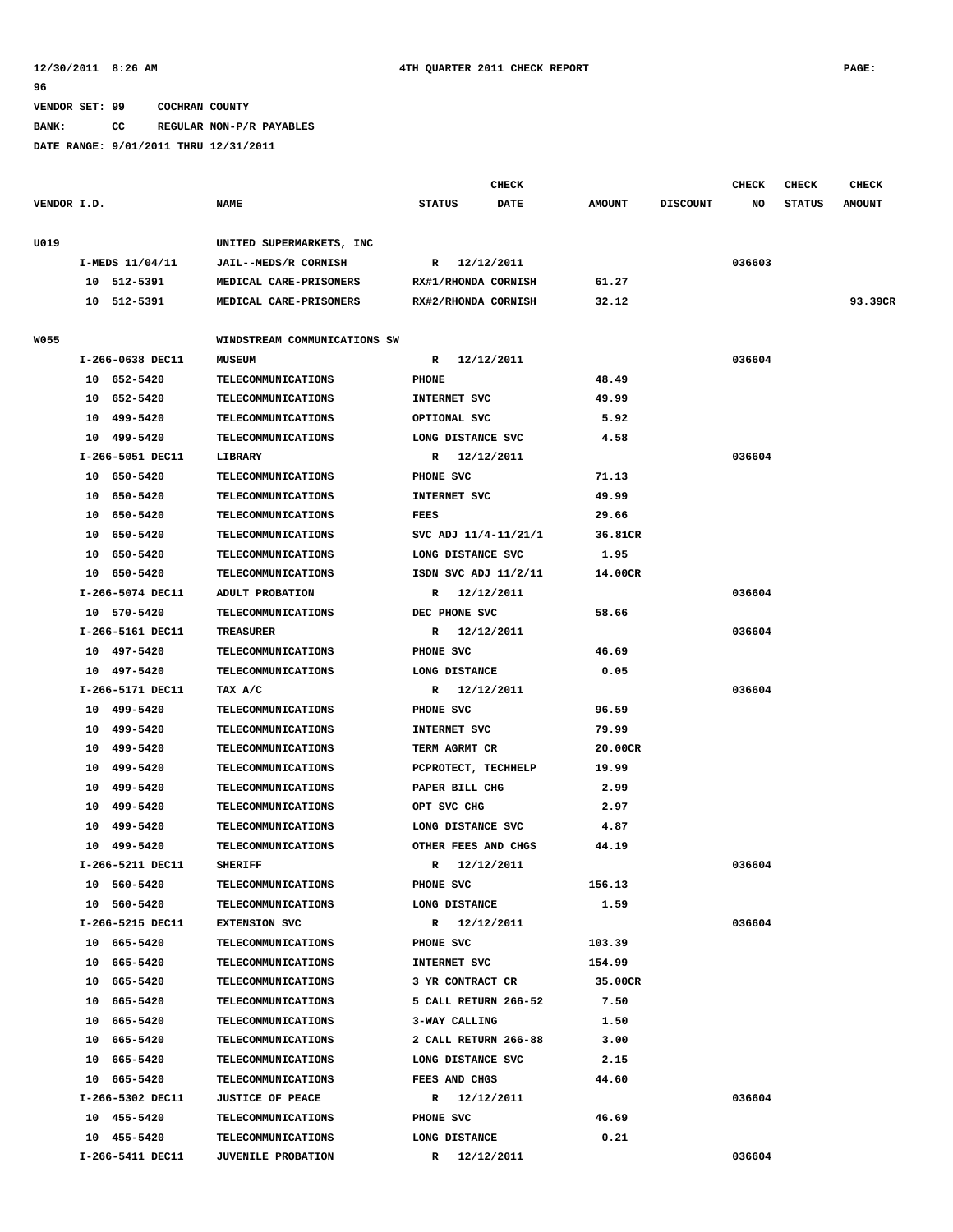## **VENDOR SET: 99 COCHRAN COUNTY**

**BANK: CC REGULAR NON-P/R PAYABLES**

|             |                  |                              |                      | <b>CHECK</b> |               |                 | <b>CHECK</b> | <b>CHECK</b>  | <b>CHECK</b>  |
|-------------|------------------|------------------------------|----------------------|--------------|---------------|-----------------|--------------|---------------|---------------|
| VENDOR I.D. |                  | <b>NAME</b>                  | <b>STATUS</b>        | DATE         | <b>AMOUNT</b> | <b>DISCOUNT</b> | NO           | <b>STATUS</b> | <b>AMOUNT</b> |
| U019        |                  | UNITED SUPERMARKETS, INC     |                      |              |               |                 |              |               |               |
|             | I-MEDS 11/04/11  | JAIL--MEDS/R CORNISH         | R 12/12/2011         |              |               |                 | 036603       |               |               |
|             | 10 512-5391      | MEDICAL CARE-PRISONERS       | RX#1/RHONDA CORNISH  |              | 61.27         |                 |              |               |               |
|             | 10 512-5391      | MEDICAL CARE-PRISONERS       | RX#2/RHONDA CORNISH  |              | 32.12         |                 |              |               | 93.39CR       |
|             |                  |                              |                      |              |               |                 |              |               |               |
| W055        |                  | WINDSTREAM COMMUNICATIONS SW |                      |              |               |                 |              |               |               |
|             | I-266-0638 DEC11 | <b>MUSEUM</b>                | R                    | 12/12/2011   |               |                 | 036604       |               |               |
|             | 10 652-5420      | <b>TELECOMMUNICATIONS</b>    | <b>PHONE</b>         |              | 48.49         |                 |              |               |               |
|             | 652-5420<br>10   | <b>TELECOMMUNICATIONS</b>    | INTERNET SVC         |              | 49.99         |                 |              |               |               |
|             | 499-5420<br>10   | TELECOMMUNICATIONS           | OPTIONAL SVC         |              | 5.92          |                 |              |               |               |
|             | 10<br>499-5420   | <b>TELECOMMUNICATIONS</b>    | LONG DISTANCE SVC    |              | 4.58          |                 |              |               |               |
|             | I-266-5051 DEC11 | LIBRARY                      | R                    | 12/12/2011   |               |                 | 036604       |               |               |
|             | 10 650-5420      | TELECOMMUNICATIONS           | PHONE SVC            |              | 71.13         |                 |              |               |               |
|             | 10<br>650-5420   | <b>TELECOMMUNICATIONS</b>    | INTERNET SVC         |              | 49.99         |                 |              |               |               |
|             | 650-5420<br>10   | <b>TELECOMMUNICATIONS</b>    | FEES                 |              | 29.66         |                 |              |               |               |
|             | 650-5420<br>10   | <b>TELECOMMUNICATIONS</b>    | SVC ADJ 11/4-11/21/1 |              | 36.81CR       |                 |              |               |               |
|             | 10<br>650-5420   | <b>TELECOMMUNICATIONS</b>    | LONG DISTANCE SVC    |              | 1.95          |                 |              |               |               |
|             | 10 650-5420      | <b>TELECOMMUNICATIONS</b>    | ISDN SVC ADJ 11/2/11 |              | 14.00CR       |                 |              |               |               |
|             | I-266-5074 DEC11 | ADULT PROBATION              | R                    | 12/12/2011   |               |                 | 036604       |               |               |
|             | 10 570-5420      | <b>TELECOMMUNICATIONS</b>    | DEC PHONE SVC        |              | 58.66         |                 |              |               |               |
|             | I-266-5161 DEC11 | <b>TREASURER</b>             | R                    | 12/12/2011   |               |                 | 036604       |               |               |
|             | 10 497-5420      | <b>TELECOMMUNICATIONS</b>    | PHONE SVC            |              | 46.69         |                 |              |               |               |
|             | 10 497-5420      | <b>TELECOMMUNICATIONS</b>    | LONG DISTANCE        |              | 0.05          |                 |              |               |               |
|             | I-266-5171 DEC11 | TAX A/C                      | R                    | 12/12/2011   |               |                 | 036604       |               |               |
|             | 10 499-5420      | TELECOMMUNICATIONS           | PHONE SVC            |              | 96.59         |                 |              |               |               |
|             | 10<br>499-5420   | <b>TELECOMMUNICATIONS</b>    | INTERNET SVC         |              | 79.99         |                 |              |               |               |
|             | 499-5420<br>10   | <b>TELECOMMUNICATIONS</b>    | TERM AGRMT CR        |              | 20.00CR       |                 |              |               |               |
|             | 499-5420<br>10   | TELECOMMUNICATIONS           | PCPROTECT, TECHHELP  |              | 19.99         |                 |              |               |               |
|             | 499-5420<br>10   | <b>TELECOMMUNICATIONS</b>    | PAPER BILL CHG       |              | 2.99          |                 |              |               |               |
|             | 499-5420<br>10   | <b>TELECOMMUNICATIONS</b>    | OPT SVC CHG          |              | 2.97          |                 |              |               |               |
|             | 499-5420<br>10   | TELECOMMUNICATIONS           | LONG DISTANCE SVC    |              | 4.87          |                 |              |               |               |
|             | 10 499-5420      | <b>TELECOMMUNICATIONS</b>    | OTHER FEES AND CHGS  |              | 44.19         |                 |              |               |               |
|             | I-266-5211 DEC11 | <b>SHERIFF</b>               | R                    | 12/12/2011   |               |                 | 036604       |               |               |
|             | 10 560-5420      | <b>TELECOMMUNICATIONS</b>    | PHONE SVC            |              | 156.13        |                 |              |               |               |
|             | 10 560-5420      | <b>TELECOMMUNICATIONS</b>    | LONG DISTANCE        |              | 1.59          |                 |              |               |               |
|             | I-266-5215 DEC11 | EXTENSION SVC                | R 12/12/2011         |              |               |                 | 036604       |               |               |
|             | 10 665-5420      | <b>TELECOMMUNICATIONS</b>    | PHONE SVC            |              | 103.39        |                 |              |               |               |
|             | 10 665-5420      | <b>TELECOMMUNICATIONS</b>    | INTERNET SVC         |              | 154.99        |                 |              |               |               |
|             | 10 665-5420      | <b>TELECOMMUNICATIONS</b>    | 3 YR CONTRACT CR     |              | 35.00CR       |                 |              |               |               |
|             | 10 665-5420      | <b>TELECOMMUNICATIONS</b>    | 5 CALL RETURN 266-52 |              | 7.50          |                 |              |               |               |
|             | 10 665-5420      | <b>TELECOMMUNICATIONS</b>    | 3-WAY CALLING        |              | 1.50          |                 |              |               |               |
|             | 10 665-5420      | <b>TELECOMMUNICATIONS</b>    | 2 CALL RETURN 266-88 |              | 3.00          |                 |              |               |               |
|             | 10 665-5420      | <b>TELECOMMUNICATIONS</b>    | LONG DISTANCE SVC    |              | 2.15          |                 |              |               |               |
|             | 10 665-5420      | <b>TELECOMMUNICATIONS</b>    | FEES AND CHGS        |              | 44.60         |                 |              |               |               |
|             | I-266-5302 DEC11 | <b>JUSTICE OF PEACE</b>      | R 12/12/2011         |              |               |                 | 036604       |               |               |
|             | 10 455-5420      | <b>TELECOMMUNICATIONS</b>    | PHONE SVC            |              | 46.69         |                 |              |               |               |
|             | 10 455-5420      | <b>TELECOMMUNICATIONS</b>    | LONG DISTANCE        |              | 0.21          |                 |              |               |               |
|             | I-266-5411 DEC11 | <b>JUVENILE PROBATION</b>    | $\mathbb{R}$         | 12/12/2011   |               |                 | 036604       |               |               |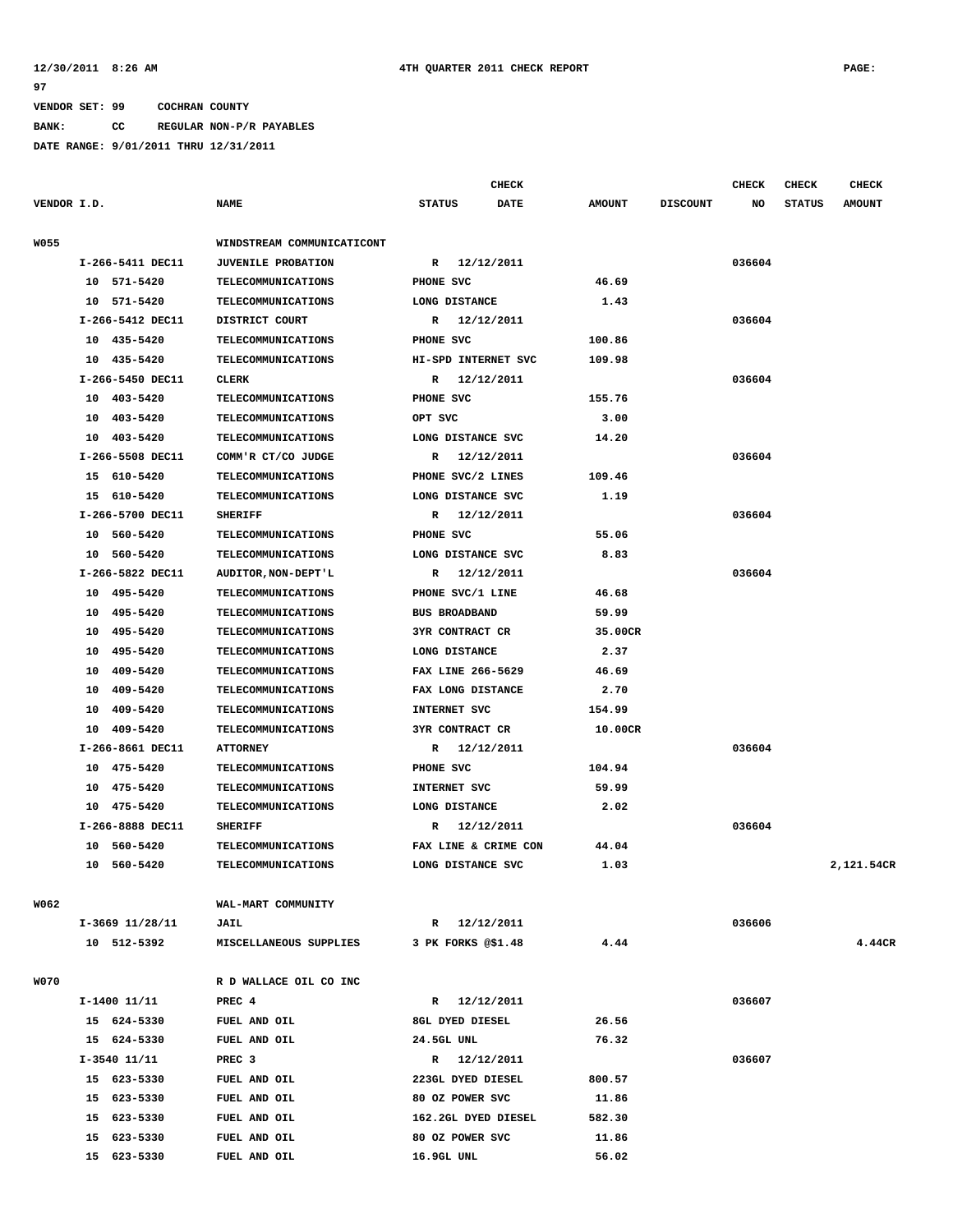## **VENDOR SET: 99 COCHRAN COUNTY BANK: CC REGULAR NON-P/R PAYABLES**

|             |                     |                                   | <b>CHECK</b>           |               |                 | <b>CHECK</b> | <b>CHECK</b>  | <b>CHECK</b>  |
|-------------|---------------------|-----------------------------------|------------------------|---------------|-----------------|--------------|---------------|---------------|
| VENDOR I.D. |                     | <b>NAME</b>                       | DATE<br><b>STATUS</b>  | <b>AMOUNT</b> | <b>DISCOUNT</b> | NO           | <b>STATUS</b> | <b>AMOUNT</b> |
| <b>W055</b> |                     | WINDSTREAM COMMUNICATICONT        |                        |               |                 |              |               |               |
|             | I-266-5411 DEC11    | <b>JUVENILE PROBATION</b>         | R 12/12/2011           |               |                 | 036604       |               |               |
|             | 10 571-5420         | <b>TELECOMMUNICATIONS</b>         | PHONE SVC              | 46.69         |                 |              |               |               |
|             | 10 571-5420         | TELECOMMUNICATIONS                | LONG DISTANCE          | 1.43          |                 |              |               |               |
|             | I-266-5412 DEC11    | DISTRICT COURT                    | R<br>12/12/2011        |               |                 | 036604       |               |               |
|             | 10 435-5420         | <b>TELECOMMUNICATIONS</b>         | PHONE SVC              | 100.86        |                 |              |               |               |
|             | 10 435-5420         | <b>TELECOMMUNICATIONS</b>         | HI-SPD INTERNET SVC    | 109.98        |                 |              |               |               |
|             | I-266-5450 DEC11    | CLERK                             | R<br>12/12/2011        |               |                 | 036604       |               |               |
|             | 10 403-5420         | <b>TELECOMMUNICATIONS</b>         | PHONE SVC              | 155.76        |                 |              |               |               |
|             | 403-5420<br>10      | <b>TELECOMMUNICATIONS</b>         | OPT SVC                | 3.00          |                 |              |               |               |
|             | 10 403-5420         | <b>TELECOMMUNICATIONS</b>         | LONG DISTANCE SVC      | 14.20         |                 |              |               |               |
|             | I-266-5508 DEC11    | COMM'R CT/CO JUDGE                | R<br>12/12/2011        |               |                 | 036604       |               |               |
|             | 15 610-5420         |                                   |                        |               |                 |              |               |               |
|             |                     | <b>TELECOMMUNICATIONS</b>         | PHONE SVC/2 LINES      | 109.46        |                 |              |               |               |
|             | 15 610-5420         | <b>TELECOMMUNICATIONS</b>         | LONG DISTANCE SVC      | 1.19          |                 |              |               |               |
|             | I-266-5700 DEC11    | <b>SHERIFF</b>                    | 12/12/2011<br>R        |               |                 | 036604       |               |               |
|             | 10 560-5420         | <b>TELECOMMUNICATIONS</b>         | PHONE SVC              | 55.06         |                 |              |               |               |
|             | 10 560-5420         | <b>TELECOMMUNICATIONS</b>         | LONG DISTANCE SVC      | 8.83          |                 |              |               |               |
|             | I-266-5822 DEC11    | AUDITOR, NON-DEPT'L               | R 12/12/2011           |               |                 | 036604       |               |               |
|             | 10<br>495–5420      | <b>TELECOMMUNICATIONS</b>         | PHONE SVC/1 LINE       | 46.68         |                 |              |               |               |
|             | 10<br>495-5420      | <b>TELECOMMUNICATIONS</b>         | <b>BUS BROADBAND</b>   | 59.99         |                 |              |               |               |
|             | 495-5420<br>10      | <b>TELECOMMUNICATIONS</b>         | <b>3YR CONTRACT CR</b> | 35.00CR       |                 |              |               |               |
|             | 495-5420<br>10      | <b>TELECOMMUNICATIONS</b>         | LONG DISTANCE          | 2.37          |                 |              |               |               |
|             | 10<br>409-5420      | <b>TELECOMMUNICATIONS</b>         | FAX LINE 266-5629      | 46.69         |                 |              |               |               |
|             | 409-5420<br>10      | <b>TELECOMMUNICATIONS</b>         | FAX LONG DISTANCE      | 2.70          |                 |              |               |               |
|             | 409-5420<br>10      | TELECOMMUNICATIONS                | INTERNET SVC           | 154.99        |                 |              |               |               |
|             | 10<br>409-5420      | <b>TELECOMMUNICATIONS</b>         | <b>3YR CONTRACT CR</b> | 10.00CR       |                 |              |               |               |
|             | I-266-8661 DEC11    | <b>ATTORNEY</b>                   | 12/12/2011<br>R        |               |                 | 036604       |               |               |
|             | 10 475-5420         | <b>TELECOMMUNICATIONS</b>         | PHONE SVC              | 104.94        |                 |              |               |               |
|             | 10<br>475-5420      | <b>TELECOMMUNICATIONS</b>         | INTERNET SVC           | 59.99         |                 |              |               |               |
|             | 10 475-5420         | <b>TELECOMMUNICATIONS</b>         | LONG DISTANCE          | 2.02          |                 |              |               |               |
|             | I-266-8888 DEC11    | <b>SHERIFF</b>                    | 12/12/2011<br>R        |               |                 | 036604       |               |               |
|             | 10<br>560-5420      | <b>TELECOMMUNICATIONS</b>         | FAX LINE & CRIME CON   | 44.04         |                 |              |               |               |
|             | 10 560-5420         | <b>TELECOMMUNICATIONS</b>         | LONG DISTANCE SVC      | 1.03          |                 |              |               | 2,121.54CR    |
|             |                     |                                   |                        |               |                 |              |               |               |
| W062        | $I-3669$ $11/28/11$ | WAL-MART COMMUNITY<br><b>JAIL</b> | R 12/12/2011           |               |                 | 036606       |               |               |
|             | 10 512-5392         | MISCELLANEOUS SUPPLIES            | 3 PK FORKS @\$1.48     | 4.44          |                 |              |               | 4.44CR        |
|             |                     |                                   |                        |               |                 |              |               |               |
| <b>W070</b> |                     | R D WALLACE OIL CO INC            |                        |               |                 |              |               |               |
|             | $I-1400$ $11/11$    | PREC 4                            | R 12/12/2011           |               |                 | 036607       |               |               |
|             | 15 624-5330         | FUEL AND OIL                      | 8GL DYED DIESEL        | 26.56         |                 |              |               |               |
|             | 15 624-5330         | FUEL AND OIL                      | 24.5GL UNL             | 76.32         |                 |              |               |               |
|             | I-3540 11/11        | PREC <sub>3</sub>                 | R 12/12/2011           |               |                 | 036607       |               |               |
|             | 15 623-5330         | FUEL AND OIL                      | 223GL DYED DIESEL      | 800.57        |                 |              |               |               |
|             | 15 623-5330         | FUEL AND OIL                      | 80 OZ POWER SVC        | 11.86         |                 |              |               |               |
|             | 15 623-5330         | FUEL AND OIL                      | 162.2GL DYED DIESEL    | 582.30        |                 |              |               |               |
|             | 15 623-5330         | FUEL AND OIL                      | 80 OZ POWER SVC        | 11.86         |                 |              |               |               |
|             | 15 623-5330         | FUEL AND OIL                      | 16.9GL UNL             | 56.02         |                 |              |               |               |
|             |                     |                                   |                        |               |                 |              |               |               |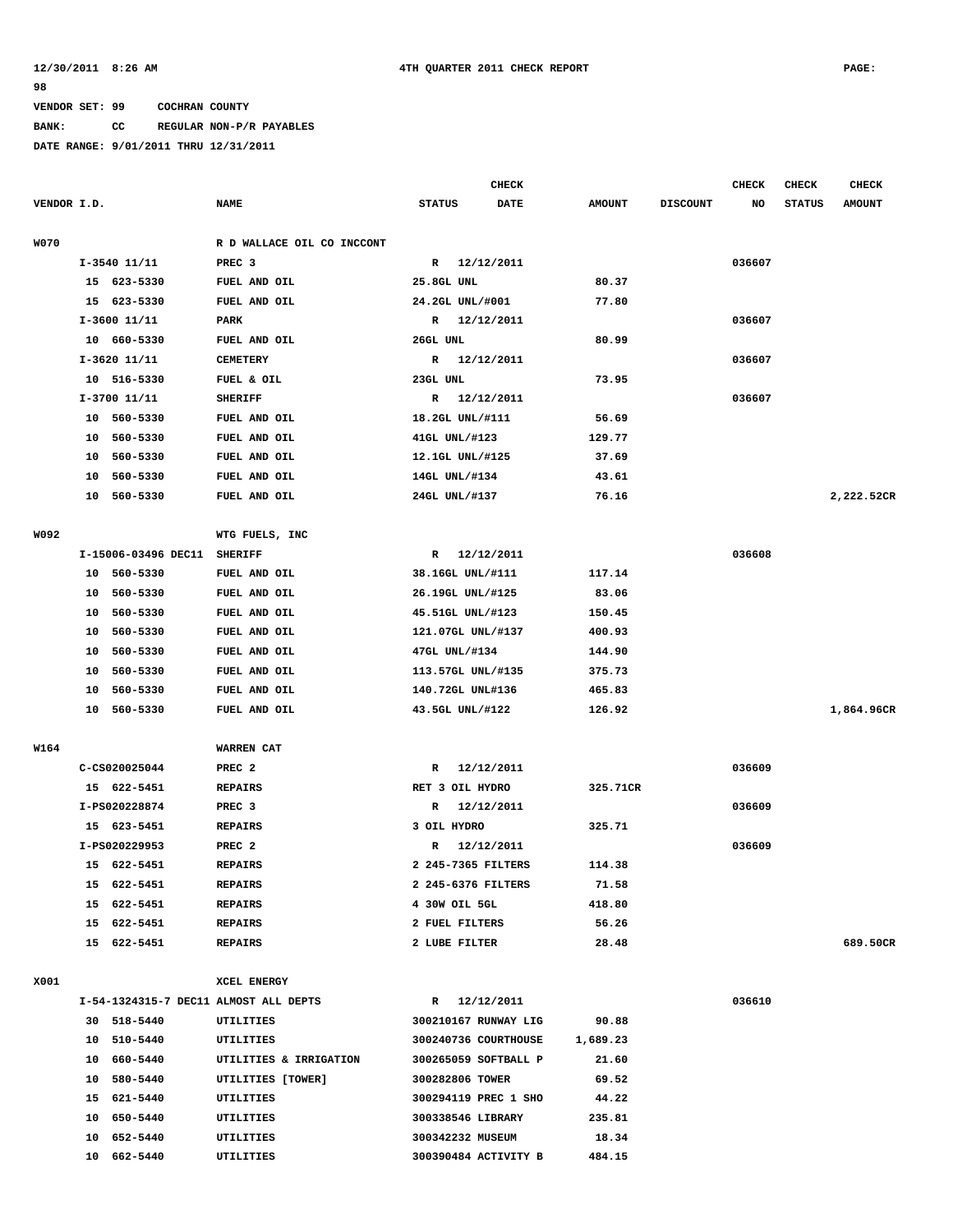## **VENDOR SET: 99 COCHRAN COUNTY**

# **BANK: CC REGULAR NON-P/R PAYABLES**

|             |    |                     |                                       |                    |              | <b>CHECK</b>         |               |                 | CHECK  | <b>CHECK</b>  | <b>CHECK</b>  |
|-------------|----|---------------------|---------------------------------------|--------------------|--------------|----------------------|---------------|-----------------|--------|---------------|---------------|
| VENDOR I.D. |    |                     | <b>NAME</b>                           | <b>STATUS</b>      |              | <b>DATE</b>          | <b>AMOUNT</b> | <b>DISCOUNT</b> | NO     | <b>STATUS</b> | <b>AMOUNT</b> |
|             |    |                     |                                       |                    |              |                      |               |                 |        |               |               |
| W070        |    |                     | R D WALLACE OIL CO INCCONT            |                    |              |                      |               |                 |        |               |               |
|             |    | $I-3540$ 11/11      | PREC <sub>3</sub>                     | R                  | 12/12/2011   |                      |               |                 | 036607 |               |               |
|             |    | 15 623-5330         | FUEL AND OIL                          | 25.8GL UNL         |              |                      | 80.37         |                 |        |               |               |
|             |    | 15 623-5330         | FUEL AND OIL                          | 24.2GL UNL/#001    |              |                      | 77.80         |                 |        |               |               |
|             |    | $I-3600$ 11/11      | PARK                                  |                    | R 12/12/2011 |                      |               |                 | 036607 |               |               |
|             |    | 10 660-5330         | FUEL AND OIL                          | 26GL UNL           |              |                      | 80.99         |                 |        |               |               |
|             |    | I-3620 11/11        | <b>CEMETERY</b>                       |                    | R 12/12/2011 |                      |               |                 | 036607 |               |               |
|             |    | 10 516-5330         | FUEL & OIL                            | 23GL UNL           |              |                      | 73.95         |                 |        |               |               |
|             |    | I-3700 11/11        | <b>SHERIFF</b>                        |                    | R 12/12/2011 |                      |               |                 | 036607 |               |               |
|             |    | 10 560-5330         | FUEL AND OIL                          | 18.2GL UNL/#111    |              |                      | 56.69         |                 |        |               |               |
|             |    | 10 560-5330         | FUEL AND OIL                          | 41GL UNL/#123      |              |                      | 129.77        |                 |        |               |               |
|             |    | 10 560-5330         | FUEL AND OIL                          | 12.1GL UNL/#125    |              |                      | 37.69         |                 |        |               |               |
|             | 10 | 560-5330            | FUEL AND OIL                          | 14GL UNL/#134      |              |                      | 43.61         |                 |        |               |               |
|             |    | 10 560-5330         | FUEL AND OIL                          | 24GL UNL/#137      |              |                      | 76.16         |                 |        |               | 2,222.52CR    |
|             |    |                     |                                       |                    |              |                      |               |                 |        |               |               |
| W092        |    |                     | WTG FUELS, INC                        |                    |              |                      |               |                 |        |               |               |
|             |    | I-15006-03496 DEC11 | <b>SHERIFF</b>                        | $\mathbb{R}$       | 12/12/2011   |                      |               |                 | 036608 |               |               |
|             |    | 10 560-5330         | FUEL AND OIL                          | 38.16GL UNL/#111   |              |                      | 117.14        |                 |        |               |               |
|             | 10 | 560-5330            | FUEL AND OIL                          | 26.19GL UNL/#125   |              |                      | 83.06         |                 |        |               |               |
|             | 10 | 560-5330            | FUEL AND OIL                          | 45.51GL UNL/#123   |              |                      | 150.45        |                 |        |               |               |
|             | 10 | 560-5330            | FUEL AND OIL                          | 121.07GL UNL/#137  |              |                      | 400.93        |                 |        |               |               |
|             | 10 | 560-5330            | FUEL AND OIL                          | 47GL UNL/#134      |              |                      | 144.90        |                 |        |               |               |
|             | 10 | 560-5330            | FUEL AND OIL                          | 113.57GL UNL/#135  |              |                      | 375.73        |                 |        |               |               |
|             | 10 | 560-5330            | FUEL AND OIL                          | 140.72GL UNL#136   |              |                      | 465.83        |                 |        |               |               |
|             |    | 10 560-5330         | FUEL AND OIL                          | 43.5GL UNL/#122    |              |                      | 126.92        |                 |        |               | 1,864.96CR    |
| W164        |    |                     | WARREN CAT                            |                    |              |                      |               |                 |        |               |               |
|             |    | C-CS020025044       | PREC <sub>2</sub>                     | R                  | 12/12/2011   |                      |               |                 | 036609 |               |               |
|             |    | 15 622-5451         | <b>REPAIRS</b>                        | RET 3 OIL HYDRO    |              |                      | 325.71CR      |                 |        |               |               |
|             |    | I-PS020228874       | PREC <sub>3</sub>                     | R                  | 12/12/2011   |                      |               |                 | 036609 |               |               |
|             |    | 15 623-5451         | <b>REPAIRS</b>                        | 3 OIL HYDRO        |              |                      | 325.71        |                 |        |               |               |
|             |    | I-PS020229953       | PREC <sub>2</sub>                     | R                  | 12/12/2011   |                      |               |                 | 036609 |               |               |
|             |    | 15 622-5451         | <b>REPAIRS</b>                        | 2 245-7365 FILTERS |              |                      | 114.38        |                 |        |               |               |
|             |    | 15 622-5451         | REPAIRS                               | 2 245-6376 FILTERS |              |                      | 71.58         |                 |        |               |               |
|             |    | 15 622-5451         | REPAIRS                               | 4 30W OIL 5GL      |              |                      | 418.80        |                 |        |               |               |
|             |    | 15 622-5451         | REPAIRS                               | 2 FUEL FILTERS     |              |                      | 56.26         |                 |        |               |               |
|             |    | 15 622-5451         | REPAIRS                               | 2 LUBE FILTER      |              |                      | 28.48         |                 |        |               | 689.50CR      |
|             |    |                     |                                       |                    |              |                      |               |                 |        |               |               |
| X001        |    |                     | XCEL ENERGY                           |                    |              |                      |               |                 |        |               |               |
|             |    |                     | I-54-1324315-7 DEC11 ALMOST ALL DEPTS |                    | R 12/12/2011 |                      |               |                 | 036610 |               |               |
|             |    | 30 518-5440         | UTILITIES                             |                    |              | 300210167 RUNWAY LIG | 90.88         |                 |        |               |               |
|             |    | 10 510-5440         | UTILITIES                             |                    |              | 300240736 COURTHOUSE | 1,689.23      |                 |        |               |               |
|             |    | 10 660-5440         | UTILITIES & IRRIGATION                |                    |              | 300265059 SOFTBALL P | 21.60         |                 |        |               |               |
|             |    | 10 580-5440         | UTILITIES [TOWER]                     | 300282806 TOWER    |              |                      | 69.52         |                 |        |               |               |
|             |    | 15 621-5440         | UTILITIES                             |                    |              | 300294119 PREC 1 SHO | 44.22         |                 |        |               |               |
|             |    | 10 650-5440         | UTILITIES                             | 300338546 LIBRARY  |              |                      | 235.81        |                 |        |               |               |
|             |    | 10 652-5440         | UTILITIES                             | 300342232 MUSEUM   |              |                      | 18.34         |                 |        |               |               |
|             |    | 10 662-5440         | UTILITIES                             |                    |              | 300390484 ACTIVITY B | 484.15        |                 |        |               |               |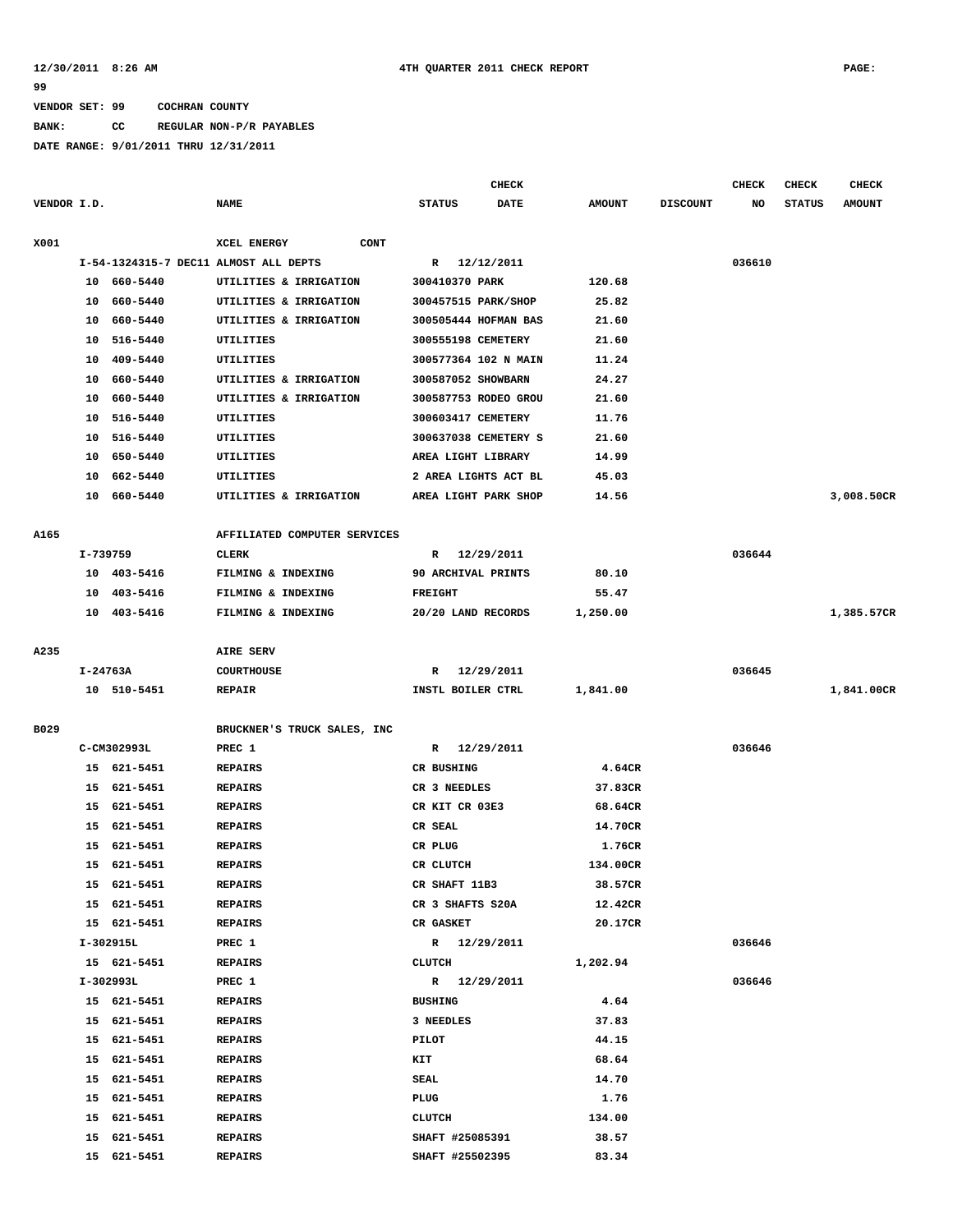### **VENDOR SET: 99 COCHRAN COUNTY BANK: CC REGULAR NON-P/R PAYABLES**

|             |          |             |                                       |                      | <b>CHECK</b> |               |                 | <b>CHECK</b> | <b>CHECK</b>  | <b>CHECK</b>  |
|-------------|----------|-------------|---------------------------------------|----------------------|--------------|---------------|-----------------|--------------|---------------|---------------|
| VENDOR I.D. |          |             | <b>NAME</b>                           | <b>STATUS</b>        | <b>DATE</b>  | <b>AMOUNT</b> | <b>DISCOUNT</b> | NO           | <b>STATUS</b> | <b>AMOUNT</b> |
| X001        |          |             | XCEL ENERGY<br><b>CONT</b>            |                      |              |               |                 |              |               |               |
|             |          |             | I-54-1324315-7 DEC11 ALMOST ALL DEPTS | 12/12/2011<br>R      |              |               |                 | 036610       |               |               |
|             | 10       | 660-5440    | UTILITIES & IRRIGATION                | 300410370 PARK       |              | 120.68        |                 |              |               |               |
|             | 10       | 660-5440    | UTILITIES & IRRIGATION                | 300457515 PARK/SHOP  |              | 25.82         |                 |              |               |               |
|             | 10       | 660-5440    | UTILITIES & IRRIGATION                | 300505444 HOFMAN BAS |              | 21.60         |                 |              |               |               |
|             | 10       | 516-5440    | UTILITIES                             | 300555198 CEMETERY   |              | 21.60         |                 |              |               |               |
|             | 10       | 409-5440    | UTILITIES                             | 300577364 102 N MAIN |              | 11.24         |                 |              |               |               |
|             | 10       | 660-5440    | UTILITIES & IRRIGATION                | 300587052 SHOWBARN   |              | 24.27         |                 |              |               |               |
|             | 10       | 660-5440    | UTILITIES & IRRIGATION                | 300587753 RODEO GROU |              | 21.60         |                 |              |               |               |
|             | 10       | 516-5440    | UTILITIES                             | 300603417 CEMETERY   |              | 11.76         |                 |              |               |               |
|             | 10       | 516-5440    | UTILITIES                             | 300637038 CEMETERY S |              | 21.60         |                 |              |               |               |
|             | 10       | 650-5440    | UTILITIES                             | AREA LIGHT LIBRARY   |              | 14.99         |                 |              |               |               |
|             | 10       | 662-5440    | UTILITIES                             | 2 AREA LIGHTS ACT BL |              | 45.03         |                 |              |               |               |
|             | 10       | 660-5440    | UTILITIES & IRRIGATION                | AREA LIGHT PARK SHOP |              | 14.56         |                 |              |               | 3,008.50CR    |
|             |          |             |                                       |                      |              |               |                 |              |               |               |
| A165        |          |             | AFFILIATED COMPUTER SERVICES          |                      |              |               |                 |              |               |               |
|             | I-739759 |             | <b>CLERK</b>                          | R                    | 12/29/2011   |               |                 | 036644       |               |               |
|             | 10       | 403-5416    | FILMING & INDEXING                    | 90 ARCHIVAL PRINTS   |              | 80.10         |                 |              |               |               |
|             | 10       | 403-5416    | FILMING & INDEXING                    | <b>FREIGHT</b>       |              | 55.47         |                 |              |               |               |
|             | 10       | 403-5416    | FILMING & INDEXING                    | 20/20 LAND RECORDS   |              | 1,250.00      |                 |              |               | 1,385.57CR    |
| A235        |          |             | AIRE SERV                             |                      |              |               |                 |              |               |               |
|             |          | I-24763A    | <b>COURTHOUSE</b>                     | R                    | 12/29/2011   |               |                 | 036645       |               |               |
|             |          | 10 510-5451 | <b>REPAIR</b>                         | INSTL BOILER CTRL    |              | 1,841.00      |                 |              |               | 1,841.00CR    |
| B029        |          |             | BRUCKNER'S TRUCK SALES, INC           |                      |              |               |                 |              |               |               |
|             |          | C-CM302993L | PREC 1                                | $\mathbb{R}$         | 12/29/2011   |               |                 | 036646       |               |               |
|             |          | 15 621-5451 | <b>REPAIRS</b>                        | CR BUSHING           |              | 4.64CR        |                 |              |               |               |
|             | 15       | 621-5451    | <b>REPAIRS</b>                        | CR 3 NEEDLES         |              | 37.83CR       |                 |              |               |               |
|             | 15       | 621-5451    | <b>REPAIRS</b>                        | CR KIT CR 03E3       |              | 68.64CR       |                 |              |               |               |
|             | 15       | 621-5451    | <b>REPAIRS</b>                        | CR SEAL              |              | 14.70CR       |                 |              |               |               |
|             | 15       | 621-5451    | <b>REPAIRS</b>                        | CR PLUG              |              | 1.76CR        |                 |              |               |               |
|             |          | 15 621-5451 | <b>REPAIRS</b>                        | CR CLUTCH            |              | 134.00CR      |                 |              |               |               |
|             |          | 15 621-5451 | <b>REPAIRS</b>                        | CR SHAFT 11B3        |              | 38.57CR       |                 |              |               |               |
|             |          | 15 621-5451 | REPAIRS                               | CR 3 SHAFTS S20A     |              | 12.42CR       |                 |              |               |               |
|             |          | 15 621-5451 | <b>REPAIRS</b>                        | CR GASKET            |              | 20.17CR       |                 |              |               |               |
|             |          | I-302915L   | PREC 1                                | R 12/29/2011         |              |               |                 | 036646       |               |               |
|             |          | 15 621-5451 | <b>REPAIRS</b>                        | CLUTCH               |              | 1,202.94      |                 |              |               |               |
|             |          | I-302993L   | PREC 1                                | R 12/29/2011         |              |               |                 | 036646       |               |               |
|             |          | 15 621-5451 | <b>REPAIRS</b>                        | <b>BUSHING</b>       |              | 4.64          |                 |              |               |               |
|             |          | 15 621-5451 | <b>REPAIRS</b>                        | 3 NEEDLES            |              | 37.83         |                 |              |               |               |
|             |          | 15 621-5451 | <b>REPAIRS</b>                        | PILOT                |              | 44.15         |                 |              |               |               |
|             |          | 15 621-5451 | <b>REPAIRS</b>                        | KIT                  |              | 68.64         |                 |              |               |               |
|             |          | 15 621-5451 | <b>REPAIRS</b>                        | SEAL                 |              | 14.70         |                 |              |               |               |
|             |          | 15 621-5451 | <b>REPAIRS</b>                        | PLUG                 |              | 1.76          |                 |              |               |               |
|             |          | 15 621-5451 | <b>REPAIRS</b>                        | CLUTCH               |              | 134.00        |                 |              |               |               |
|             |          | 15 621-5451 | <b>REPAIRS</b>                        | SHAFT #25085391      |              | 38.57         |                 |              |               |               |
|             |          | 15 621-5451 | <b>REPAIRS</b>                        | SHAFT #25502395      |              | 83.34         |                 |              |               |               |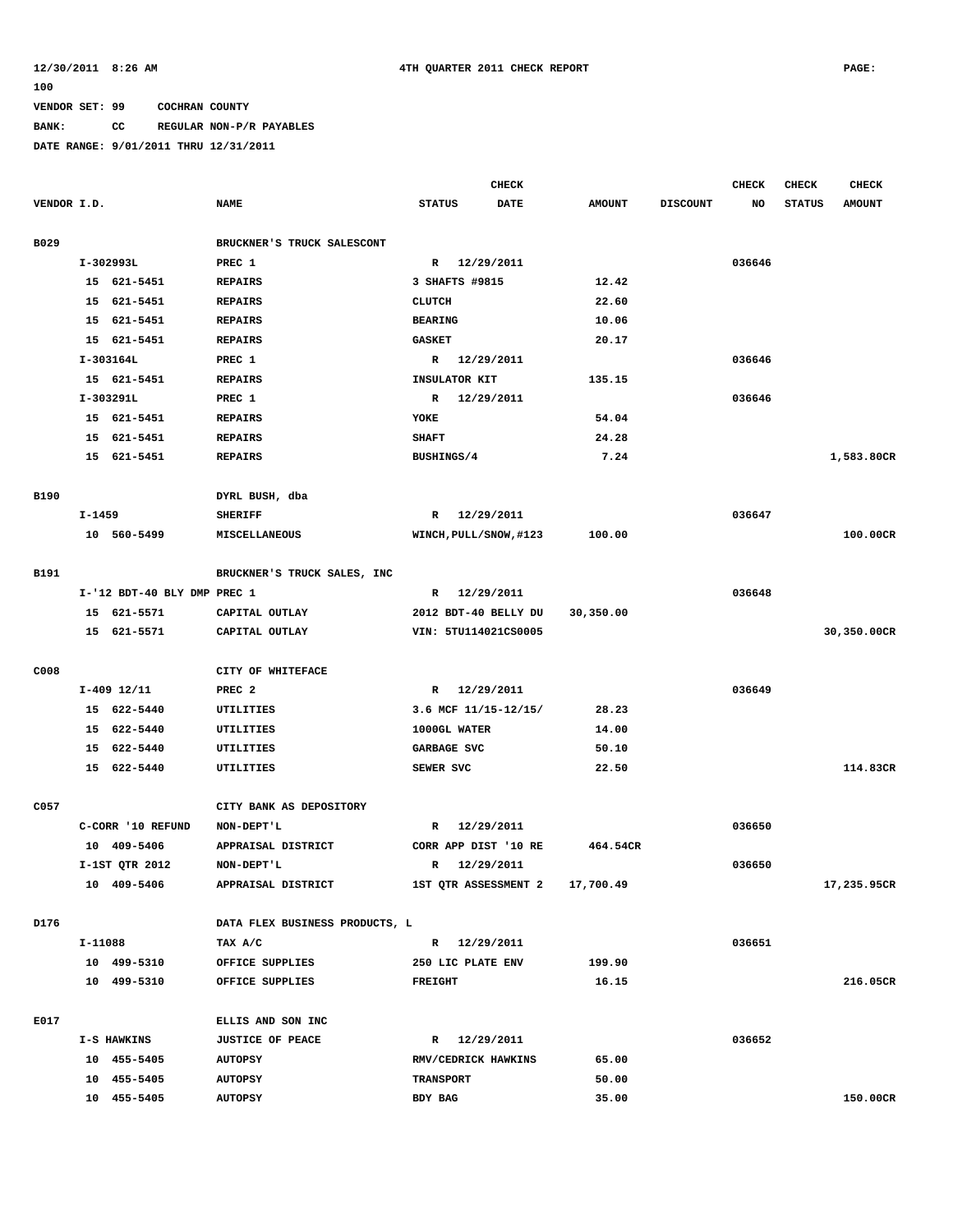## **VENDOR SET: 99 COCHRAN COUNTY**

**BANK: CC REGULAR NON-P/R PAYABLES**

|             |         |                             |                                |                  | <b>CHECK</b>           |               |                 | CHECK  | <b>CHECK</b>  | <b>CHECK</b>  |
|-------------|---------|-----------------------------|--------------------------------|------------------|------------------------|---------------|-----------------|--------|---------------|---------------|
| VENDOR I.D. |         |                             | <b>NAME</b>                    | <b>STATUS</b>    | <b>DATE</b>            | <b>AMOUNT</b> | <b>DISCOUNT</b> | NO     | <b>STATUS</b> | <b>AMOUNT</b> |
|             |         |                             |                                |                  |                        |               |                 |        |               |               |
| B029        |         |                             | BRUCKNER'S TRUCK SALESCONT     |                  |                        |               |                 |        |               |               |
|             |         | I-302993L                   | PREC 1                         |                  | R 12/29/2011           |               |                 | 036646 |               |               |
|             |         | 15 621-5451                 | <b>REPAIRS</b>                 |                  | 3 SHAFTS #9815         | 12.42         |                 |        |               |               |
|             |         | 15 621-5451                 | <b>REPAIRS</b>                 | <b>CLUTCH</b>    |                        | 22.60         |                 |        |               |               |
|             |         | 15 621-5451                 | <b>REPAIRS</b>                 | <b>BEARING</b>   |                        | 10.06         |                 |        |               |               |
|             |         | 15 621-5451                 | <b>REPAIRS</b>                 | <b>GASKET</b>    |                        | 20.17         |                 |        |               |               |
|             |         | $I-303164L$                 | PREC 1                         | $\mathbb{R}$     | 12/29/2011             |               |                 | 036646 |               |               |
|             |         | 15 621-5451                 | <b>REPAIRS</b>                 |                  | INSULATOR KIT          | 135.15        |                 |        |               |               |
|             |         | I-303291L                   | PREC 1                         | R                | 12/29/2011             |               |                 | 036646 |               |               |
|             |         | 15 621-5451                 | <b>REPAIRS</b>                 | YOKE             |                        | 54.04         |                 |        |               |               |
|             |         | 15 621-5451                 | <b>REPAIRS</b>                 | <b>SHAFT</b>     |                        | 24.28         |                 |        |               |               |
|             |         | 15 621-5451                 | <b>REPAIRS</b>                 | BUSHINGS/4       |                        | 7.24          |                 |        |               | 1,583.80CR    |
|             |         |                             |                                |                  |                        |               |                 |        |               |               |
| B190        |         |                             | DYRL BUSH, dba                 |                  |                        |               |                 |        |               |               |
|             | I-1459  |                             | <b>SHERIFF</b>                 | R                | 12/29/2011             |               |                 | 036647 |               |               |
|             |         | 10 560-5499                 | MISCELLANEOUS                  |                  | WINCH, PULL/SNOW, #123 | 100.00        |                 |        |               | 100.00CR      |
|             |         |                             |                                |                  |                        |               |                 |        |               |               |
| B191        |         |                             | BRUCKNER'S TRUCK SALES, INC    |                  |                        |               |                 |        |               |               |
|             |         | I-'12 BDT-40 BLY DMP PREC 1 |                                | $\mathbb{R}$     | 12/29/2011             |               |                 | 036648 |               |               |
|             |         | 15 621-5571                 | CAPITAL OUTLAY                 |                  | 2012 BDT-40 BELLY DU   | 30,350.00     |                 |        |               |               |
|             |         | 15 621-5571                 | CAPITAL OUTLAY                 |                  | VIN: 5TU114021CS0005   |               |                 |        |               | 30,350.00CR   |
|             |         |                             |                                |                  |                        |               |                 |        |               |               |
| C008        |         |                             | CITY OF WHITEFACE              |                  |                        |               |                 |        |               |               |
|             |         | $I-409$ 12/11               | PREC <sub>2</sub>              |                  | R 12/29/2011           |               |                 | 036649 |               |               |
|             |         | 15 622-5440                 | UTILITIES                      |                  | 3.6 MCF 11/15-12/15/   | 28.23         |                 |        |               |               |
|             |         | 15 622-5440                 | UTILITIES                      | 1000GL WATER     |                        | 14.00         |                 |        |               |               |
|             |         | 15 622-5440                 | UTILITIES                      | GARBAGE SVC      |                        | 50.10         |                 |        |               |               |
|             |         | 15 622-5440                 | UTILITIES                      | SEWER SVC        |                        | 22.50         |                 |        |               | 114.83CR      |
|             |         |                             |                                |                  |                        |               |                 |        |               |               |
| C057        |         |                             | CITY BANK AS DEPOSITORY        |                  |                        |               |                 |        |               |               |
|             |         | C-CORR '10 REFUND           | NON-DEPT'L                     | $\mathbb{R}$     | 12/29/2011             |               |                 | 036650 |               |               |
|             |         | 10 409-5406                 | APPRAISAL DISTRICT             |                  | CORR APP DIST '10 RE   | 464.54CR      |                 |        |               |               |
|             |         | I-1ST QTR 2012              | NON-DEPT'L                     | R                | 12/29/2011             |               |                 | 036650 |               |               |
|             |         | 10 409-5406                 | APPRAISAL DISTRICT             |                  | 1ST QTR ASSESSMENT 2   | 17,700.49     |                 |        |               | 17,235.95CR   |
|             |         |                             |                                |                  |                        |               |                 |        |               |               |
| D176        |         |                             | DATA FLEX BUSINESS PRODUCTS, L |                  |                        |               |                 |        |               |               |
|             | I-11088 |                             | TAX A/C                        |                  | R 12/29/2011           |               |                 | 036651 |               |               |
|             |         | 10 499-5310                 | OFFICE SUPPLIES                |                  | 250 LIC PLATE ENV      | 199.90        |                 |        |               |               |
|             |         | 10 499-5310                 | OFFICE SUPPLIES                | <b>FREIGHT</b>   |                        | 16.15         |                 |        |               | 216.05CR      |
|             |         |                             |                                |                  |                        |               |                 |        |               |               |
| E017        |         |                             | ELLIS AND SON INC              |                  |                        |               |                 |        |               |               |
|             |         | I-S HAWKINS                 | <b>JUSTICE OF PEACE</b>        |                  | R 12/29/2011           |               |                 | 036652 |               |               |
|             |         | 10 455-5405                 | <b>AUTOPSY</b>                 |                  | RMV/CEDRICK HAWKINS    | 65.00         |                 |        |               |               |
|             |         | 10 455-5405                 | <b>AUTOPSY</b>                 | <b>TRANSPORT</b> |                        | 50.00         |                 |        |               |               |
|             |         | 10 455-5405                 | <b>AUTOPSY</b>                 | <b>BDY BAG</b>   |                        | 35.00         |                 |        |               | 150.00CR      |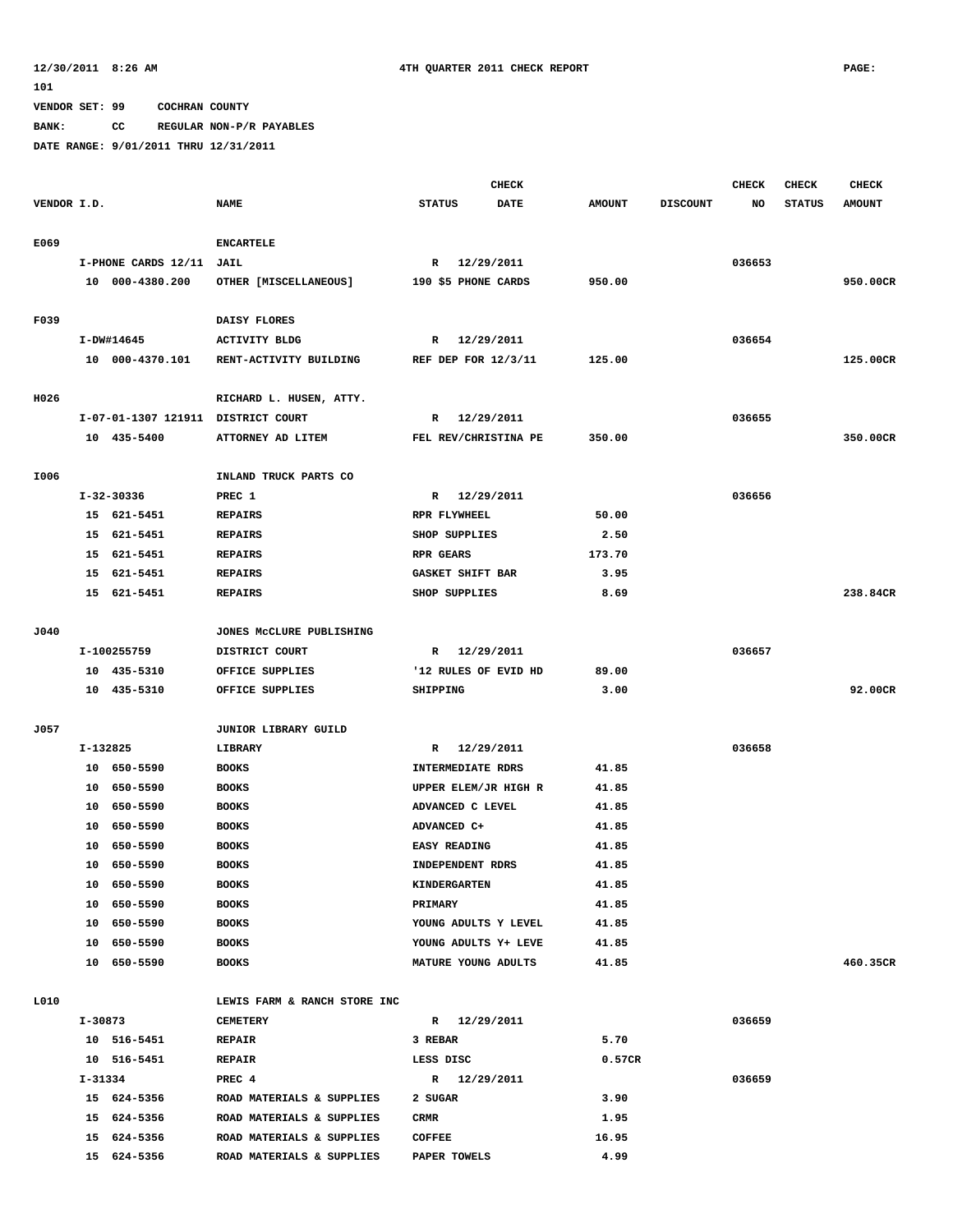### **VENDOR SET: 99 COCHRAN COUNTY BANK: CC REGULAR NON-P/R PAYABLES**

|             |                                    |                              | <b>CHECK</b>                      |             |               |                 | <b>CHECK</b> | <b>CHECK</b>  | <b>CHECK</b>  |
|-------------|------------------------------------|------------------------------|-----------------------------------|-------------|---------------|-----------------|--------------|---------------|---------------|
| VENDOR I.D. |                                    | <b>NAME</b>                  | <b>STATUS</b>                     | <b>DATE</b> | <b>AMOUNT</b> | <b>DISCOUNT</b> | NO           | <b>STATUS</b> | <b>AMOUNT</b> |
|             |                                    |                              |                                   |             |               |                 |              |               |               |
| E069        |                                    | <b>ENCARTELE</b>             |                                   |             |               |                 |              |               |               |
|             | I-PHONE CARDS 12/11 JAIL           |                              | 12/29/2011<br>R                   |             |               |                 | 036653       |               |               |
|             | 10 000-4380.200                    | OTHER [MISCELLANEOUS]        | 190 \$5 PHONE CARDS               |             | 950.00        |                 |              |               | 950.00CR      |
|             |                                    |                              |                                   |             |               |                 |              |               |               |
| F039        |                                    | DAISY FLORES                 |                                   |             |               |                 |              |               |               |
|             | I-DW#14645                         | <b>ACTIVITY BLDG</b>         | R                                 | 12/29/2011  |               |                 | 036654       |               |               |
|             | 10 000-4370.101                    | RENT-ACTIVITY BUILDING       | REF DEP FOR 12/3/11               |             | 125.00        |                 |              |               | 125.00CR      |
| H026        |                                    |                              |                                   |             |               |                 |              |               |               |
|             | I-07-01-1307 121911 DISTRICT COURT | RICHARD L. HUSEN, ATTY.      | R 12/29/2011                      |             |               |                 | 036655       |               |               |
|             | 10 435-5400                        | ATTORNEY AD LITEM            | FEL REV/CHRISTINA PE              |             | 350.00        |                 |              |               | 350.00CR      |
|             |                                    |                              |                                   |             |               |                 |              |               |               |
| I006        |                                    | INLAND TRUCK PARTS CO        |                                   |             |               |                 |              |               |               |
|             | I-32-30336                         | PREC 1                       | R 12/29/2011                      |             |               |                 | 036656       |               |               |
|             | 15 621-5451                        | <b>REPAIRS</b>               | RPR FLYWHEEL                      |             | 50.00         |                 |              |               |               |
|             | 15 621-5451                        | <b>REPAIRS</b>               | SHOP SUPPLIES                     |             | 2.50          |                 |              |               |               |
|             | 15 621-5451                        | <b>REPAIRS</b>               | <b>RPR GEARS</b>                  |             | 173.70        |                 |              |               |               |
|             | 15 621-5451                        | <b>REPAIRS</b>               | <b>GASKET SHIFT BAR</b>           |             | 3.95          |                 |              |               |               |
|             | 15 621-5451                        | <b>REPAIRS</b>               | SHOP SUPPLIES                     |             | 8.69          |                 |              |               | 238.84CR      |
|             |                                    |                              |                                   |             |               |                 |              |               |               |
| J040        |                                    | JONES MCCLURE PUBLISHING     |                                   |             |               |                 |              |               |               |
|             | I-100255759                        | DISTRICT COURT               | R 12/29/2011                      |             |               |                 | 036657       |               |               |
|             | 10 435-5310                        | OFFICE SUPPLIES              | '12 RULES OF EVID HD              |             | 89.00         |                 |              |               |               |
|             | 10 435-5310                        | OFFICE SUPPLIES              | SHIPPING                          |             | 3.00          |                 |              |               | 92.00CR       |
|             |                                    |                              |                                   |             |               |                 |              |               |               |
| J057        | I-132825                           | JUNIOR LIBRARY GUILD         |                                   |             |               |                 | 036658       |               |               |
|             | 10 650-5590                        | LIBRARY<br><b>BOOKS</b>      | $\mathbb{R}$<br>INTERMEDIATE RDRS | 12/29/2011  | 41.85         |                 |              |               |               |
|             | 10 650-5590                        | <b>BOOKS</b>                 | UPPER ELEM/JR HIGH R              |             | 41.85         |                 |              |               |               |
|             | 10 650-5590                        | <b>BOOKS</b>                 | ADVANCED C LEVEL                  |             | 41.85         |                 |              |               |               |
|             | 10 650-5590                        | <b>BOOKS</b>                 | ADVANCED C+                       |             | 41.85         |                 |              |               |               |
|             | 10 650-5590                        | <b>BOOKS</b>                 | <b>EASY READING</b>               |             | 41.85         |                 |              |               |               |
|             | 10 650-5590                        | <b>BOOKS</b>                 | INDEPENDENT RDRS                  |             | 41.85         |                 |              |               |               |
|             | 10 650-5590                        | <b>BOOKS</b>                 | KINDERGARTEN                      |             | 41.85         |                 |              |               |               |
|             | 10 650-5590                        | <b>BOOKS</b>                 | PRIMARY                           |             | 41.85         |                 |              |               |               |
|             | 10 650-5590                        | <b>BOOKS</b>                 | YOUNG ADULTS Y LEVEL              |             | 41.85         |                 |              |               |               |
|             | 10 650-5590                        | <b>BOOKS</b>                 | YOUNG ADULTS Y+ LEVE              |             | 41.85         |                 |              |               |               |
|             | 10 650-5590                        | <b>BOOKS</b>                 | MATURE YOUNG ADULTS               |             | 41.85         |                 |              |               | 460.35CR      |
|             |                                    |                              |                                   |             |               |                 |              |               |               |
| L010        |                                    | LEWIS FARM & RANCH STORE INC |                                   |             |               |                 |              |               |               |
|             | I-30873                            | <b>CEMETERY</b>              | R 12/29/2011                      |             |               |                 | 036659       |               |               |
|             | 10 516-5451                        | <b>REPAIR</b>                | 3 REBAR                           |             | 5.70          |                 |              |               |               |
|             | 10 516-5451                        | <b>REPAIR</b>                | LESS DISC                         |             | 0.57CR        |                 |              |               |               |
|             | I-31334                            | PREC 4                       | R 12/29/2011                      |             |               |                 | 036659       |               |               |
|             | 15 624-5356                        | ROAD MATERIALS & SUPPLIES    | 2 SUGAR                           |             | 3.90          |                 |              |               |               |
|             | 15 624-5356                        | ROAD MATERIALS & SUPPLIES    | CRMR                              |             | 1.95          |                 |              |               |               |
|             | 15 624-5356                        | ROAD MATERIALS & SUPPLIES    | <b>COFFEE</b>                     |             | 16.95         |                 |              |               |               |
|             | 15 624-5356                        | ROAD MATERIALS & SUPPLIES    | PAPER TOWELS                      |             | 4.99          |                 |              |               |               |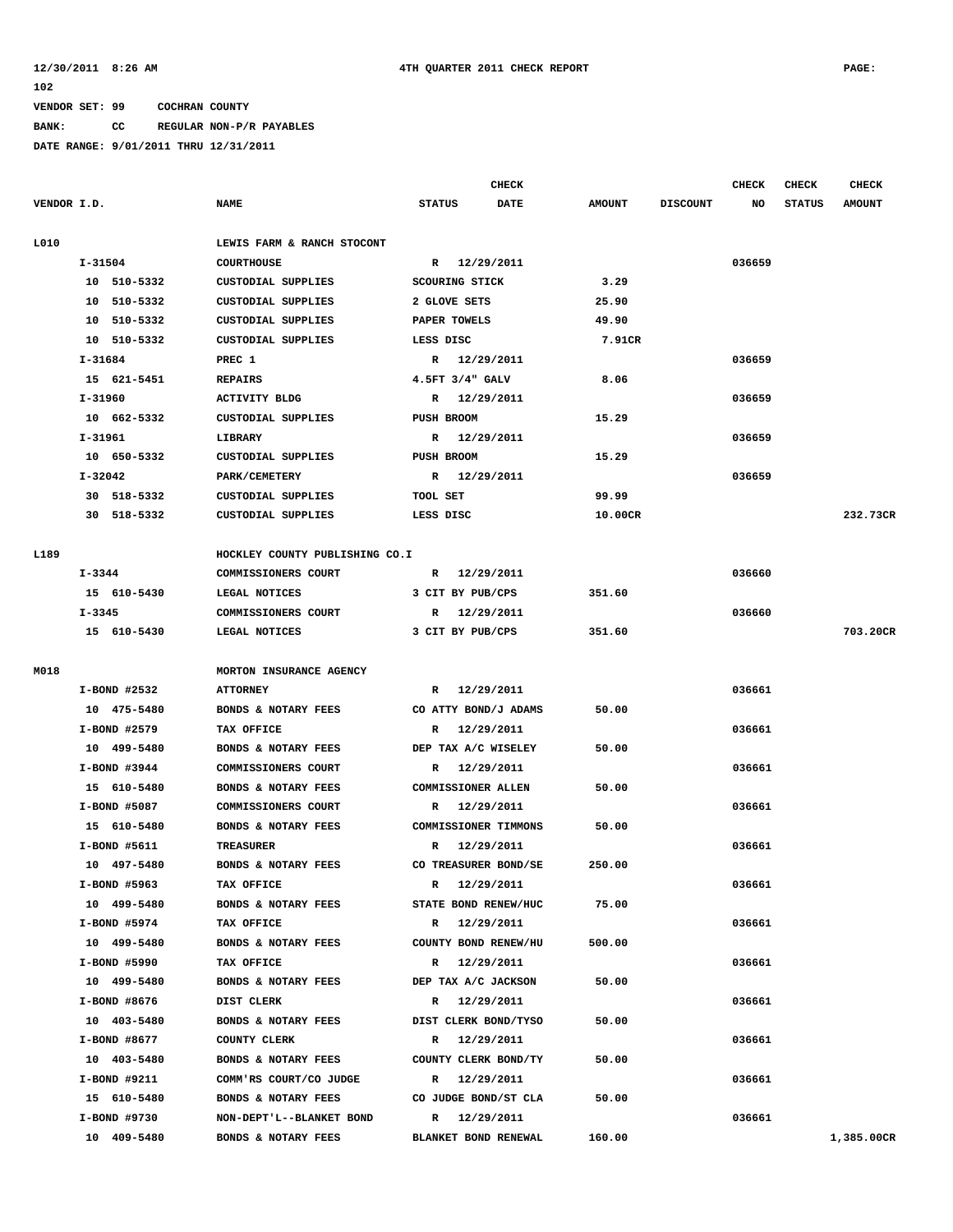### **VENDOR SET: 99 COCHRAN COUNTY BANK: CC REGULAR NON-P/R PAYABLES**

|             |                |                                |                      | <b>CHECK</b> |               |                 | <b>CHECK</b> | <b>CHECK</b>  | <b>CHECK</b>  |
|-------------|----------------|--------------------------------|----------------------|--------------|---------------|-----------------|--------------|---------------|---------------|
| VENDOR I.D. |                | <b>NAME</b>                    | <b>STATUS</b>        | <b>DATE</b>  | <b>AMOUNT</b> | <b>DISCOUNT</b> | NO           | <b>STATUS</b> | <b>AMOUNT</b> |
| L010        |                | LEWIS FARM & RANCH STOCONT     |                      |              |               |                 |              |               |               |
|             | I-31504        | <b>COURTHOUSE</b>              | R 12/29/2011         |              |               |                 | 036659       |               |               |
|             | 10 510-5332    | CUSTODIAL SUPPLIES             | SCOURING STICK       |              | 3.29          |                 |              |               |               |
|             | 10 510-5332    | CUSTODIAL SUPPLIES             | 2 GLOVE SETS         |              | 25.90         |                 |              |               |               |
|             | 10 510-5332    | CUSTODIAL SUPPLIES             | PAPER TOWELS         |              | 49.90         |                 |              |               |               |
|             | 10 510-5332    | CUSTODIAL SUPPLIES             | LESS DISC            |              |               |                 |              |               |               |
|             | I-31684        | PREC 1                         | R                    | 12/29/2011   |               |                 | 036659       |               |               |
|             | 15 621-5451    | <b>REPAIRS</b>                 | 4.5FT 3/4" GALV      |              | 8.06          |                 |              |               |               |
|             | $I - 31960$    | <b>ACTIVITY BLDG</b>           | R                    | 12/29/2011   |               |                 | 036659       |               |               |
|             | 10 662-5332    | CUSTODIAL SUPPLIES             | <b>PUSH BROOM</b>    |              | 15.29         |                 |              |               |               |
|             | I-31961        | LIBRARY                        | 12/29/2011<br>R      |              |               |                 | 036659       |               |               |
|             | 10 650-5332    | CUSTODIAL SUPPLIES             | <b>PUSH BROOM</b>    |              | 15.29         |                 |              |               |               |
|             | I-32042        | PARK/CEMETERY                  | R 12/29/2011         |              |               |                 | 036659       |               |               |
|             | 30 518-5332    | CUSTODIAL SUPPLIES             | TOOL SET             |              | 99.99         |                 |              |               |               |
|             | 30 518-5332    | CUSTODIAL SUPPLIES             | LESS DISC            |              | 10.00CR       |                 |              |               | 232.73CR      |
| L189        |                | HOCKLEY COUNTY PUBLISHING CO.I |                      |              |               |                 |              |               |               |
|             | I-3344         | COMMISSIONERS COURT            | R 12/29/2011         |              |               |                 | 036660       |               |               |
|             | 15 610-5430    | LEGAL NOTICES                  | 3 CIT BY PUB/CPS     |              | 351.60        |                 |              |               |               |
|             | $I - 3345$     | COMMISSIONERS COURT            | R                    | 12/29/2011   |               |                 | 036660       |               |               |
|             | 15 610-5430    | LEGAL NOTICES                  | 3 CIT BY PUB/CPS     |              | 351.60        |                 |              |               | 703.20CR      |
| M018        |                | MORTON INSURANCE AGENCY        |                      |              |               |                 |              |               |               |
|             | $I-BOND$ #2532 | <b>ATTORNEY</b>                | R 12/29/2011         |              |               |                 | 036661       |               |               |
|             | 10 475-5480    | BONDS & NOTARY FEES            | CO ATTY BOND/J ADAMS |              | 50.00         |                 |              |               |               |
|             | I-BOND #2579   | TAX OFFICE                     | 12/29/2011<br>R      |              |               |                 | 036661       |               |               |
|             | 10 499-5480    | BONDS & NOTARY FEES            | DEP TAX A/C WISELEY  |              | 50.00         |                 |              |               |               |
|             | $I-BOND$ #3944 | COMMISSIONERS COURT            | 12/29/2011<br>R      |              |               |                 | 036661       |               |               |
|             | 15 610-5480    | BONDS & NOTARY FEES            | COMMISSIONER ALLEN   |              | 50.00         |                 |              |               |               |
|             | $I-BOND$ #5087 | COMMISSIONERS COURT            | R                    | 12/29/2011   |               |                 | 036661       |               |               |
|             | 15 610-5480    | BONDS & NOTARY FEES            | COMMISSIONER TIMMONS |              | 50.00         |                 |              |               |               |
|             | I-BOND #5611   | <b>TREASURER</b>               | R                    | 12/29/2011   |               |                 | 036661       |               |               |
|             | 10 497-5480    | BONDS & NOTARY FEES            | CO TREASURER BOND/SE |              | 250.00        |                 |              |               |               |
|             | $I-BOND$ #5963 | TAX OFFICE                     | R                    | 12/29/2011   |               |                 | 036661       |               |               |
|             | 10 499-5480    | BONDS & NOTARY FEES            | STATE BOND RENEW/HUC |              | 75.00         |                 |              |               |               |
|             | $I-BOND$ #5974 | TAX OFFICE                     | R 12/29/2011         |              |               |                 | 036661       |               |               |
|             | 10 499-5480    | BONDS & NOTARY FEES            | COUNTY BOND RENEW/HU |              | 500.00        |                 |              |               |               |
|             | I-BOND #5990   | TAX OFFICE                     | R 12/29/2011         |              |               |                 | 036661       |               |               |
|             | 10 499-5480    | BONDS & NOTARY FEES            | DEP TAX A/C JACKSON  |              | 50.00         |                 |              |               |               |
|             | $I-BOND$ #8676 | DIST CLERK                     | R 12/29/2011         |              |               |                 | 036661       |               |               |
|             | 10 403-5480    | BONDS & NOTARY FEES            | DIST CLERK BOND/TYSO |              | 50.00         |                 |              |               |               |
|             | $I-BOND$ #8677 | COUNTY CLERK                   | $\mathbb{R}$         | 12/29/2011   |               |                 | 036661       |               |               |
|             | 10 403-5480    | BONDS & NOTARY FEES            | COUNTY CLERK BOND/TY |              | 50.00         |                 |              |               |               |
|             | I-BOND #9211   | COMM'RS COURT/CO JUDGE         | $\mathbb{R}$         | 12/29/2011   |               |                 | 036661       |               |               |
|             | 15 610-5480    | BONDS & NOTARY FEES            | CO JUDGE BOND/ST CLA |              | 50.00         |                 |              |               |               |
|             | I-BOND #9730   | NON-DEPT'L--BLANKET BOND       | $\mathbf{R}$         | 12/29/2011   |               |                 | 036661       |               |               |
|             | 10 409-5480    | BONDS & NOTARY FEES            | BLANKET BOND RENEWAL |              | 160.00        |                 |              |               | 1,385.00CR    |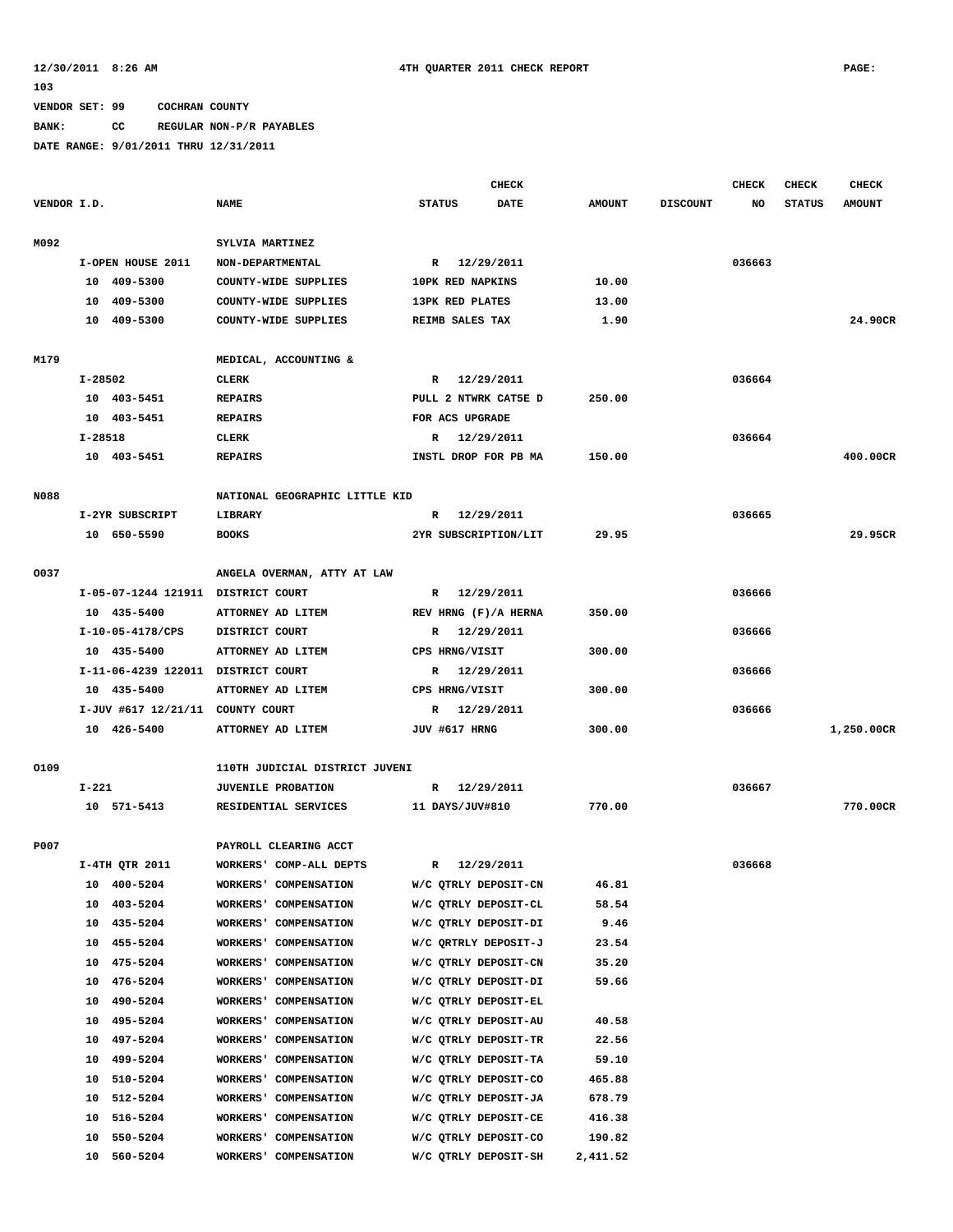# **VENDOR SET: 99 COCHRAN COUNTY**

**BANK: CC REGULAR NON-P/R PAYABLES**

|             |             |                                    |                                | CHECK                   |              |                      |               |                 | CHECK  | <b>CHECK</b>  | <b>CHECK</b>  |
|-------------|-------------|------------------------------------|--------------------------------|-------------------------|--------------|----------------------|---------------|-----------------|--------|---------------|---------------|
| VENDOR I.D. |             |                                    | <b>NAME</b>                    | <b>STATUS</b>           |              | <b>DATE</b>          | <b>AMOUNT</b> | <b>DISCOUNT</b> | NO     | <b>STATUS</b> | <b>AMOUNT</b> |
|             |             |                                    |                                |                         |              |                      |               |                 |        |               |               |
| M092        |             |                                    | SYLVIA MARTINEZ                |                         |              |                      |               |                 |        |               |               |
|             |             | I-OPEN HOUSE 2011                  | NON-DEPARTMENTAL               | $\mathbf{R}$            | 12/29/2011   |                      |               |                 | 036663 |               |               |
|             |             | 10 409-5300                        | COUNTY-WIDE SUPPLIES           | <b>10PK RED NAPKINS</b> |              |                      | 10.00         |                 |        |               |               |
|             |             | 10 409-5300                        | COUNTY-WIDE SUPPLIES           | 13PK RED PLATES         |              |                      | 13.00         |                 |        |               |               |
|             |             | 10 409-5300                        | COUNTY-WIDE SUPPLIES           | REIMB SALES TAX         |              |                      | 1.90          |                 |        |               | 24.90CR       |
|             |             |                                    |                                |                         |              |                      |               |                 |        |               |               |
| M179        |             |                                    | MEDICAL, ACCOUNTING &          |                         |              |                      |               |                 |        |               |               |
|             | $I - 28502$ |                                    | CLERK                          | R                       | 12/29/2011   |                      |               |                 | 036664 |               |               |
|             |             | 10 403-5451                        | <b>REPAIRS</b>                 |                         |              | PULL 2 NTWRK CAT5E D | 250.00        |                 |        |               |               |
|             |             | 10 403-5451                        | <b>REPAIRS</b>                 | FOR ACS UPGRADE         |              |                      |               |                 |        |               |               |
|             | I-28518     |                                    | CLERK                          | R                       | 12/29/2011   |                      |               |                 | 036664 |               |               |
|             |             | 10 403-5451                        | <b>REPAIRS</b>                 |                         |              | INSTL DROP FOR PB MA | 150.00        |                 |        |               | 400.00CR      |
|             |             |                                    |                                |                         |              |                      |               |                 |        |               |               |
| N088        |             |                                    | NATIONAL GEOGRAPHIC LITTLE KID |                         |              |                      |               |                 |        |               |               |
|             |             | I-2YR SUBSCRIPT                    | LIBRARY                        | R                       | 12/29/2011   |                      |               |                 | 036665 |               |               |
|             |             | 10 650-5590                        | <b>BOOKS</b>                   |                         |              | 2YR SUBSCRIPTION/LIT | 29.95         |                 |        |               | 29.95CR       |
|             |             |                                    |                                |                         |              |                      |               |                 |        |               |               |
| 0037        |             |                                    | ANGELA OVERMAN, ATTY AT LAW    |                         |              |                      |               |                 |        |               |               |
|             |             | I-05-07-1244 121911 DISTRICT COURT |                                |                         | R 12/29/2011 |                      |               |                 | 036666 |               |               |
|             |             | 10 435-5400                        | ATTORNEY AD LITEM              |                         |              | REV HRNG (F)/A HERNA | 350.00        |                 |        |               |               |
|             |             | I-10-05-4178/CPS                   | DISTRICT COURT                 | R                       | 12/29/2011   |                      |               |                 | 036666 |               |               |
|             |             | 10 435-5400                        | ATTORNEY AD LITEM              | CPS HRNG/VISIT          |              |                      | 300.00        |                 |        |               |               |
|             |             | I-11-06-4239 122011 DISTRICT COURT |                                | R                       | 12/29/2011   |                      |               |                 | 036666 |               |               |
|             |             | 10 435-5400                        | ATTORNEY AD LITEM              | CPS HRNG/VISIT          |              |                      | 300.00        |                 |        |               |               |
|             |             | I-JUV #617 12/21/11 COUNTY COURT   |                                | R                       | 12/29/2011   |                      |               |                 | 036666 |               |               |
|             |             | 10 426-5400                        | ATTORNEY AD LITEM              | JUV #617 HRNG           |              |                      | 300.00        |                 |        |               | 1,250.00CR    |
|             |             |                                    |                                |                         |              |                      |               |                 |        |               |               |
| 0109        |             |                                    | 110TH JUDICIAL DISTRICT JUVENI |                         |              |                      |               |                 |        |               |               |
|             | I-221       |                                    | <b>JUVENILE PROBATION</b>      | R                       | 12/29/2011   |                      |               |                 | 036667 |               |               |
|             |             | 10 571-5413                        | RESIDENTIAL SERVICES           | 11 DAYS/JUV#810         |              |                      | 770.00        |                 |        |               | 770.00CR      |
|             |             |                                    |                                |                         |              |                      |               |                 |        |               |               |
| P007        |             |                                    | PAYROLL CLEARING ACCT          |                         |              |                      |               |                 |        |               |               |
|             |             | I-4TH QTR 2011                     | WORKERS' COMP-ALL DEPTS        | R                       | 12/29/2011   |                      |               |                 | 036668 |               |               |
|             | 10          | 400-5204                           | WORKERS' COMPENSATION          |                         |              | W/C QTRLY DEPOSIT-CN | 46.81         |                 |        |               |               |
|             | 10          | 403-5204                           | WORKERS' COMPENSATION          |                         |              | W/C QTRLY DEPOSIT-CL | 58.54         |                 |        |               |               |
|             | 10          | 435-5204                           | WORKERS' COMPENSATION          |                         |              | W/C QTRLY DEPOSIT-DI | 9.46          |                 |        |               |               |
|             | 10          | 455-5204                           | WORKERS' COMPENSATION          |                         |              | W/C QRTRLY DEPOSIT-J | 23.54         |                 |        |               |               |
|             | 10          | 475-5204                           | WORKERS' COMPENSATION          |                         |              | W/C QTRLY DEPOSIT-CN | 35.20         |                 |        |               |               |
|             | 10          | 476-5204                           | WORKERS' COMPENSATION          |                         |              | W/C QTRLY DEPOSIT-DI | 59.66         |                 |        |               |               |
|             | 10          | 490-5204                           | WORKERS' COMPENSATION          |                         |              | W/C QTRLY DEPOSIT-EL |               |                 |        |               |               |
|             | 10          | 495-5204                           | WORKERS' COMPENSATION          |                         |              | W/C QTRLY DEPOSIT-AU | 40.58         |                 |        |               |               |
|             | 10          | 497-5204                           | WORKERS' COMPENSATION          |                         |              | W/C QTRLY DEPOSIT-TR | 22.56         |                 |        |               |               |
|             | 10          | 499-5204                           | WORKERS' COMPENSATION          |                         |              | W/C QTRLY DEPOSIT-TA | 59.10         |                 |        |               |               |
|             | 10          | 510-5204                           | WORKERS' COMPENSATION          |                         |              | W/C QTRLY DEPOSIT-CO | 465.88        |                 |        |               |               |
|             | 10          | 512-5204                           | WORKERS' COMPENSATION          |                         |              | W/C QTRLY DEPOSIT-JA | 678.79        |                 |        |               |               |
|             | 10          | 516-5204                           | WORKERS' COMPENSATION          |                         |              | W/C QTRLY DEPOSIT-CE | 416.38        |                 |        |               |               |
|             | 10          | 550-5204                           | WORKERS' COMPENSATION          |                         |              | W/C QTRLY DEPOSIT-CO | 190.82        |                 |        |               |               |
|             | 10          | 560-5204                           | WORKERS' COMPENSATION          |                         |              | W/C QTRLY DEPOSIT-SH | 2,411.52      |                 |        |               |               |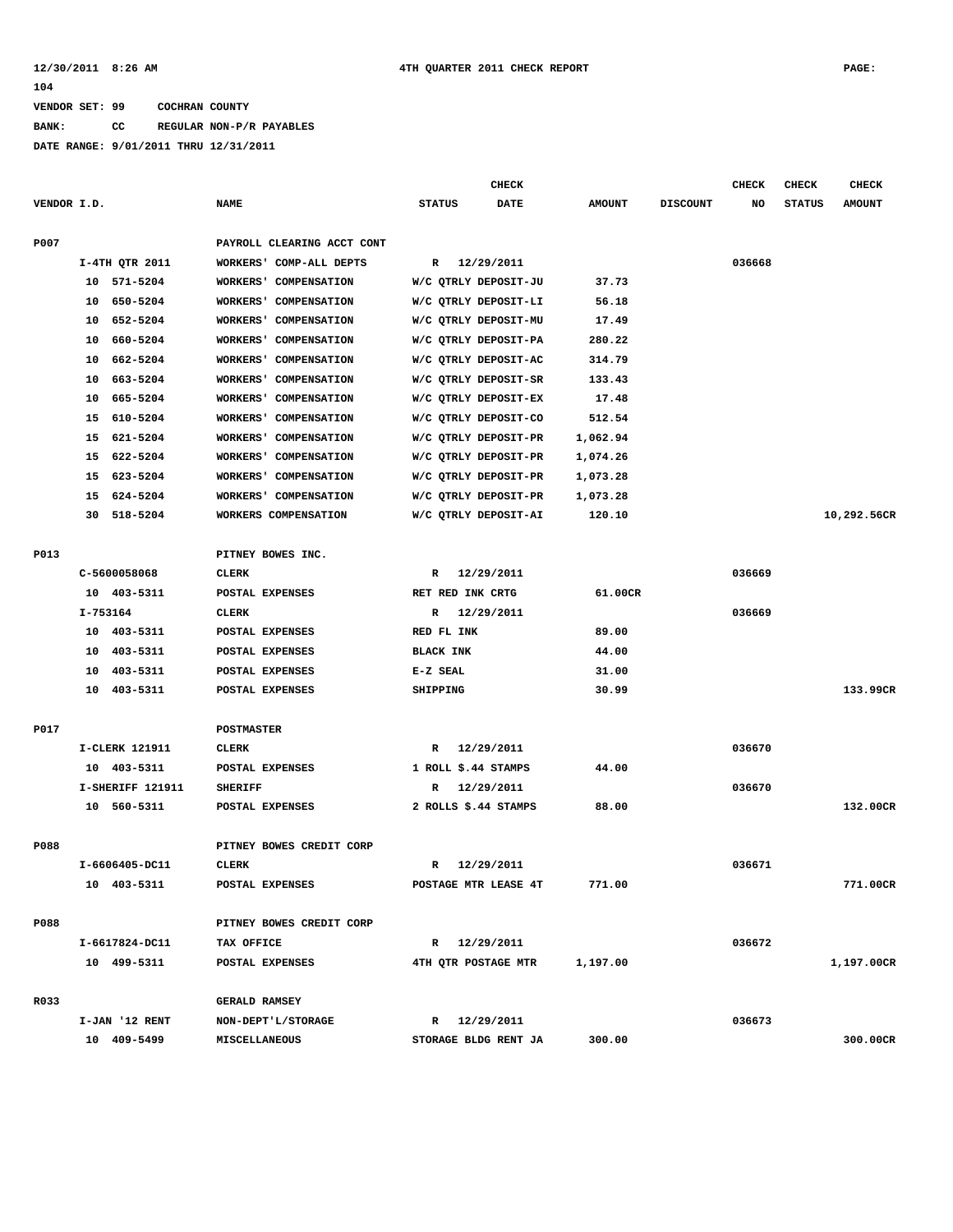### **VENDOR SET: 99 COCHRAN COUNTY BANK: CC REGULAR NON-P/R PAYABLES**

|             |                  |                                        | CHECK                 |               |                 | <b>CHECK</b> | <b>CHECK</b>  | <b>CHECK</b>  |
|-------------|------------------|----------------------------------------|-----------------------|---------------|-----------------|--------------|---------------|---------------|
| VENDOR I.D. |                  | <b>NAME</b>                            | <b>STATUS</b><br>DATE | <b>AMOUNT</b> | <b>DISCOUNT</b> | NO           | <b>STATUS</b> | <b>AMOUNT</b> |
| P007        |                  | PAYROLL CLEARING ACCT CONT             |                       |               |                 |              |               |               |
|             | I-4TH QTR 2011   | WORKERS' COMP-ALL DEPTS                | 12/29/2011<br>R       |               |                 | 036668       |               |               |
|             | 571-5204<br>10   | <b>WORKERS'</b><br><b>COMPENSATION</b> | W/C QTRLY DEPOSIT-JU  | 37.73         |                 |              |               |               |
|             | 650-5204<br>10   | COMPENSATION<br><b>WORKERS'</b>        | W/C QTRLY DEPOSIT-LI  | 56.18         |                 |              |               |               |
|             | 652-5204<br>10   | WORKERS' COMPENSATION                  | W/C QTRLY DEPOSIT-MU  | 17.49         |                 |              |               |               |
|             | 660-5204<br>10   | WORKERS' COMPENSATION                  | W/C QTRLY DEPOSIT-PA  | 280.22        |                 |              |               |               |
|             | 662-5204<br>10   | COMPENSATION<br><b>WORKERS'</b>        | W/C QTRLY DEPOSIT-AC  | 314.79        |                 |              |               |               |
|             | 663-5204<br>10   | WORKERS' COMPENSATION                  | W/C QTRLY DEPOSIT-SR  | 133.43        |                 |              |               |               |
|             | 665-5204<br>10   | <b>WORKERS'</b><br>COMPENSATION        | W/C QTRLY DEPOSIT-EX  | 17.48         |                 |              |               |               |
|             | 610-5204<br>15   | <b>WORKERS'</b><br>COMPENSATION        | W/C QTRLY DEPOSIT-CO  | 512.54        |                 |              |               |               |
|             | 621-5204<br>15   | WORKERS' COMPENSATION                  | W/C QTRLY DEPOSIT-PR  | 1,062.94      |                 |              |               |               |
|             | 15 622-5204      | WORKERS' COMPENSATION                  | W/C QTRLY DEPOSIT-PR  | 1,074.26      |                 |              |               |               |
|             | 15<br>623-5204   | <b>WORKERS'</b><br><b>COMPENSATION</b> | W/C QTRLY DEPOSIT-PR  | 1,073.28      |                 |              |               |               |
|             | 15<br>624-5204   | WORKERS' COMPENSATION                  | W/C QTRLY DEPOSIT-PR  | 1,073.28      |                 |              |               |               |
|             | 30<br>518-5204   | WORKERS COMPENSATION                   | W/C QTRLY DEPOSIT-AI  | 120.10        |                 |              |               | 10,292.56CR   |
| P013        |                  | PITNEY BOWES INC.                      |                       |               |                 |              |               |               |
|             | C-5600058068     | CLERK                                  | 12/29/2011<br>R       |               |                 | 036669       |               |               |
|             | 10 403-5311      | POSTAL EXPENSES                        | RET RED INK CRTG      | 61.00CR       |                 |              |               |               |
|             | $I - 753164$     | <b>CLERK</b>                           | 12/29/2011<br>R       |               |                 | 036669       |               |               |
|             | 10 403-5311      | POSTAL EXPENSES                        | RED FL INK            | 89.00         |                 |              |               |               |
|             | 403-5311<br>10   | POSTAL EXPENSES                        | <b>BLACK INK</b>      | 44.00         |                 |              |               |               |
|             | 403-5311<br>10   | POSTAL EXPENSES                        | E-Z SEAL              | 31.00         |                 |              |               |               |
|             | 10 403-5311      | POSTAL EXPENSES                        | SHIPPING              | 30.99         |                 |              |               | 133.99CR      |
| P017        |                  | POSTMASTER                             |                       |               |                 |              |               |               |
|             | I-CLERK 121911   | CLERK                                  | 12/29/2011<br>R       |               |                 | 036670       |               |               |
|             | 10 403-5311      | POSTAL EXPENSES                        | 1 ROLL \$.44 STAMPS   | 44.00         |                 |              |               |               |
|             | I-SHERIFF 121911 | <b>SHERIFF</b>                         | 12/29/2011<br>R       |               |                 | 036670       |               |               |
|             | 10 560-5311      | POSTAL EXPENSES                        | 2 ROLLS \$.44 STAMPS  | 88.00         |                 |              |               | 132.00CR      |
| P088        |                  | PITNEY BOWES CREDIT CORP               |                       |               |                 |              |               |               |
|             | I-6606405-DC11   | <b>CLERK</b>                           | 12/29/2011<br>R       |               |                 | 036671       |               |               |
|             | 10 403-5311      | POSTAL EXPENSES                        | POSTAGE MTR LEASE 4T  | 771.00        |                 |              |               | 771.00CR      |
| P088        |                  | PITNEY BOWES CREDIT CORP               |                       |               |                 |              |               |               |
|             | I-6617824-DC11   | TAX OFFICE                             | R 12/29/2011          |               |                 | 036672       |               |               |
|             | 10 499-5311      | POSTAL EXPENSES                        | 4TH QTR POSTAGE MTR   | 1,197.00      |                 |              |               | 1,197.00CR    |
| R033        |                  | <b>GERALD RAMSEY</b>                   |                       |               |                 |              |               |               |
|             | I-JAN '12 RENT   | NON-DEPT'L/STORAGE                     | R 12/29/2011          |               |                 | 036673       |               |               |
|             | 10 409-5499      | MISCELLANEOUS                          | STORAGE BLDG RENT JA  | 300.00        |                 |              |               | 300.00CR      |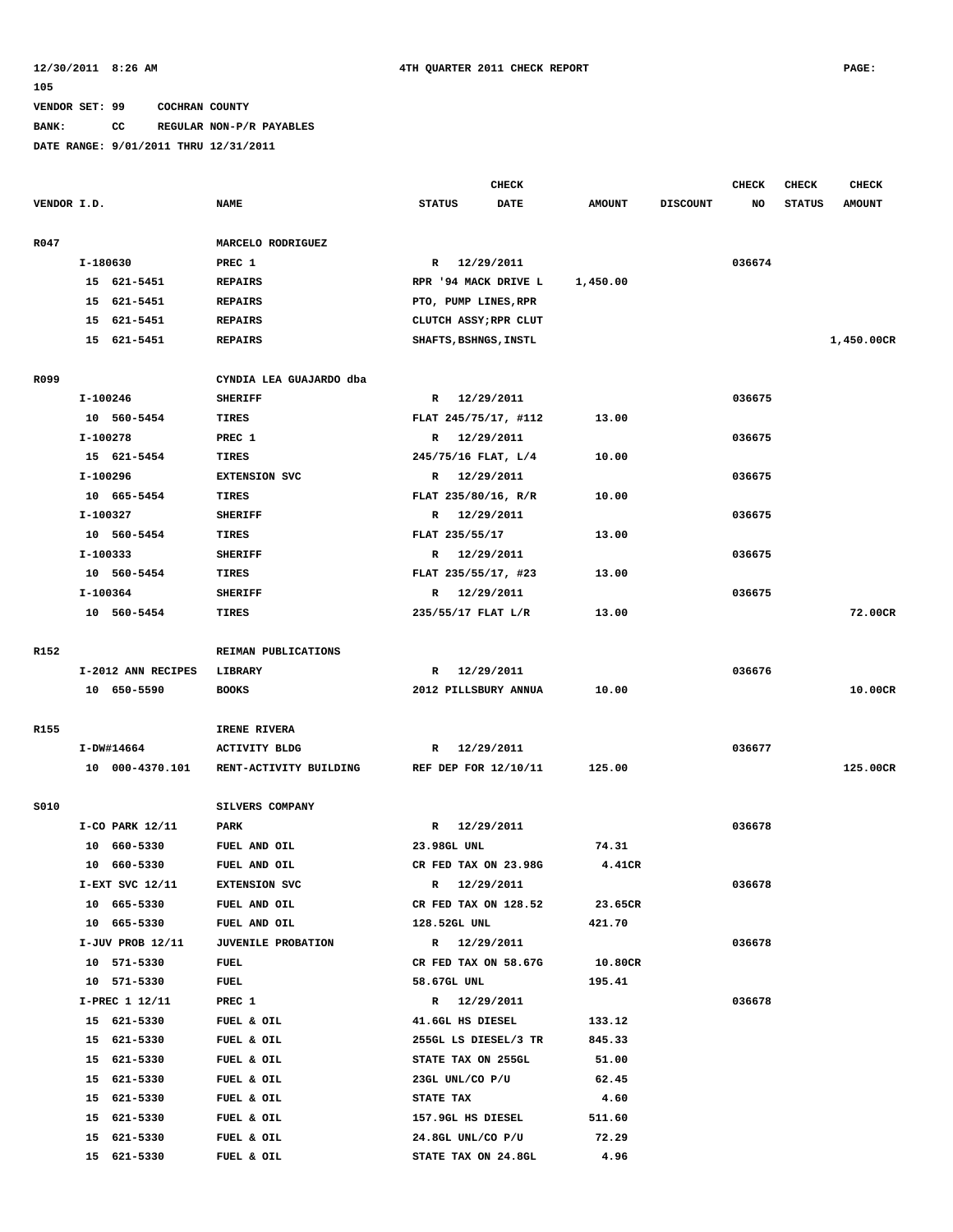### **VENDOR SET: 99 COCHRAN COUNTY BANK: CC REGULAR NON-P/R PAYABLES**

|             |                               |                                                |                                      | <b>CHECK</b> |               |                 | CHECK  | <b>CHECK</b>  | CHECK         |
|-------------|-------------------------------|------------------------------------------------|--------------------------------------|--------------|---------------|-----------------|--------|---------------|---------------|
| VENDOR I.D. |                               | <b>NAME</b>                                    | <b>STATUS</b>                        | <b>DATE</b>  | <b>AMOUNT</b> | <b>DISCOUNT</b> | NO     | <b>STATUS</b> | <b>AMOUNT</b> |
|             |                               |                                                |                                      |              |               |                 |        |               |               |
| R047        |                               | MARCELO RODRIGUEZ                              |                                      |              |               |                 |        |               |               |
|             | I-180630                      | PREC 1                                         | R 12/29/2011                         |              |               |                 | 036674 |               |               |
|             | 15 621-5451                   | <b>REPAIRS</b>                                 | RPR '94 MACK DRIVE L                 |              | 1,450.00      |                 |        |               |               |
|             | 15 621-5451                   | <b>REPAIRS</b>                                 | PTO, PUMP LINES, RPR                 |              |               |                 |        |               |               |
|             | 15 621-5451                   | <b>REPAIRS</b>                                 | CLUTCH ASSY; RPR CLUT                |              |               |                 |        |               |               |
|             | 15 621-5451                   | <b>REPAIRS</b>                                 | SHAFTS, BSHNGS, INSTL                |              |               |                 |        |               | 1,450.00CR    |
|             |                               |                                                |                                      |              |               |                 |        |               |               |
| R099        |                               | CYNDIA LEA GUAJARDO dba                        |                                      |              |               |                 |        |               |               |
|             | I-100246                      | <b>SHERIFF</b>                                 | R 12/29/2011                         |              |               |                 | 036675 |               |               |
|             | 10 560-5454                   | TIRES                                          | FLAT 245/75/17, #112                 |              | 13.00         |                 |        |               |               |
|             | I-100278                      | PREC 1                                         | R                                    | 12/29/2011   |               |                 | 036675 |               |               |
|             | 15 621-5454                   | TIRES                                          | 245/75/16 FLAT, L/4                  |              | 10.00         |                 |        |               |               |
|             | I-100296                      | <b>EXTENSION SVC</b>                           | R 12/29/2011                         |              |               |                 | 036675 |               |               |
|             | 10 665-5454                   | TIRES                                          | FLAT 235/80/16, R/R                  |              | 10.00         |                 |        |               |               |
|             | I-100327                      | <b>SHERIFF</b>                                 | R 12/29/2011                         |              |               |                 | 036675 |               |               |
|             | 10 560-5454                   | TIRES                                          | FLAT 235/55/17                       |              | 13.00         |                 |        |               |               |
|             | $I-100333$                    | <b>SHERIFF</b>                                 | R                                    | 12/29/2011   |               |                 | 036675 |               |               |
|             | 10 560-5454                   | TIRES                                          | FLAT 235/55/17, #23                  |              | 13.00         |                 |        |               |               |
|             | I-100364                      | <b>SHERIFF</b>                                 | R 12/29/2011                         |              |               |                 | 036675 |               |               |
|             | 10 560-5454                   | TIRES                                          | 235/55/17 FLAT L/R                   |              | 13.00         |                 |        |               | 72.00CR       |
|             |                               |                                                |                                      |              |               |                 |        |               |               |
| R152        |                               | REIMAN PUBLICATIONS                            |                                      |              |               |                 |        |               |               |
|             | I-2012 ANN RECIPES            | LIBRARY                                        | R                                    | 12/29/2011   |               |                 | 036676 |               |               |
|             | 10 650-5590                   | <b>BOOKS</b>                                   | 2012 PILLSBURY ANNUA                 |              | 10.00         |                 |        |               | 10.00CR       |
| R155        |                               |                                                |                                      |              |               |                 |        |               |               |
|             |                               | IRENE RIVERA                                   |                                      |              |               |                 |        |               |               |
|             | I-DW#14664<br>10 000-4370.101 | <b>ACTIVITY BLDG</b><br>RENT-ACTIVITY BUILDING | $\mathbb{R}$<br>REF DEP FOR 12/10/11 | 12/29/2011   | 125.00        |                 | 036677 |               | 125.00CR      |
|             |                               |                                                |                                      |              |               |                 |        |               |               |
| S010        |                               | SILVERS COMPANY                                |                                      |              |               |                 |        |               |               |
|             | $I-CO$ PARK $12/11$           | PARK                                           | R 12/29/2011                         |              |               |                 | 036678 |               |               |
|             | 10 660-5330                   | FUEL AND OIL                                   | 23.98GL UNL                          |              | 74.31         |                 |        |               |               |
|             | 10 660-5330                   | FUEL AND OIL                                   | CR FED TAX ON 23.98G                 |              | 4.41CR        |                 |        |               |               |
|             | $I-EXT$ SVC $12/11$           | EXTENSION SVC                                  | R 12/29/2011                         |              |               |                 | 036678 |               |               |
|             | 10 665-5330                   | FUEL AND OIL                                   | CR FED TAX ON 128.52                 |              | 23.65CR       |                 |        |               |               |
|             | 10 665-5330                   | FUEL AND OIL                                   | 128.52GL UNL                         |              | 421.70        |                 |        |               |               |
|             | I-JUV PROB 12/11              | JUVENILE PROBATION                             | R 12/29/2011                         |              |               |                 | 036678 |               |               |
|             | 10 571-5330                   | FUEL                                           | CR FED TAX ON 58.67G                 |              | 10.80CR       |                 |        |               |               |
|             | 10 571-5330                   | FUEL                                           | 58.67GL UNL                          |              | 195.41        |                 |        |               |               |
|             | I-PREC 1 12/11                | PREC 1                                         | R 12/29/2011                         |              |               |                 | 036678 |               |               |
|             | 15 621-5330                   | FUEL & OIL                                     | 41.6GL HS DIESEL                     |              | 133.12        |                 |        |               |               |
|             | 15 621-5330                   | FUEL & OIL                                     | 255GL LS DIESEL/3 TR                 |              | 845.33        |                 |        |               |               |
|             | 15 621-5330                   | FUEL & OIL                                     | STATE TAX ON 255GL                   |              | 51.00         |                 |        |               |               |
|             | 15 621-5330                   | FUEL & OIL                                     | 23GL UNL/CO P/U                      |              | 62.45         |                 |        |               |               |
|             | 15 621-5330                   | FUEL & OIL                                     | <b>STATE TAX</b>                     |              | 4.60          |                 |        |               |               |
|             | 15 621-5330                   | FUEL & OIL                                     | 157.9GL HS DIESEL                    |              | 511.60        |                 |        |               |               |
|             | 15 621-5330                   | FUEL & OIL                                     | 24.8GL UNL/CO P/U                    |              | 72.29         |                 |        |               |               |
|             | 15 621-5330                   | FUEL & OIL                                     | STATE TAX ON 24.8GL                  |              | 4.96          |                 |        |               |               |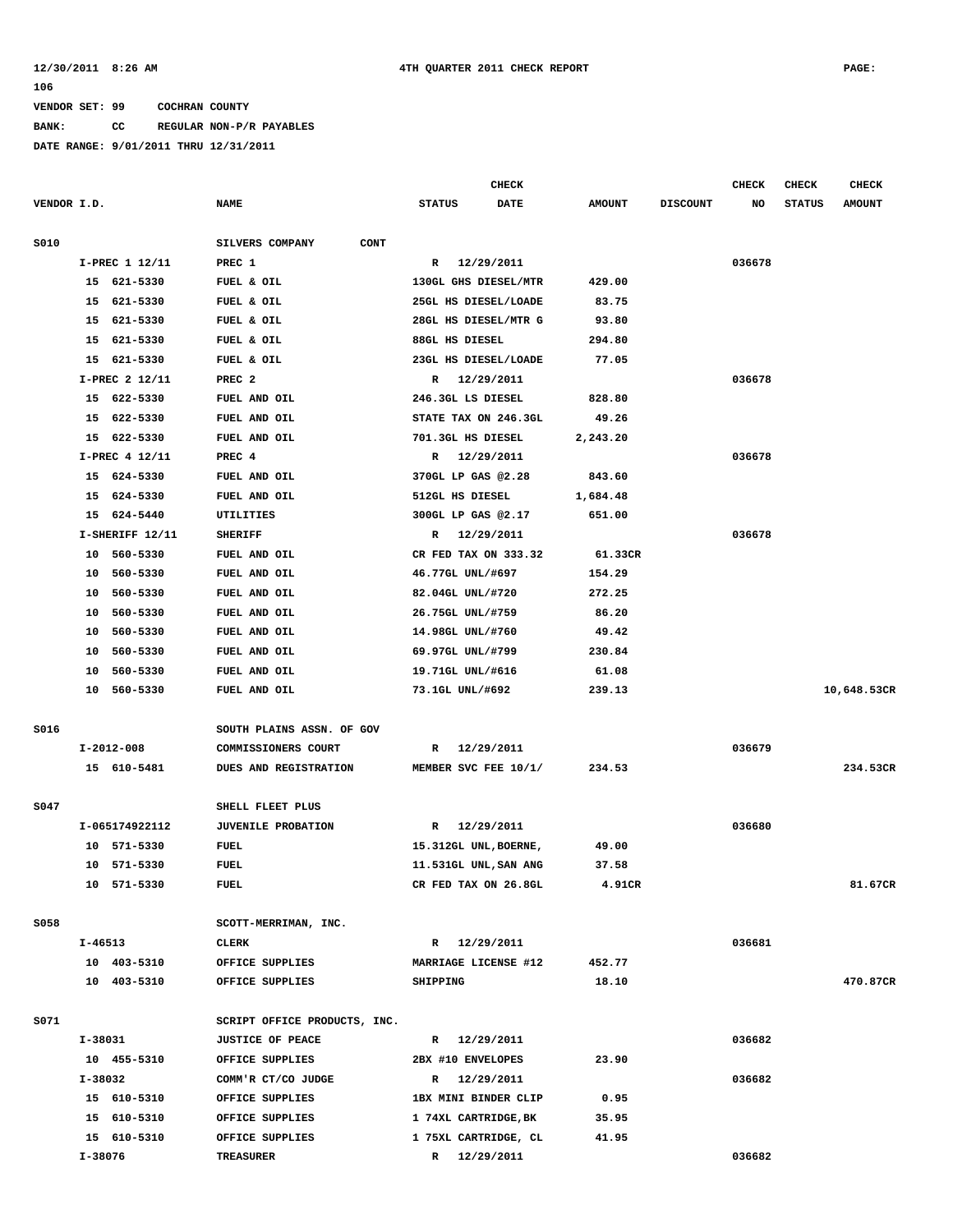### **VENDOR SET: 99 COCHRAN COUNTY BANK: CC REGULAR NON-P/R PAYABLES DATE RANGE: 9/01/2011 THRU 12/31/2011**

|             |                 |                              | CHECK                 |               |                 | <b>CHECK</b> | <b>CHECK</b>  | <b>CHECK</b>  |
|-------------|-----------------|------------------------------|-----------------------|---------------|-----------------|--------------|---------------|---------------|
| VENDOR I.D. |                 | <b>NAME</b>                  | <b>STATUS</b><br>DATE | <b>AMOUNT</b> | <b>DISCOUNT</b> | NO           | <b>STATUS</b> | <b>AMOUNT</b> |
| S010        |                 | SILVERS COMPANY<br>CONT      |                       |               |                 |              |               |               |
|             | I-PREC 1 12/11  | PREC 1                       | 12/29/2011<br>R       |               |                 | 036678       |               |               |
|             | 15 621-5330     | FUEL & OIL                   | 130GL GHS DIESEL/MTR  | 429.00        |                 |              |               |               |
|             | 15 621-5330     | FUEL & OIL                   | 25GL HS DIESEL/LOADE  | 83.75         |                 |              |               |               |
|             | 15<br>621-5330  | FUEL & OIL                   | 28GL HS DIESEL/MTR G  | 93.80         |                 |              |               |               |
|             | 15 621-5330     | FUEL & OIL                   | 88GL HS DIESEL        | 294.80        |                 |              |               |               |
|             | 15 621-5330     | FUEL & OIL                   | 23GL HS DIESEL/LOADE  | 77.05         |                 |              |               |               |
|             | I-PREC 2 12/11  | PREC <sub>2</sub>            | 12/29/2011<br>R       |               |                 | 036678       |               |               |
|             | 15 622-5330     | FUEL AND OIL                 | 246.3GL LS DIESEL     | 828.80        |                 |              |               |               |
|             | 15 622-5330     | FUEL AND OIL                 | STATE TAX ON 246.3GL  | 49.26         |                 |              |               |               |
|             | 15 622-5330     | FUEL AND OIL                 | 701.3GL HS DIESEL     | 2,243.20      |                 |              |               |               |
|             | I-PREC 4 12/11  | PREC 4                       | R 12/29/2011          |               |                 | 036678       |               |               |
|             | 15 624-5330     | FUEL AND OIL                 | 370GL LP GAS @2.28    | 843.60        |                 |              |               |               |
|             | 15<br>624-5330  | FUEL AND OIL                 | 512GL HS DIESEL       | 1,684.48      |                 |              |               |               |
|             | 15 624-5440     | UTILITIES                    | 300GL LP GAS @2.17    | 651.00        |                 |              |               |               |
|             | I-SHERIFF 12/11 | <b>SHERIFF</b>               | R 12/29/2011          |               |                 | 036678       |               |               |
|             | 10 560-5330     | FUEL AND OIL                 | CR FED TAX ON 333.32  | 61.33CR       |                 |              |               |               |
|             | 10 560-5330     | FUEL AND OIL                 | 46.77GL UNL/#697      | 154.29        |                 |              |               |               |
|             | 560-5330<br>10  | FUEL AND OIL                 | 82.04GL UNL/#720      | 272.25        |                 |              |               |               |
|             | 10<br>560-5330  | FUEL AND OIL                 | 26.75GL UNL/#759      | 86.20         |                 |              |               |               |
|             | 560-5330<br>10  | FUEL AND OIL                 | 14.98GL UNL/#760      | 49.42         |                 |              |               |               |
|             | 560-5330<br>10  | FUEL AND OIL                 | 69.97GL UNL/#799      | 230.84        |                 |              |               |               |
|             | 10<br>560-5330  | FUEL AND OIL                 | 19.71GL UNL/#616      | 61.08         |                 |              |               |               |
|             | 10 560-5330     | FUEL AND OIL                 | 73.1GL UNL/#692       | 239.13        |                 |              |               | 10,648.53CR   |
|             |                 |                              |                       |               |                 |              |               |               |
| S016        |                 | SOUTH PLAINS ASSN. OF GOV    |                       |               |                 |              |               |               |
|             | I-2012-008      | COMMISSIONERS COURT          | R 12/29/2011          |               |                 | 036679       |               |               |
|             | 15 610-5481     | DUES AND REGISTRATION        | MEMBER SVC FEE 10/1/  | 234.53        |                 |              |               | 234.53CR      |
| S047        |                 | SHELL FLEET PLUS             |                       |               |                 |              |               |               |
|             | I-065174922112  | <b>JUVENILE PROBATION</b>    | R<br>12/29/2011       |               |                 | 036680       |               |               |
|             | 10 571-5330     | FUEL                         | 15.312GL UNL, BOERNE, | 49.00         |                 |              |               |               |
|             | 10 571-5330     | <b>FUEL</b>                  | 11.531GL UNL, SAN ANG | 37.58         |                 |              |               |               |
|             | 10 571-5330     | FUEL                         | CR FED TAX ON 26.8GL  | 4.91CR        |                 |              |               | 81.67CR       |
|             |                 |                              |                       |               |                 |              |               |               |
| S058        |                 | SCOTT-MERRIMAN, INC.         |                       |               |                 |              |               |               |
|             | $I - 46513$     | CLERK                        | R 12/29/2011          |               |                 | 036681       |               |               |
|             | 10 403-5310     | OFFICE SUPPLIES              | MARRIAGE LICENSE #12  | 452.77        |                 |              |               |               |
|             | 10 403-5310     | OFFICE SUPPLIES              | SHIPPING              | 18.10         |                 |              |               | 470.87CR      |
| S071        |                 | SCRIPT OFFICE PRODUCTS, INC. |                       |               |                 |              |               |               |
|             | I-38031         | <b>JUSTICE OF PEACE</b>      | R 12/29/2011          |               |                 | 036682       |               |               |
|             | 10 455-5310     | OFFICE SUPPLIES              | 2BX #10 ENVELOPES     | 23.90         |                 |              |               |               |
|             | $I - 38032$     | COMM'R CT/CO JUDGE           | R 12/29/2011          |               |                 | 036682       |               |               |
|             | 15 610-5310     | OFFICE SUPPLIES              | 1BX MINI BINDER CLIP  | 0.95          |                 |              |               |               |
|             | 15 610-5310     | OFFICE SUPPLIES              | 1 74XL CARTRIDGE, BK  | 35.95         |                 |              |               |               |
|             | 15 610-5310     | OFFICE SUPPLIES              | 1 75XL CARTRIDGE, CL  | 41.95         |                 |              |               |               |
|             | I-38076         | <b>TREASURER</b>             | R 12/29/2011          |               |                 | 036682       |               |               |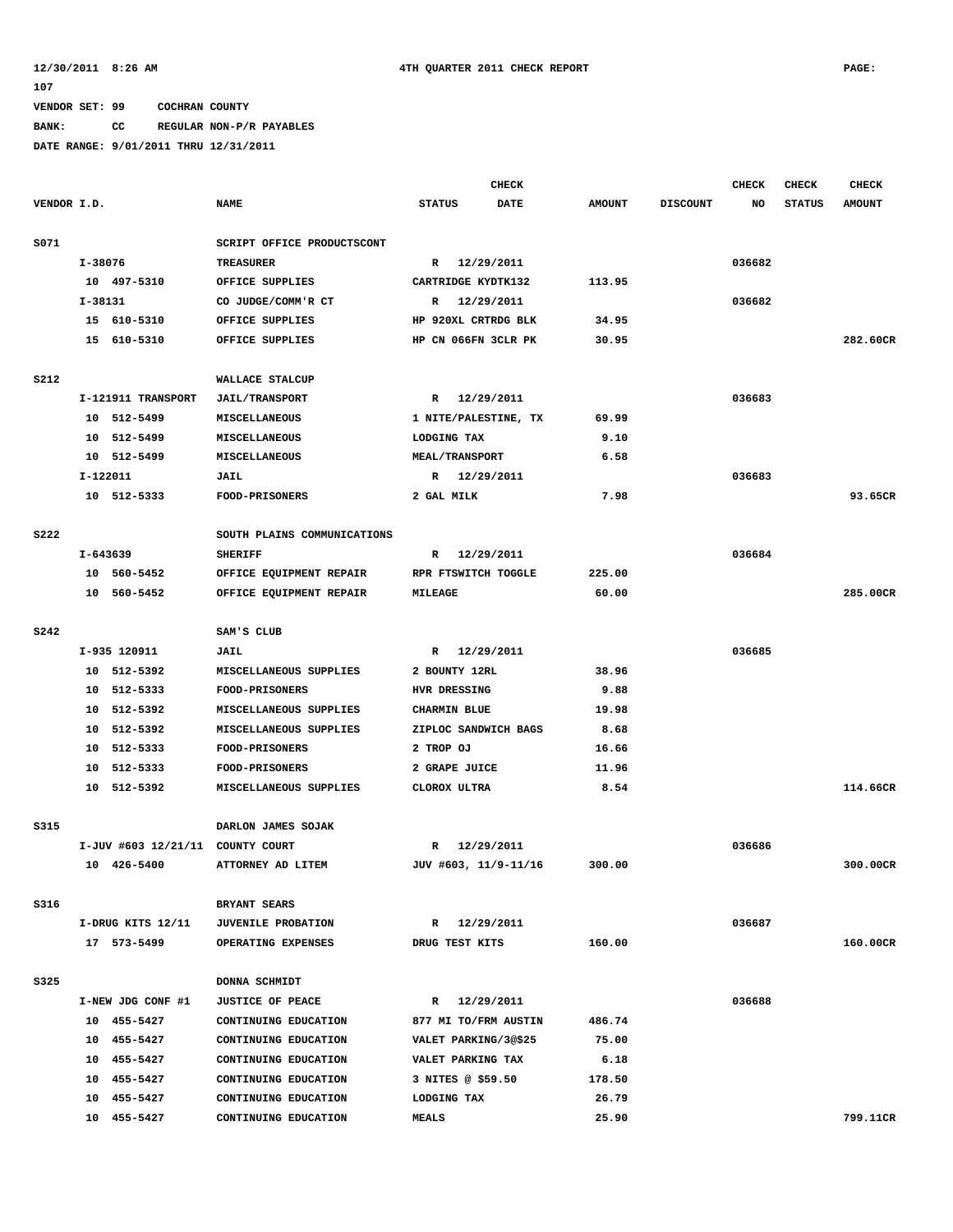# **VENDOR SET: 99 COCHRAN COUNTY**

## **BANK: CC REGULAR NON-P/R PAYABLES**

|             |                                  |                             | <b>CHECK</b>          |             |               | <b>CHECK</b>    | <b>CHECK</b> | <b>CHECK</b>  |               |
|-------------|----------------------------------|-----------------------------|-----------------------|-------------|---------------|-----------------|--------------|---------------|---------------|
| VENDOR I.D. |                                  | <b>NAME</b>                 | <b>STATUS</b>         | <b>DATE</b> | <b>AMOUNT</b> | <b>DISCOUNT</b> | NO           | <b>STATUS</b> | <b>AMOUNT</b> |
|             |                                  |                             |                       |             |               |                 |              |               |               |
| S071        |                                  | SCRIPT OFFICE PRODUCTSCONT  |                       |             |               |                 |              |               |               |
|             | I-38076                          | <b>TREASURER</b>            | 12/29/2011<br>R       |             |               |                 | 036682       |               |               |
|             | 10 497-5310                      | OFFICE SUPPLIES             | CARTRIDGE KYDTK132    |             | 113.95        |                 |              |               |               |
|             | I-38131                          | CO JUDGE/COMM'R CT          | R                     | 12/29/2011  |               |                 | 036682       |               |               |
|             | 15 610-5310                      | OFFICE SUPPLIES             | HP 920XL CRTRDG BLK   |             | 34.95         |                 |              |               |               |
|             | 15 610-5310                      | OFFICE SUPPLIES             | HP CN 066FN 3CLR PK   |             | 30.95         |                 |              |               | 282.60CR      |
|             |                                  |                             |                       |             |               |                 |              |               |               |
| S212        |                                  | <b>WALLACE STALCUP</b>      |                       |             |               |                 |              |               |               |
|             | I-121911 TRANSPORT               | <b>JAIL/TRANSPORT</b>       | R                     | 12/29/2011  |               |                 | 036683       |               |               |
|             | 10 512-5499                      | MISCELLANEOUS               | 1 NITE/PALESTINE, TX  |             | 69.99         |                 |              |               |               |
|             | 10 512-5499                      | <b>MISCELLANEOUS</b>        | LODGING TAX           |             | 9.10          |                 |              |               |               |
|             | 10 512-5499                      | MISCELLANEOUS               | <b>MEAL/TRANSPORT</b> |             | 6.58          |                 |              |               |               |
|             | I-122011                         | JAIL                        | R                     | 12/29/2011  |               |                 | 036683       |               |               |
|             | 10 512-5333                      | <b>FOOD-PRISONERS</b>       | 2 GAL MILK            |             | 7.98          |                 |              |               | 93.65CR       |
|             |                                  |                             |                       |             |               |                 |              |               |               |
| <b>S222</b> |                                  | SOUTH PLAINS COMMUNICATIONS |                       |             |               |                 |              |               |               |
|             | I-643639                         | <b>SHERIFF</b>              | R                     | 12/29/2011  |               |                 | 036684       |               |               |
|             | 10 560-5452                      | OFFICE EQUIPMENT REPAIR     | RPR FTSWITCH TOGGLE   |             | 225.00        |                 |              |               |               |
|             | 10 560-5452                      | OFFICE EQUIPMENT REPAIR     | <b>MILEAGE</b>        |             | 60.00         |                 |              |               | 285.00CR      |
|             |                                  |                             |                       |             |               |                 |              |               |               |
| S242        |                                  | SAM'S CLUB                  |                       |             |               |                 |              |               |               |
|             | I-935 120911                     | JAIL                        | $\mathbb{R}$          | 12/29/2011  |               |                 | 036685       |               |               |
|             | 10 512-5392                      | MISCELLANEOUS SUPPLIES      | 2 BOUNTY 12RL         |             | 38.96         |                 |              |               |               |
|             | 10 512-5333                      | <b>FOOD-PRISONERS</b>       | HVR DRESSING          |             | 9.88          |                 |              |               |               |
|             | 10 512-5392                      | MISCELLANEOUS SUPPLIES      | <b>CHARMIN BLUE</b>   |             | 19.98         |                 |              |               |               |
|             | 10 512-5392                      | MISCELLANEOUS SUPPLIES      | ZIPLOC SANDWICH BAGS  |             | 8.68          |                 |              |               |               |
|             | 10 512-5333                      | <b>FOOD-PRISONERS</b>       | 2 TROP OJ             |             | 16.66         |                 |              |               |               |
|             | 512-5333<br>10                   | <b>FOOD-PRISONERS</b>       | 2 GRAPE JUICE         |             | 11.96         |                 |              |               |               |
|             | 10 512-5392                      | MISCELLANEOUS SUPPLIES      | CLOROX ULTRA          |             | 8.54          |                 |              |               | 114.66CR      |
|             |                                  |                             |                       |             |               |                 |              |               |               |
| S315        |                                  | DARLON JAMES SOJAK          |                       |             |               |                 |              |               |               |
|             | I-JUV #603 12/21/11 COUNTY COURT |                             | R                     | 12/29/2011  |               |                 | 036686       |               |               |
|             | 10 426-5400                      | ATTORNEY AD LITEM           | JUV #603, 11/9-11/16  |             | 300.00        |                 |              |               | 300.00CR      |
|             |                                  |                             |                       |             |               |                 |              |               |               |
| S316        |                                  | BRYANT SEARS                |                       |             |               |                 |              |               |               |
|             | I-DRUG KITS 12/11                | <b>JUVENILE PROBATION</b>   | R                     | 12/29/2011  |               |                 | 036687       |               |               |
|             | 17 573-5499                      | OPERATING EXPENSES          | DRUG TEST KITS        |             | 160.00        |                 |              |               | 160.00CR      |
| S325        |                                  | DONNA SCHMIDT               |                       |             |               |                 |              |               |               |
|             | I-NEW JDG CONF #1                | <b>JUSTICE OF PEACE</b>     | R 12/29/2011          |             |               |                 | 036688       |               |               |
|             | 10 455-5427                      | CONTINUING EDUCATION        | 877 MI TO/FRM AUSTIN  |             | 486.74        |                 |              |               |               |
|             | 10 455-5427                      | CONTINUING EDUCATION        | VALET PARKING/3@\$25  |             | 75.00         |                 |              |               |               |
|             | 10 455-5427                      | CONTINUING EDUCATION        | VALET PARKING TAX     |             | 6.18          |                 |              |               |               |
|             | 10 455-5427                      | CONTINUING EDUCATION        | 3 NITES @ \$59.50     |             | 178.50        |                 |              |               |               |
|             | 10 455-5427                      | CONTINUING EDUCATION        | LODGING TAX           |             | 26.79         |                 |              |               |               |
|             | 10 455-5427                      | CONTINUING EDUCATION        | <b>MEALS</b>          |             | 25.90         |                 |              |               | 799.11CR      |
|             |                                  |                             |                       |             |               |                 |              |               |               |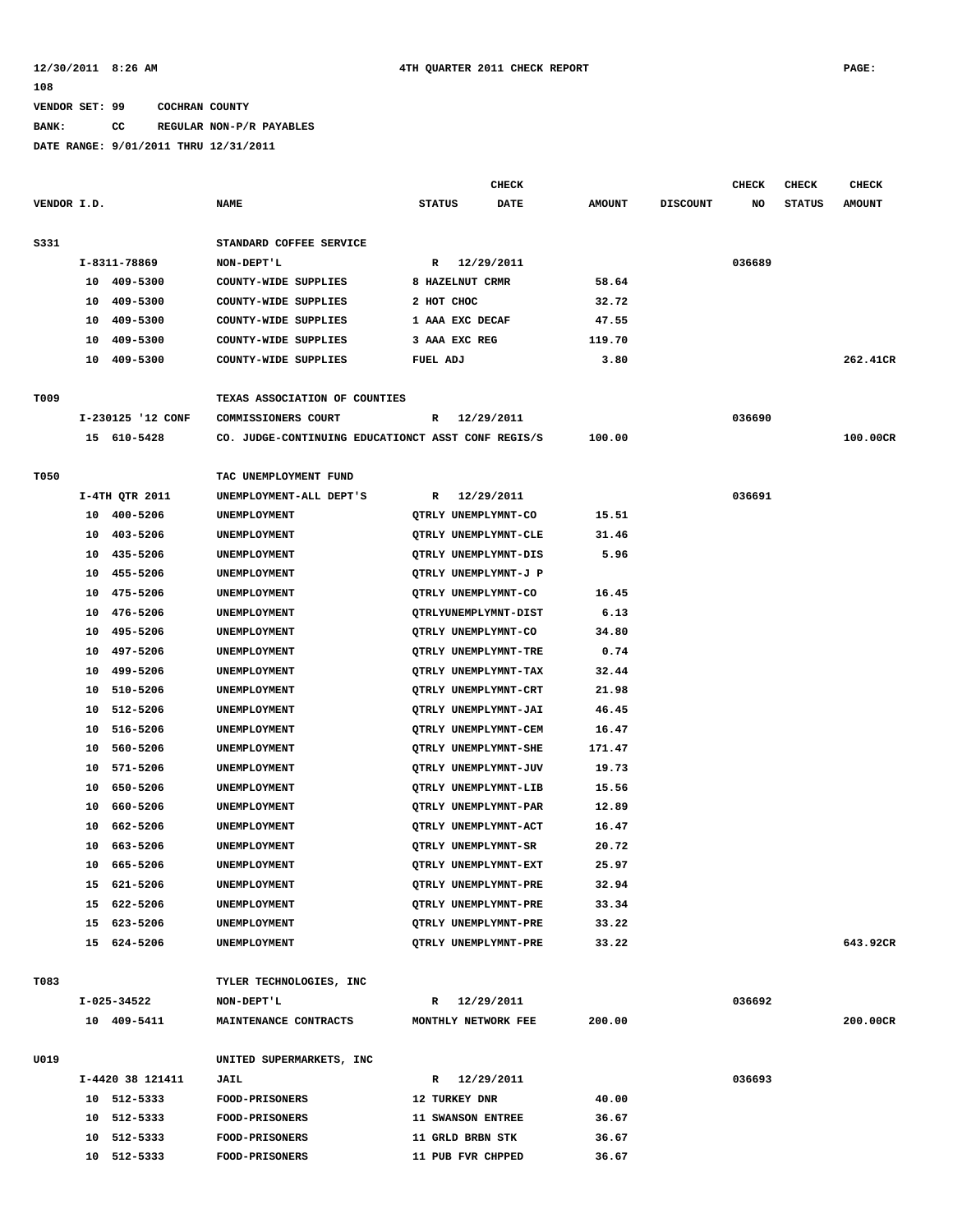# **VENDOR SET: 99 COCHRAN COUNTY**

**BANK: CC REGULAR NON-P/R PAYABLES**

|             |             |                            |                                                    |                                       |              | <b>CHECK</b>         |                |                 | CHECK  | <b>CHECK</b>  | <b>CHECK</b>  |
|-------------|-------------|----------------------------|----------------------------------------------------|---------------------------------------|--------------|----------------------|----------------|-----------------|--------|---------------|---------------|
| VENDOR I.D. |             |                            | <b>NAME</b>                                        | <b>STATUS</b>                         |              | DATE                 | <b>AMOUNT</b>  | <b>DISCOUNT</b> | NO     | <b>STATUS</b> | <b>AMOUNT</b> |
|             |             |                            |                                                    |                                       |              |                      |                |                 |        |               |               |
| S331        |             |                            | STANDARD COFFEE SERVICE                            |                                       |              |                      |                |                 |        |               |               |
|             |             | I-8311-78869               | NON-DEPT'L                                         | R                                     |              | 12/29/2011           |                |                 | 036689 |               |               |
|             |             | 10 409-5300                | COUNTY-WIDE SUPPLIES                               | 8 HAZELNUT CRMR                       |              |                      | 58.64          |                 |        |               |               |
|             | 10          | 409-5300                   | COUNTY-WIDE SUPPLIES                               | 2 HOT CHOC                            |              |                      | 32.72          |                 |        |               |               |
|             | 10          | 409-5300                   | COUNTY-WIDE SUPPLIES                               | 1 AAA EXC DECAF                       |              |                      | 47.55          |                 |        |               |               |
|             | 10          | 409-5300                   | COUNTY-WIDE SUPPLIES                               | 3 AAA EXC REG                         |              |                      | 119.70         |                 |        |               |               |
|             | 10          | 409-5300                   | COUNTY-WIDE SUPPLIES                               | FUEL ADJ                              |              |                      | 3.80           |                 |        |               | 262.41CR      |
|             |             |                            |                                                    |                                       |              |                      |                |                 |        |               |               |
| T009        |             |                            | TEXAS ASSOCIATION OF COUNTIES                      |                                       |              |                      |                |                 |        |               |               |
|             |             | I-230125 '12 CONF          | COMMISSIONERS COURT                                | R                                     |              | 12/29/2011           |                |                 | 036690 |               |               |
|             |             | 15 610-5428                | CO. JUDGE-CONTINUING EDUCATIONCT ASST CONF REGIS/S |                                       |              |                      | 100.00         |                 |        |               | 100.00CR      |
|             |             |                            |                                                    |                                       |              |                      |                |                 |        |               |               |
| T050        |             |                            | TAC UNEMPLOYMENT FUND                              |                                       |              |                      |                |                 |        |               |               |
|             |             | I-4TH QTR 2011             | UNEMPLOYMENT-ALL DEPT'S                            | R                                     |              | 12/29/2011           |                |                 | 036691 |               |               |
|             |             | 10 400-5206                | UNEMPLOYMENT                                       |                                       |              | QTRLY UNEMPLYMNT-CO  | 15.51          |                 |        |               |               |
|             | 10          | 403-5206                   | UNEMPLOYMENT                                       |                                       |              | QTRLY UNEMPLYMNT-CLE | 31.46          |                 |        |               |               |
|             | 10          | 435-5206                   | UNEMPLOYMENT                                       |                                       |              | QTRLY UNEMPLYMNT-DIS | 5.96           |                 |        |               |               |
|             |             | 10 455-5206                | UNEMPLOYMENT                                       |                                       |              | QTRLY UNEMPLYMNT-J P |                |                 |        |               |               |
|             | 10          | 475-5206                   | UNEMPLOYMENT                                       |                                       |              | QTRLY UNEMPLYMNT-CO  | 16.45          |                 |        |               |               |
|             | 10          | 476-5206                   | UNEMPLOYMENT                                       |                                       |              | QTRLYUNEMPLYMNT-DIST | 6.13           |                 |        |               |               |
|             | 10          | 495-5206                   | UNEMPLOYMENT                                       |                                       |              | QTRLY UNEMPLYMNT-CO  | 34.80          |                 |        |               |               |
|             | 10          | 497-5206                   | UNEMPLOYMENT                                       |                                       |              | QTRLY UNEMPLYMNT-TRE | 0.74           |                 |        |               |               |
|             | 10          | 499-5206                   | UNEMPLOYMENT                                       |                                       |              | QTRLY UNEMPLYMNT-TAX | 32.44          |                 |        |               |               |
|             | 10          | 510-5206                   | UNEMPLOYMENT                                       |                                       |              | QTRLY UNEMPLYMNT-CRT | 21.98          |                 |        |               |               |
|             | 10          | 512-5206                   | UNEMPLOYMENT                                       |                                       |              | QTRLY UNEMPLYMNT-JAI | 46.45          |                 |        |               |               |
|             | 10          | 516-5206                   | UNEMPLOYMENT                                       |                                       |              | QTRLY UNEMPLYMNT-CEM | 16.47          |                 |        |               |               |
|             | 10          | 560-5206                   | UNEMPLOYMENT                                       |                                       |              | QTRLY UNEMPLYMNT-SHE | 171.47         |                 |        |               |               |
|             | 10          | 571-5206                   | UNEMPLOYMENT                                       |                                       |              | QTRLY UNEMPLYMNT-JUV | 19.73          |                 |        |               |               |
|             | 10          | 650-5206                   | UNEMPLOYMENT                                       |                                       |              | QTRLY UNEMPLYMNT-LIB | 15.56          |                 |        |               |               |
|             | 10          | 660-5206                   | UNEMPLOYMENT                                       |                                       |              | QTRLY UNEMPLYMNT-PAR | 12.89          |                 |        |               |               |
|             | 10          | 662-5206                   | UNEMPLOYMENT                                       |                                       |              | QTRLY UNEMPLYMNT-ACT | 16.47          |                 |        |               |               |
|             | 10          | 663–5206                   | UNEMPLOYMENT                                       |                                       |              | QTRLY UNEMPLYMNT-SR  | 20.72          |                 |        |               |               |
|             | 10          | 665-5206                   | UNEMPLOYMENT                                       |                                       |              | QTRLY UNEMPLYMNT-EXT | 25.97          |                 |        |               |               |
|             |             | 15 621-5206                | UNEMPLOYMENT                                       |                                       |              | QTRLY UNEMPLYMNT-PRE | 32.94          |                 |        |               |               |
|             |             | 15 622-5206                | UNEMPLOYMENT                                       |                                       |              | QTRLY UNEMPLYMNT-PRE | 33.34          |                 |        |               |               |
|             |             | 15 623-5206                | UNEMPLOYMENT                                       |                                       |              | QTRLY UNEMPLYMNT-PRE | 33.22          |                 |        |               |               |
|             |             | 15 624-5206                | UNEMPLOYMENT                                       |                                       |              | QTRLY UNEMPLYMNT-PRE | 33.22          |                 |        |               | 643.92CR      |
|             |             |                            |                                                    |                                       |              |                      |                |                 |        |               |               |
| T083        |             |                            | TYLER TECHNOLOGIES, INC                            |                                       |              |                      |                |                 |        |               |               |
|             | I-025-34522 |                            | NON-DEPT'L                                         | R                                     |              | 12/29/2011           |                |                 | 036692 |               |               |
|             |             | 10 409-5411                | MAINTENANCE CONTRACTS                              |                                       |              | MONTHLY NETWORK FEE  | 200.00         |                 |        |               | 200.00CR      |
|             |             |                            |                                                    |                                       |              |                      |                |                 |        |               |               |
| U019        |             |                            | UNITED SUPERMARKETS, INC                           |                                       |              |                      |                |                 |        |               |               |
|             |             | I-4420 38 121411           | <b>JAIL</b>                                        |                                       | R 12/29/2011 |                      |                |                 | 036693 |               |               |
|             |             | 10 512-5333                | <b>FOOD-PRISONERS</b>                              | 12 TURKEY DNR                         |              |                      | 40.00          |                 |        |               |               |
|             |             | 10 512-5333                | <b>FOOD-PRISONERS</b>                              | 11 SWANSON ENTREE                     |              |                      | 36.67          |                 |        |               |               |
|             |             | 10 512-5333<br>10 512-5333 | <b>FOOD-PRISONERS</b><br><b>FOOD-PRISONERS</b>     | 11 GRLD BRBN STK<br>11 PUB FVR CHPPED |              |                      | 36.67<br>36.67 |                 |        |               |               |
|             |             |                            |                                                    |                                       |              |                      |                |                 |        |               |               |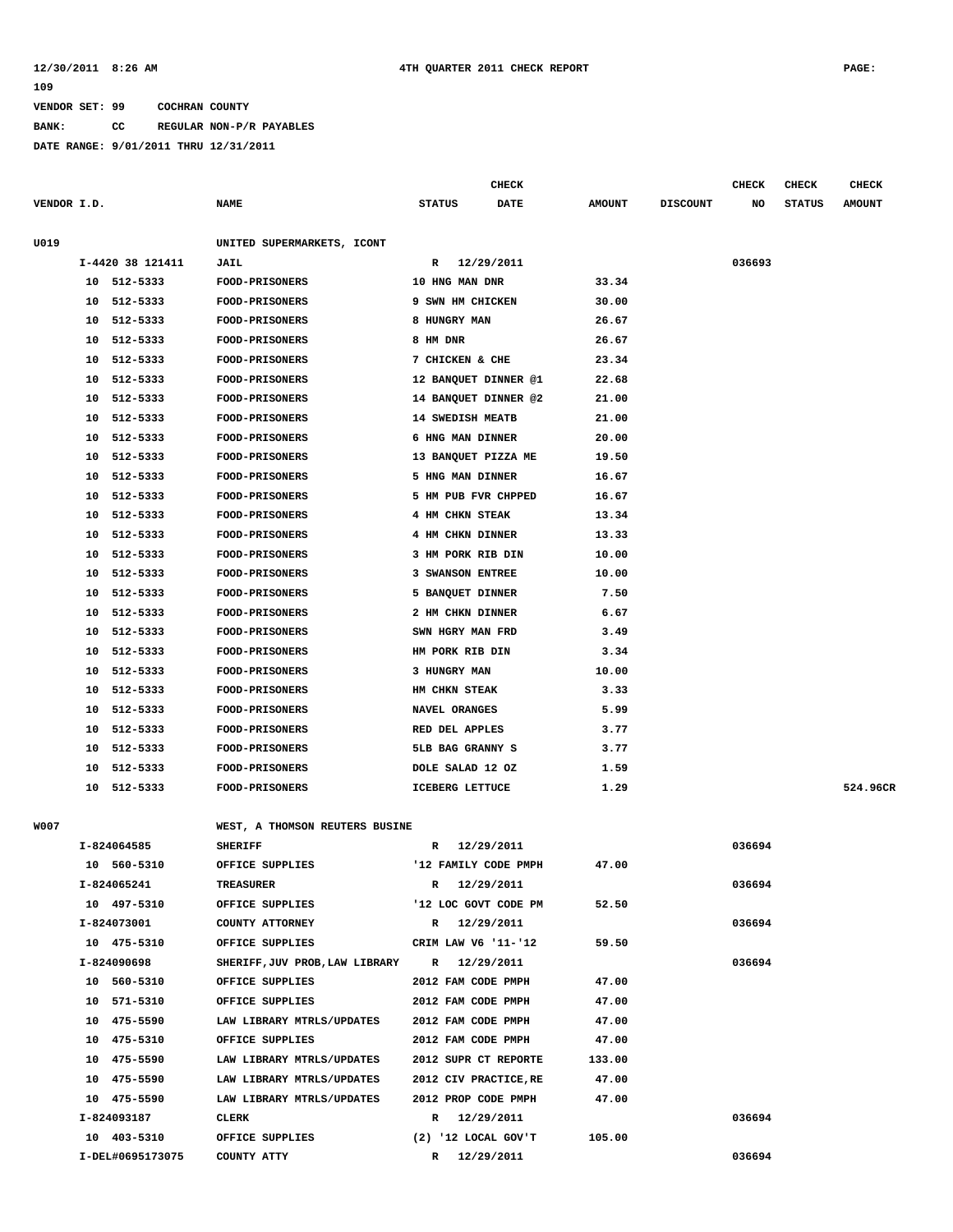### **VENDOR SET: 99 COCHRAN COUNTY BANK: CC REGULAR NON-P/R PAYABLES**

|             |    |                            |                                    |               | <b>CHECK</b>         |               |                 | CHECK  | <b>CHECK</b>  | <b>CHECK</b>  |
|-------------|----|----------------------------|------------------------------------|---------------|----------------------|---------------|-----------------|--------|---------------|---------------|
| VENDOR I.D. |    |                            | <b>NAME</b>                        | <b>STATUS</b> | DATE                 | <b>AMOUNT</b> | <b>DISCOUNT</b> | NO     | <b>STATUS</b> | <b>AMOUNT</b> |
|             |    |                            |                                    |               |                      |               |                 |        |               |               |
| U019        |    | I-4420 38 121411           | UNITED SUPERMARKETS, ICONT<br>JAIL | $\mathbb{R}$  | 12/29/2011           |               |                 | 036693 |               |               |
|             |    |                            |                                    |               |                      | 33.34         |                 |        |               |               |
|             |    | 10 512-5333<br>10 512-5333 | <b>FOOD-PRISONERS</b>              |               | 10 HNG MAN DNR       | 30.00         |                 |        |               |               |
|             |    |                            | <b>FOOD-PRISONERS</b>              |               | 9 SWN HM CHICKEN     |               |                 |        |               |               |
|             |    | 10 512-5333                | <b>FOOD-PRISONERS</b>              | 8 HUNGRY MAN  |                      | 26.67         |                 |        |               |               |
|             |    | 10 512-5333                | <b>FOOD-PRISONERS</b>              | 8 HM DNR      |                      | 26.67         |                 |        |               |               |
|             | 10 | 512-5333                   | <b>FOOD-PRISONERS</b>              |               | 7 CHICKEN & CHE      | 23.34         |                 |        |               |               |
|             | 10 | 512-5333                   | <b>FOOD-PRISONERS</b>              |               | 12 BANQUET DINNER @1 | 22.68         |                 |        |               |               |
|             | 10 | 512-5333                   | <b>FOOD-PRISONERS</b>              |               | 14 BANQUET DINNER @2 | 21.00         |                 |        |               |               |
|             | 10 | 512-5333                   | <b>FOOD-PRISONERS</b>              |               | 14 SWEDISH MEATB     | 21.00         |                 |        |               |               |
|             |    | 10 512-5333                | <b>FOOD-PRISONERS</b>              |               | 6 HNG MAN DINNER     | 20.00         |                 |        |               |               |
|             | 10 | 512-5333                   | <b>FOOD-PRISONERS</b>              |               | 13 BANQUET PIZZA ME  | 19.50         |                 |        |               |               |
|             | 10 | 512-5333                   | <b>FOOD-PRISONERS</b>              |               | 5 HNG MAN DINNER     | 16.67         |                 |        |               |               |
|             | 10 | 512-5333                   | <b>FOOD-PRISONERS</b>              |               | 5 HM PUB FVR CHPPED  | 16.67         |                 |        |               |               |
|             | 10 | 512-5333                   | <b>FOOD-PRISONERS</b>              |               | 4 HM CHKN STEAK      | 13.34         |                 |        |               |               |
|             | 10 | 512-5333                   | <b>FOOD-PRISONERS</b>              |               | 4 HM CHKN DINNER     | 13.33         |                 |        |               |               |
|             | 10 | 512-5333                   | FOOD-PRISONERS                     |               | 3 HM PORK RIB DIN    | 10.00         |                 |        |               |               |
|             | 10 | 512-5333                   | <b>FOOD-PRISONERS</b>              |               | 3 SWANSON ENTREE     | 10.00         |                 |        |               |               |
|             |    | 10 512-5333                | <b>FOOD-PRISONERS</b>              |               | 5 BANQUET DINNER     | 7.50          |                 |        |               |               |
|             | 10 | 512-5333                   | <b>FOOD-PRISONERS</b>              |               | 2 HM CHKN DINNER     | 6.67          |                 |        |               |               |
|             | 10 | 512-5333                   | <b>FOOD-PRISONERS</b>              |               | SWN HGRY MAN FRD     | 3.49          |                 |        |               |               |
|             | 10 | 512-5333                   | <b>FOOD-PRISONERS</b>              |               | HM PORK RIB DIN      | 3.34          |                 |        |               |               |
|             | 10 | 512-5333                   | <b>FOOD-PRISONERS</b>              | 3 HUNGRY MAN  |                      | 10.00         |                 |        |               |               |
|             | 10 | 512-5333                   | <b>FOOD-PRISONERS</b>              | HM CHKN STEAK |                      | 3.33          |                 |        |               |               |
|             | 10 | 512-5333                   | <b>FOOD-PRISONERS</b>              | NAVEL ORANGES |                      | 5.99          |                 |        |               |               |
|             | 10 | 512-5333                   | <b>FOOD-PRISONERS</b>              |               | RED DEL APPLES       | 3.77          |                 |        |               |               |
|             | 10 | 512-5333                   | <b>FOOD-PRISONERS</b>              |               | 5LB BAG GRANNY S     | 3.77          |                 |        |               |               |
|             | 10 | 512-5333                   | <b>FOOD-PRISONERS</b>              |               | DOLE SALAD 12 OZ     | 1.59          |                 |        |               |               |
|             | 10 | 512-5333                   | <b>FOOD-PRISONERS</b>              |               | ICEBERG LETTUCE      | 1.29          |                 |        |               | 524.96CR      |
| <b>W007</b> |    |                            | WEST, A THOMSON REUTERS BUSINE     |               |                      |               |                 |        |               |               |

| I-824064585      | <b>SHERIFF</b>                 | 12/29/2011<br>$\mathbf{R}$ |        | 036694 |
|------------------|--------------------------------|----------------------------|--------|--------|
| 10 560-5310      | OFFICE SUPPLIES                | '12 FAMILY CODE PMPH       | 47.00  |        |
| I-824065241      | <b>TREASURER</b>               | 12/29/2011<br>$\mathbf{R}$ |        | 036694 |
| 10 497-5310      | OFFICE SUPPLIES                | '12 LOC GOVT CODE PM       | 52.50  |        |
| I-824073001      | COUNTY ATTORNEY                | $\mathbf{R}$<br>12/29/2011 |        | 036694 |
| 10 475-5310      | OFFICE SUPPLIES                | CRIM LAW V6 '11-'12        | 59.50  |        |
| I-824090698      | SHERIFF, JUV PROB, LAW LIBRARY | R 12/29/2011               |        | 036694 |
| 10 560-5310      | OFFICE SUPPLIES                | 2012 FAM CODE PMPH         | 47.00  |        |
| 571-5310<br>10   | OFFICE SUPPLIES                | 2012 FAM CODE PMPH         | 47.00  |        |
| 10 475-5590      | LAW LIBRARY MTRLS/UPDATES      | 2012 FAM CODE PMPH         | 47.00  |        |
| 475-5310<br>10   | OFFICE SUPPLIES                | 2012 FAM CODE PMPH         | 47.00  |        |
| 475-5590<br>10   | LAW LIBRARY MTRLS/UPDATES      | 2012 SUPR CT REPORTE       | 133.00 |        |
| 10 475-5590      | LAW LIBRARY MTRLS/UPDATES      | 2012 CIV PRACTICE.RE       | 47.00  |        |
| 10 475-5590      | LAW LIBRARY MTRLS/UPDATES      | 2012 PROP CODE PMPH        | 47.00  |        |
| I-824093187      | <b>CLERK</b>                   | 12/29/2011<br>$\mathbb{R}$ |        | 036694 |
| 10 403-5310      | OFFICE SUPPLIES                | $(2)$ '12 LOCAL GOV'T      | 105.00 |        |
| I-DEL#0695173075 | COUNTY ATTY                    | 12/29/2011<br>$\mathbf{R}$ |        | 036694 |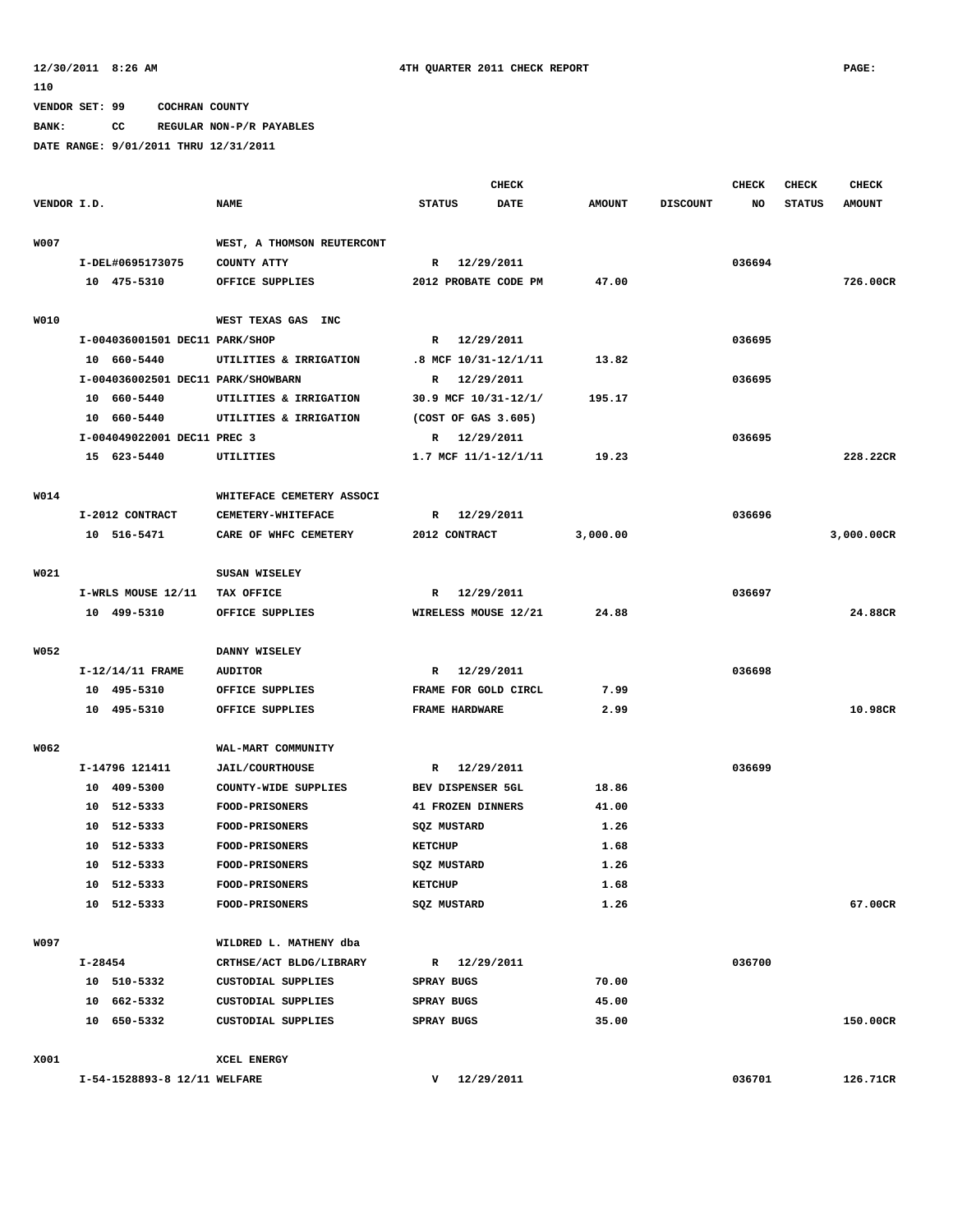### **VENDOR SET: 99 COCHRAN COUNTY BANK: CC REGULAR NON-P/R PAYABLES**

|             |                                    |                            |                            | <b>CHECK</b> |               |                 | CHECK  | <b>CHECK</b>  | <b>CHECK</b>  |
|-------------|------------------------------------|----------------------------|----------------------------|--------------|---------------|-----------------|--------|---------------|---------------|
| VENDOR I.D. |                                    | <b>NAME</b>                | <b>STATUS</b>              | <b>DATE</b>  | <b>AMOUNT</b> | <b>DISCOUNT</b> | NO     | <b>STATUS</b> | <b>AMOUNT</b> |
|             |                                    |                            |                            |              |               |                 |        |               |               |
| W007        |                                    | WEST, A THOMSON REUTERCONT |                            |              |               |                 |        |               |               |
|             | I-DEL#0695173075                   | COUNTY ATTY                | R                          | 12/29/2011   |               |                 | 036694 |               |               |
|             | 10 475-5310                        | OFFICE SUPPLIES            | 2012 PROBATE CODE PM       |              | 47.00         |                 |        |               | 726.00CR      |
|             |                                    |                            |                            |              |               |                 |        |               |               |
| W010        |                                    | WEST TEXAS GAS INC         |                            |              |               |                 |        |               |               |
|             | I-004036001501 DEC11 PARK/SHOP     |                            | R 12/29/2011               |              |               |                 | 036695 |               |               |
|             | 10 660-5440                        | UTILITIES & IRRIGATION     | .8 MCF 10/31-12/1/11       |              | 13.82         |                 |        |               |               |
|             | I-004036002501 DEC11 PARK/SHOWBARN |                            | 12/29/2011<br>R            |              |               |                 | 036695 |               |               |
|             | 10 660-5440                        | UTILITIES & IRRIGATION     | 30.9 MCF 10/31-12/1/       |              | 195.17        |                 |        |               |               |
|             | 10 660-5440                        | UTILITIES & IRRIGATION     | (COST OF GAS 3.605)        |              |               |                 |        |               |               |
|             | I-004049022001 DEC11 PREC 3        |                            | 12/29/2011<br>R            |              |               |                 | 036695 |               |               |
|             | 15 623-5440                        | UTILITIES                  | 1.7 MCF 11/1-12/1/11       |              | 19.23         |                 |        |               | 228.22CR      |
| <b>W014</b> |                                    | WHITEFACE CEMETERY ASSOCI  |                            |              |               |                 |        |               |               |
|             | I-2012 CONTRACT                    | CEMETERY-WHITEFACE         | R                          | 12/29/2011   |               |                 | 036696 |               |               |
|             | 10 516-5471                        | CARE OF WHFC CEMETERY      | 2012 CONTRACT              |              | 3,000.00      |                 |        |               | 3,000.00CR    |
|             |                                    |                            |                            |              |               |                 |        |               |               |
| W021        |                                    | SUSAN WISELEY              |                            |              |               |                 |        |               |               |
|             | I-WRLS MOUSE 12/11                 | TAX OFFICE                 | 12/29/2011<br>$\mathbb{R}$ |              |               |                 | 036697 |               |               |
|             | 10 499-5310                        | OFFICE SUPPLIES            | WIRELESS MOUSE 12/21       |              | 24.88         |                 |        |               | 24.88CR       |
|             |                                    |                            |                            |              |               |                 |        |               |               |
| W052        |                                    | DANNY WISELEY              |                            |              |               |                 |        |               |               |
|             | I-12/14/11 FRAME                   | <b>AUDITOR</b>             | R                          | 12/29/2011   |               |                 | 036698 |               |               |
|             | 10 495-5310                        | OFFICE SUPPLIES            | FRAME FOR GOLD CIRCL       |              | 7.99          |                 |        |               |               |
|             | 10 495-5310                        | OFFICE SUPPLIES            | FRAME HARDWARE             |              | 2.99          |                 |        |               | 10.98CR       |
|             |                                    |                            |                            |              |               |                 |        |               |               |
| W062        |                                    | WAL-MART COMMUNITY         |                            |              |               |                 |        |               |               |
|             | I-14796 121411                     | <b>JAIL/COURTHOUSE</b>     | R 12/29/2011               |              |               |                 | 036699 |               |               |
|             | 10 409-5300                        | COUNTY-WIDE SUPPLIES       | BEV DISPENSER 5GL          |              | 18.86         |                 |        |               |               |
|             | 10 512-5333                        | FOOD-PRISONERS             | 41 FROZEN DINNERS          |              | 41.00         |                 |        |               |               |
|             | 10 512-5333                        | <b>FOOD-PRISONERS</b>      | SQZ MUSTARD                |              | 1.26          |                 |        |               |               |
|             | 512-5333<br>10                     | <b>FOOD-PRISONERS</b>      | <b>KETCHUP</b>             |              | 1.68          |                 |        |               |               |
|             | 10 512-5333                        | FOOD-PRISONERS             | SQZ MUSTARD                |              | 1.26          |                 |        |               |               |
|             | 10 512-5333                        | <b>FOOD-PRISONERS</b>      | <b>KETCHUP</b>             |              | 1.68          |                 |        |               |               |
|             | 10 512-5333                        | FOOD-PRISONERS             | SQZ MUSTARD                |              | 1.26          |                 |        |               | 67.00CR       |
|             |                                    |                            |                            |              |               |                 |        |               |               |
| W097        |                                    | WILDRED L. MATHENY dba     |                            |              |               |                 |        |               |               |
|             | I-28454                            | CRTHSE/ACT BLDG/LIBRARY    | R 12/29/2011               |              |               |                 | 036700 |               |               |
|             | 10 510-5332                        | CUSTODIAL SUPPLIES         | <b>SPRAY BUGS</b>          |              | 70.00         |                 |        |               |               |
|             | 10 662-5332                        | CUSTODIAL SUPPLIES         | SPRAY BUGS                 |              | 45.00         |                 |        |               |               |
|             | 10 650-5332                        | CUSTODIAL SUPPLIES         | SPRAY BUGS                 |              | 35.00         |                 |        |               | 150.00CR      |
| X001        |                                    | XCEL ENERGY                |                            |              |               |                 |        |               |               |
|             | I-54-1528893-8 12/11 WELFARE       |                            | v                          | 12/29/2011   |               |                 | 036701 |               | 126.71CR      |
|             |                                    |                            |                            |              |               |                 |        |               |               |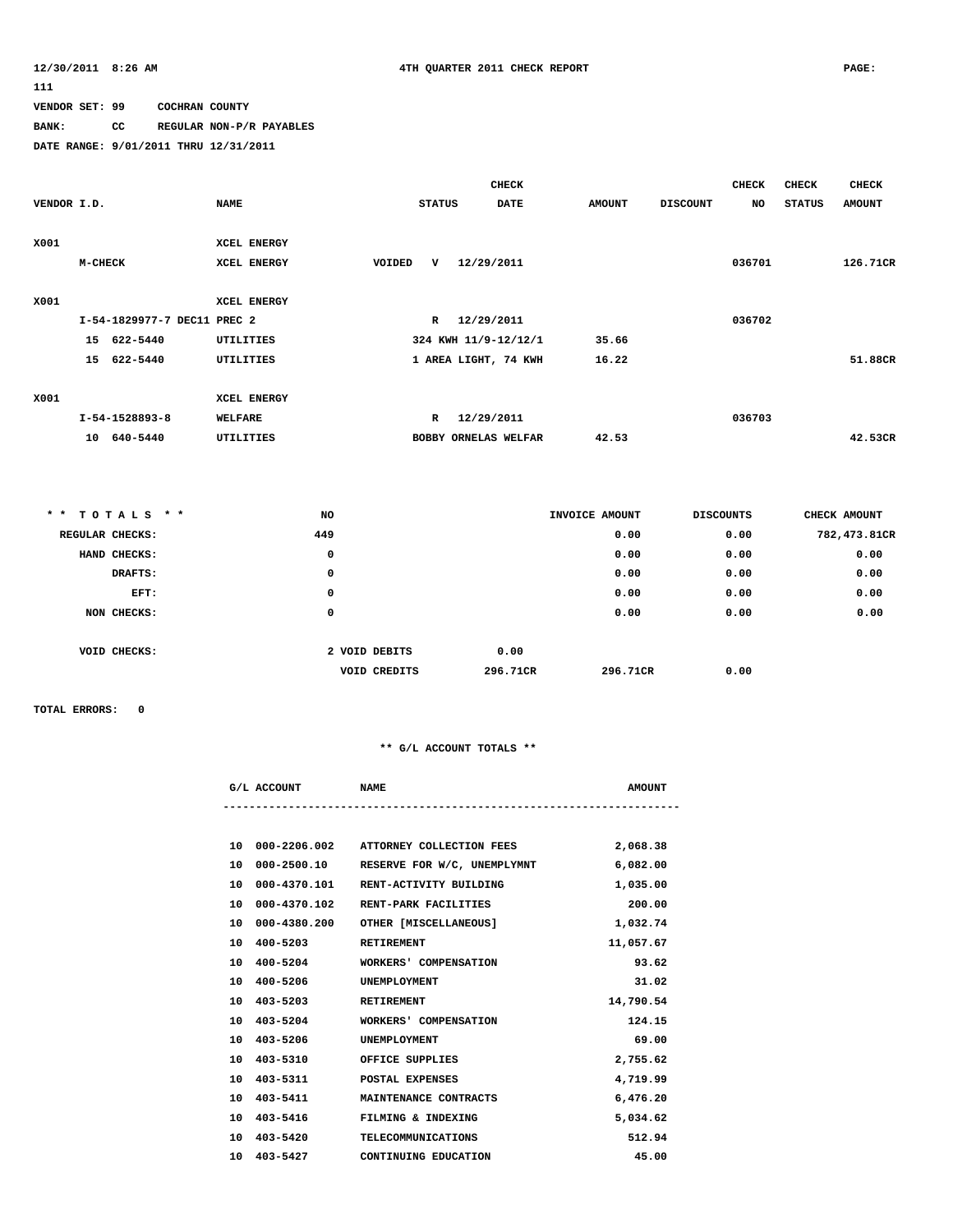**VENDOR SET: 99 COCHRAN COUNTY**

**BANK: CC REGULAR NON-P/R PAYABLES**

**DATE RANGE: 9/01/2011 THRU 12/31/2011**

|                |                  |                             |              |                               |                                                                                                                                       |                 | <b>CHECK</b> | <b>CHECK</b>  | <b>CHECK</b>  |
|----------------|------------------|-----------------------------|--------------|-------------------------------|---------------------------------------------------------------------------------------------------------------------------------------|-----------------|--------------|---------------|---------------|
| VENDOR I.D.    | <b>NAME</b>      |                             |              | DATE                          | <b>AMOUNT</b>                                                                                                                         | <b>DISCOUNT</b> | NO           | <b>STATUS</b> | <b>AMOUNT</b> |
|                |                  |                             |              |                               |                                                                                                                                       |                 |              |               |               |
|                | XCEL ENERGY      |                             |              |                               |                                                                                                                                       |                 |              |               |               |
| M-CHECK        | XCEL ENERGY      | VOIDED<br>v                 |              |                               |                                                                                                                                       |                 | 036701       |               | 126.71CR      |
|                |                  |                             |              |                               |                                                                                                                                       |                 |              |               |               |
|                | XCEL ENERGY      |                             |              |                               |                                                                                                                                       |                 |              |               |               |
|                |                  |                             |              |                               |                                                                                                                                       |                 | 036702       |               |               |
| 622-5440<br>15 | UTILITIES        |                             |              |                               | 35.66                                                                                                                                 |                 |              |               |               |
| 622-5440<br>15 | UTILITIES        |                             |              |                               | 16.22                                                                                                                                 |                 |              |               | 51.88CR       |
|                |                  |                             |              |                               |                                                                                                                                       |                 |              |               |               |
|                | XCEL ENERGY      |                             |              |                               |                                                                                                                                       |                 |              |               |               |
| I-54-1528893-8 | WELFARE          |                             |              |                               |                                                                                                                                       |                 | 036703       |               |               |
| 10 640-5440    | <b>UTILITIES</b> |                             |              |                               | 42.53                                                                                                                                 |                 |              |               | 42.53CR       |
|                |                  | I-54-1829977-7 DEC11 PREC 2 | $\mathbf{R}$ | <b>STATUS</b><br>$\mathbb{R}$ | <b>CHECK</b><br>12/29/2011<br>12/29/2011<br>324 KWH 11/9-12/12/1<br>1 AREA LIGHT, 74 KWH<br>12/29/2011<br><b>BOBBY ORNELAS WELFAR</b> |                 |              |               |               |

| ** TOTALS **    | <b>NO</b>           |          | INVOICE AMOUNT | <b>DISCOUNTS</b> | CHECK AMOUNT |
|-----------------|---------------------|----------|----------------|------------------|--------------|
| REGULAR CHECKS: | 449                 |          | 0.00           | 0.00             | 782,473.81CR |
| HAND CHECKS:    | 0                   |          | 0.00           | 0.00             | 0.00         |
| DRAFTS:         | 0                   |          | 0.00           | 0.00             | 0.00         |
| EFT:            | 0                   |          | 0.00           | 0.00             | 0.00         |
| NON CHECKS:     | 0                   |          | 0.00           | 0.00             | 0.00         |
|                 |                     |          |                |                  |              |
| VOID CHECKS:    | 2 VOID DEBITS       | 0.00     |                |                  |              |
|                 | <b>VOID CREDITS</b> | 296.71CR | 296.71CR       | 0.00             |              |

**TOTAL ERRORS: 0**

| AC <sup>r</sup><br>יזור<br>. | <b>NAME</b> |  |
|------------------------------|-------------|--|
|                              |             |  |

|    | 10 000-2206.002 | ATTORNEY COLLECTION FEES                  | 2,068.38  |
|----|-----------------|-------------------------------------------|-----------|
| 10 |                 | $000-2500.10$ RESERVE FOR W/C, UNEMPLYMNT | 6,082.00  |
| 10 | 000-4370.101    | RENT-ACTIVITY BUILDING                    | 1,035.00  |
|    |                 | 10 000-4370.102 RENT-PARK FACILITIES      | 200.00    |
|    | 10 000-4380.200 | OTHER [MISCELLANEOUS]                     | 1,032.74  |
| 10 | 400-5203        | <b>RETIREMENT</b>                         | 11,057.67 |
| 10 | 400-5204        | WORKERS' COMPENSATION                     | 93.62     |
|    | 10 400-5206     | UNEMPLOYMENT                              | 31.02     |
|    | 10 403-5203     | <b>RETIREMENT</b>                         | 14,790.54 |
|    | 10 403-5204     | WORKERS' COMPENSATION                     | 124.15    |
|    | 10 403-5206     | UNEMPLOYMENT                              | 69.00     |
|    | 10 403-5310     | OFFICE SUPPLIES                           | 2,755.62  |
|    | 10 403-5311     | POSTAL EXPENSES                           | 4,719.99  |
|    | 10 403-5411     | MAINTENANCE CONTRACTS                     | 6,476.20  |
|    | 10 403-5416     | FILMING & INDEXING                        | 5,034.62  |
| 10 | 403-5420        | <b>TELECOMMUNICATIONS</b>                 | 512.94    |
|    | 10 403-5427     | CONTINUING EDUCATION                      | 45.00     |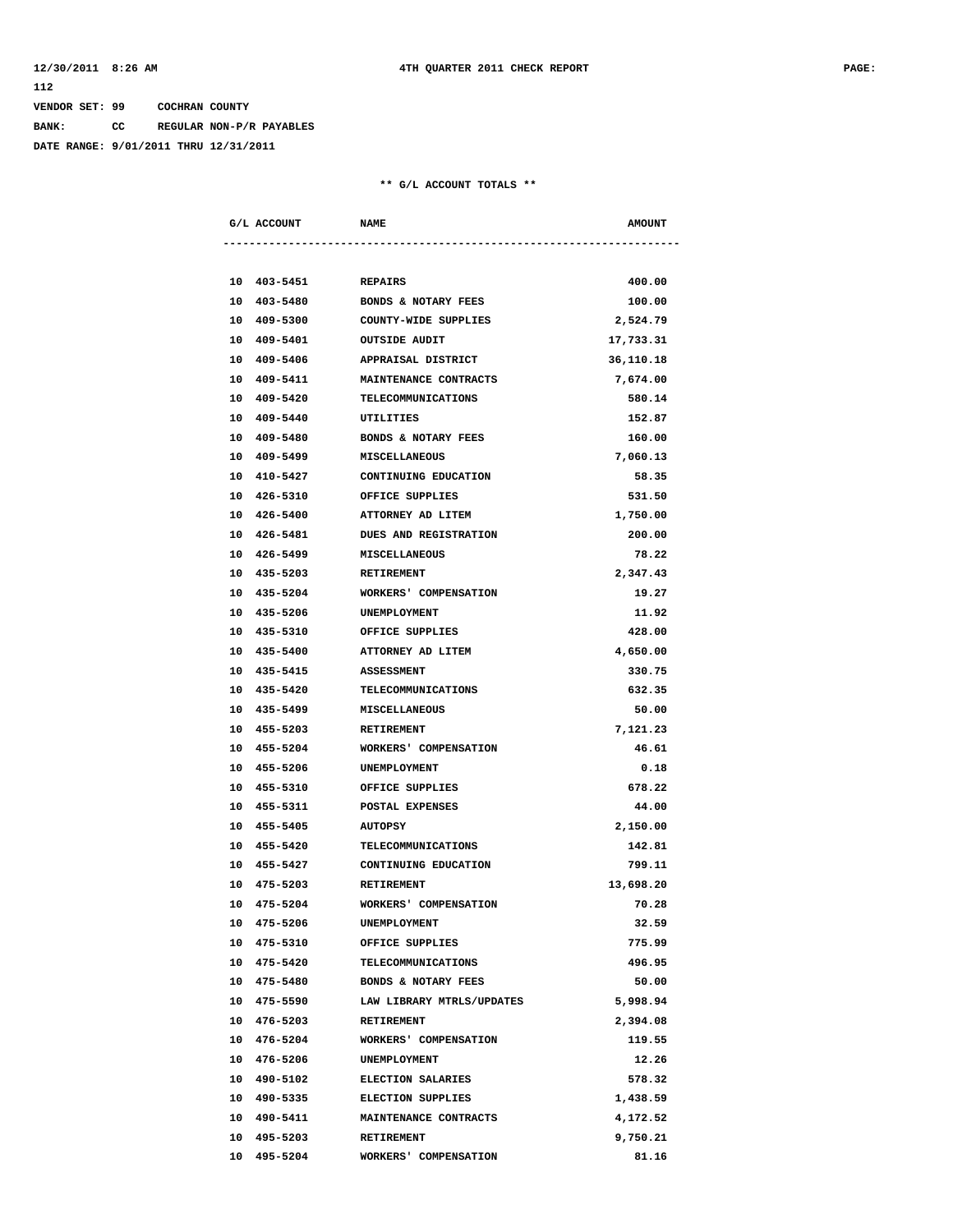| G/L ACCOUNT         | <b>NAME</b>                    | <b>AMOUNT</b> |
|---------------------|--------------------------------|---------------|
|                     |                                |               |
| 10 403-5451 REPAIRS |                                | 400.00        |
| 10 403-5480         | <b>BONDS &amp; NOTARY FEES</b> | 100.00        |
| 10 409-5300         | COUNTY-WIDE SUPPLIES           | 2,524.79      |
| 10 409-5401         | <b>OUTSIDE AUDIT</b>           | 17,733.31     |
| 10 409-5406         | APPRAISAL DISTRICT             | 36,110.18     |
| 10 409-5411         | MAINTENANCE CONTRACTS          | 7,674.00      |
| 10 409-5420         | <b>TELECOMMUNICATIONS</b>      | 580.14        |
| 10 409-5440         | UTILITIES                      | 152.87        |
| 10 409-5480         | BONDS & NOTARY FEES            | 160.00        |
| 10 409-5499         | MISCELLANEOUS                  | 7,060.13      |
| 10 410-5427         | CONTINUING EDUCATION           | 58.35         |
| 10 426-5310         | OFFICE SUPPLIES                | 531.50        |
| 10 426-5400         | ATTORNEY AD LITEM              | 1,750.00      |
| 10 426-5481         | DUES AND REGISTRATION          | 200.00        |
| 10 426-5499         | <b>MISCELLANEOUS</b>           | 78.22         |
| 10 435-5203         | <b>RETIREMENT</b>              | 2,347.43      |
| 10 435-5204         | WORKERS' COMPENSATION          | 19.27         |
| 10 435-5206         | UNEMPLOYMENT                   | 11.92         |
| 10 435-5310         | OFFICE SUPPLIES                | 428.00        |
| 10 435-5400         | ATTORNEY AD LITEM              | 4,650.00      |
| 10 435-5415         | <b>ASSESSMENT</b>              | 330.75        |
| 10 435-5420         | TELECOMMUNICATIONS             | 632.35        |
| 10 435-5499         | <b>MISCELLANEOUS</b>           | 50.00         |
| 10 455-5203         | <b>RETIREMENT</b>              | 7,121.23      |
| 10 455-5204         | WORKERS' COMPENSATION          | 46.61         |
| 10 455-5206         | UNEMPLOYMENT                   | 0.18          |
| 10 455-5310         | OFFICE SUPPLIES                | 678.22        |
| 10 455-5311         | POSTAL EXPENSES                | 44.00         |
| 10 455-5405         | <b>AUTOPSY</b>                 | 2,150.00      |
| 10 455-5420         | <b>TELECOMMUNICATIONS</b>      | 142.81        |
| 10 455-5427         | CONTINUING EDUCATION           | 799.11        |
| 10 475-5203         | <b>RETIREMENT</b>              | 13,698.20     |
| 10 475-5204         | <b>WORKERS' COMPENSATION</b>   | 70.28         |
| 10 475-5206         | UNEMPLOYMENT                   | 32.59         |
| 10 475-5310         | OFFICE SUPPLIES                | 775.99        |
| 10 475-5420         | <b>TELECOMMUNICATIONS</b>      | 496.95        |
| 10 475-5480         | BONDS & NOTARY FEES            | 50.00         |
| 10 475-5590         | LAW LIBRARY MTRLS/UPDATES      | 5,998.94      |
| 10 476-5203         | <b>RETIREMENT</b>              | 2,394.08      |
| 10 476-5204         | WORKERS' COMPENSATION          | 119.55        |
| 10 476-5206         | UNEMPLOYMENT                   | 12.26         |
| 10 490-5102         | ELECTION SALARIES              | 578.32        |
| 10 490-5335         | <b>ELECTION SUPPLIES</b>       | 1,438.59      |
| 10 490-5411         | MAINTENANCE CONTRACTS          | 4,172.52      |
| 10 495-5203         | RETIREMENT                     | 9,750.21      |
| 10 495-5204         | WORKERS' COMPENSATION          | 81.16         |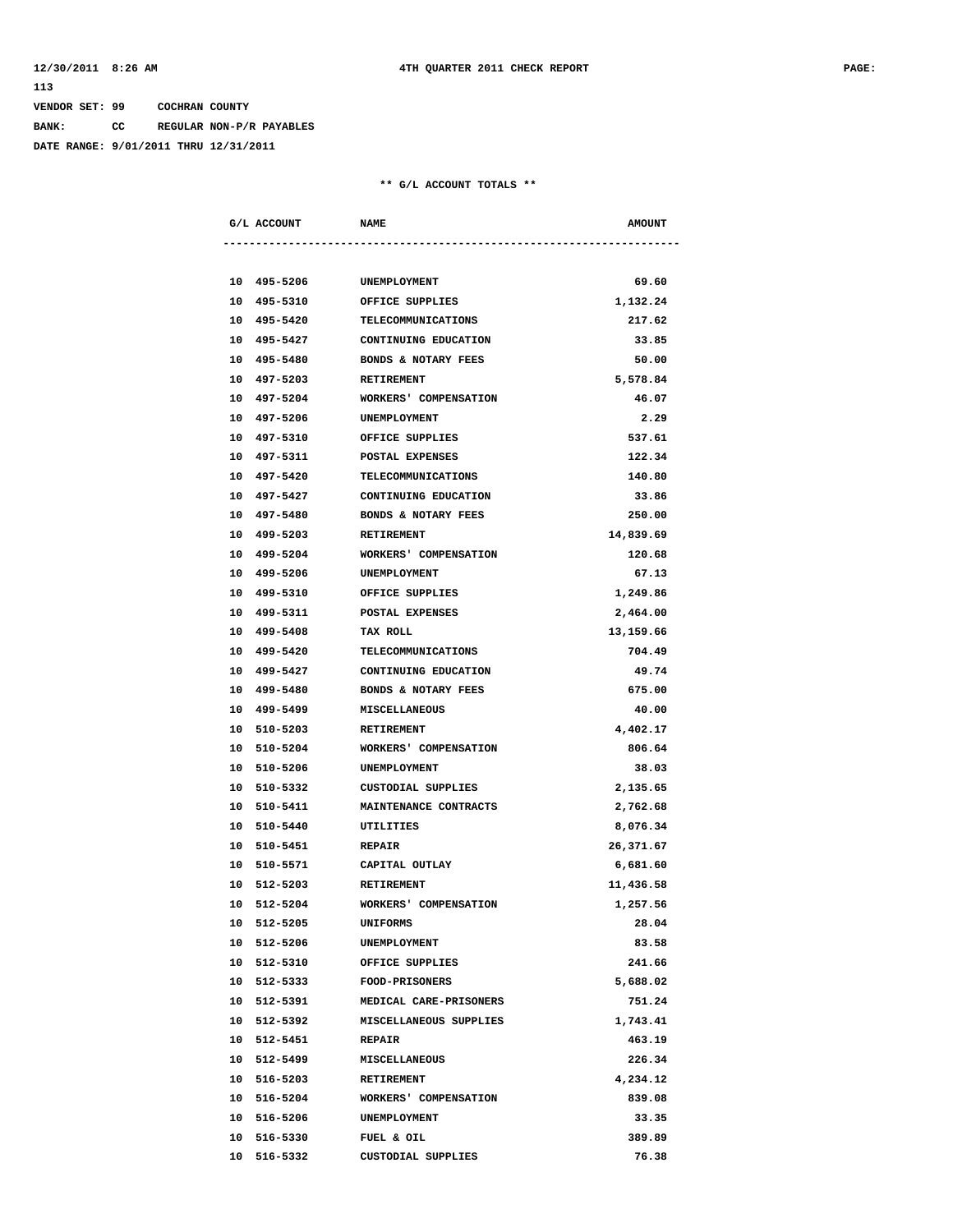|    | G/L ACCOUNT | <b>NAME</b>               | <b>AMOUNT</b> |
|----|-------------|---------------------------|---------------|
|    |             |                           |               |
|    | 10 495-5206 | UNEMPLOYMENT              | 69.60         |
|    | 10 495-5310 | OFFICE SUPPLIES           | 1,132.24      |
|    | 10 495-5420 | <b>TELECOMMUNICATIONS</b> | 217.62        |
|    | 10 495-5427 | CONTINUING EDUCATION      | 33.85         |
|    | 10 495-5480 | BONDS & NOTARY FEES       | 50.00         |
|    | 10 497-5203 | <b>RETIREMENT</b>         | 5,578.84      |
|    | 10 497-5204 | WORKERS' COMPENSATION     | 46.07         |
|    | 10 497-5206 | UNEMPLOYMENT              | 2.29          |
|    | 10 497-5310 | OFFICE SUPPLIES           | 537.61        |
|    | 10 497-5311 | POSTAL EXPENSES           | 122.34        |
|    | 10 497-5420 | <b>TELECOMMUNICATIONS</b> | 140.80        |
|    | 10 497-5427 | CONTINUING EDUCATION      | 33.86         |
|    | 10 497-5480 | BONDS & NOTARY FEES       | 250.00        |
|    | 10 499-5203 | <b>RETIREMENT</b>         | 14,839.69     |
|    | 10 499-5204 | WORKERS' COMPENSATION     | 120.68        |
|    | 10 499-5206 | UNEMPLOYMENT              | 67.13         |
|    | 10 499-5310 | OFFICE SUPPLIES           | 1,249.86      |
|    | 10 499-5311 | POSTAL EXPENSES           | 2,464.00      |
|    | 10 499-5408 | TAX ROLL                  | 13,159.66     |
|    | 10 499-5420 | TELECOMMUNICATIONS        | 704.49        |
|    | 10 499-5427 | CONTINUING EDUCATION      | 49.74         |
|    | 10 499-5480 | BONDS & NOTARY FEES       | 675.00        |
|    | 10 499-5499 | MISCELLANEOUS             | 40.00         |
|    | 10 510-5203 | RETIREMENT                | 4,402.17      |
|    | 10 510-5204 | WORKERS' COMPENSATION     | 806.64        |
|    | 10 510-5206 | UNEMPLOYMENT              | 38.03         |
|    | 10 510-5332 | CUSTODIAL SUPPLIES        | 2,135.65      |
|    | 10 510-5411 | MAINTENANCE CONTRACTS     | 2,762.68      |
|    | 10 510-5440 | UTILITIES                 | 8,076.34      |
|    | 10 510-5451 | <b>REPAIR</b>             | 26,371.67     |
|    | 10 510-5571 | CAPITAL OUTLAY            | 6,681.60      |
| 10 | 512-5203    | RETIREMENT                | 11,436.58     |
|    | 10 512-5204 | WORKERS' COMPENSATION     | 1,257.56      |
|    | 10 512-5205 | UNIFORMS                  | 28.04         |
|    | 10 512-5206 | UNEMPLOYMENT              | 83.58         |
|    | 10 512-5310 | OFFICE SUPPLIES           | 241.66        |
|    | 10 512-5333 | <b>FOOD-PRISONERS</b>     | 5,688.02      |
|    | 10 512-5391 | MEDICAL CARE-PRISONERS    | 751.24        |
|    | 10 512-5392 | MISCELLANEOUS SUPPLIES    | 1,743.41      |
|    | 10 512-5451 | <b>REPAIR</b>             | 463.19        |
|    | 10 512-5499 | MISCELLANEOUS             | 226.34        |
|    | 10 516-5203 | <b>RETIREMENT</b>         | 4,234.12      |
|    | 10 516-5204 | WORKERS' COMPENSATION     | 839.08        |
|    | 10 516-5206 | UNEMPLOYMENT              | 33.35         |
| 10 | 516-5330    | FUEL & OIL                | 389.89        |
|    | 10 516-5332 | CUSTODIAL SUPPLIES        | 76.38         |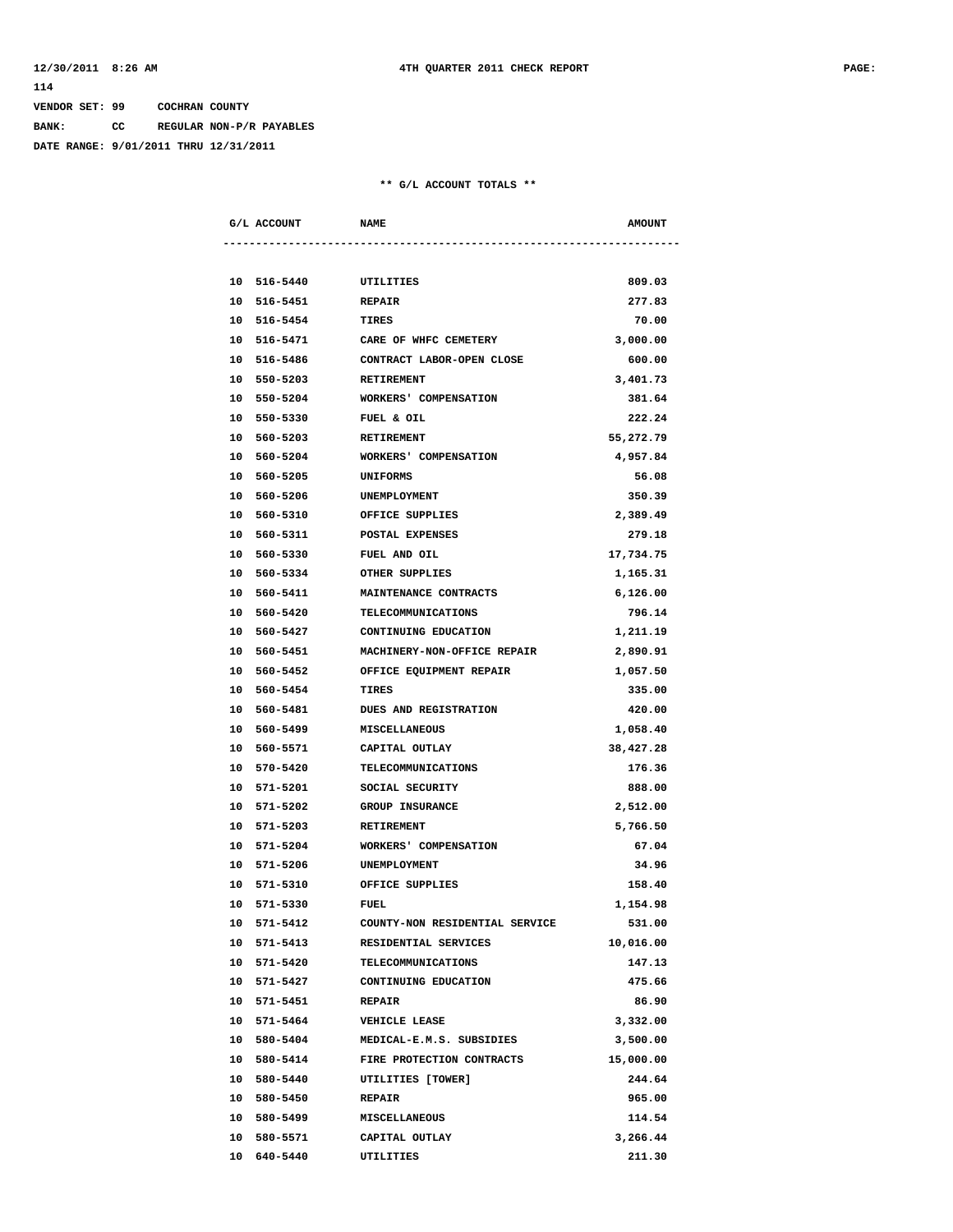| G/L ACCOUNT | <b>NAME</b>                                  | <b>AMOUNT</b>     |
|-------------|----------------------------------------------|-------------------|
|             |                                              |                   |
| 10 516-5440 | UTILITIES                                    | 809.03            |
| 10 516-5451 | <b>REPAIR</b>                                | 277.83            |
| 10 516-5454 | TIRES                                        | 70.00             |
| 10 516-5471 | CARE OF WHFC CEMETERY                        | 3,000.00          |
| 10 516-5486 | CONTRACT LABOR-OPEN CLOSE                    | 600.00            |
| 10 550-5203 | RETIREMENT                                   | 3,401.73          |
| 10 550-5204 | WORKERS' COMPENSATION                        | 381.64            |
| 10 550-5330 | FUEL & OIL                                   | 222.24            |
| 10 560-5203 | RETIREMENT                                   | 55,272.79         |
| 10 560-5204 | WORKERS' COMPENSATION                        | 4,957.84          |
| 10 560-5205 | UNIFORMS                                     | 56.08             |
| 10 560-5206 | UNEMPLOYMENT                                 | 350.39            |
| 10 560-5310 | OFFICE SUPPLIES                              | 2,389.49          |
| 10 560-5311 | POSTAL EXPENSES                              | 279.18            |
| 10 560-5330 | FUEL AND OIL                                 | 17,734.75         |
| 10 560-5334 | OTHER SUPPLIES                               | 1,165.31          |
| 10 560-5411 | <b>MAINTENANCE CONTRACTS</b>                 | 6,126.00          |
| 10 560-5420 | TELECOMMUNICATIONS                           | 796.14            |
| 10 560-5427 | CONTINUING EDUCATION                         | 1,211.19          |
| 10 560-5451 | MACHINERY-NON-OFFICE REPAIR                  | 2,890.91          |
| 10 560-5452 | OFFICE EQUIPMENT REPAIR                      | 1,057.50          |
| 10 560-5454 | TIRES                                        | 335.00            |
| 10 560-5481 | DUES AND REGISTRATION                        | 420.00            |
| 10 560-5499 | <b>MISCELLANEOUS</b>                         | 1,058.40          |
| 10 560-5571 | CAPITAL OUTLAY                               | 38,427.28         |
| 10 570-5420 | TELECOMMUNICATIONS                           | 176.36            |
| 10 571-5201 | SOCIAL SECURITY                              | 888.00            |
| 10 571-5202 | <b>GROUP INSURANCE</b>                       | 2,512.00          |
| 10 571-5203 | <b>RETIREMENT</b>                            |                   |
| 10 571-5204 |                                              | 5,766.50<br>67.04 |
| 10 571-5206 | WORKERS' COMPENSATION<br><b>UNEMPLOYMENT</b> | 34.96             |
| 10 571-5310 | OFFICE SUPPLIES                              | 158.40            |
| 10 571-5330 | <b>FUEL</b>                                  | 1,154.98          |
| 10 571-5412 | COUNTY-NON RESIDENTIAL SERVICE               | 531.00            |
| 10 571-5413 | RESIDENTIAL SERVICES                         | 10,016.00         |
| 10 571-5420 | TELECOMMUNICATIONS                           | 147.13            |
| 10 571-5427 | CONTINUING EDUCATION                         | 475.66            |
| 10 571-5451 | <b>REPAIR</b>                                | 86.90             |
| 10 571-5464 | VEHICLE LEASE                                | 3,332.00          |
| 10 580-5404 | MEDICAL-E.M.S. SUBSIDIES                     | 3,500.00          |
| 10 580-5414 | FIRE PROTECTION CONTRACTS                    | 15,000.00         |
| 10 580-5440 | UTILITIES [TOWER]                            | 244.64            |
| 10 580-5450 | <b>REPAIR</b>                                | 965.00            |
| 10 580-5499 | MISCELLANEOUS                                | 114.54            |
| 10 580-5571 | CAPITAL OUTLAY                               | 3,266.44          |
| 10 640-5440 | UTILITIES                                    | 211.30            |
|             |                                              |                   |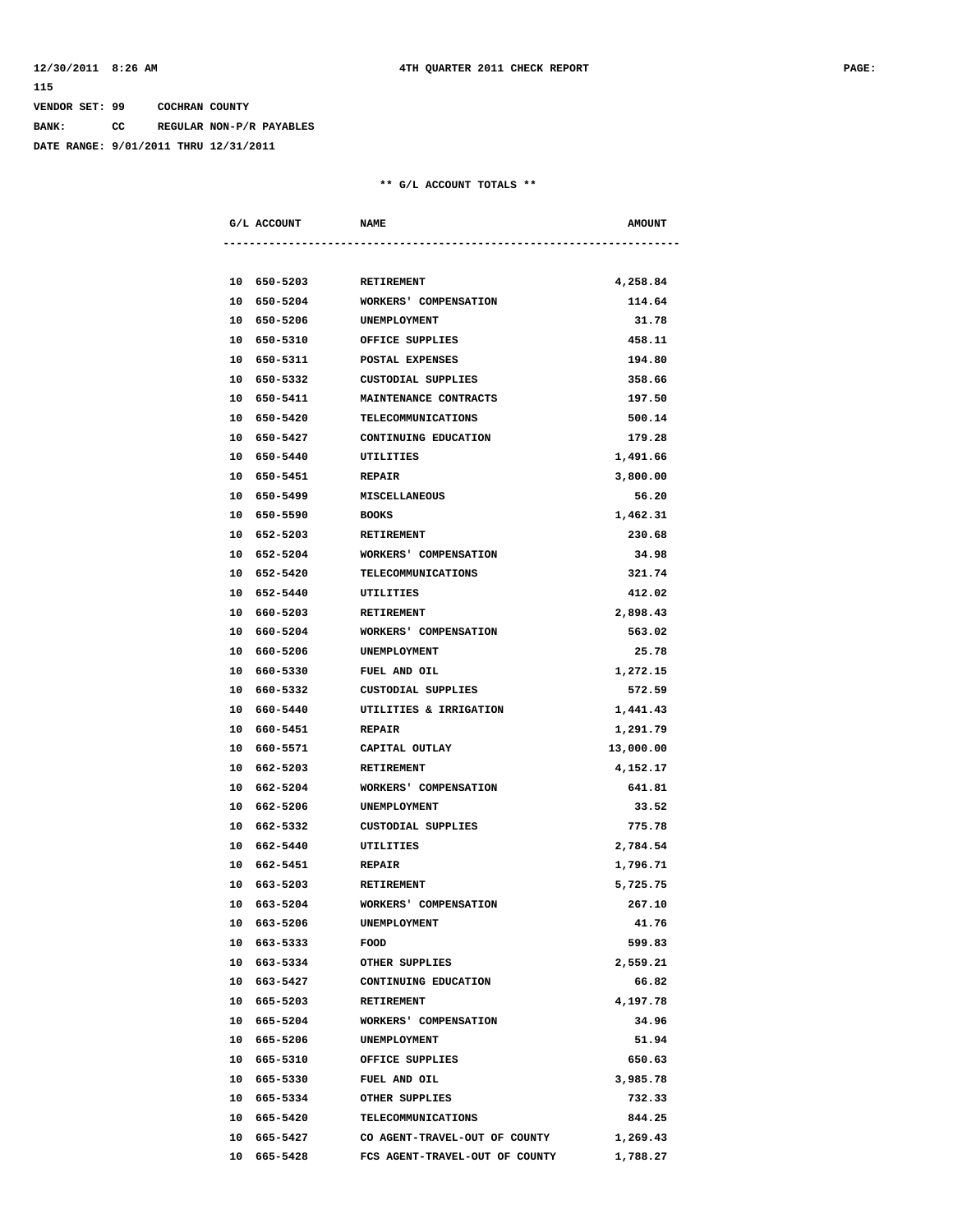**VENDOR SET: 99 COCHRAN COUNTY BANK: CC REGULAR NON-P/R PAYABLES**

**DATE RANGE: 9/01/2011 THRU 12/31/2011**

| G/L ACCOUNT | <b>NAME</b>                    | <b>AMOUNT</b> |
|-------------|--------------------------------|---------------|
|             |                                |               |
| 10 650-5203 | <b>RETIREMENT</b>              | 4,258.84      |
| 10 650-5204 | <b>WORKERS' COMPENSATION</b>   | 114.64        |
| 10 650-5206 | UNEMPLOYMENT                   | 31.78         |
| 10 650-5310 | OFFICE SUPPLIES                | 458.11        |
| 10 650-5311 | POSTAL EXPENSES                | 194.80        |
| 10 650-5332 | <b>CUSTODIAL SUPPLIES</b>      | 358.66        |
| 10 650-5411 | MAINTENANCE CONTRACTS          | 197.50        |
| 10 650-5420 | <b>TELECOMMUNICATIONS</b>      | 500.14        |
| 10 650-5427 | CONTINUING EDUCATION           | 179.28        |
| 10 650-5440 | UTILITIES                      | 1,491.66      |
| 10 650-5451 | <b>REPAIR</b>                  | 3,800.00      |
| 10 650-5499 | MISCELLANEOUS                  | 56.20         |
| 10 650-5590 | <b>BOOKS</b>                   | 1,462.31      |
| 10 652-5203 | RETIREMENT                     | 230.68        |
| 10 652-5204 | WORKERS' COMPENSATION          | 34.98         |
| 10 652-5420 | TELECOMMUNICATIONS             | 321.74        |
| 10 652-5440 | UTILITIES                      | 412.02        |
| 10 660-5203 | RETIREMENT                     | 2,898.43      |
| 10 660-5204 | WORKERS' COMPENSATION          | 563.02        |
| 10 660-5206 | UNEMPLOYMENT                   | 25.78         |
| 10 660-5330 | FUEL AND OIL                   | 1,272.15      |
| 10 660-5332 | CUSTODIAL SUPPLIES             | 572.59        |
| 10 660-5440 | UTILITIES & IRRIGATION         | 1,441.43      |
| 10 660-5451 | <b>REPAIR</b>                  | 1,291.79      |
| 10 660-5571 | CAPITAL OUTLAY                 | 13,000.00     |
| 10 662-5203 | RETIREMENT                     | 4,152.17      |
| 10 662-5204 | WORKERS' COMPENSATION          | 641.81        |
| 10 662-5206 | UNEMPLOYMENT                   | 33.52         |
| 10 662-5332 | <b>CUSTODIAL SUPPLIES</b>      | 775.78        |
| 10 662-5440 | <b>UTILITIES</b>               | 2,784.54      |
| 10 662-5451 | <b>REPAIR</b>                  | 1,796.71      |
| 10 663-5203 | RETIREMENT                     | 5,725.75      |
| 10 663-5204 | WORKERS' COMPENSATION          | 267.10        |
| 10 663-5206 | UNEMPLOYMENT                   | 41.76         |
| 10 663-5333 | FOOD                           | 599.83        |
| 10 663-5334 | OTHER SUPPLIES                 | 2,559.21      |
| 10 663-5427 | CONTINUING EDUCATION           | 66.82         |
| 10 665-5203 | RETIREMENT                     | 4,197.78      |
| 10 665-5204 | WORKERS' COMPENSATION          | 34.96         |
| 10 665-5206 | UNEMPLOYMENT                   | 51.94         |
| 10 665-5310 | OFFICE SUPPLIES                | 650.63        |
| 10 665-5330 | FUEL AND OIL                   | 3,985.78      |
| 10 665-5334 | OTHER SUPPLIES                 | 732.33        |
| 10 665-5420 | <b>TELECOMMUNICATIONS</b>      | 844.25        |
| 10 665-5427 | CO AGENT-TRAVEL-OUT OF COUNTY  | 1,269.43      |
| 10 665-5428 | FCS AGENT-TRAVEL-OUT OF COUNTY | 1,788.27      |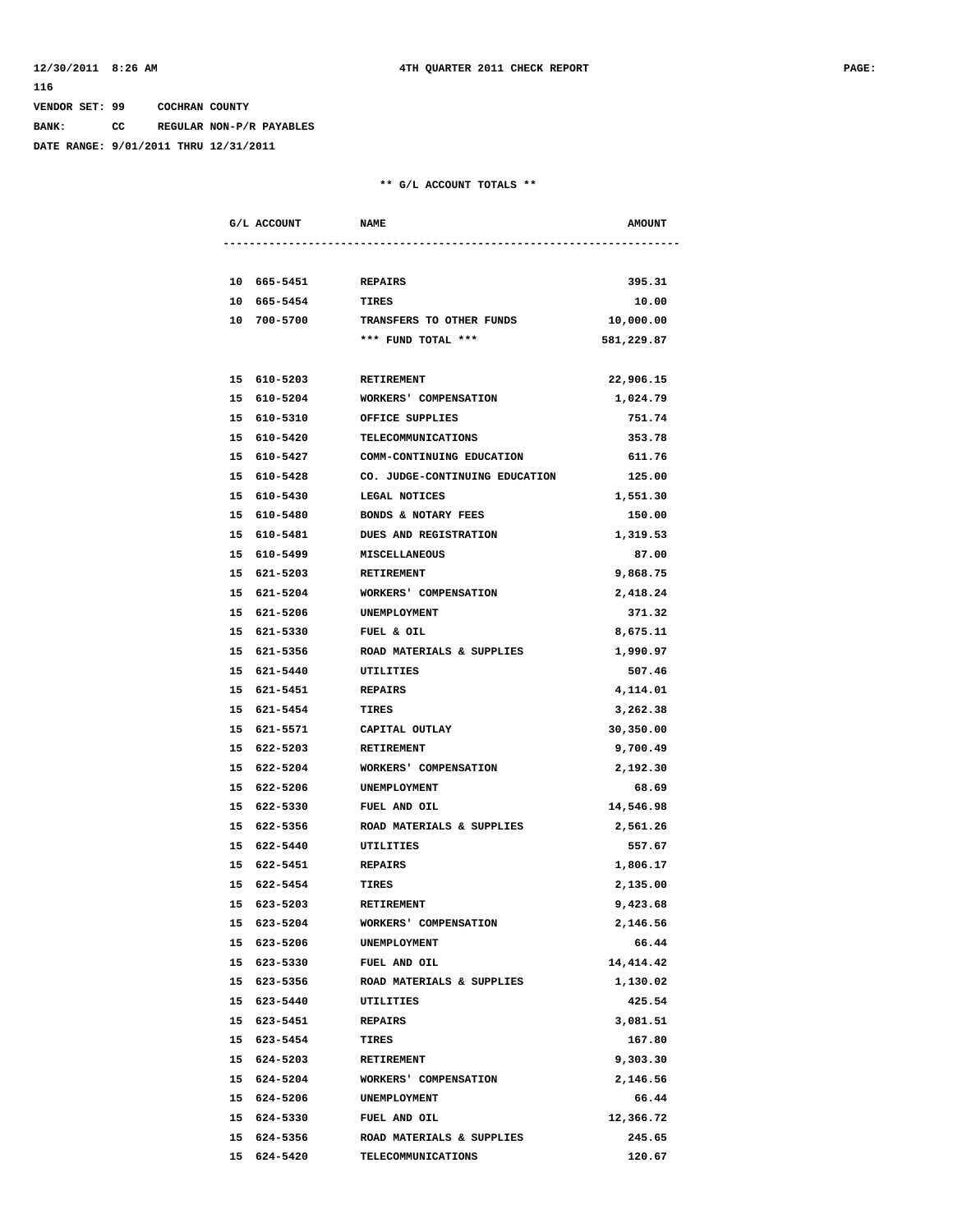| G/L ACCOUNT | <b>NAME</b>                    | <b>AMOUNT</b> |
|-------------|--------------------------------|---------------|
|             |                                |               |
| 10 665-5451 | <b>REPAIRS</b>                 | 395.31        |
| 10 665-5454 | TIRES                          | 10.00         |
| 10 700-5700 | TRANSFERS TO OTHER FUNDS       | 10,000.00     |
|             | *** FUND TOTAL ***             | 581,229.87    |
|             |                                |               |
| 15 610-5203 | <b>RETIREMENT</b>              | 22,906.15     |
| 15 610-5204 | WORKERS' COMPENSATION          | 1,024.79      |
| 15 610-5310 | OFFICE SUPPLIES                | 751.74        |
| 15 610-5420 | TELECOMMUNICATIONS             | 353.78        |
| 15 610-5427 | COMM-CONTINUING EDUCATION      | 611.76        |
| 15 610-5428 | CO. JUDGE-CONTINUING EDUCATION | 125.00        |
| 15 610-5430 | LEGAL NOTICES                  | 1,551.30      |
| 15 610-5480 | <b>BONDS &amp; NOTARY FEES</b> | 150.00        |
| 15 610-5481 | <b>DUES AND REGISTRATION</b>   | 1,319.53      |
| 15 610-5499 | <b>MISCELLANEOUS</b>           | 87.00         |
| 15 621-5203 | <b>RETIREMENT</b>              | 9,868.75      |
| 15 621-5204 | WORKERS' COMPENSATION          | 2,418.24      |
| 15 621-5206 | UNEMPLOYMENT                   | 371.32        |
| 15 621-5330 | FUEL & OIL                     | 8,675.11      |
| 15 621-5356 | ROAD MATERIALS & SUPPLIES      | 1,990.97      |
| 15 621-5440 | UTILITIES                      | 507.46        |
| 15 621-5451 | <b>REPAIRS</b>                 | 4,114.01      |
| 15 621-5454 | TIRES                          | 3,262.38      |
| 15 621-5571 | CAPITAL OUTLAY                 | 30,350.00     |
| 15 622-5203 | <b>RETIREMENT</b>              | 9,700.49      |
| 15 622-5204 | WORKERS' COMPENSATION          | 2,192.30      |
| 15 622-5206 | <b>UNEMPLOYMENT</b>            | 68.69         |
| 15 622-5330 | FUEL AND OIL                   | 14,546.98     |
| 15 622-5356 | ROAD MATERIALS & SUPPLIES      | 2,561.26      |
| 15 622-5440 | UTILITIES                      | 557.67        |
| 15 622-5451 | <b>REPAIRS</b>                 | 1,806.17      |
| 15 622-5454 | TIRES                          | 2,135.00      |
| 15 623-5203 | <b>RETIREMENT</b>              | 9,423.68      |
| 15 623-5204 | WORKERS' COMPENSATION          | 2,146.56      |
| 15 623-5206 | UNEMPLOYMENT                   | 66.44         |
| 15 623-5330 | FUEL AND OIL                   | 14,414.42     |
| 15 623-5356 | ROAD MATERIALS & SUPPLIES      | 1,130.02      |
| 15 623-5440 | UTILITIES                      | 425.54        |
| 15 623-5451 | <b>REPAIRS</b>                 | 3,081.51      |
| 15 623-5454 | TIRES                          | 167.80        |
| 15 624-5203 | RETIREMENT                     | 9,303.30      |
| 15 624-5204 | WORKERS' COMPENSATION          | 2,146.56      |
| 15 624-5206 | UNEMPLOYMENT                   | 66.44         |
| 15 624-5330 | FUEL AND OIL                   | 12,366.72     |
| 15 624-5356 | ROAD MATERIALS & SUPPLIES      | 245.65        |
| 15 624-5420 | TELECOMMUNICATIONS             | 120.67        |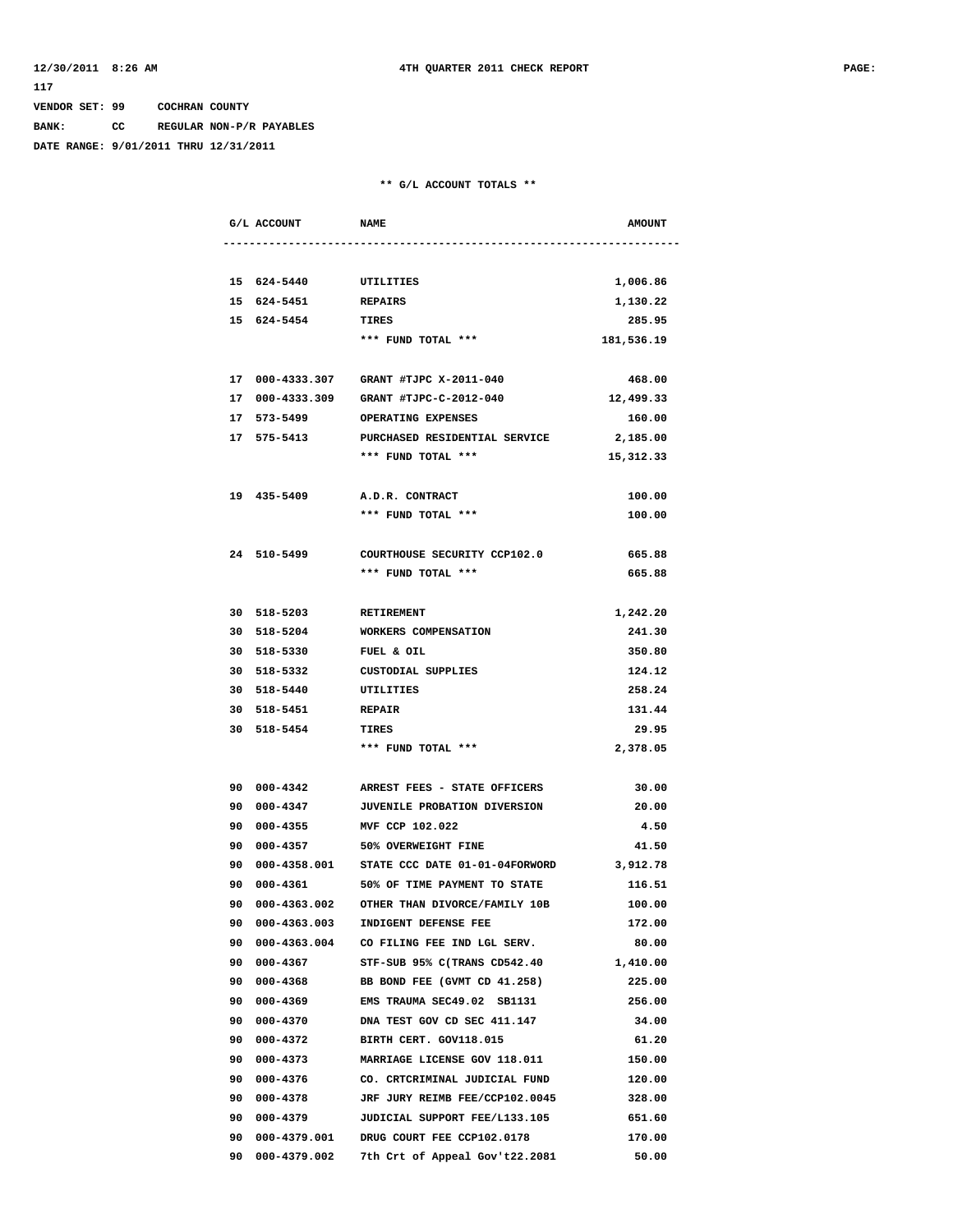| G/L ACCOUNT            | <b>NAME</b>                                                | <b>AMOUNT</b> |
|------------------------|------------------------------------------------------------|---------------|
|                        |                                                            |               |
| 15 624-5440            | UTILITIES                                                  | 1,006.86      |
| 15 624-5451            | <b>REPAIRS</b>                                             | 1,130.22      |
| 15 624-5454            | TIRES                                                      | 285.95        |
|                        | *** FUND TOTAL ***                                         | 181,536.19    |
|                        | 17 000-4333.307 GRANT #TJPC X-2011-040                     | 468.00        |
|                        | 17 000-4333.309 GRANT #TJPC-C-2012-040                     | 12,499.33     |
|                        | 17 573-5499 OPERATING EXPENSES                             | 160.00        |
| 17 575-5413            | PURCHASED RESIDENTIAL SERVICE                              | 2,185.00      |
|                        | *** FUND TOTAL ***                                         | 15,312.33     |
| 19 435-5409            | A.D.R. CONTRACT                                            | 100.00        |
|                        | *** FUND TOTAL ***                                         | 100.00        |
| 24 510-5499            | COURTHOUSE SECURITY CCP102.0                               | 665.88        |
|                        | *** FUND TOTAL ***                                         | 665.88        |
| 30 518-5203 RETIREMENT |                                                            | 1,242.20      |
|                        | 30 518-5204 WORKERS COMPENSATION                           | 241.30        |
| 30 518-5330 FUEL & OIL |                                                            | 350.80        |
|                        | 30 518-5332 CUSTODIAL SUPPLIES                             | 124.12        |
| 30 518-5440            | UTILITIES                                                  | 258.24        |
| 30 518-5451            | <b>REPAIR</b>                                              | 131.44        |
| 30 518-5454            | TIRES                                                      | 29.95         |
|                        | *** FUND TOTAL ***                                         | 2,378.05      |
| 90 000-4342            | ARREST FEES - STATE OFFICERS                               | 30.00         |
| 90 000-4347            | JUVENILE PROBATION DIVERSION                               | 20.00         |
|                        | 90 000-4355 MVF CCP 102.022                                | 4.50          |
| 90 000-4357            | 50% OVERWEIGHT FINE                                        | 41.50         |
|                        | 90  000-4358.001  STATE CCC DATE 01-01-04FORWORD  3,912.78 |               |
| 90 000-4361            | 50% OF TIME PAYMENT TO STATE                               | 116.51        |
|                        | 90 000-4363.002 OTHER THAN DIVORCE/FAMILY 10B              | 100.00        |
| 90<br>000-4363.003     | INDIGENT DEFENSE FEE                                       | 172.00        |
| 90<br>000-4363.004     | CO FILING FEE IND LGL SERV.                                | 80.00         |
| 90<br>000-4367         | STF-SUB 95% C(TRANS CD542.40                               | 1,410.00      |
| 90<br>000-4368         | BB BOND FEE (GVMT CD 41.258)                               | 225.00        |
| 90<br>000-4369         | EMS TRAUMA SEC49.02 SB1131                                 | 256.00        |
| 90<br>000-4370         | DNA TEST GOV CD SEC 411.147                                | 34.00         |
| 90 000-4372            | BIRTH CERT. GOV118.015                                     | 61.20         |
| 90<br>000-4373         | MARRIAGE LICENSE GOV 118.011                               | 150.00        |
| 90<br>000-4376         | CO. CRTCRIMINAL JUDICIAL FUND                              | 120.00        |
| 90<br>000-4378         | JRF JURY REIMB FEE/CCP102.0045                             | 328.00        |
| 90<br>000-4379         | JUDICIAL SUPPORT FEE/L133.105                              | 651.60        |
| 90<br>000-4379.001     | DRUG COURT FEE CCP102.0178                                 | 170.00        |
| 90<br>000-4379.002     | 7th Crt of Appeal Gov't22.2081                             | 50.00         |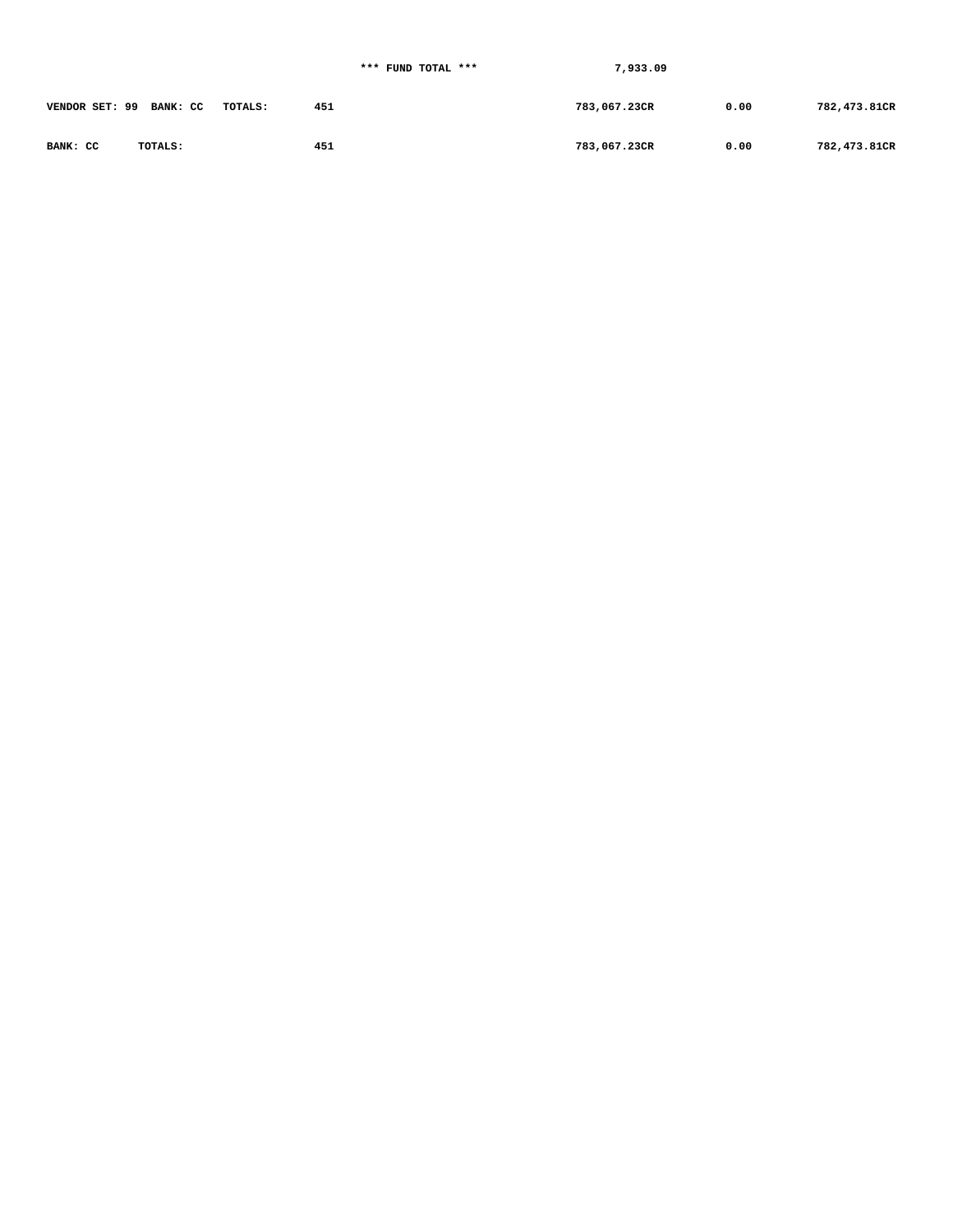|                                              | *** FUND TOTAL *** | 7,933.09     |      |              |
|----------------------------------------------|--------------------|--------------|------|--------------|
| VENDOR SET: 99<br><b>BANK: CC</b><br>TOTALS: | 451                | 783,067.23CR | 0.00 | 782,473.81CR |
| TOTALS:<br>BANK: CC                          | 451                | 783,067.23CR | 0.00 | 782,473.81CR |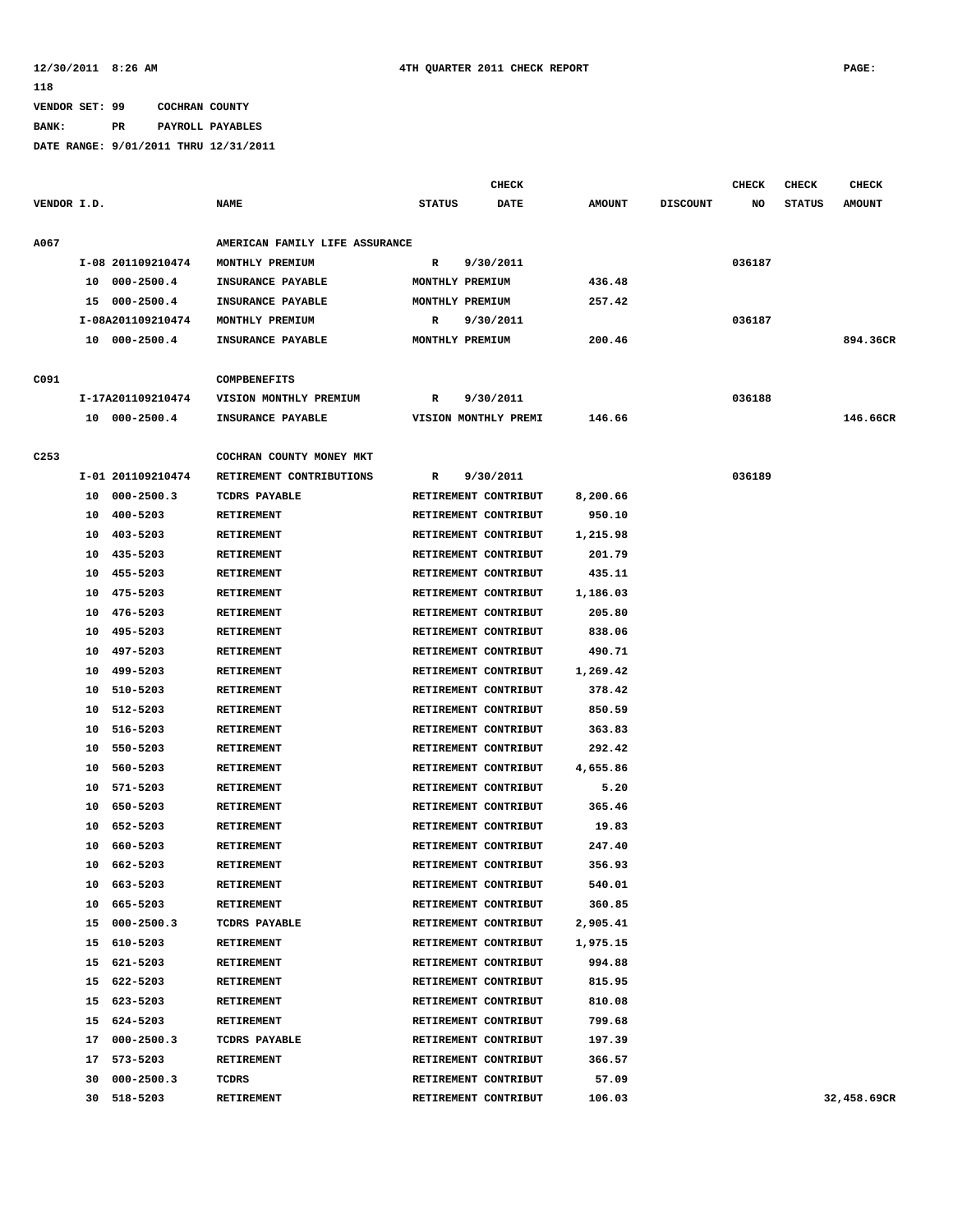## **VENDOR SET: 99 COCHRAN COUNTY BANK: PR PAYROLL PAYABLES**

|                  |    |                   |                                |               | <b>CHECK</b>         |               |                 | <b>CHECK</b> | <b>CHECK</b>  | <b>CHECK</b>  |
|------------------|----|-------------------|--------------------------------|---------------|----------------------|---------------|-----------------|--------------|---------------|---------------|
| VENDOR I.D.      |    |                   | <b>NAME</b>                    | <b>STATUS</b> | <b>DATE</b>          | <b>AMOUNT</b> | <b>DISCOUNT</b> | NO           | <b>STATUS</b> | <b>AMOUNT</b> |
| A067             |    |                   | AMERICAN FAMILY LIFE ASSURANCE |               |                      |               |                 |              |               |               |
|                  |    | I-08 201109210474 | MONTHLY PREMIUM                | R             | 9/30/2011            |               |                 | 036187       |               |               |
|                  | 10 | $000 - 2500.4$    | INSURANCE PAYABLE              |               | MONTHLY PREMIUM      | 436.48        |                 |              |               |               |
|                  | 15 | 000-2500.4        | INSURANCE PAYABLE              |               | MONTHLY PREMIUM      | 257.42        |                 |              |               |               |
|                  |    | I-08A201109210474 | MONTHLY PREMIUM                | R             | 9/30/2011            |               |                 | 036187       |               |               |
|                  |    | 10 000-2500.4     | INSURANCE PAYABLE              |               | MONTHLY PREMIUM      | 200.46        |                 |              |               | 894.36CR      |
| C091             |    |                   | COMPBENEFITS                   |               |                      |               |                 |              |               |               |
|                  |    | I-17A201109210474 | VISION MONTHLY PREMIUM         | R             | 9/30/2011            |               |                 | 036188       |               |               |
|                  |    | 10 000-2500.4     | INSURANCE PAYABLE              |               | VISION MONTHLY PREMI | 146.66        |                 |              |               | 146.66CR      |
|                  |    |                   |                                |               |                      |               |                 |              |               |               |
| C <sub>253</sub> |    |                   | COCHRAN COUNTY MONEY MKT       |               |                      |               |                 |              |               |               |
|                  |    | I-01 201109210474 | RETIREMENT CONTRIBUTIONS       | R             | 9/30/2011            |               |                 | 036189       |               |               |
|                  |    | 10 000-2500.3     | TCDRS PAYABLE                  |               | RETIREMENT CONTRIBUT | 8,200.66      |                 |              |               |               |
|                  | 10 | 400-5203          | RETIREMENT                     |               | RETIREMENT CONTRIBUT | 950.10        |                 |              |               |               |
|                  | 10 | 403-5203          | <b>RETIREMENT</b>              |               | RETIREMENT CONTRIBUT | 1,215.98      |                 |              |               |               |
|                  | 10 | 435-5203          | <b>RETIREMENT</b>              |               | RETIREMENT CONTRIBUT | 201.79        |                 |              |               |               |
|                  | 10 | 455-5203          | RETIREMENT                     |               | RETIREMENT CONTRIBUT | 435.11        |                 |              |               |               |
|                  | 10 | 475-5203          | <b>RETIREMENT</b>              |               | RETIREMENT CONTRIBUT | 1,186.03      |                 |              |               |               |
|                  | 10 | 476-5203          | <b>RETIREMENT</b>              |               | RETIREMENT CONTRIBUT | 205.80        |                 |              |               |               |
|                  | 10 | 495-5203          | RETIREMENT                     |               | RETIREMENT CONTRIBUT | 838.06        |                 |              |               |               |
|                  | 10 | 497-5203          | <b>RETIREMENT</b>              |               | RETIREMENT CONTRIBUT | 490.71        |                 |              |               |               |
|                  | 10 | 499-5203          | <b>RETIREMENT</b>              |               | RETIREMENT CONTRIBUT | 1,269.42      |                 |              |               |               |
|                  | 10 | 510-5203          | <b>RETIREMENT</b>              |               | RETIREMENT CONTRIBUT | 378.42        |                 |              |               |               |
|                  | 10 | 512-5203          | <b>RETIREMENT</b>              |               | RETIREMENT CONTRIBUT | 850.59        |                 |              |               |               |
|                  | 10 | 516-5203          | <b>RETIREMENT</b>              |               | RETIREMENT CONTRIBUT | 363.83        |                 |              |               |               |
|                  | 10 | 550-5203          | RETIREMENT                     |               | RETIREMENT CONTRIBUT | 292.42        |                 |              |               |               |
|                  | 10 | 560-5203          | <b>RETIREMENT</b>              |               | RETIREMENT CONTRIBUT | 4,655.86      |                 |              |               |               |
|                  | 10 | 571-5203          | <b>RETIREMENT</b>              |               | RETIREMENT CONTRIBUT | 5.20          |                 |              |               |               |
|                  | 10 | 650-5203          | <b>RETIREMENT</b>              |               | RETIREMENT CONTRIBUT | 365.46        |                 |              |               |               |
|                  | 10 | 652-5203          | <b>RETIREMENT</b>              |               | RETIREMENT CONTRIBUT | 19.83         |                 |              |               |               |
|                  | 10 | 660-5203          | <b>RETIREMENT</b>              |               | RETIREMENT CONTRIBUT | 247.40        |                 |              |               |               |
|                  | 10 | 662-5203          | RETIREMENT                     |               | RETIREMENT CONTRIBUT | 356.93        |                 |              |               |               |
|                  | 10 | 663-5203          | RETIREMENT                     |               | RETIREMENT CONTRIBUT | 540.01        |                 |              |               |               |
|                  | 10 | 665-5203          | RETIREMENT                     |               | RETIREMENT CONTRIBUT | 360.85        |                 |              |               |               |
|                  | 15 | $000 - 2500.3$    | TCDRS PAYABLE                  |               | RETIREMENT CONTRIBUT | 2,905.41      |                 |              |               |               |
|                  |    | 15 610-5203       | <b>RETIREMENT</b>              |               | RETIREMENT CONTRIBUT | 1,975.15      |                 |              |               |               |
|                  |    | 15 621-5203       | <b>RETIREMENT</b>              |               | RETIREMENT CONTRIBUT | 994.88        |                 |              |               |               |
|                  |    | 15 622-5203       | RETIREMENT                     |               | RETIREMENT CONTRIBUT | 815.95        |                 |              |               |               |
|                  |    | 15 623-5203       | <b>RETIREMENT</b>              |               | RETIREMENT CONTRIBUT | 810.08        |                 |              |               |               |
|                  |    | 15 624-5203       | RETIREMENT                     |               | RETIREMENT CONTRIBUT | 799.68        |                 |              |               |               |
|                  | 17 | $000 - 2500.3$    | TCDRS PAYABLE                  |               | RETIREMENT CONTRIBUT | 197.39        |                 |              |               |               |
|                  | 17 | 573-5203          | <b>RETIREMENT</b>              |               | RETIREMENT CONTRIBUT | 366.57        |                 |              |               |               |
|                  | 30 | $000 - 2500.3$    | TCDRS                          |               | RETIREMENT CONTRIBUT | 57.09         |                 |              |               |               |
|                  |    | 30 518-5203       | RETIREMENT                     |               | RETIREMENT CONTRIBUT | 106.03        |                 |              |               | 32,458.69CR   |
|                  |    |                   |                                |               |                      |               |                 |              |               |               |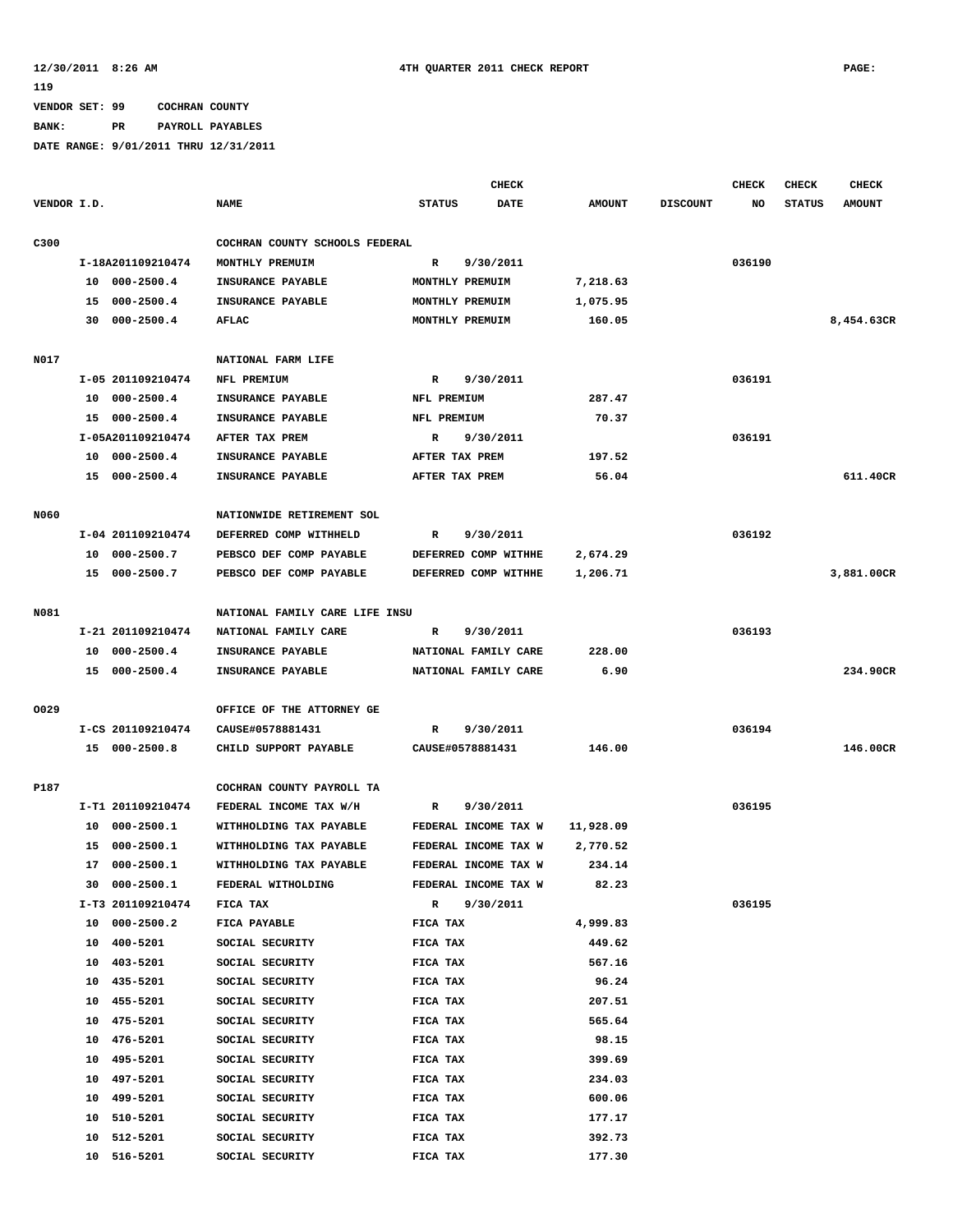## **VENDOR SET: 99 COCHRAN COUNTY BANK: PR PAYROLL PAYABLES**

|             |                      |                                | <b>CHECK</b>          |               |                 | CHECK  | <b>CHECK</b>  | <b>CHECK</b>  |
|-------------|----------------------|--------------------------------|-----------------------|---------------|-----------------|--------|---------------|---------------|
| VENDOR I.D. |                      | <b>NAME</b>                    | DATE<br><b>STATUS</b> | <b>AMOUNT</b> | <b>DISCOUNT</b> | NO     | <b>STATUS</b> | <b>AMOUNT</b> |
| C300        |                      | COCHRAN COUNTY SCHOOLS FEDERAL |                       |               |                 |        |               |               |
|             | I-18A201109210474    | MONTHLY PREMUIM                | 9/30/2011<br>R        |               |                 | 036190 |               |               |
|             | 10 000-2500.4        | INSURANCE PAYABLE              | MONTHLY PREMUIM       | 7,218.63      |                 |        |               |               |
|             | 000-2500.4<br>15     | INSURANCE PAYABLE              | MONTHLY PREMUIM       | 1,075.95      |                 |        |               |               |
|             | $000 - 2500.4$<br>30 | <b>AFLAC</b>                   | MONTHLY PREMUIM       | 160.05        |                 |        |               | 8,454.63CR    |
|             |                      |                                |                       |               |                 |        |               |               |
| N017        |                      | NATIONAL FARM LIFE             |                       |               |                 |        |               |               |
|             | I-05 201109210474    | NFL PREMIUM                    | 9/30/2011<br>R        |               |                 | 036191 |               |               |
|             | 10 000-2500.4        | INSURANCE PAYABLE              | NFL PREMIUM           | 287.47        |                 |        |               |               |
|             | 15 000-2500.4        | INSURANCE PAYABLE              | NFL PREMIUM           | 70.37         |                 |        |               |               |
|             | I-05A201109210474    | AFTER TAX PREM                 | 9/30/2011<br>R        |               |                 | 036191 |               |               |
|             | 10 000-2500.4        | INSURANCE PAYABLE              | AFTER TAX PREM        | 197.52        |                 |        |               |               |
|             | 15 000-2500.4        | INSURANCE PAYABLE              | AFTER TAX PREM        | 56.04         |                 |        |               | 611.40CR      |
| N060        |                      | NATIONWIDE RETIREMENT SOL      |                       |               |                 |        |               |               |
|             | I-04 201109210474    | DEFERRED COMP WITHHELD         | 9/30/2011<br>R        |               |                 | 036192 |               |               |
|             | 10 000-2500.7        | PEBSCO DEF COMP PAYABLE        | DEFERRED COMP WITHHE  | 2,674.29      |                 |        |               |               |
|             | 000-2500.7<br>15     | PEBSCO DEF COMP PAYABLE        | DEFERRED COMP WITHHE  | 1,206.71      |                 |        |               | 3,881.00CR    |
|             |                      |                                |                       |               |                 |        |               |               |
| N081        |                      | NATIONAL FAMILY CARE LIFE INSU |                       |               |                 |        |               |               |
|             | I-21 201109210474    | NATIONAL FAMILY CARE           | 9/30/2011<br>R        |               |                 | 036193 |               |               |
|             | 10 000-2500.4        | INSURANCE PAYABLE              | NATIONAL FAMILY CARE  | 228.00        |                 |        |               |               |
|             | 15 000-2500.4        | INSURANCE PAYABLE              | NATIONAL FAMILY CARE  | 6.90          |                 |        |               | 234.90CR      |
| 0029        |                      | OFFICE OF THE ATTORNEY GE      |                       |               |                 |        |               |               |
|             | I-CS 201109210474    | CAUSE#0578881431               | 9/30/2011<br>R        |               |                 | 036194 |               |               |
|             | 15 000-2500.8        | CHILD SUPPORT PAYABLE          | CAUSE#0578881431      | 146.00        |                 |        |               | 146.00CR      |
|             |                      |                                |                       |               |                 |        |               |               |
| P187        |                      | COCHRAN COUNTY PAYROLL TA      |                       |               |                 |        |               |               |
|             | I-T1 201109210474    | FEDERAL INCOME TAX W/H         | 9/30/2011<br>R        |               |                 | 036195 |               |               |
|             | 10 000-2500.1        | WITHHOLDING TAX PAYABLE        | FEDERAL INCOME TAX W  | 11,928.09     |                 |        |               |               |
|             | 000-2500.1<br>15     | WITHHOLDING TAX PAYABLE        | FEDERAL INCOME TAX W  | 2,770.52      |                 |        |               |               |
|             | 17 000-2500.1        | WITHHOLDING TAX PAYABLE        | FEDERAL INCOME TAX W  | 234.14        |                 |        |               |               |
|             | 30 000-2500.1        | FEDERAL WITHOLDING             | FEDERAL INCOME TAX W  | 82.23         |                 |        |               |               |
|             | I-T3 201109210474    | FICA TAX                       | R<br>9/30/2011        |               |                 | 036195 |               |               |
|             | 10 000-2500.2        | FICA PAYABLE                   | FICA TAX              | 4,999.83      |                 |        |               |               |
|             | 400-5201<br>10       | SOCIAL SECURITY                | FICA TAX              | 449.62        |                 |        |               |               |
|             | 403-5201<br>10       | SOCIAL SECURITY                | FICA TAX              | 567.16        |                 |        |               |               |
|             | 10<br>435-5201       | SOCIAL SECURITY                | FICA TAX              | 96.24         |                 |        |               |               |
|             | 455-5201<br>10       | SOCIAL SECURITY                | FICA TAX              | 207.51        |                 |        |               |               |
|             | 475-5201<br>10       | SOCIAL SECURITY                | FICA TAX              | 565.64        |                 |        |               |               |
|             | 10<br>476-5201       | SOCIAL SECURITY                | FICA TAX              | 98.15         |                 |        |               |               |
|             | 495-5201<br>10       | SOCIAL SECURITY                | FICA TAX              | 399.69        |                 |        |               |               |
|             | 497-5201<br>10       | SOCIAL SECURITY                | FICA TAX              | 234.03        |                 |        |               |               |
|             | 499-5201<br>10       | SOCIAL SECURITY                | FICA TAX              | 600.06        |                 |        |               |               |
|             | 510-5201<br>10       | SOCIAL SECURITY                | FICA TAX              | 177.17        |                 |        |               |               |
|             | 512-5201<br>10       | SOCIAL SECURITY                | FICA TAX              | 392.73        |                 |        |               |               |
|             | 10<br>516-5201       | SOCIAL SECURITY                | FICA TAX              | 177.30        |                 |        |               |               |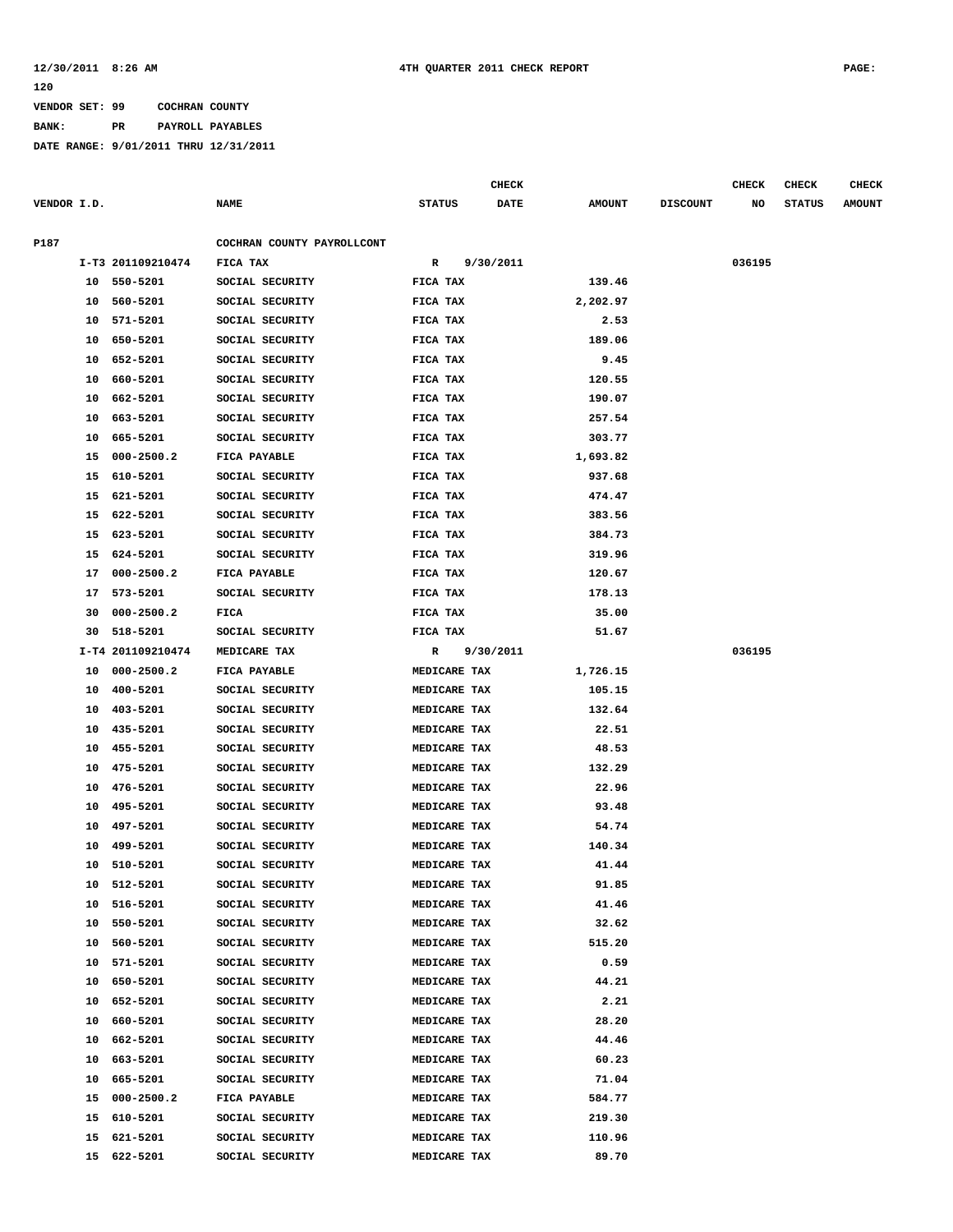### **120 VENDOR SET: 99 COCHRAN COUNTY BANK: PR PAYROLL PAYABLES**

|             |    |                   |                            |               |              | <b>CHECK</b> |               |                 | CHECK  | <b>CHECK</b>  | <b>CHECK</b>  |
|-------------|----|-------------------|----------------------------|---------------|--------------|--------------|---------------|-----------------|--------|---------------|---------------|
| VENDOR I.D. |    |                   | <b>NAME</b>                | <b>STATUS</b> |              | <b>DATE</b>  | <b>AMOUNT</b> | <b>DISCOUNT</b> | NO     | <b>STATUS</b> | <b>AMOUNT</b> |
| P187        |    |                   | COCHRAN COUNTY PAYROLLCONT |               |              |              |               |                 |        |               |               |
|             |    | I-T3 201109210474 | FICA TAX                   | R             |              | 9/30/2011    |               |                 | 036195 |               |               |
|             |    | 10 550-5201       | SOCIAL SECURITY            | FICA TAX      |              |              | 139.46        |                 |        |               |               |
|             | 10 | 560-5201          | SOCIAL SECURITY            | FICA TAX      |              |              | 2,202.97      |                 |        |               |               |
|             | 10 | 571-5201          | SOCIAL SECURITY            | FICA TAX      |              |              | 2.53          |                 |        |               |               |
|             | 10 | 650-5201          | SOCIAL SECURITY            | FICA TAX      |              |              | 189.06        |                 |        |               |               |
|             | 10 | 652-5201          | SOCIAL SECURITY            | FICA TAX      |              |              | 9.45          |                 |        |               |               |
|             | 10 | 660-5201          | SOCIAL SECURITY            | FICA TAX      |              |              | 120.55        |                 |        |               |               |
|             | 10 | 662-5201          | SOCIAL SECURITY            | FICA TAX      |              |              | 190.07        |                 |        |               |               |
|             | 10 | 663-5201          | SOCIAL SECURITY            | FICA TAX      |              |              | 257.54        |                 |        |               |               |
|             | 10 | 665-5201          | SOCIAL SECURITY            | FICA TAX      |              |              | 303.77        |                 |        |               |               |
|             | 15 | $000 - 2500.2$    | <b>FICA PAYABLE</b>        | FICA TAX      |              |              | 1,693.82      |                 |        |               |               |
|             |    | 15 610-5201       | SOCIAL SECURITY            | FICA TAX      |              |              | 937.68        |                 |        |               |               |
|             |    | 15 621-5201       | SOCIAL SECURITY            | FICA TAX      |              |              | 474.47        |                 |        |               |               |
|             |    | 15 622-5201       | SOCIAL SECURITY            | FICA TAX      |              |              | 383.56        |                 |        |               |               |
|             |    | 15 623-5201       | SOCIAL SECURITY            | FICA TAX      |              |              | 384.73        |                 |        |               |               |
|             | 15 | 624-5201          | SOCIAL SECURITY            | FICA TAX      |              |              | 319.96        |                 |        |               |               |
|             | 17 | $000 - 2500.2$    | FICA PAYABLE               | FICA TAX      |              |              | 120.67        |                 |        |               |               |
|             | 17 | 573-5201          | SOCIAL SECURITY            | FICA TAX      |              |              | 178.13        |                 |        |               |               |
|             | 30 | $000 - 2500.2$    | FICA                       | FICA TAX      |              |              | 35.00         |                 |        |               |               |
|             | 30 | 518-5201          | SOCIAL SECURITY            | FICA TAX      |              |              | 51.67         |                 |        |               |               |
|             |    | I-T4 201109210474 | MEDICARE TAX               | R             |              | 9/30/2011    |               |                 | 036195 |               |               |
|             | 10 | $000 - 2500.2$    | FICA PAYABLE               |               | MEDICARE TAX |              | 1,726.15      |                 |        |               |               |
|             | 10 | 400-5201          | SOCIAL SECURITY            |               | MEDICARE TAX |              | 105.15        |                 |        |               |               |
|             |    | 10 403-5201       | SOCIAL SECURITY            |               | MEDICARE TAX |              | 132.64        |                 |        |               |               |
|             |    | 10 435-5201       | SOCIAL SECURITY            |               | MEDICARE TAX |              | 22.51         |                 |        |               |               |
|             |    | 10 455-5201       | SOCIAL SECURITY            |               | MEDICARE TAX |              | 48.53         |                 |        |               |               |
|             | 10 | 475-5201          | SOCIAL SECURITY            |               | MEDICARE TAX |              | 132.29        |                 |        |               |               |
|             | 10 | 476-5201          | SOCIAL SECURITY            |               | MEDICARE TAX |              | 22.96         |                 |        |               |               |
|             | 10 | 495-5201          | SOCIAL SECURITY            |               | MEDICARE TAX |              | 93.48         |                 |        |               |               |
|             | 10 | 497-5201          | SOCIAL SECURITY            |               | MEDICARE TAX |              | 54.74         |                 |        |               |               |
|             | 10 | 499-5201          | SOCIAL SECURITY            |               | MEDICARE TAX |              | 140.34        |                 |        |               |               |
|             | 10 | 510-5201          | SOCIAL SECURITY            |               | MEDICARE TAX |              | 41.44         |                 |        |               |               |
|             |    | 10 512-5201       | SOCIAL SECURITY            |               | MEDICARE TAX |              | 91.85         |                 |        |               |               |
|             | 10 | 516-5201          | SOCIAL SECURITY            |               | MEDICARE TAX |              | 41.46         |                 |        |               |               |
|             | 10 | 550-5201          | SOCIAL SECURITY            |               | MEDICARE TAX |              | 32.62         |                 |        |               |               |
|             |    | 10 560-5201       | SOCIAL SECURITY            |               | MEDICARE TAX |              | 515.20        |                 |        |               |               |
|             | 10 | 571-5201          | SOCIAL SECURITY            |               | MEDICARE TAX |              | 0.59          |                 |        |               |               |
|             | 10 | 650-5201          | SOCIAL SECURITY            |               | MEDICARE TAX |              | 44.21         |                 |        |               |               |
|             | 10 | 652-5201          | SOCIAL SECURITY            |               | MEDICARE TAX |              | 2.21          |                 |        |               |               |
|             | 10 | 660-5201          | SOCIAL SECURITY            |               | MEDICARE TAX |              | 28.20         |                 |        |               |               |
|             | 10 | 662-5201          | SOCIAL SECURITY            |               | MEDICARE TAX |              | 44.46         |                 |        |               |               |
|             |    | 10 663-5201       | SOCIAL SECURITY            |               | MEDICARE TAX |              | 60.23         |                 |        |               |               |
|             |    | 10 665-5201       | SOCIAL SECURITY            |               | MEDICARE TAX |              | 71.04         |                 |        |               |               |
|             |    | 15 000-2500.2     | FICA PAYABLE               |               | MEDICARE TAX |              | 584.77        |                 |        |               |               |
|             |    | 15 610-5201       | SOCIAL SECURITY            |               | MEDICARE TAX |              | 219.30        |                 |        |               |               |
|             | 15 | 621-5201          | SOCIAL SECURITY            |               | MEDICARE TAX |              | 110.96        |                 |        |               |               |
|             |    | 15 622-5201       | SOCIAL SECURITY            |               | MEDICARE TAX |              | 89.70         |                 |        |               |               |
|             |    |                   |                            |               |              |              |               |                 |        |               |               |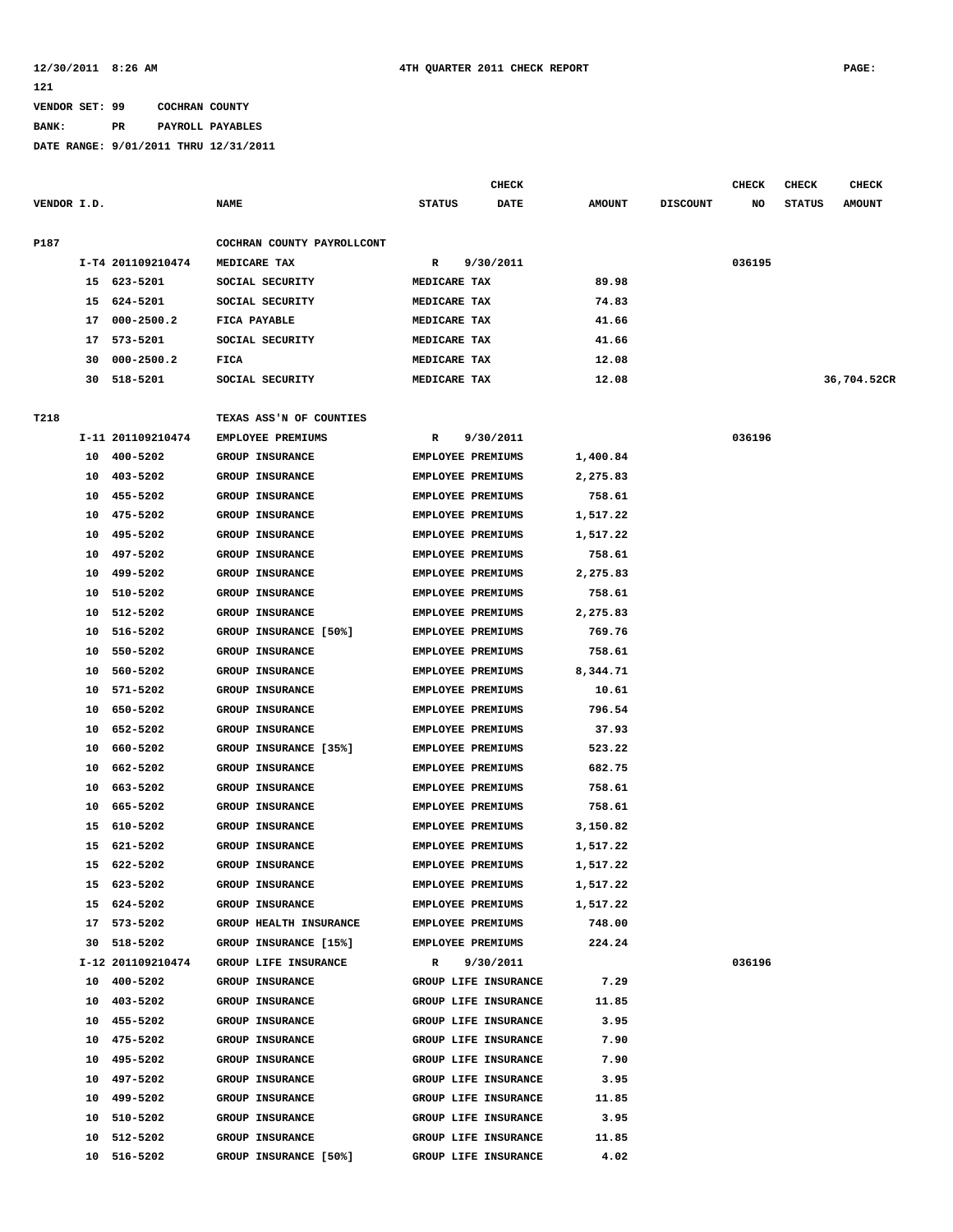### **121 VENDOR SET: 99 COCHRAN COUNTY BANK: PR PAYROLL PAYABLES DATE RANGE: 9/01/2011 THRU 12/31/2011**

|             |    |                   |                            |               | <b>CHECK</b>             |               |                 | CHECK  | <b>CHECK</b>  | <b>CHECK</b>  |
|-------------|----|-------------------|----------------------------|---------------|--------------------------|---------------|-----------------|--------|---------------|---------------|
| VENDOR I.D. |    |                   | <b>NAME</b>                | <b>STATUS</b> | <b>DATE</b>              | <b>AMOUNT</b> | <b>DISCOUNT</b> | NO     | <b>STATUS</b> | <b>AMOUNT</b> |
|             |    |                   |                            |               |                          |               |                 |        |               |               |
| P187        |    |                   | COCHRAN COUNTY PAYROLLCONT |               |                          |               |                 |        |               |               |
|             |    | I-T4 201109210474 | MEDICARE TAX               | R             | 9/30/2011                |               |                 | 036195 |               |               |
|             |    | 15 623-5201       | SOCIAL SECURITY            | MEDICARE TAX  |                          | 89.98         |                 |        |               |               |
|             |    | 15 624-5201       | SOCIAL SECURITY            | MEDICARE TAX  |                          | 74.83         |                 |        |               |               |
|             | 17 | $000 - 2500.2$    | FICA PAYABLE               | MEDICARE TAX  |                          | 41.66         |                 |        |               |               |
|             | 17 | 573-5201          | SOCIAL SECURITY            | MEDICARE TAX  |                          | 41.66         |                 |        |               |               |
|             | 30 | $000 - 2500.2$    | FICA                       | MEDICARE TAX  |                          | 12.08         |                 |        |               |               |
|             | 30 | 518-5201          | SOCIAL SECURITY            | MEDICARE TAX  |                          | 12.08         |                 |        |               | 36,704.52CR   |
|             |    |                   |                            |               |                          |               |                 |        |               |               |
| T218        |    |                   | TEXAS ASS'N OF COUNTIES    |               |                          |               |                 |        |               |               |
|             |    | I-11 201109210474 | EMPLOYEE PREMIUMS          | R             | 9/30/2011                |               |                 | 036196 |               |               |
|             | 10 | 400-5202          | GROUP INSURANCE            |               | <b>EMPLOYEE PREMIUMS</b> | 1,400.84      |                 |        |               |               |
|             | 10 | 403-5202          | <b>GROUP INSURANCE</b>     |               | <b>EMPLOYEE PREMIUMS</b> | 2,275.83      |                 |        |               |               |
|             | 10 | 455-5202          | GROUP INSURANCE            |               | EMPLOYEE PREMIUMS        | 758.61        |                 |        |               |               |
|             | 10 | 475-5202          | <b>GROUP INSURANCE</b>     |               | EMPLOYEE PREMIUMS        | 1,517.22      |                 |        |               |               |
|             | 10 | 495-5202          | <b>GROUP INSURANCE</b>     |               | EMPLOYEE PREMIUMS        | 1,517.22      |                 |        |               |               |
|             | 10 | 497-5202          | GROUP INSURANCE            |               | EMPLOYEE PREMIUMS        | 758.61        |                 |        |               |               |
|             | 10 | 499-5202          | GROUP INSURANCE            |               | EMPLOYEE PREMIUMS        | 2,275.83      |                 |        |               |               |
|             | 10 | 510-5202          | <b>GROUP INSURANCE</b>     |               | EMPLOYEE PREMIUMS        | 758.61        |                 |        |               |               |
|             | 10 | 512-5202          | GROUP INSURANCE            |               | EMPLOYEE PREMIUMS        | 2,275.83      |                 |        |               |               |
|             | 10 | 516-5202          | GROUP INSURANCE [50%]      |               | EMPLOYEE PREMIUMS        | 769.76        |                 |        |               |               |
|             | 10 | 550-5202          | GROUP INSURANCE            |               | EMPLOYEE PREMIUMS        | 758.61        |                 |        |               |               |
|             | 10 | 560-5202          | GROUP INSURANCE            |               | EMPLOYEE PREMIUMS        | 8,344.71      |                 |        |               |               |
|             | 10 | 571-5202          | GROUP INSURANCE            |               | EMPLOYEE PREMIUMS        | 10.61         |                 |        |               |               |
|             | 10 | 650-5202          | <b>GROUP INSURANCE</b>     |               | EMPLOYEE PREMIUMS        | 796.54        |                 |        |               |               |
|             | 10 | 652-5202          | GROUP INSURANCE            |               | EMPLOYEE PREMIUMS        | 37.93         |                 |        |               |               |
|             | 10 | 660-5202          | GROUP INSURANCE [35%]      |               | EMPLOYEE PREMIUMS        | 523.22        |                 |        |               |               |
|             | 10 | 662-5202          | GROUP INSURANCE            |               | EMPLOYEE PREMIUMS        | 682.75        |                 |        |               |               |
|             | 10 | 663-5202          | GROUP INSURANCE            |               | EMPLOYEE PREMIUMS        | 758.61        |                 |        |               |               |
|             | 10 | 665-5202          | GROUP INSURANCE            |               | EMPLOYEE PREMIUMS        | 758.61        |                 |        |               |               |
|             | 15 | 610-5202          | <b>GROUP INSURANCE</b>     |               | EMPLOYEE PREMIUMS        | 3,150.82      |                 |        |               |               |
|             | 15 | 621-5202          | GROUP INSURANCE            |               | EMPLOYEE PREMIUMS        | 1,517.22      |                 |        |               |               |
|             | 15 | 622-5202          | GROUP INSURANCE            |               | EMPLOYEE PREMIUMS        | 1,517.22      |                 |        |               |               |
|             |    | 15 623-5202       | GROUP INSURANCE            |               | EMPLOYEE PREMIUMS        | 1,517.22      |                 |        |               |               |
|             |    | 15 624-5202       | <b>GROUP INSURANCE</b>     |               | EMPLOYEE PREMIUMS        | 1,517.22      |                 |        |               |               |
|             | 17 | 573-5202          | GROUP HEALTH INSURANCE     |               | <b>EMPLOYEE PREMIUMS</b> | 748.00        |                 |        |               |               |
|             | 30 | 518-5202          | GROUP INSURANCE [15%]      |               | EMPLOYEE PREMIUMS        | 224.24        |                 |        |               |               |
|             |    | I-12 201109210474 | GROUP LIFE INSURANCE       | R             | 9/30/2011                |               |                 | 036196 |               |               |
|             |    | 10 400-5202       | GROUP INSURANCE            |               | GROUP LIFE INSURANCE     | 7.29          |                 |        |               |               |
|             |    | 10 403-5202       | GROUP INSURANCE            |               | GROUP LIFE INSURANCE     | 11.85         |                 |        |               |               |
|             |    | 10 455-5202       | GROUP INSURANCE            |               | GROUP LIFE INSURANCE     | 3.95          |                 |        |               |               |
|             | 10 | 475-5202          | GROUP INSURANCE            |               | GROUP LIFE INSURANCE     | 7.90          |                 |        |               |               |
|             | 10 | 495-5202          | GROUP INSURANCE            |               | GROUP LIFE INSURANCE     | 7.90          |                 |        |               |               |
|             |    | 10 497-5202       | GROUP INSURANCE            |               | GROUP LIFE INSURANCE     | 3.95          |                 |        |               |               |
|             | 10 | 499-5202          | GROUP INSURANCE            |               | GROUP LIFE INSURANCE     | 11.85         |                 |        |               |               |
|             | 10 | 510-5202          | GROUP INSURANCE            |               | GROUP LIFE INSURANCE     | 3.95          |                 |        |               |               |
|             | 10 | 512-5202          | GROUP INSURANCE            |               | GROUP LIFE INSURANCE     | 11.85         |                 |        |               |               |
|             |    | 10 516-5202       | GROUP INSURANCE [50%]      |               | GROUP LIFE INSURANCE     | 4.02          |                 |        |               |               |
|             |    |                   |                            |               |                          |               |                 |        |               |               |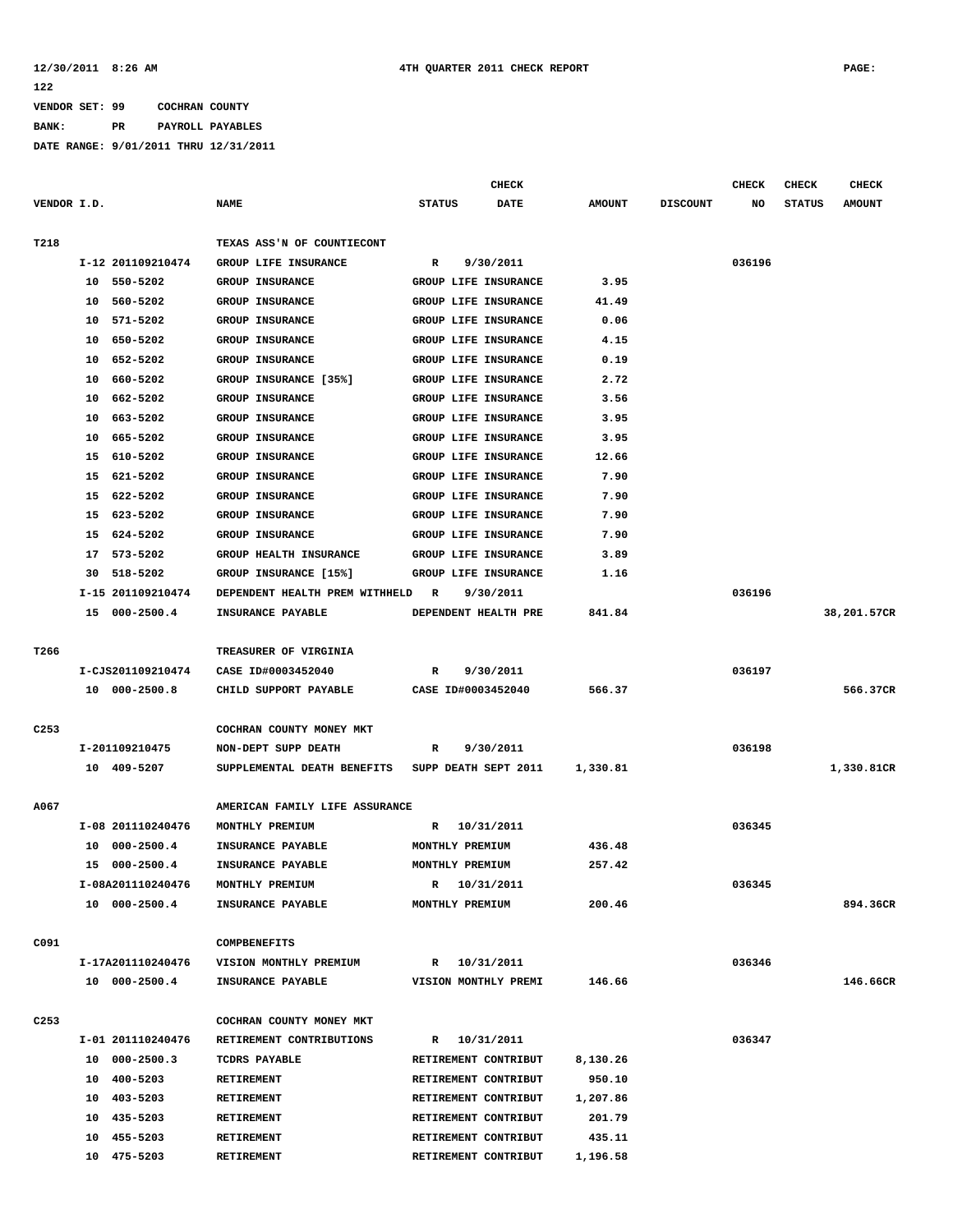## **122 VENDOR SET: 99 COCHRAN COUNTY BANK: PR PAYROLL PAYABLES**

| VENDOR I.D.<br><b>NAME</b><br><b>STATUS</b><br><b>DATE</b><br><b>AMOUNT</b><br><b>DISCOUNT</b><br>NO<br><b>STATUS</b><br><b>AMOUNT</b><br>TEXAS ASS'N OF COUNTIECONT<br>I-12 201109210474<br>GROUP LIFE INSURANCE<br>9/30/2011<br>036196<br>R<br>10 550-5202<br><b>GROUP INSURANCE</b><br>GROUP LIFE INSURANCE<br>3.95<br>560-5202<br>GROUP INSURANCE<br>10<br>GROUP LIFE INSURANCE<br>41.49<br>10 571-5202<br>GROUP INSURANCE<br>GROUP LIFE INSURANCE<br>0.06<br>10 650-5202<br>GROUP INSURANCE<br>GROUP LIFE INSURANCE<br>4.15<br><b>GROUP INSURANCE</b><br>652-5202<br>GROUP LIFE INSURANCE<br>0.19<br>10<br>660-5202<br>GROUP INSURANCE [35%]<br>GROUP LIFE INSURANCE<br>2.72<br>10<br>662-5202<br>10<br><b>GROUP INSURANCE</b><br>GROUP LIFE INSURANCE<br>3.56<br>10<br>663-5202<br><b>GROUP INSURANCE</b><br>GROUP LIFE INSURANCE<br>3.95<br>665-5202<br>10<br>GROUP INSURANCE<br>GROUP LIFE INSURANCE<br>3.95<br>15 610-5202<br>GROUP INSURANCE<br>GROUP LIFE INSURANCE<br>12.66<br>621-5202<br><b>GROUP INSURANCE</b><br>7.90<br>15<br>GROUP LIFE INSURANCE<br>622-5202<br><b>GROUP INSURANCE</b><br>GROUP LIFE INSURANCE<br>7.90<br>15<br>623-5202<br><b>GROUP INSURANCE</b><br>GROUP LIFE INSURANCE<br>7.90<br>15<br>7.90<br>15<br>624-5202<br><b>GROUP INSURANCE</b><br>GROUP LIFE INSURANCE<br>17 573-5202<br><b>GROUP HEALTH INSURANCE</b><br>GROUP LIFE INSURANCE<br>3.89<br>518-5202<br>GROUP INSURANCE [15%]<br>GROUP LIFE INSURANCE<br>1.16<br>30<br>036196<br>I-15 201109210474<br>DEPENDENT HEALTH PREM WITHHELD<br>R<br>9/30/2011<br>15 000-2500.4<br>INSURANCE PAYABLE<br>841.84<br>38,201.57CR<br>DEPENDENT HEALTH PRE<br>T266<br>TREASURER OF VIRGINIA<br>I-CJS201109210474<br>CASE ID#0003452040<br>9/30/2011<br>036197<br>R<br>10 000-2500.8<br>CHILD SUPPORT PAYABLE<br>CASE ID#0003452040<br>566.37<br>566.37CR<br>COCHRAN COUNTY MONEY MKT<br>I-201109210475<br>NON-DEPT SUPP DEATH<br>9/30/2011<br>036198<br>R<br>10 409-5207<br>1,330.81CR<br>SUPPLEMENTAL DEATH BENEFITS<br>SUPP DEATH SEPT 2011<br>1,330.81<br>AMERICAN FAMILY LIFE ASSURANCE<br>I-08 201110240476<br>036345<br>MONTHLY PREMIUM<br>10/31/2011<br>R<br>$000 - 2500.4$<br>INSURANCE PAYABLE<br>MONTHLY PREMIUM<br>436.48<br>10<br>15 000-2500.4<br>INSURANCE PAYABLE<br>MONTHLY PREMIUM<br>257.42<br>I-08A201110240476<br>MONTHLY PREMIUM<br>10/31/2011<br>036345<br>R<br>10 000-2500.4<br>200.46<br>894.36CR<br>INSURANCE PAYABLE<br>MONTHLY PREMIUM<br><b>COMPBENEFITS</b><br>036346<br>I-17A201110240476<br>VISION MONTHLY PREMIUM<br>R 10/31/2011<br>10 000-2500.4<br>VISION MONTHLY PREMI<br>146.66<br>146.66CR<br>INSURANCE PAYABLE<br>C <sub>253</sub><br>COCHRAN COUNTY MONEY MKT<br>RETIREMENT CONTRIBUTIONS<br>036347<br>I-01 201110240476<br>R 10/31/2011<br>10 000-2500.3<br>TCDRS PAYABLE<br>RETIREMENT CONTRIBUT<br>8,130.26<br>10 400-5203<br>RETIREMENT<br>RETIREMENT CONTRIBUT<br>950.10<br>10 403-5203<br>RETIREMENT<br>RETIREMENT CONTRIBUT<br>1,207.86<br>10 435-5203<br>RETIREMENT<br>RETIREMENT CONTRIBUT<br>201.79<br>10 455-5203<br>435.11<br>RETIREMENT<br>RETIREMENT CONTRIBUT |                  |             |            | <b>CHECK</b> |  |          |  | <b>CHECK</b> | <b>CHECK</b> | <b>CHECK</b> |
|--------------------------------------------------------------------------------------------------------------------------------------------------------------------------------------------------------------------------------------------------------------------------------------------------------------------------------------------------------------------------------------------------------------------------------------------------------------------------------------------------------------------------------------------------------------------------------------------------------------------------------------------------------------------------------------------------------------------------------------------------------------------------------------------------------------------------------------------------------------------------------------------------------------------------------------------------------------------------------------------------------------------------------------------------------------------------------------------------------------------------------------------------------------------------------------------------------------------------------------------------------------------------------------------------------------------------------------------------------------------------------------------------------------------------------------------------------------------------------------------------------------------------------------------------------------------------------------------------------------------------------------------------------------------------------------------------------------------------------------------------------------------------------------------------------------------------------------------------------------------------------------------------------------------------------------------------------------------------------------------------------------------------------------------------------------------------------------------------------------------------------------------------------------------------------------------------------------------------------------------------------------------------------------------------------------------------------------------------------------------------------------------------------------------------------------------------------------------------------------------------------------------------------------------------------------------------------------------------------------------------------------------------------------------------------------------------------------------------------------------------------------------------------------------------------------------------------------------------------------------------------------------------------------------------------------------------------------------------------------------------------------------------------------------------------------------------------------------------------|------------------|-------------|------------|--------------|--|----------|--|--------------|--------------|--------------|
|                                                                                                                                                                                                                                                                                                                                                                                                                                                                                                                                                                                                                                                                                                                                                                                                                                                                                                                                                                                                                                                                                                                                                                                                                                                                                                                                                                                                                                                                                                                                                                                                                                                                                                                                                                                                                                                                                                                                                                                                                                                                                                                                                                                                                                                                                                                                                                                                                                                                                                                                                                                                                                                                                                                                                                                                                                                                                                                                                                                                                                                                                                        |                  |             |            |              |  |          |  |              |              |              |
|                                                                                                                                                                                                                                                                                                                                                                                                                                                                                                                                                                                                                                                                                                                                                                                                                                                                                                                                                                                                                                                                                                                                                                                                                                                                                                                                                                                                                                                                                                                                                                                                                                                                                                                                                                                                                                                                                                                                                                                                                                                                                                                                                                                                                                                                                                                                                                                                                                                                                                                                                                                                                                                                                                                                                                                                                                                                                                                                                                                                                                                                                                        |                  |             |            |              |  |          |  |              |              |              |
|                                                                                                                                                                                                                                                                                                                                                                                                                                                                                                                                                                                                                                                                                                                                                                                                                                                                                                                                                                                                                                                                                                                                                                                                                                                                                                                                                                                                                                                                                                                                                                                                                                                                                                                                                                                                                                                                                                                                                                                                                                                                                                                                                                                                                                                                                                                                                                                                                                                                                                                                                                                                                                                                                                                                                                                                                                                                                                                                                                                                                                                                                                        | T218             |             |            |              |  |          |  |              |              |              |
|                                                                                                                                                                                                                                                                                                                                                                                                                                                                                                                                                                                                                                                                                                                                                                                                                                                                                                                                                                                                                                                                                                                                                                                                                                                                                                                                                                                                                                                                                                                                                                                                                                                                                                                                                                                                                                                                                                                                                                                                                                                                                                                                                                                                                                                                                                                                                                                                                                                                                                                                                                                                                                                                                                                                                                                                                                                                                                                                                                                                                                                                                                        |                  |             |            |              |  |          |  |              |              |              |
|                                                                                                                                                                                                                                                                                                                                                                                                                                                                                                                                                                                                                                                                                                                                                                                                                                                                                                                                                                                                                                                                                                                                                                                                                                                                                                                                                                                                                                                                                                                                                                                                                                                                                                                                                                                                                                                                                                                                                                                                                                                                                                                                                                                                                                                                                                                                                                                                                                                                                                                                                                                                                                                                                                                                                                                                                                                                                                                                                                                                                                                                                                        |                  |             |            |              |  |          |  |              |              |              |
|                                                                                                                                                                                                                                                                                                                                                                                                                                                                                                                                                                                                                                                                                                                                                                                                                                                                                                                                                                                                                                                                                                                                                                                                                                                                                                                                                                                                                                                                                                                                                                                                                                                                                                                                                                                                                                                                                                                                                                                                                                                                                                                                                                                                                                                                                                                                                                                                                                                                                                                                                                                                                                                                                                                                                                                                                                                                                                                                                                                                                                                                                                        |                  |             |            |              |  |          |  |              |              |              |
|                                                                                                                                                                                                                                                                                                                                                                                                                                                                                                                                                                                                                                                                                                                                                                                                                                                                                                                                                                                                                                                                                                                                                                                                                                                                                                                                                                                                                                                                                                                                                                                                                                                                                                                                                                                                                                                                                                                                                                                                                                                                                                                                                                                                                                                                                                                                                                                                                                                                                                                                                                                                                                                                                                                                                                                                                                                                                                                                                                                                                                                                                                        |                  |             |            |              |  |          |  |              |              |              |
|                                                                                                                                                                                                                                                                                                                                                                                                                                                                                                                                                                                                                                                                                                                                                                                                                                                                                                                                                                                                                                                                                                                                                                                                                                                                                                                                                                                                                                                                                                                                                                                                                                                                                                                                                                                                                                                                                                                                                                                                                                                                                                                                                                                                                                                                                                                                                                                                                                                                                                                                                                                                                                                                                                                                                                                                                                                                                                                                                                                                                                                                                                        |                  |             |            |              |  |          |  |              |              |              |
|                                                                                                                                                                                                                                                                                                                                                                                                                                                                                                                                                                                                                                                                                                                                                                                                                                                                                                                                                                                                                                                                                                                                                                                                                                                                                                                                                                                                                                                                                                                                                                                                                                                                                                                                                                                                                                                                                                                                                                                                                                                                                                                                                                                                                                                                                                                                                                                                                                                                                                                                                                                                                                                                                                                                                                                                                                                                                                                                                                                                                                                                                                        |                  |             |            |              |  |          |  |              |              |              |
|                                                                                                                                                                                                                                                                                                                                                                                                                                                                                                                                                                                                                                                                                                                                                                                                                                                                                                                                                                                                                                                                                                                                                                                                                                                                                                                                                                                                                                                                                                                                                                                                                                                                                                                                                                                                                                                                                                                                                                                                                                                                                                                                                                                                                                                                                                                                                                                                                                                                                                                                                                                                                                                                                                                                                                                                                                                                                                                                                                                                                                                                                                        |                  |             |            |              |  |          |  |              |              |              |
|                                                                                                                                                                                                                                                                                                                                                                                                                                                                                                                                                                                                                                                                                                                                                                                                                                                                                                                                                                                                                                                                                                                                                                                                                                                                                                                                                                                                                                                                                                                                                                                                                                                                                                                                                                                                                                                                                                                                                                                                                                                                                                                                                                                                                                                                                                                                                                                                                                                                                                                                                                                                                                                                                                                                                                                                                                                                                                                                                                                                                                                                                                        |                  |             |            |              |  |          |  |              |              |              |
|                                                                                                                                                                                                                                                                                                                                                                                                                                                                                                                                                                                                                                                                                                                                                                                                                                                                                                                                                                                                                                                                                                                                                                                                                                                                                                                                                                                                                                                                                                                                                                                                                                                                                                                                                                                                                                                                                                                                                                                                                                                                                                                                                                                                                                                                                                                                                                                                                                                                                                                                                                                                                                                                                                                                                                                                                                                                                                                                                                                                                                                                                                        |                  |             |            |              |  |          |  |              |              |              |
|                                                                                                                                                                                                                                                                                                                                                                                                                                                                                                                                                                                                                                                                                                                                                                                                                                                                                                                                                                                                                                                                                                                                                                                                                                                                                                                                                                                                                                                                                                                                                                                                                                                                                                                                                                                                                                                                                                                                                                                                                                                                                                                                                                                                                                                                                                                                                                                                                                                                                                                                                                                                                                                                                                                                                                                                                                                                                                                                                                                                                                                                                                        |                  |             |            |              |  |          |  |              |              |              |
|                                                                                                                                                                                                                                                                                                                                                                                                                                                                                                                                                                                                                                                                                                                                                                                                                                                                                                                                                                                                                                                                                                                                                                                                                                                                                                                                                                                                                                                                                                                                                                                                                                                                                                                                                                                                                                                                                                                                                                                                                                                                                                                                                                                                                                                                                                                                                                                                                                                                                                                                                                                                                                                                                                                                                                                                                                                                                                                                                                                                                                                                                                        |                  |             |            |              |  |          |  |              |              |              |
|                                                                                                                                                                                                                                                                                                                                                                                                                                                                                                                                                                                                                                                                                                                                                                                                                                                                                                                                                                                                                                                                                                                                                                                                                                                                                                                                                                                                                                                                                                                                                                                                                                                                                                                                                                                                                                                                                                                                                                                                                                                                                                                                                                                                                                                                                                                                                                                                                                                                                                                                                                                                                                                                                                                                                                                                                                                                                                                                                                                                                                                                                                        |                  |             |            |              |  |          |  |              |              |              |
|                                                                                                                                                                                                                                                                                                                                                                                                                                                                                                                                                                                                                                                                                                                                                                                                                                                                                                                                                                                                                                                                                                                                                                                                                                                                                                                                                                                                                                                                                                                                                                                                                                                                                                                                                                                                                                                                                                                                                                                                                                                                                                                                                                                                                                                                                                                                                                                                                                                                                                                                                                                                                                                                                                                                                                                                                                                                                                                                                                                                                                                                                                        |                  |             |            |              |  |          |  |              |              |              |
|                                                                                                                                                                                                                                                                                                                                                                                                                                                                                                                                                                                                                                                                                                                                                                                                                                                                                                                                                                                                                                                                                                                                                                                                                                                                                                                                                                                                                                                                                                                                                                                                                                                                                                                                                                                                                                                                                                                                                                                                                                                                                                                                                                                                                                                                                                                                                                                                                                                                                                                                                                                                                                                                                                                                                                                                                                                                                                                                                                                                                                                                                                        |                  |             |            |              |  |          |  |              |              |              |
|                                                                                                                                                                                                                                                                                                                                                                                                                                                                                                                                                                                                                                                                                                                                                                                                                                                                                                                                                                                                                                                                                                                                                                                                                                                                                                                                                                                                                                                                                                                                                                                                                                                                                                                                                                                                                                                                                                                                                                                                                                                                                                                                                                                                                                                                                                                                                                                                                                                                                                                                                                                                                                                                                                                                                                                                                                                                                                                                                                                                                                                                                                        |                  |             |            |              |  |          |  |              |              |              |
|                                                                                                                                                                                                                                                                                                                                                                                                                                                                                                                                                                                                                                                                                                                                                                                                                                                                                                                                                                                                                                                                                                                                                                                                                                                                                                                                                                                                                                                                                                                                                                                                                                                                                                                                                                                                                                                                                                                                                                                                                                                                                                                                                                                                                                                                                                                                                                                                                                                                                                                                                                                                                                                                                                                                                                                                                                                                                                                                                                                                                                                                                                        |                  |             |            |              |  |          |  |              |              |              |
|                                                                                                                                                                                                                                                                                                                                                                                                                                                                                                                                                                                                                                                                                                                                                                                                                                                                                                                                                                                                                                                                                                                                                                                                                                                                                                                                                                                                                                                                                                                                                                                                                                                                                                                                                                                                                                                                                                                                                                                                                                                                                                                                                                                                                                                                                                                                                                                                                                                                                                                                                                                                                                                                                                                                                                                                                                                                                                                                                                                                                                                                                                        |                  |             |            |              |  |          |  |              |              |              |
|                                                                                                                                                                                                                                                                                                                                                                                                                                                                                                                                                                                                                                                                                                                                                                                                                                                                                                                                                                                                                                                                                                                                                                                                                                                                                                                                                                                                                                                                                                                                                                                                                                                                                                                                                                                                                                                                                                                                                                                                                                                                                                                                                                                                                                                                                                                                                                                                                                                                                                                                                                                                                                                                                                                                                                                                                                                                                                                                                                                                                                                                                                        |                  |             |            |              |  |          |  |              |              |              |
|                                                                                                                                                                                                                                                                                                                                                                                                                                                                                                                                                                                                                                                                                                                                                                                                                                                                                                                                                                                                                                                                                                                                                                                                                                                                                                                                                                                                                                                                                                                                                                                                                                                                                                                                                                                                                                                                                                                                                                                                                                                                                                                                                                                                                                                                                                                                                                                                                                                                                                                                                                                                                                                                                                                                                                                                                                                                                                                                                                                                                                                                                                        |                  |             |            |              |  |          |  |              |              |              |
|                                                                                                                                                                                                                                                                                                                                                                                                                                                                                                                                                                                                                                                                                                                                                                                                                                                                                                                                                                                                                                                                                                                                                                                                                                                                                                                                                                                                                                                                                                                                                                                                                                                                                                                                                                                                                                                                                                                                                                                                                                                                                                                                                                                                                                                                                                                                                                                                                                                                                                                                                                                                                                                                                                                                                                                                                                                                                                                                                                                                                                                                                                        |                  |             |            |              |  |          |  |              |              |              |
|                                                                                                                                                                                                                                                                                                                                                                                                                                                                                                                                                                                                                                                                                                                                                                                                                                                                                                                                                                                                                                                                                                                                                                                                                                                                                                                                                                                                                                                                                                                                                                                                                                                                                                                                                                                                                                                                                                                                                                                                                                                                                                                                                                                                                                                                                                                                                                                                                                                                                                                                                                                                                                                                                                                                                                                                                                                                                                                                                                                                                                                                                                        |                  |             |            |              |  |          |  |              |              |              |
|                                                                                                                                                                                                                                                                                                                                                                                                                                                                                                                                                                                                                                                                                                                                                                                                                                                                                                                                                                                                                                                                                                                                                                                                                                                                                                                                                                                                                                                                                                                                                                                                                                                                                                                                                                                                                                                                                                                                                                                                                                                                                                                                                                                                                                                                                                                                                                                                                                                                                                                                                                                                                                                                                                                                                                                                                                                                                                                                                                                                                                                                                                        |                  |             |            |              |  |          |  |              |              |              |
|                                                                                                                                                                                                                                                                                                                                                                                                                                                                                                                                                                                                                                                                                                                                                                                                                                                                                                                                                                                                                                                                                                                                                                                                                                                                                                                                                                                                                                                                                                                                                                                                                                                                                                                                                                                                                                                                                                                                                                                                                                                                                                                                                                                                                                                                                                                                                                                                                                                                                                                                                                                                                                                                                                                                                                                                                                                                                                                                                                                                                                                                                                        |                  |             |            |              |  |          |  |              |              |              |
|                                                                                                                                                                                                                                                                                                                                                                                                                                                                                                                                                                                                                                                                                                                                                                                                                                                                                                                                                                                                                                                                                                                                                                                                                                                                                                                                                                                                                                                                                                                                                                                                                                                                                                                                                                                                                                                                                                                                                                                                                                                                                                                                                                                                                                                                                                                                                                                                                                                                                                                                                                                                                                                                                                                                                                                                                                                                                                                                                                                                                                                                                                        | C <sub>253</sub> |             |            |              |  |          |  |              |              |              |
|                                                                                                                                                                                                                                                                                                                                                                                                                                                                                                                                                                                                                                                                                                                                                                                                                                                                                                                                                                                                                                                                                                                                                                                                                                                                                                                                                                                                                                                                                                                                                                                                                                                                                                                                                                                                                                                                                                                                                                                                                                                                                                                                                                                                                                                                                                                                                                                                                                                                                                                                                                                                                                                                                                                                                                                                                                                                                                                                                                                                                                                                                                        |                  |             |            |              |  |          |  |              |              |              |
|                                                                                                                                                                                                                                                                                                                                                                                                                                                                                                                                                                                                                                                                                                                                                                                                                                                                                                                                                                                                                                                                                                                                                                                                                                                                                                                                                                                                                                                                                                                                                                                                                                                                                                                                                                                                                                                                                                                                                                                                                                                                                                                                                                                                                                                                                                                                                                                                                                                                                                                                                                                                                                                                                                                                                                                                                                                                                                                                                                                                                                                                                                        |                  |             |            |              |  |          |  |              |              |              |
|                                                                                                                                                                                                                                                                                                                                                                                                                                                                                                                                                                                                                                                                                                                                                                                                                                                                                                                                                                                                                                                                                                                                                                                                                                                                                                                                                                                                                                                                                                                                                                                                                                                                                                                                                                                                                                                                                                                                                                                                                                                                                                                                                                                                                                                                                                                                                                                                                                                                                                                                                                                                                                                                                                                                                                                                                                                                                                                                                                                                                                                                                                        |                  |             |            |              |  |          |  |              |              |              |
|                                                                                                                                                                                                                                                                                                                                                                                                                                                                                                                                                                                                                                                                                                                                                                                                                                                                                                                                                                                                                                                                                                                                                                                                                                                                                                                                                                                                                                                                                                                                                                                                                                                                                                                                                                                                                                                                                                                                                                                                                                                                                                                                                                                                                                                                                                                                                                                                                                                                                                                                                                                                                                                                                                                                                                                                                                                                                                                                                                                                                                                                                                        | A067             |             |            |              |  |          |  |              |              |              |
|                                                                                                                                                                                                                                                                                                                                                                                                                                                                                                                                                                                                                                                                                                                                                                                                                                                                                                                                                                                                                                                                                                                                                                                                                                                                                                                                                                                                                                                                                                                                                                                                                                                                                                                                                                                                                                                                                                                                                                                                                                                                                                                                                                                                                                                                                                                                                                                                                                                                                                                                                                                                                                                                                                                                                                                                                                                                                                                                                                                                                                                                                                        |                  |             |            |              |  |          |  |              |              |              |
|                                                                                                                                                                                                                                                                                                                                                                                                                                                                                                                                                                                                                                                                                                                                                                                                                                                                                                                                                                                                                                                                                                                                                                                                                                                                                                                                                                                                                                                                                                                                                                                                                                                                                                                                                                                                                                                                                                                                                                                                                                                                                                                                                                                                                                                                                                                                                                                                                                                                                                                                                                                                                                                                                                                                                                                                                                                                                                                                                                                                                                                                                                        |                  |             |            |              |  |          |  |              |              |              |
|                                                                                                                                                                                                                                                                                                                                                                                                                                                                                                                                                                                                                                                                                                                                                                                                                                                                                                                                                                                                                                                                                                                                                                                                                                                                                                                                                                                                                                                                                                                                                                                                                                                                                                                                                                                                                                                                                                                                                                                                                                                                                                                                                                                                                                                                                                                                                                                                                                                                                                                                                                                                                                                                                                                                                                                                                                                                                                                                                                                                                                                                                                        |                  |             |            |              |  |          |  |              |              |              |
|                                                                                                                                                                                                                                                                                                                                                                                                                                                                                                                                                                                                                                                                                                                                                                                                                                                                                                                                                                                                                                                                                                                                                                                                                                                                                                                                                                                                                                                                                                                                                                                                                                                                                                                                                                                                                                                                                                                                                                                                                                                                                                                                                                                                                                                                                                                                                                                                                                                                                                                                                                                                                                                                                                                                                                                                                                                                                                                                                                                                                                                                                                        |                  |             |            |              |  |          |  |              |              |              |
|                                                                                                                                                                                                                                                                                                                                                                                                                                                                                                                                                                                                                                                                                                                                                                                                                                                                                                                                                                                                                                                                                                                                                                                                                                                                                                                                                                                                                                                                                                                                                                                                                                                                                                                                                                                                                                                                                                                                                                                                                                                                                                                                                                                                                                                                                                                                                                                                                                                                                                                                                                                                                                                                                                                                                                                                                                                                                                                                                                                                                                                                                                        |                  |             |            |              |  |          |  |              |              |              |
|                                                                                                                                                                                                                                                                                                                                                                                                                                                                                                                                                                                                                                                                                                                                                                                                                                                                                                                                                                                                                                                                                                                                                                                                                                                                                                                                                                                                                                                                                                                                                                                                                                                                                                                                                                                                                                                                                                                                                                                                                                                                                                                                                                                                                                                                                                                                                                                                                                                                                                                                                                                                                                                                                                                                                                                                                                                                                                                                                                                                                                                                                                        |                  |             |            |              |  |          |  |              |              |              |
|                                                                                                                                                                                                                                                                                                                                                                                                                                                                                                                                                                                                                                                                                                                                                                                                                                                                                                                                                                                                                                                                                                                                                                                                                                                                                                                                                                                                                                                                                                                                                                                                                                                                                                                                                                                                                                                                                                                                                                                                                                                                                                                                                                                                                                                                                                                                                                                                                                                                                                                                                                                                                                                                                                                                                                                                                                                                                                                                                                                                                                                                                                        | C091             |             |            |              |  |          |  |              |              |              |
|                                                                                                                                                                                                                                                                                                                                                                                                                                                                                                                                                                                                                                                                                                                                                                                                                                                                                                                                                                                                                                                                                                                                                                                                                                                                                                                                                                                                                                                                                                                                                                                                                                                                                                                                                                                                                                                                                                                                                                                                                                                                                                                                                                                                                                                                                                                                                                                                                                                                                                                                                                                                                                                                                                                                                                                                                                                                                                                                                                                                                                                                                                        |                  |             |            |              |  |          |  |              |              |              |
|                                                                                                                                                                                                                                                                                                                                                                                                                                                                                                                                                                                                                                                                                                                                                                                                                                                                                                                                                                                                                                                                                                                                                                                                                                                                                                                                                                                                                                                                                                                                                                                                                                                                                                                                                                                                                                                                                                                                                                                                                                                                                                                                                                                                                                                                                                                                                                                                                                                                                                                                                                                                                                                                                                                                                                                                                                                                                                                                                                                                                                                                                                        |                  |             |            |              |  |          |  |              |              |              |
|                                                                                                                                                                                                                                                                                                                                                                                                                                                                                                                                                                                                                                                                                                                                                                                                                                                                                                                                                                                                                                                                                                                                                                                                                                                                                                                                                                                                                                                                                                                                                                                                                                                                                                                                                                                                                                                                                                                                                                                                                                                                                                                                                                                                                                                                                                                                                                                                                                                                                                                                                                                                                                                                                                                                                                                                                                                                                                                                                                                                                                                                                                        |                  |             |            |              |  |          |  |              |              |              |
|                                                                                                                                                                                                                                                                                                                                                                                                                                                                                                                                                                                                                                                                                                                                                                                                                                                                                                                                                                                                                                                                                                                                                                                                                                                                                                                                                                                                                                                                                                                                                                                                                                                                                                                                                                                                                                                                                                                                                                                                                                                                                                                                                                                                                                                                                                                                                                                                                                                                                                                                                                                                                                                                                                                                                                                                                                                                                                                                                                                                                                                                                                        |                  |             |            |              |  |          |  |              |              |              |
|                                                                                                                                                                                                                                                                                                                                                                                                                                                                                                                                                                                                                                                                                                                                                                                                                                                                                                                                                                                                                                                                                                                                                                                                                                                                                                                                                                                                                                                                                                                                                                                                                                                                                                                                                                                                                                                                                                                                                                                                                                                                                                                                                                                                                                                                                                                                                                                                                                                                                                                                                                                                                                                                                                                                                                                                                                                                                                                                                                                                                                                                                                        |                  |             |            |              |  |          |  |              |              |              |
|                                                                                                                                                                                                                                                                                                                                                                                                                                                                                                                                                                                                                                                                                                                                                                                                                                                                                                                                                                                                                                                                                                                                                                                                                                                                                                                                                                                                                                                                                                                                                                                                                                                                                                                                                                                                                                                                                                                                                                                                                                                                                                                                                                                                                                                                                                                                                                                                                                                                                                                                                                                                                                                                                                                                                                                                                                                                                                                                                                                                                                                                                                        |                  |             |            |              |  |          |  |              |              |              |
|                                                                                                                                                                                                                                                                                                                                                                                                                                                                                                                                                                                                                                                                                                                                                                                                                                                                                                                                                                                                                                                                                                                                                                                                                                                                                                                                                                                                                                                                                                                                                                                                                                                                                                                                                                                                                                                                                                                                                                                                                                                                                                                                                                                                                                                                                                                                                                                                                                                                                                                                                                                                                                                                                                                                                                                                                                                                                                                                                                                                                                                                                                        |                  |             |            |              |  |          |  |              |              |              |
|                                                                                                                                                                                                                                                                                                                                                                                                                                                                                                                                                                                                                                                                                                                                                                                                                                                                                                                                                                                                                                                                                                                                                                                                                                                                                                                                                                                                                                                                                                                                                                                                                                                                                                                                                                                                                                                                                                                                                                                                                                                                                                                                                                                                                                                                                                                                                                                                                                                                                                                                                                                                                                                                                                                                                                                                                                                                                                                                                                                                                                                                                                        |                  |             |            |              |  |          |  |              |              |              |
|                                                                                                                                                                                                                                                                                                                                                                                                                                                                                                                                                                                                                                                                                                                                                                                                                                                                                                                                                                                                                                                                                                                                                                                                                                                                                                                                                                                                                                                                                                                                                                                                                                                                                                                                                                                                                                                                                                                                                                                                                                                                                                                                                                                                                                                                                                                                                                                                                                                                                                                                                                                                                                                                                                                                                                                                                                                                                                                                                                                                                                                                                                        |                  |             |            |              |  |          |  |              |              |              |
| RETIREMENT CONTRIBUT                                                                                                                                                                                                                                                                                                                                                                                                                                                                                                                                                                                                                                                                                                                                                                                                                                                                                                                                                                                                                                                                                                                                                                                                                                                                                                                                                                                                                                                                                                                                                                                                                                                                                                                                                                                                                                                                                                                                                                                                                                                                                                                                                                                                                                                                                                                                                                                                                                                                                                                                                                                                                                                                                                                                                                                                                                                                                                                                                                                                                                                                                   |                  | 10 475-5203 | RETIREMENT |              |  | 1,196.58 |  |              |              |              |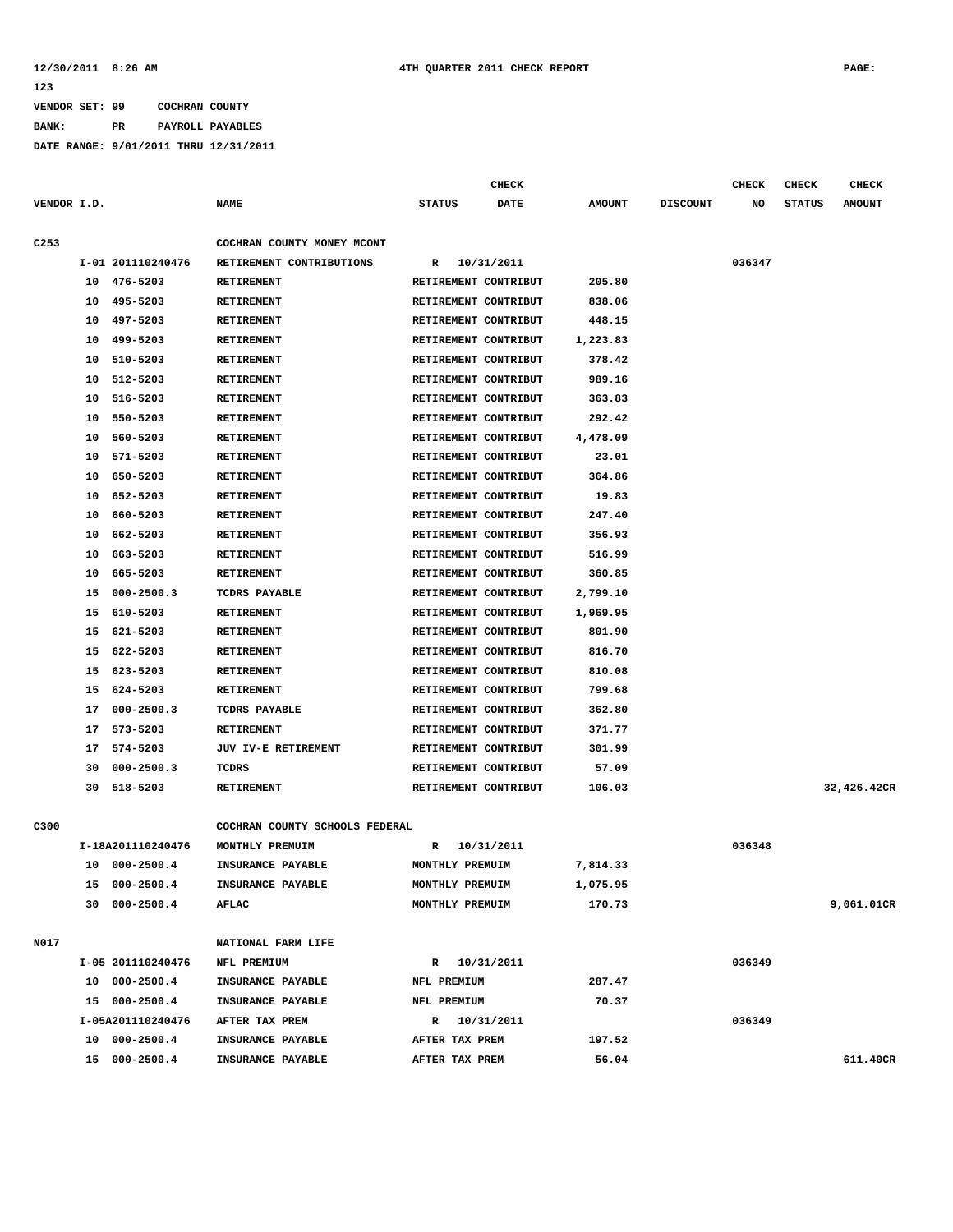### **123 VENDOR SET: 99 COCHRAN COUNTY BANK: PR PAYROLL PAYABLES**

|                  |    |                   |                                           |                 | CHECK                |               |                 | <b>CHECK</b> | <b>CHECK</b>  | <b>CHECK</b>  |
|------------------|----|-------------------|-------------------------------------------|-----------------|----------------------|---------------|-----------------|--------------|---------------|---------------|
| VENDOR I.D.      |    |                   | <b>NAME</b>                               | <b>STATUS</b>   | <b>DATE</b>          | <b>AMOUNT</b> | <b>DISCOUNT</b> | NO           | <b>STATUS</b> | <b>AMOUNT</b> |
| C <sub>253</sub> |    |                   | COCHRAN COUNTY MONEY MCONT                |                 |                      |               |                 |              |               |               |
|                  |    | I-01 201110240476 | RETIREMENT CONTRIBUTIONS                  | R               | 10/31/2011           |               |                 | 036347       |               |               |
|                  |    | 10 476-5203       | RETIREMENT                                |                 | RETIREMENT CONTRIBUT | 205.80        |                 |              |               |               |
|                  | 10 | 495-5203          | RETIREMENT                                |                 | RETIREMENT CONTRIBUT | 838.06        |                 |              |               |               |
|                  | 10 | 497-5203          | RETIREMENT                                |                 | RETIREMENT CONTRIBUT | 448.15        |                 |              |               |               |
|                  | 10 | 499-5203          | <b>RETIREMENT</b>                         |                 | RETIREMENT CONTRIBUT | 1,223.83      |                 |              |               |               |
|                  | 10 | 510-5203          | RETIREMENT                                |                 | RETIREMENT CONTRIBUT | 378.42        |                 |              |               |               |
|                  | 10 | 512-5203          | RETIREMENT                                |                 | RETIREMENT CONTRIBUT | 989.16        |                 |              |               |               |
|                  | 10 | 516-5203          | <b>RETIREMENT</b>                         |                 | RETIREMENT CONTRIBUT | 363.83        |                 |              |               |               |
|                  | 10 | 550-5203          | <b>RETIREMENT</b>                         |                 | RETIREMENT CONTRIBUT | 292.42        |                 |              |               |               |
|                  | 10 | 560-5203          | RETIREMENT                                |                 | RETIREMENT CONTRIBUT | 4,478.09      |                 |              |               |               |
|                  | 10 | 571-5203          | <b>RETIREMENT</b>                         |                 | RETIREMENT CONTRIBUT | 23.01         |                 |              |               |               |
|                  | 10 | 650-5203          | RETIREMENT                                |                 | RETIREMENT CONTRIBUT | 364.86        |                 |              |               |               |
|                  | 10 | 652-5203          | RETIREMENT                                |                 | RETIREMENT CONTRIBUT | 19.83         |                 |              |               |               |
|                  | 10 | 660-5203          | RETIREMENT                                |                 | RETIREMENT CONTRIBUT | 247.40        |                 |              |               |               |
|                  | 10 | 662-5203          | <b>RETIREMENT</b>                         |                 | RETIREMENT CONTRIBUT | 356.93        |                 |              |               |               |
|                  |    | 663-5203          |                                           |                 | RETIREMENT CONTRIBUT | 516.99        |                 |              |               |               |
|                  | 10 | 665-5203          | RETIREMENT<br><b>RETIREMENT</b>           |                 | RETIREMENT CONTRIBUT | 360.85        |                 |              |               |               |
|                  | 10 | $000 - 2500.3$    |                                           |                 |                      |               |                 |              |               |               |
|                  | 15 |                   | <b>TCDRS PAYABLE</b><br><b>RETIREMENT</b> |                 | RETIREMENT CONTRIBUT | 2,799.10      |                 |              |               |               |
|                  | 15 | 610-5203          |                                           |                 | RETIREMENT CONTRIBUT | 1,969.95      |                 |              |               |               |
|                  | 15 | 621-5203          | <b>RETIREMENT</b>                         |                 | RETIREMENT CONTRIBUT | 801.90        |                 |              |               |               |
|                  | 15 | 622-5203          | <b>RETIREMENT</b>                         |                 | RETIREMENT CONTRIBUT | 816.70        |                 |              |               |               |
|                  | 15 | 623-5203          | RETIREMENT                                |                 | RETIREMENT CONTRIBUT | 810.08        |                 |              |               |               |
|                  | 15 | 624-5203          | <b>RETIREMENT</b>                         |                 | RETIREMENT CONTRIBUT | 799.68        |                 |              |               |               |
|                  | 17 | $000 - 2500.3$    | <b>TCDRS PAYABLE</b>                      |                 | RETIREMENT CONTRIBUT | 362.80        |                 |              |               |               |
|                  | 17 | 573-5203          | RETIREMENT                                |                 | RETIREMENT CONTRIBUT | 371.77        |                 |              |               |               |
|                  | 17 | 574-5203          | <b>JUV IV-E RETIREMENT</b>                |                 | RETIREMENT CONTRIBUT | 301.99        |                 |              |               |               |
|                  | 30 | $000 - 2500.3$    | TCDRS                                     |                 | RETIREMENT CONTRIBUT | 57.09         |                 |              |               |               |
|                  | 30 | 518-5203          | RETIREMENT                                |                 | RETIREMENT CONTRIBUT | 106.03        |                 |              |               | 32,426.42CR   |
| C300             |    |                   | COCHRAN COUNTY SCHOOLS FEDERAL            |                 |                      |               |                 |              |               |               |
|                  |    | I-18A201110240476 | MONTHLY PREMUIM                           | R               | 10/31/2011           |               |                 | 036348       |               |               |
|                  |    | 10 000-2500.4     | INSURANCE PAYABLE                         | MONTHLY PREMUIM |                      | 7,814.33      |                 |              |               |               |
|                  |    | 15 000-2500.4     | INSURANCE PAYABLE                         | MONTHLY PREMUIM |                      | 1,075.95      |                 |              |               |               |
|                  |    | 30 000-2500.4     | AFLAC                                     | MONTHLY PREMUIM |                      | 170.73        |                 |              |               | 9,061.01CR    |
|                  |    |                   |                                           |                 |                      |               |                 |              |               |               |
| N017             |    |                   | NATIONAL FARM LIFE                        |                 |                      |               |                 |              |               |               |
|                  |    | I-05 201110240476 | NFL PREMIUM                               |                 | R 10/31/2011         |               |                 | 036349       |               |               |
|                  |    | 10 000-2500.4     | INSURANCE PAYABLE                         | NFL PREMIUM     |                      | 287.47        |                 |              |               |               |
|                  |    | 15 000-2500.4     | INSURANCE PAYABLE                         | NFL PREMIUM     |                      | 70.37         |                 |              |               |               |
|                  |    | I-05A201110240476 | AFTER TAX PREM                            | R 10/31/2011    |                      |               |                 | 036349       |               |               |
|                  |    | 10 000-2500.4     | INSURANCE PAYABLE                         | AFTER TAX PREM  |                      | 197.52        |                 |              |               |               |
|                  |    | 15 000-2500.4     | INSURANCE PAYABLE                         | AFTER TAX PREM  |                      | 56.04         |                 |              |               | 611.40CR      |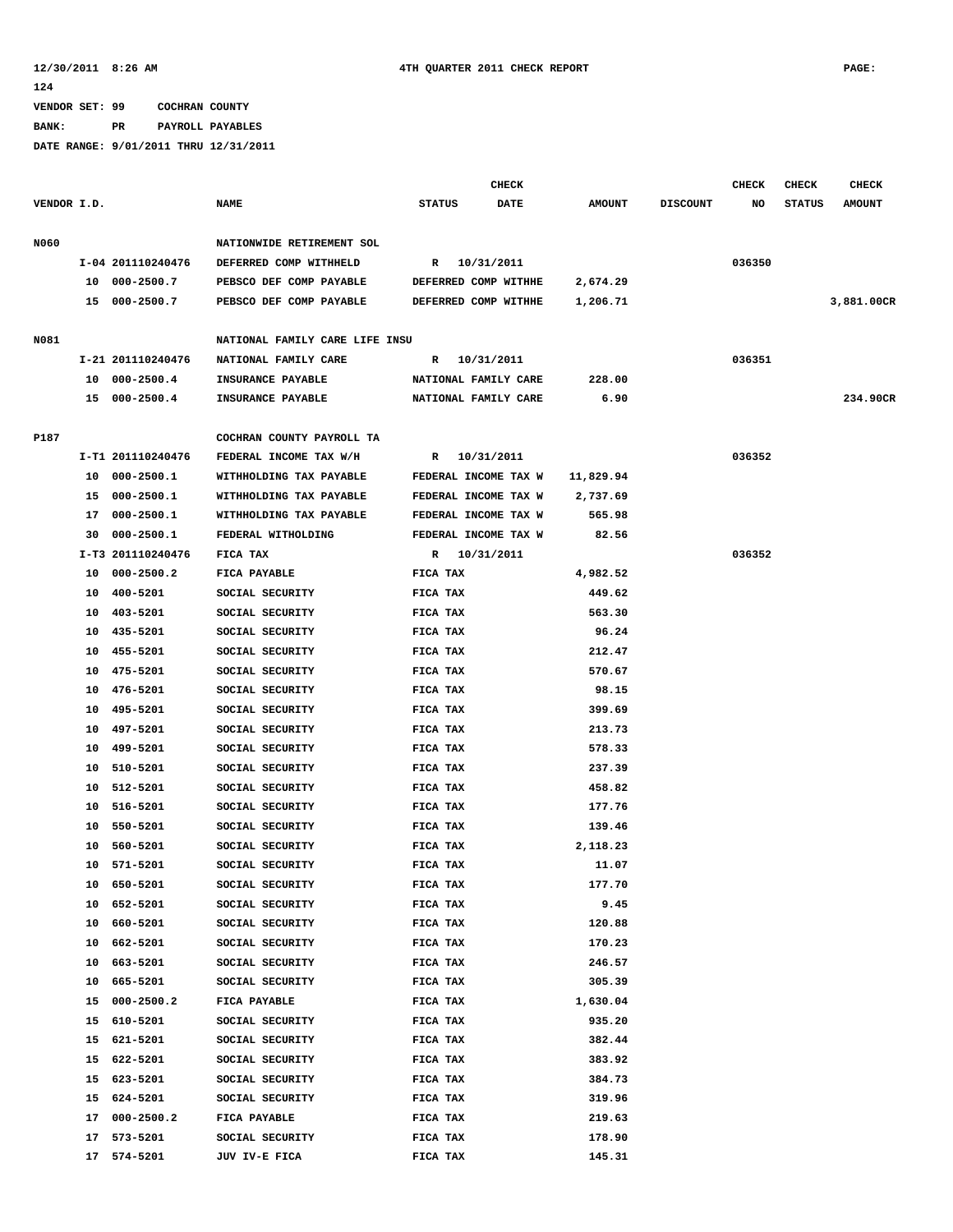### **VENDOR SET: 99 COCHRAN COUNTY BANK: PR PAYROLL PAYABLES**

|             |    |                   |                                | CHECK         |                      |               |                 | CHECK  | <b>CHECK</b>  | <b>CHECK</b>  |
|-------------|----|-------------------|--------------------------------|---------------|----------------------|---------------|-----------------|--------|---------------|---------------|
| VENDOR I.D. |    |                   | <b>NAME</b>                    | <b>STATUS</b> | <b>DATE</b>          | <b>AMOUNT</b> | <b>DISCOUNT</b> | NO     | <b>STATUS</b> | <b>AMOUNT</b> |
|             |    |                   |                                |               |                      |               |                 |        |               |               |
| N060        |    |                   | NATIONWIDE RETIREMENT SOL      |               |                      |               |                 |        |               |               |
|             |    | I-04 201110240476 | DEFERRED COMP WITHHELD         | R             | 10/31/2011           |               |                 | 036350 |               |               |
|             |    | 10 000-2500.7     | PEBSCO DEF COMP PAYABLE        |               | DEFERRED COMP WITHHE | 2,674.29      |                 |        |               |               |
|             |    | 15 000-2500.7     | PEBSCO DEF COMP PAYABLE        |               | DEFERRED COMP WITHHE | 1,206.71      |                 |        |               | 3,881.00CR    |
|             |    |                   |                                |               |                      |               |                 |        |               |               |
| N081        |    |                   | NATIONAL FAMILY CARE LIFE INSU |               |                      |               |                 |        |               |               |
|             |    | I-21 201110240476 | NATIONAL FAMILY CARE           | R             | 10/31/2011           |               |                 | 036351 |               |               |
|             |    | 10 000-2500.4     | INSURANCE PAYABLE              |               | NATIONAL FAMILY CARE | 228.00        |                 |        |               |               |
|             |    | 15 000-2500.4     | INSURANCE PAYABLE              |               | NATIONAL FAMILY CARE | 6.90          |                 |        |               | 234.90CR      |
|             |    |                   |                                |               |                      |               |                 |        |               |               |
| P187        |    |                   | COCHRAN COUNTY PAYROLL TA      |               |                      |               |                 |        |               |               |
|             |    | I-T1 201110240476 | FEDERAL INCOME TAX W/H         | R             | 10/31/2011           |               |                 | 036352 |               |               |
|             |    | 10 000-2500.1     | WITHHOLDING TAX PAYABLE        |               | FEDERAL INCOME TAX W | 11,829.94     |                 |        |               |               |
|             |    | 15 000-2500.1     | WITHHOLDING TAX PAYABLE        |               | FEDERAL INCOME TAX W | 2,737.69      |                 |        |               |               |
|             | 17 | 000-2500.1        | WITHHOLDING TAX PAYABLE        |               | FEDERAL INCOME TAX W | 565.98        |                 |        |               |               |
|             | 30 | 000-2500.1        | FEDERAL WITHOLDING             |               | FEDERAL INCOME TAX W | 82.56         |                 |        |               |               |
|             |    | I-T3 201110240476 | FICA TAX                       |               | R 10/31/2011         |               |                 | 036352 |               |               |
|             | 10 | $000 - 2500.2$    | FICA PAYABLE                   | FICA TAX      |                      | 4,982.52      |                 |        |               |               |
|             |    | 10 400-5201       | SOCIAL SECURITY                | FICA TAX      |                      | 449.62        |                 |        |               |               |
|             | 10 | 403-5201          | SOCIAL SECURITY                | FICA TAX      |                      | 563.30        |                 |        |               |               |
|             | 10 | 435-5201          | SOCIAL SECURITY                | FICA TAX      |                      | 96.24         |                 |        |               |               |
|             | 10 | 455-5201          | SOCIAL SECURITY                | FICA TAX      |                      | 212.47        |                 |        |               |               |
|             | 10 | 475-5201          | SOCIAL SECURITY                | FICA TAX      |                      | 570.67        |                 |        |               |               |
|             | 10 | 476-5201          | SOCIAL SECURITY                | FICA TAX      |                      | 98.15         |                 |        |               |               |
|             | 10 | 495-5201          | SOCIAL SECURITY                | FICA TAX      |                      | 399.69        |                 |        |               |               |
|             | 10 | 497-5201          | SOCIAL SECURITY                | FICA TAX      |                      | 213.73        |                 |        |               |               |
|             | 10 | 499-5201          | SOCIAL SECURITY                | FICA TAX      |                      | 578.33        |                 |        |               |               |
|             | 10 | 510-5201          | SOCIAL SECURITY                | FICA TAX      |                      | 237.39        |                 |        |               |               |
|             | 10 | 512-5201          | SOCIAL SECURITY                | FICA TAX      |                      | 458.82        |                 |        |               |               |
|             | 10 | 516-5201          | SOCIAL SECURITY                | FICA TAX      |                      | 177.76        |                 |        |               |               |
|             | 10 | 550-5201          | SOCIAL SECURITY                | FICA TAX      |                      | 139.46        |                 |        |               |               |
|             | 10 | 560-5201          | SOCIAL SECURITY                | FICA TAX      |                      | 2,118.23      |                 |        |               |               |
|             |    | 10 571-5201       | SOCIAL SECURITY                | FICA TAX      |                      | 11.07         |                 |        |               |               |
|             |    | 10 650-5201       | SOCIAL SECURITY                | FICA TAX      |                      | 177.70        |                 |        |               |               |
|             | 10 | 652-5201          | SOCIAL SECURITY                | FICA TAX      |                      | 9.45          |                 |        |               |               |
|             | 10 | 660-5201          | SOCIAL SECURITY                | FICA TAX      |                      | 120.88        |                 |        |               |               |
|             | 10 | 662-5201          | SOCIAL SECURITY                | FICA TAX      |                      | 170.23        |                 |        |               |               |
|             | 10 | 663-5201          | SOCIAL SECURITY                | FICA TAX      |                      | 246.57        |                 |        |               |               |
|             | 10 | 665-5201          | SOCIAL SECURITY                | FICA TAX      |                      | 305.39        |                 |        |               |               |
|             | 15 | $000 - 2500.2$    | FICA PAYABLE                   | FICA TAX      |                      | 1,630.04      |                 |        |               |               |
|             |    | 15 610-5201       | SOCIAL SECURITY                | FICA TAX      |                      | 935.20        |                 |        |               |               |
|             |    | 15 621-5201       | SOCIAL SECURITY                | FICA TAX      |                      | 382.44        |                 |        |               |               |
|             |    | 15 622-5201       | SOCIAL SECURITY                | FICA TAX      |                      | 383.92        |                 |        |               |               |
|             |    | 15 623-5201       | SOCIAL SECURITY                | FICA TAX      |                      | 384.73        |                 |        |               |               |
|             |    | 15 624-5201       | SOCIAL SECURITY                | FICA TAX      |                      | 319.96        |                 |        |               |               |
|             |    | 17 000-2500.2     | FICA PAYABLE                   | FICA TAX      |                      | 219.63        |                 |        |               |               |
|             |    | 17 573-5201       | SOCIAL SECURITY                | FICA TAX      |                      | 178.90        |                 |        |               |               |
|             |    | 17 574-5201       | <b>JUV IV-E FICA</b>           | FICA TAX      |                      | 145.31        |                 |        |               |               |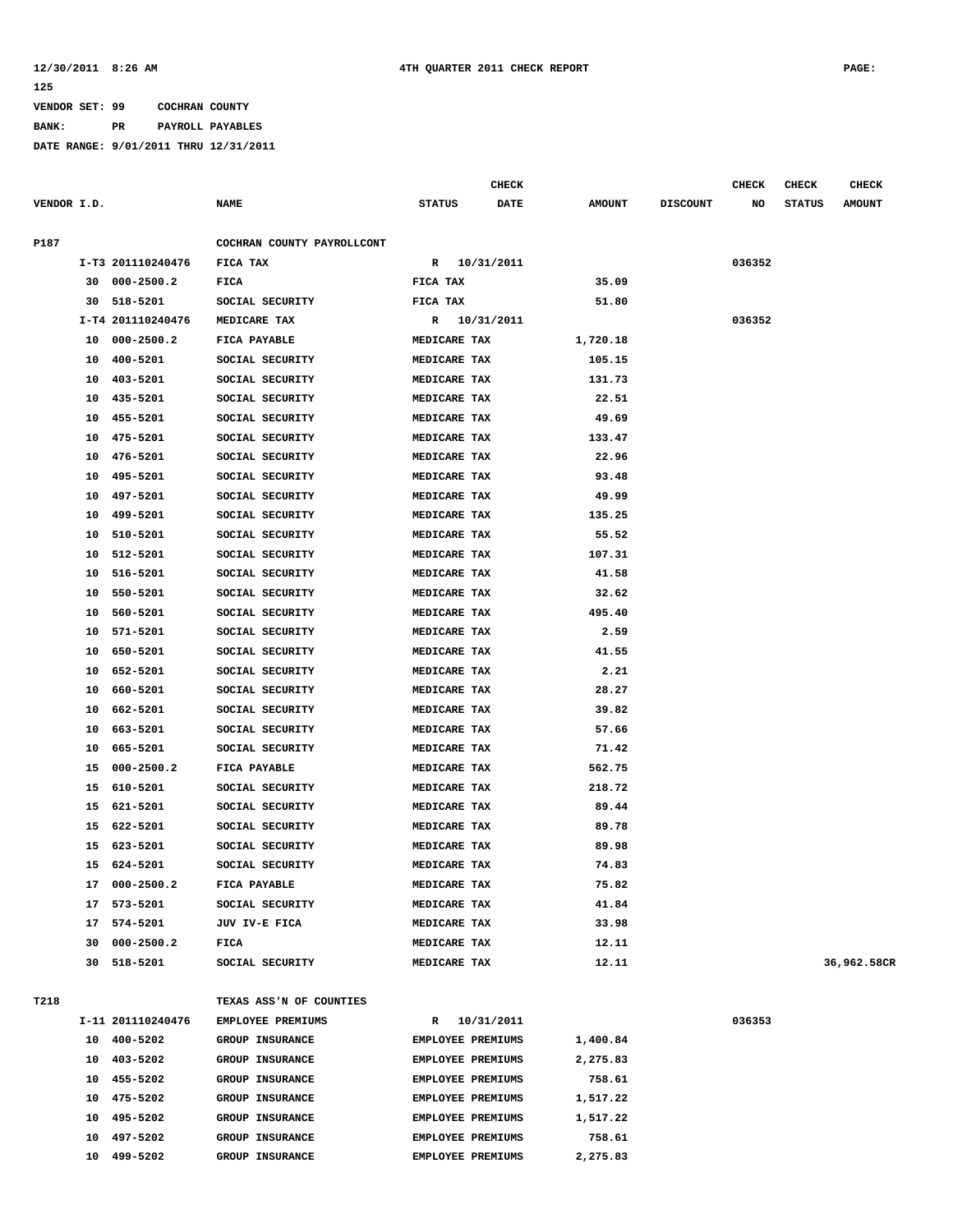### **125 VENDOR SET: 99 COCHRAN COUNTY BANK: PR PAYROLL PAYABLES**

**DATE RANGE: 9/01/2011 THRU 12/31/2011**

|             |    |                                  |                                             |                                               | CHECK       |               |                 | <b>CHECK</b> | <b>CHECK</b>  | <b>CHECK</b>  |
|-------------|----|----------------------------------|---------------------------------------------|-----------------------------------------------|-------------|---------------|-----------------|--------------|---------------|---------------|
| VENDOR I.D. |    |                                  | <b>NAME</b>                                 | <b>STATUS</b>                                 | <b>DATE</b> | <b>AMOUNT</b> | <b>DISCOUNT</b> | NO           | <b>STATUS</b> | <b>AMOUNT</b> |
| P187        |    |                                  | COCHRAN COUNTY PAYROLLCONT                  |                                               |             |               |                 |              |               |               |
|             |    | I-T3 201110240476                | FICA TAX                                    | R                                             | 10/31/2011  |               |                 | 036352       |               |               |
|             | 30 | $000 - 2500.2$                   | FICA                                        | FICA TAX                                      |             | 35.09         |                 |              |               |               |
|             | 30 | 518-5201                         | SOCIAL SECURITY                             | FICA TAX                                      |             | 51.80         |                 |              |               |               |
|             |    | I-T4 201110240476                | MEDICARE TAX                                | R 10/31/2011                                  |             |               |                 | 036352       |               |               |
|             | 10 | $000 - 2500.2$                   | FICA PAYABLE                                | MEDICARE TAX                                  |             | 1,720.18      |                 |              |               |               |
|             | 10 | 400-5201                         | SOCIAL SECURITY                             | MEDICARE TAX                                  |             | 105.15        |                 |              |               |               |
|             | 10 | 403-5201                         | SOCIAL SECURITY                             | MEDICARE TAX                                  |             | 131.73        |                 |              |               |               |
|             | 10 | 435-5201                         | SOCIAL SECURITY                             | MEDICARE TAX                                  |             | 22.51         |                 |              |               |               |
|             | 10 | 455-5201                         | SOCIAL SECURITY                             | MEDICARE TAX                                  |             | 49.69         |                 |              |               |               |
|             | 10 | 475-5201                         | SOCIAL SECURITY                             | MEDICARE TAX                                  |             | 133.47        |                 |              |               |               |
|             | 10 | 476-5201                         | SOCIAL SECURITY                             | MEDICARE TAX                                  |             | 22.96         |                 |              |               |               |
|             | 10 | 495-5201                         | SOCIAL SECURITY                             | MEDICARE TAX                                  |             | 93.48         |                 |              |               |               |
|             | 10 | 497-5201                         | SOCIAL SECURITY                             | MEDICARE TAX                                  |             | 49.99         |                 |              |               |               |
|             | 10 | 499-5201                         | SOCIAL SECURITY                             | MEDICARE TAX                                  |             | 135.25        |                 |              |               |               |
|             | 10 |                                  | SOCIAL SECURITY                             | MEDICARE TAX                                  |             | 55.52         |                 |              |               |               |
|             | 10 | 510-5201<br>512-5201             |                                             | MEDICARE TAX                                  |             | 107.31        |                 |              |               |               |
|             | 10 |                                  | SOCIAL SECURITY<br>SOCIAL SECURITY          | MEDICARE TAX                                  |             | 41.58         |                 |              |               |               |
|             |    | 516-5201                         |                                             |                                               |             |               |                 |              |               |               |
|             | 10 | 550-5201                         | SOCIAL SECURITY                             | MEDICARE TAX                                  |             | 32.62         |                 |              |               |               |
|             | 10 | 560-5201                         | SOCIAL SECURITY                             | MEDICARE TAX                                  |             | 495.40        |                 |              |               |               |
|             | 10 | 571-5201                         | SOCIAL SECURITY                             | MEDICARE TAX                                  |             | 2.59          |                 |              |               |               |
|             | 10 | 650-5201                         | SOCIAL SECURITY                             | MEDICARE TAX                                  |             | 41.55         |                 |              |               |               |
|             | 10 | 652-5201                         | SOCIAL SECURITY                             | MEDICARE TAX                                  |             | 2.21          |                 |              |               |               |
|             | 10 | 660-5201                         | SOCIAL SECURITY                             | MEDICARE TAX                                  |             | 28.27         |                 |              |               |               |
|             | 10 | 662-5201                         | SOCIAL SECURITY                             | MEDICARE TAX                                  |             | 39.82         |                 |              |               |               |
|             | 10 | 663-5201                         | SOCIAL SECURITY                             | MEDICARE TAX                                  |             | 57.66         |                 |              |               |               |
|             | 10 | 665-5201                         | SOCIAL SECURITY                             | MEDICARE TAX                                  |             | 71.42         |                 |              |               |               |
|             | 15 | $000 - 2500.2$                   | FICA PAYABLE                                | MEDICARE TAX                                  |             | 562.75        |                 |              |               |               |
|             | 15 | 610-5201                         | SOCIAL SECURITY                             | MEDICARE TAX                                  |             | 218.72        |                 |              |               |               |
|             | 15 | 621-5201                         | SOCIAL SECURITY                             | MEDICARE TAX                                  |             | 89.44         |                 |              |               |               |
|             | 15 | 622-5201                         | SOCIAL SECURITY                             | MEDICARE TAX                                  |             | 89.78         |                 |              |               |               |
|             | 15 | 623-5201                         | SOCIAL SECURITY                             | MEDICARE TAX                                  |             | 89.98         |                 |              |               |               |
|             | 15 | 624-5201                         | SOCIAL SECURITY                             | MEDICARE TAX                                  |             | 74.83         |                 |              |               |               |
|             | 17 | $000 - 2500.2$                   | FICA PAYABLE                                | MEDICARE TAX                                  |             | 75.82         |                 |              |               |               |
|             |    | 17 573-5201                      | SOCIAL SECURITY                             | MEDICARE TAX                                  |             | 41.84         |                 |              |               |               |
|             |    | 17 574-5201                      | JUV IV-E FICA                               | MEDICARE TAX                                  |             | 33.98         |                 |              |               |               |
|             | 30 | $000 - 2500.2$                   | FICA                                        | MEDICARE TAX                                  |             | 12.11         |                 |              |               |               |
|             |    | 30 518-5201                      | SOCIAL SECURITY                             | MEDICARE TAX                                  |             | 12.11         |                 |              |               | 36,962.58CR   |
| T218        |    |                                  | TEXAS ASS'N OF COUNTIES                     |                                               |             |               |                 |              |               |               |
|             |    |                                  |                                             |                                               |             |               |                 |              |               |               |
|             |    | I-11 201110240476<br>10 400-5202 | <b>EMPLOYEE PREMIUMS</b><br>GROUP INSURANCE | R 10/31/2011<br><b>EMPLOYEE PREMIUMS</b>      |             |               |                 | 036353       |               |               |
|             |    |                                  | <b>GROUP INSURANCE</b>                      |                                               |             | 1,400.84      |                 |              |               |               |
|             |    | 10 403-5202                      | <b>GROUP INSURANCE</b>                      | EMPLOYEE PREMIUMS<br><b>EMPLOYEE PREMIUMS</b> |             | 2,275.83      |                 |              |               |               |
|             |    | 10 455-5202                      |                                             |                                               |             | 758.61        |                 |              |               |               |
|             |    | 10 475-5202                      | GROUP INSURANCE                             | EMPLOYEE PREMIUMS                             |             | 1,517.22      |                 |              |               |               |
|             |    | 10 495-5202                      | GROUP INSURANCE                             | EMPLOYEE PREMIUMS                             |             | 1,517.22      |                 |              |               |               |
|             | 10 | 497-5202                         | GROUP INSURANCE                             | EMPLOYEE PREMIUMS                             |             | 758.61        |                 |              |               |               |
|             |    | 10 499-5202                      | GROUP INSURANCE                             | EMPLOYEE PREMIUMS                             |             | 2,275.83      |                 |              |               |               |

EMPLOYEE PREMIUMS 2,275.83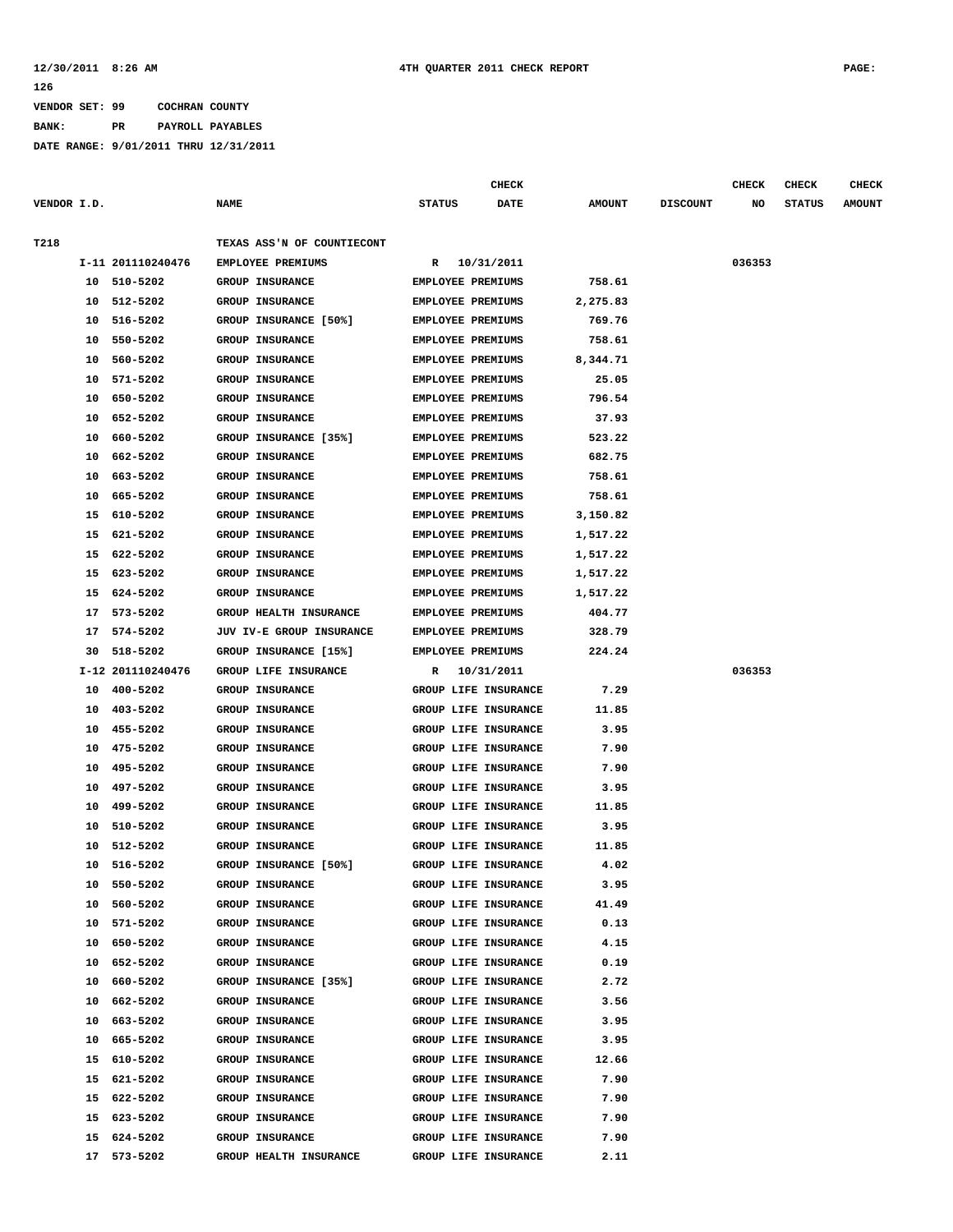### **126 VENDOR SET: 99 COCHRAN COUNTY BANK: PR PAYROLL PAYABLES DATE RANGE: 9/01/2011 THRU 12/31/2011**

|             |    |                   |                            |                          | <b>CHECK</b>         |               |          | <b>CHECK</b> | <b>CHECK</b>  | <b>CHECK</b>  |
|-------------|----|-------------------|----------------------------|--------------------------|----------------------|---------------|----------|--------------|---------------|---------------|
| VENDOR I.D. |    |                   | <b>NAME</b>                | <b>STATUS</b>            | <b>DATE</b>          | <b>AMOUNT</b> | DISCOUNT | NO           | <b>STATUS</b> | <b>AMOUNT</b> |
|             |    |                   |                            |                          |                      |               |          |              |               |               |
| T218        |    |                   | TEXAS ASS'N OF COUNTIECONT |                          |                      |               |          |              |               |               |
|             |    | I-11 201110240476 | <b>EMPLOYEE PREMIUMS</b>   | R                        | 10/31/2011           |               |          | 036353       |               |               |
|             | 10 | 510-5202          | <b>GROUP INSURANCE</b>     | <b>EMPLOYEE PREMIUMS</b> |                      | 758.61        |          |              |               |               |
|             | 10 | 512-5202          | GROUP INSURANCE            | <b>EMPLOYEE PREMIUMS</b> |                      | 2,275.83      |          |              |               |               |
|             | 10 | 516-5202          | GROUP INSURANCE [50%]      | <b>EMPLOYEE PREMIUMS</b> |                      | 769.76        |          |              |               |               |
|             | 10 | 550-5202          | <b>GROUP INSURANCE</b>     | <b>EMPLOYEE PREMIUMS</b> |                      | 758.61        |          |              |               |               |
|             | 10 | 560-5202          | <b>GROUP INSURANCE</b>     | EMPLOYEE PREMIUMS        |                      | 8,344.71      |          |              |               |               |
|             | 10 | 571-5202          | <b>GROUP INSURANCE</b>     | <b>EMPLOYEE PREMIUMS</b> |                      | 25.05         |          |              |               |               |
|             | 10 | 650-5202          | <b>GROUP INSURANCE</b>     | <b>EMPLOYEE PREMIUMS</b> |                      | 796.54        |          |              |               |               |
|             | 10 | 652-5202          | GROUP INSURANCE            | <b>EMPLOYEE PREMIUMS</b> |                      | 37.93         |          |              |               |               |
|             | 10 | 660-5202          | GROUP INSURANCE [35%]      | <b>EMPLOYEE PREMIUMS</b> |                      | 523.22        |          |              |               |               |
|             | 10 | 662-5202          | GROUP INSURANCE            | EMPLOYEE PREMIUMS        |                      | 682.75        |          |              |               |               |
|             | 10 | 663-5202          | <b>GROUP INSURANCE</b>     | <b>EMPLOYEE PREMIUMS</b> |                      | 758.61        |          |              |               |               |
|             | 10 | 665-5202          | <b>GROUP INSURANCE</b>     | <b>EMPLOYEE PREMIUMS</b> |                      | 758.61        |          |              |               |               |
|             | 15 | 610-5202          | <b>GROUP INSURANCE</b>     | <b>EMPLOYEE PREMIUMS</b> |                      | 3,150.82      |          |              |               |               |
|             | 15 | 621-5202          | GROUP INSURANCE            | <b>EMPLOYEE PREMIUMS</b> |                      | 1,517.22      |          |              |               |               |
|             | 15 | 622-5202          | <b>GROUP INSURANCE</b>     | <b>EMPLOYEE PREMIUMS</b> |                      | 1,517.22      |          |              |               |               |
|             | 15 | 623-5202          | <b>GROUP INSURANCE</b>     | <b>EMPLOYEE PREMIUMS</b> |                      | 1,517.22      |          |              |               |               |
|             | 15 | 624-5202          | <b>GROUP INSURANCE</b>     | EMPLOYEE PREMIUMS        |                      | 1,517.22      |          |              |               |               |
|             | 17 | 573-5202          | GROUP HEALTH INSURANCE     | <b>EMPLOYEE PREMIUMS</b> |                      | 404.77        |          |              |               |               |
|             | 17 | 574-5202          | JUV IV-E GROUP INSURANCE   | <b>EMPLOYEE PREMIUMS</b> |                      | 328.79        |          |              |               |               |
|             | 30 | 518-5202          | GROUP INSURANCE [15%]      | EMPLOYEE PREMIUMS        |                      | 224.24        |          |              |               |               |
|             |    | I-12 201110240476 | GROUP LIFE INSURANCE       | R                        | 10/31/2011           |               |          | 036353       |               |               |
|             | 10 | 400-5202          | <b>GROUP INSURANCE</b>     |                          | GROUP LIFE INSURANCE | 7.29          |          |              |               |               |
|             | 10 | 403-5202          | GROUP INSURANCE            |                          | GROUP LIFE INSURANCE | 11.85         |          |              |               |               |
|             | 10 | 455-5202          | <b>GROUP INSURANCE</b>     |                          | GROUP LIFE INSURANCE | 3.95          |          |              |               |               |
|             | 10 | 475-5202          | GROUP INSURANCE            |                          | GROUP LIFE INSURANCE | 7.90          |          |              |               |               |
|             | 10 | 495-5202          | GROUP INSURANCE            |                          | GROUP LIFE INSURANCE | 7.90          |          |              |               |               |
|             | 10 | 497-5202          | <b>GROUP INSURANCE</b>     |                          | GROUP LIFE INSURANCE | 3.95          |          |              |               |               |
|             | 10 | 499-5202          | GROUP INSURANCE            |                          | GROUP LIFE INSURANCE | 11.85         |          |              |               |               |
|             | 10 | 510-5202          | <b>GROUP INSURANCE</b>     |                          | GROUP LIFE INSURANCE | 3.95          |          |              |               |               |
|             | 10 | 512-5202          | <b>GROUP INSURANCE</b>     |                          | GROUP LIFE INSURANCE | 11.85         |          |              |               |               |
|             | 10 | 516-5202          | GROUP INSURANCE [50%]      |                          | GROUP LIFE INSURANCE | 4.02          |          |              |               |               |
|             | 10 | 550-5202          | GROUP INSURANCE            |                          | GROUP LIFE INSURANCE | 3.95          |          |              |               |               |
|             | 10 | 560-5202          | <b>GROUP INSURANCE</b>     |                          | GROUP LIFE INSURANCE | 41.49         |          |              |               |               |
|             | 10 | 571-5202          | GROUP INSURANCE            |                          | GROUP LIFE INSURANCE | 0.13          |          |              |               |               |
|             | 10 | 650-5202          | GROUP INSURANCE            |                          | GROUP LIFE INSURANCE | 4.15          |          |              |               |               |
|             | 10 | 652-5202          | GROUP INSURANCE            |                          | GROUP LIFE INSURANCE | 0.19          |          |              |               |               |
|             | 10 | 660-5202          | GROUP INSURANCE [35%]      |                          | GROUP LIFE INSURANCE | 2.72          |          |              |               |               |
|             | 10 | 662-5202          | GROUP INSURANCE            |                          | GROUP LIFE INSURANCE | 3.56          |          |              |               |               |
|             | 10 | 663-5202          | <b>GROUP INSURANCE</b>     |                          | GROUP LIFE INSURANCE | 3.95          |          |              |               |               |
|             | 10 | 665-5202          | GROUP INSURANCE            |                          | GROUP LIFE INSURANCE | 3.95          |          |              |               |               |
|             | 15 | 610-5202          | GROUP INSURANCE            |                          | GROUP LIFE INSURANCE | 12.66         |          |              |               |               |
|             | 15 | 621-5202          | GROUP INSURANCE            |                          | GROUP LIFE INSURANCE | 7.90          |          |              |               |               |
|             | 15 | 622-5202          | GROUP INSURANCE            |                          | GROUP LIFE INSURANCE | 7.90          |          |              |               |               |
|             | 15 | 623-5202          | GROUP INSURANCE            |                          | GROUP LIFE INSURANCE | 7.90          |          |              |               |               |
|             | 15 | 624-5202          | GROUP INSURANCE            |                          | GROUP LIFE INSURANCE | 7.90          |          |              |               |               |
|             |    | 17 573-5202       | GROUP HEALTH INSURANCE     |                          | GROUP LIFE INSURANCE | 2.11          |          |              |               |               |
|             |    |                   |                            |                          |                      |               |          |              |               |               |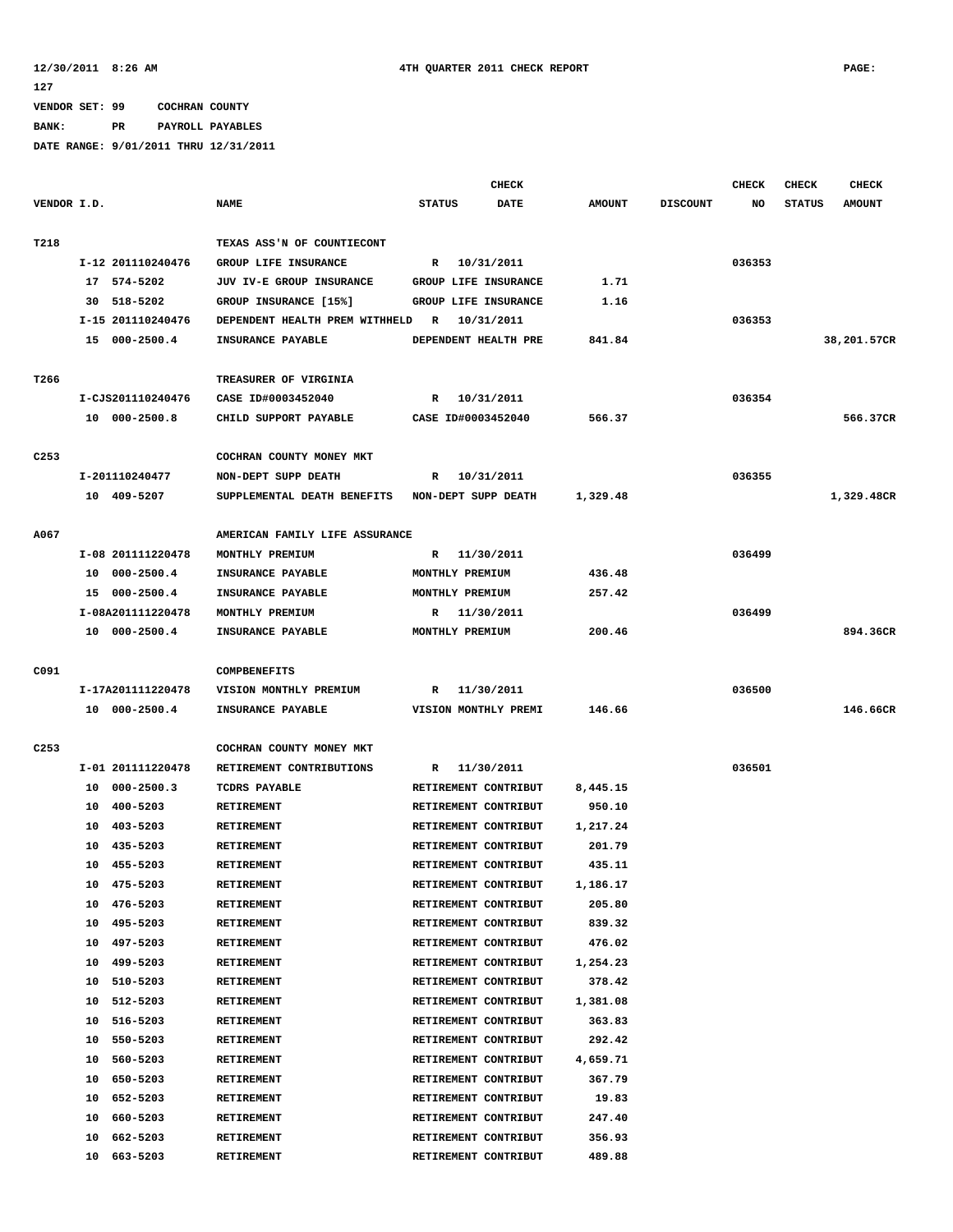## **VENDOR SET: 99 COCHRAN COUNTY BANK: PR PAYROLL PAYABLES**

|                  |                   |                                | <b>CHECK</b>                 |               |                 |        |               | <b>CHECK</b>  |
|------------------|-------------------|--------------------------------|------------------------------|---------------|-----------------|--------|---------------|---------------|
| VENDOR I.D.      |                   | <b>NAME</b>                    | <b>STATUS</b><br><b>DATE</b> | <b>AMOUNT</b> | <b>DISCOUNT</b> | NO     | <b>STATUS</b> | <b>AMOUNT</b> |
|                  |                   |                                |                              |               |                 |        |               |               |
| T218             |                   | TEXAS ASS'N OF COUNTIECONT     |                              |               |                 |        |               |               |
|                  | I-12 201110240476 | GROUP LIFE INSURANCE           | 10/31/2011<br>R              |               |                 | 036353 |               |               |
|                  | 17 574-5202       | JUV IV-E GROUP INSURANCE       | GROUP LIFE INSURANCE         | 1.71          |                 |        |               |               |
|                  | 518-5202<br>30    | GROUP INSURANCE [15%]          | GROUP LIFE INSURANCE         | 1.16          |                 |        |               |               |
|                  | I-15 201110240476 | DEPENDENT HEALTH PREM WITHHELD | 10/31/2011<br>R              |               |                 | 036353 |               |               |
|                  | 15 000-2500.4     | INSURANCE PAYABLE              | DEPENDENT HEALTH PRE         | 841.84        |                 |        |               | 38,201.57CR   |
|                  |                   |                                |                              |               |                 |        |               |               |
| T266             |                   | TREASURER OF VIRGINIA          |                              |               |                 |        |               |               |
|                  | I-CJS201110240476 | CASE ID#0003452040             | 10/31/2011<br>R              |               |                 | 036354 |               |               |
|                  | 10 000-2500.8     | CHILD SUPPORT PAYABLE          | CASE ID#0003452040           | 566.37        |                 |        |               | 566.37CR      |
| C <sub>253</sub> |                   | COCHRAN COUNTY MONEY MKT       |                              |               |                 |        |               |               |
|                  |                   |                                |                              |               |                 |        |               |               |
|                  | I-201110240477    | NON-DEPT SUPP DEATH            | 10/31/2011<br>R              |               |                 | 036355 |               |               |
|                  | 10 409-5207       | SUPPLEMENTAL DEATH BENEFITS    | NON-DEPT SUPP DEATH          | 1,329.48      |                 |        |               | 1,329.48CR    |
| A067             |                   | AMERICAN FAMILY LIFE ASSURANCE |                              |               |                 |        |               |               |
|                  | I-08 201111220478 | MONTHLY PREMIUM                | 11/30/2011<br>R              |               |                 | 036499 |               |               |
|                  | 10 000-2500.4     | INSURANCE PAYABLE              | MONTHLY PREMIUM              | 436.48        |                 |        |               |               |
|                  | 15 000-2500.4     | INSURANCE PAYABLE              | MONTHLY PREMIUM              | 257.42        |                 |        |               |               |
|                  | I-08A201111220478 | MONTHLY PREMIUM                | 11/30/2011<br>R              |               |                 | 036499 |               |               |
|                  | 10 000-2500.4     | INSURANCE PAYABLE              | MONTHLY PREMIUM              | 200.46        |                 |        |               | 894.36CR      |
|                  |                   |                                |                              |               |                 |        |               |               |
| C091             |                   | COMPBENEFITS                   |                              |               |                 |        |               |               |
|                  | I-17A201111220478 | VISION MONTHLY PREMIUM         | 11/30/2011<br>R              |               |                 | 036500 |               |               |
|                  | 10 000-2500.4     | INSURANCE PAYABLE              | VISION MONTHLY PREMI         | 146.66        |                 |        |               | 146.66CR      |
|                  |                   |                                |                              |               |                 |        |               |               |
| C <sub>253</sub> |                   | COCHRAN COUNTY MONEY MKT       |                              |               |                 |        |               |               |
|                  | I-01 201111220478 | RETIREMENT CONTRIBUTIONS       | R<br>11/30/2011              |               |                 | 036501 |               |               |
|                  | 10 000-2500.3     | TCDRS PAYABLE                  | RETIREMENT CONTRIBUT         | 8,445.15      |                 |        |               |               |
|                  | 10 400-5203       | <b>RETIREMENT</b>              | RETIREMENT CONTRIBUT         | 950.10        |                 |        |               |               |
|                  | 403-5203<br>10    | <b>RETIREMENT</b>              | RETIREMENT CONTRIBUT         | 1,217.24      |                 |        |               |               |
|                  | 435-5203<br>10    | <b>RETIREMENT</b>              | RETIREMENT CONTRIBUT         | 201.79        |                 |        |               |               |
|                  | 10 455-5203       | RETIREMENT                     | RETIREMENT CONTRIBUT         | 435.11        |                 |        |               |               |
|                  | 10 475-5203       | RETIREMENT                     | RETIREMENT CONTRIBUT         | 1,186.17      |                 |        |               |               |
|                  | 476-5203<br>10    | <b>RETIREMENT</b>              | RETIREMENT CONTRIBUT         | 205.80        |                 |        |               |               |
|                  | 495-5203<br>10    | RETIREMENT                     | RETIREMENT CONTRIBUT         | 839.32        |                 |        |               |               |
|                  | 497-5203<br>10    | <b>RETIREMENT</b>              | RETIREMENT CONTRIBUT         | 476.02        |                 |        |               |               |
|                  | 499-5203<br>10    | <b>RETIREMENT</b>              | RETIREMENT CONTRIBUT         | 1,254.23      |                 |        |               |               |
|                  | 510-5203<br>10    | RETIREMENT                     | RETIREMENT CONTRIBUT         | 378.42        |                 |        |               |               |
|                  | 512-5203<br>10    | <b>RETIREMENT</b>              | RETIREMENT CONTRIBUT         | 1,381.08      |                 |        |               |               |
|                  | 516-5203<br>10    | RETIREMENT                     | RETIREMENT CONTRIBUT         | 363.83        |                 |        |               |               |
|                  | 550-5203<br>10    | RETIREMENT                     | RETIREMENT CONTRIBUT         | 292.42        |                 |        |               |               |
|                  | 560-5203<br>10    | RETIREMENT                     | RETIREMENT CONTRIBUT         | 4,659.71      |                 |        |               |               |
|                  | 650-5203<br>10    | RETIREMENT                     | RETIREMENT CONTRIBUT         | 367.79        |                 |        |               |               |
|                  | 652-5203<br>10    | RETIREMENT                     | RETIREMENT CONTRIBUT         | 19.83         |                 |        |               |               |
|                  | 660-5203<br>10    | RETIREMENT                     | RETIREMENT CONTRIBUT         | 247.40        |                 |        |               |               |
|                  | 662-5203<br>10    | RETIREMENT                     | RETIREMENT CONTRIBUT         | 356.93        |                 |        |               |               |
|                  | 663-5203<br>10    | RETIREMENT                     | RETIREMENT CONTRIBUT         | 489.88        |                 |        |               |               |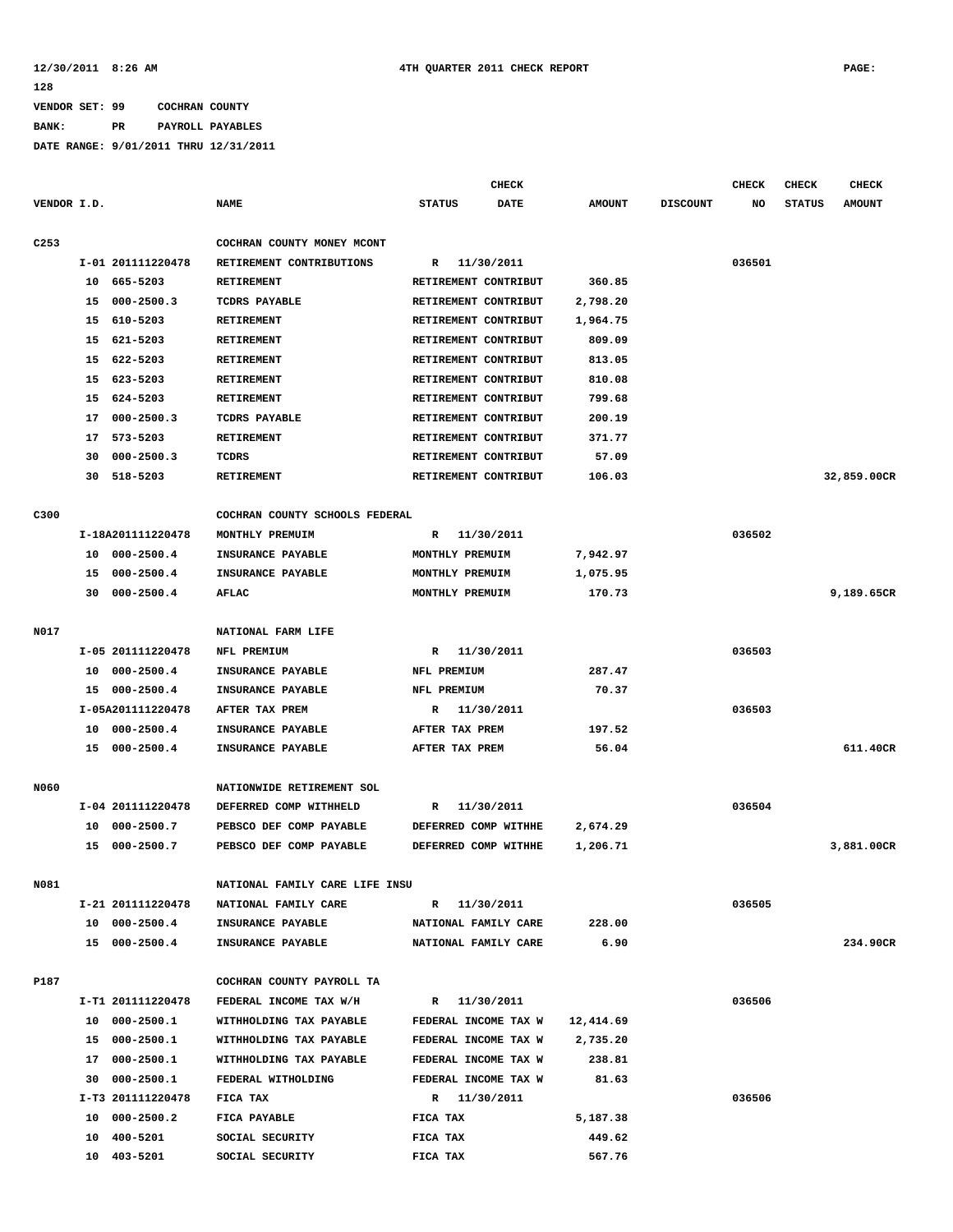### **128 VENDOR SET: 99 COCHRAN COUNTY BANK: PR PAYROLL PAYABLES**

|                  |    |                   |                                |                      | <b>CHECK</b> |               |                 | CHECK  | <b>CHECK</b>  | <b>CHECK</b>  |
|------------------|----|-------------------|--------------------------------|----------------------|--------------|---------------|-----------------|--------|---------------|---------------|
| VENDOR I.D.      |    |                   | <b>NAME</b>                    | <b>STATUS</b>        | <b>DATE</b>  | <b>AMOUNT</b> | <b>DISCOUNT</b> | NO     | <b>STATUS</b> | <b>AMOUNT</b> |
| C <sub>253</sub> |    |                   | COCHRAN COUNTY MONEY MCONT     |                      |              |               |                 |        |               |               |
|                  |    | I-01 201111220478 | RETIREMENT CONTRIBUTIONS       | R                    | 11/30/2011   |               |                 | 036501 |               |               |
|                  | 10 | 665-5203          | RETIREMENT                     | RETIREMENT CONTRIBUT |              | 360.85        |                 |        |               |               |
|                  | 15 | $000 - 2500.3$    | TCDRS PAYABLE                  | RETIREMENT CONTRIBUT |              | 2,798.20      |                 |        |               |               |
|                  | 15 | 610-5203          | RETIREMENT                     | RETIREMENT CONTRIBUT |              | 1,964.75      |                 |        |               |               |
|                  | 15 | 621-5203          | <b>RETIREMENT</b>              | RETIREMENT CONTRIBUT |              | 809.09        |                 |        |               |               |
|                  | 15 | 622-5203          | RETIREMENT                     | RETIREMENT CONTRIBUT |              | 813.05        |                 |        |               |               |
|                  | 15 | 623-5203          | <b>RETIREMENT</b>              | RETIREMENT CONTRIBUT |              | 810.08        |                 |        |               |               |
|                  | 15 | 624-5203          | RETIREMENT                     | RETIREMENT CONTRIBUT |              | 799.68        |                 |        |               |               |
|                  | 17 | $000 - 2500.3$    | TCDRS PAYABLE                  | RETIREMENT CONTRIBUT |              | 200.19        |                 |        |               |               |
|                  | 17 | 573-5203          | <b>RETIREMENT</b>              | RETIREMENT CONTRIBUT |              | 371.77        |                 |        |               |               |
|                  | 30 | $000 - 2500.3$    | TCDRS                          | RETIREMENT CONTRIBUT |              | 57.09         |                 |        |               |               |
|                  | 30 | 518-5203          | RETIREMENT                     | RETIREMENT CONTRIBUT |              | 106.03        |                 |        |               | 32,859.00CR   |
| C300             |    |                   | COCHRAN COUNTY SCHOOLS FEDERAL |                      |              |               |                 |        |               |               |
|                  |    | I-18A201111220478 | MONTHLY PREMUIM                | R                    | 11/30/2011   |               |                 | 036502 |               |               |
|                  | 10 | $000 - 2500.4$    | INSURANCE PAYABLE              | MONTHLY PREMUIM      |              | 7,942.97      |                 |        |               |               |
|                  | 15 | $000 - 2500.4$    | INSURANCE PAYABLE              | MONTHLY PREMUIM      |              | 1,075.95      |                 |        |               |               |
|                  | 30 | $000 - 2500.4$    | AFLAC                          | MONTHLY PREMUIM      |              | 170.73        |                 |        |               | 9,189.65CR    |
| N017             |    |                   | NATIONAL FARM LIFE             |                      |              |               |                 |        |               |               |
|                  |    | I-05 201111220478 | NFL PREMIUM                    | R                    | 11/30/2011   |               |                 | 036503 |               |               |
|                  | 10 | $000 - 2500.4$    | INSURANCE PAYABLE              | NFL PREMIUM          |              | 287.47        |                 |        |               |               |
|                  |    | 15 000-2500.4     | INSURANCE PAYABLE              | NFL PREMIUM          |              | 70.37         |                 |        |               |               |
|                  |    | I-05A201111220478 | AFTER TAX PREM                 | R                    | 11/30/2011   |               |                 | 036503 |               |               |
|                  | 10 | $000 - 2500.4$    | INSURANCE PAYABLE              | AFTER TAX PREM       |              | 197.52        |                 |        |               |               |
|                  |    | 15 000-2500.4     | INSURANCE PAYABLE              | AFTER TAX PREM       |              | 56.04         |                 |        |               | 611.40CR      |
|                  |    |                   |                                |                      |              |               |                 |        |               |               |
| N060             |    |                   | NATIONWIDE RETIREMENT SOL      |                      |              |               |                 |        |               |               |
|                  |    | I-04 201111220478 | DEFERRED COMP WITHHELD         | R                    | 11/30/2011   |               |                 | 036504 |               |               |
|                  | 10 | $000 - 2500.7$    | PEBSCO DEF COMP PAYABLE        | DEFERRED COMP WITHHE |              | 2,674.29      |                 |        |               |               |
|                  |    | 15 000-2500.7     | PEBSCO DEF COMP PAYABLE        | DEFERRED COMP WITHHE |              | 1,206.71      |                 |        |               | 3,881.00CR    |
| N081             |    |                   | NATIONAL FAMILY CARE LIFE INSU |                      |              |               |                 |        |               |               |
|                  |    | I-21 201111220478 | NATIONAL FAMILY CARE           | R 11/30/2011         |              |               |                 | 036505 |               |               |
|                  |    | 10 000-2500.4     | INSURANCE PAYABLE              | NATIONAL FAMILY CARE |              | 228.00        |                 |        |               |               |
|                  |    | 15 000-2500.4     | <b>INSURANCE PAYABLE</b>       | NATIONAL FAMILY CARE |              | 6.90          |                 |        |               | 234.90CR      |
| P187             |    |                   | COCHRAN COUNTY PAYROLL TA      |                      |              |               |                 |        |               |               |
|                  |    | I-T1 201111220478 | FEDERAL INCOME TAX W/H         | R 11/30/2011         |              |               |                 | 036506 |               |               |
|                  |    | 10 000-2500.1     | WITHHOLDING TAX PAYABLE        | FEDERAL INCOME TAX W |              | 12,414.69     |                 |        |               |               |
|                  |    | 15 000-2500.1     | WITHHOLDING TAX PAYABLE        | FEDERAL INCOME TAX W |              | 2,735.20      |                 |        |               |               |
|                  |    | 17 000-2500.1     | WITHHOLDING TAX PAYABLE        | FEDERAL INCOME TAX W |              | 238.81        |                 |        |               |               |
|                  |    | 30 000-2500.1     | FEDERAL WITHOLDING             | FEDERAL INCOME TAX W |              | 81.63         |                 |        |               |               |
|                  |    | I-T3 201111220478 | FICA TAX                       | R 11/30/2011         |              |               |                 | 036506 |               |               |
|                  |    | 10 000-2500.2     | FICA PAYABLE                   | FICA TAX             |              | 5,187.38      |                 |        |               |               |
|                  |    | 10 400-5201       | SOCIAL SECURITY                | FICA TAX             |              | 449.62        |                 |        |               |               |
|                  |    | 10 403-5201       | SOCIAL SECURITY                | FICA TAX             |              | 567.76        |                 |        |               |               |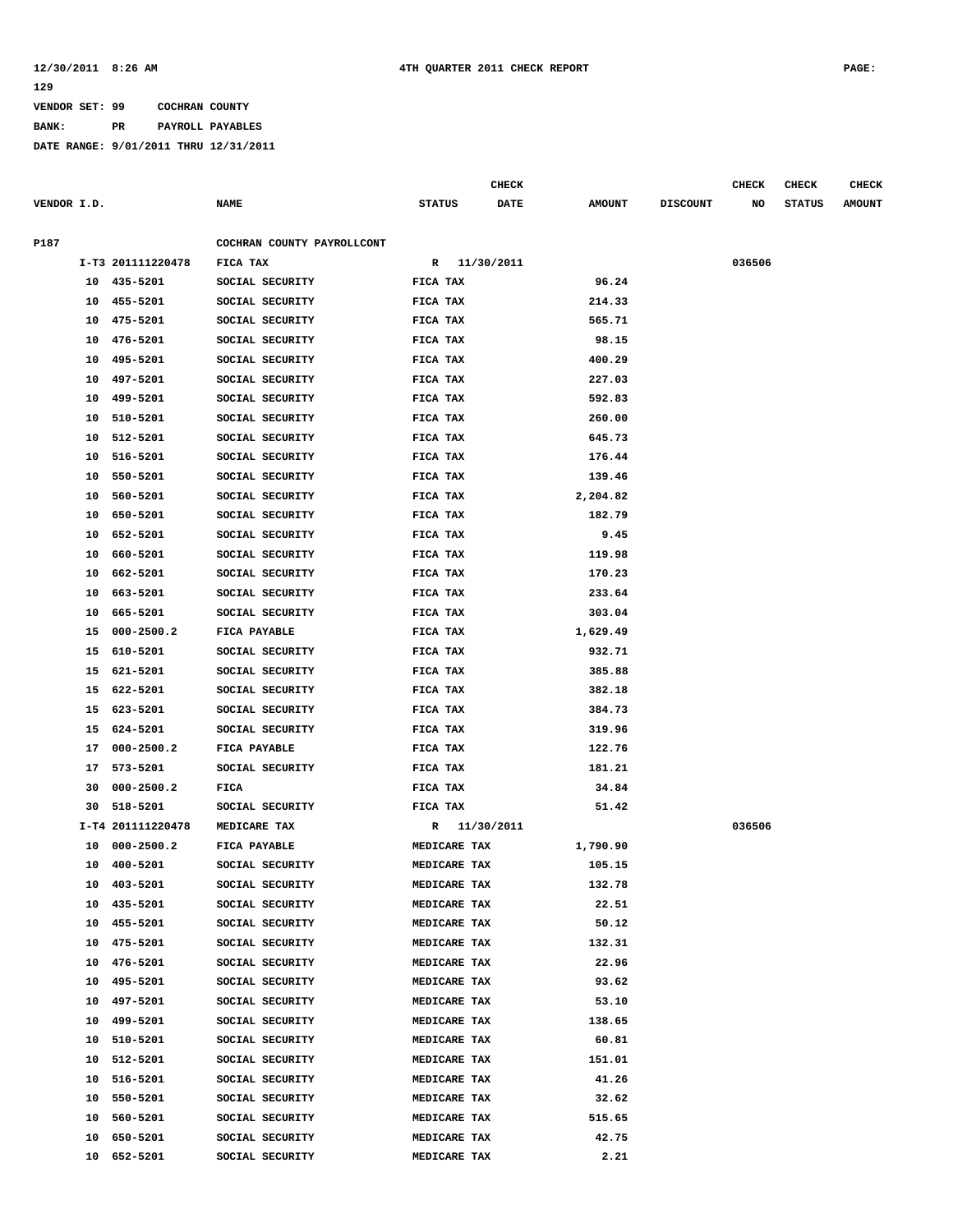### **129 VENDOR SET: 99 COCHRAN COUNTY BANK: PR PAYROLL PAYABLES**

|             |    |                   |                            |               |              | <b>CHECK</b> |               |                 | <b>CHECK</b> | <b>CHECK</b>  | <b>CHECK</b>  |
|-------------|----|-------------------|----------------------------|---------------|--------------|--------------|---------------|-----------------|--------------|---------------|---------------|
| VENDOR I.D. |    |                   | <b>NAME</b>                | <b>STATUS</b> |              | <b>DATE</b>  | <b>AMOUNT</b> | <b>DISCOUNT</b> | NO           | <b>STATUS</b> | <b>AMOUNT</b> |
| P187        |    |                   | COCHRAN COUNTY PAYROLLCONT |               |              |              |               |                 |              |               |               |
|             |    | I-T3 201111220478 | FICA TAX                   |               | R 11/30/2011 |              |               |                 | 036506       |               |               |
|             |    | 10 435-5201       | SOCIAL SECURITY            | FICA TAX      |              |              | 96.24         |                 |              |               |               |
|             |    | 10 455-5201       | SOCIAL SECURITY            | FICA TAX      |              |              | 214.33        |                 |              |               |               |
|             |    | 10 475-5201       | SOCIAL SECURITY            | FICA TAX      |              |              | 565.71        |                 |              |               |               |
|             |    | 10 476-5201       | SOCIAL SECURITY            | FICA TAX      |              |              | 98.15         |                 |              |               |               |
|             | 10 | 495-5201          | SOCIAL SECURITY            | FICA TAX      |              |              | 400.29        |                 |              |               |               |
|             | 10 | 497-5201          | SOCIAL SECURITY            | FICA TAX      |              |              | 227.03        |                 |              |               |               |
|             | 10 | 499-5201          | SOCIAL SECURITY            | FICA TAX      |              |              | 592.83        |                 |              |               |               |
|             | 10 | 510-5201          | SOCIAL SECURITY            | FICA TAX      |              |              | 260.00        |                 |              |               |               |
|             | 10 | 512-5201          | SOCIAL SECURITY            | FICA TAX      |              |              | 645.73        |                 |              |               |               |
|             | 10 | 516-5201          | SOCIAL SECURITY            | FICA TAX      |              |              | 176.44        |                 |              |               |               |
|             | 10 | 550-5201          | SOCIAL SECURITY            | FICA TAX      |              |              | 139.46        |                 |              |               |               |
|             |    |                   |                            |               |              |              | 2,204.82      |                 |              |               |               |
|             | 10 | 560-5201          | SOCIAL SECURITY            | FICA TAX      |              |              |               |                 |              |               |               |
|             | 10 | 650-5201          | SOCIAL SECURITY            | FICA TAX      |              |              | 182.79        |                 |              |               |               |
|             | 10 | 652-5201          | SOCIAL SECURITY            | FICA TAX      |              |              | 9.45          |                 |              |               |               |
|             | 10 | 660-5201          | SOCIAL SECURITY            | FICA TAX      |              |              | 119.98        |                 |              |               |               |
|             | 10 | 662-5201          | SOCIAL SECURITY            | FICA TAX      |              |              | 170.23        |                 |              |               |               |
|             | 10 | 663-5201          | SOCIAL SECURITY            | FICA TAX      |              |              | 233.64        |                 |              |               |               |
|             | 10 | 665-5201          | SOCIAL SECURITY            | FICA TAX      |              |              | 303.04        |                 |              |               |               |
|             | 15 | $000 - 2500.2$    | FICA PAYABLE               | FICA TAX      |              |              | 1,629.49      |                 |              |               |               |
|             |    | 15 610-5201       | SOCIAL SECURITY            | FICA TAX      |              |              | 932.71        |                 |              |               |               |
|             |    | 15 621-5201       | SOCIAL SECURITY            | FICA TAX      |              |              | 385.88        |                 |              |               |               |
|             |    | 15 622-5201       | SOCIAL SECURITY            | FICA TAX      |              |              | 382.18        |                 |              |               |               |
|             |    | 15 623-5201       | SOCIAL SECURITY            | FICA TAX      |              |              | 384.73        |                 |              |               |               |
|             | 15 | 624-5201          | SOCIAL SECURITY            | FICA TAX      |              |              | 319.96        |                 |              |               |               |
|             | 17 | $000 - 2500.2$    | FICA PAYABLE               | FICA TAX      |              |              | 122.76        |                 |              |               |               |
|             | 17 | 573-5201          | SOCIAL SECURITY            | FICA TAX      |              |              | 181.21        |                 |              |               |               |
|             | 30 | $000 - 2500.2$    | FICA                       | FICA TAX      |              |              | 34.84         |                 |              |               |               |
|             | 30 | 518-5201          | SOCIAL SECURITY            | FICA TAX      |              |              | 51.42         |                 |              |               |               |
|             |    | I-T4 201111220478 | MEDICARE TAX               |               | R 11/30/2011 |              |               |                 | 036506       |               |               |
|             | 10 | $000 - 2500.2$    | FICA PAYABLE               |               | MEDICARE TAX |              | 1,790.90      |                 |              |               |               |
|             |    | 10 400-5201       | SOCIAL SECURITY            |               | MEDICARE TAX |              | 105.15        |                 |              |               |               |
|             |    | 10 403-5201       | SOCIAL SECURITY            |               | MEDICARE TAX |              | 132.78        |                 |              |               |               |
|             | 10 | 435-5201          | SOCIAL SECURITY            |               | MEDICARE TAX |              | 22.51         |                 |              |               |               |
|             | 10 | 455-5201          | SOCIAL SECURITY            |               | MEDICARE TAX |              | 50.12         |                 |              |               |               |
|             | 10 | 475-5201          | SOCIAL SECURITY            |               | MEDICARE TAX |              | 132.31        |                 |              |               |               |
|             | 10 | 476-5201          | SOCIAL SECURITY            |               | MEDICARE TAX |              | 22.96         |                 |              |               |               |
|             | 10 | 495-5201          | SOCIAL SECURITY            |               | MEDICARE TAX |              | 93.62         |                 |              |               |               |
|             | 10 | 497-5201          | SOCIAL SECURITY            |               | MEDICARE TAX |              | 53.10         |                 |              |               |               |
|             | 10 | 499-5201          | SOCIAL SECURITY            |               | MEDICARE TAX |              | 138.65        |                 |              |               |               |
|             | 10 | 510-5201          | SOCIAL SECURITY            |               | MEDICARE TAX |              | 60.81         |                 |              |               |               |
|             |    | 10 512-5201       | SOCIAL SECURITY            |               | MEDICARE TAX |              | 151.01        |                 |              |               |               |
|             | 10 | 516-5201          | SOCIAL SECURITY            |               | MEDICARE TAX |              | 41.26         |                 |              |               |               |
|             | 10 | 550-5201          | SOCIAL SECURITY            |               | MEDICARE TAX |              | 32.62         |                 |              |               |               |
|             | 10 | 560-5201          | SOCIAL SECURITY            |               | MEDICARE TAX |              | 515.65        |                 |              |               |               |
|             | 10 | 650-5201          | SOCIAL SECURITY            |               | MEDICARE TAX |              | 42.75         |                 |              |               |               |
|             | 10 | 652-5201          | SOCIAL SECURITY            |               | MEDICARE TAX |              | 2.21          |                 |              |               |               |
|             |    |                   |                            |               |              |              |               |                 |              |               |               |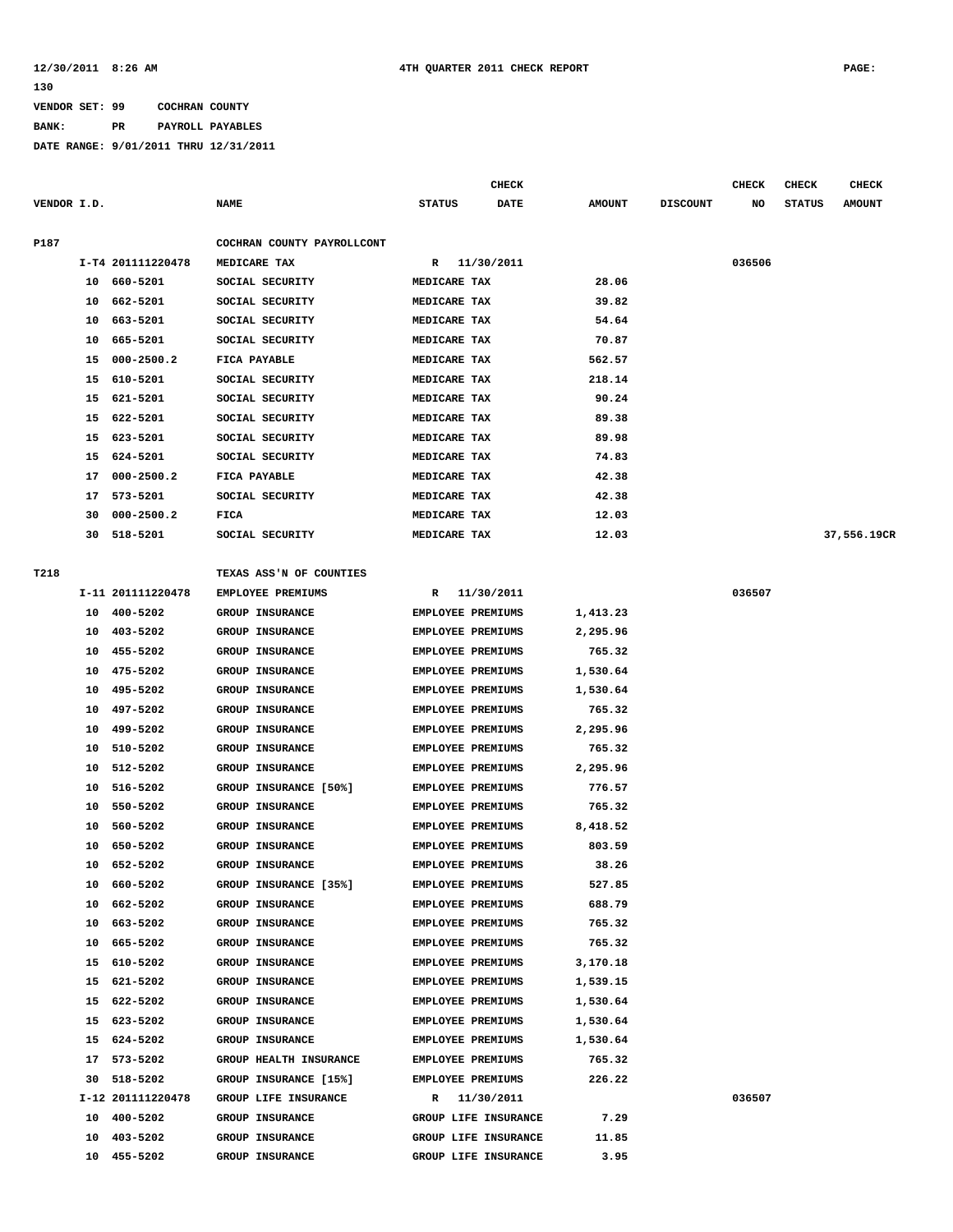|             |    |                   |                               |                          | CHECK                |               |                 | CHECK  | <b>CHECK</b>  | <b>CHECK</b>  |
|-------------|----|-------------------|-------------------------------|--------------------------|----------------------|---------------|-----------------|--------|---------------|---------------|
| VENDOR I.D. |    |                   | <b>NAME</b>                   | <b>STATUS</b>            | <b>DATE</b>          | <b>AMOUNT</b> | <b>DISCOUNT</b> | NO     | <b>STATUS</b> | <b>AMOUNT</b> |
| P187        |    |                   | COCHRAN COUNTY PAYROLLCONT    |                          |                      |               |                 |        |               |               |
|             |    | I-T4 201111220478 | MEDICARE TAX                  | R                        | 11/30/2011           |               |                 | 036506 |               |               |
|             | 10 | 660-5201          | SOCIAL SECURITY               | MEDICARE TAX             |                      | 28.06         |                 |        |               |               |
|             | 10 | 662-5201          | SOCIAL SECURITY               | MEDICARE TAX             |                      | 39.82         |                 |        |               |               |
|             | 10 | 663-5201          | SOCIAL SECURITY               | MEDICARE TAX             |                      | 54.64         |                 |        |               |               |
|             | 10 | 665-5201          | SOCIAL SECURITY               | MEDICARE TAX             |                      | 70.87         |                 |        |               |               |
|             | 15 | $000 - 2500.2$    | FICA PAYABLE                  | MEDICARE TAX             |                      | 562.57        |                 |        |               |               |
|             | 15 | 610-5201          | SOCIAL SECURITY               | MEDICARE TAX             |                      | 218.14        |                 |        |               |               |
|             | 15 | 621-5201          | SOCIAL SECURITY               | MEDICARE TAX             |                      | 90.24         |                 |        |               |               |
|             | 15 | 622-5201          | SOCIAL SECURITY               | MEDICARE TAX             |                      | 89.38         |                 |        |               |               |
|             | 15 | 623-5201          | SOCIAL SECURITY               | MEDICARE TAX             |                      | 89.98         |                 |        |               |               |
|             | 15 | 624-5201          | SOCIAL SECURITY               | MEDICARE TAX             |                      | 74.83         |                 |        |               |               |
|             | 17 | $000 - 2500.2$    | FICA PAYABLE                  | MEDICARE TAX             |                      | 42.38         |                 |        |               |               |
|             | 17 | 573-5201          | SOCIAL SECURITY               | MEDICARE TAX             |                      | 42.38         |                 |        |               |               |
|             | 30 | $000 - 2500.2$    | FICA                          | MEDICARE TAX             |                      | 12.03         |                 |        |               |               |
|             | 30 | 518-5201          | SOCIAL SECURITY               | MEDICARE TAX             |                      | 12.03         |                 |        |               | 37,556.19CR   |
|             |    |                   |                               |                          |                      |               |                 |        |               |               |
| T218        |    |                   | TEXAS ASS'N OF COUNTIES       |                          |                      |               |                 |        |               |               |
|             |    | I-11 201111220478 | EMPLOYEE PREMIUMS             | R                        | 11/30/2011           |               |                 | 036507 |               |               |
|             | 10 | 400-5202          | <b>GROUP INSURANCE</b>        | <b>EMPLOYEE PREMIUMS</b> |                      | 1,413.23      |                 |        |               |               |
|             | 10 | 403-5202          | <b>GROUP INSURANCE</b>        | EMPLOYEE PREMIUMS        |                      | 2,295.96      |                 |        |               |               |
|             | 10 | 455-5202          | <b>GROUP INSURANCE</b>        | EMPLOYEE PREMIUMS        |                      | 765.32        |                 |        |               |               |
|             | 10 | 475-5202          | <b>GROUP INSURANCE</b>        | <b>EMPLOYEE PREMIUMS</b> |                      | 1,530.64      |                 |        |               |               |
|             | 10 | 495-5202          | <b>GROUP INSURANCE</b>        | <b>EMPLOYEE PREMIUMS</b> |                      | 1,530.64      |                 |        |               |               |
|             | 10 | 497-5202          | GROUP INSURANCE               | EMPLOYEE PREMIUMS        |                      | 765.32        |                 |        |               |               |
|             | 10 | 499-5202          | <b>GROUP INSURANCE</b>        | <b>EMPLOYEE PREMIUMS</b> |                      | 2,295.96      |                 |        |               |               |
|             | 10 | 510-5202          | <b>GROUP INSURANCE</b>        | EMPLOYEE PREMIUMS        |                      | 765.32        |                 |        |               |               |
|             | 10 | 512-5202          | GROUP INSURANCE               | <b>EMPLOYEE PREMIUMS</b> |                      | 2,295.96      |                 |        |               |               |
|             | 10 | 516-5202          | GROUP INSURANCE [50%]         | <b>EMPLOYEE PREMIUMS</b> |                      | 776.57        |                 |        |               |               |
|             | 10 | 550-5202          | <b>GROUP INSURANCE</b>        | <b>EMPLOYEE PREMIUMS</b> |                      | 765.32        |                 |        |               |               |
|             | 10 | 560-5202          | GROUP INSURANCE               | <b>EMPLOYEE PREMIUMS</b> |                      | 8,418.52      |                 |        |               |               |
|             | 10 | 650-5202          | <b>GROUP INSURANCE</b>        | <b>EMPLOYEE PREMIUMS</b> |                      | 803.59        |                 |        |               |               |
|             | 10 | 652-5202          | <b>GROUP INSURANCE</b>        | <b>EMPLOYEE PREMIUMS</b> |                      | 38.26         |                 |        |               |               |
|             | 10 | 660-5202          | GROUP INSURANCE [35%]         | EMPLOYEE PREMIUMS        |                      | 527.85        |                 |        |               |               |
|             | 10 | 662-5202          | GROUP INSURANCE               | EMPLOYEE PREMIUMS        |                      | 688.79        |                 |        |               |               |
|             | 10 | 663-5202          | GROUP INSURANCE               | EMPLOYEE PREMIUMS        |                      | 765.32        |                 |        |               |               |
|             | 10 | 665-5202          | GROUP INSURANCE               | EMPLOYEE PREMIUMS        |                      | 765.32        |                 |        |               |               |
|             | 15 | 610-5202          | GROUP INSURANCE               | EMPLOYEE PREMIUMS        |                      | 3,170.18      |                 |        |               |               |
|             | 15 | 621-5202          | GROUP INSURANCE               | EMPLOYEE PREMIUMS        |                      | 1,539.15      |                 |        |               |               |
|             | 15 | 622-5202          | GROUP INSURANCE               | EMPLOYEE PREMIUMS        |                      | 1,530.64      |                 |        |               |               |
|             | 15 | 623-5202          | GROUP INSURANCE               | <b>EMPLOYEE PREMIUMS</b> |                      | 1,530.64      |                 |        |               |               |
|             | 15 | 624-5202          | GROUP INSURANCE               | <b>EMPLOYEE PREMIUMS</b> |                      | 1,530.64      |                 |        |               |               |
|             | 17 | 573-5202          | <b>GROUP HEALTH INSURANCE</b> | <b>EMPLOYEE PREMIUMS</b> |                      | 765.32        |                 |        |               |               |
|             | 30 | 518-5202          | GROUP INSURANCE [15%]         | EMPLOYEE PREMIUMS        |                      | 226.22        |                 |        |               |               |
|             |    | I-12 201111220478 | GROUP LIFE INSURANCE          |                          | R 11/30/2011         |               |                 | 036507 |               |               |
|             | 10 | 400-5202          | GROUP INSURANCE               |                          | GROUP LIFE INSURANCE | 7.29          |                 |        |               |               |
|             | 10 | 403-5202          | GROUP INSURANCE               |                          | GROUP LIFE INSURANCE | 11.85         |                 |        |               |               |
|             |    | 10 455-5202       | GROUP INSURANCE               |                          | GROUP LIFE INSURANCE | 3.95          |                 |        |               |               |
|             |    |                   |                               |                          |                      |               |                 |        |               |               |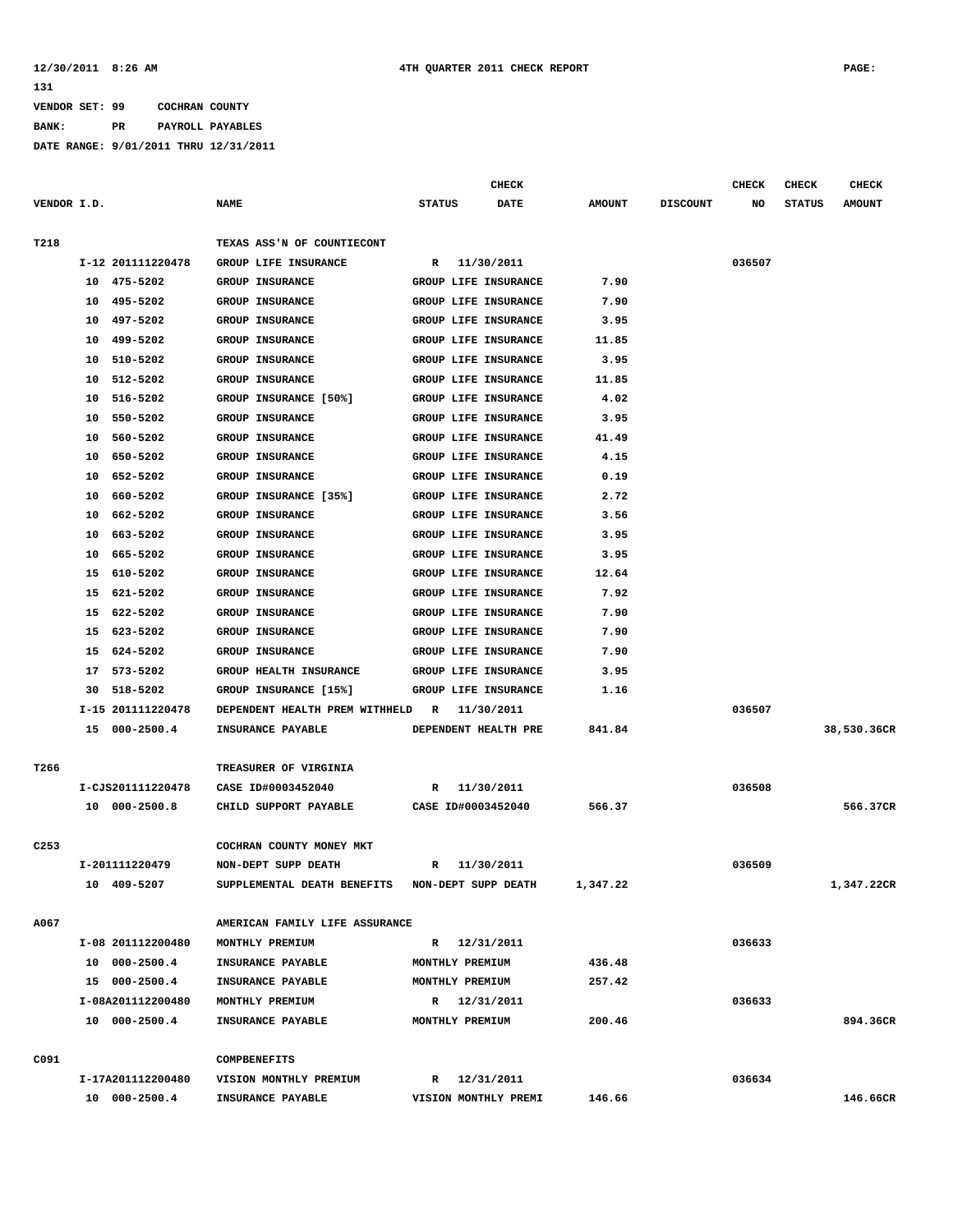|                  |                   |                                                 | <b>CHECK</b>                 |               |                 | <b>CHECK</b> | <b>CHECK</b>  | <b>CHECK</b>  |
|------------------|-------------------|-------------------------------------------------|------------------------------|---------------|-----------------|--------------|---------------|---------------|
| VENDOR I.D.      |                   | <b>NAME</b>                                     | <b>STATUS</b><br><b>DATE</b> | <b>AMOUNT</b> | <b>DISCOUNT</b> | NO           | <b>STATUS</b> | <b>AMOUNT</b> |
|                  |                   |                                                 |                              |               |                 |              |               |               |
| T218             |                   | TEXAS ASS'N OF COUNTIECONT                      |                              |               |                 |              |               |               |
|                  | I-12 201111220478 | GROUP LIFE INSURANCE                            | 11/30/2011<br>R              |               |                 | 036507       |               |               |
|                  | 10 475-5202       | GROUP INSURANCE                                 | GROUP LIFE INSURANCE         | 7.90          |                 |              |               |               |
|                  | 10 495-5202       | <b>GROUP INSURANCE</b>                          | GROUP LIFE INSURANCE         | 7.90          |                 |              |               |               |
|                  | 10 497-5202       | GROUP INSURANCE                                 | GROUP LIFE INSURANCE         | 3.95          |                 |              |               |               |
|                  | 10<br>499-5202    | <b>GROUP INSURANCE</b>                          | GROUP LIFE INSURANCE         | 11.85         |                 |              |               |               |
|                  | 510-5202<br>10    | GROUP INSURANCE                                 | GROUP LIFE INSURANCE         | 3.95          |                 |              |               |               |
|                  | 512-5202<br>10    | GROUP INSURANCE                                 | GROUP LIFE INSURANCE         | 11.85         |                 |              |               |               |
|                  | 516-5202<br>10    | GROUP INSURANCE [50%]                           | GROUP LIFE INSURANCE         | 4.02          |                 |              |               |               |
|                  | 550-5202<br>10    | GROUP INSURANCE                                 | GROUP LIFE INSURANCE         | 3.95          |                 |              |               |               |
|                  | 560-5202<br>10    | GROUP INSURANCE                                 | GROUP LIFE INSURANCE         | 41.49         |                 |              |               |               |
|                  | 10<br>650-5202    | <b>GROUP INSURANCE</b>                          | GROUP LIFE INSURANCE         | 4.15          |                 |              |               |               |
|                  | 652-5202<br>10    | <b>GROUP INSURANCE</b>                          | GROUP LIFE INSURANCE         | 0.19          |                 |              |               |               |
|                  | 660-5202<br>10    | GROUP INSURANCE [35%]                           | GROUP LIFE INSURANCE         | 2.72          |                 |              |               |               |
|                  | 662-5202<br>10    | GROUP INSURANCE                                 | GROUP LIFE INSURANCE         | 3.56          |                 |              |               |               |
|                  | 10<br>663-5202    | GROUP INSURANCE                                 | GROUP LIFE INSURANCE         | 3.95          |                 |              |               |               |
|                  | 10<br>665–5202    | GROUP INSURANCE                                 | GROUP LIFE INSURANCE         | 3.95          |                 |              |               |               |
|                  | 15<br>610-5202    | <b>GROUP INSURANCE</b>                          | GROUP LIFE INSURANCE         | 12.64         |                 |              |               |               |
|                  | 621-5202<br>15    | GROUP INSURANCE                                 | GROUP LIFE INSURANCE         | 7.92          |                 |              |               |               |
|                  | 622-5202<br>15    | GROUP INSURANCE                                 | GROUP LIFE INSURANCE         | 7.90          |                 |              |               |               |
|                  | 623-5202<br>15    | GROUP INSURANCE                                 | GROUP LIFE INSURANCE         | 7.90          |                 |              |               |               |
|                  | 624-5202<br>15    | GROUP INSURANCE                                 | GROUP LIFE INSURANCE         | 7.90          |                 |              |               |               |
|                  | 17 573-5202       | GROUP HEALTH INSURANCE                          | GROUP LIFE INSURANCE         | 3.95          |                 |              |               |               |
|                  | 30 518-5202       | GROUP INSURANCE [15%]                           | GROUP LIFE INSURANCE         | 1.16          |                 |              |               |               |
|                  | I-15 201111220478 | DEPENDENT HEALTH PREM WITHHELD                  | 11/30/2011<br>R              |               |                 | 036507       |               |               |
|                  | 15 000-2500.4     | INSURANCE PAYABLE                               | DEPENDENT HEALTH PRE         | 841.84        |                 |              |               | 38,530.36CR   |
|                  |                   |                                                 |                              |               |                 |              |               |               |
| T266             |                   | TREASURER OF VIRGINIA                           |                              |               |                 |              |               |               |
|                  | I-CJS201111220478 | CASE ID#0003452040                              | 11/30/2011<br>R              |               |                 | 036508       |               |               |
|                  | 10 000-2500.8     | CHILD SUPPORT PAYABLE                           | CASE ID#0003452040           | 566.37        |                 |              |               | 566.37CR      |
|                  |                   |                                                 |                              |               |                 |              |               |               |
| C <sub>253</sub> |                   | COCHRAN COUNTY MONEY MKT                        |                              |               |                 |              |               |               |
|                  | I-201111220479    | NON-DEPT SUPP DEATH                             | R 11/30/2011                 |               |                 | 036509       |               |               |
|                  | 10 409-5207       | SUPPLEMENTAL DEATH BENEFITS NON-DEPT SUPP DEATH |                              | 1,347.22      |                 |              |               | 1,347.22CR    |
|                  |                   |                                                 |                              |               |                 |              |               |               |
| A067             |                   | AMERICAN FAMILY LIFE ASSURANCE                  |                              |               |                 |              |               |               |
|                  | I-08 201112200480 | MONTHLY PREMIUM                                 | R 12/31/2011                 |               |                 | 036633       |               |               |
|                  | 10 000-2500.4     | INSURANCE PAYABLE                               | MONTHLY PREMIUM              | 436.48        |                 |              |               |               |
|                  | 15 000-2500.4     | INSURANCE PAYABLE                               | MONTHLY PREMIUM              | 257.42        |                 |              |               |               |
|                  | I-08A201112200480 | MONTHLY PREMIUM                                 | R 12/31/2011                 |               |                 | 036633       |               |               |
|                  | 10 000-2500.4     | INSURANCE PAYABLE                               | MONTHLY PREMIUM              | 200.46        |                 |              |               | 894.36CR      |
|                  |                   |                                                 |                              |               |                 |              |               |               |
| C091             |                   | COMPBENEFITS                                    |                              |               |                 |              |               |               |
|                  | I-17A201112200480 | VISION MONTHLY PREMIUM                          | R 12/31/2011                 |               |                 | 036634       |               |               |
|                  | 10 000-2500.4     | INSURANCE PAYABLE                               | VISION MONTHLY PREMI         | 146.66        |                 |              |               | 146.66CR      |
|                  |                   |                                                 |                              |               |                 |              |               |               |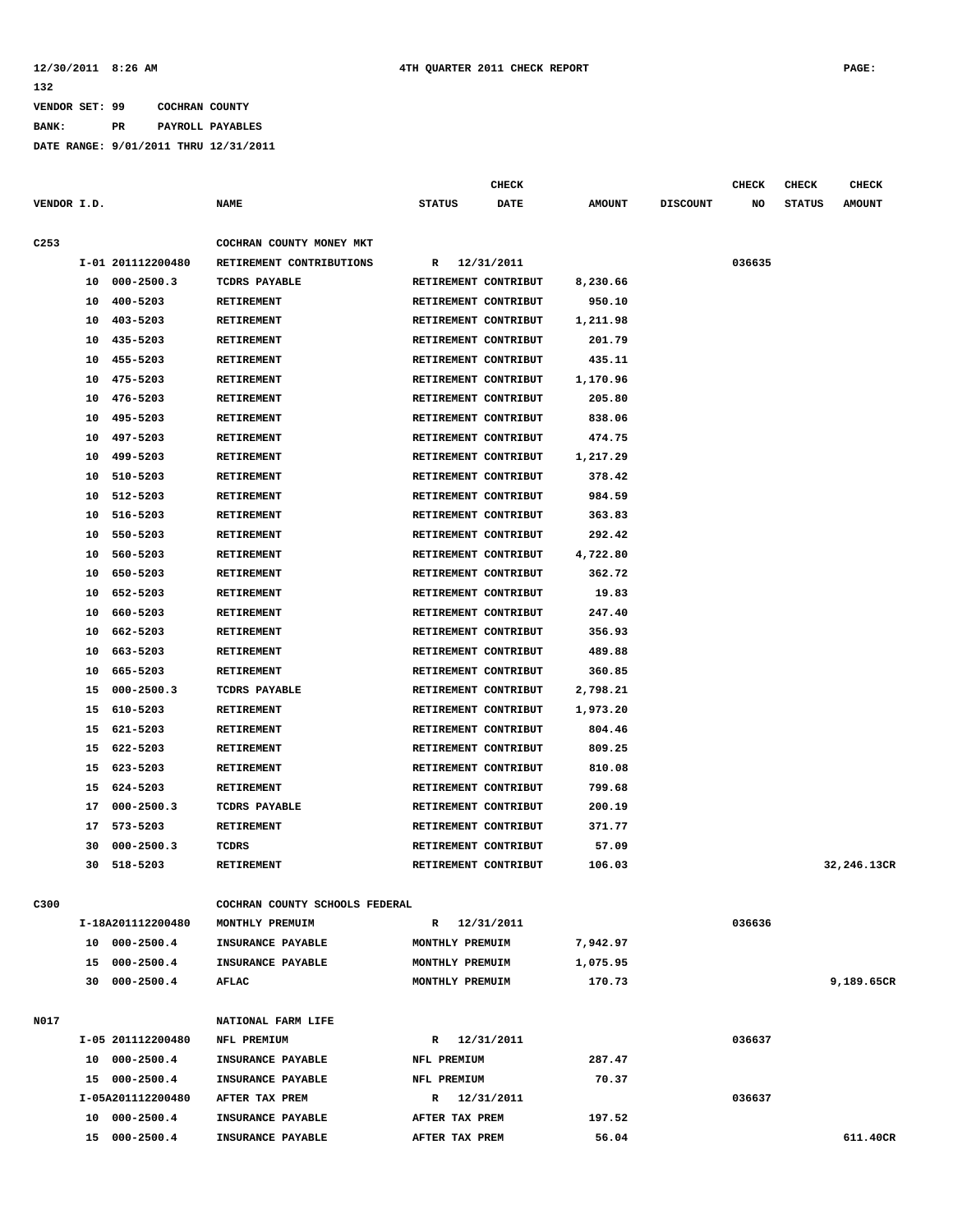|                  |    |                   |                                |                 | CHECK                |               |                 | <b>CHECK</b> | CHECK         | CHECK         |
|------------------|----|-------------------|--------------------------------|-----------------|----------------------|---------------|-----------------|--------------|---------------|---------------|
| VENDOR I.D.      |    |                   | <b>NAME</b>                    | <b>STATUS</b>   | <b>DATE</b>          | <b>AMOUNT</b> | <b>DISCOUNT</b> | NO           | <b>STATUS</b> | <b>AMOUNT</b> |
| C <sub>253</sub> |    |                   | COCHRAN COUNTY MONEY MKT       |                 |                      |               |                 |              |               |               |
|                  |    | I-01 201112200480 | RETIREMENT CONTRIBUTIONS       | R               | 12/31/2011           |               |                 | 036635       |               |               |
|                  | 10 | $000 - 2500.3$    | <b>TCDRS PAYABLE</b>           |                 | RETIREMENT CONTRIBUT | 8,230.66      |                 |              |               |               |
|                  | 10 | 400-5203          | RETIREMENT                     |                 | RETIREMENT CONTRIBUT | 950.10        |                 |              |               |               |
|                  | 10 | 403-5203          | RETIREMENT                     |                 | RETIREMENT CONTRIBUT | 1,211.98      |                 |              |               |               |
|                  | 10 | 435-5203          | <b>RETIREMENT</b>              |                 | RETIREMENT CONTRIBUT | 201.79        |                 |              |               |               |
|                  | 10 | 455-5203          | RETIREMENT                     |                 | RETIREMENT CONTRIBUT | 435.11        |                 |              |               |               |
|                  | 10 | 475-5203          | RETIREMENT                     |                 | RETIREMENT CONTRIBUT | 1,170.96      |                 |              |               |               |
|                  | 10 | 476-5203          | RETIREMENT                     |                 | RETIREMENT CONTRIBUT | 205.80        |                 |              |               |               |
|                  | 10 | 495-5203          | RETIREMENT                     |                 | RETIREMENT CONTRIBUT | 838.06        |                 |              |               |               |
|                  | 10 | 497-5203          | RETIREMENT                     |                 | RETIREMENT CONTRIBUT | 474.75        |                 |              |               |               |
|                  | 10 | 499-5203          | <b>RETIREMENT</b>              |                 | RETIREMENT CONTRIBUT | 1,217.29      |                 |              |               |               |
|                  | 10 | 510-5203          | <b>RETIREMENT</b>              |                 | RETIREMENT CONTRIBUT | 378.42        |                 |              |               |               |
|                  | 10 | 512-5203          | RETIREMENT                     |                 | RETIREMENT CONTRIBUT | 984.59        |                 |              |               |               |
|                  | 10 | 516-5203          | <b>RETIREMENT</b>              |                 | RETIREMENT CONTRIBUT | 363.83        |                 |              |               |               |
|                  | 10 | 550-5203          | <b>RETIREMENT</b>              |                 | RETIREMENT CONTRIBUT | 292.42        |                 |              |               |               |
|                  | 10 | 560-5203          | <b>RETIREMENT</b>              |                 | RETIREMENT CONTRIBUT | 4,722.80      |                 |              |               |               |
|                  | 10 | 650-5203          | <b>RETIREMENT</b>              |                 | RETIREMENT CONTRIBUT | 362.72        |                 |              |               |               |
|                  |    | 652-5203          | <b>RETIREMENT</b>              |                 | RETIREMENT CONTRIBUT | 19.83         |                 |              |               |               |
|                  | 10 |                   | <b>RETIREMENT</b>              |                 |                      |               |                 |              |               |               |
|                  | 10 | 660-5203          |                                |                 | RETIREMENT CONTRIBUT | 247.40        |                 |              |               |               |
|                  | 10 | 662-5203          | <b>RETIREMENT</b>              |                 | RETIREMENT CONTRIBUT | 356.93        |                 |              |               |               |
|                  | 10 | 663-5203          | RETIREMENT                     |                 | RETIREMENT CONTRIBUT | 489.88        |                 |              |               |               |
|                  | 10 | 665-5203          | <b>RETIREMENT</b>              |                 | RETIREMENT CONTRIBUT | 360.85        |                 |              |               |               |
|                  | 15 | $000 - 2500.3$    | TCDRS PAYABLE                  |                 | RETIREMENT CONTRIBUT | 2,798.21      |                 |              |               |               |
|                  | 15 | 610-5203          | <b>RETIREMENT</b>              |                 | RETIREMENT CONTRIBUT | 1,973.20      |                 |              |               |               |
|                  | 15 | 621-5203          | <b>RETIREMENT</b>              |                 | RETIREMENT CONTRIBUT | 804.46        |                 |              |               |               |
|                  | 15 | 622-5203          | <b>RETIREMENT</b>              |                 | RETIREMENT CONTRIBUT | 809.25        |                 |              |               |               |
|                  | 15 | 623-5203          | RETIREMENT                     |                 | RETIREMENT CONTRIBUT | 810.08        |                 |              |               |               |
|                  | 15 | 624-5203          | RETIREMENT                     |                 | RETIREMENT CONTRIBUT | 799.68        |                 |              |               |               |
|                  | 17 | $000 - 2500.3$    | TCDRS PAYABLE                  |                 | RETIREMENT CONTRIBUT | 200.19        |                 |              |               |               |
|                  | 17 | 573-5203          | <b>RETIREMENT</b>              |                 | RETIREMENT CONTRIBUT | 371.77        |                 |              |               |               |
|                  | 30 | $000 - 2500.3$    | TCDRS                          |                 | RETIREMENT CONTRIBUT | 57.09         |                 |              |               |               |
|                  | 30 | 518-5203          | <b>RETIREMENT</b>              |                 | RETIREMENT CONTRIBUT | 106.03        |                 |              |               | 32,246.13CR   |
| C300             |    |                   | COCHRAN COUNTY SCHOOLS FEDERAL |                 |                      |               |                 |              |               |               |
|                  |    | I-18A201112200480 | MONTHLY PREMUIM                | $\mathbb{R}$    | 12/31/2011           |               |                 | 036636       |               |               |
|                  |    | 10 000-2500.4     | INSURANCE PAYABLE              | MONTHLY PREMUIM |                      | 7,942.97      |                 |              |               |               |
|                  |    | 15 000-2500.4     | INSURANCE PAYABLE              | MONTHLY PREMUIM |                      | 1,075.95      |                 |              |               |               |
|                  |    | 30 000-2500.4     | AFLAC                          | MONTHLY PREMUIM |                      | 170.73        |                 |              |               | 9,189.65CR    |
|                  |    |                   |                                |                 |                      |               |                 |              |               |               |
| N017             |    |                   | NATIONAL FARM LIFE             |                 |                      |               |                 |              |               |               |
|                  |    | I-05 201112200480 | NFL PREMIUM                    |                 | R 12/31/2011         |               |                 | 036637       |               |               |
|                  |    | 10 000-2500.4     | INSURANCE PAYABLE              | NFL PREMIUM     |                      | 287.47        |                 |              |               |               |
|                  |    | 15 000-2500.4     | INSURANCE PAYABLE              | NFL PREMIUM     |                      | 70.37         |                 |              |               |               |
|                  |    | I-05A201112200480 | AFTER TAX PREM                 |                 | R 12/31/2011         |               |                 | 036637       |               |               |
|                  |    | 10 000-2500.4     | INSURANCE PAYABLE              | AFTER TAX PREM  |                      | 197.52        |                 |              |               |               |
|                  |    | 15 000-2500.4     | INSURANCE PAYABLE              | AFTER TAX PREM  |                      | 56.04         |                 |              |               | 611.40CR      |
|                  |    |                   |                                |                 |                      |               |                 |              |               |               |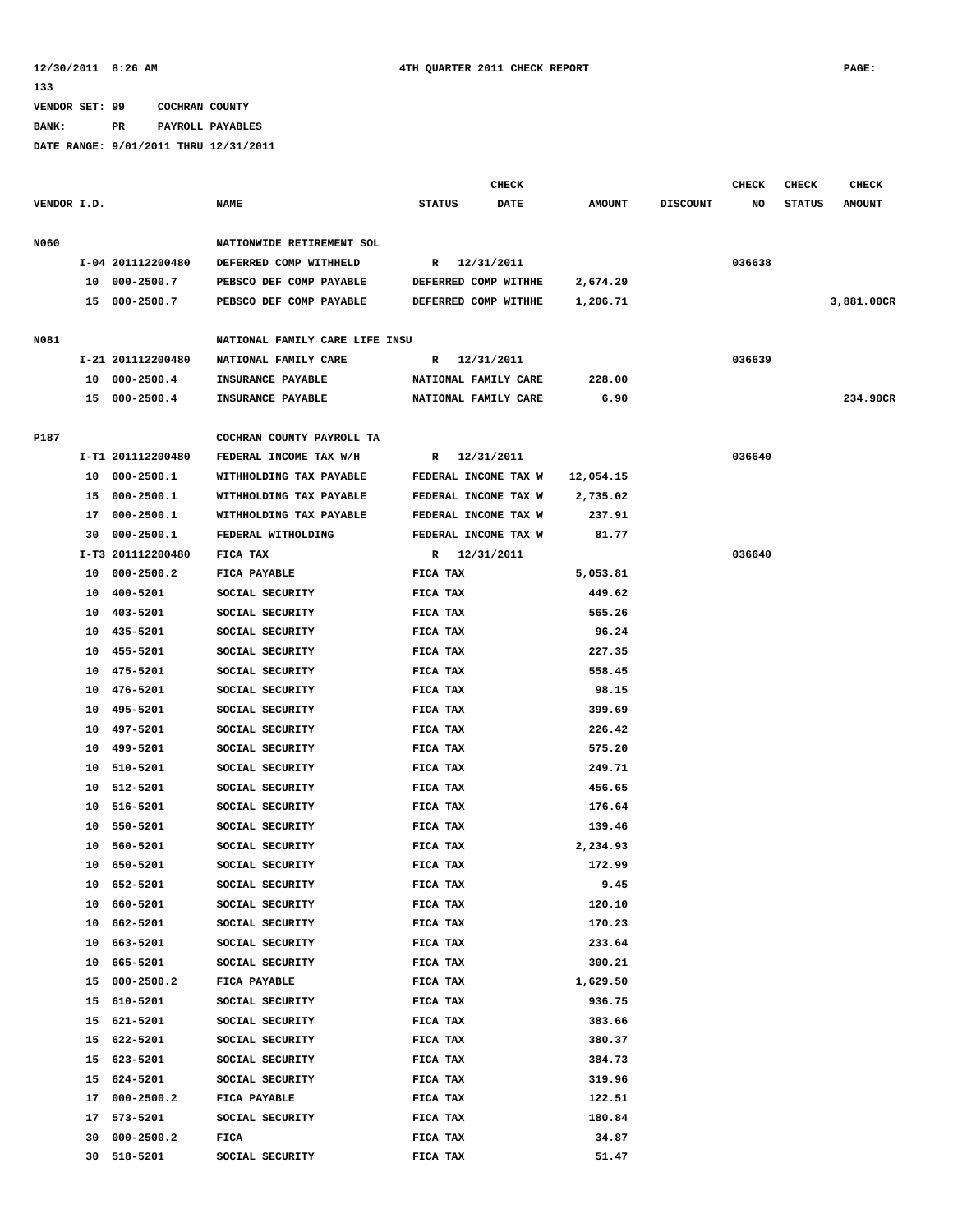**133**

# **VENDOR SET: 99 COCHRAN COUNTY BANK: PR PAYROLL PAYABLES**

|             |    |                   |                                |                      | <b>CHECK</b> |               |                 | CHECK  | <b>CHECK</b>  | <b>CHECK</b>  |
|-------------|----|-------------------|--------------------------------|----------------------|--------------|---------------|-----------------|--------|---------------|---------------|
| VENDOR I.D. |    |                   | <b>NAME</b>                    | <b>STATUS</b>        | <b>DATE</b>  | <b>AMOUNT</b> | <b>DISCOUNT</b> | NO     | <b>STATUS</b> | <b>AMOUNT</b> |
|             |    |                   |                                |                      |              |               |                 |        |               |               |
| N060        |    |                   | NATIONWIDE RETIREMENT SOL      |                      |              |               |                 |        |               |               |
|             |    | I-04 201112200480 | DEFERRED COMP WITHHELD         | R                    | 12/31/2011   |               |                 | 036638 |               |               |
|             |    | 10 000-2500.7     | PEBSCO DEF COMP PAYABLE        | DEFERRED COMP WITHHE |              | 2,674.29      |                 |        |               |               |
|             |    | 15 000-2500.7     | PEBSCO DEF COMP PAYABLE        | DEFERRED COMP WITHHE |              | 1,206.71      |                 |        |               | 3,881.00CR    |
|             |    |                   |                                |                      |              |               |                 |        |               |               |
| N081        |    |                   | NATIONAL FAMILY CARE LIFE INSU |                      |              |               |                 |        |               |               |
|             |    | I-21 201112200480 | NATIONAL FAMILY CARE           | R                    | 12/31/2011   |               |                 | 036639 |               |               |
|             |    | 10 000-2500.4     | INSURANCE PAYABLE              | NATIONAL FAMILY CARE |              | 228.00        |                 |        |               |               |
|             |    | 15 000-2500.4     | INSURANCE PAYABLE              | NATIONAL FAMILY CARE |              | 6.90          |                 |        |               | 234.90CR      |
|             |    |                   |                                |                      |              |               |                 |        |               |               |
| P187        |    |                   | COCHRAN COUNTY PAYROLL TA      |                      |              |               |                 |        |               |               |
|             |    | I-T1 201112200480 | FEDERAL INCOME TAX W/H         | R                    | 12/31/2011   |               |                 | 036640 |               |               |
|             | 10 | 000-2500.1        | WITHHOLDING TAX PAYABLE        | FEDERAL INCOME TAX W |              | 12,054.15     |                 |        |               |               |
|             | 15 | 000-2500.1        | WITHHOLDING TAX PAYABLE        | FEDERAL INCOME TAX W |              | 2,735.02      |                 |        |               |               |
|             | 17 | 000-2500.1        | WITHHOLDING TAX PAYABLE        | FEDERAL INCOME TAX W |              | 237.91        |                 |        |               |               |
|             | 30 | 000-2500.1        | FEDERAL WITHOLDING             | FEDERAL INCOME TAX W |              | 81.77         |                 |        |               |               |
|             |    | I-T3 201112200480 | FICA TAX                       | R                    | 12/31/2011   |               |                 | 036640 |               |               |
|             | 10 | $000 - 2500.2$    | FICA PAYABLE                   | FICA TAX             |              | 5,053.81      |                 |        |               |               |
|             | 10 | 400-5201          | SOCIAL SECURITY                | FICA TAX             |              | 449.62        |                 |        |               |               |
|             | 10 | 403-5201          | SOCIAL SECURITY                | FICA TAX             |              | 565.26        |                 |        |               |               |
|             | 10 | 435-5201          | SOCIAL SECURITY                | FICA TAX             |              | 96.24         |                 |        |               |               |
|             | 10 | 455-5201          | SOCIAL SECURITY                | FICA TAX             |              | 227.35        |                 |        |               |               |
|             | 10 | 475-5201          | SOCIAL SECURITY                | FICA TAX             |              | 558.45        |                 |        |               |               |
|             | 10 | 476-5201          | SOCIAL SECURITY                | FICA TAX             |              | 98.15         |                 |        |               |               |
|             | 10 | 495-5201          | SOCIAL SECURITY                | FICA TAX             |              | 399.69        |                 |        |               |               |
|             | 10 | 497-5201          | SOCIAL SECURITY                | FICA TAX             |              | 226.42        |                 |        |               |               |
|             | 10 | 499-5201          | SOCIAL SECURITY                | FICA TAX             |              | 575.20        |                 |        |               |               |
|             | 10 | 510-5201          | SOCIAL SECURITY                | FICA TAX             |              | 249.71        |                 |        |               |               |
|             | 10 | 512-5201          | SOCIAL SECURITY                | FICA TAX             |              | 456.65        |                 |        |               |               |
|             | 10 | 516-5201          | SOCIAL SECURITY                | FICA TAX             |              | 176.64        |                 |        |               |               |
|             | 10 | 550-5201          | SOCIAL SECURITY                | FICA TAX             |              | 139.46        |                 |        |               |               |
|             | 10 | 560-5201          | SOCIAL SECURITY                | FICA TAX             |              | 2,234.93      |                 |        |               |               |
|             | 10 | 650-5201          | SOCIAL SECURITY                | FICA TAX             |              | 172.99        |                 |        |               |               |
|             |    | 10 652-5201       | SOCIAL SECURITY                | FICA TAX             |              | 9.45          |                 |        |               |               |
|             | 10 | 660-5201          | SOCIAL SECURITY                | FICA TAX             |              | 120.10        |                 |        |               |               |
|             | 10 | 662-5201          | SOCIAL SECURITY                | FICA TAX             |              | 170.23        |                 |        |               |               |
|             | 10 | 663-5201          | SOCIAL SECURITY                | FICA TAX             |              | 233.64        |                 |        |               |               |
|             | 10 | 665-5201          | SOCIAL SECURITY                | FICA TAX             |              | 300.21        |                 |        |               |               |
|             | 15 | $000 - 2500.2$    | FICA PAYABLE                   | FICA TAX             |              | 1,629.50      |                 |        |               |               |
|             |    | 15 610-5201       | SOCIAL SECURITY                | FICA TAX             |              | 936.75        |                 |        |               |               |
|             |    | 15 621-5201       | SOCIAL SECURITY                | FICA TAX             |              | 383.66        |                 |        |               |               |
|             |    | 15 622-5201       | SOCIAL SECURITY                | FICA TAX             |              | 380.37        |                 |        |               |               |
|             |    | 15 623-5201       | SOCIAL SECURITY                | FICA TAX             |              | 384.73        |                 |        |               |               |
|             |    | 15 624-5201       | SOCIAL SECURITY                | FICA TAX             |              | 319.96        |                 |        |               |               |
|             |    | 17 000-2500.2     | FICA PAYABLE                   | FICA TAX             |              | 122.51        |                 |        |               |               |
|             |    | 17 573-5201       | SOCIAL SECURITY                | FICA TAX             |              | 180.84        |                 |        |               |               |
|             | 30 | 000-2500.2        | FICA                           | FICA TAX             |              | 34.87         |                 |        |               |               |
|             |    | 30 518-5201       | SOCIAL SECURITY                | FICA TAX             |              | 51.47         |                 |        |               |               |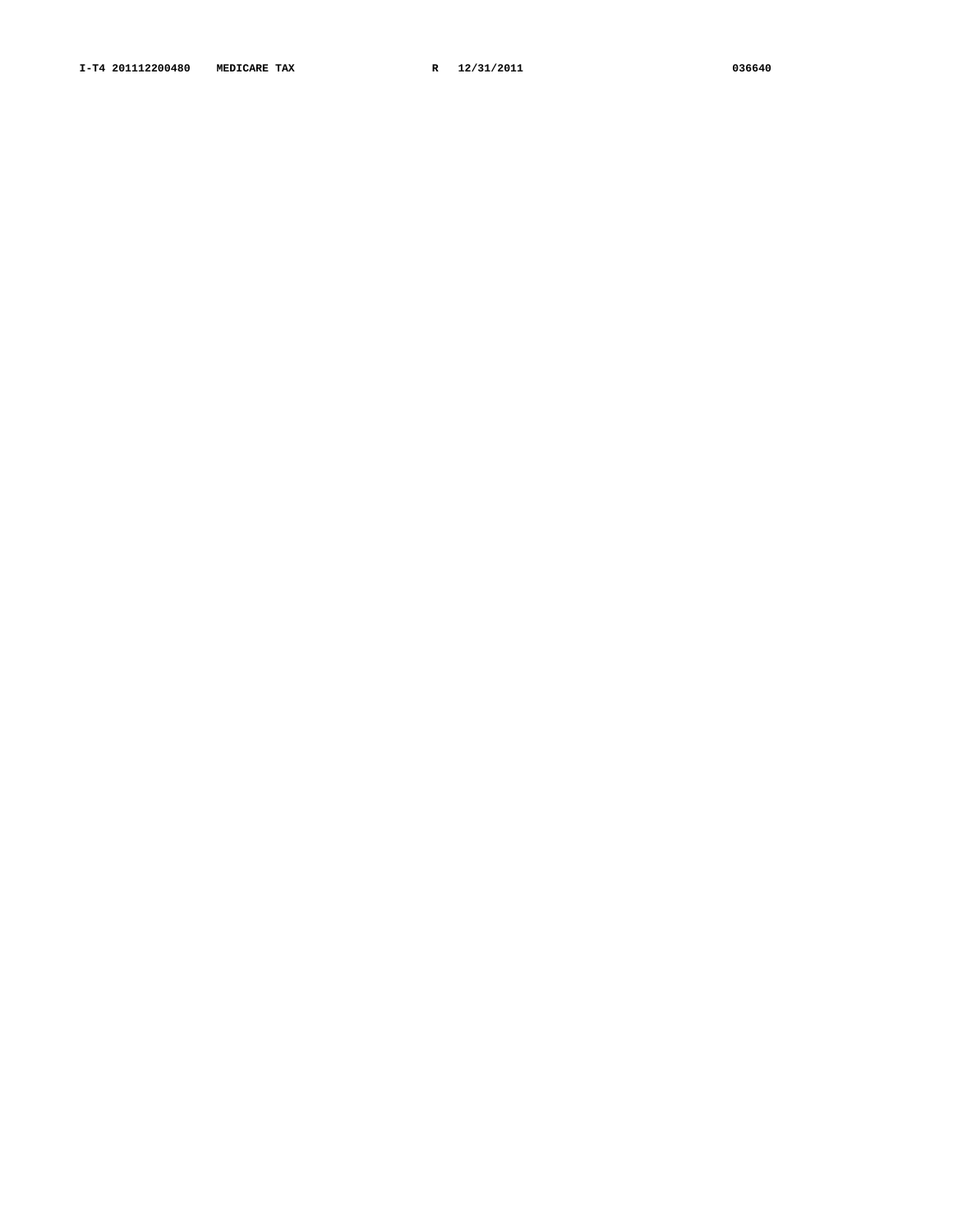**I-T4 201112200480 MEDICARE TAX R 12/31/2011 036640**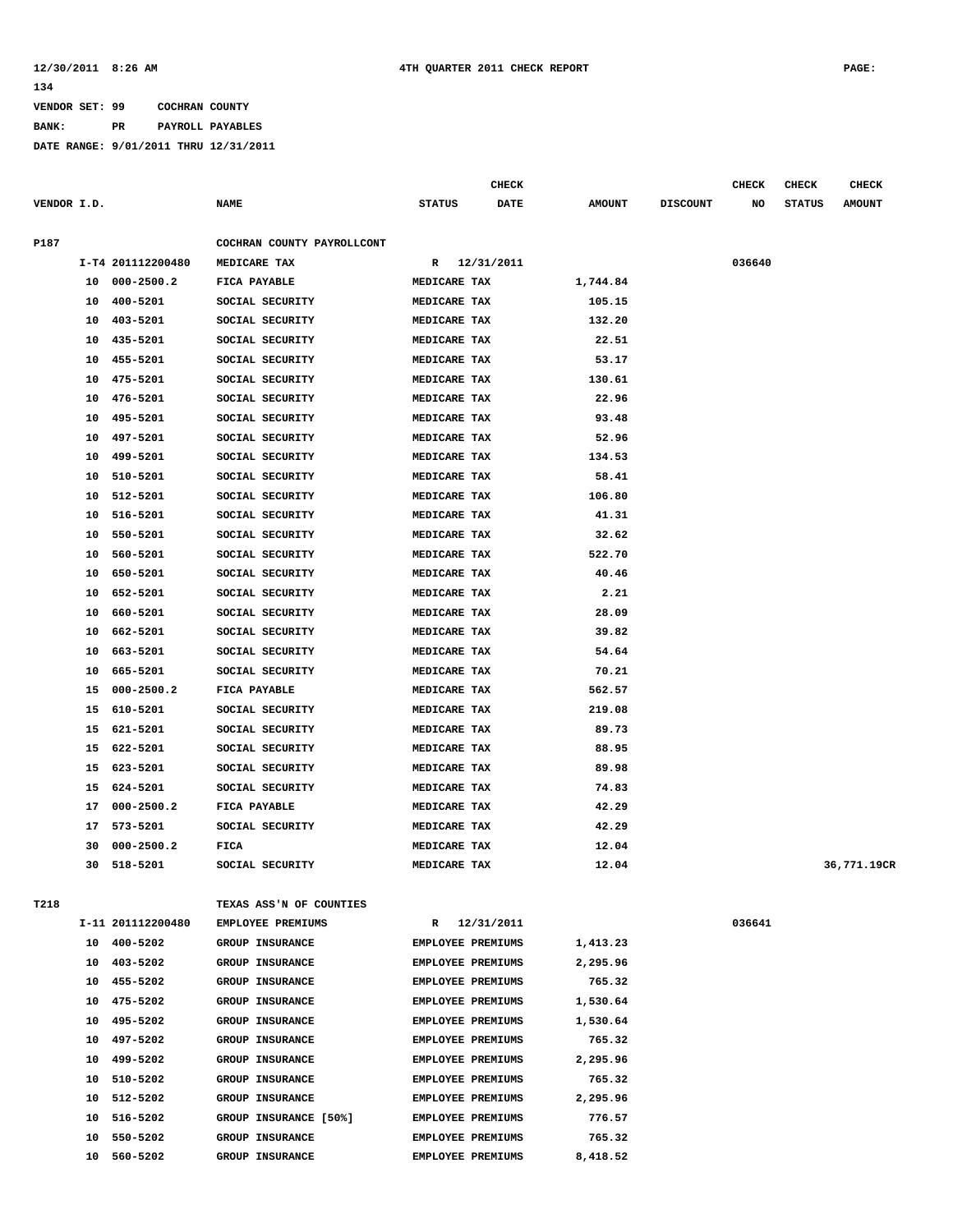|             |    |                   |                            |               | <b>CHECK</b>             |               |                 | CHECK  | <b>CHECK</b>  | <b>CHECK</b>  |
|-------------|----|-------------------|----------------------------|---------------|--------------------------|---------------|-----------------|--------|---------------|---------------|
| VENDOR I.D. |    |                   | <b>NAME</b>                | <b>STATUS</b> | <b>DATE</b>              | <b>AMOUNT</b> | <b>DISCOUNT</b> | NO     | <b>STATUS</b> | <b>AMOUNT</b> |
|             |    |                   |                            |               |                          |               |                 |        |               |               |
| P187        |    |                   | COCHRAN COUNTY PAYROLLCONT |               |                          |               |                 |        |               |               |
|             |    | I-T4 201112200480 | MEDICARE TAX               |               | R 12/31/2011             |               |                 | 036640 |               |               |
|             |    | 10 000-2500.2     | FICA PAYABLE               | MEDICARE TAX  |                          | 1,744.84      |                 |        |               |               |
|             | 10 | 400-5201          | SOCIAL SECURITY            | MEDICARE TAX  |                          | 105.15        |                 |        |               |               |
|             | 10 | 403-5201          | SOCIAL SECURITY            | MEDICARE TAX  |                          | 132.20        |                 |        |               |               |
|             | 10 | 435-5201          | SOCIAL SECURITY            | MEDICARE TAX  |                          | 22.51         |                 |        |               |               |
|             | 10 | 455-5201          | SOCIAL SECURITY            | MEDICARE TAX  |                          | 53.17         |                 |        |               |               |
|             | 10 | 475-5201          | SOCIAL SECURITY            | MEDICARE TAX  |                          | 130.61        |                 |        |               |               |
|             | 10 | 476-5201          | SOCIAL SECURITY            | MEDICARE TAX  |                          | 22.96         |                 |        |               |               |
|             | 10 | 495-5201          | SOCIAL SECURITY            | MEDICARE TAX  |                          | 93.48         |                 |        |               |               |
|             | 10 | 497-5201          | SOCIAL SECURITY            | MEDICARE TAX  |                          | 52.96         |                 |        |               |               |
|             | 10 | 499-5201          | SOCIAL SECURITY            | MEDICARE TAX  |                          | 134.53        |                 |        |               |               |
|             | 10 | 510-5201          | SOCIAL SECURITY            | MEDICARE TAX  |                          | 58.41         |                 |        |               |               |
|             | 10 | 512-5201          | SOCIAL SECURITY            | MEDICARE TAX  |                          | 106.80        |                 |        |               |               |
|             | 10 | 516-5201          | SOCIAL SECURITY            | MEDICARE TAX  |                          | 41.31         |                 |        |               |               |
|             | 10 | 550-5201          | SOCIAL SECURITY            | MEDICARE TAX  |                          | 32.62         |                 |        |               |               |
|             | 10 | 560-5201          | SOCIAL SECURITY            | MEDICARE TAX  |                          | 522.70        |                 |        |               |               |
|             | 10 | 650-5201          | SOCIAL SECURITY            | MEDICARE TAX  |                          | 40.46         |                 |        |               |               |
|             | 10 | 652-5201          | SOCIAL SECURITY            | MEDICARE TAX  |                          | 2.21          |                 |        |               |               |
|             | 10 | 660-5201          | SOCIAL SECURITY            | MEDICARE TAX  |                          | 28.09         |                 |        |               |               |
|             | 10 | 662-5201          | SOCIAL SECURITY            | MEDICARE TAX  |                          | 39.82         |                 |        |               |               |
|             | 10 | 663-5201          | SOCIAL SECURITY            | MEDICARE TAX  |                          | 54.64         |                 |        |               |               |
|             | 10 | 665-5201          | SOCIAL SECURITY            | MEDICARE TAX  |                          | 70.21         |                 |        |               |               |
|             | 15 | $000 - 2500.2$    | FICA PAYABLE               | MEDICARE TAX  |                          | 562.57        |                 |        |               |               |
|             | 15 | 610-5201          | SOCIAL SECURITY            | MEDICARE TAX  |                          | 219.08        |                 |        |               |               |
|             | 15 | 621-5201          | SOCIAL SECURITY            | MEDICARE TAX  |                          | 89.73         |                 |        |               |               |
|             |    | 15 622-5201       | SOCIAL SECURITY            | MEDICARE TAX  |                          | 88.95         |                 |        |               |               |
|             |    | 15 623-5201       | SOCIAL SECURITY            | MEDICARE TAX  |                          | 89.98         |                 |        |               |               |
|             | 15 | 624-5201          | SOCIAL SECURITY            | MEDICARE TAX  |                          | 74.83         |                 |        |               |               |
|             | 17 | $000 - 2500.2$    | FICA PAYABLE               | MEDICARE TAX  |                          | 42.29         |                 |        |               |               |
|             | 17 | 573-5201          | SOCIAL SECURITY            | MEDICARE TAX  |                          | 42.29         |                 |        |               |               |
|             | 30 | $000 - 2500.2$    | FICA                       | MEDICARE TAX  |                          | 12.04         |                 |        |               |               |
|             | 30 | 518-5201          | SOCIAL SECURITY            | MEDICARE TAX  |                          | 12.04         |                 |        |               | 36,771.19CR   |
|             |    |                   |                            |               |                          |               |                 |        |               |               |
| T218        |    |                   | TEXAS ASS'N OF COUNTIES    |               |                          |               |                 |        |               |               |
|             |    | I-11 201112200480 | EMPLOYEE PREMIUMS          | R             | 12/31/2011               |               |                 | 036641 |               |               |
|             | 10 | 400-5202          | <b>GROUP INSURANCE</b>     |               | EMPLOYEE PREMIUMS        | 1,413.23      |                 |        |               |               |
|             | 10 | 403-5202          | GROUP INSURANCE            |               | EMPLOYEE PREMIUMS        | 2,295.96      |                 |        |               |               |
|             | 10 | 455-5202          | GROUP INSURANCE            |               | EMPLOYEE PREMIUMS        | 765.32        |                 |        |               |               |
|             | 10 | 475-5202          | <b>GROUP INSURANCE</b>     |               | <b>EMPLOYEE PREMIUMS</b> | 1,530.64      |                 |        |               |               |
|             | 10 | 495-5202          | <b>GROUP INSURANCE</b>     |               | EMPLOYEE PREMIUMS        | 1,530.64      |                 |        |               |               |
|             | 10 | 497-5202          | <b>GROUP INSURANCE</b>     |               | EMPLOYEE PREMIUMS        | 765.32        |                 |        |               |               |
|             | 10 | 499-5202          | GROUP INSURANCE            |               | EMPLOYEE PREMIUMS        | 2,295.96      |                 |        |               |               |
|             | 10 | 510-5202          | GROUP INSURANCE            |               | EMPLOYEE PREMIUMS        | 765.32        |                 |        |               |               |
|             | 10 | 512-5202          | <b>GROUP INSURANCE</b>     |               | EMPLOYEE PREMIUMS        | 2,295.96      |                 |        |               |               |
|             | 10 | 516-5202          | GROUP INSURANCE [50%]      |               | EMPLOYEE PREMIUMS        | 776.57        |                 |        |               |               |
|             | 10 | 550-5202          | GROUP INSURANCE            |               | EMPLOYEE PREMIUMS        | 765.32        |                 |        |               |               |
|             | 10 | 560-5202          | <b>GROUP INSURANCE</b>     |               | EMPLOYEE PREMIUMS        | 8,418.52      |                 |        |               |               |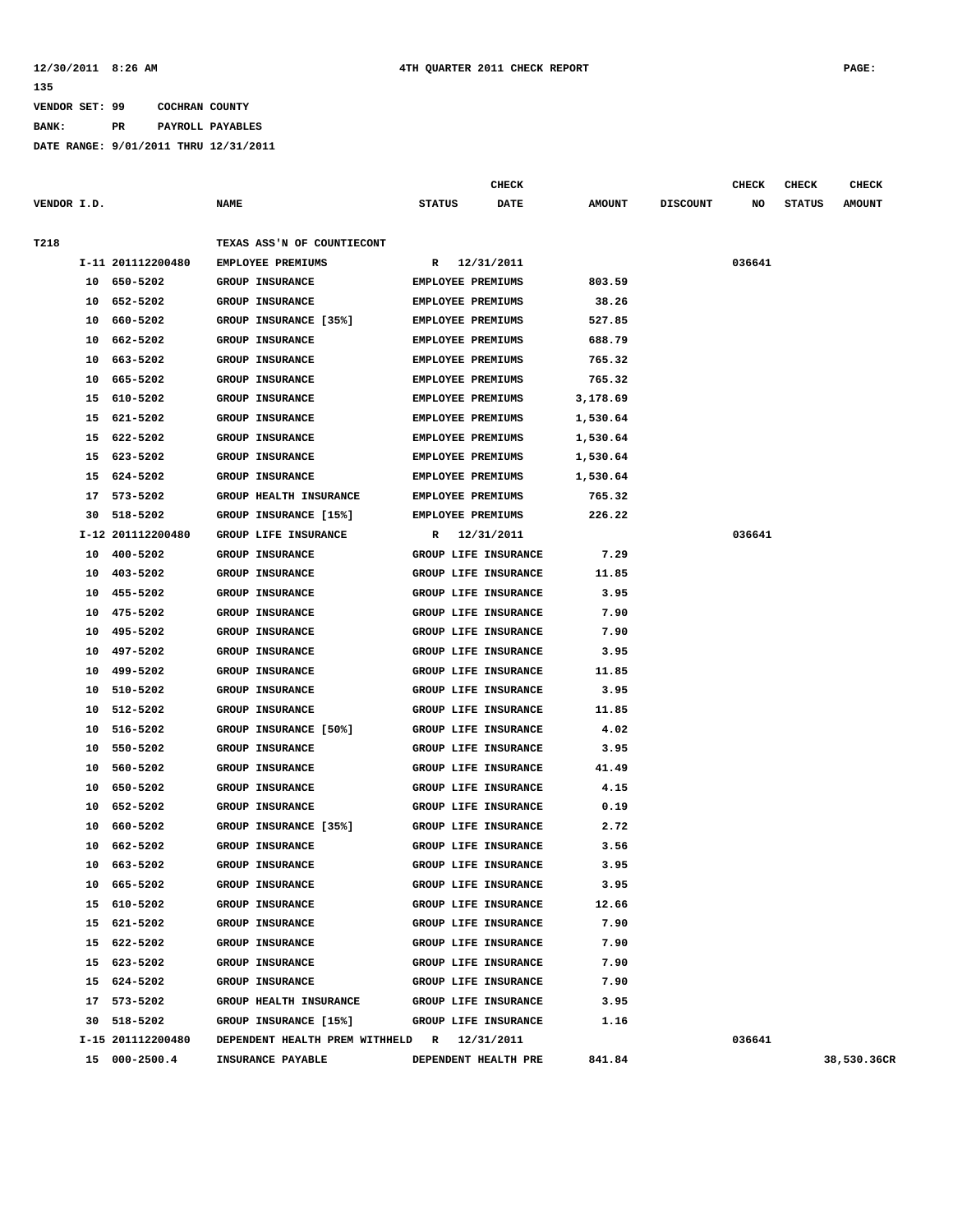| VENDOR I.D.<br><b>NAME</b><br><b>STATUS</b><br>DATE<br><b>AMOUNT</b><br><b>DISCOUNT</b><br>NO<br><b>STATUS</b><br>T218<br>TEXAS ASS'N OF COUNTIECONT<br>I-11 201112200480<br>12/31/2011<br>036641<br>EMPLOYEE PREMIUMS<br>R<br>650-5202<br><b>GROUP INSURANCE</b><br><b>EMPLOYEE PREMIUMS</b><br>803.59<br>10<br>652-5202<br><b>GROUP INSURANCE</b><br><b>EMPLOYEE PREMIUMS</b><br>38.26<br>10<br>527.85<br>660-5202<br>GROUP INSURANCE [35%]<br><b>EMPLOYEE PREMIUMS</b><br>10<br><b>GROUP INSURANCE</b><br><b>EMPLOYEE PREMIUMS</b><br>688.79<br>10<br>662-5202<br>663-5202<br><b>GROUP INSURANCE</b><br><b>EMPLOYEE PREMIUMS</b><br>765.32<br>10<br>765.32<br>10<br>665-5202<br>GROUP INSURANCE<br><b>EMPLOYEE PREMIUMS</b><br>610-5202<br>GROUP INSURANCE<br>EMPLOYEE PREMIUMS<br>3,178.69<br>15<br>621-5202<br>GROUP INSURANCE<br>EMPLOYEE PREMIUMS<br>1,530.64<br>15<br>622-5202<br>15<br><b>GROUP INSURANCE</b><br><b>EMPLOYEE PREMIUMS</b><br>1,530.64<br>623-5202<br><b>GROUP INSURANCE</b><br>EMPLOYEE PREMIUMS<br>15<br>1,530.64<br>624-5202<br><b>GROUP INSURANCE</b><br>EMPLOYEE PREMIUMS<br>15<br>1,530.64<br><b>GROUP HEALTH INSURANCE</b><br>17<br>573-5202<br><b>EMPLOYEE PREMIUMS</b><br>765.32<br>518-5202<br>GROUP INSURANCE [15%]<br>EMPLOYEE PREMIUMS<br>226.22<br>30<br>I-12 201112200480<br>GROUP LIFE INSURANCE<br>12/31/2011<br>036641<br>R<br>7.29<br>10<br>400-5202<br>GROUP INSURANCE<br>GROUP LIFE INSURANCE<br>403-5202<br><b>GROUP INSURANCE</b><br>10<br><b>GROUP LIFE INSURANCE</b><br>11.85<br>455-5202<br><b>GROUP INSURANCE</b><br>3.95<br>10<br>GROUP LIFE INSURANCE<br>7.90<br>10<br>475-5202<br><b>GROUP INSURANCE</b><br><b>GROUP LIFE INSURANCE</b><br>495-5202<br><b>GROUP INSURANCE</b><br>GROUP LIFE INSURANCE<br>7.90<br>10<br>497-5202<br>GROUP INSURANCE<br>GROUP LIFE INSURANCE<br>3.95<br>10<br>499-5202<br>11.85<br>10<br><b>GROUP INSURANCE</b><br>GROUP LIFE INSURANCE<br>510-5202<br><b>GROUP INSURANCE</b><br>GROUP LIFE INSURANCE<br>3.95<br>10<br>512-5202<br>GROUP INSURANCE<br>GROUP LIFE INSURANCE<br>11.85<br>10<br>4.02<br>10<br>516-5202<br>GROUP INSURANCE [50%]<br>GROUP LIFE INSURANCE<br>3.95<br>550-5202<br><b>GROUP INSURANCE</b><br>GROUP LIFE INSURANCE<br>10<br>560-5202<br><b>GROUP INSURANCE</b><br>GROUP LIFE INSURANCE<br>41.49<br>10<br>650-5202<br><b>GROUP INSURANCE</b><br>GROUP LIFE INSURANCE<br>4.15<br>10<br><b>GROUP INSURANCE</b><br>GROUP LIFE INSURANCE<br>0.19<br>10<br>652-5202<br>660-5202<br>GROUP INSURANCE [35%]<br>GROUP LIFE INSURANCE<br>2.72<br>10<br>10<br>662-5202<br><b>GROUP INSURANCE</b><br>GROUP LIFE INSURANCE<br>3.56<br>663-5202<br><b>GROUP INSURANCE</b><br>GROUP LIFE INSURANCE<br>3.95<br>10<br>665-5202<br>GROUP INSURANCE<br>GROUP LIFE INSURANCE<br>3.95<br>10<br>12.66<br>15 610-5202<br><b>GROUP INSURANCE</b><br>GROUP LIFE INSURANCE<br>15 621-5202<br>GROUP INSURANCE<br>GROUP LIFE INSURANCE<br>7.90<br>7.90<br>15 622-5202<br>GROUP INSURANCE<br>GROUP LIFE INSURANCE<br>15 623-5202<br>7.90<br>GROUP INSURANCE<br>GROUP LIFE INSURANCE<br>15 624-5202<br>GROUP INSURANCE<br>GROUP LIFE INSURANCE<br>7.90<br>17 573-5202<br><b>GROUP HEALTH INSURANCE</b><br>GROUP LIFE INSURANCE<br>3.95<br>30 518-5202<br>GROUP INSURANCE [15%]<br>GROUP LIFE INSURANCE<br>1.16<br>036641<br>I-15 201112200480<br>DEPENDENT HEALTH PREM WITHHELD R 12/31/2011<br>15 000-2500.4<br>841.84<br>INSURANCE PAYABLE<br>DEPENDENT HEALTH PRE |  |  | CHECK |  | <b>CHECK</b> | <b>CHECK</b> | <b>CHECK</b>  |
|---------------------------------------------------------------------------------------------------------------------------------------------------------------------------------------------------------------------------------------------------------------------------------------------------------------------------------------------------------------------------------------------------------------------------------------------------------------------------------------------------------------------------------------------------------------------------------------------------------------------------------------------------------------------------------------------------------------------------------------------------------------------------------------------------------------------------------------------------------------------------------------------------------------------------------------------------------------------------------------------------------------------------------------------------------------------------------------------------------------------------------------------------------------------------------------------------------------------------------------------------------------------------------------------------------------------------------------------------------------------------------------------------------------------------------------------------------------------------------------------------------------------------------------------------------------------------------------------------------------------------------------------------------------------------------------------------------------------------------------------------------------------------------------------------------------------------------------------------------------------------------------------------------------------------------------------------------------------------------------------------------------------------------------------------------------------------------------------------------------------------------------------------------------------------------------------------------------------------------------------------------------------------------------------------------------------------------------------------------------------------------------------------------------------------------------------------------------------------------------------------------------------------------------------------------------------------------------------------------------------------------------------------------------------------------------------------------------------------------------------------------------------------------------------------------------------------------------------------------------------------------------------------------------------------------------------------------------------------------------------------------------------------------------------------------------------------------------------------------------------------------------------------------------------------------------------------------------------------------------------------------------------------------------------------------------------------------------------------------------------------------------------------------------------------------------------------|--|--|-------|--|--------------|--------------|---------------|
|                                                                                                                                                                                                                                                                                                                                                                                                                                                                                                                                                                                                                                                                                                                                                                                                                                                                                                                                                                                                                                                                                                                                                                                                                                                                                                                                                                                                                                                                                                                                                                                                                                                                                                                                                                                                                                                                                                                                                                                                                                                                                                                                                                                                                                                                                                                                                                                                                                                                                                                                                                                                                                                                                                                                                                                                                                                                                                                                                                                                                                                                                                                                                                                                                                                                                                                                                                                                                                                   |  |  |       |  |              |              | <b>AMOUNT</b> |
|                                                                                                                                                                                                                                                                                                                                                                                                                                                                                                                                                                                                                                                                                                                                                                                                                                                                                                                                                                                                                                                                                                                                                                                                                                                                                                                                                                                                                                                                                                                                                                                                                                                                                                                                                                                                                                                                                                                                                                                                                                                                                                                                                                                                                                                                                                                                                                                                                                                                                                                                                                                                                                                                                                                                                                                                                                                                                                                                                                                                                                                                                                                                                                                                                                                                                                                                                                                                                                                   |  |  |       |  |              |              |               |
|                                                                                                                                                                                                                                                                                                                                                                                                                                                                                                                                                                                                                                                                                                                                                                                                                                                                                                                                                                                                                                                                                                                                                                                                                                                                                                                                                                                                                                                                                                                                                                                                                                                                                                                                                                                                                                                                                                                                                                                                                                                                                                                                                                                                                                                                                                                                                                                                                                                                                                                                                                                                                                                                                                                                                                                                                                                                                                                                                                                                                                                                                                                                                                                                                                                                                                                                                                                                                                                   |  |  |       |  |              |              |               |
|                                                                                                                                                                                                                                                                                                                                                                                                                                                                                                                                                                                                                                                                                                                                                                                                                                                                                                                                                                                                                                                                                                                                                                                                                                                                                                                                                                                                                                                                                                                                                                                                                                                                                                                                                                                                                                                                                                                                                                                                                                                                                                                                                                                                                                                                                                                                                                                                                                                                                                                                                                                                                                                                                                                                                                                                                                                                                                                                                                                                                                                                                                                                                                                                                                                                                                                                                                                                                                                   |  |  |       |  |              |              |               |
|                                                                                                                                                                                                                                                                                                                                                                                                                                                                                                                                                                                                                                                                                                                                                                                                                                                                                                                                                                                                                                                                                                                                                                                                                                                                                                                                                                                                                                                                                                                                                                                                                                                                                                                                                                                                                                                                                                                                                                                                                                                                                                                                                                                                                                                                                                                                                                                                                                                                                                                                                                                                                                                                                                                                                                                                                                                                                                                                                                                                                                                                                                                                                                                                                                                                                                                                                                                                                                                   |  |  |       |  |              |              |               |
|                                                                                                                                                                                                                                                                                                                                                                                                                                                                                                                                                                                                                                                                                                                                                                                                                                                                                                                                                                                                                                                                                                                                                                                                                                                                                                                                                                                                                                                                                                                                                                                                                                                                                                                                                                                                                                                                                                                                                                                                                                                                                                                                                                                                                                                                                                                                                                                                                                                                                                                                                                                                                                                                                                                                                                                                                                                                                                                                                                                                                                                                                                                                                                                                                                                                                                                                                                                                                                                   |  |  |       |  |              |              |               |
|                                                                                                                                                                                                                                                                                                                                                                                                                                                                                                                                                                                                                                                                                                                                                                                                                                                                                                                                                                                                                                                                                                                                                                                                                                                                                                                                                                                                                                                                                                                                                                                                                                                                                                                                                                                                                                                                                                                                                                                                                                                                                                                                                                                                                                                                                                                                                                                                                                                                                                                                                                                                                                                                                                                                                                                                                                                                                                                                                                                                                                                                                                                                                                                                                                                                                                                                                                                                                                                   |  |  |       |  |              |              |               |
|                                                                                                                                                                                                                                                                                                                                                                                                                                                                                                                                                                                                                                                                                                                                                                                                                                                                                                                                                                                                                                                                                                                                                                                                                                                                                                                                                                                                                                                                                                                                                                                                                                                                                                                                                                                                                                                                                                                                                                                                                                                                                                                                                                                                                                                                                                                                                                                                                                                                                                                                                                                                                                                                                                                                                                                                                                                                                                                                                                                                                                                                                                                                                                                                                                                                                                                                                                                                                                                   |  |  |       |  |              |              |               |
|                                                                                                                                                                                                                                                                                                                                                                                                                                                                                                                                                                                                                                                                                                                                                                                                                                                                                                                                                                                                                                                                                                                                                                                                                                                                                                                                                                                                                                                                                                                                                                                                                                                                                                                                                                                                                                                                                                                                                                                                                                                                                                                                                                                                                                                                                                                                                                                                                                                                                                                                                                                                                                                                                                                                                                                                                                                                                                                                                                                                                                                                                                                                                                                                                                                                                                                                                                                                                                                   |  |  |       |  |              |              |               |
|                                                                                                                                                                                                                                                                                                                                                                                                                                                                                                                                                                                                                                                                                                                                                                                                                                                                                                                                                                                                                                                                                                                                                                                                                                                                                                                                                                                                                                                                                                                                                                                                                                                                                                                                                                                                                                                                                                                                                                                                                                                                                                                                                                                                                                                                                                                                                                                                                                                                                                                                                                                                                                                                                                                                                                                                                                                                                                                                                                                                                                                                                                                                                                                                                                                                                                                                                                                                                                                   |  |  |       |  |              |              |               |
|                                                                                                                                                                                                                                                                                                                                                                                                                                                                                                                                                                                                                                                                                                                                                                                                                                                                                                                                                                                                                                                                                                                                                                                                                                                                                                                                                                                                                                                                                                                                                                                                                                                                                                                                                                                                                                                                                                                                                                                                                                                                                                                                                                                                                                                                                                                                                                                                                                                                                                                                                                                                                                                                                                                                                                                                                                                                                                                                                                                                                                                                                                                                                                                                                                                                                                                                                                                                                                                   |  |  |       |  |              |              |               |
|                                                                                                                                                                                                                                                                                                                                                                                                                                                                                                                                                                                                                                                                                                                                                                                                                                                                                                                                                                                                                                                                                                                                                                                                                                                                                                                                                                                                                                                                                                                                                                                                                                                                                                                                                                                                                                                                                                                                                                                                                                                                                                                                                                                                                                                                                                                                                                                                                                                                                                                                                                                                                                                                                                                                                                                                                                                                                                                                                                                                                                                                                                                                                                                                                                                                                                                                                                                                                                                   |  |  |       |  |              |              |               |
|                                                                                                                                                                                                                                                                                                                                                                                                                                                                                                                                                                                                                                                                                                                                                                                                                                                                                                                                                                                                                                                                                                                                                                                                                                                                                                                                                                                                                                                                                                                                                                                                                                                                                                                                                                                                                                                                                                                                                                                                                                                                                                                                                                                                                                                                                                                                                                                                                                                                                                                                                                                                                                                                                                                                                                                                                                                                                                                                                                                                                                                                                                                                                                                                                                                                                                                                                                                                                                                   |  |  |       |  |              |              |               |
|                                                                                                                                                                                                                                                                                                                                                                                                                                                                                                                                                                                                                                                                                                                                                                                                                                                                                                                                                                                                                                                                                                                                                                                                                                                                                                                                                                                                                                                                                                                                                                                                                                                                                                                                                                                                                                                                                                                                                                                                                                                                                                                                                                                                                                                                                                                                                                                                                                                                                                                                                                                                                                                                                                                                                                                                                                                                                                                                                                                                                                                                                                                                                                                                                                                                                                                                                                                                                                                   |  |  |       |  |              |              |               |
|                                                                                                                                                                                                                                                                                                                                                                                                                                                                                                                                                                                                                                                                                                                                                                                                                                                                                                                                                                                                                                                                                                                                                                                                                                                                                                                                                                                                                                                                                                                                                                                                                                                                                                                                                                                                                                                                                                                                                                                                                                                                                                                                                                                                                                                                                                                                                                                                                                                                                                                                                                                                                                                                                                                                                                                                                                                                                                                                                                                                                                                                                                                                                                                                                                                                                                                                                                                                                                                   |  |  |       |  |              |              |               |
|                                                                                                                                                                                                                                                                                                                                                                                                                                                                                                                                                                                                                                                                                                                                                                                                                                                                                                                                                                                                                                                                                                                                                                                                                                                                                                                                                                                                                                                                                                                                                                                                                                                                                                                                                                                                                                                                                                                                                                                                                                                                                                                                                                                                                                                                                                                                                                                                                                                                                                                                                                                                                                                                                                                                                                                                                                                                                                                                                                                                                                                                                                                                                                                                                                                                                                                                                                                                                                                   |  |  |       |  |              |              |               |
|                                                                                                                                                                                                                                                                                                                                                                                                                                                                                                                                                                                                                                                                                                                                                                                                                                                                                                                                                                                                                                                                                                                                                                                                                                                                                                                                                                                                                                                                                                                                                                                                                                                                                                                                                                                                                                                                                                                                                                                                                                                                                                                                                                                                                                                                                                                                                                                                                                                                                                                                                                                                                                                                                                                                                                                                                                                                                                                                                                                                                                                                                                                                                                                                                                                                                                                                                                                                                                                   |  |  |       |  |              |              |               |
|                                                                                                                                                                                                                                                                                                                                                                                                                                                                                                                                                                                                                                                                                                                                                                                                                                                                                                                                                                                                                                                                                                                                                                                                                                                                                                                                                                                                                                                                                                                                                                                                                                                                                                                                                                                                                                                                                                                                                                                                                                                                                                                                                                                                                                                                                                                                                                                                                                                                                                                                                                                                                                                                                                                                                                                                                                                                                                                                                                                                                                                                                                                                                                                                                                                                                                                                                                                                                                                   |  |  |       |  |              |              |               |
|                                                                                                                                                                                                                                                                                                                                                                                                                                                                                                                                                                                                                                                                                                                                                                                                                                                                                                                                                                                                                                                                                                                                                                                                                                                                                                                                                                                                                                                                                                                                                                                                                                                                                                                                                                                                                                                                                                                                                                                                                                                                                                                                                                                                                                                                                                                                                                                                                                                                                                                                                                                                                                                                                                                                                                                                                                                                                                                                                                                                                                                                                                                                                                                                                                                                                                                                                                                                                                                   |  |  |       |  |              |              |               |
|                                                                                                                                                                                                                                                                                                                                                                                                                                                                                                                                                                                                                                                                                                                                                                                                                                                                                                                                                                                                                                                                                                                                                                                                                                                                                                                                                                                                                                                                                                                                                                                                                                                                                                                                                                                                                                                                                                                                                                                                                                                                                                                                                                                                                                                                                                                                                                                                                                                                                                                                                                                                                                                                                                                                                                                                                                                                                                                                                                                                                                                                                                                                                                                                                                                                                                                                                                                                                                                   |  |  |       |  |              |              |               |
|                                                                                                                                                                                                                                                                                                                                                                                                                                                                                                                                                                                                                                                                                                                                                                                                                                                                                                                                                                                                                                                                                                                                                                                                                                                                                                                                                                                                                                                                                                                                                                                                                                                                                                                                                                                                                                                                                                                                                                                                                                                                                                                                                                                                                                                                                                                                                                                                                                                                                                                                                                                                                                                                                                                                                                                                                                                                                                                                                                                                                                                                                                                                                                                                                                                                                                                                                                                                                                                   |  |  |       |  |              |              |               |
|                                                                                                                                                                                                                                                                                                                                                                                                                                                                                                                                                                                                                                                                                                                                                                                                                                                                                                                                                                                                                                                                                                                                                                                                                                                                                                                                                                                                                                                                                                                                                                                                                                                                                                                                                                                                                                                                                                                                                                                                                                                                                                                                                                                                                                                                                                                                                                                                                                                                                                                                                                                                                                                                                                                                                                                                                                                                                                                                                                                                                                                                                                                                                                                                                                                                                                                                                                                                                                                   |  |  |       |  |              |              |               |
|                                                                                                                                                                                                                                                                                                                                                                                                                                                                                                                                                                                                                                                                                                                                                                                                                                                                                                                                                                                                                                                                                                                                                                                                                                                                                                                                                                                                                                                                                                                                                                                                                                                                                                                                                                                                                                                                                                                                                                                                                                                                                                                                                                                                                                                                                                                                                                                                                                                                                                                                                                                                                                                                                                                                                                                                                                                                                                                                                                                                                                                                                                                                                                                                                                                                                                                                                                                                                                                   |  |  |       |  |              |              |               |
|                                                                                                                                                                                                                                                                                                                                                                                                                                                                                                                                                                                                                                                                                                                                                                                                                                                                                                                                                                                                                                                                                                                                                                                                                                                                                                                                                                                                                                                                                                                                                                                                                                                                                                                                                                                                                                                                                                                                                                                                                                                                                                                                                                                                                                                                                                                                                                                                                                                                                                                                                                                                                                                                                                                                                                                                                                                                                                                                                                                                                                                                                                                                                                                                                                                                                                                                                                                                                                                   |  |  |       |  |              |              |               |
|                                                                                                                                                                                                                                                                                                                                                                                                                                                                                                                                                                                                                                                                                                                                                                                                                                                                                                                                                                                                                                                                                                                                                                                                                                                                                                                                                                                                                                                                                                                                                                                                                                                                                                                                                                                                                                                                                                                                                                                                                                                                                                                                                                                                                                                                                                                                                                                                                                                                                                                                                                                                                                                                                                                                                                                                                                                                                                                                                                                                                                                                                                                                                                                                                                                                                                                                                                                                                                                   |  |  |       |  |              |              |               |
|                                                                                                                                                                                                                                                                                                                                                                                                                                                                                                                                                                                                                                                                                                                                                                                                                                                                                                                                                                                                                                                                                                                                                                                                                                                                                                                                                                                                                                                                                                                                                                                                                                                                                                                                                                                                                                                                                                                                                                                                                                                                                                                                                                                                                                                                                                                                                                                                                                                                                                                                                                                                                                                                                                                                                                                                                                                                                                                                                                                                                                                                                                                                                                                                                                                                                                                                                                                                                                                   |  |  |       |  |              |              |               |
|                                                                                                                                                                                                                                                                                                                                                                                                                                                                                                                                                                                                                                                                                                                                                                                                                                                                                                                                                                                                                                                                                                                                                                                                                                                                                                                                                                                                                                                                                                                                                                                                                                                                                                                                                                                                                                                                                                                                                                                                                                                                                                                                                                                                                                                                                                                                                                                                                                                                                                                                                                                                                                                                                                                                                                                                                                                                                                                                                                                                                                                                                                                                                                                                                                                                                                                                                                                                                                                   |  |  |       |  |              |              |               |
|                                                                                                                                                                                                                                                                                                                                                                                                                                                                                                                                                                                                                                                                                                                                                                                                                                                                                                                                                                                                                                                                                                                                                                                                                                                                                                                                                                                                                                                                                                                                                                                                                                                                                                                                                                                                                                                                                                                                                                                                                                                                                                                                                                                                                                                                                                                                                                                                                                                                                                                                                                                                                                                                                                                                                                                                                                                                                                                                                                                                                                                                                                                                                                                                                                                                                                                                                                                                                                                   |  |  |       |  |              |              |               |
|                                                                                                                                                                                                                                                                                                                                                                                                                                                                                                                                                                                                                                                                                                                                                                                                                                                                                                                                                                                                                                                                                                                                                                                                                                                                                                                                                                                                                                                                                                                                                                                                                                                                                                                                                                                                                                                                                                                                                                                                                                                                                                                                                                                                                                                                                                                                                                                                                                                                                                                                                                                                                                                                                                                                                                                                                                                                                                                                                                                                                                                                                                                                                                                                                                                                                                                                                                                                                                                   |  |  |       |  |              |              |               |
|                                                                                                                                                                                                                                                                                                                                                                                                                                                                                                                                                                                                                                                                                                                                                                                                                                                                                                                                                                                                                                                                                                                                                                                                                                                                                                                                                                                                                                                                                                                                                                                                                                                                                                                                                                                                                                                                                                                                                                                                                                                                                                                                                                                                                                                                                                                                                                                                                                                                                                                                                                                                                                                                                                                                                                                                                                                                                                                                                                                                                                                                                                                                                                                                                                                                                                                                                                                                                                                   |  |  |       |  |              |              |               |
|                                                                                                                                                                                                                                                                                                                                                                                                                                                                                                                                                                                                                                                                                                                                                                                                                                                                                                                                                                                                                                                                                                                                                                                                                                                                                                                                                                                                                                                                                                                                                                                                                                                                                                                                                                                                                                                                                                                                                                                                                                                                                                                                                                                                                                                                                                                                                                                                                                                                                                                                                                                                                                                                                                                                                                                                                                                                                                                                                                                                                                                                                                                                                                                                                                                                                                                                                                                                                                                   |  |  |       |  |              |              |               |
|                                                                                                                                                                                                                                                                                                                                                                                                                                                                                                                                                                                                                                                                                                                                                                                                                                                                                                                                                                                                                                                                                                                                                                                                                                                                                                                                                                                                                                                                                                                                                                                                                                                                                                                                                                                                                                                                                                                                                                                                                                                                                                                                                                                                                                                                                                                                                                                                                                                                                                                                                                                                                                                                                                                                                                                                                                                                                                                                                                                                                                                                                                                                                                                                                                                                                                                                                                                                                                                   |  |  |       |  |              |              |               |
|                                                                                                                                                                                                                                                                                                                                                                                                                                                                                                                                                                                                                                                                                                                                                                                                                                                                                                                                                                                                                                                                                                                                                                                                                                                                                                                                                                                                                                                                                                                                                                                                                                                                                                                                                                                                                                                                                                                                                                                                                                                                                                                                                                                                                                                                                                                                                                                                                                                                                                                                                                                                                                                                                                                                                                                                                                                                                                                                                                                                                                                                                                                                                                                                                                                                                                                                                                                                                                                   |  |  |       |  |              |              |               |
|                                                                                                                                                                                                                                                                                                                                                                                                                                                                                                                                                                                                                                                                                                                                                                                                                                                                                                                                                                                                                                                                                                                                                                                                                                                                                                                                                                                                                                                                                                                                                                                                                                                                                                                                                                                                                                                                                                                                                                                                                                                                                                                                                                                                                                                                                                                                                                                                                                                                                                                                                                                                                                                                                                                                                                                                                                                                                                                                                                                                                                                                                                                                                                                                                                                                                                                                                                                                                                                   |  |  |       |  |              |              |               |
|                                                                                                                                                                                                                                                                                                                                                                                                                                                                                                                                                                                                                                                                                                                                                                                                                                                                                                                                                                                                                                                                                                                                                                                                                                                                                                                                                                                                                                                                                                                                                                                                                                                                                                                                                                                                                                                                                                                                                                                                                                                                                                                                                                                                                                                                                                                                                                                                                                                                                                                                                                                                                                                                                                                                                                                                                                                                                                                                                                                                                                                                                                                                                                                                                                                                                                                                                                                                                                                   |  |  |       |  |              |              |               |
|                                                                                                                                                                                                                                                                                                                                                                                                                                                                                                                                                                                                                                                                                                                                                                                                                                                                                                                                                                                                                                                                                                                                                                                                                                                                                                                                                                                                                                                                                                                                                                                                                                                                                                                                                                                                                                                                                                                                                                                                                                                                                                                                                                                                                                                                                                                                                                                                                                                                                                                                                                                                                                                                                                                                                                                                                                                                                                                                                                                                                                                                                                                                                                                                                                                                                                                                                                                                                                                   |  |  |       |  |              |              |               |
|                                                                                                                                                                                                                                                                                                                                                                                                                                                                                                                                                                                                                                                                                                                                                                                                                                                                                                                                                                                                                                                                                                                                                                                                                                                                                                                                                                                                                                                                                                                                                                                                                                                                                                                                                                                                                                                                                                                                                                                                                                                                                                                                                                                                                                                                                                                                                                                                                                                                                                                                                                                                                                                                                                                                                                                                                                                                                                                                                                                                                                                                                                                                                                                                                                                                                                                                                                                                                                                   |  |  |       |  |              |              |               |
|                                                                                                                                                                                                                                                                                                                                                                                                                                                                                                                                                                                                                                                                                                                                                                                                                                                                                                                                                                                                                                                                                                                                                                                                                                                                                                                                                                                                                                                                                                                                                                                                                                                                                                                                                                                                                                                                                                                                                                                                                                                                                                                                                                                                                                                                                                                                                                                                                                                                                                                                                                                                                                                                                                                                                                                                                                                                                                                                                                                                                                                                                                                                                                                                                                                                                                                                                                                                                                                   |  |  |       |  |              |              |               |
|                                                                                                                                                                                                                                                                                                                                                                                                                                                                                                                                                                                                                                                                                                                                                                                                                                                                                                                                                                                                                                                                                                                                                                                                                                                                                                                                                                                                                                                                                                                                                                                                                                                                                                                                                                                                                                                                                                                                                                                                                                                                                                                                                                                                                                                                                                                                                                                                                                                                                                                                                                                                                                                                                                                                                                                                                                                                                                                                                                                                                                                                                                                                                                                                                                                                                                                                                                                                                                                   |  |  |       |  |              |              |               |
|                                                                                                                                                                                                                                                                                                                                                                                                                                                                                                                                                                                                                                                                                                                                                                                                                                                                                                                                                                                                                                                                                                                                                                                                                                                                                                                                                                                                                                                                                                                                                                                                                                                                                                                                                                                                                                                                                                                                                                                                                                                                                                                                                                                                                                                                                                                                                                                                                                                                                                                                                                                                                                                                                                                                                                                                                                                                                                                                                                                                                                                                                                                                                                                                                                                                                                                                                                                                                                                   |  |  |       |  |              |              |               |
|                                                                                                                                                                                                                                                                                                                                                                                                                                                                                                                                                                                                                                                                                                                                                                                                                                                                                                                                                                                                                                                                                                                                                                                                                                                                                                                                                                                                                                                                                                                                                                                                                                                                                                                                                                                                                                                                                                                                                                                                                                                                                                                                                                                                                                                                                                                                                                                                                                                                                                                                                                                                                                                                                                                                                                                                                                                                                                                                                                                                                                                                                                                                                                                                                                                                                                                                                                                                                                                   |  |  |       |  |              |              |               |
|                                                                                                                                                                                                                                                                                                                                                                                                                                                                                                                                                                                                                                                                                                                                                                                                                                                                                                                                                                                                                                                                                                                                                                                                                                                                                                                                                                                                                                                                                                                                                                                                                                                                                                                                                                                                                                                                                                                                                                                                                                                                                                                                                                                                                                                                                                                                                                                                                                                                                                                                                                                                                                                                                                                                                                                                                                                                                                                                                                                                                                                                                                                                                                                                                                                                                                                                                                                                                                                   |  |  |       |  |              |              |               |
|                                                                                                                                                                                                                                                                                                                                                                                                                                                                                                                                                                                                                                                                                                                                                                                                                                                                                                                                                                                                                                                                                                                                                                                                                                                                                                                                                                                                                                                                                                                                                                                                                                                                                                                                                                                                                                                                                                                                                                                                                                                                                                                                                                                                                                                                                                                                                                                                                                                                                                                                                                                                                                                                                                                                                                                                                                                                                                                                                                                                                                                                                                                                                                                                                                                                                                                                                                                                                                                   |  |  |       |  |              |              |               |
|                                                                                                                                                                                                                                                                                                                                                                                                                                                                                                                                                                                                                                                                                                                                                                                                                                                                                                                                                                                                                                                                                                                                                                                                                                                                                                                                                                                                                                                                                                                                                                                                                                                                                                                                                                                                                                                                                                                                                                                                                                                                                                                                                                                                                                                                                                                                                                                                                                                                                                                                                                                                                                                                                                                                                                                                                                                                                                                                                                                                                                                                                                                                                                                                                                                                                                                                                                                                                                                   |  |  |       |  |              |              | 38,530.36CR   |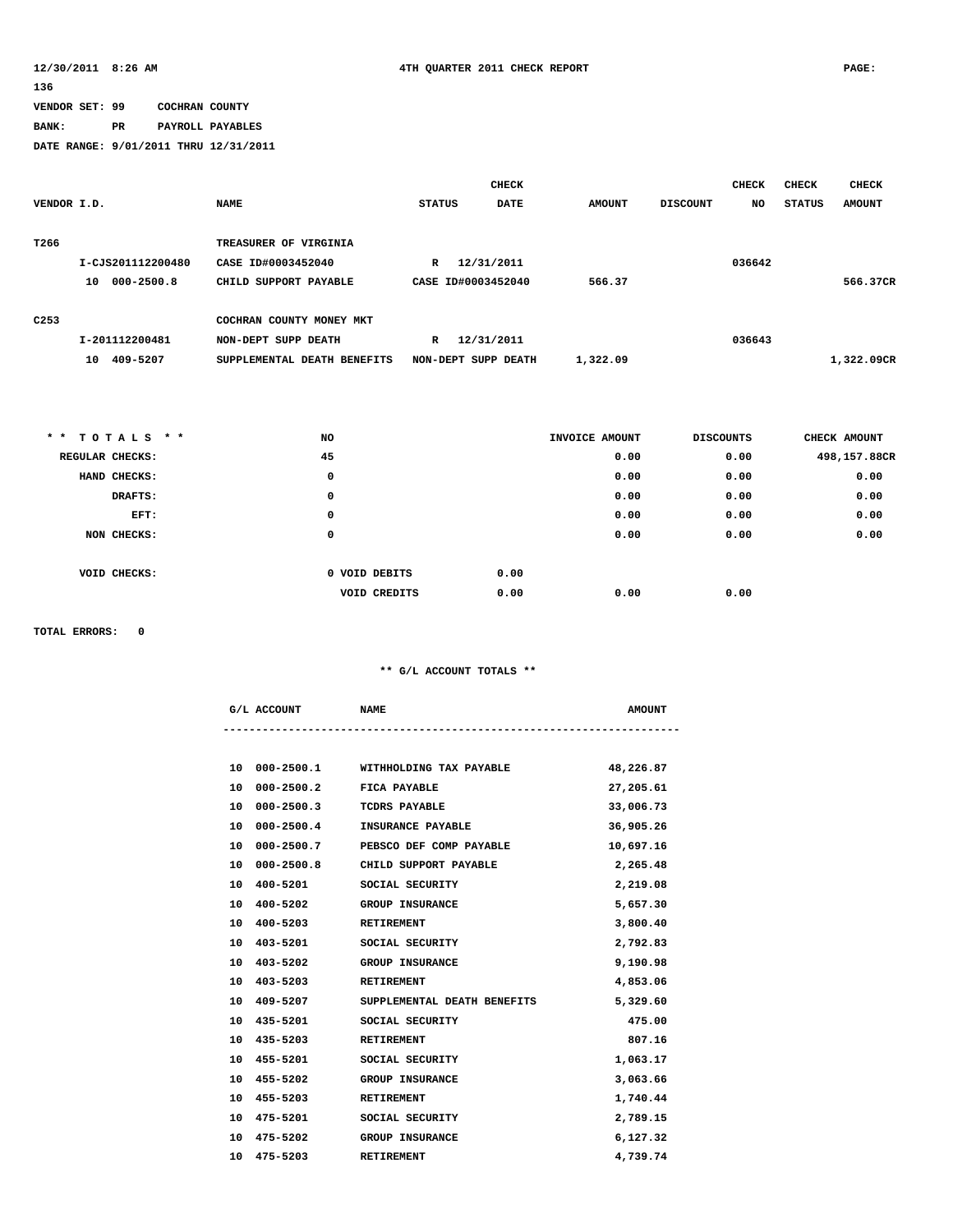**DATE RANGE: 9/01/2011 THRU 12/31/2011**

|                  |                       |                             |               | <b>CHECK</b>        |               |                 | <b>CHECK</b> | <b>CHECK</b>  | <b>CHECK</b>  |
|------------------|-----------------------|-----------------------------|---------------|---------------------|---------------|-----------------|--------------|---------------|---------------|
| VENDOR I.D.      |                       | <b>NAME</b>                 | <b>STATUS</b> | <b>DATE</b>         | <b>AMOUNT</b> | <b>DISCOUNT</b> | <b>NO</b>    | <b>STATUS</b> | <b>AMOUNT</b> |
|                  |                       |                             |               |                     |               |                 |              |               |               |
| T266             |                       | TREASURER OF VIRGINIA       |               |                     |               |                 |              |               |               |
|                  | I-CJS201112200480     | CASE ID#0003452040          | $\mathbf{R}$  | 12/31/2011          |               |                 | 036642       |               |               |
|                  | $000 - 2500.8$<br>1 O | CHILD SUPPORT PAYABLE       |               | CASE ID#0003452040  | 566.37        |                 |              |               | 566.37CR      |
|                  |                       |                             |               |                     |               |                 |              |               |               |
| C <sub>253</sub> |                       | COCHRAN COUNTY MONEY MKT    |               |                     |               |                 |              |               |               |
|                  | I-201112200481        | NON-DEPT SUPP DEATH         | $\mathbf{R}$  | 12/31/2011          |               |                 | 036643       |               |               |
|                  | 409-5207<br>10        | SUPPLEMENTAL DEATH BENEFITS |               | NON-DEPT SUPP DEATH | 1,322.09      |                 |              |               | 1,322.09CR    |

| ** TOTALS **    | NO |                             | INVOICE AMOUNT | <b>DISCOUNTS</b><br>CHECK AMOUNT |
|-----------------|----|-----------------------------|----------------|----------------------------------|
| REGULAR CHECKS: | 45 |                             | 0.00           | 498,157.88CR<br>0.00             |
| HAND CHECKS:    | 0  |                             | 0.00           | 0.00<br>0.00                     |
| DRAFTS:         | 0  |                             | 0.00           | 0.00<br>0.00                     |
| EFT:            | 0  |                             | 0.00           | 0.00<br>0.00                     |
| NON CHECKS:     | 0  |                             | 0.00           | 0.00<br>0.00                     |
|                 |    |                             |                |                                  |
| VOID CHECKS:    |    | 0.00<br>0 VOID DEBITS       |                |                                  |
|                 |    | 0.00<br><b>VOID CREDITS</b> | 0.00           | 0.00                             |

**TOTAL ERRORS: 0**

### **\*\* G/L ACCOUNT TOTALS \*\***

|  | <b>NAME</b> | ™0ТTN.<br>AM. |
|--|-------------|---------------|
|  |             |               |

| 10 | 000-2500.1     | WITHHOLDING TAX PAYABLE     | 48,226.87 |
|----|----------------|-----------------------------|-----------|
| 10 | 000-2500.2     | FICA PAYABLE                | 27,205.61 |
| 10 | $000 - 2500.3$ | TCDRS PAYABLE               | 33,006.73 |
| 10 | $000 - 2500.4$ | <b>INSURANCE PAYABLE</b>    | 36,905.26 |
| 10 | 000-2500.7     | PEBSCO DEF COMP PAYABLE     | 10,697.16 |
| 10 | 000-2500.8     | CHILD SUPPORT PAYABLE       | 2,265.48  |
| 10 | 400-5201       | SOCIAL SECURITY             | 2,219.08  |
| 10 | 400-5202       | <b>GROUP INSURANCE</b>      | 5,657.30  |
| 10 | 400-5203       | RETIREMENT                  | 3,800.40  |
| 10 | 403-5201       | SOCIAL SECURITY             | 2,792.83  |
| 10 | 403-5202       | <b>GROUP INSURANCE</b>      | 9,190.98  |
| 10 | 403-5203       | <b>RETIREMENT</b>           | 4,853.06  |
| 10 | 409-5207       | SUPPLEMENTAL DEATH BENEFITS | 5,329.60  |
| 10 | 435-5201       | SOCIAL SECURITY             | 475.00    |
| 10 | 435-5203       | <b>RETIREMENT</b>           | 807.16    |
| 10 | 455-5201       | SOCIAL SECURITY             | 1,063.17  |
| 10 | 455-5202       | <b>GROUP INSURANCE</b>      | 3,063.66  |
| 10 | 455-5203       | <b>RETIREMENT</b>           | 1,740.44  |
| 10 | 475-5201       | SOCIAL SECURITY             | 2,789.15  |
| 10 | 475-5202       | <b>GROUP INSURANCE</b>      | 6,127.32  |
|    | 10 475-5203    | <b>RETIREMENT</b>           | 4,739.74  |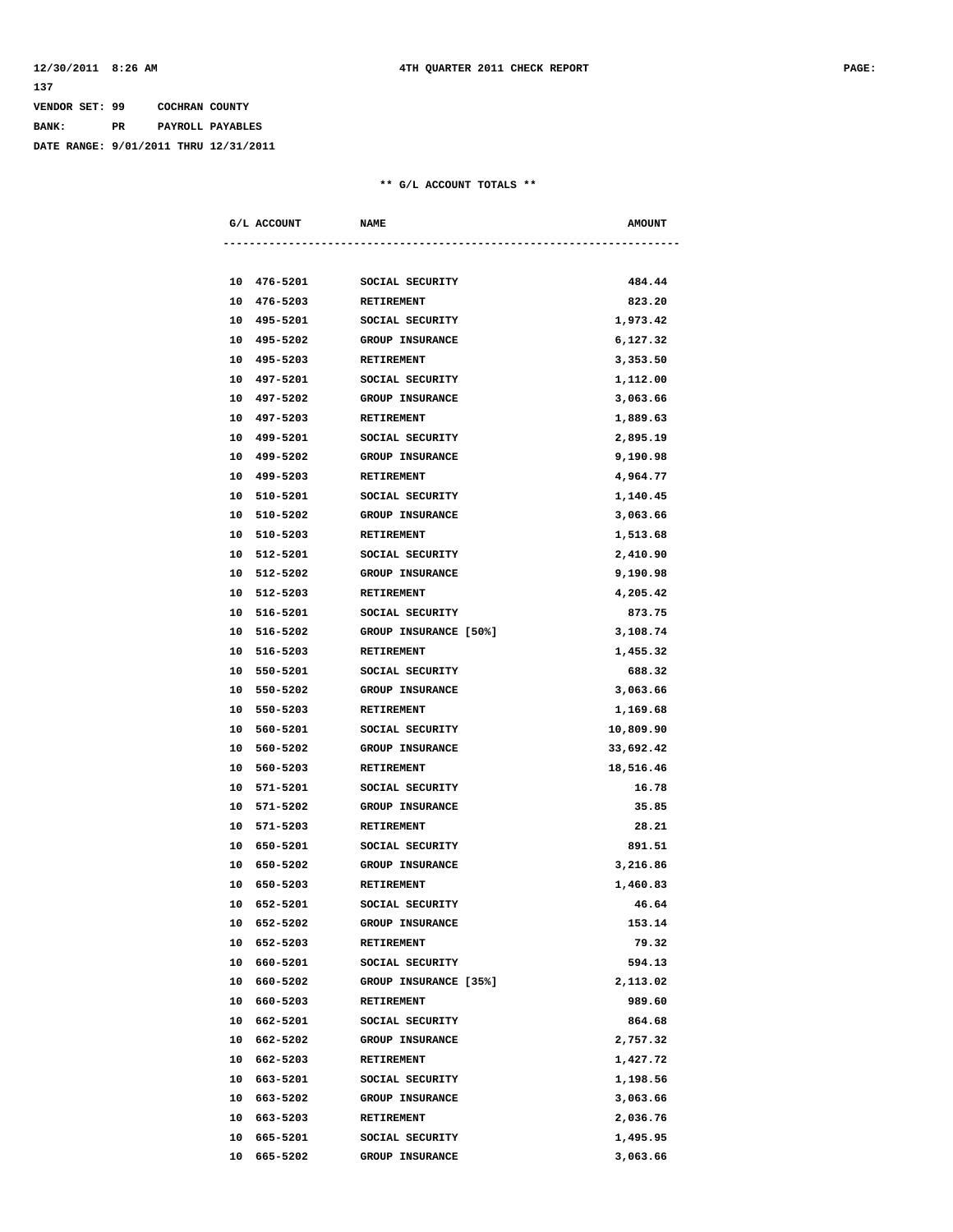### **\*\* G/L ACCOUNT TOTALS \*\***

| G/L ACCOUNT    | <b>NAME</b>            | <b>AMOUNT</b> |
|----------------|------------------------|---------------|
|                |                        |               |
| 10 476-5201    | SOCIAL SECURITY        | 484.44        |
| 10 476-5203    | <b>RETIREMENT</b>      | 823.20        |
| 10 495-5201    | SOCIAL SECURITY        | 1,973.42      |
| 10<br>495–5202 | GROUP INSURANCE        | 6,127.32      |
| 10<br>495-5203 | RETIREMENT             | 3,353.50      |
| 10<br>497-5201 | SOCIAL SECURITY        | 1,112.00      |
| 497-5202<br>10 | <b>GROUP INSURANCE</b> | 3,063.66      |
| 497-5203<br>10 | <b>RETIREMENT</b>      | 1,889.63      |
| 499-5201<br>10 | SOCIAL SECURITY        | 2,895.19      |
| 499-5202<br>10 | <b>GROUP INSURANCE</b> | 9,190.98      |
| 10<br>499-5203 | RETIREMENT             | 4,964.77      |
| 10<br>510-5201 | SOCIAL SECURITY        | 1,140.45      |
| 10<br>510-5202 | GROUP INSURANCE        | 3,063.66      |
| 510-5203<br>10 | <b>RETIREMENT</b>      | 1,513.68      |
| 10<br>512-5201 | SOCIAL SECURITY        | 2,410.90      |
| 10<br>512-5202 | GROUP INSURANCE        | 9,190.98      |
| 10<br>512-5203 | RETIREMENT             | 4,205.42      |
| 10<br>516-5201 | SOCIAL SECURITY        | 873.75        |
| 516-5202<br>10 | GROUP INSURANCE [50%]  | 3,108.74      |
| 516-5203<br>10 | RETIREMENT             | 1,455.32      |
| 10<br>550-5201 | SOCIAL SECURITY        | 688.32        |
| 550-5202<br>10 | GROUP INSURANCE        | 3,063.66      |
| 10<br>550-5203 | RETIREMENT             | 1,169.68      |
| 10<br>560-5201 | SOCIAL SECURITY        | 10,809.90     |
| 10<br>560-5202 | GROUP INSURANCE        | 33,692.42     |
| 10<br>560-5203 | RETIREMENT             | 18,516.46     |
| 10<br>571-5201 | SOCIAL SECURITY        | 16.78         |
| 571-5202<br>10 | GROUP INSURANCE        | 35.85         |
| 10<br>571-5203 | <b>RETIREMENT</b>      | 28.21         |
| 10<br>650-5201 | SOCIAL SECURITY        | 891.51        |
| 650-5202<br>10 | GROUP INSURANCE        | 3,216.86      |
| 10<br>650-5203 | RETIREMENT             | 1,460.83      |
| 10<br>652-5201 | SOCIAL SECURITY        | 46.64         |
| 10<br>652-5202 | GROUP INSURANCE        | 153.14        |
| 10 652-5203    | RETIREMENT             | 79.32         |
| 660-5201<br>10 | SOCIAL SECURITY        | 594.13        |
| 10 660-5202    | GROUP INSURANCE [35%]  | 2,113.02      |
| 10 660-5203    | RETIREMENT             | 989.60        |
| 10 662-5201    | SOCIAL SECURITY        | 864.68        |
| 10 662-5202    | GROUP INSURANCE        | 2,757.32      |
| 10 662-5203    | RETIREMENT             | 1,427.72      |
| 10 663-5201    | SOCIAL SECURITY        | 1,198.56      |
| 10 663-5202    | GROUP INSURANCE        | 3,063.66      |
| 10 663-5203    | RETIREMENT             | 2,036.76      |
| 10<br>665-5201 | SOCIAL SECURITY        | 1,495.95      |
| 10 665-5202    | GROUP INSURANCE        | 3,063.66      |
|                |                        |               |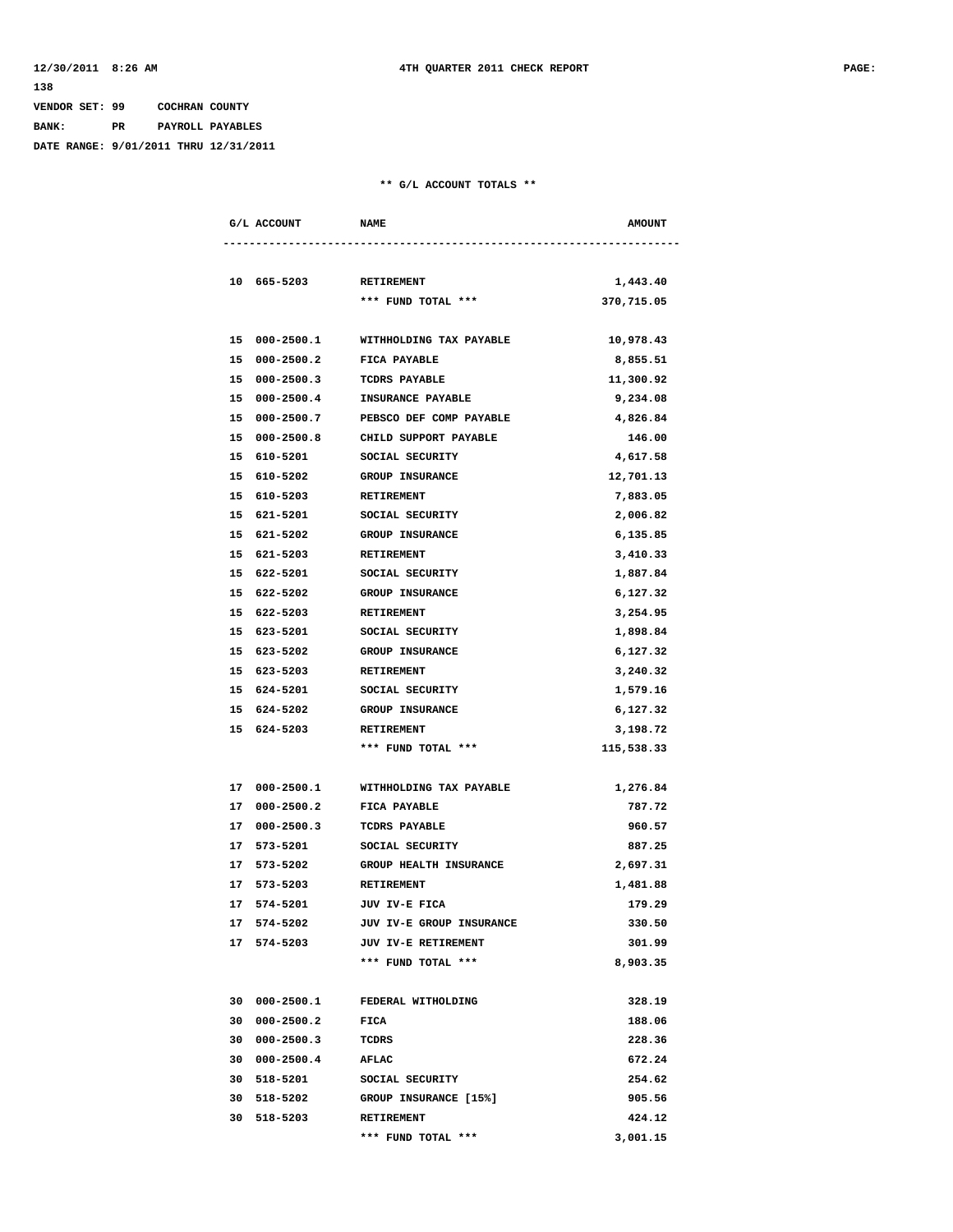### **\*\* G/L ACCOUNT TOTALS \*\***

|    | G/L ACCOUNT   | <b>NAME</b>                   | <b>AMOUNT</b> |
|----|---------------|-------------------------------|---------------|
|    |               |                               |               |
|    | 10 665-5203   | <b>RETIREMENT</b>             | 1,443.40      |
|    |               | *** FUND TOTAL ***            | 370,715.05    |
|    | 15 000-2500.1 | WITHHOLDING TAX PAYABLE       | 10,978.43     |
|    | 15 000-2500.2 | FICA PAYABLE                  | 8,855.51      |
|    | 15 000-2500.3 | <b>TCDRS PAYABLE</b>          | 11,300.92     |
|    | 15 000-2500.4 | INSURANCE PAYABLE             | 9,234.08      |
|    | 15 000-2500.7 | PEBSCO DEF COMP PAYABLE       | 4,826.84      |
|    | 15 000-2500.8 | CHILD SUPPORT PAYABLE         | 146.00        |
|    | 15 610-5201   | SOCIAL SECURITY               | 4,617.58      |
|    | 15 610-5202   | GROUP INSURANCE               | 12,701.13     |
|    | 15 610-5203   | RETIREMENT                    | 7,883.05      |
|    | 15 621-5201   | SOCIAL SECURITY               | 2,006.82      |
|    | 15 621-5202   | GROUP INSURANCE               | 6,135.85      |
|    | 15 621-5203   | <b>RETIREMENT</b>             | 3,410.33      |
|    | 15 622-5201   | SOCIAL SECURITY               | 1,887.84      |
|    | 15 622-5202   | <b>GROUP INSURANCE</b>        | 6,127.32      |
|    | 15 622-5203   | <b>RETIREMENT</b>             | 3,254.95      |
|    | 15 623-5201   | SOCIAL SECURITY               | 1,898.84      |
|    | 15 623-5202   | <b>GROUP INSURANCE</b>        | 6,127.32      |
|    | 15 623-5203   | RETIREMENT                    | 3,240.32      |
|    | 15 624-5201   | SOCIAL SECURITY               | 1,579.16      |
|    | 15 624-5202   | <b>GROUP INSURANCE</b>        | 6,127.32      |
|    | 15 624-5203   | RETIREMENT                    | 3,198.72      |
|    |               | *** FUND TOTAL ***            | 115,538.33    |
|    | 17 000-2500.1 | WITHHOLDING TAX PAYABLE       | 1,276.84      |
|    | 17 000-2500.2 | <b>FICA PAYABLE</b>           | 787.72        |
|    | 17 000-2500.3 | <b>TCDRS PAYABLE</b>          | 960.57        |
|    | 17 573-5201   | SOCIAL SECURITY               | 887.25        |
|    | 17 573-5202   | <b>GROUP HEALTH INSURANCE</b> | 2,697.31      |
| 17 | 573-5203      | RETIREMENT                    | 1,481.88      |
| 17 | 574-5201      | JUV IV-E FICA                 | 179.29        |
|    | 17 574-5202   | JUV IV-E GROUP INSURANCE      | 330.50        |
|    | 17 574-5203   | <b>JUV IV-E RETIREMENT</b>    | 301.99        |
|    |               | *** FUND TOTAL ***            | 8,903.35      |
|    | 30 000-2500.1 | FEDERAL WITHOLDING            | 328.19        |
|    | 30 000-2500.2 | <b>FICA</b>                   | 188.06        |
|    | 30 000-2500.3 | TCDRS                         | 228.36        |
|    | 30 000-2500.4 | AFLAC                         | 672.24        |
|    | 30 518-5201   | SOCIAL SECURITY               | 254.62        |
|    | 30 518-5202   | GROUP INSURANCE [15%]         | 905.56        |
|    | 30 518-5203   | RETIREMENT                    | 424.12        |
|    |               | *** FUND TOTAL ***            | 3,001.15      |
|    |               |                               |               |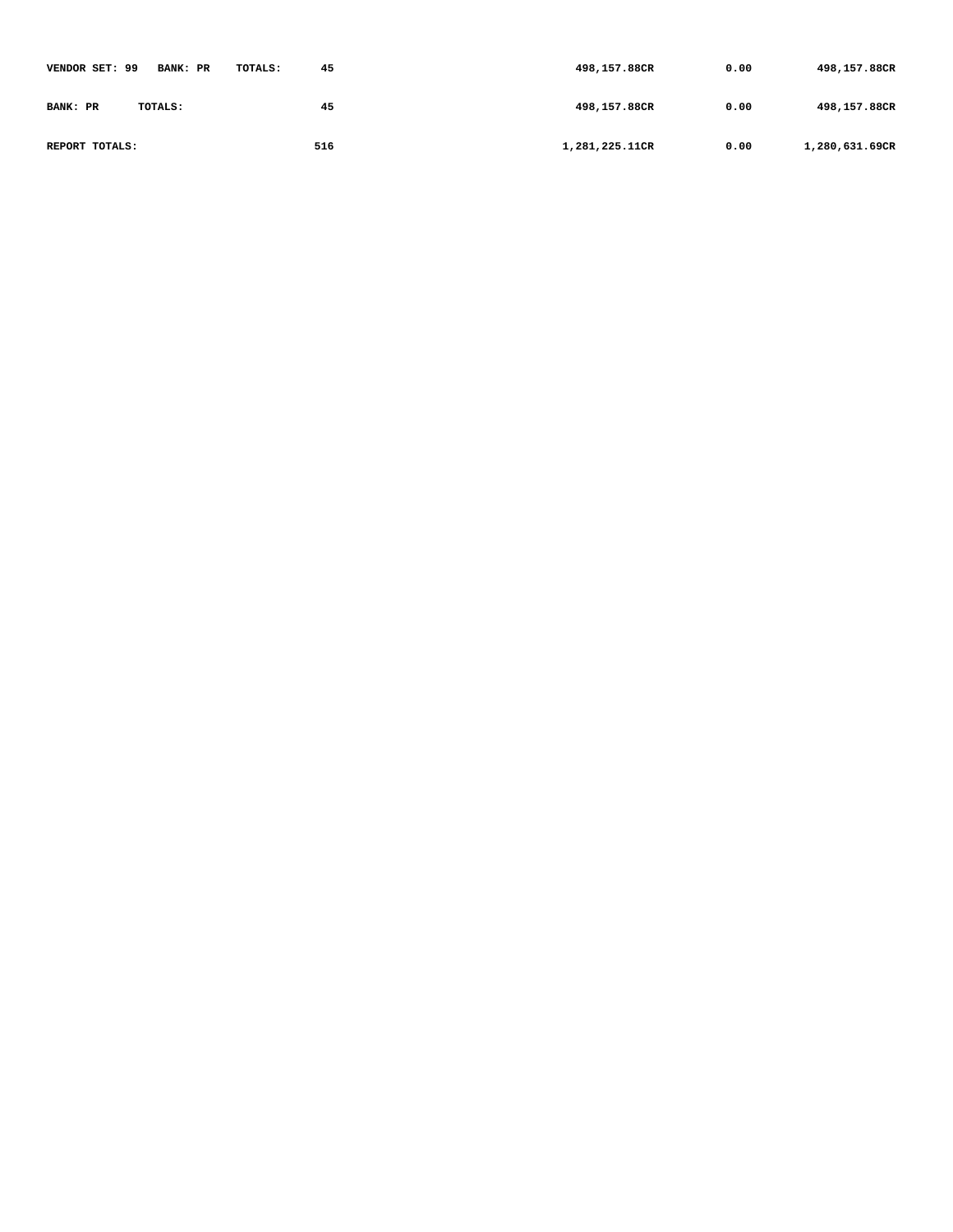| VENDOR SET: 99<br>BANK: PR | 45<br>TOTALS: | 498,157.88CR   | 0.00 | 498,157.88CR   |
|----------------------------|---------------|----------------|------|----------------|
| TOTALS:<br><b>BANK: PR</b> | 45            | 498,157.88CR   | 0.00 | 498,157.88CR   |
| REPORT TOTALS:             | 516           | 1,281,225.11CR | 0.00 | 1,280,631.69CR |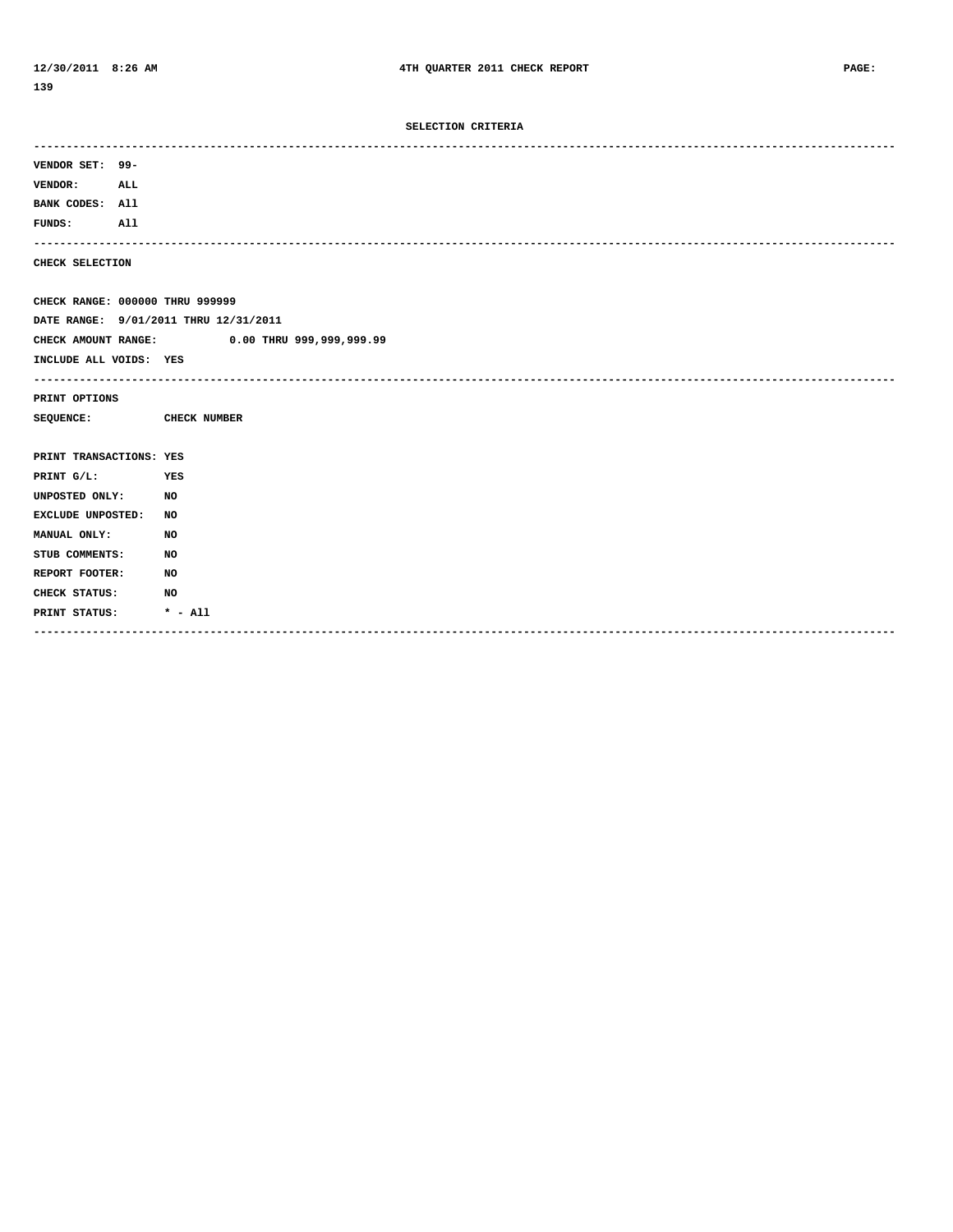**139**

### **SELECTION CRITERIA**

| VENDOR SET: 99-                 |     |                                              |
|---------------------------------|-----|----------------------------------------------|
| <b>VENDOR:</b>                  | ALL |                                              |
| BANK CODES: All                 |     |                                              |
| FUNDS: All                      |     |                                              |
| ---------------                 |     |                                              |
| CHECK SELECTION                 |     |                                              |
|                                 |     |                                              |
| CHECK RANGE: 000000 THRU 999999 |     |                                              |
|                                 |     | DATE RANGE: 9/01/2011 THRU 12/31/2011        |
|                                 |     | CHECK AMOUNT RANGE: 0.00 THRU 999,999,999.99 |
| INCLUDE ALL VOIDS: YES          |     |                                              |
|                                 |     |                                              |
| PRINT OPTIONS                   |     |                                              |
|                                 |     | SEQUENCE: CHECK NUMBER                       |
|                                 |     |                                              |
| PRINT TRANSACTIONS: YES         |     |                                              |
| PRINT G/L: YES                  |     |                                              |
| UNPOSTED ONLY:                  |     | <b>NO</b>                                    |
| <b>EXCLUDE UNPOSTED:</b>        |     | NO                                           |
| MANUAL ONLY:                    |     | NO                                           |
| STUB COMMENTS:                  |     | NO                                           |
| REPORT FOOTER:                  |     | NO                                           |
| CHECK STATUS:                   |     | NO                                           |
| PRINT STATUS: * - All           |     |                                              |
|                                 |     |                                              |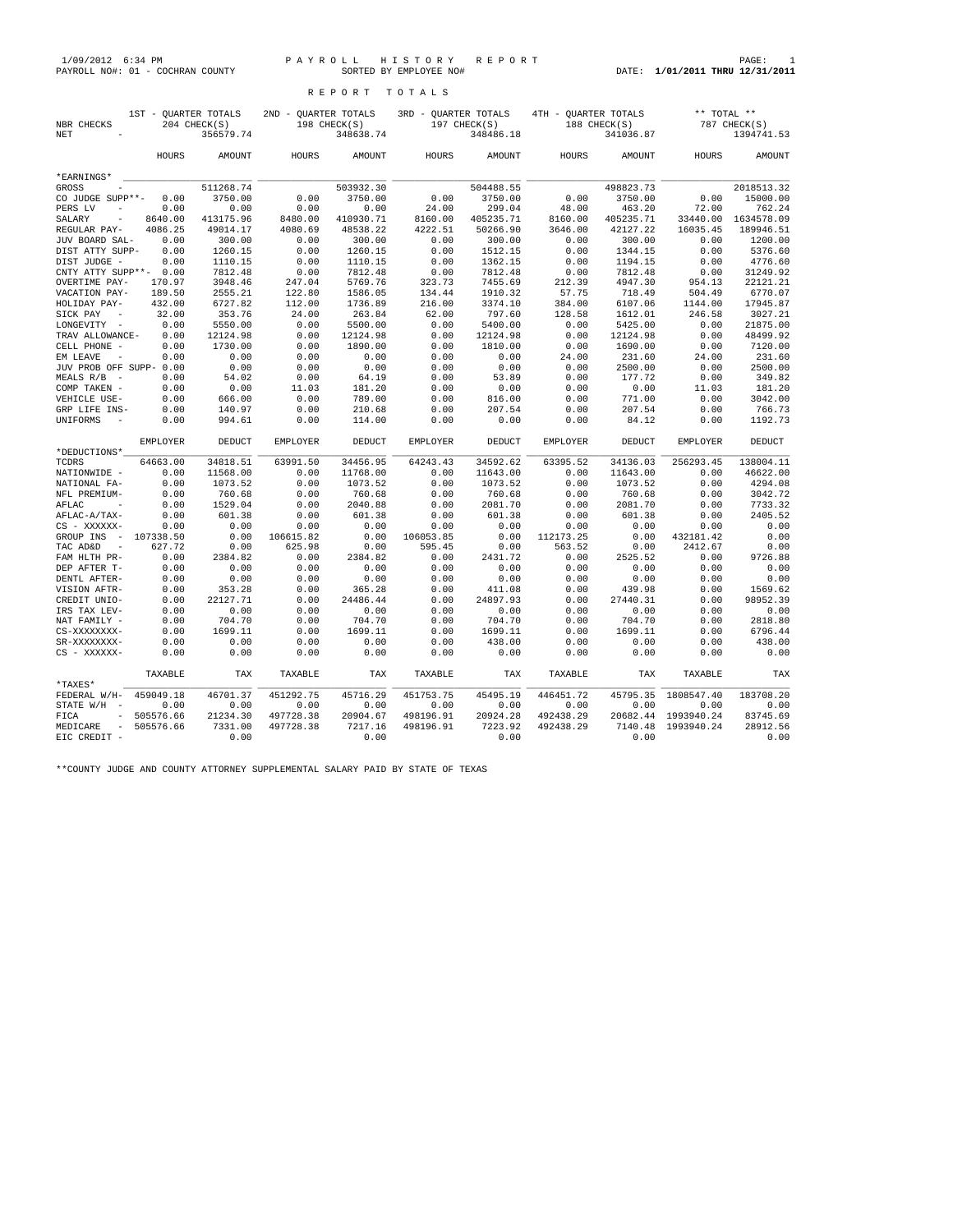# 1/09/2012 6:34 PM PAGE: 1 PAYROLL HISTORY REPORT<br>PAYROLL NO#: 01 - COCHRAN COUNTY SORTED BY EMPLOYEE NO# DATE: **1/01/2011 THRU 12/31/2011**

|  |  |  | REPORT TOTALS |  |  |  |
|--|--|--|---------------|--|--|--|

| NBR CHECKS<br><b>NET</b>             | 1ST - QUARTER TOTALS<br>204 CHECK(S)<br>356579.74 |                    | 2ND - QUARTER TOTALS | 198 CHECK(S)<br>348638.74 | 3RD - OUARTER TOTALS<br>197 CHECK(S)<br>348486.18 |                    | 4TH - OUARTER TOTALS | 188 CHECK(S)<br>341036.87 | ** TOTAL **<br>787 CHECK(S)<br>1394741.53 |                     |  |
|--------------------------------------|---------------------------------------------------|--------------------|----------------------|---------------------------|---------------------------------------------------|--------------------|----------------------|---------------------------|-------------------------------------------|---------------------|--|
|                                      | HOURS                                             | AMOUNT             | HOURS                | AMOUNT                    | HOURS                                             | AMOUNT             | HOURS                | AMOUNT                    | HOURS                                     | <b>AMOUNT</b>       |  |
| *EARNINGS*                           |                                                   |                    |                      |                           |                                                   |                    |                      |                           |                                           |                     |  |
| GROSS                                |                                                   | 511268.74          |                      | 503932.30                 |                                                   | 504488.55          |                      | 498823.73                 |                                           | 2018513.32          |  |
| CO JUDGE SUPP**- 0.00                |                                                   | 3750.00            | 0.00                 | 3750.00                   | 0.00                                              | 3750.00            | 0.00                 | 3750.00                   | 0.00                                      | 15000.00            |  |
| PERS LV                              | 0.00                                              | 0.00               | 0.00                 | 0.00                      | 24.00                                             | 299.04             | 48.00                | 463.20                    | 72.00                                     | 762.24              |  |
| SALARY<br>$\overline{\phantom{a}}$   | 8640.00                                           | 413175.96          | 8480.00              | 410930.71                 | 8160.00                                           | 405235.71          | 8160.00              | 405235.71                 |                                           | 33440.00 1634578.09 |  |
| REGULAR PAY-                         | 4086.25                                           | 49014.17           | 4080.69              | 48538.22                  | 4222.51                                           | 50266.90           | 3646.00              | 42127.22                  | 16035.45                                  | 189946.51           |  |
| JUV BOARD SAL-                       | 0.00                                              | 300.00             | 0.00                 | 300.00                    | 0.00                                              | 300.00             | 0.00                 | 300.00                    | 0.00                                      | 1200.00             |  |
| DIST ATTY SUPP-                      | 0.00                                              | 1260.15            | 0.00                 | 1260.15                   | 0.00                                              | 1512.15            | 0.00                 | 1344.15                   | 0.00                                      | 5376.60             |  |
| DIST JUDGE -                         | 0.00                                              | 1110.15            | 0.00                 | 1110.15                   | 0.00                                              | 1362.15            | 0.00                 | 1194.15                   | 0.00                                      | 4776.60             |  |
| CNTY ATTY SUPP**- 0.00               |                                                   | 7812.48            | 0.00                 | 7812.48                   | 0.00                                              | 7812.48            | 0.00                 | 7812.48                   | 0.00                                      | 31249.92            |  |
| OVERTIME PAY-                        | 170.97                                            | 3948.46<br>2555.21 | 247.04<br>122.80     | 5769.76<br>1586.05        | 323.73<br>134.44                                  | 7455.69<br>1910.32 | 212.39<br>57.75      | 4947.30<br>718.49         | 954.13<br>504.49                          | 22121.21<br>6770.07 |  |
| VACATION PAY-<br>HOLIDAY PAY-        | 189.50<br>432.00                                  | 6727.82            | 112.00               | 1736.89                   | 216.00                                            | 3374.10            | 384.00               | 6107.06                   | 1144.00                                   | 17945.87            |  |
| SICK PAY                             | 32.00                                             | 353.76             | 24.00                | 263.84                    | 62.00                                             | 797.60             | 128.58               | 1612.01                   | 246.58                                    | 3027.21             |  |
| LONGEVITY -                          | 0.00                                              | 5550.00            | 0.00                 | 5500.00                   | 0.00                                              | 5400.00            | 0.00                 | 5425.00                   | 0.00                                      | 21875.00            |  |
| TRAV ALLOWANCE-                      | 0.00                                              | 12124.98           | 0.00                 | 12124.98                  | 0.00                                              | 12124.98           | 0.00                 | 12124.98                  | 0.00                                      | 48499.92            |  |
| CELL PHONE -                         | 0.00                                              | 1730.00            | 0.00                 | 1890.00                   | 0.00                                              | 1810.00            | 0.00                 | 1690.00                   | 0.00                                      | 7120.00             |  |
| EM LEAVE<br>$\overline{\phantom{a}}$ | 0.00                                              | 0.00               | 0.00                 | 0.00                      | 0.00                                              | 0.00               | 24.00                | 231.60                    | 24.00                                     | 231.60              |  |
| JUV PROB OFF SUPP- 0.00              |                                                   | 0.00               | 0.00                 | 0.00                      | 0.00                                              | 0.00               | 0.00                 | 2500.00                   | 0.00                                      | 2500.00             |  |
| MEALS $R/B$ -                        | 0.00                                              | 54.02              | 0.00                 | 64.19                     | 0.00                                              | 53.89              | 0.00                 | 177.72                    | 0.00                                      | 349.82              |  |
| COMP TAKEN -                         | 0.00                                              | 0.00               | 11.03                | 181.20                    | 0.00                                              | 0.00               | 0.00                 | 0.00                      | 11.03                                     | 181.20              |  |
| VEHICLE USE-                         | 0.00                                              | 666.00             | 0.00                 | 789.00                    | 0.00                                              | 816.00             | 0.00                 | 771.00                    | 0.00                                      | 3042.00             |  |
| GRP LIFE INS-                        | 0.00                                              | 140.97             | 0.00                 | 210.68                    | 0.00                                              | 207.54             | 0.00                 | 207.54                    | 0.00                                      | 766.73              |  |
| UNIFORMS                             | 0.00                                              | 994.61             | 0.00                 | 114.00                    | 0.00                                              | 0.00               | 0.00                 | 84.12                     | 0.00                                      | 1192.73             |  |
|                                      | EMPLOYER                                          | <b>DEDUCT</b>      | EMPLOYER             | <b>DEDUCT</b>             | EMPLOYER                                          | DEDUCT             | EMPLOYER             | <b>DEDUCT</b>             | <b>EMPLOYER</b>                           | DEDUCT              |  |
| *DEDUCTIONS*                         |                                                   |                    |                      |                           |                                                   |                    |                      |                           |                                           |                     |  |
| TCDRS                                | 64663.00                                          | 34818.51           | 63991.50             | 34456.95                  | 64243.43                                          | 34592.62           | 63395.52             | 34136.03                  | 256293.45                                 | 138004.11           |  |
| NATIONWIDE -                         | 0.00                                              | 11568.00           | 0.00                 | 11768.00                  | 0.00                                              | 11643.00           | 0.00                 | 11643.00                  | 0.00                                      | 46622.00            |  |
| NATIONAL FA-                         | 0.00                                              | 1073.52            | 0.00                 | 1073.52                   | 0.00                                              | 1073.52            | 0.00                 | 1073.52                   | 0.00                                      | 4294.08             |  |
| NFL PREMIUM-                         | 0.00                                              | 760.68             | 0.00                 | 760.68                    | 0.00                                              | 760.68             | 0.00                 | 760.68                    | 0.00                                      | 3042.72             |  |
| AFLAC                                | 0.00                                              | 1529.04            | 0.00                 | 2040.88                   | 0.00                                              | 2081.70            | 0.00                 | 2081.70                   | 0.00                                      | 7733.32             |  |
| AFLAC-A/TAX-                         | 0.00                                              | 601.38             | 0.00                 | 601.38                    | 0.00                                              | 601.38             | 0.00                 | 601.38                    | 0.00                                      | 2405.52             |  |
| CS - XXXXXX-                         | 0.00                                              | 0.00               | 0.00                 | 0.00                      | 0.00                                              | 0.00               | 0.00                 | 0.00                      | 0.00                                      | 0.00                |  |
| GROUP INS                            | $-107338.50$                                      | 0.00               | 106615.82            | 0.00                      | 106053.85                                         | 0.00               | 112173.25            | 0.00                      | 432181.42                                 | 0.00                |  |
| TAC AD&D                             | 627.72                                            | 0.00               | 625.98               | 0.00                      | 595.45                                            | 0.00               | 563.52               | 0.00                      | 2412.67                                   | 0.00                |  |
| FAM HLTH PR-                         | 0.00                                              | 2384.82            | 0.00                 | 2384.82                   | 0.00                                              | 2431.72            | 0.00                 | 2525.52                   | 0.00                                      | 9726.88             |  |
| DEP AFTER T-                         | 0.00                                              | 0.00               | 0.00                 | 0.00                      | 0.00                                              | 0.00               | 0.00                 | 0.00                      | 0.00                                      | 0.00                |  |
| DENTL AFTER-                         | 0.00                                              | 0.00               | 0.00                 | 0.00                      | 0.00                                              | 0.00               | 0.00                 | 0.00                      | 0.00                                      | 0.00                |  |
| VISION AFTR-                         | 0.00                                              | 353.28             | 0.00                 | 365.28                    | 0.00                                              | 411.08             | 0.00                 | 439.98                    | 0.00                                      | 1569.62             |  |
| CREDIT UNIO-                         | 0.00                                              | 22127.71           | 0.00                 | 24486.44                  | 0.00                                              | 24897.93           | 0.00                 | 27440.31                  | 0.00                                      | 98952.39            |  |
| IRS TAX LEV-                         | 0.00                                              | 0.00               | 0.00                 | 0.00                      | 0.00                                              | 0.00               | 0.00                 | 0.00                      | 0.00                                      | 0.00                |  |
| NAT FAMILY -                         | 0.00                                              | 704.70             | 0.00                 | 704.70                    | 0.00                                              | 704.70             | 0.00                 | 704.70                    | 0.00                                      | 2818.80             |  |
| CS-XXXXXXXX-                         | 0.00                                              | 1699.11            | 0.00                 | 1699.11                   | 0.00                                              | 1699.11            | 0.00                 | 1699.11                   | 0.00                                      | 6796.44             |  |
| SR-XXXXXXXX-                         | 0.00                                              | 0.00               | 0.00                 | 0.00                      | 0.00                                              | 438.00             | 0.00                 | 0.00                      | 0.00                                      | 438.00              |  |
| CS - XXXXXX-                         | 0.00                                              | 0.00               | 0.00                 | 0.00                      | 0.00                                              | 0.00               | 0.00                 | 0.00                      | 0.00                                      | 0.00                |  |
|                                      | TAXABLE                                           | TAX                | TAXABLE              | TAX                       | TAXABLE                                           | TAX                | TAXABLE              | TAX                       | TAXABLE                                   | TAX                 |  |
| *TAXES*                              | 459049.18                                         |                    |                      | 45716.29                  |                                                   | 45495.19           | 446451.72            |                           |                                           |                     |  |
| FEDERAL W/H-<br>STATE W/H -          | 0.00                                              | 46701.37<br>0.00   | 451292.75<br>0.00    | 0.00                      | 451753.75<br>0.00                                 | 0.00               | 0.00                 | 0.00                      | 45795.35 1808547.40<br>0.00               | 183708.20<br>0.00   |  |
| FICA                                 | 505576.66                                         | 21234.30           | 497728.38            | 20904.67                  | 498196.91                                         | 20924.28           | 492438.29            |                           | 20682.44 1993940.24                       | 83745.69            |  |
| MEDICARE                             | 505576.66                                         | 7331.00            | 497728.38            | 7217.16                   | 498196.91                                         | 7223.92            | 492438.29            | 7140.48                   | 1993940.24                                | 28912.56            |  |
| EIC CREDIT -                         |                                                   | 0.00               |                      | 0.00                      |                                                   | 0.00               |                      | 0.00                      |                                           | 0.00                |  |

\*\*COUNTY JUDGE AND COUNTY ATTORNEY SUPPLEMENTAL SALARY PAID BY STATE OF TEXAS